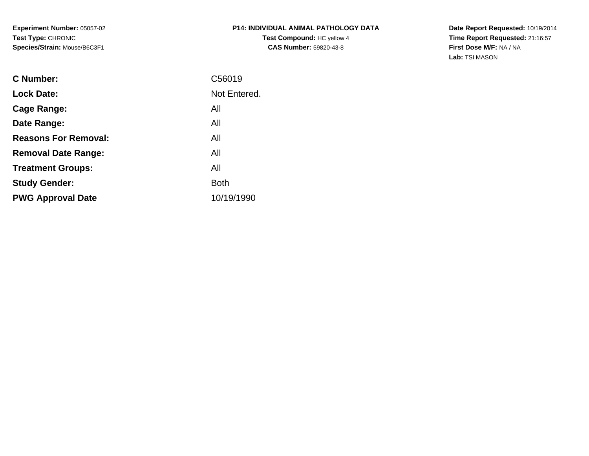**Experiment Number:** 05057-02**Test Type:** CHRONIC**Species/Strain:** Mouse/B6C3F1

## **P14: INDIVIDUAL ANIMAL PATHOLOGY DATATest Compound:** HC yellow 4**CAS Number:** 59820-43-8

**Date Report Requested:** 10/19/2014 **Time Report Requested:** 21:16:57**First Dose M/F:** NA / NA**Lab:** TSI MASON

| C56019       |
|--------------|
| Not Entered. |
| All          |
| All          |
| All          |
| All          |
| All          |
| <b>Both</b>  |
| 10/19/1990   |
|              |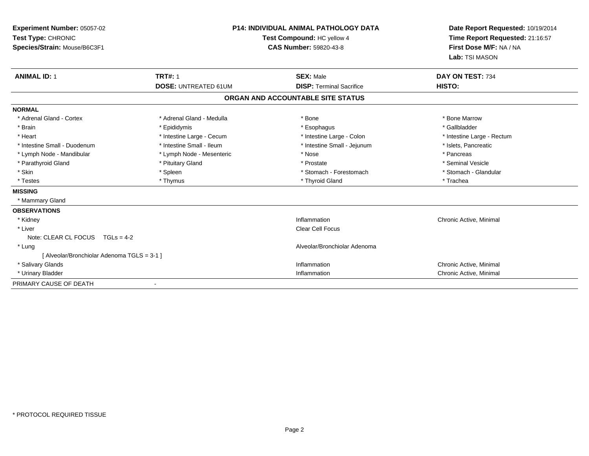| Experiment Number: 05057-02<br>Test Type: CHRONIC<br>Species/Strain: Mouse/B6C3F1 | <b>P14: INDIVIDUAL ANIMAL PATHOLOGY DATA</b><br>Test Compound: HC yellow 4<br><b>CAS Number: 59820-43-8</b> |                                   | Date Report Requested: 10/19/2014<br>Time Report Requested: 21:16:57<br>First Dose M/F: NA / NA<br>Lab: TSI MASON |
|-----------------------------------------------------------------------------------|-------------------------------------------------------------------------------------------------------------|-----------------------------------|-------------------------------------------------------------------------------------------------------------------|
| <b>ANIMAL ID: 1</b>                                                               | <b>TRT#: 1</b>                                                                                              | <b>SEX: Male</b>                  | DAY ON TEST: 734                                                                                                  |
|                                                                                   | <b>DOSE: UNTREATED 61UM</b>                                                                                 | <b>DISP: Terminal Sacrifice</b>   | HISTO:                                                                                                            |
|                                                                                   |                                                                                                             | ORGAN AND ACCOUNTABLE SITE STATUS |                                                                                                                   |
| <b>NORMAL</b>                                                                     |                                                                                                             |                                   |                                                                                                                   |
| * Adrenal Gland - Cortex                                                          | * Adrenal Gland - Medulla                                                                                   | * Bone                            | * Bone Marrow                                                                                                     |
| * Brain                                                                           | * Epididymis                                                                                                | * Esophagus                       | * Gallbladder                                                                                                     |
| * Heart                                                                           | * Intestine Large - Cecum                                                                                   | * Intestine Large - Colon         | * Intestine Large - Rectum                                                                                        |
| * Intestine Small - Duodenum                                                      | * Intestine Small - Ileum                                                                                   | * Intestine Small - Jejunum       | * Islets, Pancreatic                                                                                              |
| * Lymph Node - Mandibular                                                         | * Lymph Node - Mesenteric                                                                                   | * Nose                            | * Pancreas                                                                                                        |
| * Parathyroid Gland                                                               | * Pituitary Gland                                                                                           | * Prostate                        | * Seminal Vesicle                                                                                                 |
| * Skin                                                                            | * Spleen                                                                                                    | * Stomach - Forestomach           | * Stomach - Glandular                                                                                             |
| * Testes                                                                          | * Thymus                                                                                                    | * Thyroid Gland                   | * Trachea                                                                                                         |
| <b>MISSING</b>                                                                    |                                                                                                             |                                   |                                                                                                                   |
| * Mammary Gland                                                                   |                                                                                                             |                                   |                                                                                                                   |
| <b>OBSERVATIONS</b>                                                               |                                                                                                             |                                   |                                                                                                                   |
| * Kidney                                                                          |                                                                                                             | Inflammation                      | Chronic Active, Minimal                                                                                           |
| * Liver                                                                           |                                                                                                             | Clear Cell Focus                  |                                                                                                                   |
| Note: CLEAR CL FOCUS $TGLs = 4-2$                                                 |                                                                                                             |                                   |                                                                                                                   |
| * Lung                                                                            |                                                                                                             | Alveolar/Bronchiolar Adenoma      |                                                                                                                   |
| [ Alveolar/Bronchiolar Adenoma TGLS = 3-1 ]                                       |                                                                                                             |                                   |                                                                                                                   |
| * Salivary Glands                                                                 |                                                                                                             | Inflammation                      | Chronic Active, Minimal                                                                                           |
| * Urinary Bladder                                                                 |                                                                                                             | Inflammation                      | Chronic Active, Minimal                                                                                           |
| PRIMARY CAUSE OF DEATH                                                            |                                                                                                             |                                   |                                                                                                                   |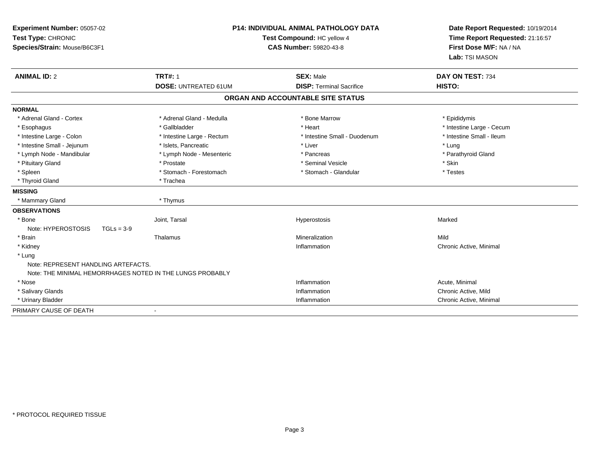| <b>P14: INDIVIDUAL ANIMAL PATHOLOGY DATA</b><br>Test Compound: HC yellow 4<br><b>CAS Number: 59820-43-8</b> |                                                           | Experiment Number: 05057-02<br>Test Type: CHRONIC<br>Species/Strain: Mouse/B6C3F1 |                                                        | Date Report Requested: 10/19/2014<br>Time Report Requested: 21:16:57<br>First Dose M/F: NA / NA<br>Lab: TSI MASON |
|-------------------------------------------------------------------------------------------------------------|-----------------------------------------------------------|-----------------------------------------------------------------------------------|--------------------------------------------------------|-------------------------------------------------------------------------------------------------------------------|
| <b>ANIMAL ID: 2</b>                                                                                         | <b>TRT#: 1</b><br><b>DOSE: UNTREATED 61UM</b>             | <b>SEX: Male</b><br><b>DISP: Terminal Sacrifice</b>                               | DAY ON TEST: 734<br>HISTO:                             |                                                                                                                   |
|                                                                                                             |                                                           | ORGAN AND ACCOUNTABLE SITE STATUS                                                 |                                                        |                                                                                                                   |
|                                                                                                             |                                                           |                                                                                   |                                                        |                                                                                                                   |
| <b>NORMAL</b>                                                                                               |                                                           |                                                                                   |                                                        |                                                                                                                   |
| * Adrenal Gland - Cortex                                                                                    | * Adrenal Gland - Medulla<br>* Gallbladder                | * Bone Marrow<br>* Heart                                                          | * Epididymis                                           |                                                                                                                   |
| * Esophagus<br>* Intestine Large - Colon                                                                    | * Intestine Large - Rectum                                | * Intestine Small - Duodenum                                                      | * Intestine Large - Cecum<br>* Intestine Small - Ileum |                                                                                                                   |
| * Intestine Small - Jejunum                                                                                 | * Islets, Pancreatic                                      | * Liver                                                                           | * Lung                                                 |                                                                                                                   |
| * Lymph Node - Mandibular                                                                                   | * Lymph Node - Mesenteric                                 | * Pancreas                                                                        | * Parathyroid Gland                                    |                                                                                                                   |
| * Pituitary Gland                                                                                           | * Prostate                                                | * Seminal Vesicle                                                                 | * Skin                                                 |                                                                                                                   |
| * Spleen                                                                                                    | * Stomach - Forestomach                                   | * Stomach - Glandular                                                             | * Testes                                               |                                                                                                                   |
| * Thyroid Gland                                                                                             | * Trachea                                                 |                                                                                   |                                                        |                                                                                                                   |
| <b>MISSING</b>                                                                                              |                                                           |                                                                                   |                                                        |                                                                                                                   |
| * Mammary Gland                                                                                             | * Thymus                                                  |                                                                                   |                                                        |                                                                                                                   |
| <b>OBSERVATIONS</b>                                                                                         |                                                           |                                                                                   |                                                        |                                                                                                                   |
| * Bone                                                                                                      | Joint, Tarsal                                             | Hyperostosis                                                                      | Marked                                                 |                                                                                                                   |
| Note: HYPEROSTOSIS<br>$TGLs = 3-9$                                                                          |                                                           |                                                                                   |                                                        |                                                                                                                   |
| * Brain                                                                                                     | Thalamus                                                  | Mineralization                                                                    | Mild                                                   |                                                                                                                   |
| * Kidney                                                                                                    |                                                           | Inflammation                                                                      | Chronic Active, Minimal                                |                                                                                                                   |
| * Lung                                                                                                      |                                                           |                                                                                   |                                                        |                                                                                                                   |
| Note: REPRESENT HANDLING ARTEFACTS.                                                                         |                                                           |                                                                                   |                                                        |                                                                                                                   |
|                                                                                                             | Note: THE MINIMAL HEMORRHAGES NOTED IN THE LUNGS PROBABLY |                                                                                   |                                                        |                                                                                                                   |
| * Nose                                                                                                      |                                                           | Inflammation                                                                      | Acute, Minimal                                         |                                                                                                                   |
| * Salivary Glands                                                                                           |                                                           | Inflammation                                                                      | Chronic Active, Mild                                   |                                                                                                                   |
| * Urinary Bladder                                                                                           |                                                           | Inflammation                                                                      | Chronic Active, Minimal                                |                                                                                                                   |
| PRIMARY CAUSE OF DEATH                                                                                      | $\blacksquare$                                            |                                                                                   |                                                        |                                                                                                                   |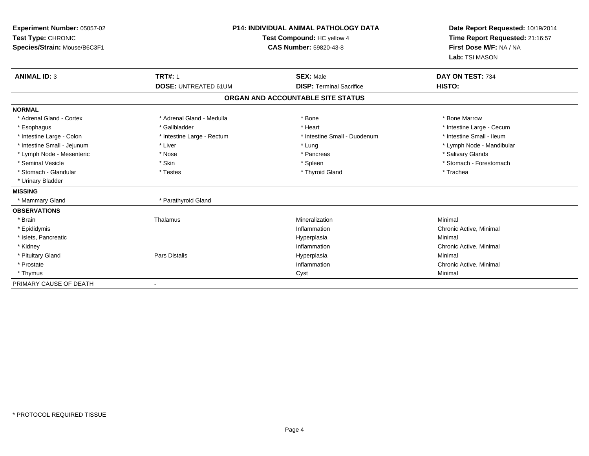| Experiment Number: 05057-02<br>Test Type: CHRONIC<br>Species/Strain: Mouse/B6C3F1 |                             | <b>P14: INDIVIDUAL ANIMAL PATHOLOGY DATA</b><br>Test Compound: HC yellow 4<br><b>CAS Number: 59820-43-8</b> | Date Report Requested: 10/19/2014<br>Time Report Requested: 21:16:57<br>First Dose M/F: NA / NA<br>Lab: TSI MASON |
|-----------------------------------------------------------------------------------|-----------------------------|-------------------------------------------------------------------------------------------------------------|-------------------------------------------------------------------------------------------------------------------|
| <b>ANIMAL ID: 3</b>                                                               | <b>TRT#: 1</b>              | <b>SEX: Male</b>                                                                                            | DAY ON TEST: 734                                                                                                  |
|                                                                                   | <b>DOSE: UNTREATED 61UM</b> | <b>DISP: Terminal Sacrifice</b>                                                                             | HISTO:                                                                                                            |
|                                                                                   |                             | ORGAN AND ACCOUNTABLE SITE STATUS                                                                           |                                                                                                                   |
| <b>NORMAL</b>                                                                     |                             |                                                                                                             |                                                                                                                   |
| * Adrenal Gland - Cortex                                                          | * Adrenal Gland - Medulla   | * Bone                                                                                                      | * Bone Marrow                                                                                                     |
| * Esophagus                                                                       | * Gallbladder               | * Heart                                                                                                     | * Intestine Large - Cecum                                                                                         |
| * Intestine Large - Colon                                                         | * Intestine Large - Rectum  | * Intestine Small - Duodenum                                                                                | * Intestine Small - Ileum                                                                                         |
| * Intestine Small - Jejunum                                                       | * Liver                     | * Lung                                                                                                      | * Lymph Node - Mandibular                                                                                         |
| * Lymph Node - Mesenteric                                                         | * Nose                      | * Pancreas                                                                                                  | * Salivary Glands                                                                                                 |
| * Seminal Vesicle                                                                 | * Skin                      | * Spleen                                                                                                    | * Stomach - Forestomach                                                                                           |
| * Stomach - Glandular                                                             | * Testes                    | * Thyroid Gland                                                                                             | * Trachea                                                                                                         |
| * Urinary Bladder                                                                 |                             |                                                                                                             |                                                                                                                   |
| <b>MISSING</b>                                                                    |                             |                                                                                                             |                                                                                                                   |
| * Mammary Gland                                                                   | * Parathyroid Gland         |                                                                                                             |                                                                                                                   |
| <b>OBSERVATIONS</b>                                                               |                             |                                                                                                             |                                                                                                                   |
| * Brain                                                                           | Thalamus                    | Mineralization                                                                                              | Minimal                                                                                                           |
| * Epididymis                                                                      |                             | Inflammation                                                                                                | Chronic Active, Minimal                                                                                           |
| * Islets, Pancreatic                                                              |                             | Hyperplasia                                                                                                 | Minimal                                                                                                           |
| * Kidney                                                                          |                             | Inflammation                                                                                                | Chronic Active, Minimal                                                                                           |
| * Pituitary Gland                                                                 | Pars Distalis               | Hyperplasia                                                                                                 | Minimal                                                                                                           |
| * Prostate                                                                        |                             | Inflammation                                                                                                | Chronic Active, Minimal                                                                                           |
| * Thymus                                                                          |                             | Cyst                                                                                                        | Minimal                                                                                                           |
| PRIMARY CAUSE OF DEATH                                                            |                             |                                                                                                             |                                                                                                                   |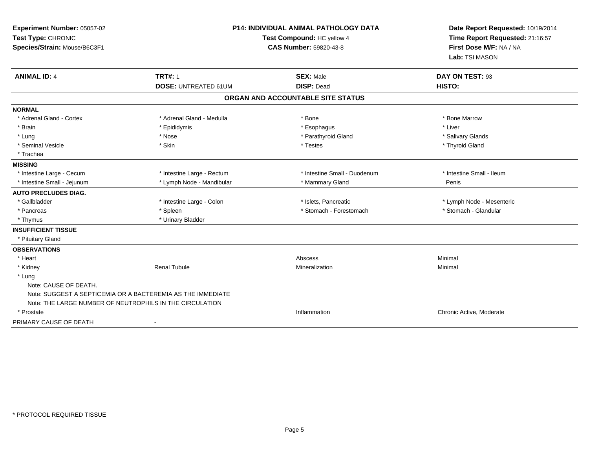| Experiment Number: 05057-02<br>Test Type: CHRONIC<br>Species/Strain: Mouse/B6C3F1 | <b>P14: INDIVIDUAL ANIMAL PATHOLOGY DATA</b><br>Test Compound: HC yellow 4<br><b>CAS Number: 59820-43-8</b> |                                   | Date Report Requested: 10/19/2014<br>Time Report Requested: 21:16:57<br>First Dose M/F: NA / NA<br>Lab: TSI MASON |
|-----------------------------------------------------------------------------------|-------------------------------------------------------------------------------------------------------------|-----------------------------------|-------------------------------------------------------------------------------------------------------------------|
| <b>ANIMAL ID: 4</b>                                                               | <b>TRT#: 1</b>                                                                                              | <b>SEX: Male</b>                  | DAY ON TEST: 93                                                                                                   |
|                                                                                   | <b>DOSE: UNTREATED 61UM</b>                                                                                 | <b>DISP: Dead</b>                 | HISTO:                                                                                                            |
|                                                                                   |                                                                                                             | ORGAN AND ACCOUNTABLE SITE STATUS |                                                                                                                   |
| <b>NORMAL</b>                                                                     |                                                                                                             |                                   |                                                                                                                   |
| * Adrenal Gland - Cortex                                                          | * Adrenal Gland - Medulla                                                                                   | * Bone                            | * Bone Marrow                                                                                                     |
| * Brain                                                                           | * Epididymis                                                                                                | * Esophagus                       | * Liver                                                                                                           |
| * Lung                                                                            | * Nose                                                                                                      | * Parathyroid Gland               | * Salivary Glands                                                                                                 |
| * Seminal Vesicle                                                                 | * Skin                                                                                                      | * Testes                          | * Thyroid Gland                                                                                                   |
| * Trachea                                                                         |                                                                                                             |                                   |                                                                                                                   |
| <b>MISSING</b>                                                                    |                                                                                                             |                                   |                                                                                                                   |
| * Intestine Large - Cecum                                                         | * Intestine Large - Rectum                                                                                  | * Intestine Small - Duodenum      | * Intestine Small - Ileum                                                                                         |
| * Intestine Small - Jejunum                                                       | * Lymph Node - Mandibular                                                                                   | * Mammary Gland                   | Penis                                                                                                             |
| <b>AUTO PRECLUDES DIAG.</b>                                                       |                                                                                                             |                                   |                                                                                                                   |
| * Gallbladder                                                                     | * Intestine Large - Colon                                                                                   | * Islets, Pancreatic              | * Lymph Node - Mesenteric                                                                                         |
| * Pancreas                                                                        | * Spleen                                                                                                    | * Stomach - Forestomach           | * Stomach - Glandular                                                                                             |
| * Thymus                                                                          | * Urinary Bladder                                                                                           |                                   |                                                                                                                   |
| <b>INSUFFICIENT TISSUE</b>                                                        |                                                                                                             |                                   |                                                                                                                   |
| * Pituitary Gland                                                                 |                                                                                                             |                                   |                                                                                                                   |
| <b>OBSERVATIONS</b>                                                               |                                                                                                             |                                   |                                                                                                                   |
| * Heart                                                                           |                                                                                                             | Abscess                           | Minimal                                                                                                           |
| * Kidney                                                                          | <b>Renal Tubule</b>                                                                                         | Mineralization                    | Minimal                                                                                                           |
| * Lung                                                                            |                                                                                                             |                                   |                                                                                                                   |
| Note: CAUSE OF DEATH.                                                             |                                                                                                             |                                   |                                                                                                                   |
| Note: SUGGEST A SEPTICEMIA OR A BACTEREMIA AS THE IMMEDIATE                       |                                                                                                             |                                   |                                                                                                                   |
| Note: THE LARGE NUMBER OF NEUTROPHILS IN THE CIRCULATION                          |                                                                                                             |                                   |                                                                                                                   |
| * Prostate                                                                        |                                                                                                             | Inflammation                      | Chronic Active, Moderate                                                                                          |
| PRIMARY CAUSE OF DEATH                                                            | $\blacksquare$                                                                                              |                                   |                                                                                                                   |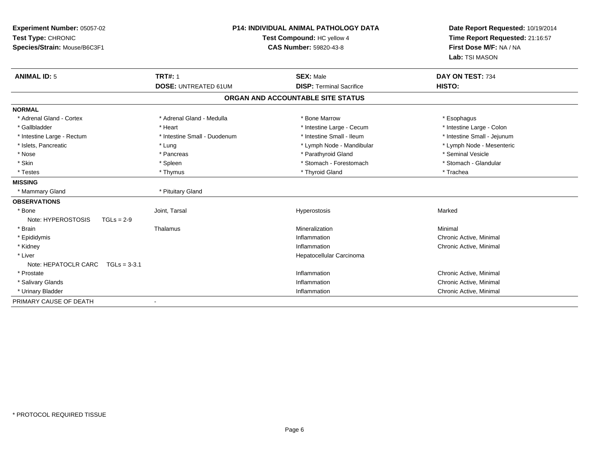| Experiment Number: 05057-02<br>Test Type: CHRONIC<br>Species/Strain: Mouse/B6C3F1<br><b>ANIMAL ID: 5</b> | <b>P14: INDIVIDUAL ANIMAL PATHOLOGY DATA</b><br>Test Compound: HC yellow 4<br><b>CAS Number: 59820-43-8</b><br><b>TRT#: 1</b><br><b>SEX: Male</b> |                                   | Date Report Requested: 10/19/2014<br>Time Report Requested: 21:16:57<br>First Dose M/F: NA / NA<br>Lab: TSI MASON<br>DAY ON TEST: 734 |
|----------------------------------------------------------------------------------------------------------|---------------------------------------------------------------------------------------------------------------------------------------------------|-----------------------------------|---------------------------------------------------------------------------------------------------------------------------------------|
|                                                                                                          | <b>DOSE: UNTREATED 61UM</b>                                                                                                                       | <b>DISP: Terminal Sacrifice</b>   | HISTO:                                                                                                                                |
|                                                                                                          |                                                                                                                                                   | ORGAN AND ACCOUNTABLE SITE STATUS |                                                                                                                                       |
|                                                                                                          |                                                                                                                                                   |                                   |                                                                                                                                       |
| <b>NORMAL</b>                                                                                            |                                                                                                                                                   |                                   |                                                                                                                                       |
| * Adrenal Gland - Cortex                                                                                 | * Adrenal Gland - Medulla                                                                                                                         | * Bone Marrow                     | * Esophagus                                                                                                                           |
| * Gallbladder                                                                                            | * Heart                                                                                                                                           | * Intestine Large - Cecum         | * Intestine Large - Colon                                                                                                             |
| * Intestine Large - Rectum                                                                               | * Intestine Small - Duodenum                                                                                                                      | * Intestine Small - Ileum         | * Intestine Small - Jejunum                                                                                                           |
| * Islets, Pancreatic                                                                                     | * Lung                                                                                                                                            | * Lymph Node - Mandibular         | * Lymph Node - Mesenteric                                                                                                             |
| * Nose                                                                                                   | * Pancreas                                                                                                                                        | * Parathyroid Gland               | * Seminal Vesicle                                                                                                                     |
| * Skin                                                                                                   | * Spleen                                                                                                                                          | * Stomach - Forestomach           | * Stomach - Glandular                                                                                                                 |
| * Testes                                                                                                 | * Thymus                                                                                                                                          | * Thyroid Gland                   | * Trachea                                                                                                                             |
| <b>MISSING</b>                                                                                           |                                                                                                                                                   |                                   |                                                                                                                                       |
| * Mammary Gland                                                                                          | * Pituitary Gland                                                                                                                                 |                                   |                                                                                                                                       |
| <b>OBSERVATIONS</b>                                                                                      |                                                                                                                                                   |                                   |                                                                                                                                       |
| * Bone                                                                                                   | Joint, Tarsal                                                                                                                                     | Hyperostosis                      | Marked                                                                                                                                |
| Note: HYPEROSTOSIS<br>$TGLs = 2-9$                                                                       |                                                                                                                                                   |                                   |                                                                                                                                       |
| * Brain                                                                                                  | Thalamus                                                                                                                                          | Mineralization                    | Minimal                                                                                                                               |
| * Epididymis                                                                                             |                                                                                                                                                   | Inflammation                      | Chronic Active, Minimal                                                                                                               |
| * Kidney                                                                                                 |                                                                                                                                                   | Inflammation                      | Chronic Active, Minimal                                                                                                               |
| * Liver                                                                                                  |                                                                                                                                                   | Hepatocellular Carcinoma          |                                                                                                                                       |
| Note: HEPATOCLR CARC TGLs = 3-3.1                                                                        |                                                                                                                                                   |                                   |                                                                                                                                       |
| * Prostate                                                                                               |                                                                                                                                                   | Inflammation                      | Chronic Active, Minimal                                                                                                               |
| * Salivary Glands                                                                                        |                                                                                                                                                   | Inflammation                      | Chronic Active, Minimal                                                                                                               |
| * Urinary Bladder                                                                                        |                                                                                                                                                   | Inflammation                      | Chronic Active, Minimal                                                                                                               |
| PRIMARY CAUSE OF DEATH                                                                                   |                                                                                                                                                   |                                   |                                                                                                                                       |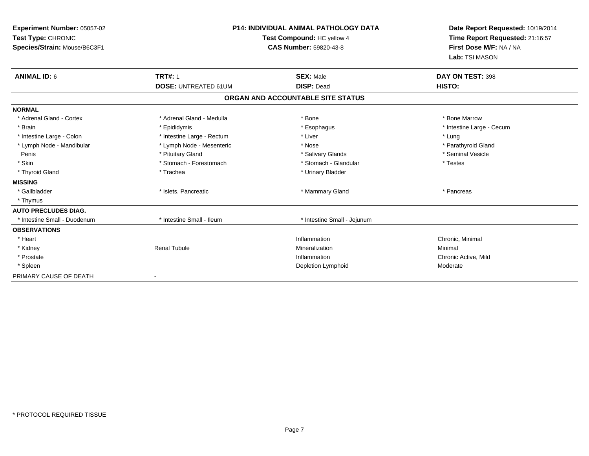| Experiment Number: 05057-02<br>Test Type: CHRONIC<br>Species/Strain: Mouse/B6C3F1 |                                                                                        | <b>P14: INDIVIDUAL ANIMAL PATHOLOGY DATA</b><br>Test Compound: HC yellow 4<br>CAS Number: 59820-43-8 | Date Report Requested: 10/19/2014<br>Time Report Requested: 21:16:57<br>First Dose M/F: NA / NA<br>Lab: TSI MASON |
|-----------------------------------------------------------------------------------|----------------------------------------------------------------------------------------|------------------------------------------------------------------------------------------------------|-------------------------------------------------------------------------------------------------------------------|
| <b>ANIMAL ID: 6</b>                                                               | <b>TRT#: 1</b><br><b>DOSE: UNTREATED 61UM</b>                                          | <b>SEX: Male</b><br><b>DISP: Dead</b>                                                                | DAY ON TEST: 398<br>HISTO:                                                                                        |
|                                                                                   |                                                                                        | ORGAN AND ACCOUNTABLE SITE STATUS                                                                    |                                                                                                                   |
| <b>NORMAL</b>                                                                     |                                                                                        |                                                                                                      |                                                                                                                   |
| * Adrenal Gland - Cortex<br>* Brain<br>* Intestine Large - Colon                  | * Adrenal Gland - Medulla<br>* Epididymis<br>* Intestine Large - Rectum                | * Bone<br>* Esophagus<br>* Liver                                                                     | * Bone Marrow<br>* Intestine Large - Cecum<br>* Lung                                                              |
| * Lymph Node - Mandibular<br>Penis<br>* Skin<br>* Thyroid Gland                   | * Lymph Node - Mesenteric<br>* Pituitary Gland<br>* Stomach - Forestomach<br>* Trachea | * Nose<br>* Salivary Glands<br>* Stomach - Glandular<br>* Urinary Bladder                            | * Parathyroid Gland<br>* Seminal Vesicle<br>* Testes                                                              |
| <b>MISSING</b><br>* Gallbladder<br>* Thymus                                       | * Islets, Pancreatic                                                                   | * Mammary Gland                                                                                      | * Pancreas                                                                                                        |
| <b>AUTO PRECLUDES DIAG.</b><br>* Intestine Small - Duodenum                       | * Intestine Small - Ileum                                                              | * Intestine Small - Jejunum                                                                          |                                                                                                                   |
| <b>OBSERVATIONS</b><br>* Heart<br>* Kidney<br>* Prostate<br>* Spleen              | <b>Renal Tubule</b>                                                                    | Inflammation<br>Mineralization<br>Inflammation<br>Depletion Lymphoid                                 | Chronic, Minimal<br>Minimal<br>Chronic Active, Mild<br>Moderate                                                   |
| PRIMARY CAUSE OF DEATH                                                            |                                                                                        |                                                                                                      |                                                                                                                   |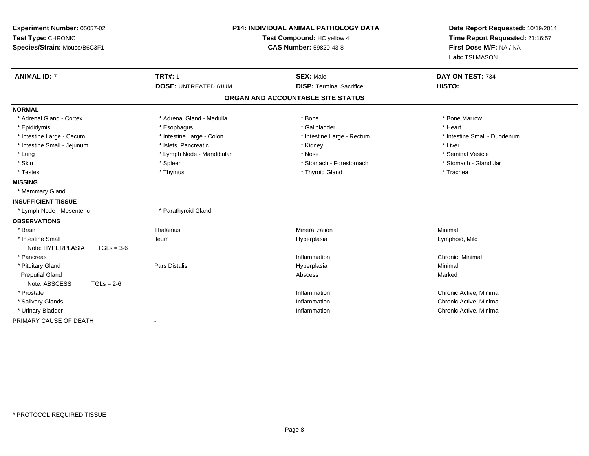| <b>P14: INDIVIDUAL ANIMAL PATHOLOGY DATA</b><br>Experiment Number: 05057-02<br>Test Type: CHRONIC<br>Test Compound: HC yellow 4<br><b>CAS Number: 59820-43-8</b><br>Species/Strain: Mouse/B6C3F1 |                             | Date Report Requested: 10/19/2014<br>Time Report Requested: 21:16:57<br>First Dose M/F: NA / NA<br>Lab: TSI MASON |                              |
|--------------------------------------------------------------------------------------------------------------------------------------------------------------------------------------------------|-----------------------------|-------------------------------------------------------------------------------------------------------------------|------------------------------|
| <b>ANIMAL ID: 7</b>                                                                                                                                                                              | <b>TRT#: 1</b>              | <b>SEX: Male</b>                                                                                                  | DAY ON TEST: 734             |
|                                                                                                                                                                                                  | <b>DOSE: UNTREATED 61UM</b> | <b>DISP: Terminal Sacrifice</b>                                                                                   | HISTO:                       |
|                                                                                                                                                                                                  |                             | ORGAN AND ACCOUNTABLE SITE STATUS                                                                                 |                              |
| <b>NORMAL</b>                                                                                                                                                                                    |                             |                                                                                                                   |                              |
| * Adrenal Gland - Cortex                                                                                                                                                                         | * Adrenal Gland - Medulla   | * Bone                                                                                                            | * Bone Marrow                |
| * Epididymis                                                                                                                                                                                     | * Esophagus                 | * Gallbladder                                                                                                     | * Heart                      |
| * Intestine Large - Cecum                                                                                                                                                                        | * Intestine Large - Colon   | * Intestine Large - Rectum                                                                                        | * Intestine Small - Duodenum |
| * Intestine Small - Jejunum                                                                                                                                                                      | * Islets, Pancreatic        | * Kidney                                                                                                          | * Liver                      |
| * Lung                                                                                                                                                                                           | * Lymph Node - Mandibular   | * Nose                                                                                                            | * Seminal Vesicle            |
| * Skin                                                                                                                                                                                           | * Spleen                    | * Stomach - Forestomach                                                                                           | * Stomach - Glandular        |
| * Testes                                                                                                                                                                                         | * Thymus                    | * Thyroid Gland                                                                                                   | * Trachea                    |
| <b>MISSING</b>                                                                                                                                                                                   |                             |                                                                                                                   |                              |
| * Mammary Gland                                                                                                                                                                                  |                             |                                                                                                                   |                              |
| <b>INSUFFICIENT TISSUE</b>                                                                                                                                                                       |                             |                                                                                                                   |                              |
| * Lymph Node - Mesenteric                                                                                                                                                                        | * Parathyroid Gland         |                                                                                                                   |                              |
| <b>OBSERVATIONS</b>                                                                                                                                                                              |                             |                                                                                                                   |                              |
| * Brain                                                                                                                                                                                          | Thalamus                    | Mineralization                                                                                                    | Minimal                      |
| * Intestine Small                                                                                                                                                                                | <b>Ileum</b>                | Hyperplasia                                                                                                       | Lymphoid, Mild               |
| Note: HYPERPLASIA<br>$TGLs = 3-6$                                                                                                                                                                |                             |                                                                                                                   |                              |
| * Pancreas                                                                                                                                                                                       |                             | Inflammation                                                                                                      | Chronic, Minimal             |
| * Pituitary Gland                                                                                                                                                                                | Pars Distalis               | Hyperplasia                                                                                                       | Minimal                      |
| <b>Preputial Gland</b>                                                                                                                                                                           |                             | Abscess                                                                                                           | Marked                       |
| Note: ABSCESS<br>$TGLs = 2-6$                                                                                                                                                                    |                             |                                                                                                                   |                              |
| * Prostate                                                                                                                                                                                       |                             | Inflammation                                                                                                      | Chronic Active, Minimal      |
| * Salivary Glands                                                                                                                                                                                |                             | Inflammation                                                                                                      | Chronic Active, Minimal      |
| * Urinary Bladder                                                                                                                                                                                |                             | Inflammation                                                                                                      | Chronic Active, Minimal      |
| PRIMARY CAUSE OF DEATH                                                                                                                                                                           | $\blacksquare$              |                                                                                                                   |                              |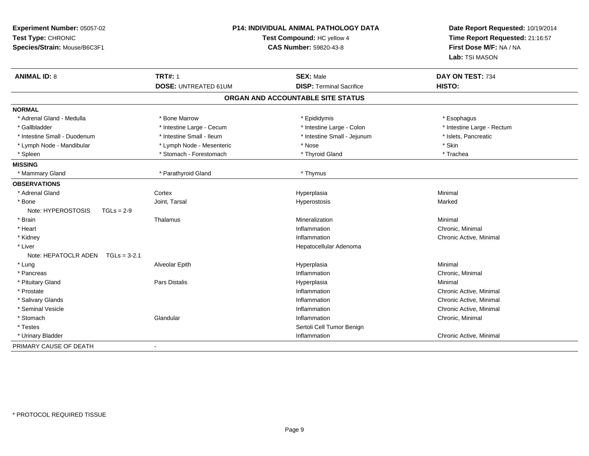| Experiment Number: 05057-02<br>Test Type: CHRONIC<br>Species/Strain: Mouse/B6C3F1 | P14: INDIVIDUAL ANIMAL PATHOLOGY DATA<br>Test Compound: HC yellow 4<br><b>CAS Number: 59820-43-8</b> |                                   | Date Report Requested: 10/19/2014<br>Time Report Requested: 21:16:57<br>First Dose M/F: NA / NA<br>Lab: TSI MASON |
|-----------------------------------------------------------------------------------|------------------------------------------------------------------------------------------------------|-----------------------------------|-------------------------------------------------------------------------------------------------------------------|
| <b>ANIMAL ID: 8</b>                                                               | <b>TRT#: 1</b>                                                                                       | <b>SEX: Male</b>                  | DAY ON TEST: 734                                                                                                  |
|                                                                                   | <b>DOSE: UNTREATED 61UM</b>                                                                          | <b>DISP: Terminal Sacrifice</b>   | HISTO:                                                                                                            |
|                                                                                   |                                                                                                      | ORGAN AND ACCOUNTABLE SITE STATUS |                                                                                                                   |
| <b>NORMAL</b>                                                                     |                                                                                                      |                                   |                                                                                                                   |
| * Adrenal Gland - Medulla                                                         | * Bone Marrow                                                                                        | * Epididymis                      | * Esophagus                                                                                                       |
| * Gallbladder                                                                     | * Intestine Large - Cecum                                                                            | * Intestine Large - Colon         | * Intestine Large - Rectum                                                                                        |
| * Intestine Small - Duodenum                                                      | * Intestine Small - Ileum                                                                            | * Intestine Small - Jejunum       | * Islets, Pancreatic                                                                                              |
| * Lymph Node - Mandibular                                                         | * Lymph Node - Mesenteric                                                                            | * Nose                            | * Skin                                                                                                            |
| * Spleen                                                                          | * Stomach - Forestomach                                                                              | * Thyroid Gland                   | * Trachea                                                                                                         |
| <b>MISSING</b>                                                                    |                                                                                                      |                                   |                                                                                                                   |
| * Mammary Gland                                                                   | * Parathyroid Gland                                                                                  | * Thymus                          |                                                                                                                   |
| <b>OBSERVATIONS</b>                                                               |                                                                                                      |                                   |                                                                                                                   |
| * Adrenal Gland                                                                   | Cortex                                                                                               | Hyperplasia                       | Minimal                                                                                                           |
| * Bone                                                                            | Joint, Tarsal                                                                                        | Hyperostosis                      | Marked                                                                                                            |
| Note: HYPEROSTOSIS<br>$TGLs = 2-9$                                                |                                                                                                      |                                   |                                                                                                                   |
| * Brain                                                                           | Thalamus                                                                                             | Mineralization                    | Minimal                                                                                                           |
| * Heart                                                                           |                                                                                                      | Inflammation                      | Chronic, Minimal                                                                                                  |
| * Kidney                                                                          |                                                                                                      | Inflammation                      | Chronic Active, Minimal                                                                                           |
| * Liver                                                                           |                                                                                                      | Hepatocellular Adenoma            |                                                                                                                   |
| Note: HEPATOCLR ADEN<br>$TGLs = 3-2.1$                                            |                                                                                                      |                                   |                                                                                                                   |
| * Lung                                                                            | Alveolar Epith                                                                                       | Hyperplasia                       | Minimal                                                                                                           |
| * Pancreas                                                                        |                                                                                                      | Inflammation                      | Chronic, Minimal                                                                                                  |
| * Pituitary Gland                                                                 | Pars Distalis                                                                                        | Hyperplasia                       | Minimal                                                                                                           |
| * Prostate                                                                        |                                                                                                      | Inflammation                      | Chronic Active, Minimal                                                                                           |
| * Salivary Glands                                                                 |                                                                                                      | Inflammation                      | Chronic Active, Minimal                                                                                           |
| * Seminal Vesicle                                                                 |                                                                                                      | Inflammation                      | Chronic Active, Minimal                                                                                           |
| * Stomach                                                                         | Glandular                                                                                            | Inflammation                      | Chronic, Minimal                                                                                                  |
| * Testes                                                                          |                                                                                                      | Sertoli Cell Tumor Benign         |                                                                                                                   |
| * Urinary Bladder                                                                 |                                                                                                      | Inflammation                      | Chronic Active, Minimal                                                                                           |
| PRIMARY CAUSE OF DEATH                                                            | $\blacksquare$                                                                                       |                                   |                                                                                                                   |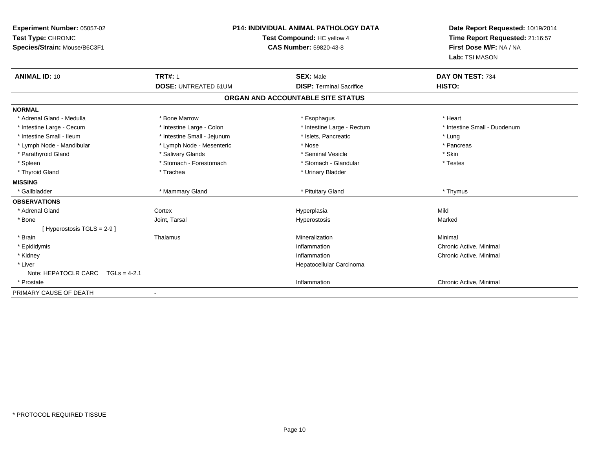| <b>P14: INDIVIDUAL ANIMAL PATHOLOGY DATA</b><br>Experiment Number: 05057-02<br>Test Type: CHRONIC<br>Test Compound: HC yellow 4 |                               |                                   | Date Report Requested: 10/19/2014<br>Time Report Requested: 21:16:57 |
|---------------------------------------------------------------------------------------------------------------------------------|-------------------------------|-----------------------------------|----------------------------------------------------------------------|
| Species/Strain: Mouse/B6C3F1                                                                                                    | <b>CAS Number: 59820-43-8</b> |                                   | First Dose M/F: NA / NA                                              |
|                                                                                                                                 |                               |                                   | Lab: TSI MASON                                                       |
| <b>ANIMAL ID: 10</b>                                                                                                            | <b>TRT#: 1</b>                | <b>SEX: Male</b>                  | DAY ON TEST: 734                                                     |
|                                                                                                                                 | <b>DOSE: UNTREATED 61UM</b>   | <b>DISP: Terminal Sacrifice</b>   | HISTO:                                                               |
|                                                                                                                                 |                               | ORGAN AND ACCOUNTABLE SITE STATUS |                                                                      |
| <b>NORMAL</b>                                                                                                                   |                               |                                   |                                                                      |
| * Adrenal Gland - Medulla                                                                                                       | * Bone Marrow                 | * Esophagus                       | * Heart                                                              |
| * Intestine Large - Cecum                                                                                                       | * Intestine Large - Colon     | * Intestine Large - Rectum        | * Intestine Small - Duodenum                                         |
| * Intestine Small - Ileum                                                                                                       | * Intestine Small - Jejunum   | * Islets, Pancreatic              | * Lung                                                               |
| * Lymph Node - Mandibular                                                                                                       | * Lymph Node - Mesenteric     | * Nose                            | * Pancreas                                                           |
| * Parathyroid Gland                                                                                                             | * Salivary Glands             | * Seminal Vesicle                 | * Skin                                                               |
| * Spleen                                                                                                                        | * Stomach - Forestomach       | * Stomach - Glandular             | * Testes                                                             |
| * Thyroid Gland                                                                                                                 | * Trachea                     | * Urinary Bladder                 |                                                                      |
| <b>MISSING</b>                                                                                                                  |                               |                                   |                                                                      |
| * Gallbladder                                                                                                                   | * Mammary Gland               | * Pituitary Gland                 | * Thymus                                                             |
| <b>OBSERVATIONS</b>                                                                                                             |                               |                                   |                                                                      |
| * Adrenal Gland                                                                                                                 | Cortex                        | Hyperplasia                       | Mild                                                                 |
| * Bone                                                                                                                          | Joint, Tarsal                 | Hyperostosis                      | Marked                                                               |
| [Hyperostosis TGLS = 2-9]                                                                                                       |                               |                                   |                                                                      |
| * Brain                                                                                                                         | Thalamus                      | Mineralization                    | Minimal                                                              |
| * Epididymis                                                                                                                    |                               | Inflammation                      | Chronic Active, Minimal                                              |
| * Kidney                                                                                                                        |                               | Inflammation                      | Chronic Active, Minimal                                              |
| * Liver                                                                                                                         |                               | Hepatocellular Carcinoma          |                                                                      |
| Note: HEPATOCLR CARC $TGLs = 4-2.1$                                                                                             |                               |                                   |                                                                      |
| * Prostate                                                                                                                      |                               | Inflammation                      | Chronic Active, Minimal                                              |
| PRIMARY CAUSE OF DEATH                                                                                                          |                               |                                   |                                                                      |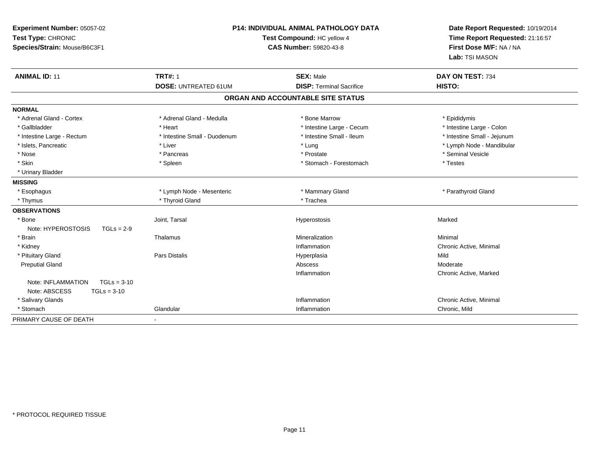| Experiment Number: 05057-02<br>Test Type: CHRONIC<br>Species/Strain: Mouse/B6C3F1 | P14: INDIVIDUAL ANIMAL PATHOLOGY DATA<br>Test Compound: HC yellow 4<br><b>CAS Number: 59820-43-8</b> |                                   | Date Report Requested: 10/19/2014<br>Time Report Requested: 21:16:57<br>First Dose M/F: NA / NA<br>Lab: TSI MASON |
|-----------------------------------------------------------------------------------|------------------------------------------------------------------------------------------------------|-----------------------------------|-------------------------------------------------------------------------------------------------------------------|
| <b>ANIMAL ID: 11</b>                                                              | <b>TRT#: 1</b>                                                                                       | <b>SEX: Male</b>                  | DAY ON TEST: 734                                                                                                  |
|                                                                                   | <b>DOSE: UNTREATED 61UM</b>                                                                          | <b>DISP: Terminal Sacrifice</b>   | HISTO:                                                                                                            |
|                                                                                   |                                                                                                      | ORGAN AND ACCOUNTABLE SITE STATUS |                                                                                                                   |
| <b>NORMAL</b>                                                                     |                                                                                                      |                                   |                                                                                                                   |
| * Adrenal Gland - Cortex                                                          | * Adrenal Gland - Medulla                                                                            | * Bone Marrow                     | * Epididymis                                                                                                      |
| * Gallbladder                                                                     | * Heart                                                                                              | * Intestine Large - Cecum         | * Intestine Large - Colon                                                                                         |
| * Intestine Large - Rectum                                                        | * Intestine Small - Duodenum                                                                         | * Intestine Small - Ileum         | * Intestine Small - Jejunum                                                                                       |
| * Islets, Pancreatic                                                              | * Liver                                                                                              | * Lung                            | * Lymph Node - Mandibular                                                                                         |
| * Nose                                                                            | * Pancreas                                                                                           | * Prostate                        | * Seminal Vesicle                                                                                                 |
| * Skin                                                                            | * Spleen                                                                                             | * Stomach - Forestomach           | * Testes                                                                                                          |
| * Urinary Bladder                                                                 |                                                                                                      |                                   |                                                                                                                   |
| <b>MISSING</b>                                                                    |                                                                                                      |                                   |                                                                                                                   |
| * Esophagus                                                                       | * Lymph Node - Mesenteric                                                                            | * Mammary Gland                   | * Parathyroid Gland                                                                                               |
| * Thymus                                                                          | * Thyroid Gland                                                                                      | * Trachea                         |                                                                                                                   |
| <b>OBSERVATIONS</b>                                                               |                                                                                                      |                                   |                                                                                                                   |
| * Bone                                                                            | Joint, Tarsal                                                                                        | Hyperostosis                      | Marked                                                                                                            |
| Note: HYPEROSTOSIS<br>$TGLs = 2-9$                                                |                                                                                                      |                                   |                                                                                                                   |
| * Brain                                                                           | Thalamus                                                                                             | Mineralization                    | Minimal                                                                                                           |
| * Kidney                                                                          |                                                                                                      | Inflammation                      | Chronic Active, Minimal                                                                                           |
| * Pituitary Gland                                                                 | Pars Distalis                                                                                        | Hyperplasia                       | Mild                                                                                                              |
| <b>Preputial Gland</b>                                                            |                                                                                                      | Abscess                           | Moderate                                                                                                          |
|                                                                                   |                                                                                                      | Inflammation                      | Chronic Active, Marked                                                                                            |
| Note: INFLAMMATION<br>$TGLs = 3-10$                                               |                                                                                                      |                                   |                                                                                                                   |
| Note: ABSCESS<br>$TGLs = 3-10$                                                    |                                                                                                      |                                   |                                                                                                                   |
| * Salivary Glands                                                                 |                                                                                                      | Inflammation                      | Chronic Active, Minimal                                                                                           |
| * Stomach                                                                         | Glandular                                                                                            | Inflammation                      | Chronic, Mild                                                                                                     |
| PRIMARY CAUSE OF DEATH                                                            | $\sim$                                                                                               |                                   |                                                                                                                   |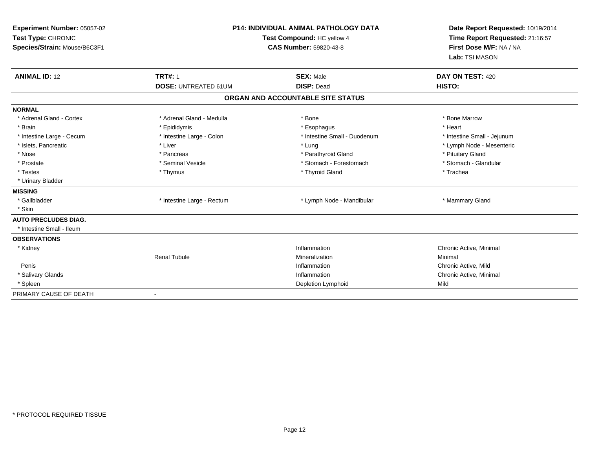| Experiment Number: 05057-02<br>Test Type: CHRONIC<br>Species/Strain: Mouse/B6C3F1 | <b>P14: INDIVIDUAL ANIMAL PATHOLOGY DATA</b><br>Test Compound: HC yellow 4<br><b>CAS Number: 59820-43-8</b> |                                   | Date Report Requested: 10/19/2014<br>Time Report Requested: 21:16:57<br>First Dose M/F: NA / NA<br>Lab: TSI MASON |
|-----------------------------------------------------------------------------------|-------------------------------------------------------------------------------------------------------------|-----------------------------------|-------------------------------------------------------------------------------------------------------------------|
| <b>ANIMAL ID: 12</b>                                                              | <b>TRT#: 1</b>                                                                                              | <b>SEX: Male</b>                  | DAY ON TEST: 420                                                                                                  |
|                                                                                   | <b>DOSE: UNTREATED 61UM</b>                                                                                 | <b>DISP: Dead</b>                 | HISTO:                                                                                                            |
|                                                                                   |                                                                                                             | ORGAN AND ACCOUNTABLE SITE STATUS |                                                                                                                   |
| <b>NORMAL</b>                                                                     |                                                                                                             |                                   |                                                                                                                   |
| * Adrenal Gland - Cortex                                                          | * Adrenal Gland - Medulla                                                                                   | * Bone                            | * Bone Marrow                                                                                                     |
| * Brain                                                                           | * Epididymis                                                                                                | * Esophagus                       | * Heart                                                                                                           |
| * Intestine Large - Cecum                                                         | * Intestine Large - Colon                                                                                   | * Intestine Small - Duodenum      | * Intestine Small - Jejunum                                                                                       |
| * Islets, Pancreatic                                                              | * Liver                                                                                                     | * Lung                            | * Lymph Node - Mesenteric                                                                                         |
| * Nose                                                                            | * Pancreas                                                                                                  | * Parathyroid Gland               | * Pituitary Gland                                                                                                 |
| * Prostate                                                                        | * Seminal Vesicle                                                                                           | * Stomach - Forestomach           | * Stomach - Glandular                                                                                             |
| * Testes                                                                          | * Thymus                                                                                                    | * Thyroid Gland                   | * Trachea                                                                                                         |
| * Urinary Bladder                                                                 |                                                                                                             |                                   |                                                                                                                   |
| <b>MISSING</b>                                                                    |                                                                                                             |                                   |                                                                                                                   |
| * Gallbladder                                                                     | * Intestine Large - Rectum                                                                                  | * Lymph Node - Mandibular         | * Mammary Gland                                                                                                   |
| * Skin                                                                            |                                                                                                             |                                   |                                                                                                                   |
| <b>AUTO PRECLUDES DIAG.</b>                                                       |                                                                                                             |                                   |                                                                                                                   |
| * Intestine Small - Ileum                                                         |                                                                                                             |                                   |                                                                                                                   |
| <b>OBSERVATIONS</b>                                                               |                                                                                                             |                                   |                                                                                                                   |
| * Kidney                                                                          |                                                                                                             | Inflammation                      | Chronic Active, Minimal                                                                                           |
|                                                                                   | <b>Renal Tubule</b>                                                                                         | Mineralization                    | Minimal                                                                                                           |
| Penis                                                                             |                                                                                                             | Inflammation                      | Chronic Active, Mild                                                                                              |
| * Salivary Glands                                                                 |                                                                                                             | Inflammation                      | Chronic Active, Minimal                                                                                           |
| * Spleen                                                                          |                                                                                                             | Depletion Lymphoid                | Mild                                                                                                              |
| PRIMARY CAUSE OF DEATH                                                            |                                                                                                             |                                   |                                                                                                                   |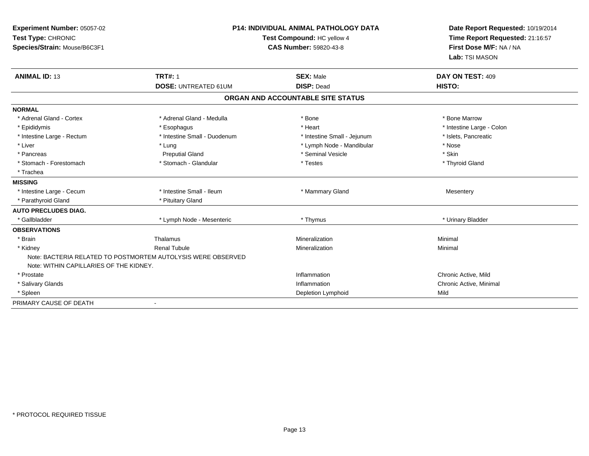| Experiment Number: 05057-02<br>Test Type: CHRONIC<br>Species/Strain: Mouse/B6C3F1 |                                                              | <b>P14: INDIVIDUAL ANIMAL PATHOLOGY DATA</b><br>Date Report Requested: 10/19/2014<br>Test Compound: HC yellow 4<br>Time Report Requested: 21:16:57<br>First Dose M/F: NA / NA<br><b>CAS Number: 59820-43-8</b><br>Lab: TSI MASON |                            |
|-----------------------------------------------------------------------------------|--------------------------------------------------------------|----------------------------------------------------------------------------------------------------------------------------------------------------------------------------------------------------------------------------------|----------------------------|
| <b>ANIMAL ID: 13</b>                                                              | <b>TRT#: 1</b><br><b>DOSE: UNTREATED 61UM</b>                | <b>SEX: Male</b><br><b>DISP: Dead</b>                                                                                                                                                                                            | DAY ON TEST: 409<br>HISTO: |
|                                                                                   |                                                              | ORGAN AND ACCOUNTABLE SITE STATUS                                                                                                                                                                                                |                            |
| <b>NORMAL</b>                                                                     |                                                              |                                                                                                                                                                                                                                  |                            |
| * Adrenal Gland - Cortex                                                          | * Adrenal Gland - Medulla                                    | * Bone                                                                                                                                                                                                                           | * Bone Marrow              |
| * Epididymis                                                                      | * Esophagus                                                  | * Heart                                                                                                                                                                                                                          | * Intestine Large - Colon  |
| * Intestine Large - Rectum                                                        | * Intestine Small - Duodenum                                 | * Intestine Small - Jejunum                                                                                                                                                                                                      | * Islets, Pancreatic       |
| * Liver                                                                           | * Lung                                                       | * Lymph Node - Mandibular                                                                                                                                                                                                        | * Nose                     |
| * Pancreas                                                                        | <b>Preputial Gland</b>                                       | * Seminal Vesicle                                                                                                                                                                                                                | * Skin                     |
| * Stomach - Forestomach                                                           | * Stomach - Glandular                                        | * Testes                                                                                                                                                                                                                         | * Thyroid Gland            |
| * Trachea                                                                         |                                                              |                                                                                                                                                                                                                                  |                            |
| <b>MISSING</b>                                                                    |                                                              |                                                                                                                                                                                                                                  |                            |
| * Intestine Large - Cecum                                                         | * Intestine Small - Ileum                                    | * Mammary Gland                                                                                                                                                                                                                  | Mesentery                  |
| * Parathyroid Gland                                                               | * Pituitary Gland                                            |                                                                                                                                                                                                                                  |                            |
| <b>AUTO PRECLUDES DIAG.</b>                                                       |                                                              |                                                                                                                                                                                                                                  |                            |
| * Gallbladder                                                                     | * Lymph Node - Mesenteric                                    | * Thymus                                                                                                                                                                                                                         | * Urinary Bladder          |
| <b>OBSERVATIONS</b>                                                               |                                                              |                                                                                                                                                                                                                                  |                            |
| * Brain                                                                           | Thalamus                                                     | Mineralization                                                                                                                                                                                                                   | Minimal                    |
| * Kidney                                                                          | <b>Renal Tubule</b>                                          | Mineralization                                                                                                                                                                                                                   | Minimal                    |
| Note: WITHIN CAPILLARIES OF THE KIDNEY.                                           | Note: BACTERIA RELATED TO POSTMORTEM AUTOLYSIS WERE OBSERVED |                                                                                                                                                                                                                                  |                            |
| * Prostate                                                                        |                                                              | Inflammation                                                                                                                                                                                                                     | Chronic Active, Mild       |
| * Salivary Glands                                                                 |                                                              | Inflammation                                                                                                                                                                                                                     | Chronic Active, Minimal    |
| * Spleen                                                                          |                                                              | Depletion Lymphoid                                                                                                                                                                                                               | Mild                       |
| PRIMARY CAUSE OF DEATH                                                            |                                                              |                                                                                                                                                                                                                                  |                            |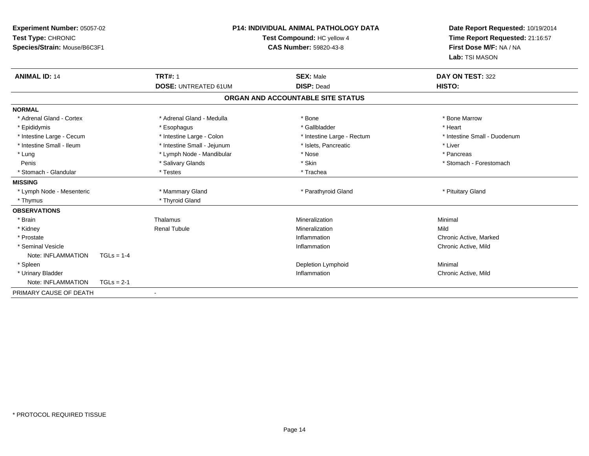| Test Type: CHRONIC        | <b>P14: INDIVIDUAL ANIMAL PATHOLOGY DATA</b><br>Experiment Number: 05057-02<br>Test Compound: HC yellow 4<br>Species/Strain: Mouse/B6C3F1<br><b>CAS Number: 59820-43-8</b> |                             | Date Report Requested: 10/19/2014<br>Time Report Requested: 21:16:57<br>First Dose M/F: NA / NA<br>Lab: TSI MASON |                              |  |
|---------------------------|----------------------------------------------------------------------------------------------------------------------------------------------------------------------------|-----------------------------|-------------------------------------------------------------------------------------------------------------------|------------------------------|--|
| <b>ANIMAL ID: 14</b>      |                                                                                                                                                                            | <b>TRT#: 1</b>              | <b>SEX: Male</b>                                                                                                  | DAY ON TEST: 322             |  |
|                           |                                                                                                                                                                            | <b>DOSE: UNTREATED 61UM</b> | <b>DISP: Dead</b>                                                                                                 | HISTO:                       |  |
|                           |                                                                                                                                                                            |                             | ORGAN AND ACCOUNTABLE SITE STATUS                                                                                 |                              |  |
| <b>NORMAL</b>             |                                                                                                                                                                            |                             |                                                                                                                   |                              |  |
| * Adrenal Gland - Cortex  |                                                                                                                                                                            | * Adrenal Gland - Medulla   | * Bone                                                                                                            | * Bone Marrow                |  |
| * Epididymis              |                                                                                                                                                                            | * Esophagus                 | * Gallbladder                                                                                                     | * Heart                      |  |
| * Intestine Large - Cecum |                                                                                                                                                                            | * Intestine Large - Colon   | * Intestine Large - Rectum                                                                                        | * Intestine Small - Duodenum |  |
| * Intestine Small - Ileum |                                                                                                                                                                            | * Intestine Small - Jejunum | * Islets, Pancreatic                                                                                              | * Liver                      |  |
| * Lung                    |                                                                                                                                                                            | * Lymph Node - Mandibular   | * Nose                                                                                                            | * Pancreas                   |  |
| Penis                     |                                                                                                                                                                            | * Salivary Glands           | * Skin                                                                                                            | * Stomach - Forestomach      |  |
| * Stomach - Glandular     |                                                                                                                                                                            | * Testes                    | * Trachea                                                                                                         |                              |  |
| <b>MISSING</b>            |                                                                                                                                                                            |                             |                                                                                                                   |                              |  |
| * Lymph Node - Mesenteric |                                                                                                                                                                            | * Mammary Gland             | * Parathyroid Gland                                                                                               | * Pituitary Gland            |  |
| * Thymus                  |                                                                                                                                                                            | * Thyroid Gland             |                                                                                                                   |                              |  |
| <b>OBSERVATIONS</b>       |                                                                                                                                                                            |                             |                                                                                                                   |                              |  |
| * Brain                   |                                                                                                                                                                            | Thalamus                    | Mineralization                                                                                                    | Minimal                      |  |
| * Kidney                  |                                                                                                                                                                            | <b>Renal Tubule</b>         | Mineralization                                                                                                    | Mild                         |  |
| * Prostate                |                                                                                                                                                                            |                             | Inflammation                                                                                                      | Chronic Active, Marked       |  |
| * Seminal Vesicle         |                                                                                                                                                                            |                             | Inflammation                                                                                                      | Chronic Active, Mild         |  |
| Note: INFLAMMATION        | $TGLs = 1-4$                                                                                                                                                               |                             |                                                                                                                   |                              |  |
| * Spleen                  |                                                                                                                                                                            |                             | Depletion Lymphoid                                                                                                | Minimal                      |  |
| * Urinary Bladder         |                                                                                                                                                                            |                             | Inflammation                                                                                                      | Chronic Active, Mild         |  |
| Note: INFLAMMATION        | $TGLs = 2-1$                                                                                                                                                               |                             |                                                                                                                   |                              |  |
| PRIMARY CAUSE OF DEATH    |                                                                                                                                                                            |                             |                                                                                                                   |                              |  |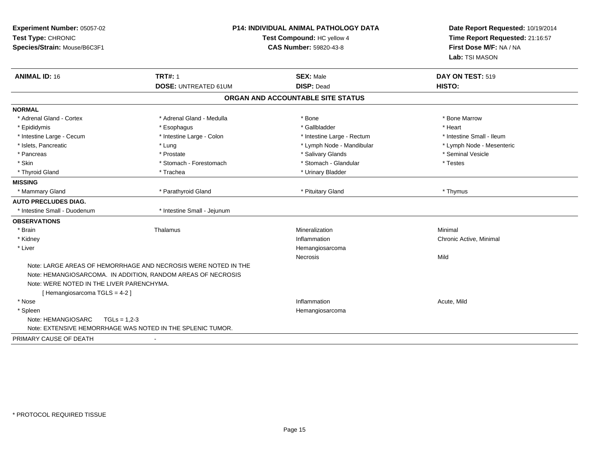| Experiment Number: 05057-02<br>Test Type: CHRONIC<br>Species/Strain: Mouse/B6C3F1 | <b>P14: INDIVIDUAL ANIMAL PATHOLOGY DATA</b><br>Test Compound: HC yellow 4 | Date Report Requested: 10/19/2014<br>Time Report Requested: 21:16:57<br>First Dose M/F: NA / NA |                           |
|-----------------------------------------------------------------------------------|----------------------------------------------------------------------------|-------------------------------------------------------------------------------------------------|---------------------------|
|                                                                                   |                                                                            |                                                                                                 | Lab: TSI MASON            |
| <b>ANIMAL ID: 16</b>                                                              | <b>TRT#: 1</b>                                                             | <b>SEX: Male</b>                                                                                | DAY ON TEST: 519          |
|                                                                                   | <b>DOSE: UNTREATED 61UM</b>                                                | <b>DISP: Dead</b>                                                                               | HISTO:                    |
|                                                                                   |                                                                            | ORGAN AND ACCOUNTABLE SITE STATUS                                                               |                           |
| <b>NORMAL</b>                                                                     |                                                                            |                                                                                                 |                           |
| * Adrenal Gland - Cortex                                                          | * Adrenal Gland - Medulla                                                  | * Bone                                                                                          | * Bone Marrow             |
| * Epididymis                                                                      | * Esophagus                                                                | * Gallbladder                                                                                   | * Heart                   |
| * Intestine Large - Cecum                                                         | * Intestine Large - Colon                                                  | * Intestine Large - Rectum                                                                      | * Intestine Small - Ileum |
| * Islets, Pancreatic                                                              | * Lung                                                                     | * Lymph Node - Mandibular                                                                       | * Lymph Node - Mesenteric |
| * Pancreas                                                                        | * Prostate                                                                 | * Salivary Glands                                                                               | * Seminal Vesicle         |
| * Skin                                                                            | * Stomach - Forestomach                                                    | * Stomach - Glandular                                                                           | * Testes                  |
| * Thyroid Gland                                                                   | * Trachea                                                                  | * Urinary Bladder                                                                               |                           |
| <b>MISSING</b>                                                                    |                                                                            |                                                                                                 |                           |
| * Mammary Gland                                                                   | * Parathyroid Gland                                                        | * Pituitary Gland                                                                               | * Thymus                  |
| <b>AUTO PRECLUDES DIAG.</b>                                                       |                                                                            |                                                                                                 |                           |
| * Intestine Small - Duodenum                                                      | * Intestine Small - Jejunum                                                |                                                                                                 |                           |
| <b>OBSERVATIONS</b>                                                               |                                                                            |                                                                                                 |                           |
| * Brain                                                                           | Thalamus                                                                   | Mineralization                                                                                  | Minimal                   |
| * Kidney                                                                          |                                                                            | Inflammation                                                                                    | Chronic Active, Minimal   |
| * Liver                                                                           |                                                                            | Hemangiosarcoma                                                                                 |                           |
|                                                                                   |                                                                            | <b>Necrosis</b>                                                                                 | Mild                      |
|                                                                                   | Note: LARGE AREAS OF HEMORRHAGE AND NECROSIS WERE NOTED IN THE             |                                                                                                 |                           |
|                                                                                   | Note: HEMANGIOSARCOMA. IN ADDITION, RANDOM AREAS OF NECROSIS               |                                                                                                 |                           |
| Note: WERE NOTED IN THE LIVER PARENCHYMA.                                         |                                                                            |                                                                                                 |                           |
| [Hemangiosarcoma TGLS = 4-2]                                                      |                                                                            |                                                                                                 |                           |
| * Nose                                                                            |                                                                            | Inflammation                                                                                    | Acute, Mild               |
| * Spleen                                                                          |                                                                            | Hemangiosarcoma                                                                                 |                           |
| Note: HEMANGIOSARC<br>$TGLs = 1,2-3$                                              |                                                                            |                                                                                                 |                           |
| Note: EXTENSIVE HEMORRHAGE WAS NOTED IN THE SPLENIC TUMOR.                        |                                                                            |                                                                                                 |                           |
| PRIMARY CAUSE OF DEATH                                                            | $\blacksquare$                                                             |                                                                                                 |                           |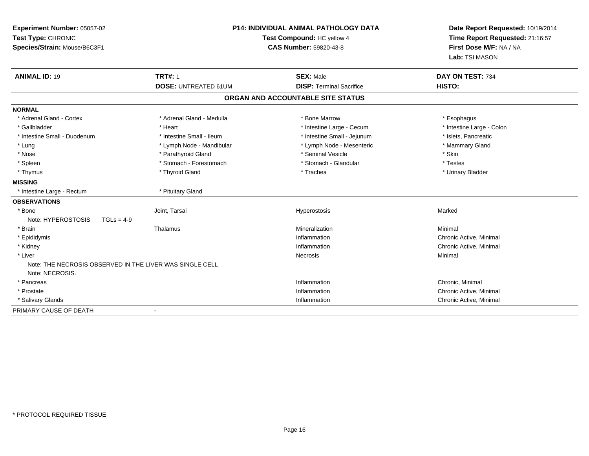| Experiment Number: 05057-02<br>Test Type: CHRONIC<br>Species/Strain: Mouse/B6C3F1 |                             | <b>P14: INDIVIDUAL ANIMAL PATHOLOGY DATA</b><br>Test Compound: HC yellow 4<br><b>CAS Number: 59820-43-8</b> |                           |
|-----------------------------------------------------------------------------------|-----------------------------|-------------------------------------------------------------------------------------------------------------|---------------------------|
| <b>ANIMAL ID: 19</b>                                                              | <b>TRT#: 1</b>              | <b>SEX: Male</b>                                                                                            | DAY ON TEST: 734          |
|                                                                                   | <b>DOSE: UNTREATED 61UM</b> | <b>DISP: Terminal Sacrifice</b>                                                                             | <b>HISTO:</b>             |
|                                                                                   |                             | ORGAN AND ACCOUNTABLE SITE STATUS                                                                           |                           |
| <b>NORMAL</b>                                                                     |                             |                                                                                                             |                           |
| * Adrenal Gland - Cortex                                                          | * Adrenal Gland - Medulla   | * Bone Marrow                                                                                               | * Esophagus               |
| * Gallbladder                                                                     | * Heart                     | * Intestine Large - Cecum                                                                                   | * Intestine Large - Colon |
| * Intestine Small - Duodenum                                                      | * Intestine Small - Ileum   | * Intestine Small - Jejunum                                                                                 | * Islets, Pancreatic      |
| * Lung                                                                            | * Lymph Node - Mandibular   | * Lymph Node - Mesenteric                                                                                   | * Mammary Gland           |
| * Nose                                                                            | * Parathyroid Gland         | * Seminal Vesicle                                                                                           | * Skin                    |
| * Spleen                                                                          | * Stomach - Forestomach     | * Stomach - Glandular                                                                                       | * Testes                  |
| * Thymus                                                                          | * Thyroid Gland             | * Trachea                                                                                                   | * Urinary Bladder         |
| <b>MISSING</b>                                                                    |                             |                                                                                                             |                           |
| * Intestine Large - Rectum                                                        | * Pituitary Gland           |                                                                                                             |                           |
| <b>OBSERVATIONS</b>                                                               |                             |                                                                                                             |                           |
| * Bone                                                                            | Joint, Tarsal               | Hyperostosis                                                                                                | Marked                    |
| Note: HYPEROSTOSIS<br>$TGLs = 4-9$                                                |                             |                                                                                                             |                           |
| * Brain                                                                           | Thalamus                    | Mineralization                                                                                              | Minimal                   |
| * Epididymis                                                                      |                             | Inflammation                                                                                                | Chronic Active, Minimal   |
| * Kidney                                                                          |                             | Inflammation                                                                                                | Chronic Active, Minimal   |
| * Liver                                                                           |                             | Necrosis                                                                                                    | Minimal                   |
| Note: THE NECROSIS OBSERVED IN THE LIVER WAS SINGLE CELL<br>Note: NECROSIS.       |                             |                                                                                                             |                           |
| * Pancreas                                                                        |                             | Inflammation                                                                                                | Chronic, Minimal          |
| * Prostate                                                                        |                             | Inflammation                                                                                                | Chronic Active, Minimal   |
| * Salivary Glands                                                                 |                             | Inflammation                                                                                                | Chronic Active, Minimal   |
| PRIMARY CAUSE OF DEATH                                                            |                             |                                                                                                             |                           |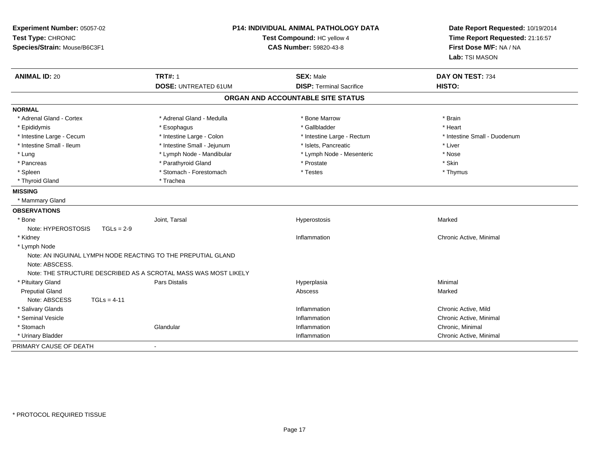| Experiment Number: 05057-02<br>Test Type: CHRONIC<br>Species/Strain: Mouse/B6C3F1 |                                                                 | <b>P14: INDIVIDUAL ANIMAL PATHOLOGY DATA</b><br>Test Compound: HC yellow 4<br><b>CAS Number: 59820-43-8</b> | Date Report Requested: 10/19/2014<br>Time Report Requested: 21:16:57<br>First Dose M/F: NA / NA<br>Lab: TSI MASON |  |
|-----------------------------------------------------------------------------------|-----------------------------------------------------------------|-------------------------------------------------------------------------------------------------------------|-------------------------------------------------------------------------------------------------------------------|--|
| <b>ANIMAL ID: 20</b>                                                              | <b>TRT#: 1</b><br><b>DOSE: UNTREATED 61UM</b>                   | <b>SEX: Male</b><br><b>DISP: Terminal Sacrifice</b>                                                         | DAY ON TEST: 734<br>HISTO:                                                                                        |  |
|                                                                                   |                                                                 |                                                                                                             |                                                                                                                   |  |
|                                                                                   |                                                                 | ORGAN AND ACCOUNTABLE SITE STATUS                                                                           |                                                                                                                   |  |
| <b>NORMAL</b>                                                                     |                                                                 |                                                                                                             |                                                                                                                   |  |
| * Adrenal Gland - Cortex                                                          | * Adrenal Gland - Medulla                                       | * Bone Marrow                                                                                               | * Brain                                                                                                           |  |
| * Epididymis                                                                      | * Esophagus                                                     | * Gallbladder                                                                                               | * Heart                                                                                                           |  |
| * Intestine Large - Cecum                                                         | * Intestine Large - Colon                                       | * Intestine Large - Rectum                                                                                  | * Intestine Small - Duodenum                                                                                      |  |
| * Intestine Small - Ileum                                                         | * Intestine Small - Jejunum                                     | * Islets, Pancreatic                                                                                        | * Liver                                                                                                           |  |
| * Lung                                                                            | * Lymph Node - Mandibular                                       | * Lymph Node - Mesenteric                                                                                   | * Nose                                                                                                            |  |
| * Pancreas                                                                        | * Parathyroid Gland                                             | * Prostate                                                                                                  | * Skin                                                                                                            |  |
| * Spleen                                                                          | * Stomach - Forestomach                                         | * Testes                                                                                                    | * Thymus                                                                                                          |  |
| * Thyroid Gland                                                                   | * Trachea                                                       |                                                                                                             |                                                                                                                   |  |
| <b>MISSING</b>                                                                    |                                                                 |                                                                                                             |                                                                                                                   |  |
| * Mammary Gland                                                                   |                                                                 |                                                                                                             |                                                                                                                   |  |
| <b>OBSERVATIONS</b>                                                               |                                                                 |                                                                                                             |                                                                                                                   |  |
| * Bone                                                                            | Joint, Tarsal                                                   | Hyperostosis                                                                                                | Marked                                                                                                            |  |
| Note: HYPEROSTOSIS<br>$TGLs = 2-9$                                                |                                                                 |                                                                                                             |                                                                                                                   |  |
| * Kidney                                                                          |                                                                 | Inflammation                                                                                                | Chronic Active, Minimal                                                                                           |  |
| * Lymph Node                                                                      |                                                                 |                                                                                                             |                                                                                                                   |  |
| Note: ABSCESS.                                                                    | Note: AN INGUINAL LYMPH NODE REACTING TO THE PREPUTIAL GLAND    |                                                                                                             |                                                                                                                   |  |
|                                                                                   | Note: THE STRUCTURE DESCRIBED AS A SCROTAL MASS WAS MOST LIKELY |                                                                                                             |                                                                                                                   |  |
| * Pituitary Gland                                                                 | <b>Pars Distalis</b>                                            | Hyperplasia                                                                                                 | Minimal                                                                                                           |  |
| <b>Preputial Gland</b>                                                            |                                                                 | Abscess                                                                                                     | Marked                                                                                                            |  |
| Note: ABSCESS<br>$TGLs = 4-11$                                                    |                                                                 |                                                                                                             |                                                                                                                   |  |
| * Salivary Glands                                                                 |                                                                 | Inflammation                                                                                                | Chronic Active, Mild                                                                                              |  |
| * Seminal Vesicle                                                                 |                                                                 | Inflammation                                                                                                | Chronic Active, Minimal                                                                                           |  |
| * Stomach                                                                         | Glandular                                                       | Inflammation                                                                                                | Chronic, Minimal                                                                                                  |  |
| * Urinary Bladder                                                                 |                                                                 | Inflammation                                                                                                | Chronic Active, Minimal                                                                                           |  |
| PRIMARY CAUSE OF DEATH                                                            |                                                                 |                                                                                                             |                                                                                                                   |  |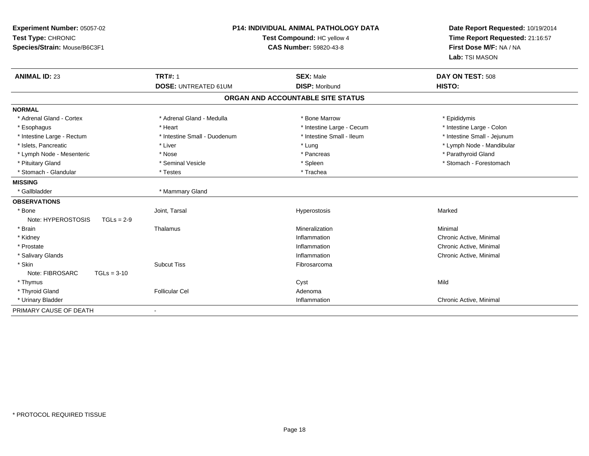| Experiment Number: 05057-02<br>Test Type: CHRONIC<br>Species/Strain: Mouse/B6C3F1 | P14: INDIVIDUAL ANIMAL PATHOLOGY DATA<br>Test Compound: HC yellow 4<br>CAS Number: 59820-43-8 |                                   | Date Report Requested: 10/19/2014<br>Time Report Requested: 21:16:57<br>First Dose M/F: NA / NA<br>Lab: TSI MASON |  |
|-----------------------------------------------------------------------------------|-----------------------------------------------------------------------------------------------|-----------------------------------|-------------------------------------------------------------------------------------------------------------------|--|
| <b>ANIMAL ID: 23</b>                                                              | <b>TRT#: 1</b>                                                                                | <b>SEX: Male</b>                  | DAY ON TEST: 508                                                                                                  |  |
|                                                                                   | <b>DOSE: UNTREATED 61UM</b>                                                                   | <b>DISP: Moribund</b>             | HISTO:                                                                                                            |  |
|                                                                                   |                                                                                               | ORGAN AND ACCOUNTABLE SITE STATUS |                                                                                                                   |  |
| <b>NORMAL</b>                                                                     |                                                                                               |                                   |                                                                                                                   |  |
| * Adrenal Gland - Cortex                                                          | * Adrenal Gland - Medulla                                                                     | * Bone Marrow                     | * Epididymis                                                                                                      |  |
| * Esophagus                                                                       | * Heart                                                                                       | * Intestine Large - Cecum         | * Intestine Large - Colon                                                                                         |  |
| * Intestine Large - Rectum                                                        | * Intestine Small - Duodenum                                                                  | * Intestine Small - Ileum         | * Intestine Small - Jejunum                                                                                       |  |
| * Islets, Pancreatic                                                              | * Liver                                                                                       | * Lung                            | * Lymph Node - Mandibular                                                                                         |  |
| * Lymph Node - Mesenteric                                                         | * Nose                                                                                        | * Pancreas                        | * Parathyroid Gland                                                                                               |  |
| * Pituitary Gland                                                                 | * Seminal Vesicle                                                                             | * Spleen                          | * Stomach - Forestomach                                                                                           |  |
| * Stomach - Glandular                                                             | * Testes                                                                                      | * Trachea                         |                                                                                                                   |  |
| <b>MISSING</b>                                                                    |                                                                                               |                                   |                                                                                                                   |  |
| * Gallbladder                                                                     | * Mammary Gland                                                                               |                                   |                                                                                                                   |  |
| <b>OBSERVATIONS</b>                                                               |                                                                                               |                                   |                                                                                                                   |  |
| * Bone                                                                            | Joint, Tarsal                                                                                 | Hyperostosis                      | Marked                                                                                                            |  |
| Note: HYPEROSTOSIS<br>$TGLs = 2-9$                                                |                                                                                               |                                   |                                                                                                                   |  |
| * Brain                                                                           | Thalamus                                                                                      | Mineralization                    | Minimal                                                                                                           |  |
| * Kidney                                                                          |                                                                                               | Inflammation                      | Chronic Active, Minimal                                                                                           |  |
| * Prostate                                                                        |                                                                                               | Inflammation                      | Chronic Active, Minimal                                                                                           |  |
| * Salivary Glands                                                                 |                                                                                               | Inflammation                      | Chronic Active, Minimal                                                                                           |  |
| * Skin                                                                            | <b>Subcut Tiss</b>                                                                            | Fibrosarcoma                      |                                                                                                                   |  |
| Note: FIBROSARC<br>$TGLs = 3-10$                                                  |                                                                                               |                                   |                                                                                                                   |  |
| * Thymus                                                                          |                                                                                               | Cyst                              | Mild                                                                                                              |  |
| * Thyroid Gland                                                                   | <b>Follicular Cel</b>                                                                         | Adenoma                           |                                                                                                                   |  |
| * Urinary Bladder                                                                 |                                                                                               | Inflammation                      | Chronic Active, Minimal                                                                                           |  |
| PRIMARY CAUSE OF DEATH                                                            |                                                                                               |                                   |                                                                                                                   |  |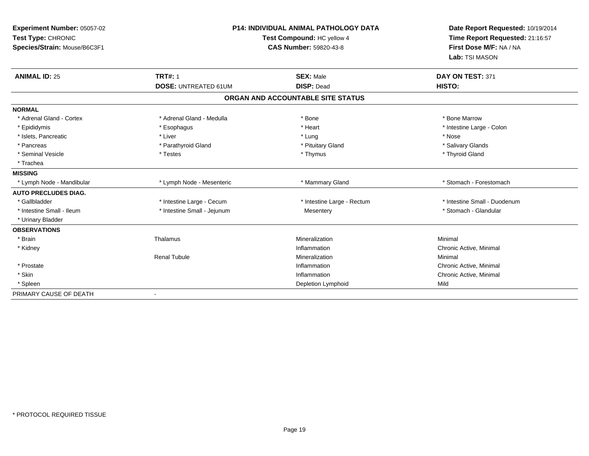| Experiment Number: 05057-02<br>Test Type: CHRONIC<br>Species/Strain: Mouse/B6C3F1 |                             | <b>P14: INDIVIDUAL ANIMAL PATHOLOGY DATA</b><br>Test Compound: HC yellow 4<br><b>CAS Number: 59820-43-8</b> | Date Report Requested: 10/19/2014<br>Time Report Requested: 21:16:57<br>First Dose M/F: NA / NA<br>Lab: TSI MASON |
|-----------------------------------------------------------------------------------|-----------------------------|-------------------------------------------------------------------------------------------------------------|-------------------------------------------------------------------------------------------------------------------|
| <b>ANIMAL ID: 25</b>                                                              | <b>TRT#: 1</b>              | <b>SEX: Male</b>                                                                                            | DAY ON TEST: 371                                                                                                  |
|                                                                                   | <b>DOSE: UNTREATED 61UM</b> | <b>DISP: Dead</b>                                                                                           | HISTO:                                                                                                            |
|                                                                                   |                             | ORGAN AND ACCOUNTABLE SITE STATUS                                                                           |                                                                                                                   |
| <b>NORMAL</b>                                                                     |                             |                                                                                                             |                                                                                                                   |
| * Adrenal Gland - Cortex                                                          | * Adrenal Gland - Medulla   | * Bone                                                                                                      | * Bone Marrow                                                                                                     |
| * Epididymis                                                                      | * Esophagus                 | * Heart                                                                                                     | * Intestine Large - Colon                                                                                         |
| * Islets, Pancreatic                                                              | * Liver                     | * Lung                                                                                                      | * Nose                                                                                                            |
| * Pancreas                                                                        | * Parathyroid Gland         | * Pituitary Gland                                                                                           | * Salivary Glands                                                                                                 |
| * Seminal Vesicle                                                                 | * Testes                    | * Thymus                                                                                                    | * Thyroid Gland                                                                                                   |
| * Trachea                                                                         |                             |                                                                                                             |                                                                                                                   |
| <b>MISSING</b>                                                                    |                             |                                                                                                             |                                                                                                                   |
| * Lymph Node - Mandibular                                                         | * Lymph Node - Mesenteric   | * Mammary Gland                                                                                             | * Stomach - Forestomach                                                                                           |
| <b>AUTO PRECLUDES DIAG.</b>                                                       |                             |                                                                                                             |                                                                                                                   |
| * Gallbladder                                                                     | * Intestine Large - Cecum   | * Intestine Large - Rectum                                                                                  | * Intestine Small - Duodenum                                                                                      |
| * Intestine Small - Ileum                                                         | * Intestine Small - Jejunum | Mesentery                                                                                                   | * Stomach - Glandular                                                                                             |
| * Urinary Bladder                                                                 |                             |                                                                                                             |                                                                                                                   |
| <b>OBSERVATIONS</b>                                                               |                             |                                                                                                             |                                                                                                                   |
| * Brain                                                                           | Thalamus                    | Mineralization                                                                                              | Minimal                                                                                                           |
| * Kidney                                                                          |                             | Inflammation                                                                                                | Chronic Active, Minimal                                                                                           |
|                                                                                   | <b>Renal Tubule</b>         | Mineralization                                                                                              | Minimal                                                                                                           |
| * Prostate                                                                        |                             | Inflammation                                                                                                | Chronic Active, Minimal                                                                                           |
| * Skin                                                                            |                             | Inflammation                                                                                                | Chronic Active, Minimal                                                                                           |
| * Spleen                                                                          |                             | Depletion Lymphoid                                                                                          | Mild                                                                                                              |
| PRIMARY CAUSE OF DEATH                                                            |                             |                                                                                                             |                                                                                                                   |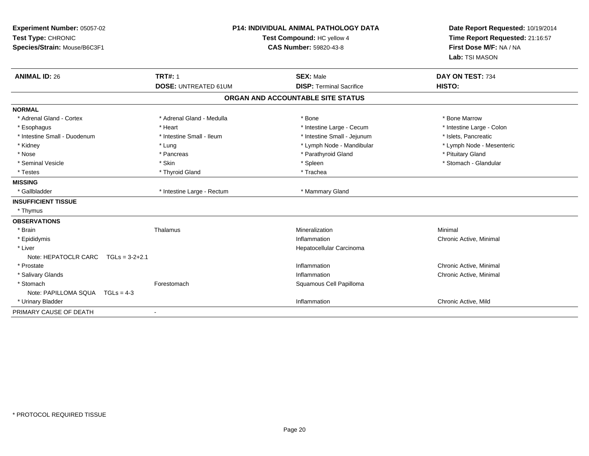| Experiment Number: 05057-02<br>Test Type: CHRONIC<br>Species/Strain: Mouse/B6C3F1 |                             | <b>P14: INDIVIDUAL ANIMAL PATHOLOGY DATA</b><br>Test Compound: HC yellow 4<br><b>CAS Number: 59820-43-8</b> | Date Report Requested: 10/19/2014<br>Time Report Requested: 21:16:57<br>First Dose M/F: NA / NA<br>Lab: TSI MASON |  |
|-----------------------------------------------------------------------------------|-----------------------------|-------------------------------------------------------------------------------------------------------------|-------------------------------------------------------------------------------------------------------------------|--|
| <b>ANIMAL ID: 26</b>                                                              | <b>TRT#: 1</b>              | <b>SEX: Male</b>                                                                                            | DAY ON TEST: 734                                                                                                  |  |
|                                                                                   | <b>DOSE: UNTREATED 61UM</b> | <b>DISP: Terminal Sacrifice</b>                                                                             | HISTO:                                                                                                            |  |
|                                                                                   |                             | ORGAN AND ACCOUNTABLE SITE STATUS                                                                           |                                                                                                                   |  |
| <b>NORMAL</b>                                                                     |                             |                                                                                                             |                                                                                                                   |  |
| * Adrenal Gland - Cortex                                                          | * Adrenal Gland - Medulla   | * Bone                                                                                                      | * Bone Marrow                                                                                                     |  |
| * Esophagus                                                                       | * Heart                     | * Intestine Large - Cecum                                                                                   | * Intestine Large - Colon                                                                                         |  |
| * Intestine Small - Duodenum                                                      | * Intestine Small - Ileum   | * Intestine Small - Jejunum                                                                                 | * Islets, Pancreatic                                                                                              |  |
| * Kidney                                                                          | * Lung                      | * Lymph Node - Mandibular                                                                                   | * Lymph Node - Mesenteric                                                                                         |  |
| * Nose                                                                            | * Pancreas                  | * Parathyroid Gland                                                                                         | * Pituitary Gland                                                                                                 |  |
| * Seminal Vesicle                                                                 | * Skin                      | * Spleen                                                                                                    | * Stomach - Glandular                                                                                             |  |
| * Testes                                                                          | * Thyroid Gland             | * Trachea                                                                                                   |                                                                                                                   |  |
| <b>MISSING</b>                                                                    |                             |                                                                                                             |                                                                                                                   |  |
| * Gallbladder                                                                     | * Intestine Large - Rectum  | * Mammary Gland                                                                                             |                                                                                                                   |  |
| <b>INSUFFICIENT TISSUE</b>                                                        |                             |                                                                                                             |                                                                                                                   |  |
| * Thymus                                                                          |                             |                                                                                                             |                                                                                                                   |  |
| <b>OBSERVATIONS</b>                                                               |                             |                                                                                                             |                                                                                                                   |  |
| * Brain                                                                           | Thalamus                    | Mineralization                                                                                              | Minimal                                                                                                           |  |
| * Epididymis                                                                      |                             | Inflammation                                                                                                | Chronic Active, Minimal                                                                                           |  |
| * Liver                                                                           |                             | Hepatocellular Carcinoma                                                                                    |                                                                                                                   |  |
| Note: HEPATOCLR CARC<br>$TGLs = 3-2+2.1$                                          |                             |                                                                                                             |                                                                                                                   |  |
| * Prostate                                                                        |                             | Inflammation                                                                                                | Chronic Active, Minimal                                                                                           |  |
| * Salivary Glands                                                                 |                             | Inflammation                                                                                                | Chronic Active, Minimal                                                                                           |  |
| * Stomach                                                                         | Forestomach                 | Squamous Cell Papilloma                                                                                     |                                                                                                                   |  |
| Note: PAPILLOMA SQUA TGLs = 4-3                                                   |                             |                                                                                                             |                                                                                                                   |  |
| * Urinary Bladder                                                                 |                             | Inflammation                                                                                                | Chronic Active, Mild                                                                                              |  |
| PRIMARY CAUSE OF DEATH                                                            | $\sim$                      |                                                                                                             |                                                                                                                   |  |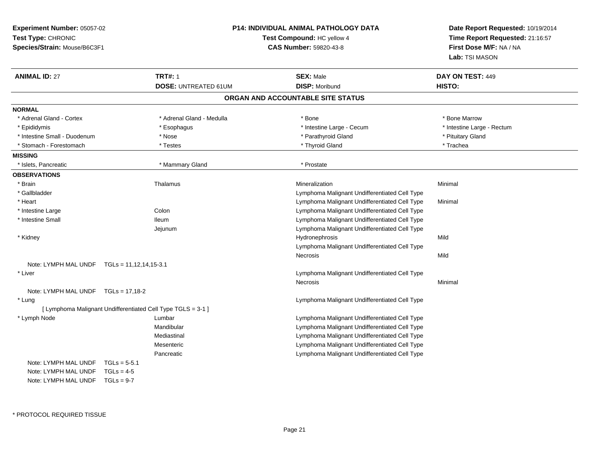| Experiment Number: 05057-02<br>Test Type: CHRONIC<br>Species/Strain: Mouse/B6C3F1 |                                                              | <b>P14: INDIVIDUAL ANIMAL PATHOLOGY DATA</b><br>Test Compound: HC yellow 4<br><b>CAS Number: 59820-43-8</b> | Date Report Requested: 10/19/2014<br>Time Report Requested: 21:16:57<br>First Dose M/F: NA / NA<br>Lab: TSI MASON |  |
|-----------------------------------------------------------------------------------|--------------------------------------------------------------|-------------------------------------------------------------------------------------------------------------|-------------------------------------------------------------------------------------------------------------------|--|
| <b>ANIMAL ID: 27</b>                                                              | <b>TRT#: 1</b>                                               | <b>SEX: Male</b>                                                                                            | DAY ON TEST: 449                                                                                                  |  |
|                                                                                   | <b>DOSE: UNTREATED 61UM</b>                                  | <b>DISP: Moribund</b>                                                                                       | HISTO:                                                                                                            |  |
|                                                                                   |                                                              | ORGAN AND ACCOUNTABLE SITE STATUS                                                                           |                                                                                                                   |  |
| <b>NORMAL</b>                                                                     |                                                              |                                                                                                             |                                                                                                                   |  |
| * Adrenal Gland - Cortex                                                          | * Adrenal Gland - Medulla                                    | * Bone                                                                                                      | * Bone Marrow                                                                                                     |  |
| * Epididymis                                                                      | * Esophagus                                                  | * Intestine Large - Cecum                                                                                   | * Intestine Large - Rectum                                                                                        |  |
| * Intestine Small - Duodenum                                                      | * Nose                                                       | * Parathyroid Gland                                                                                         | * Pituitary Gland                                                                                                 |  |
| * Stomach - Forestomach                                                           | * Testes                                                     | * Thyroid Gland                                                                                             | * Trachea                                                                                                         |  |
| <b>MISSING</b>                                                                    |                                                              |                                                                                                             |                                                                                                                   |  |
| * Islets, Pancreatic                                                              | * Mammary Gland                                              | * Prostate                                                                                                  |                                                                                                                   |  |
| <b>OBSERVATIONS</b>                                                               |                                                              |                                                                                                             |                                                                                                                   |  |
| * Brain                                                                           | Thalamus                                                     | Mineralization                                                                                              | Minimal                                                                                                           |  |
| * Gallbladder                                                                     |                                                              | Lymphoma Malignant Undifferentiated Cell Type                                                               |                                                                                                                   |  |
| * Heart                                                                           |                                                              | Lymphoma Malignant Undifferentiated Cell Type                                                               | Minimal                                                                                                           |  |
| * Intestine Large                                                                 | Colon                                                        | Lymphoma Malignant Undifferentiated Cell Type                                                               |                                                                                                                   |  |
| * Intestine Small                                                                 | <b>Ileum</b>                                                 | Lymphoma Malignant Undifferentiated Cell Type                                                               |                                                                                                                   |  |
|                                                                                   | Jejunum                                                      | Lymphoma Malignant Undifferentiated Cell Type                                                               |                                                                                                                   |  |
| * Kidney                                                                          |                                                              | Hydronephrosis                                                                                              | Mild                                                                                                              |  |
|                                                                                   |                                                              | Lymphoma Malignant Undifferentiated Cell Type                                                               |                                                                                                                   |  |
|                                                                                   |                                                              | Necrosis                                                                                                    | Mild                                                                                                              |  |
| Note: LYMPH MAL UNDF $TGLs = 11,12,14,15-3.1$                                     |                                                              |                                                                                                             |                                                                                                                   |  |
| * Liver                                                                           |                                                              | Lymphoma Malignant Undifferentiated Cell Type                                                               |                                                                                                                   |  |
|                                                                                   |                                                              | <b>Necrosis</b>                                                                                             | Minimal                                                                                                           |  |
| Note: LYMPH MAL UNDF $TGLs = 17,18-2$                                             |                                                              |                                                                                                             |                                                                                                                   |  |
| * Lung                                                                            |                                                              | Lymphoma Malignant Undifferentiated Cell Type                                                               |                                                                                                                   |  |
|                                                                                   | [ Lymphoma Malignant Undifferentiated Cell Type TGLS = 3-1 ] |                                                                                                             |                                                                                                                   |  |
| * Lymph Node                                                                      | Lumbar                                                       | Lymphoma Malignant Undifferentiated Cell Type                                                               |                                                                                                                   |  |
|                                                                                   | Mandibular                                                   | Lymphoma Malignant Undifferentiated Cell Type                                                               |                                                                                                                   |  |
|                                                                                   | Mediastinal                                                  | Lymphoma Malignant Undifferentiated Cell Type                                                               |                                                                                                                   |  |
|                                                                                   | Mesenteric                                                   | Lymphoma Malignant Undifferentiated Cell Type                                                               |                                                                                                                   |  |
|                                                                                   | Pancreatic                                                   | Lymphoma Malignant Undifferentiated Cell Type                                                               |                                                                                                                   |  |
| Note: LYMPH MAL UNDF                                                              | $TGLs = 5-5.1$                                               |                                                                                                             |                                                                                                                   |  |
| Note: LYMPH MAL UNDF                                                              | $TGLs = 4-5$                                                 |                                                                                                             |                                                                                                                   |  |
| Note: LYMPH MAL UNDF $TGLs = 9-7$                                                 |                                                              |                                                                                                             |                                                                                                                   |  |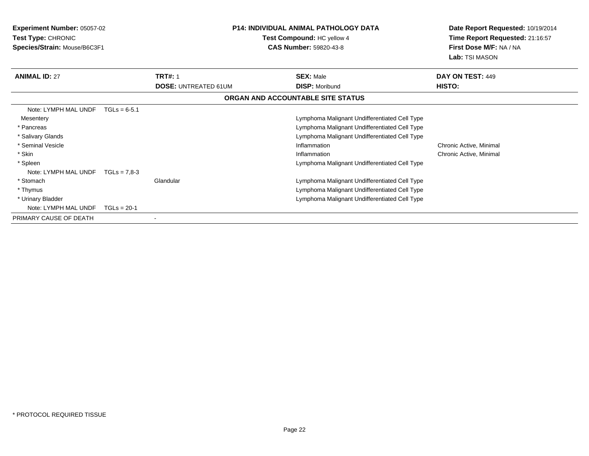| <b>Experiment Number: 05057-02</b><br>Test Type: CHRONIC<br>Species/Strain: Mouse/B6C3F1 |                | <b>P14: INDIVIDUAL ANIMAL PATHOLOGY DATA</b><br>Test Compound: HC yellow 4<br><b>CAS Number: 59820-43-8</b> |                                               | Date Report Requested: 10/19/2014<br>Time Report Requested: 21:16:57<br>First Dose M/F: NA / NA<br>Lab: TSI MASON |
|------------------------------------------------------------------------------------------|----------------|-------------------------------------------------------------------------------------------------------------|-----------------------------------------------|-------------------------------------------------------------------------------------------------------------------|
| <b>ANIMAL ID: 27</b>                                                                     |                | <b>TRT#: 1</b>                                                                                              | <b>SEX: Male</b>                              | DAY ON TEST: 449                                                                                                  |
|                                                                                          |                | <b>DOSE: UNTREATED 61UM</b>                                                                                 | <b>DISP: Moribund</b>                         | HISTO:                                                                                                            |
|                                                                                          |                |                                                                                                             | ORGAN AND ACCOUNTABLE SITE STATUS             |                                                                                                                   |
| Note: LYMPH MAL UNDF                                                                     | $TGLs = 6-5.1$ |                                                                                                             |                                               |                                                                                                                   |
| Mesentery                                                                                |                |                                                                                                             | Lymphoma Malignant Undifferentiated Cell Type |                                                                                                                   |
| * Pancreas                                                                               |                |                                                                                                             | Lymphoma Malignant Undifferentiated Cell Type |                                                                                                                   |
| * Salivary Glands                                                                        |                |                                                                                                             | Lymphoma Malignant Undifferentiated Cell Type |                                                                                                                   |
| * Seminal Vesicle                                                                        |                |                                                                                                             | Inflammation                                  | Chronic Active, Minimal                                                                                           |
| * Skin                                                                                   |                |                                                                                                             | Inflammation                                  | Chronic Active, Minimal                                                                                           |
| * Spleen                                                                                 |                |                                                                                                             | Lymphoma Malignant Undifferentiated Cell Type |                                                                                                                   |
| Note: LYMPH MAL UNDF                                                                     | $TGLs = 7.8-3$ |                                                                                                             |                                               |                                                                                                                   |
| * Stomach                                                                                |                | Glandular                                                                                                   | Lymphoma Malignant Undifferentiated Cell Type |                                                                                                                   |
| * Thymus                                                                                 |                |                                                                                                             | Lymphoma Malignant Undifferentiated Cell Type |                                                                                                                   |
| * Urinary Bladder                                                                        |                |                                                                                                             | Lymphoma Malignant Undifferentiated Cell Type |                                                                                                                   |
| Note: LYMPH MAL UNDF                                                                     | $TGLs = 20-1$  |                                                                                                             |                                               |                                                                                                                   |
| PRIMARY CAUSE OF DEATH                                                                   |                |                                                                                                             |                                               |                                                                                                                   |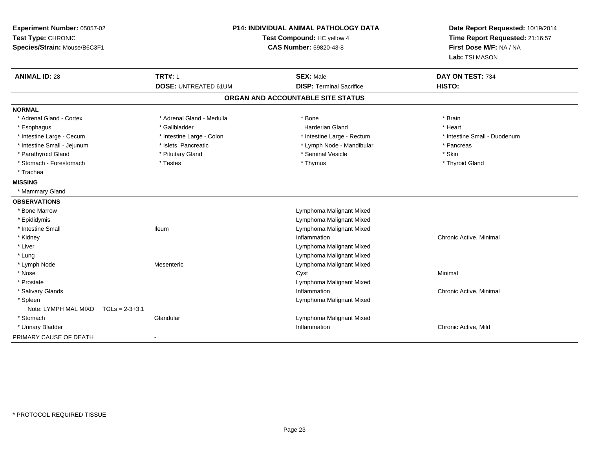| Experiment Number: 05057-02<br>Test Type: CHRONIC<br>Species/Strain: Mouse/B6C3F1 | <b>P14: INDIVIDUAL ANIMAL PATHOLOGY DATA</b><br>Test Compound: HC yellow 4<br><b>CAS Number: 59820-43-8</b> |                                                     | Date Report Requested: 10/19/2014<br>Time Report Requested: 21:16:57<br>First Dose M/F: NA / NA<br>Lab: TSI MASON |  |
|-----------------------------------------------------------------------------------|-------------------------------------------------------------------------------------------------------------|-----------------------------------------------------|-------------------------------------------------------------------------------------------------------------------|--|
| <b>ANIMAL ID: 28</b>                                                              | <b>TRT#: 1</b><br><b>DOSE: UNTREATED 61UM</b>                                                               | <b>SEX: Male</b><br><b>DISP: Terminal Sacrifice</b> | DAY ON TEST: 734<br>HISTO:                                                                                        |  |
|                                                                                   |                                                                                                             | ORGAN AND ACCOUNTABLE SITE STATUS                   |                                                                                                                   |  |
| <b>NORMAL</b>                                                                     |                                                                                                             |                                                     |                                                                                                                   |  |
| * Adrenal Gland - Cortex                                                          | * Adrenal Gland - Medulla                                                                                   | * Bone                                              | * Brain                                                                                                           |  |
| * Esophagus                                                                       | * Gallbladder                                                                                               | <b>Harderian Gland</b>                              | * Heart                                                                                                           |  |
| * Intestine Large - Cecum                                                         | * Intestine Large - Colon                                                                                   | * Intestine Large - Rectum                          | * Intestine Small - Duodenum                                                                                      |  |
| * Intestine Small - Jejunum                                                       | * Islets, Pancreatic                                                                                        | * Lymph Node - Mandibular                           | * Pancreas                                                                                                        |  |
| * Parathyroid Gland                                                               | * Pituitary Gland                                                                                           | * Seminal Vesicle                                   | * Skin                                                                                                            |  |
| * Stomach - Forestomach                                                           | * Testes                                                                                                    | * Thymus                                            | * Thyroid Gland                                                                                                   |  |
| * Trachea                                                                         |                                                                                                             |                                                     |                                                                                                                   |  |
| <b>MISSING</b>                                                                    |                                                                                                             |                                                     |                                                                                                                   |  |
| * Mammary Gland                                                                   |                                                                                                             |                                                     |                                                                                                                   |  |
| <b>OBSERVATIONS</b>                                                               |                                                                                                             |                                                     |                                                                                                                   |  |
| * Bone Marrow                                                                     |                                                                                                             | Lymphoma Malignant Mixed                            |                                                                                                                   |  |
| * Epididymis                                                                      |                                                                                                             | Lymphoma Malignant Mixed                            |                                                                                                                   |  |
| * Intestine Small                                                                 | <b>Ileum</b>                                                                                                | Lymphoma Malignant Mixed                            |                                                                                                                   |  |
| * Kidney                                                                          |                                                                                                             | Inflammation                                        | Chronic Active, Minimal                                                                                           |  |
| * Liver                                                                           |                                                                                                             | Lymphoma Malignant Mixed                            |                                                                                                                   |  |
| * Lung                                                                            |                                                                                                             | Lymphoma Malignant Mixed                            |                                                                                                                   |  |
| * Lymph Node                                                                      | Mesenteric                                                                                                  | Lymphoma Malignant Mixed                            |                                                                                                                   |  |
| * Nose                                                                            |                                                                                                             | Cyst                                                | Minimal                                                                                                           |  |
| * Prostate                                                                        |                                                                                                             | Lymphoma Malignant Mixed                            |                                                                                                                   |  |
| * Salivary Glands                                                                 |                                                                                                             | Inflammation                                        | Chronic Active, Minimal                                                                                           |  |
| * Spleen                                                                          |                                                                                                             | Lymphoma Malignant Mixed                            |                                                                                                                   |  |
| Note: LYMPH MAL MIXD<br>$TGLs = 2-3+3.1$                                          |                                                                                                             |                                                     |                                                                                                                   |  |
| * Stomach                                                                         | Glandular                                                                                                   | Lymphoma Malignant Mixed                            |                                                                                                                   |  |
| * Urinary Bladder                                                                 |                                                                                                             | Inflammation                                        | Chronic Active, Mild                                                                                              |  |
| PRIMARY CAUSE OF DEATH                                                            |                                                                                                             |                                                     |                                                                                                                   |  |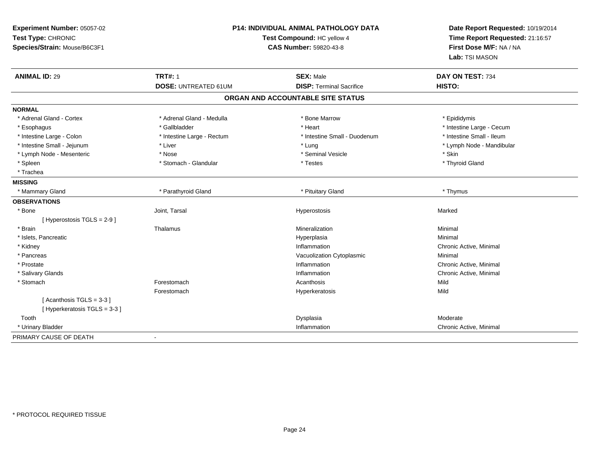| Experiment Number: 05057-02<br>Test Type: CHRONIC<br>Species/Strain: Mouse/B6C3F1 | P14: INDIVIDUAL ANIMAL PATHOLOGY DATA<br>Test Compound: HC yellow 4<br><b>CAS Number: 59820-43-8</b> |                                                     | Date Report Requested: 10/19/2014<br>Time Report Requested: 21:16:57<br>First Dose M/F: NA / NA<br>Lab: TSI MASON |  |
|-----------------------------------------------------------------------------------|------------------------------------------------------------------------------------------------------|-----------------------------------------------------|-------------------------------------------------------------------------------------------------------------------|--|
| <b>ANIMAL ID: 29</b>                                                              | <b>TRT#: 1</b><br><b>DOSE: UNTREATED 61UM</b>                                                        | <b>SEX: Male</b><br><b>DISP: Terminal Sacrifice</b> | DAY ON TEST: 734<br>HISTO:                                                                                        |  |
|                                                                                   |                                                                                                      |                                                     |                                                                                                                   |  |
|                                                                                   |                                                                                                      | ORGAN AND ACCOUNTABLE SITE STATUS                   |                                                                                                                   |  |
| <b>NORMAL</b>                                                                     |                                                                                                      |                                                     |                                                                                                                   |  |
| * Adrenal Gland - Cortex                                                          | * Adrenal Gland - Medulla                                                                            | * Bone Marrow                                       | * Epididymis                                                                                                      |  |
| * Esophagus                                                                       | * Gallbladder                                                                                        | * Heart                                             | * Intestine Large - Cecum                                                                                         |  |
| * Intestine Large - Colon                                                         | * Intestine Large - Rectum                                                                           | * Intestine Small - Duodenum                        | * Intestine Small - Ileum                                                                                         |  |
| * Intestine Small - Jejunum                                                       | * Liver                                                                                              | * Lung                                              | * Lymph Node - Mandibular                                                                                         |  |
| * Lymph Node - Mesenteric                                                         | * Nose                                                                                               | * Seminal Vesicle                                   | * Skin                                                                                                            |  |
| * Spleen                                                                          | * Stomach - Glandular                                                                                | * Testes                                            | * Thyroid Gland                                                                                                   |  |
| * Trachea                                                                         |                                                                                                      |                                                     |                                                                                                                   |  |
| <b>MISSING</b>                                                                    |                                                                                                      |                                                     |                                                                                                                   |  |
| * Mammary Gland                                                                   | * Parathyroid Gland                                                                                  | * Pituitary Gland                                   | * Thymus                                                                                                          |  |
| <b>OBSERVATIONS</b>                                                               |                                                                                                      |                                                     |                                                                                                                   |  |
| * Bone                                                                            | Joint, Tarsal                                                                                        | Hyperostosis                                        | Marked                                                                                                            |  |
| [ Hyperostosis TGLS = 2-9 ]                                                       |                                                                                                      |                                                     |                                                                                                                   |  |
| * Brain                                                                           | Thalamus                                                                                             | Mineralization                                      | Minimal                                                                                                           |  |
| * Islets, Pancreatic                                                              |                                                                                                      | Hyperplasia                                         | Minimal                                                                                                           |  |
| * Kidney                                                                          |                                                                                                      | Inflammation                                        | Chronic Active, Minimal                                                                                           |  |
| * Pancreas                                                                        |                                                                                                      | Vacuolization Cytoplasmic                           | Minimal                                                                                                           |  |
| * Prostate                                                                        |                                                                                                      | Inflammation                                        | Chronic Active, Minimal                                                                                           |  |
| * Salivary Glands                                                                 |                                                                                                      | Inflammation                                        | Chronic Active, Minimal                                                                                           |  |
| * Stomach                                                                         | Forestomach                                                                                          | Acanthosis                                          | Mild                                                                                                              |  |
|                                                                                   | Forestomach                                                                                          | Hyperkeratosis                                      | Mild                                                                                                              |  |
| [Acanthosis TGLS = 3-3]                                                           |                                                                                                      |                                                     |                                                                                                                   |  |
| [Hyperkeratosis TGLS = 3-3]                                                       |                                                                                                      |                                                     |                                                                                                                   |  |
| Tooth                                                                             |                                                                                                      | Dysplasia                                           | Moderate                                                                                                          |  |
| * Urinary Bladder                                                                 |                                                                                                      | Inflammation                                        | Chronic Active, Minimal                                                                                           |  |
| PRIMARY CAUSE OF DEATH                                                            | $\blacksquare$                                                                                       |                                                     |                                                                                                                   |  |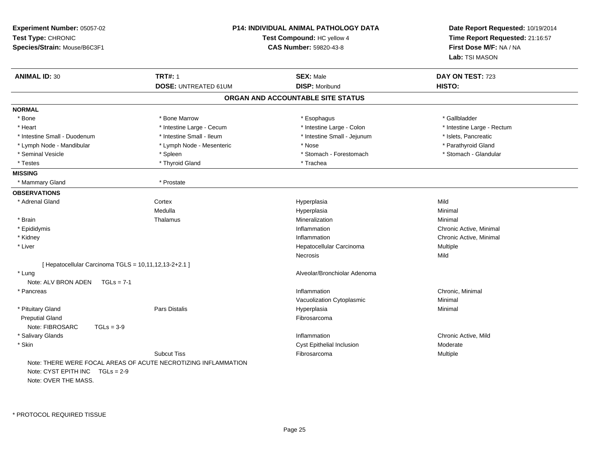| Experiment Number: 05057-02<br>Test Type: CHRONIC<br>Species/Strain: Mouse/B6C3F1 |                                                                | <b>P14: INDIVIDUAL ANIMAL PATHOLOGY DATA</b><br>Test Compound: HC yellow 4<br><b>CAS Number: 59820-43-8</b> | Date Report Requested: 10/19/2014<br>Time Report Requested: 21:16:57<br>First Dose M/F: NA / NA<br>Lab: TSI MASON |
|-----------------------------------------------------------------------------------|----------------------------------------------------------------|-------------------------------------------------------------------------------------------------------------|-------------------------------------------------------------------------------------------------------------------|
| <b>ANIMAL ID: 30</b>                                                              | <b>TRT#: 1</b>                                                 | <b>SEX: Male</b>                                                                                            | DAY ON TEST: 723                                                                                                  |
|                                                                                   | <b>DOSE: UNTREATED 61UM</b>                                    | <b>DISP: Moribund</b>                                                                                       | HISTO:                                                                                                            |
|                                                                                   |                                                                | ORGAN AND ACCOUNTABLE SITE STATUS                                                                           |                                                                                                                   |
| <b>NORMAL</b>                                                                     |                                                                |                                                                                                             |                                                                                                                   |
| * Bone                                                                            | * Bone Marrow                                                  | * Esophagus                                                                                                 | * Gallbladder                                                                                                     |
| * Heart                                                                           | * Intestine Large - Cecum                                      | * Intestine Large - Colon                                                                                   | * Intestine Large - Rectum                                                                                        |
| * Intestine Small - Duodenum                                                      | * Intestine Small - Ileum                                      | * Intestine Small - Jejunum                                                                                 | * Islets, Pancreatic                                                                                              |
| * Lymph Node - Mandibular                                                         | * Lymph Node - Mesenteric                                      | * Nose                                                                                                      | * Parathyroid Gland                                                                                               |
| * Seminal Vesicle                                                                 | * Spleen                                                       | * Stomach - Forestomach                                                                                     | * Stomach - Glandular                                                                                             |
| * Testes                                                                          | * Thyroid Gland                                                | * Trachea                                                                                                   |                                                                                                                   |
| <b>MISSING</b>                                                                    |                                                                |                                                                                                             |                                                                                                                   |
| * Mammary Gland                                                                   | * Prostate                                                     |                                                                                                             |                                                                                                                   |
| <b>OBSERVATIONS</b>                                                               |                                                                |                                                                                                             |                                                                                                                   |
| * Adrenal Gland                                                                   | Cortex                                                         | Hyperplasia                                                                                                 | Mild                                                                                                              |
|                                                                                   | Medulla                                                        | Hyperplasia                                                                                                 | Minimal                                                                                                           |
| * Brain                                                                           | Thalamus                                                       | Mineralization                                                                                              | Minimal                                                                                                           |
| * Epididymis                                                                      |                                                                | Inflammation                                                                                                | Chronic Active, Minimal                                                                                           |
| * Kidney                                                                          |                                                                | Inflammation                                                                                                | Chronic Active, Minimal                                                                                           |
| * Liver                                                                           |                                                                | Hepatocellular Carcinoma                                                                                    | Multiple                                                                                                          |
|                                                                                   |                                                                | Necrosis                                                                                                    | Mild                                                                                                              |
| [Hepatocellular Carcinoma TGLS = $10,11,12,13-2+2.1$ ]                            |                                                                |                                                                                                             |                                                                                                                   |
| * Lung                                                                            |                                                                | Alveolar/Bronchiolar Adenoma                                                                                |                                                                                                                   |
| Note: ALV BRON ADEN<br>$TGLs = 7-1$                                               |                                                                |                                                                                                             |                                                                                                                   |
| * Pancreas                                                                        |                                                                | Inflammation                                                                                                | Chronic, Minimal                                                                                                  |
|                                                                                   |                                                                | Vacuolization Cytoplasmic                                                                                   | Minimal                                                                                                           |
| * Pituitary Gland                                                                 | <b>Pars Distalis</b>                                           | Hyperplasia                                                                                                 | Minimal                                                                                                           |
| <b>Preputial Gland</b>                                                            |                                                                | Fibrosarcoma                                                                                                |                                                                                                                   |
| Note: FIBROSARC<br>$TGLs = 3-9$                                                   |                                                                |                                                                                                             |                                                                                                                   |
| * Salivary Glands                                                                 |                                                                | Inflammation                                                                                                | Chronic Active, Mild                                                                                              |
| * Skin                                                                            |                                                                | Cyst Epithelial Inclusion                                                                                   | Moderate                                                                                                          |
|                                                                                   | <b>Subcut Tiss</b>                                             | Fibrosarcoma                                                                                                | Multiple                                                                                                          |
| Note: CYST EPITH INC<br>$TGLs = 2-9$<br>Note: OVER THE MASS.                      | Note: THERE WERE FOCAL AREAS OF ACUTE NECROTIZING INFLAMMATION |                                                                                                             |                                                                                                                   |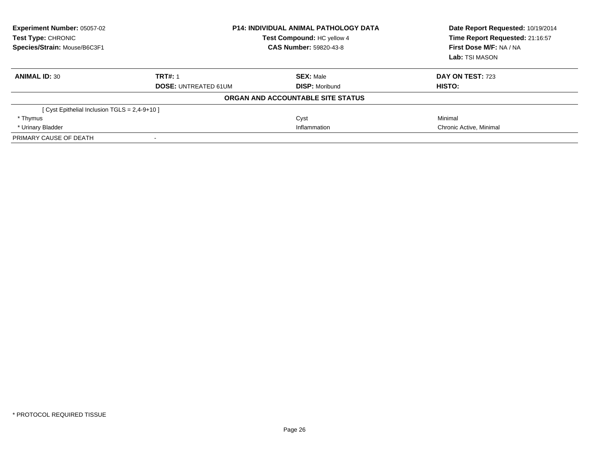| <b>Experiment Number: 05057-02</b><br>Test Type: CHRONIC<br>Species/Strain: Mouse/B6C3F1 |                             | <b>P14: INDIVIDUAL ANIMAL PATHOLOGY DATA</b><br>Test Compound: HC yellow 4<br><b>CAS Number: 59820-43-8</b> | Date Report Requested: 10/19/2014<br>Time Report Requested: 21:16:57<br>First Dose M/F: NA / NA<br>Lab: TSI MASON |
|------------------------------------------------------------------------------------------|-----------------------------|-------------------------------------------------------------------------------------------------------------|-------------------------------------------------------------------------------------------------------------------|
| <b>ANIMAL ID: 30</b>                                                                     | <b>TRT#: 1</b>              | <b>SEX: Male</b>                                                                                            | DAY ON TEST: 723                                                                                                  |
|                                                                                          | <b>DOSE: UNTREATED 61UM</b> | <b>DISP: Moribund</b>                                                                                       | HISTO:                                                                                                            |
|                                                                                          |                             | ORGAN AND ACCOUNTABLE SITE STATUS                                                                           |                                                                                                                   |
| Cyst Epithelial Inclusion TGLS = 2,4-9+10 ]                                              |                             |                                                                                                             |                                                                                                                   |
| * Thymus                                                                                 |                             | Cyst                                                                                                        | Minimal                                                                                                           |
| * Urinary Bladder                                                                        | Inflammation                |                                                                                                             | Chronic Active, Minimal                                                                                           |
| PRIMARY CAUSE OF DEATH                                                                   | $\,$                        |                                                                                                             |                                                                                                                   |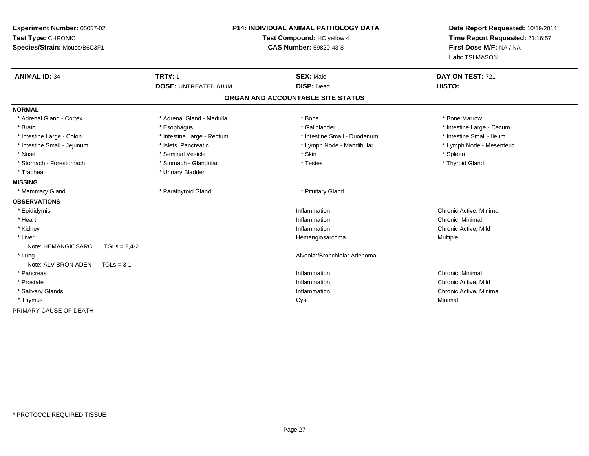| Experiment Number: 05057-02<br>Test Type: CHRONIC<br>Species/Strain: Mouse/B6C3F1 | <b>P14: INDIVIDUAL ANIMAL PATHOLOGY DATA</b><br>Test Compound: HC yellow 4<br><b>CAS Number: 59820-43-8</b> |                                   | Date Report Requested: 10/19/2014<br>Time Report Requested: 21:16:57<br>First Dose M/F: NA / NA<br>Lab: TSI MASON |
|-----------------------------------------------------------------------------------|-------------------------------------------------------------------------------------------------------------|-----------------------------------|-------------------------------------------------------------------------------------------------------------------|
| <b>ANIMAL ID: 34</b>                                                              | <b>TRT#: 1</b>                                                                                              | <b>SEX: Male</b>                  | DAY ON TEST: 721                                                                                                  |
|                                                                                   | <b>DOSE: UNTREATED 61UM</b>                                                                                 | <b>DISP: Dead</b>                 | HISTO:                                                                                                            |
|                                                                                   |                                                                                                             | ORGAN AND ACCOUNTABLE SITE STATUS |                                                                                                                   |
| <b>NORMAL</b>                                                                     |                                                                                                             |                                   |                                                                                                                   |
| * Adrenal Gland - Cortex                                                          | * Adrenal Gland - Medulla                                                                                   | * Bone                            | * Bone Marrow                                                                                                     |
| * Brain                                                                           | * Esophagus                                                                                                 | * Gallbladder                     | * Intestine Large - Cecum                                                                                         |
| * Intestine Large - Colon                                                         | * Intestine Large - Rectum                                                                                  | * Intestine Small - Duodenum      | * Intestine Small - Ileum                                                                                         |
| * Intestine Small - Jejunum                                                       | * Islets, Pancreatic                                                                                        | * Lymph Node - Mandibular         | * Lymph Node - Mesenteric                                                                                         |
| * Nose                                                                            | * Seminal Vesicle                                                                                           | * Skin                            | * Spleen                                                                                                          |
| * Stomach - Forestomach                                                           | * Stomach - Glandular                                                                                       | * Testes                          | * Thyroid Gland                                                                                                   |
| * Trachea                                                                         | * Urinary Bladder                                                                                           |                                   |                                                                                                                   |
| <b>MISSING</b>                                                                    |                                                                                                             |                                   |                                                                                                                   |
| * Mammary Gland                                                                   | * Parathyroid Gland                                                                                         | * Pituitary Gland                 |                                                                                                                   |
| <b>OBSERVATIONS</b>                                                               |                                                                                                             |                                   |                                                                                                                   |
| * Epididymis                                                                      |                                                                                                             | Inflammation                      | Chronic Active, Minimal                                                                                           |
| * Heart                                                                           |                                                                                                             | Inflammation                      | Chronic, Minimal                                                                                                  |
| * Kidney                                                                          |                                                                                                             | Inflammation                      | Chronic Active, Mild                                                                                              |
| * Liver                                                                           |                                                                                                             | Hemangiosarcoma                   | Multiple                                                                                                          |
| Note: HEMANGIOSARC<br>$TGLs = 2,4-2$                                              |                                                                                                             |                                   |                                                                                                                   |
| * Lung                                                                            |                                                                                                             | Alveolar/Bronchiolar Adenoma      |                                                                                                                   |
| Note: ALV BRON ADEN<br>$TGLs = 3-1$                                               |                                                                                                             |                                   |                                                                                                                   |
| * Pancreas                                                                        |                                                                                                             | Inflammation                      | Chronic, Minimal                                                                                                  |
| * Prostate                                                                        |                                                                                                             | Inflammation                      | Chronic Active, Mild                                                                                              |
| * Salivary Glands                                                                 |                                                                                                             | Inflammation                      | Chronic Active, Minimal                                                                                           |
| * Thymus                                                                          |                                                                                                             | Cyst                              | Minimal                                                                                                           |
| PRIMARY CAUSE OF DEATH                                                            |                                                                                                             |                                   |                                                                                                                   |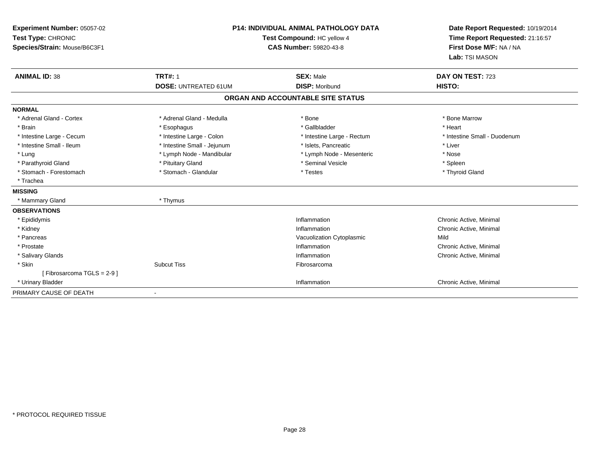| <b>Experiment Number: 05057-02</b><br>Test Type: CHRONIC<br>Species/Strain: Mouse/B6C3F1 |                             | <b>P14: INDIVIDUAL ANIMAL PATHOLOGY DATA</b><br>Test Compound: HC yellow 4<br><b>CAS Number: 59820-43-8</b> | Date Report Requested: 10/19/2014<br>Time Report Requested: 21:16:57<br>First Dose M/F: NA / NA<br>Lab: TSI MASON |  |
|------------------------------------------------------------------------------------------|-----------------------------|-------------------------------------------------------------------------------------------------------------|-------------------------------------------------------------------------------------------------------------------|--|
| <b>ANIMAL ID: 38</b>                                                                     | <b>TRT#: 1</b>              | <b>SEX: Male</b>                                                                                            | DAY ON TEST: 723                                                                                                  |  |
|                                                                                          | <b>DOSE: UNTREATED 61UM</b> | <b>DISP: Moribund</b>                                                                                       | HISTO:                                                                                                            |  |
|                                                                                          |                             | ORGAN AND ACCOUNTABLE SITE STATUS                                                                           |                                                                                                                   |  |
| <b>NORMAL</b>                                                                            |                             |                                                                                                             |                                                                                                                   |  |
| * Adrenal Gland - Cortex                                                                 | * Adrenal Gland - Medulla   | * Bone                                                                                                      | * Bone Marrow                                                                                                     |  |
| * Brain                                                                                  | * Esophagus                 | * Gallbladder                                                                                               | * Heart                                                                                                           |  |
| * Intestine Large - Cecum                                                                | * Intestine Large - Colon   | * Intestine Large - Rectum                                                                                  | * Intestine Small - Duodenum                                                                                      |  |
| * Intestine Small - Ileum                                                                | * Intestine Small - Jejunum | * Islets. Pancreatic                                                                                        | * Liver                                                                                                           |  |
| * Lung                                                                                   | * Lymph Node - Mandibular   | * Lymph Node - Mesenteric                                                                                   | * Nose                                                                                                            |  |
| * Parathyroid Gland                                                                      | * Pituitary Gland           | * Seminal Vesicle                                                                                           | * Spleen                                                                                                          |  |
| * Stomach - Forestomach                                                                  | * Stomach - Glandular       | * Testes                                                                                                    | * Thyroid Gland                                                                                                   |  |
| * Trachea                                                                                |                             |                                                                                                             |                                                                                                                   |  |
| <b>MISSING</b>                                                                           |                             |                                                                                                             |                                                                                                                   |  |
| * Mammary Gland                                                                          | * Thymus                    |                                                                                                             |                                                                                                                   |  |
| <b>OBSERVATIONS</b>                                                                      |                             |                                                                                                             |                                                                                                                   |  |
| * Epididymis                                                                             |                             | Inflammation                                                                                                | Chronic Active, Minimal                                                                                           |  |
| * Kidney                                                                                 |                             | Inflammation                                                                                                | Chronic Active, Minimal                                                                                           |  |
| * Pancreas                                                                               |                             | Vacuolization Cytoplasmic                                                                                   | Mild                                                                                                              |  |
| * Prostate                                                                               |                             | Inflammation                                                                                                | Chronic Active, Minimal                                                                                           |  |
| * Salivary Glands                                                                        |                             | Inflammation                                                                                                | Chronic Active, Minimal                                                                                           |  |
| * Skin                                                                                   | <b>Subcut Tiss</b>          | Fibrosarcoma                                                                                                |                                                                                                                   |  |
| [Fibrosarcoma TGLS = 2-9]                                                                |                             |                                                                                                             |                                                                                                                   |  |
| * Urinary Bladder                                                                        |                             | Inflammation                                                                                                | Chronic Active, Minimal                                                                                           |  |
| PRIMARY CAUSE OF DEATH                                                                   |                             |                                                                                                             |                                                                                                                   |  |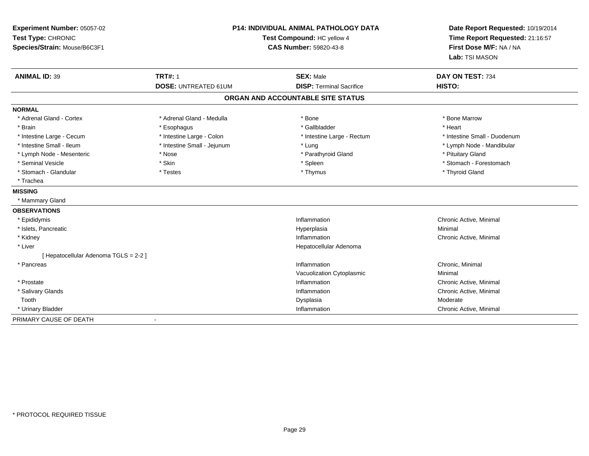| Experiment Number: 05057-02<br>Test Type: CHRONIC<br>Species/Strain: Mouse/B6C3F1 | <b>P14: INDIVIDUAL ANIMAL PATHOLOGY DATA</b><br>Test Compound: HC yellow 4<br><b>CAS Number: 59820-43-8</b> |                                   | Date Report Requested: 10/19/2014<br>Time Report Requested: 21:16:57<br>First Dose M/F: NA / NA<br>Lab: TSI MASON |  |
|-----------------------------------------------------------------------------------|-------------------------------------------------------------------------------------------------------------|-----------------------------------|-------------------------------------------------------------------------------------------------------------------|--|
| <b>ANIMAL ID: 39</b>                                                              | <b>TRT#: 1</b>                                                                                              | <b>SEX: Male</b>                  | DAY ON TEST: 734                                                                                                  |  |
|                                                                                   | <b>DOSE: UNTREATED 61UM</b>                                                                                 | <b>DISP: Terminal Sacrifice</b>   | HISTO:                                                                                                            |  |
|                                                                                   |                                                                                                             | ORGAN AND ACCOUNTABLE SITE STATUS |                                                                                                                   |  |
| <b>NORMAL</b>                                                                     |                                                                                                             |                                   |                                                                                                                   |  |
| * Adrenal Gland - Cortex                                                          | * Adrenal Gland - Medulla                                                                                   | * Bone                            | * Bone Marrow                                                                                                     |  |
| * Brain                                                                           | * Esophagus                                                                                                 | * Gallbladder                     | * Heart                                                                                                           |  |
| * Intestine Large - Cecum                                                         | * Intestine Large - Colon                                                                                   | * Intestine Large - Rectum        | * Intestine Small - Duodenum                                                                                      |  |
| * Intestine Small - Ileum                                                         | * Intestine Small - Jejunum                                                                                 | * Lung                            | * Lymph Node - Mandibular                                                                                         |  |
| * Lymph Node - Mesenteric                                                         | * Nose                                                                                                      | * Parathyroid Gland               | * Pituitary Gland                                                                                                 |  |
| * Seminal Vesicle                                                                 | * Skin                                                                                                      | * Spleen                          | * Stomach - Forestomach                                                                                           |  |
| * Stomach - Glandular                                                             | * Testes                                                                                                    | * Thymus                          | * Thyroid Gland                                                                                                   |  |
| * Trachea                                                                         |                                                                                                             |                                   |                                                                                                                   |  |
| <b>MISSING</b>                                                                    |                                                                                                             |                                   |                                                                                                                   |  |
| * Mammary Gland                                                                   |                                                                                                             |                                   |                                                                                                                   |  |
| <b>OBSERVATIONS</b>                                                               |                                                                                                             |                                   |                                                                                                                   |  |
| * Epididymis                                                                      |                                                                                                             | Inflammation                      | Chronic Active, Minimal                                                                                           |  |
| * Islets, Pancreatic                                                              |                                                                                                             | Hyperplasia                       | Minimal                                                                                                           |  |
| * Kidney                                                                          |                                                                                                             | Inflammation                      | Chronic Active, Minimal                                                                                           |  |
| * Liver                                                                           |                                                                                                             | Hepatocellular Adenoma            |                                                                                                                   |  |
| [ Hepatocellular Adenoma TGLS = 2-2 ]                                             |                                                                                                             |                                   |                                                                                                                   |  |
| * Pancreas                                                                        |                                                                                                             | Inflammation                      | Chronic, Minimal                                                                                                  |  |
|                                                                                   |                                                                                                             | Vacuolization Cytoplasmic         | Minimal                                                                                                           |  |
| * Prostate                                                                        |                                                                                                             | Inflammation                      | Chronic Active, Minimal                                                                                           |  |
| * Salivary Glands                                                                 |                                                                                                             | Inflammation                      | Chronic Active, Minimal                                                                                           |  |
| Tooth                                                                             |                                                                                                             | Dysplasia                         | Moderate                                                                                                          |  |
| * Urinary Bladder                                                                 |                                                                                                             | Inflammation                      | Chronic Active, Minimal                                                                                           |  |
| PRIMARY CAUSE OF DEATH                                                            |                                                                                                             |                                   |                                                                                                                   |  |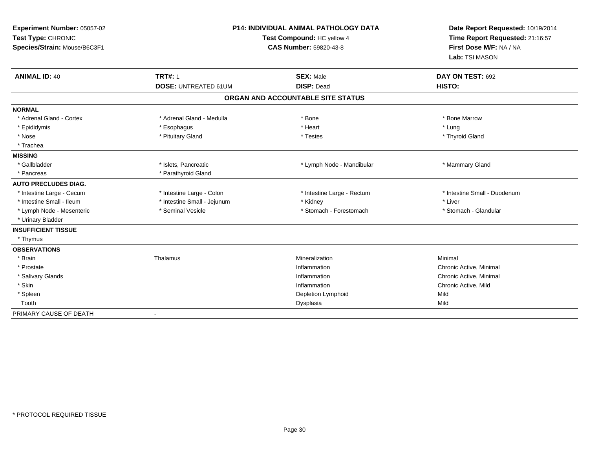| Experiment Number: 05057-02<br>Test Type: CHRONIC<br>Species/Strain: Mouse/B6C3F1 | <b>P14: INDIVIDUAL ANIMAL PATHOLOGY DATA</b><br>Test Compound: HC yellow 4<br><b>CAS Number: 59820-43-8</b> |                                                        | Date Report Requested: 10/19/2014<br>Time Report Requested: 21:16:57<br>First Dose M/F: NA / NA<br>Lab: TSI MASON |
|-----------------------------------------------------------------------------------|-------------------------------------------------------------------------------------------------------------|--------------------------------------------------------|-------------------------------------------------------------------------------------------------------------------|
| <b>ANIMAL ID: 40</b>                                                              | <b>TRT#: 1</b>                                                                                              | <b>SEX: Male</b>                                       | DAY ON TEST: 692                                                                                                  |
|                                                                                   | <b>DOSE: UNTREATED 61UM</b>                                                                                 | <b>DISP: Dead</b><br>ORGAN AND ACCOUNTABLE SITE STATUS | HISTO:                                                                                                            |
|                                                                                   |                                                                                                             |                                                        |                                                                                                                   |
| <b>NORMAL</b>                                                                     |                                                                                                             |                                                        |                                                                                                                   |
| * Adrenal Gland - Cortex                                                          | * Adrenal Gland - Medulla                                                                                   | * Bone                                                 | * Bone Marrow                                                                                                     |
| * Epididymis                                                                      | * Esophagus                                                                                                 | * Heart                                                | * Lung                                                                                                            |
| * Nose<br>* Trachea                                                               | * Pituitary Gland                                                                                           | * Testes                                               | * Thyroid Gland                                                                                                   |
| <b>MISSING</b>                                                                    |                                                                                                             |                                                        |                                                                                                                   |
| * Gallbladder                                                                     | * Islets, Pancreatic                                                                                        | * Lymph Node - Mandibular                              | * Mammary Gland                                                                                                   |
| * Pancreas                                                                        | * Parathyroid Gland                                                                                         |                                                        |                                                                                                                   |
| <b>AUTO PRECLUDES DIAG.</b>                                                       |                                                                                                             |                                                        |                                                                                                                   |
| * Intestine Large - Cecum                                                         | * Intestine Large - Colon                                                                                   | * Intestine Large - Rectum                             | * Intestine Small - Duodenum                                                                                      |
| * Intestine Small - Ileum                                                         | * Intestine Small - Jejunum                                                                                 | * Kidney                                               | * Liver                                                                                                           |
| * Lymph Node - Mesenteric                                                         | * Seminal Vesicle                                                                                           | * Stomach - Forestomach                                | * Stomach - Glandular                                                                                             |
| * Urinary Bladder                                                                 |                                                                                                             |                                                        |                                                                                                                   |
| <b>INSUFFICIENT TISSUE</b>                                                        |                                                                                                             |                                                        |                                                                                                                   |
| * Thymus                                                                          |                                                                                                             |                                                        |                                                                                                                   |
| <b>OBSERVATIONS</b>                                                               |                                                                                                             |                                                        |                                                                                                                   |
| * Brain                                                                           | Thalamus                                                                                                    | Mineralization                                         | Minimal                                                                                                           |
| * Prostate                                                                        |                                                                                                             | Inflammation                                           | Chronic Active, Minimal                                                                                           |
| * Salivary Glands                                                                 |                                                                                                             | Inflammation                                           | Chronic Active, Minimal                                                                                           |
| * Skin                                                                            |                                                                                                             | Inflammation                                           | Chronic Active, Mild                                                                                              |
| * Spleen                                                                          |                                                                                                             | Depletion Lymphoid                                     | Mild                                                                                                              |
| Tooth                                                                             |                                                                                                             | Dysplasia                                              | Mild                                                                                                              |
| PRIMARY CAUSE OF DEATH                                                            | $\blacksquare$                                                                                              |                                                        |                                                                                                                   |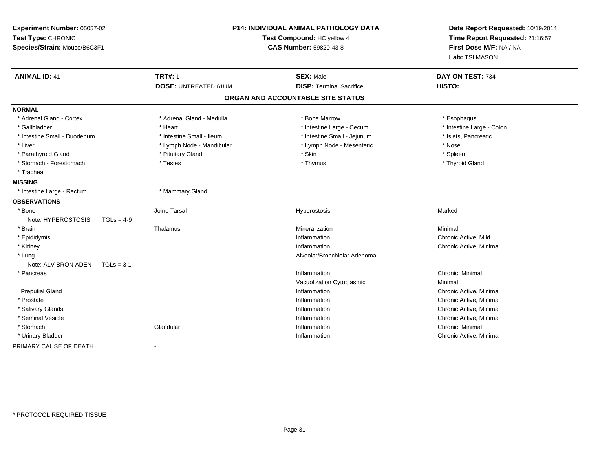| Experiment Number: 05057-02<br>Test Type: CHRONIC<br>Species/Strain: Mouse/B6C3F1 |                             | P14: INDIVIDUAL ANIMAL PATHOLOGY DATA<br>Test Compound: HC yellow 4<br><b>CAS Number: 59820-43-8</b> | Date Report Requested: 10/19/2014<br>Time Report Requested: 21:16:57<br>First Dose M/F: NA / NA<br>Lab: TSI MASON |
|-----------------------------------------------------------------------------------|-----------------------------|------------------------------------------------------------------------------------------------------|-------------------------------------------------------------------------------------------------------------------|
| <b>ANIMAL ID: 41</b>                                                              | <b>TRT#: 1</b>              | <b>SEX: Male</b>                                                                                     | DAY ON TEST: 734                                                                                                  |
|                                                                                   | <b>DOSE: UNTREATED 61UM</b> | <b>DISP: Terminal Sacrifice</b>                                                                      | HISTO:                                                                                                            |
|                                                                                   |                             | ORGAN AND ACCOUNTABLE SITE STATUS                                                                    |                                                                                                                   |
| <b>NORMAL</b>                                                                     |                             |                                                                                                      |                                                                                                                   |
| * Adrenal Gland - Cortex                                                          | * Adrenal Gland - Medulla   | * Bone Marrow                                                                                        | * Esophagus                                                                                                       |
| * Gallbladder                                                                     | * Heart                     | * Intestine Large - Cecum                                                                            | * Intestine Large - Colon                                                                                         |
| * Intestine Small - Duodenum                                                      | * Intestine Small - Ileum   | * Intestine Small - Jejunum                                                                          | * Islets, Pancreatic                                                                                              |
| * Liver                                                                           | * Lymph Node - Mandibular   | * Lymph Node - Mesenteric                                                                            | * Nose                                                                                                            |
| * Parathyroid Gland                                                               | * Pituitary Gland           | * Skin                                                                                               | * Spleen                                                                                                          |
| * Stomach - Forestomach                                                           | * Testes                    | * Thymus                                                                                             | * Thyroid Gland                                                                                                   |
| * Trachea                                                                         |                             |                                                                                                      |                                                                                                                   |
| <b>MISSING</b>                                                                    |                             |                                                                                                      |                                                                                                                   |
| * Intestine Large - Rectum                                                        | * Mammary Gland             |                                                                                                      |                                                                                                                   |
| <b>OBSERVATIONS</b>                                                               |                             |                                                                                                      |                                                                                                                   |
| * Bone                                                                            | Joint, Tarsal               | Hyperostosis                                                                                         | Marked                                                                                                            |
| Note: HYPEROSTOSIS<br>$TGLs = 4-9$                                                |                             |                                                                                                      |                                                                                                                   |
| * Brain                                                                           | Thalamus                    | Mineralization                                                                                       | Minimal                                                                                                           |
| * Epididymis                                                                      |                             | Inflammation                                                                                         | Chronic Active, Mild                                                                                              |
| * Kidney                                                                          |                             | Inflammation                                                                                         | Chronic Active, Minimal                                                                                           |
| * Lung                                                                            |                             | Alveolar/Bronchiolar Adenoma                                                                         |                                                                                                                   |
| Note: ALV BRON ADEN<br>$TGLs = 3-1$                                               |                             |                                                                                                      |                                                                                                                   |
| * Pancreas                                                                        |                             | Inflammation                                                                                         | Chronic, Minimal                                                                                                  |
|                                                                                   |                             | Vacuolization Cytoplasmic                                                                            | Minimal                                                                                                           |
| <b>Preputial Gland</b>                                                            |                             | Inflammation                                                                                         | Chronic Active, Minimal                                                                                           |
| * Prostate                                                                        |                             | Inflammation                                                                                         | Chronic Active, Minimal                                                                                           |
| * Salivary Glands                                                                 |                             | Inflammation                                                                                         | Chronic Active, Minimal                                                                                           |
| * Seminal Vesicle                                                                 |                             | Inflammation                                                                                         | Chronic Active, Minimal                                                                                           |
| * Stomach                                                                         | Glandular                   | Inflammation                                                                                         | Chronic, Minimal                                                                                                  |
| * Urinary Bladder                                                                 |                             | Inflammation                                                                                         | Chronic Active, Minimal                                                                                           |
| PRIMARY CAUSE OF DEATH                                                            |                             |                                                                                                      |                                                                                                                   |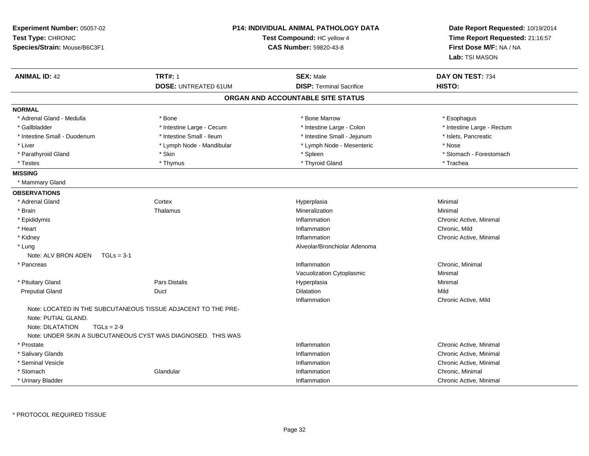| Experiment Number: 05057-02<br>Test Type: CHRONIC<br>Species/Strain: Mouse/B6C3F1 | <b>P14: INDIVIDUAL ANIMAL PATHOLOGY DATA</b><br>Test Compound: HC yellow 4<br><b>CAS Number: 59820-43-8</b> |                                   | Date Report Requested: 10/19/2014<br>Time Report Requested: 21:16:57<br>First Dose M/F: NA / NA<br>Lab: TSI MASON |
|-----------------------------------------------------------------------------------|-------------------------------------------------------------------------------------------------------------|-----------------------------------|-------------------------------------------------------------------------------------------------------------------|
| <b>ANIMAL ID: 42</b>                                                              | <b>TRT#: 1</b>                                                                                              | <b>SEX: Male</b>                  | DAY ON TEST: 734                                                                                                  |
|                                                                                   | <b>DOSE: UNTREATED 61UM</b>                                                                                 | <b>DISP: Terminal Sacrifice</b>   | HISTO:                                                                                                            |
|                                                                                   |                                                                                                             | ORGAN AND ACCOUNTABLE SITE STATUS |                                                                                                                   |
| <b>NORMAL</b>                                                                     |                                                                                                             |                                   |                                                                                                                   |
| * Adrenal Gland - Medulla                                                         | * Bone                                                                                                      | * Bone Marrow                     | * Esophagus                                                                                                       |
| * Gallbladder                                                                     | * Intestine Large - Cecum                                                                                   | * Intestine Large - Colon         | * Intestine Large - Rectum                                                                                        |
| * Intestine Small - Duodenum                                                      | * Intestine Small - Ileum                                                                                   | * Intestine Small - Jejunum       | * Islets, Pancreatic                                                                                              |
| * Liver                                                                           | * Lymph Node - Mandibular                                                                                   | * Lymph Node - Mesenteric         | * Nose                                                                                                            |
| * Parathyroid Gland                                                               | * Skin                                                                                                      | * Spleen                          | * Stomach - Forestomach                                                                                           |
| * Testes                                                                          | * Thymus                                                                                                    | * Thyroid Gland                   | * Trachea                                                                                                         |
| <b>MISSING</b>                                                                    |                                                                                                             |                                   |                                                                                                                   |
| * Mammary Gland                                                                   |                                                                                                             |                                   |                                                                                                                   |
| <b>OBSERVATIONS</b>                                                               |                                                                                                             |                                   |                                                                                                                   |
| * Adrenal Gland                                                                   | Cortex                                                                                                      | Hyperplasia                       | Minimal                                                                                                           |
| * Brain                                                                           | Thalamus                                                                                                    | Mineralization                    | Minimal                                                                                                           |
| * Epididymis                                                                      |                                                                                                             | Inflammation                      | Chronic Active, Minimal                                                                                           |
| * Heart                                                                           |                                                                                                             | Inflammation                      | Chronic, Mild                                                                                                     |
| * Kidney                                                                          |                                                                                                             | Inflammation                      | Chronic Active, Minimal                                                                                           |
| * Lung                                                                            |                                                                                                             | Alveolar/Bronchiolar Adenoma      |                                                                                                                   |
| Note: ALV BRON ADEN<br>$TGLs = 3-1$                                               |                                                                                                             |                                   |                                                                                                                   |
| * Pancreas                                                                        |                                                                                                             | Inflammation                      | Chronic, Minimal                                                                                                  |
|                                                                                   |                                                                                                             | Vacuolization Cytoplasmic         | Minimal                                                                                                           |
| * Pituitary Gland                                                                 | <b>Pars Distalis</b>                                                                                        | Hyperplasia                       | Minimal                                                                                                           |
| <b>Preputial Gland</b>                                                            | Duct                                                                                                        | Dilatation                        | Mild                                                                                                              |
|                                                                                   |                                                                                                             | Inflammation                      | Chronic Active, Mild                                                                                              |
| Note: PUTIAL GLAND.<br>Note: DILATATION<br>$TGLs = 2-9$                           | Note: LOCATED IN THE SUBCUTANEOUS TISSUE ADJACENT TO THE PRE-                                               |                                   |                                                                                                                   |
|                                                                                   | Note: UNDER SKIN A SUBCUTANEOUS CYST WAS DIAGNOSED. THIS WAS                                                |                                   |                                                                                                                   |
| * Prostate                                                                        |                                                                                                             | Inflammation                      | Chronic Active, Minimal                                                                                           |
| * Salivary Glands                                                                 |                                                                                                             | Inflammation                      | Chronic Active, Minimal                                                                                           |
| * Seminal Vesicle                                                                 |                                                                                                             | Inflammation                      | Chronic Active, Minimal                                                                                           |
| * Stomach                                                                         | Glandular                                                                                                   | Inflammation                      | Chronic, Minimal                                                                                                  |
| * Urinary Bladder                                                                 |                                                                                                             | Inflammation                      | Chronic Active, Minimal                                                                                           |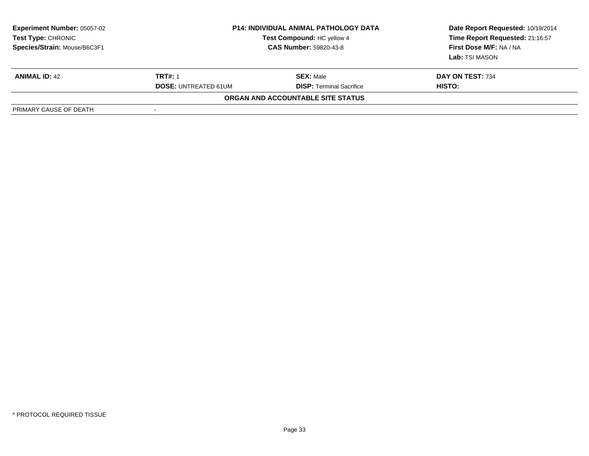| <b>Experiment Number: 05057-02</b><br><b>Test Type: CHRONIC</b><br>Species/Strain: Mouse/B6C3F1 | <b>P14: INDIVIDUAL ANIMAL PATHOLOGY DATA</b><br>Test Compound: HC yellow 4<br><b>CAS Number: 59820-43-8</b> |                                   | Date Report Requested: 10/19/2014<br>Time Report Requested: 21:16:57<br>First Dose M/F: NA / NA<br>Lab: TSI MASON |
|-------------------------------------------------------------------------------------------------|-------------------------------------------------------------------------------------------------------------|-----------------------------------|-------------------------------------------------------------------------------------------------------------------|
| <b>ANIMAL ID: 42</b>                                                                            | <b>TRT#: 1</b>                                                                                              | <b>SEX: Male</b>                  | DAY ON TEST: 734                                                                                                  |
|                                                                                                 | <b>DOSE: UNTREATED 61UM</b>                                                                                 | <b>DISP:</b> Terminal Sacrifice   | HISTO:                                                                                                            |
|                                                                                                 |                                                                                                             | ORGAN AND ACCOUNTABLE SITE STATUS |                                                                                                                   |
| PRIMARY CAUSE OF DEATH                                                                          |                                                                                                             |                                   |                                                                                                                   |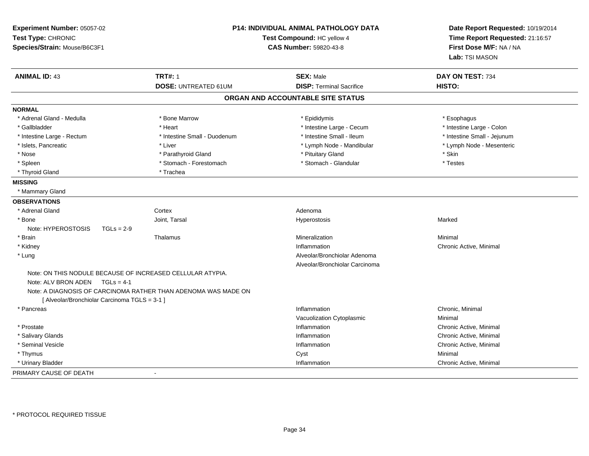| Experiment Number: 05057-02<br>Test Type: CHRONIC<br>Species/Strain: Mouse/B6C3F1 | <b>P14: INDIVIDUAL ANIMAL PATHOLOGY DATA</b><br>Test Compound: HC yellow 4<br>CAS Number: 59820-43-8 |                                   | Date Report Requested: 10/19/2014<br>Time Report Requested: 21:16:57<br>First Dose M/F: NA / NA<br>Lab: TSI MASON |  |
|-----------------------------------------------------------------------------------|------------------------------------------------------------------------------------------------------|-----------------------------------|-------------------------------------------------------------------------------------------------------------------|--|
| <b>ANIMAL ID: 43</b>                                                              | <b>TRT#: 1</b>                                                                                       | <b>SEX: Male</b>                  | DAY ON TEST: 734                                                                                                  |  |
|                                                                                   | DOSE: UNTREATED 61UM                                                                                 | <b>DISP: Terminal Sacrifice</b>   | HISTO:                                                                                                            |  |
|                                                                                   |                                                                                                      | ORGAN AND ACCOUNTABLE SITE STATUS |                                                                                                                   |  |
| <b>NORMAL</b>                                                                     |                                                                                                      |                                   |                                                                                                                   |  |
| * Adrenal Gland - Medulla                                                         | * Bone Marrow                                                                                        | * Epididymis                      | * Esophagus                                                                                                       |  |
| * Gallbladder                                                                     | * Heart                                                                                              | * Intestine Large - Cecum         | * Intestine Large - Colon                                                                                         |  |
| * Intestine Large - Rectum                                                        | * Intestine Small - Duodenum                                                                         | * Intestine Small - Ileum         | * Intestine Small - Jejunum                                                                                       |  |
| * Islets, Pancreatic                                                              | * Liver                                                                                              | * Lymph Node - Mandibular         | * Lymph Node - Mesenteric                                                                                         |  |
| * Nose                                                                            | * Parathyroid Gland                                                                                  | * Pituitary Gland                 | * Skin                                                                                                            |  |
| * Spleen                                                                          | * Stomach - Forestomach                                                                              | * Stomach - Glandular             | * Testes                                                                                                          |  |
| * Thyroid Gland                                                                   | * Trachea                                                                                            |                                   |                                                                                                                   |  |
| <b>MISSING</b>                                                                    |                                                                                                      |                                   |                                                                                                                   |  |
| * Mammary Gland                                                                   |                                                                                                      |                                   |                                                                                                                   |  |
| <b>OBSERVATIONS</b>                                                               |                                                                                                      |                                   |                                                                                                                   |  |
| * Adrenal Gland                                                                   | Cortex                                                                                               | Adenoma                           |                                                                                                                   |  |
| * Bone                                                                            | Joint, Tarsal                                                                                        | Hyperostosis                      | Marked                                                                                                            |  |
| Note: HYPEROSTOSIS<br>$TGLs = 2-9$                                                |                                                                                                      |                                   |                                                                                                                   |  |
| * Brain                                                                           | Thalamus                                                                                             | Mineralization                    | Minimal                                                                                                           |  |
| * Kidney                                                                          |                                                                                                      | Inflammation                      | Chronic Active, Minimal                                                                                           |  |
| * Lung                                                                            |                                                                                                      | Alveolar/Bronchiolar Adenoma      |                                                                                                                   |  |
|                                                                                   |                                                                                                      | Alveolar/Bronchiolar Carcinoma    |                                                                                                                   |  |
| Note: ON THIS NODULE BECAUSE OF INCREASED CELLULAR ATYPIA.                        |                                                                                                      |                                   |                                                                                                                   |  |
| Note: ALV BRON ADEN<br>$TGLs = 4-1$                                               |                                                                                                      |                                   |                                                                                                                   |  |
|                                                                                   | Note: A DIAGNOSIS OF CARCINOMA RATHER THAN ADENOMA WAS MADE ON                                       |                                   |                                                                                                                   |  |
| [ Alveolar/Bronchiolar Carcinoma TGLS = 3-1 ]                                     |                                                                                                      |                                   |                                                                                                                   |  |
| * Pancreas                                                                        |                                                                                                      | Inflammation                      | Chronic, Minimal                                                                                                  |  |
|                                                                                   |                                                                                                      | Vacuolization Cytoplasmic         | Minimal                                                                                                           |  |
| * Prostate                                                                        |                                                                                                      | Inflammation                      | Chronic Active, Minimal                                                                                           |  |
| * Salivary Glands                                                                 |                                                                                                      | Inflammation                      | Chronic Active, Minimal                                                                                           |  |
| * Seminal Vesicle                                                                 |                                                                                                      | Inflammation                      | Chronic Active, Minimal                                                                                           |  |
| * Thymus                                                                          |                                                                                                      | Cyst                              | Minimal                                                                                                           |  |
| * Urinary Bladder                                                                 |                                                                                                      | Inflammation                      | Chronic Active, Minimal                                                                                           |  |
| PRIMARY CAUSE OF DEATH                                                            | $\blacksquare$                                                                                       |                                   |                                                                                                                   |  |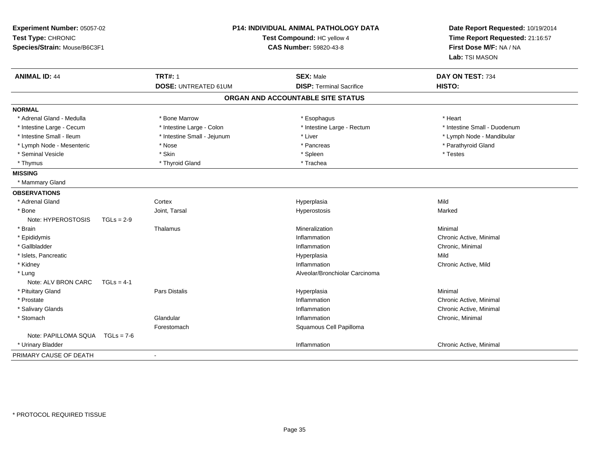| Experiment Number: 05057-02<br>Test Type: CHRONIC<br>Species/Strain: Mouse/B6C3F1 |              | <b>P14: INDIVIDUAL ANIMAL PATHOLOGY DATA</b><br>Test Compound: HC yellow 4<br>CAS Number: 59820-43-8 |                                   | Date Report Requested: 10/19/2014<br>Time Report Requested: 21:16:57<br>First Dose M/F: NA / NA<br>Lab: TSI MASON |
|-----------------------------------------------------------------------------------|--------------|------------------------------------------------------------------------------------------------------|-----------------------------------|-------------------------------------------------------------------------------------------------------------------|
| <b>ANIMAL ID: 44</b>                                                              |              | <b>TRT#: 1</b>                                                                                       | <b>SEX: Male</b>                  | DAY ON TEST: 734                                                                                                  |
|                                                                                   |              | <b>DOSE: UNTREATED 61UM</b>                                                                          | <b>DISP: Terminal Sacrifice</b>   | HISTO:                                                                                                            |
|                                                                                   |              |                                                                                                      | ORGAN AND ACCOUNTABLE SITE STATUS |                                                                                                                   |
| <b>NORMAL</b>                                                                     |              |                                                                                                      |                                   |                                                                                                                   |
| * Adrenal Gland - Medulla                                                         |              | * Bone Marrow                                                                                        | * Esophagus                       | * Heart                                                                                                           |
| * Intestine Large - Cecum                                                         |              | * Intestine Large - Colon                                                                            | * Intestine Large - Rectum        | * Intestine Small - Duodenum                                                                                      |
| * Intestine Small - Ileum                                                         |              | * Intestine Small - Jejunum                                                                          | * Liver                           | * Lymph Node - Mandibular                                                                                         |
| * Lymph Node - Mesenteric                                                         |              | * Nose                                                                                               | * Pancreas                        | * Parathyroid Gland                                                                                               |
| * Seminal Vesicle                                                                 |              | * Skin                                                                                               | * Spleen                          | * Testes                                                                                                          |
| * Thymus                                                                          |              | * Thyroid Gland                                                                                      | * Trachea                         |                                                                                                                   |
| <b>MISSING</b>                                                                    |              |                                                                                                      |                                   |                                                                                                                   |
| * Mammary Gland                                                                   |              |                                                                                                      |                                   |                                                                                                                   |
| <b>OBSERVATIONS</b>                                                               |              |                                                                                                      |                                   |                                                                                                                   |
| * Adrenal Gland                                                                   |              | Cortex                                                                                               | Hyperplasia                       | Mild                                                                                                              |
| * Bone                                                                            |              | Joint, Tarsal                                                                                        | Hyperostosis                      | Marked                                                                                                            |
| Note: HYPEROSTOSIS                                                                | $TGLs = 2-9$ |                                                                                                      |                                   |                                                                                                                   |
| * Brain                                                                           |              | Thalamus                                                                                             | Mineralization                    | Minimal                                                                                                           |
| * Epididymis                                                                      |              |                                                                                                      | Inflammation                      | Chronic Active, Minimal                                                                                           |
| * Gallbladder                                                                     |              |                                                                                                      | Inflammation                      | Chronic, Minimal                                                                                                  |
| * Islets, Pancreatic                                                              |              |                                                                                                      | Hyperplasia                       | Mild                                                                                                              |
| * Kidney                                                                          |              |                                                                                                      | Inflammation                      | Chronic Active, Mild                                                                                              |
| * Lung                                                                            |              |                                                                                                      | Alveolar/Bronchiolar Carcinoma    |                                                                                                                   |
| Note: ALV BRON CARC                                                               | $TGLs = 4-1$ |                                                                                                      |                                   |                                                                                                                   |
| * Pituitary Gland                                                                 |              | Pars Distalis                                                                                        | Hyperplasia                       | Minimal                                                                                                           |
| * Prostate                                                                        |              |                                                                                                      | Inflammation                      | Chronic Active, Minimal                                                                                           |
| * Salivary Glands                                                                 |              |                                                                                                      | Inflammation                      | Chronic Active, Minimal                                                                                           |
| * Stomach                                                                         |              | Glandular                                                                                            | Inflammation                      | Chronic, Minimal                                                                                                  |
|                                                                                   |              | Forestomach                                                                                          | Squamous Cell Papilloma           |                                                                                                                   |
| Note: PAPILLOMA SQUA TGLs = 7-6                                                   |              |                                                                                                      |                                   |                                                                                                                   |
| * Urinary Bladder                                                                 |              |                                                                                                      | Inflammation                      | Chronic Active, Minimal                                                                                           |
| PRIMARY CAUSE OF DEATH                                                            |              | $\overline{a}$                                                                                       |                                   |                                                                                                                   |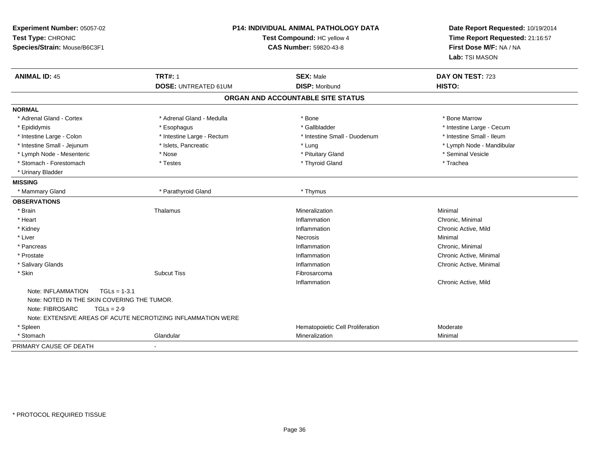| Experiment Number: 05057-02<br>Test Type: CHRONIC<br>Species/Strain: Mouse/B6C3F1                                      |                                                              | <b>P14: INDIVIDUAL ANIMAL PATHOLOGY DATA</b><br>Test Compound: HC yellow 4<br><b>CAS Number: 59820-43-8</b> | Date Report Requested: 10/19/2014<br>Time Report Requested: 21:16:57<br>First Dose M/F: NA / NA<br>Lab: TSI MASON |
|------------------------------------------------------------------------------------------------------------------------|--------------------------------------------------------------|-------------------------------------------------------------------------------------------------------------|-------------------------------------------------------------------------------------------------------------------|
| <b>ANIMAL ID: 45</b>                                                                                                   | <b>TRT#: 1</b><br><b>DOSE: UNTREATED 61UM</b>                | <b>SEX: Male</b><br><b>DISP: Moribund</b>                                                                   | DAY ON TEST: 723<br>HISTO:                                                                                        |
|                                                                                                                        |                                                              |                                                                                                             |                                                                                                                   |
|                                                                                                                        |                                                              | ORGAN AND ACCOUNTABLE SITE STATUS                                                                           |                                                                                                                   |
| <b>NORMAL</b>                                                                                                          |                                                              |                                                                                                             |                                                                                                                   |
| * Adrenal Gland - Cortex                                                                                               | * Adrenal Gland - Medulla                                    | * Bone                                                                                                      | * Bone Marrow                                                                                                     |
| * Epididymis                                                                                                           | * Esophagus                                                  | * Gallbladder                                                                                               | * Intestine Large - Cecum                                                                                         |
| * Intestine Large - Colon                                                                                              | * Intestine Large - Rectum                                   | * Intestine Small - Duodenum                                                                                | * Intestine Small - Ileum                                                                                         |
| * Intestine Small - Jejunum                                                                                            | * Islets, Pancreatic                                         | * Lung                                                                                                      | * Lymph Node - Mandibular                                                                                         |
| * Lymph Node - Mesenteric                                                                                              | * Nose                                                       | * Pituitary Gland                                                                                           | * Seminal Vesicle                                                                                                 |
| * Stomach - Forestomach                                                                                                | * Testes                                                     | * Thyroid Gland                                                                                             | * Trachea                                                                                                         |
| * Urinary Bladder                                                                                                      |                                                              |                                                                                                             |                                                                                                                   |
| <b>MISSING</b>                                                                                                         |                                                              |                                                                                                             |                                                                                                                   |
| * Mammary Gland                                                                                                        | * Parathyroid Gland                                          | * Thymus                                                                                                    |                                                                                                                   |
| <b>OBSERVATIONS</b>                                                                                                    |                                                              |                                                                                                             |                                                                                                                   |
| * Brain                                                                                                                | Thalamus                                                     | Mineralization                                                                                              | Minimal                                                                                                           |
| * Heart                                                                                                                |                                                              | Inflammation                                                                                                | Chronic, Minimal                                                                                                  |
| * Kidney                                                                                                               |                                                              | Inflammation                                                                                                | Chronic Active, Mild                                                                                              |
| * Liver                                                                                                                |                                                              | <b>Necrosis</b>                                                                                             | Minimal                                                                                                           |
| * Pancreas                                                                                                             |                                                              | Inflammation                                                                                                | Chronic, Minimal                                                                                                  |
| * Prostate                                                                                                             |                                                              | Inflammation                                                                                                | Chronic Active, Minimal                                                                                           |
| * Salivary Glands                                                                                                      |                                                              | Inflammation                                                                                                | Chronic Active, Minimal                                                                                           |
| * Skin                                                                                                                 | <b>Subcut Tiss</b>                                           | Fibrosarcoma                                                                                                |                                                                                                                   |
|                                                                                                                        |                                                              | Inflammation                                                                                                | Chronic Active, Mild                                                                                              |
| Note: INFLAMMATION<br>$TGLs = 1-3.1$<br>Note: NOTED IN THE SKIN COVERING THE TUMOR.<br>Note: FIBROSARC<br>$TGLs = 2-9$ |                                                              |                                                                                                             |                                                                                                                   |
|                                                                                                                        | Note: EXTENSIVE AREAS OF ACUTE NECROTIZING INFLAMMATION WERE |                                                                                                             |                                                                                                                   |
| * Spleen                                                                                                               |                                                              | Hematopoietic Cell Proliferation                                                                            | Moderate                                                                                                          |
| * Stomach                                                                                                              | Glandular                                                    | Mineralization                                                                                              | Minimal                                                                                                           |
| PRIMARY CAUSE OF DEATH                                                                                                 |                                                              |                                                                                                             |                                                                                                                   |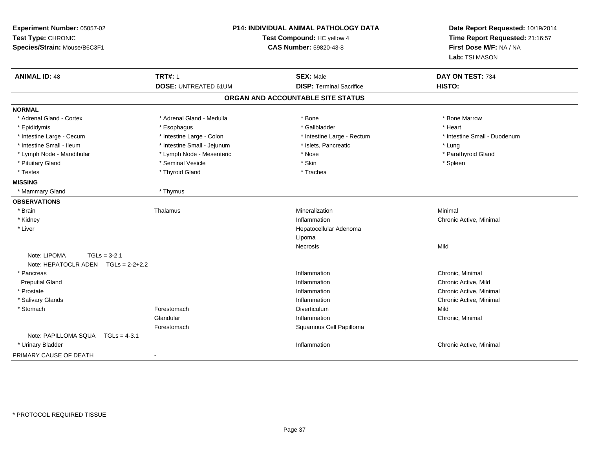| Experiment Number: 05057-02<br>Test Type: CHRONIC<br>Species/Strain: Mouse/B6C3F1 | <b>P14: INDIVIDUAL ANIMAL PATHOLOGY DATA</b><br>Test Compound: HC yellow 4<br><b>CAS Number: 59820-43-8</b> |                                   | Date Report Requested: 10/19/2014<br>Time Report Requested: 21:16:57<br>First Dose M/F: NA / NA<br>Lab: TSI MASON |
|-----------------------------------------------------------------------------------|-------------------------------------------------------------------------------------------------------------|-----------------------------------|-------------------------------------------------------------------------------------------------------------------|
| <b>ANIMAL ID: 48</b>                                                              | <b>TRT#: 1</b>                                                                                              | <b>SEX: Male</b>                  | DAY ON TEST: 734                                                                                                  |
|                                                                                   | <b>DOSE: UNTREATED 61UM</b>                                                                                 | <b>DISP: Terminal Sacrifice</b>   | HISTO:                                                                                                            |
|                                                                                   |                                                                                                             | ORGAN AND ACCOUNTABLE SITE STATUS |                                                                                                                   |
| <b>NORMAL</b>                                                                     |                                                                                                             |                                   |                                                                                                                   |
| * Adrenal Gland - Cortex                                                          | * Adrenal Gland - Medulla                                                                                   | * Bone                            | * Bone Marrow                                                                                                     |
| * Epididymis                                                                      | * Esophagus                                                                                                 | * Gallbladder                     | * Heart                                                                                                           |
| * Intestine Large - Cecum                                                         | * Intestine Large - Colon                                                                                   | * Intestine Large - Rectum        | * Intestine Small - Duodenum                                                                                      |
| * Intestine Small - Ileum                                                         | * Intestine Small - Jejunum                                                                                 | * Islets, Pancreatic              | * Luna                                                                                                            |
| * Lymph Node - Mandibular                                                         | * Lymph Node - Mesenteric                                                                                   | * Nose                            | * Parathyroid Gland                                                                                               |
| * Pituitary Gland                                                                 | * Seminal Vesicle                                                                                           | * Skin                            | * Spleen                                                                                                          |
| * Testes                                                                          | * Thyroid Gland                                                                                             | * Trachea                         |                                                                                                                   |
| <b>MISSING</b>                                                                    |                                                                                                             |                                   |                                                                                                                   |
| * Mammary Gland                                                                   | * Thymus                                                                                                    |                                   |                                                                                                                   |
| <b>OBSERVATIONS</b>                                                               |                                                                                                             |                                   |                                                                                                                   |
| * Brain                                                                           | Thalamus                                                                                                    | Mineralization                    | Minimal                                                                                                           |
| * Kidney                                                                          |                                                                                                             | Inflammation                      | Chronic Active, Minimal                                                                                           |
| * Liver                                                                           |                                                                                                             | Hepatocellular Adenoma            |                                                                                                                   |
|                                                                                   |                                                                                                             | Lipoma                            |                                                                                                                   |
|                                                                                   |                                                                                                             | Necrosis                          | Mild                                                                                                              |
| Note: LIPOMA<br>$TGLs = 3-2.1$                                                    |                                                                                                             |                                   |                                                                                                                   |
| Note: HEPATOCLR ADEN TGLs = 2-2+2.2                                               |                                                                                                             |                                   |                                                                                                                   |
| * Pancreas                                                                        |                                                                                                             | Inflammation                      | Chronic, Minimal                                                                                                  |
| <b>Preputial Gland</b>                                                            |                                                                                                             | Inflammation                      | Chronic Active, Mild                                                                                              |
| * Prostate                                                                        |                                                                                                             | Inflammation                      | Chronic Active, Minimal                                                                                           |
| * Salivary Glands                                                                 |                                                                                                             | Inflammation                      | Chronic Active, Minimal                                                                                           |
| * Stomach                                                                         | Forestomach                                                                                                 | Diverticulum                      | Mild                                                                                                              |
|                                                                                   | Glandular                                                                                                   | Inflammation                      | Chronic, Minimal                                                                                                  |
|                                                                                   | Forestomach                                                                                                 | Squamous Cell Papilloma           |                                                                                                                   |
| Note: PAPILLOMA SQUA TGLs = 4-3.1                                                 |                                                                                                             |                                   |                                                                                                                   |
| * Urinary Bladder                                                                 |                                                                                                             | Inflammation                      | Chronic Active, Minimal                                                                                           |
| PRIMARY CAUSE OF DEATH                                                            |                                                                                                             |                                   |                                                                                                                   |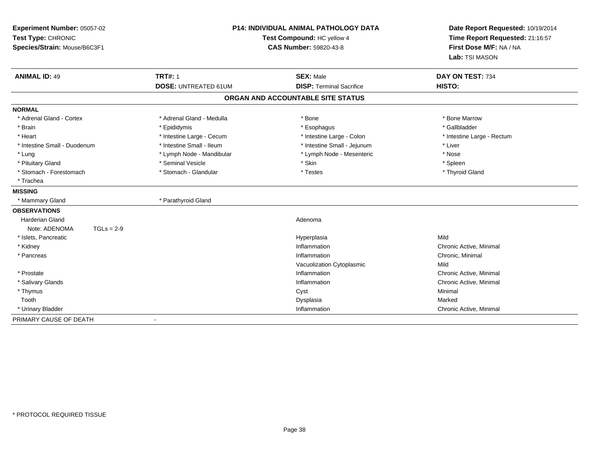| Experiment Number: 05057-02<br>Test Type: CHRONIC<br>Species/Strain: Mouse/B6C3F1 | <b>P14: INDIVIDUAL ANIMAL PATHOLOGY DATA</b><br>Test Compound: HC yellow 4<br><b>CAS Number: 59820-43-8</b> |                                   | Date Report Requested: 10/19/2014<br>Time Report Requested: 21:16:57<br>First Dose M/F: NA / NA<br>Lab: TSI MASON |
|-----------------------------------------------------------------------------------|-------------------------------------------------------------------------------------------------------------|-----------------------------------|-------------------------------------------------------------------------------------------------------------------|
| <b>ANIMAL ID: 49</b>                                                              | <b>TRT#: 1</b>                                                                                              | <b>SEX: Male</b>                  | DAY ON TEST: 734                                                                                                  |
|                                                                                   | <b>DOSE: UNTREATED 61UM</b>                                                                                 | <b>DISP: Terminal Sacrifice</b>   | HISTO:                                                                                                            |
|                                                                                   |                                                                                                             | ORGAN AND ACCOUNTABLE SITE STATUS |                                                                                                                   |
| <b>NORMAL</b>                                                                     |                                                                                                             |                                   |                                                                                                                   |
| * Adrenal Gland - Cortex                                                          | * Adrenal Gland - Medulla                                                                                   | * Bone                            | * Bone Marrow                                                                                                     |
| * Brain                                                                           | * Epididymis                                                                                                | * Esophagus                       | * Gallbladder                                                                                                     |
| * Heart                                                                           | * Intestine Large - Cecum                                                                                   | * Intestine Large - Colon         | * Intestine Large - Rectum                                                                                        |
| * Intestine Small - Duodenum                                                      | * Intestine Small - Ileum                                                                                   | * Intestine Small - Jejunum       | * Liver                                                                                                           |
| * Lung                                                                            | * Lymph Node - Mandibular                                                                                   | * Lymph Node - Mesenteric         | * Nose                                                                                                            |
| * Pituitary Gland                                                                 | * Seminal Vesicle                                                                                           | * Skin                            | * Spleen                                                                                                          |
| * Stomach - Forestomach                                                           | * Stomach - Glandular                                                                                       | * Testes                          | * Thyroid Gland                                                                                                   |
| * Trachea                                                                         |                                                                                                             |                                   |                                                                                                                   |
| <b>MISSING</b>                                                                    |                                                                                                             |                                   |                                                                                                                   |
| * Mammary Gland                                                                   | * Parathyroid Gland                                                                                         |                                   |                                                                                                                   |
| <b>OBSERVATIONS</b>                                                               |                                                                                                             |                                   |                                                                                                                   |
| <b>Harderian Gland</b>                                                            |                                                                                                             | Adenoma                           |                                                                                                                   |
| Note: ADENOMA<br>$TGLs = 2-9$                                                     |                                                                                                             |                                   |                                                                                                                   |
| * Islets, Pancreatic                                                              |                                                                                                             | Hyperplasia                       | Mild                                                                                                              |
| * Kidney                                                                          |                                                                                                             | Inflammation                      | Chronic Active, Minimal                                                                                           |
| * Pancreas                                                                        |                                                                                                             | Inflammation                      | Chronic, Minimal                                                                                                  |
|                                                                                   |                                                                                                             | Vacuolization Cytoplasmic         | Mild                                                                                                              |
| * Prostate                                                                        |                                                                                                             | Inflammation                      | Chronic Active, Minimal                                                                                           |
| * Salivary Glands                                                                 |                                                                                                             | Inflammation                      | Chronic Active, Minimal                                                                                           |
| * Thymus                                                                          |                                                                                                             | Cyst                              | Minimal                                                                                                           |
| Tooth                                                                             |                                                                                                             | Dysplasia                         | Marked                                                                                                            |
| * Urinary Bladder                                                                 |                                                                                                             | Inflammation                      | Chronic Active, Minimal                                                                                           |
| PRIMARY CAUSE OF DEATH                                                            |                                                                                                             |                                   |                                                                                                                   |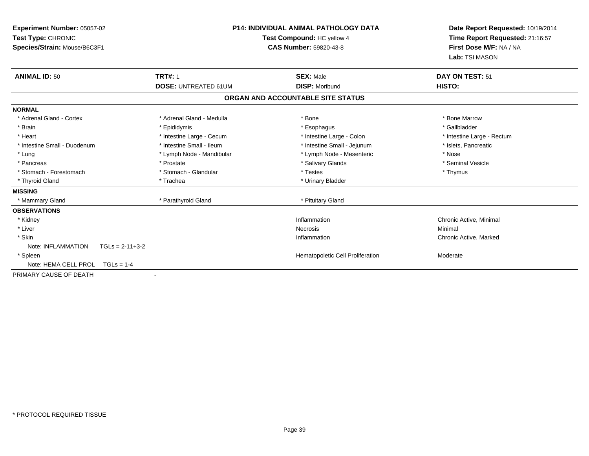| Experiment Number: 05057-02<br>Test Type: CHRONIC<br>Species/Strain: Mouse/B6C3F1 | <b>P14: INDIVIDUAL ANIMAL PATHOLOGY DATA</b><br>Test Compound: HC yellow 4<br>CAS Number: 59820-43-8 |                                   | Date Report Requested: 10/19/2014<br>Time Report Requested: 21:16:57<br>First Dose M/F: NA / NA<br>Lab: TSI MASON |
|-----------------------------------------------------------------------------------|------------------------------------------------------------------------------------------------------|-----------------------------------|-------------------------------------------------------------------------------------------------------------------|
| <b>ANIMAL ID: 50</b>                                                              | <b>TRT#: 1</b>                                                                                       | <b>SEX: Male</b>                  | DAY ON TEST: 51                                                                                                   |
|                                                                                   | <b>DOSE: UNTREATED 61UM</b>                                                                          | <b>DISP: Moribund</b>             | HISTO:                                                                                                            |
|                                                                                   |                                                                                                      | ORGAN AND ACCOUNTABLE SITE STATUS |                                                                                                                   |
| <b>NORMAL</b>                                                                     |                                                                                                      |                                   |                                                                                                                   |
| * Adrenal Gland - Cortex                                                          | * Adrenal Gland - Medulla                                                                            | * Bone                            | * Bone Marrow                                                                                                     |
| * Brain                                                                           | * Epididymis                                                                                         | * Esophagus                       | * Gallbladder                                                                                                     |
| * Heart                                                                           | * Intestine Large - Cecum                                                                            | * Intestine Large - Colon         | * Intestine Large - Rectum                                                                                        |
| * Intestine Small - Duodenum                                                      | * Intestine Small - Ileum                                                                            | * Intestine Small - Jejunum       | * Islets, Pancreatic                                                                                              |
| * Lung                                                                            | * Lymph Node - Mandibular                                                                            | * Lymph Node - Mesenteric         | * Nose                                                                                                            |
| * Pancreas                                                                        | * Prostate                                                                                           | * Salivary Glands                 | * Seminal Vesicle                                                                                                 |
| * Stomach - Forestomach                                                           | * Stomach - Glandular                                                                                | * Testes                          | * Thymus                                                                                                          |
| * Thyroid Gland                                                                   | * Trachea                                                                                            | * Urinary Bladder                 |                                                                                                                   |
| <b>MISSING</b>                                                                    |                                                                                                      |                                   |                                                                                                                   |
| * Mammary Gland                                                                   | * Parathyroid Gland                                                                                  | * Pituitary Gland                 |                                                                                                                   |
| <b>OBSERVATIONS</b>                                                               |                                                                                                      |                                   |                                                                                                                   |
| * Kidney                                                                          |                                                                                                      | Inflammation                      | Chronic Active, Minimal                                                                                           |
| * Liver                                                                           |                                                                                                      | Necrosis                          | Minimal                                                                                                           |
| * Skin                                                                            |                                                                                                      | Inflammation                      | Chronic Active, Marked                                                                                            |
| Note: INFLAMMATION<br>$TGLs = 2-11+3-2$                                           |                                                                                                      |                                   |                                                                                                                   |
| * Spleen                                                                          |                                                                                                      | Hematopoietic Cell Proliferation  | Moderate                                                                                                          |
| Note: HEMA CELL PROL<br>$TGLs = 1-4$                                              |                                                                                                      |                                   |                                                                                                                   |
| PRIMARY CAUSE OF DEATH                                                            | $\overline{\phantom{a}}$                                                                             |                                   |                                                                                                                   |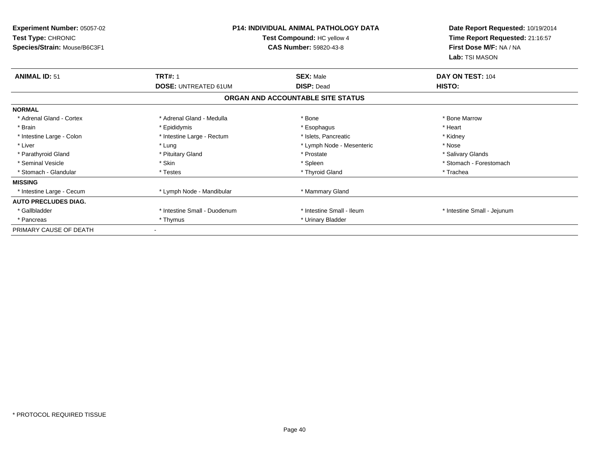| <b>Experiment Number: 05057-02</b><br>Test Type: CHRONIC<br>Species/Strain: Mouse/B6C3F1 | <b>P14: INDIVIDUAL ANIMAL PATHOLOGY DATA</b><br>Test Compound: HC yellow 4<br><b>CAS Number: 59820-43-8</b> |                                       | Date Report Requested: 10/19/2014<br>Time Report Requested: 21:16:57<br>First Dose M/F: NA / NA<br>Lab: TSI MASON |
|------------------------------------------------------------------------------------------|-------------------------------------------------------------------------------------------------------------|---------------------------------------|-------------------------------------------------------------------------------------------------------------------|
| <b>ANIMAL ID: 51</b>                                                                     | <b>TRT#: 1</b><br><b>DOSE: UNTREATED 61UM</b>                                                               | <b>SEX: Male</b><br><b>DISP: Dead</b> | DAY ON TEST: 104<br>HISTO:                                                                                        |
|                                                                                          |                                                                                                             | ORGAN AND ACCOUNTABLE SITE STATUS     |                                                                                                                   |
| <b>NORMAL</b>                                                                            |                                                                                                             |                                       |                                                                                                                   |
| * Adrenal Gland - Cortex                                                                 | * Adrenal Gland - Medulla                                                                                   | * Bone                                | * Bone Marrow                                                                                                     |
| * Brain                                                                                  | * Epididymis                                                                                                | * Esophagus                           | * Heart                                                                                                           |
| * Intestine Large - Colon                                                                | * Intestine Large - Rectum                                                                                  | * Islets. Pancreatic                  | * Kidney                                                                                                          |
| * Liver                                                                                  | * Lung                                                                                                      | * Lymph Node - Mesenteric             | * Nose                                                                                                            |
| * Parathyroid Gland                                                                      | * Pituitary Gland                                                                                           | * Prostate                            | * Salivary Glands                                                                                                 |
| * Seminal Vesicle                                                                        | * Skin                                                                                                      | * Spleen                              | * Stomach - Forestomach                                                                                           |
| * Stomach - Glandular                                                                    | * Testes                                                                                                    | * Thyroid Gland                       | * Trachea                                                                                                         |
| <b>MISSING</b>                                                                           |                                                                                                             |                                       |                                                                                                                   |
| * Intestine Large - Cecum                                                                | * Lymph Node - Mandibular                                                                                   | * Mammary Gland                       |                                                                                                                   |
| <b>AUTO PRECLUDES DIAG.</b>                                                              |                                                                                                             |                                       |                                                                                                                   |
| * Gallbladder                                                                            | * Intestine Small - Duodenum                                                                                | * Intestine Small - Ileum             | * Intestine Small - Jejunum                                                                                       |
| * Pancreas                                                                               | * Thymus                                                                                                    | * Urinary Bladder                     |                                                                                                                   |
| PRIMARY CAUSE OF DEATH                                                                   |                                                                                                             |                                       |                                                                                                                   |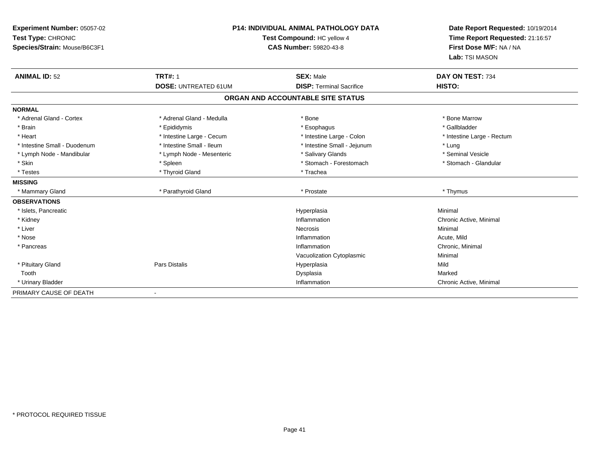| Experiment Number: 05057-02<br>Test Type: CHRONIC<br>Species/Strain: Mouse/B6C3F1 | <b>P14: INDIVIDUAL ANIMAL PATHOLOGY DATA</b><br>Test Compound: HC yellow 4<br><b>CAS Number: 59820-43-8</b> |                                   | Date Report Requested: 10/19/2014<br>Time Report Requested: 21:16:57<br>First Dose M/F: NA / NA<br>Lab: TSI MASON |
|-----------------------------------------------------------------------------------|-------------------------------------------------------------------------------------------------------------|-----------------------------------|-------------------------------------------------------------------------------------------------------------------|
| <b>ANIMAL ID: 52</b>                                                              | <b>TRT#: 1</b>                                                                                              | <b>SEX: Male</b>                  | DAY ON TEST: 734                                                                                                  |
|                                                                                   | <b>DOSE: UNTREATED 61UM</b>                                                                                 | <b>DISP: Terminal Sacrifice</b>   | HISTO:                                                                                                            |
|                                                                                   |                                                                                                             | ORGAN AND ACCOUNTABLE SITE STATUS |                                                                                                                   |
| <b>NORMAL</b>                                                                     |                                                                                                             |                                   |                                                                                                                   |
| * Adrenal Gland - Cortex                                                          | * Adrenal Gland - Medulla                                                                                   | * Bone                            | * Bone Marrow                                                                                                     |
| * Brain                                                                           | * Epididymis                                                                                                | * Esophagus                       | * Gallbladder                                                                                                     |
| * Heart                                                                           | * Intestine Large - Cecum                                                                                   | * Intestine Large - Colon         | * Intestine Large - Rectum                                                                                        |
| * Intestine Small - Duodenum                                                      | * Intestine Small - Ileum                                                                                   | * Intestine Small - Jejunum       | * Lung                                                                                                            |
| * Lymph Node - Mandibular                                                         | * Lymph Node - Mesenteric                                                                                   | * Salivary Glands                 | * Seminal Vesicle                                                                                                 |
| * Skin                                                                            | * Spleen                                                                                                    | * Stomach - Forestomach           | * Stomach - Glandular                                                                                             |
| * Testes                                                                          | * Thyroid Gland                                                                                             | * Trachea                         |                                                                                                                   |
| <b>MISSING</b>                                                                    |                                                                                                             |                                   |                                                                                                                   |
| * Mammary Gland                                                                   | * Parathyroid Gland                                                                                         | * Prostate                        | * Thymus                                                                                                          |
| <b>OBSERVATIONS</b>                                                               |                                                                                                             |                                   |                                                                                                                   |
| * Islets, Pancreatic                                                              |                                                                                                             | Hyperplasia                       | Minimal                                                                                                           |
| * Kidney                                                                          |                                                                                                             | Inflammation                      | Chronic Active, Minimal                                                                                           |
| * Liver                                                                           |                                                                                                             | <b>Necrosis</b>                   | Minimal                                                                                                           |
| * Nose                                                                            |                                                                                                             | Inflammation                      | Acute, Mild                                                                                                       |
| * Pancreas                                                                        |                                                                                                             | Inflammation                      | Chronic, Minimal                                                                                                  |
|                                                                                   |                                                                                                             | Vacuolization Cytoplasmic         | Minimal                                                                                                           |
| * Pituitary Gland                                                                 | <b>Pars Distalis</b>                                                                                        | Hyperplasia                       | Mild                                                                                                              |
| Tooth                                                                             |                                                                                                             | Dysplasia                         | Marked                                                                                                            |
| * Urinary Bladder                                                                 |                                                                                                             | Inflammation                      | Chronic Active, Minimal                                                                                           |
| PRIMARY CAUSE OF DEATH                                                            | $\qquad \qquad \blacksquare$                                                                                |                                   |                                                                                                                   |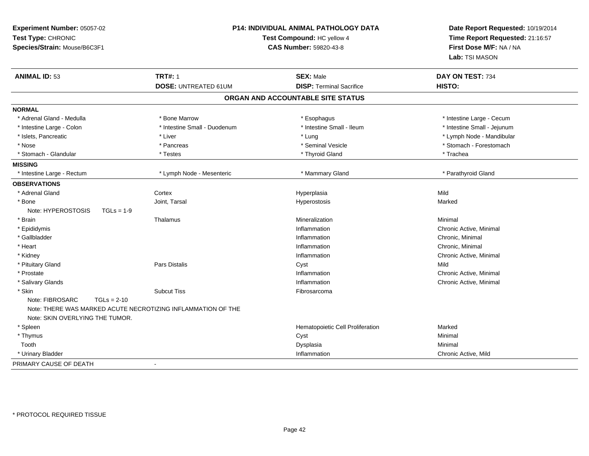| Experiment Number: 05057-02<br>Test Type: CHRONIC<br>Species/Strain: Mouse/B6C3F1 |                                                                                    | P14: INDIVIDUAL ANIMAL PATHOLOGY DATA<br>Test Compound: HC yellow 4<br><b>CAS Number: 59820-43-8</b> | Date Report Requested: 10/19/2014<br>Time Report Requested: 21:16:57<br>First Dose M/F: NA / NA<br>Lab: TSI MASON |
|-----------------------------------------------------------------------------------|------------------------------------------------------------------------------------|------------------------------------------------------------------------------------------------------|-------------------------------------------------------------------------------------------------------------------|
| <b>ANIMAL ID: 53</b>                                                              | <b>TRT#: 1</b>                                                                     | <b>SEX: Male</b>                                                                                     | DAY ON TEST: 734                                                                                                  |
|                                                                                   | <b>DOSE: UNTREATED 61UM</b>                                                        | <b>DISP: Terminal Sacrifice</b>                                                                      | HISTO:                                                                                                            |
|                                                                                   |                                                                                    | ORGAN AND ACCOUNTABLE SITE STATUS                                                                    |                                                                                                                   |
| <b>NORMAL</b>                                                                     |                                                                                    |                                                                                                      |                                                                                                                   |
| * Adrenal Gland - Medulla                                                         | * Bone Marrow                                                                      | * Esophagus                                                                                          | * Intestine Large - Cecum                                                                                         |
| * Intestine Large - Colon                                                         | * Intestine Small - Duodenum                                                       | * Intestine Small - Ileum                                                                            | * Intestine Small - Jejunum                                                                                       |
| * Islets, Pancreatic                                                              | * Liver                                                                            | * Lung                                                                                               | * Lymph Node - Mandibular                                                                                         |
| * Nose                                                                            | * Pancreas                                                                         | * Seminal Vesicle                                                                                    | * Stomach - Forestomach                                                                                           |
| * Stomach - Glandular                                                             | * Testes                                                                           | * Thyroid Gland                                                                                      | * Trachea                                                                                                         |
| <b>MISSING</b>                                                                    |                                                                                    |                                                                                                      |                                                                                                                   |
| * Intestine Large - Rectum                                                        | * Lymph Node - Mesenteric                                                          | * Mammary Gland                                                                                      | * Parathyroid Gland                                                                                               |
| <b>OBSERVATIONS</b>                                                               |                                                                                    |                                                                                                      |                                                                                                                   |
| * Adrenal Gland                                                                   | Cortex                                                                             | Hyperplasia                                                                                          | Mild                                                                                                              |
| * Bone                                                                            | Joint, Tarsal                                                                      | Hyperostosis                                                                                         | Marked                                                                                                            |
| Note: HYPEROSTOSIS<br>$TGLs = 1-9$                                                |                                                                                    |                                                                                                      |                                                                                                                   |
| * Brain                                                                           | Thalamus                                                                           | Mineralization                                                                                       | Minimal                                                                                                           |
| * Epididymis                                                                      |                                                                                    | Inflammation                                                                                         | Chronic Active, Minimal                                                                                           |
| * Gallbladder                                                                     |                                                                                    | Inflammation                                                                                         | Chronic, Minimal                                                                                                  |
| * Heart                                                                           |                                                                                    | Inflammation                                                                                         | Chronic, Minimal                                                                                                  |
| * Kidney                                                                          |                                                                                    | Inflammation                                                                                         | Chronic Active, Minimal                                                                                           |
| * Pituitary Gland                                                                 | Pars Distalis                                                                      | Cyst                                                                                                 | Mild                                                                                                              |
| * Prostate                                                                        |                                                                                    | Inflammation                                                                                         | Chronic Active, Minimal                                                                                           |
| * Salivary Glands                                                                 |                                                                                    | Inflammation                                                                                         | Chronic Active, Minimal                                                                                           |
| * Skin<br>Note: FIBROSARC<br>$TGLs = 2-10$<br>Note: SKIN OVERLYING THE TUMOR.     | <b>Subcut Tiss</b><br>Note: THERE WAS MARKED ACUTE NECROTIZING INFLAMMATION OF THE | Fibrosarcoma                                                                                         |                                                                                                                   |
| * Spleen                                                                          |                                                                                    | Hematopoietic Cell Proliferation                                                                     | Marked                                                                                                            |
| * Thymus                                                                          |                                                                                    | Cyst                                                                                                 | Minimal                                                                                                           |
| Tooth                                                                             |                                                                                    | Dysplasia                                                                                            | Minimal                                                                                                           |
| * Urinary Bladder                                                                 |                                                                                    | Inflammation                                                                                         | Chronic Active, Mild                                                                                              |
| PRIMARY CAUSE OF DEATH                                                            | $\overline{\phantom{a}}$                                                           |                                                                                                      |                                                                                                                   |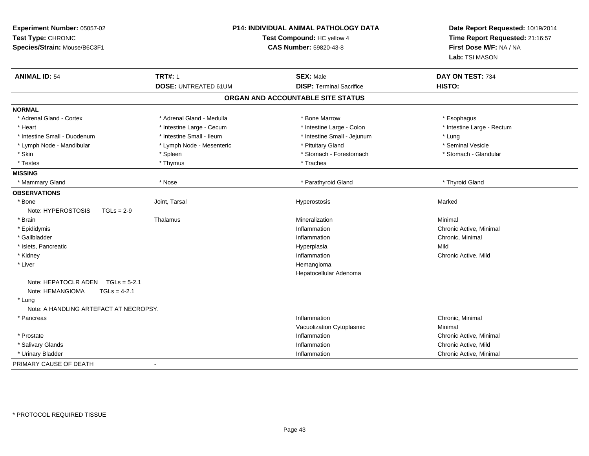| Experiment Number: 05057-02<br>Test Type: CHRONIC<br>Species/Strain: Mouse/B6C3F1 |                             | <b>P14: INDIVIDUAL ANIMAL PATHOLOGY DATA</b><br>Test Compound: HC yellow 4<br>CAS Number: 59820-43-8 | Date Report Requested: 10/19/2014<br>Time Report Requested: 21:16:57<br>First Dose M/F: NA / NA<br>Lab: TSI MASON |
|-----------------------------------------------------------------------------------|-----------------------------|------------------------------------------------------------------------------------------------------|-------------------------------------------------------------------------------------------------------------------|
| <b>ANIMAL ID: 54</b>                                                              | <b>TRT#: 1</b>              | <b>SEX: Male</b>                                                                                     | DAY ON TEST: 734                                                                                                  |
|                                                                                   | <b>DOSE: UNTREATED 61UM</b> | <b>DISP: Terminal Sacrifice</b>                                                                      | HISTO:                                                                                                            |
|                                                                                   |                             | ORGAN AND ACCOUNTABLE SITE STATUS                                                                    |                                                                                                                   |
| <b>NORMAL</b>                                                                     |                             |                                                                                                      |                                                                                                                   |
| * Adrenal Gland - Cortex                                                          | * Adrenal Gland - Medulla   | * Bone Marrow                                                                                        | * Esophagus                                                                                                       |
| * Heart                                                                           | * Intestine Large - Cecum   | * Intestine Large - Colon                                                                            | * Intestine Large - Rectum                                                                                        |
| * Intestine Small - Duodenum                                                      | * Intestine Small - Ileum   | * Intestine Small - Jejunum                                                                          | * Lung                                                                                                            |
| * Lymph Node - Mandibular                                                         | * Lymph Node - Mesenteric   | * Pituitary Gland                                                                                    | * Seminal Vesicle                                                                                                 |
| * Skin                                                                            | * Spleen                    | * Stomach - Forestomach                                                                              | * Stomach - Glandular                                                                                             |
| * Testes                                                                          | * Thymus                    | * Trachea                                                                                            |                                                                                                                   |
| <b>MISSING</b>                                                                    |                             |                                                                                                      |                                                                                                                   |
| * Mammary Gland                                                                   | * Nose                      | * Parathyroid Gland                                                                                  | * Thyroid Gland                                                                                                   |
| <b>OBSERVATIONS</b>                                                               |                             |                                                                                                      |                                                                                                                   |
| * Bone                                                                            | Joint, Tarsal               | Hyperostosis                                                                                         | Marked                                                                                                            |
| Note: HYPEROSTOSIS<br>$TGLs = 2-9$                                                |                             |                                                                                                      |                                                                                                                   |
| * Brain                                                                           | Thalamus                    | Mineralization                                                                                       | Minimal                                                                                                           |
| * Epididymis                                                                      |                             | Inflammation                                                                                         | Chronic Active, Minimal                                                                                           |
| * Gallbladder                                                                     |                             | Inflammation                                                                                         | Chronic, Minimal                                                                                                  |
| * Islets, Pancreatic                                                              |                             | Hyperplasia                                                                                          | Mild                                                                                                              |
| * Kidney                                                                          |                             | Inflammation                                                                                         | Chronic Active, Mild                                                                                              |
| * Liver                                                                           |                             | Hemangioma                                                                                           |                                                                                                                   |
|                                                                                   |                             | Hepatocellular Adenoma                                                                               |                                                                                                                   |
| Note: HEPATOCLR ADEN $TGLs = 5-2.1$<br>Note: HEMANGIOMA<br>$TGLs = 4-2.1$         |                             |                                                                                                      |                                                                                                                   |
| * Lung                                                                            |                             |                                                                                                      |                                                                                                                   |
| Note: A HANDLING ARTEFACT AT NECROPSY.                                            |                             |                                                                                                      |                                                                                                                   |
| * Pancreas                                                                        |                             | Inflammation                                                                                         | Chronic, Minimal                                                                                                  |
|                                                                                   |                             | Vacuolization Cytoplasmic                                                                            | Minimal                                                                                                           |
| * Prostate                                                                        |                             | Inflammation                                                                                         | Chronic Active, Minimal                                                                                           |
| * Salivary Glands                                                                 |                             | Inflammation                                                                                         | Chronic Active, Mild                                                                                              |
| * Urinary Bladder                                                                 |                             | Inflammation                                                                                         | Chronic Active, Minimal                                                                                           |
| PRIMARY CAUSE OF DEATH                                                            | $\overline{a}$              |                                                                                                      |                                                                                                                   |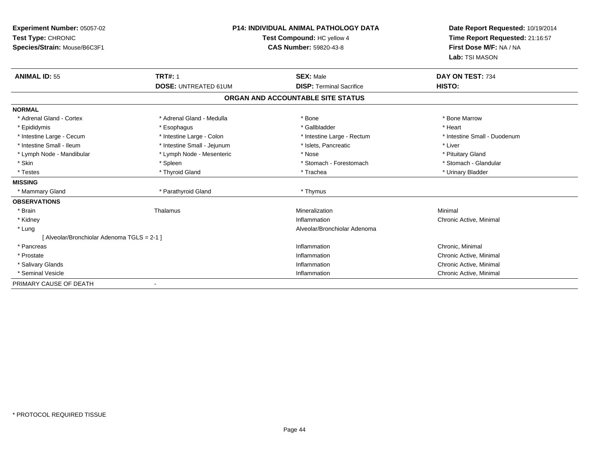| Experiment Number: 05057-02<br>Test Type: CHRONIC<br>Species/Strain: Mouse/B6C3F1 | <b>P14: INDIVIDUAL ANIMAL PATHOLOGY DATA</b><br>Test Compound: HC yellow 4<br><b>CAS Number: 59820-43-8</b> |                                                     | Date Report Requested: 10/19/2014<br>Time Report Requested: 21:16:57<br>First Dose M/F: NA / NA<br>Lab: TSI MASON |
|-----------------------------------------------------------------------------------|-------------------------------------------------------------------------------------------------------------|-----------------------------------------------------|-------------------------------------------------------------------------------------------------------------------|
| <b>ANIMAL ID: 55</b>                                                              | <b>TRT#: 1</b><br><b>DOSE: UNTREATED 61UM</b>                                                               | <b>SEX: Male</b><br><b>DISP: Terminal Sacrifice</b> | DAY ON TEST: 734<br>HISTO:                                                                                        |
|                                                                                   |                                                                                                             |                                                     |                                                                                                                   |
|                                                                                   |                                                                                                             | ORGAN AND ACCOUNTABLE SITE STATUS                   |                                                                                                                   |
| <b>NORMAL</b>                                                                     |                                                                                                             |                                                     |                                                                                                                   |
| * Adrenal Gland - Cortex                                                          | * Adrenal Gland - Medulla                                                                                   | * Bone                                              | * Bone Marrow                                                                                                     |
| * Epididymis                                                                      | * Esophagus                                                                                                 | * Gallbladder                                       | * Heart                                                                                                           |
| * Intestine Large - Cecum                                                         | * Intestine Large - Colon                                                                                   | * Intestine Large - Rectum                          | * Intestine Small - Duodenum                                                                                      |
| * Intestine Small - Ileum                                                         | * Intestine Small - Jejunum                                                                                 | * Islets, Pancreatic                                | * Liver                                                                                                           |
| * Lymph Node - Mandibular                                                         | * Lymph Node - Mesenteric                                                                                   | * Nose                                              | * Pituitary Gland                                                                                                 |
| * Skin                                                                            | * Spleen                                                                                                    | * Stomach - Forestomach                             | * Stomach - Glandular                                                                                             |
| * Testes                                                                          | * Thyroid Gland                                                                                             | * Trachea                                           | * Urinary Bladder                                                                                                 |
| <b>MISSING</b>                                                                    |                                                                                                             |                                                     |                                                                                                                   |
| * Mammary Gland                                                                   | * Parathyroid Gland                                                                                         | * Thymus                                            |                                                                                                                   |
| <b>OBSERVATIONS</b>                                                               |                                                                                                             |                                                     |                                                                                                                   |
| * Brain                                                                           | Thalamus                                                                                                    | Mineralization                                      | Minimal                                                                                                           |
| * Kidney                                                                          |                                                                                                             | Inflammation                                        | Chronic Active, Minimal                                                                                           |
| * Lung                                                                            |                                                                                                             | Alveolar/Bronchiolar Adenoma                        |                                                                                                                   |
| [ Alveolar/Bronchiolar Adenoma TGLS = 2-1 ]                                       |                                                                                                             |                                                     |                                                                                                                   |
| * Pancreas                                                                        |                                                                                                             | Inflammation                                        | Chronic, Minimal                                                                                                  |
| * Prostate                                                                        |                                                                                                             | Inflammation                                        | Chronic Active, Minimal                                                                                           |
| * Salivary Glands                                                                 |                                                                                                             | Inflammation                                        | Chronic Active, Minimal                                                                                           |
| * Seminal Vesicle                                                                 |                                                                                                             | Inflammation                                        | Chronic Active, Minimal                                                                                           |
| PRIMARY CAUSE OF DEATH                                                            |                                                                                                             |                                                     |                                                                                                                   |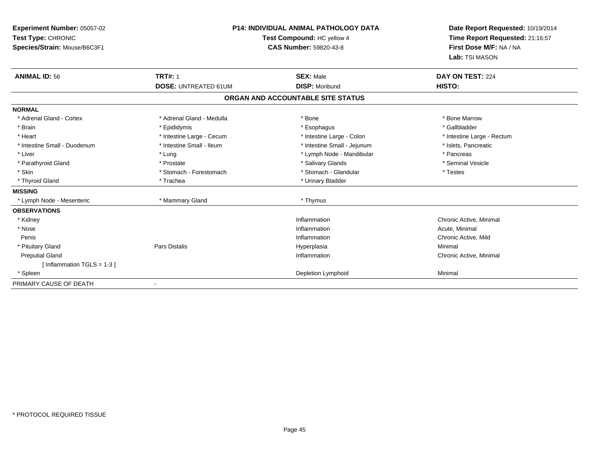| <b>Experiment Number: 05057-02</b><br>Test Type: CHRONIC<br>Species/Strain: Mouse/B6C3F1 | <b>P14: INDIVIDUAL ANIMAL PATHOLOGY DATA</b><br>Test Compound: HC yellow 4<br><b>CAS Number: 59820-43-8</b> |                                           | Date Report Requested: 10/19/2014<br>Time Report Requested: 21:16:57<br>First Dose M/F: NA / NA<br>Lab: TSI MASON |
|------------------------------------------------------------------------------------------|-------------------------------------------------------------------------------------------------------------|-------------------------------------------|-------------------------------------------------------------------------------------------------------------------|
| <b>ANIMAL ID: 56</b>                                                                     | <b>TRT#: 1</b><br><b>DOSE: UNTREATED 61UM</b>                                                               | <b>SEX: Male</b><br><b>DISP: Moribund</b> | DAY ON TEST: 224<br>HISTO:                                                                                        |
|                                                                                          |                                                                                                             | ORGAN AND ACCOUNTABLE SITE STATUS         |                                                                                                                   |
| <b>NORMAL</b>                                                                            |                                                                                                             |                                           |                                                                                                                   |
| * Adrenal Gland - Cortex                                                                 | * Adrenal Gland - Medulla                                                                                   | * Bone                                    | * Bone Marrow                                                                                                     |
| * Brain                                                                                  | * Epididymis                                                                                                | * Esophagus                               | * Gallbladder                                                                                                     |
| * Heart                                                                                  | * Intestine Large - Cecum                                                                                   | * Intestine Large - Colon                 | * Intestine Large - Rectum                                                                                        |
| * Intestine Small - Duodenum                                                             | * Intestine Small - Ileum                                                                                   | * Intestine Small - Jejunum               | * Islets. Pancreatic                                                                                              |
| * Liver                                                                                  | * Lung                                                                                                      | * Lymph Node - Mandibular                 | * Pancreas                                                                                                        |
| * Parathyroid Gland                                                                      | * Prostate                                                                                                  | * Salivary Glands                         | * Seminal Vesicle                                                                                                 |
| * Skin                                                                                   | * Stomach - Forestomach                                                                                     | * Stomach - Glandular                     | * Testes                                                                                                          |
| * Thyroid Gland                                                                          | * Trachea                                                                                                   | * Urinary Bladder                         |                                                                                                                   |
| <b>MISSING</b>                                                                           |                                                                                                             |                                           |                                                                                                                   |
| * Lymph Node - Mesenteric                                                                | * Mammary Gland                                                                                             | * Thymus                                  |                                                                                                                   |
| <b>OBSERVATIONS</b>                                                                      |                                                                                                             |                                           |                                                                                                                   |
| * Kidney                                                                                 |                                                                                                             | Inflammation                              | Chronic Active, Minimal                                                                                           |
| * Nose                                                                                   |                                                                                                             | Inflammation                              | Acute, Minimal                                                                                                    |
| Penis                                                                                    |                                                                                                             | Inflammation                              | Chronic Active, Mild                                                                                              |
| * Pituitary Gland                                                                        | <b>Pars Distalis</b>                                                                                        | Hyperplasia                               | Minimal                                                                                                           |
| <b>Preputial Gland</b>                                                                   |                                                                                                             | Inflammation                              | Chronic Active, Minimal                                                                                           |
| [Inflammation TGLS = $1-3$ ]                                                             |                                                                                                             |                                           |                                                                                                                   |
| * Spleen                                                                                 |                                                                                                             | Depletion Lymphoid                        | Minimal                                                                                                           |
| PRIMARY CAUSE OF DEATH                                                                   |                                                                                                             |                                           |                                                                                                                   |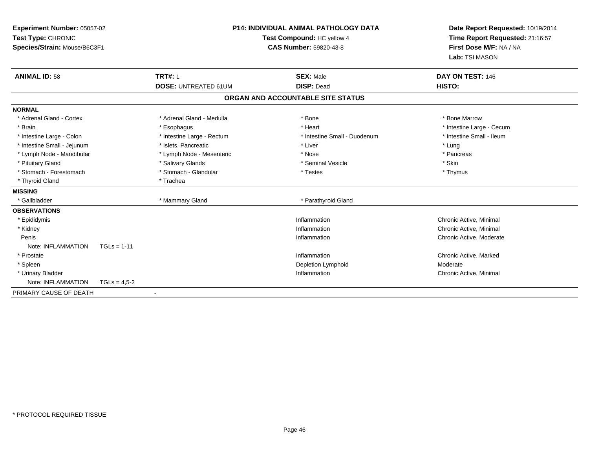| Experiment Number: 05057-02<br>Test Type: CHRONIC<br>Species/Strain: Mouse/B6C3F1 |                             | P14: INDIVIDUAL ANIMAL PATHOLOGY DATA<br>Test Compound: HC yellow 4<br><b>CAS Number: 59820-43-8</b> | Date Report Requested: 10/19/2014<br>Time Report Requested: 21:16:57<br>First Dose M/F: NA / NA<br>Lab: TSI MASON |
|-----------------------------------------------------------------------------------|-----------------------------|------------------------------------------------------------------------------------------------------|-------------------------------------------------------------------------------------------------------------------|
| <b>ANIMAL ID: 58</b>                                                              | <b>TRT#: 1</b>              | <b>SEX: Male</b>                                                                                     | DAY ON TEST: 146                                                                                                  |
|                                                                                   | <b>DOSE: UNTREATED 61UM</b> | <b>DISP: Dead</b>                                                                                    | HISTO:                                                                                                            |
|                                                                                   |                             | ORGAN AND ACCOUNTABLE SITE STATUS                                                                    |                                                                                                                   |
| <b>NORMAL</b>                                                                     |                             |                                                                                                      |                                                                                                                   |
| * Adrenal Gland - Cortex                                                          | * Adrenal Gland - Medulla   | * Bone                                                                                               | * Bone Marrow                                                                                                     |
| * Brain                                                                           | * Esophagus                 | * Heart                                                                                              | * Intestine Large - Cecum                                                                                         |
| * Intestine Large - Colon                                                         | * Intestine Large - Rectum  | * Intestine Small - Duodenum                                                                         | * Intestine Small - Ileum                                                                                         |
| * Intestine Small - Jejunum                                                       | * Islets, Pancreatic        | * Liver                                                                                              | * Lung                                                                                                            |
| * Lymph Node - Mandibular                                                         | * Lymph Node - Mesenteric   | * Nose                                                                                               | * Pancreas                                                                                                        |
| * Pituitary Gland                                                                 | * Salivary Glands           | * Seminal Vesicle                                                                                    | * Skin                                                                                                            |
| * Stomach - Forestomach                                                           | * Stomach - Glandular       | * Testes                                                                                             | * Thymus                                                                                                          |
| * Thyroid Gland                                                                   | * Trachea                   |                                                                                                      |                                                                                                                   |
| <b>MISSING</b>                                                                    |                             |                                                                                                      |                                                                                                                   |
| * Gallbladder                                                                     | * Mammary Gland             | * Parathyroid Gland                                                                                  |                                                                                                                   |
| <b>OBSERVATIONS</b>                                                               |                             |                                                                                                      |                                                                                                                   |
| * Epididymis                                                                      |                             | Inflammation                                                                                         | Chronic Active, Minimal                                                                                           |
| * Kidney                                                                          |                             | Inflammation                                                                                         | Chronic Active, Minimal                                                                                           |
| Penis                                                                             |                             | Inflammation                                                                                         | Chronic Active, Moderate                                                                                          |
| Note: INFLAMMATION<br>$TGLs = 1-11$                                               |                             |                                                                                                      |                                                                                                                   |
| * Prostate                                                                        |                             | Inflammation                                                                                         | Chronic Active, Marked                                                                                            |
| * Spleen                                                                          |                             | Depletion Lymphoid                                                                                   | Moderate                                                                                                          |
| * Urinary Bladder                                                                 |                             | Inflammation                                                                                         | Chronic Active, Minimal                                                                                           |
| Note: INFLAMMATION                                                                | $TGLs = 4,5-2$              |                                                                                                      |                                                                                                                   |
| PRIMARY CAUSE OF DEATH                                                            |                             |                                                                                                      |                                                                                                                   |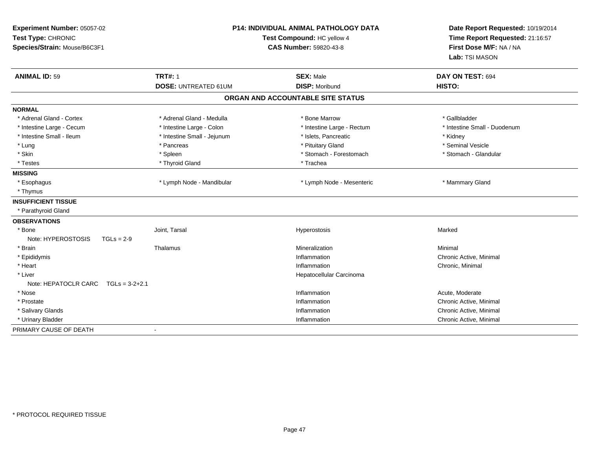| Experiment Number: 05057-02<br>Test Type: CHRONIC<br>Species/Strain: Mouse/B6C3F1 | <b>P14: INDIVIDUAL ANIMAL PATHOLOGY DATA</b><br>Test Compound: HC yellow 4<br><b>CAS Number: 59820-43-8</b> |                                           | Date Report Requested: 10/19/2014<br>Time Report Requested: 21:16:57<br>First Dose M/F: NA / NA<br>Lab: TSI MASON |
|-----------------------------------------------------------------------------------|-------------------------------------------------------------------------------------------------------------|-------------------------------------------|-------------------------------------------------------------------------------------------------------------------|
| <b>ANIMAL ID: 59</b>                                                              | <b>TRT#: 1</b><br><b>DOSE: UNTREATED 61UM</b>                                                               | <b>SEX: Male</b><br><b>DISP: Moribund</b> | DAY ON TEST: 694<br>HISTO:                                                                                        |
|                                                                                   |                                                                                                             | ORGAN AND ACCOUNTABLE SITE STATUS         |                                                                                                                   |
| <b>NORMAL</b>                                                                     |                                                                                                             |                                           |                                                                                                                   |
| * Adrenal Gland - Cortex                                                          | * Adrenal Gland - Medulla                                                                                   | * Bone Marrow                             | * Gallbladder                                                                                                     |
| * Intestine Large - Cecum                                                         | * Intestine Large - Colon                                                                                   | * Intestine Large - Rectum                | * Intestine Small - Duodenum                                                                                      |
| * Intestine Small - Ileum                                                         | * Intestine Small - Jejunum                                                                                 | * Islets, Pancreatic                      | * Kidney                                                                                                          |
| * Lung                                                                            | * Pancreas                                                                                                  | * Pituitary Gland                         | * Seminal Vesicle                                                                                                 |
| * Skin                                                                            | * Spleen                                                                                                    | * Stomach - Forestomach                   | * Stomach - Glandular                                                                                             |
| * Testes                                                                          | * Thyroid Gland                                                                                             | * Trachea                                 |                                                                                                                   |
| <b>MISSING</b>                                                                    |                                                                                                             |                                           |                                                                                                                   |
| * Esophagus                                                                       | * Lymph Node - Mandibular                                                                                   | * Lymph Node - Mesenteric                 | * Mammary Gland                                                                                                   |
| * Thymus                                                                          |                                                                                                             |                                           |                                                                                                                   |
| <b>INSUFFICIENT TISSUE</b>                                                        |                                                                                                             |                                           |                                                                                                                   |
| * Parathyroid Gland                                                               |                                                                                                             |                                           |                                                                                                                   |
| <b>OBSERVATIONS</b>                                                               |                                                                                                             |                                           |                                                                                                                   |
| * Bone                                                                            | Joint, Tarsal                                                                                               | Hyperostosis                              | Marked                                                                                                            |
| Note: HYPEROSTOSIS<br>$TGLs = 2-9$                                                |                                                                                                             |                                           |                                                                                                                   |
| * Brain                                                                           | Thalamus                                                                                                    | Mineralization                            | Minimal                                                                                                           |
| * Epididymis                                                                      |                                                                                                             | Inflammation                              | Chronic Active, Minimal                                                                                           |
| * Heart                                                                           |                                                                                                             | Inflammation                              | Chronic, Minimal                                                                                                  |
| * Liver                                                                           |                                                                                                             | Hepatocellular Carcinoma                  |                                                                                                                   |
| Note: HEPATOCLR CARC<br>$TGLs = 3-2+2.1$                                          |                                                                                                             |                                           |                                                                                                                   |
| * Nose                                                                            |                                                                                                             | Inflammation                              | Acute, Moderate                                                                                                   |
| * Prostate                                                                        |                                                                                                             | Inflammation                              | Chronic Active, Minimal                                                                                           |
| * Salivary Glands                                                                 |                                                                                                             | Inflammation                              | Chronic Active, Minimal                                                                                           |
| * Urinary Bladder                                                                 |                                                                                                             | Inflammation                              | Chronic Active, Minimal                                                                                           |
| PRIMARY CAUSE OF DEATH                                                            | $\blacksquare$                                                                                              |                                           |                                                                                                                   |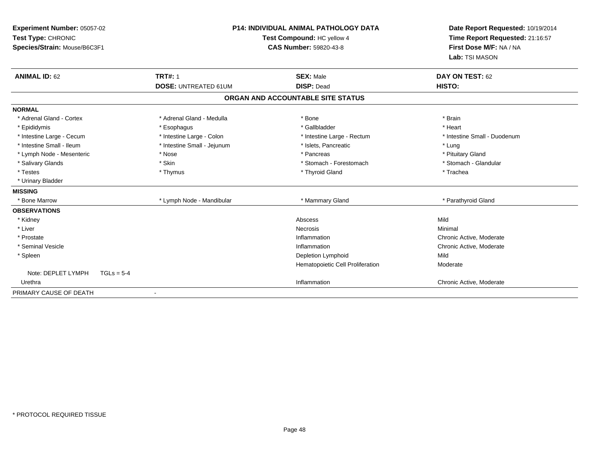| Experiment Number: 05057-02<br>Test Type: CHRONIC<br>Species/Strain: Mouse/B6C3F1<br><b>ANIMAL ID: 62</b> | <b>P14: INDIVIDUAL ANIMAL PATHOLOGY DATA</b><br>Test Compound: HC yellow 4<br><b>CAS Number: 59820-43-8</b> |                                                    | Date Report Requested: 10/19/2014<br>Time Report Requested: 21:16:57<br>First Dose M/F: NA / NA<br>Lab: TSI MASON<br>DAY ON TEST: 62 |
|-----------------------------------------------------------------------------------------------------------|-------------------------------------------------------------------------------------------------------------|----------------------------------------------------|--------------------------------------------------------------------------------------------------------------------------------------|
|                                                                                                           | <b>TRT#: 1</b><br><b>DOSE: UNTREATED 61UM</b>                                                               | <b>SEX: Male</b><br><b>DISP: Dead</b>              | HISTO:                                                                                                                               |
|                                                                                                           |                                                                                                             | ORGAN AND ACCOUNTABLE SITE STATUS                  |                                                                                                                                      |
|                                                                                                           |                                                                                                             |                                                    |                                                                                                                                      |
| <b>NORMAL</b><br>* Adrenal Gland - Cortex                                                                 | * Adrenal Gland - Medulla                                                                                   | * Bone                                             | * Brain                                                                                                                              |
| * Epididymis                                                                                              | * Esophagus                                                                                                 | * Gallbladder                                      | * Heart<br>* Intestine Small - Duodenum                                                                                              |
| * Intestine Large - Cecum<br>* Intestine Small - Ileum                                                    | * Intestine Large - Colon<br>* Intestine Small - Jejunum                                                    | * Intestine Large - Rectum<br>* Islets, Pancreatic | * Lung                                                                                                                               |
| * Lymph Node - Mesenteric                                                                                 | * Nose                                                                                                      | * Pancreas                                         | * Pituitary Gland                                                                                                                    |
| * Salivary Glands                                                                                         | * Skin                                                                                                      | * Stomach - Forestomach                            | * Stomach - Glandular                                                                                                                |
| * Testes                                                                                                  | * Thymus                                                                                                    | * Thyroid Gland                                    | * Trachea                                                                                                                            |
| * Urinary Bladder                                                                                         |                                                                                                             |                                                    |                                                                                                                                      |
| <b>MISSING</b>                                                                                            |                                                                                                             |                                                    |                                                                                                                                      |
| * Bone Marrow                                                                                             | * Lymph Node - Mandibular                                                                                   | * Mammary Gland                                    | * Parathyroid Gland                                                                                                                  |
| <b>OBSERVATIONS</b>                                                                                       |                                                                                                             |                                                    |                                                                                                                                      |
| * Kidney                                                                                                  |                                                                                                             | Abscess                                            | Mild                                                                                                                                 |
| * Liver                                                                                                   |                                                                                                             | Necrosis                                           | Minimal                                                                                                                              |
| * Prostate                                                                                                |                                                                                                             | Inflammation                                       | Chronic Active, Moderate                                                                                                             |
| * Seminal Vesicle                                                                                         |                                                                                                             | Inflammation                                       | Chronic Active, Moderate                                                                                                             |
| * Spleen                                                                                                  |                                                                                                             | Depletion Lymphoid                                 | Mild                                                                                                                                 |
|                                                                                                           |                                                                                                             | Hematopoietic Cell Proliferation                   | Moderate                                                                                                                             |
| Note: DEPLET LYMPH<br>$TGLs = 5-4$                                                                        |                                                                                                             |                                                    |                                                                                                                                      |
| Urethra                                                                                                   |                                                                                                             | Inflammation                                       | Chronic Active, Moderate                                                                                                             |
| PRIMARY CAUSE OF DEATH                                                                                    |                                                                                                             |                                                    |                                                                                                                                      |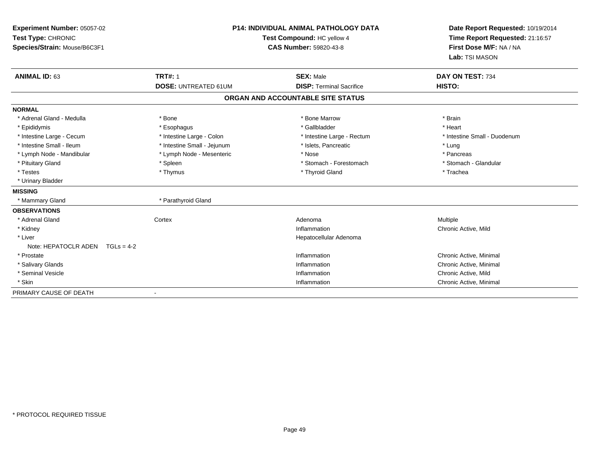| Experiment Number: 05057-02<br>Test Type: CHRONIC<br>Species/Strain: Mouse/B6C3F1 |                                               | <b>P14: INDIVIDUAL ANIMAL PATHOLOGY DATA</b><br>Test Compound: HC yellow 4<br><b>CAS Number: 59820-43-8</b> | Date Report Requested: 10/19/2014<br>Time Report Requested: 21:16:57<br>First Dose M/F: NA / NA<br>Lab: TSI MASON |
|-----------------------------------------------------------------------------------|-----------------------------------------------|-------------------------------------------------------------------------------------------------------------|-------------------------------------------------------------------------------------------------------------------|
| <b>ANIMAL ID: 63</b>                                                              | <b>TRT#: 1</b><br><b>DOSE: UNTREATED 61UM</b> | <b>SEX: Male</b><br><b>DISP: Terminal Sacrifice</b>                                                         | DAY ON TEST: 734<br><b>HISTO:</b>                                                                                 |
|                                                                                   |                                               |                                                                                                             |                                                                                                                   |
|                                                                                   |                                               | ORGAN AND ACCOUNTABLE SITE STATUS                                                                           |                                                                                                                   |
| <b>NORMAL</b>                                                                     |                                               |                                                                                                             |                                                                                                                   |
| * Adrenal Gland - Medulla                                                         | * Bone                                        | * Bone Marrow                                                                                               | * Brain                                                                                                           |
| * Epididymis                                                                      | * Esophagus                                   | * Gallbladder                                                                                               | * Heart                                                                                                           |
| * Intestine Large - Cecum                                                         | * Intestine Large - Colon                     | * Intestine Large - Rectum                                                                                  | * Intestine Small - Duodenum                                                                                      |
| * Intestine Small - Ileum                                                         | * Intestine Small - Jejunum                   | * Islets, Pancreatic                                                                                        | * Lung                                                                                                            |
| * Lymph Node - Mandibular                                                         | * Lymph Node - Mesenteric                     | * Nose                                                                                                      | * Pancreas                                                                                                        |
| * Pituitary Gland                                                                 | * Spleen                                      | * Stomach - Forestomach                                                                                     | * Stomach - Glandular                                                                                             |
| * Testes                                                                          | * Thymus                                      | * Thyroid Gland                                                                                             | * Trachea                                                                                                         |
| * Urinary Bladder                                                                 |                                               |                                                                                                             |                                                                                                                   |
| <b>MISSING</b>                                                                    |                                               |                                                                                                             |                                                                                                                   |
| * Mammary Gland                                                                   | * Parathyroid Gland                           |                                                                                                             |                                                                                                                   |
| <b>OBSERVATIONS</b>                                                               |                                               |                                                                                                             |                                                                                                                   |
| * Adrenal Gland                                                                   | Cortex                                        | Adenoma                                                                                                     | Multiple                                                                                                          |
| * Kidney                                                                          |                                               | Inflammation                                                                                                | Chronic Active, Mild                                                                                              |
| * Liver                                                                           |                                               | Hepatocellular Adenoma                                                                                      |                                                                                                                   |
| Note: HEPATOCLR ADEN<br>$TGLs = 4-2$                                              |                                               |                                                                                                             |                                                                                                                   |
| * Prostate                                                                        |                                               | Inflammation                                                                                                | Chronic Active, Minimal                                                                                           |
| * Salivary Glands                                                                 |                                               | Inflammation                                                                                                | Chronic Active, Minimal                                                                                           |
| * Seminal Vesicle                                                                 |                                               | Inflammation                                                                                                | Chronic Active, Mild                                                                                              |
| * Skin                                                                            |                                               | Inflammation                                                                                                | Chronic Active, Minimal                                                                                           |
| PRIMARY CAUSE OF DEATH                                                            |                                               |                                                                                                             |                                                                                                                   |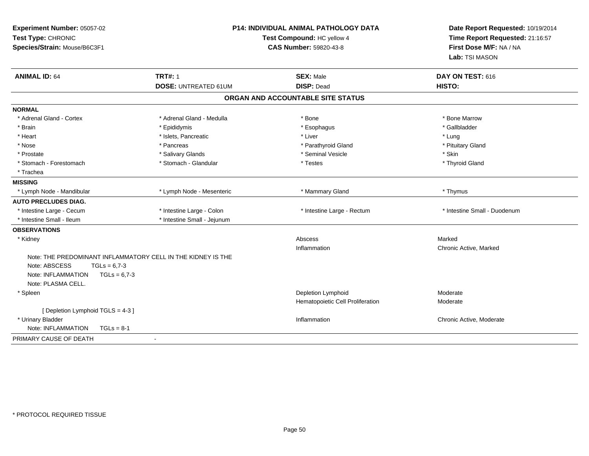| Experiment Number: 05057-02<br>Test Type: CHRONIC<br>Species/Strain: Mouse/B6C3F1 |                                               | <b>P14: INDIVIDUAL ANIMAL PATHOLOGY DATA</b><br>Test Compound: HC yellow 4<br><b>CAS Number: 59820-43-8</b> | Date Report Requested: 10/19/2014<br>Time Report Requested: 21:16:57<br>First Dose M/F: NA / NA<br>Lab: TSI MASON |
|-----------------------------------------------------------------------------------|-----------------------------------------------|-------------------------------------------------------------------------------------------------------------|-------------------------------------------------------------------------------------------------------------------|
| <b>ANIMAL ID: 64</b>                                                              | <b>TRT#: 1</b><br><b>DOSE: UNTREATED 61UM</b> | <b>SEX: Male</b><br><b>DISP: Dead</b>                                                                       | DAY ON TEST: 616<br>HISTO:                                                                                        |
|                                                                                   |                                               | ORGAN AND ACCOUNTABLE SITE STATUS                                                                           |                                                                                                                   |
| <b>NORMAL</b>                                                                     |                                               |                                                                                                             |                                                                                                                   |
| * Adrenal Gland - Cortex                                                          | * Adrenal Gland - Medulla                     | * Bone                                                                                                      | * Bone Marrow                                                                                                     |
| * Brain                                                                           | * Epididymis                                  | * Esophagus                                                                                                 | * Gallbladder                                                                                                     |
| * Heart                                                                           | * Islets, Pancreatic                          | * Liver                                                                                                     | * Lung                                                                                                            |
| * Nose                                                                            | * Pancreas                                    | * Parathyroid Gland                                                                                         | * Pituitary Gland                                                                                                 |
| * Prostate                                                                        | * Salivary Glands                             | * Seminal Vesicle                                                                                           | * Skin                                                                                                            |
| * Stomach - Forestomach                                                           | * Stomach - Glandular                         | * Testes                                                                                                    | * Thyroid Gland                                                                                                   |
| * Trachea                                                                         |                                               |                                                                                                             |                                                                                                                   |
| <b>MISSING</b>                                                                    |                                               |                                                                                                             |                                                                                                                   |
| * Lymph Node - Mandibular                                                         | * Lymph Node - Mesenteric                     | * Mammary Gland                                                                                             | * Thymus                                                                                                          |
| <b>AUTO PRECLUDES DIAG.</b>                                                       |                                               |                                                                                                             |                                                                                                                   |
| * Intestine Large - Cecum                                                         | * Intestine Large - Colon                     | * Intestine Large - Rectum                                                                                  | * Intestine Small - Duodenum                                                                                      |
| * Intestine Small - Ileum                                                         | * Intestine Small - Jejunum                   |                                                                                                             |                                                                                                                   |
| <b>OBSERVATIONS</b>                                                               |                                               |                                                                                                             |                                                                                                                   |
| * Kidney                                                                          |                                               | Abscess                                                                                                     | Marked                                                                                                            |
|                                                                                   |                                               | Inflammation                                                                                                | Chronic Active, Marked                                                                                            |
| Note: THE PREDOMINANT INFLAMMATORY CELL IN THE KIDNEY IS THE                      |                                               |                                                                                                             |                                                                                                                   |
| Note: ABSCESS<br>$TGLs = 6.7-3$                                                   |                                               |                                                                                                             |                                                                                                                   |
| Note: INFLAMMATION<br>$TGLs = 6.7-3$                                              |                                               |                                                                                                             |                                                                                                                   |
| Note: PLASMA CELL.                                                                |                                               |                                                                                                             |                                                                                                                   |
| * Spleen                                                                          |                                               | Depletion Lymphoid                                                                                          | Moderate                                                                                                          |
|                                                                                   |                                               | Hematopoietic Cell Proliferation                                                                            | Moderate                                                                                                          |
| [Depletion Lymphoid TGLS = 4-3]                                                   |                                               |                                                                                                             |                                                                                                                   |
| * Urinary Bladder                                                                 |                                               | Inflammation                                                                                                | Chronic Active, Moderate                                                                                          |
| Note: INFLAMMATION<br>$TGLs = 8-1$                                                |                                               |                                                                                                             |                                                                                                                   |
| PRIMARY CAUSE OF DEATH                                                            | $\mathbf{r}$                                  |                                                                                                             |                                                                                                                   |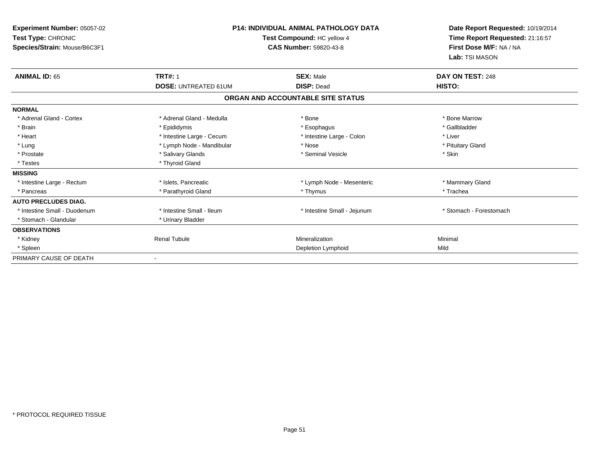| Experiment Number: 05057-02<br>Test Type: CHRONIC<br>Species/Strain: Mouse/B6C3F1 | <b>P14: INDIVIDUAL ANIMAL PATHOLOGY DATA</b><br>Test Compound: HC yellow 4<br><b>CAS Number: 59820-43-8</b> |                                   | Date Report Requested: 10/19/2014<br>Time Report Requested: 21:16:57<br>First Dose M/F: NA / NA<br>Lab: TSI MASON |  |
|-----------------------------------------------------------------------------------|-------------------------------------------------------------------------------------------------------------|-----------------------------------|-------------------------------------------------------------------------------------------------------------------|--|
| <b>TRT#: 1</b><br><b>ANIMAL ID: 65</b>                                            |                                                                                                             | <b>SEX: Male</b>                  | DAY ON TEST: 248                                                                                                  |  |
|                                                                                   | <b>DOSE: UNTREATED 61UM</b>                                                                                 | <b>DISP: Dead</b>                 | HISTO:                                                                                                            |  |
|                                                                                   |                                                                                                             | ORGAN AND ACCOUNTABLE SITE STATUS |                                                                                                                   |  |
| <b>NORMAL</b>                                                                     |                                                                                                             |                                   |                                                                                                                   |  |
| * Adrenal Gland - Cortex                                                          | * Adrenal Gland - Medulla                                                                                   | * Bone                            | * Bone Marrow                                                                                                     |  |
| * Brain                                                                           | * Epididymis                                                                                                | * Esophagus                       | * Gallbladder                                                                                                     |  |
| * Heart                                                                           | * Intestine Large - Cecum                                                                                   | * Intestine Large - Colon         | * Liver                                                                                                           |  |
| * Lung                                                                            | * Lymph Node - Mandibular                                                                                   | * Nose                            | * Pituitary Gland                                                                                                 |  |
| * Prostate                                                                        | * Salivary Glands                                                                                           | * Seminal Vesicle                 | * Skin                                                                                                            |  |
| * Testes                                                                          | * Thyroid Gland                                                                                             |                                   |                                                                                                                   |  |
| <b>MISSING</b>                                                                    |                                                                                                             |                                   |                                                                                                                   |  |
| * Intestine Large - Rectum                                                        | * Islets, Pancreatic                                                                                        | * Lymph Node - Mesenteric         | * Mammary Gland                                                                                                   |  |
| * Pancreas                                                                        | * Parathyroid Gland                                                                                         | * Thymus                          | * Trachea                                                                                                         |  |
| <b>AUTO PRECLUDES DIAG.</b>                                                       |                                                                                                             |                                   |                                                                                                                   |  |
| * Intestine Small - Duodenum                                                      | * Intestine Small - Ileum                                                                                   | * Intestine Small - Jejunum       | * Stomach - Forestomach                                                                                           |  |
| * Stomach - Glandular                                                             | * Urinary Bladder                                                                                           |                                   |                                                                                                                   |  |
| <b>OBSERVATIONS</b>                                                               |                                                                                                             |                                   |                                                                                                                   |  |
| * Kidney                                                                          | <b>Renal Tubule</b>                                                                                         | Mineralization                    | Minimal                                                                                                           |  |
| * Spleen                                                                          |                                                                                                             | Depletion Lymphoid                | Mild                                                                                                              |  |
| PRIMARY CAUSE OF DEATH                                                            |                                                                                                             |                                   |                                                                                                                   |  |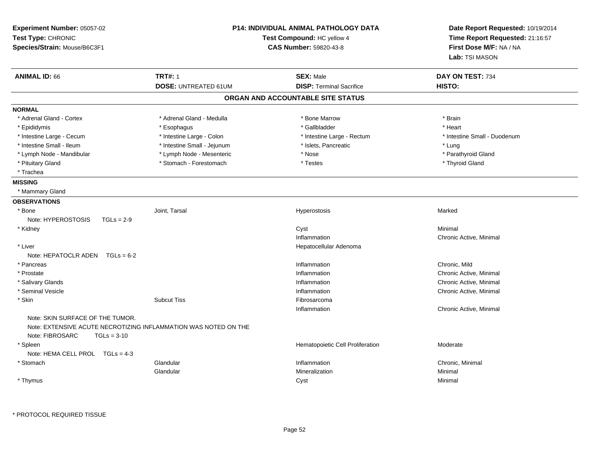| Experiment Number: 05057-02<br>Test Type: CHRONIC<br>Species/Strain: Mouse/B6C3F1 |                                                                 | <b>P14: INDIVIDUAL ANIMAL PATHOLOGY DATA</b><br>Test Compound: HC yellow 4<br><b>CAS Number: 59820-43-8</b> | Date Report Requested: 10/19/2014<br>Time Report Requested: 21:16:57<br>First Dose M/F: NA / NA<br>Lab: TSI MASON |
|-----------------------------------------------------------------------------------|-----------------------------------------------------------------|-------------------------------------------------------------------------------------------------------------|-------------------------------------------------------------------------------------------------------------------|
| <b>ANIMAL ID: 66</b>                                                              | <b>TRT#: 1</b>                                                  | <b>SEX: Male</b>                                                                                            | DAY ON TEST: 734                                                                                                  |
|                                                                                   | <b>DOSE: UNTREATED 61UM</b>                                     | <b>DISP: Terminal Sacrifice</b>                                                                             | HISTO:                                                                                                            |
|                                                                                   |                                                                 | ORGAN AND ACCOUNTABLE SITE STATUS                                                                           |                                                                                                                   |
| <b>NORMAL</b>                                                                     |                                                                 |                                                                                                             |                                                                                                                   |
| * Adrenal Gland - Cortex                                                          | * Adrenal Gland - Medulla                                       | * Bone Marrow                                                                                               | * Brain                                                                                                           |
| * Epididymis                                                                      | * Esophagus                                                     | * Gallbladder                                                                                               | * Heart                                                                                                           |
| * Intestine Large - Cecum                                                         | * Intestine Large - Colon                                       | * Intestine Large - Rectum                                                                                  | * Intestine Small - Duodenum                                                                                      |
| * Intestine Small - Ileum                                                         | * Intestine Small - Jejunum                                     | * Islets, Pancreatic                                                                                        | * Lung                                                                                                            |
| * Lymph Node - Mandibular                                                         | * Lymph Node - Mesenteric                                       | * Nose                                                                                                      | * Parathyroid Gland                                                                                               |
| * Pituitary Gland                                                                 | * Stomach - Forestomach                                         | * Testes                                                                                                    | * Thyroid Gland                                                                                                   |
| * Trachea                                                                         |                                                                 |                                                                                                             |                                                                                                                   |
| <b>MISSING</b>                                                                    |                                                                 |                                                                                                             |                                                                                                                   |
| * Mammary Gland                                                                   |                                                                 |                                                                                                             |                                                                                                                   |
| <b>OBSERVATIONS</b>                                                               |                                                                 |                                                                                                             |                                                                                                                   |
| * Bone                                                                            | Joint. Tarsal                                                   | Hyperostosis                                                                                                | Marked                                                                                                            |
| Note: HYPEROSTOSIS<br>$TGLs = 2-9$                                                |                                                                 |                                                                                                             |                                                                                                                   |
| * Kidney                                                                          |                                                                 | Cyst                                                                                                        | Minimal                                                                                                           |
|                                                                                   |                                                                 | Inflammation                                                                                                | Chronic Active, Minimal                                                                                           |
| * Liver                                                                           |                                                                 | Hepatocellular Adenoma                                                                                      |                                                                                                                   |
| Note: HEPATOCLR ADEN $TGLs = 6-2$                                                 |                                                                 |                                                                                                             |                                                                                                                   |
| * Pancreas                                                                        |                                                                 | Inflammation                                                                                                | Chronic, Mild                                                                                                     |
| * Prostate                                                                        |                                                                 | Inflammation                                                                                                | Chronic Active, Minimal                                                                                           |
| * Salivary Glands                                                                 |                                                                 | Inflammation                                                                                                | Chronic Active, Minimal                                                                                           |
| * Seminal Vesicle                                                                 |                                                                 | Inflammation                                                                                                | Chronic Active, Minimal                                                                                           |
| * Skin                                                                            | <b>Subcut Tiss</b>                                              | Fibrosarcoma                                                                                                |                                                                                                                   |
|                                                                                   |                                                                 | Inflammation                                                                                                | Chronic Active, Minimal                                                                                           |
| Note: SKIN SURFACE OF THE TUMOR.<br>Note: FIBROSARC<br>$TGLs = 3-10$              | Note: EXTENSIVE ACUTE NECROTIZING INFLAMMATION WAS NOTED ON THE |                                                                                                             |                                                                                                                   |
| * Spleen                                                                          |                                                                 | Hematopoietic Cell Proliferation                                                                            | Moderate                                                                                                          |
| Note: HEMA CELL PROL TGLs = 4-3                                                   |                                                                 |                                                                                                             |                                                                                                                   |
| * Stomach                                                                         | Glandular                                                       | Inflammation                                                                                                | Chronic, Minimal                                                                                                  |
|                                                                                   | Glandular                                                       | Mineralization                                                                                              | Minimal                                                                                                           |
| * Thymus                                                                          |                                                                 | Cyst                                                                                                        | Minimal                                                                                                           |
|                                                                                   |                                                                 |                                                                                                             |                                                                                                                   |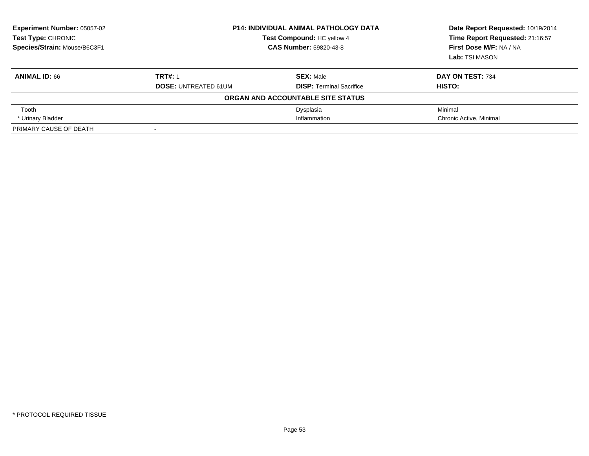| <b>Experiment Number: 05057-02</b><br>Test Type: CHRONIC<br>Species/Strain: Mouse/B6C3F1 |                                               | <b>P14: INDIVIDUAL ANIMAL PATHOLOGY DATA</b><br>Test Compound: HC yellow 4<br><b>CAS Number: 59820-43-8</b> |                            |
|------------------------------------------------------------------------------------------|-----------------------------------------------|-------------------------------------------------------------------------------------------------------------|----------------------------|
| <b>ANIMAL ID: 66</b>                                                                     | <b>TRT#: 1</b><br><b>DOSE: UNTREATED 61UM</b> | <b>SEX: Male</b><br><b>DISP: Terminal Sacrifice</b>                                                         | DAY ON TEST: 734<br>HISTO: |
|                                                                                          |                                               | ORGAN AND ACCOUNTABLE SITE STATUS                                                                           |                            |
| Tooth                                                                                    |                                               | Dysplasia                                                                                                   | Minimal                    |
| * Urinary Bladder                                                                        |                                               | Inflammation                                                                                                | Chronic Active, Minimal    |
| PRIMARY CAUSE OF DEATH                                                                   | $\overline{\phantom{a}}$                      |                                                                                                             |                            |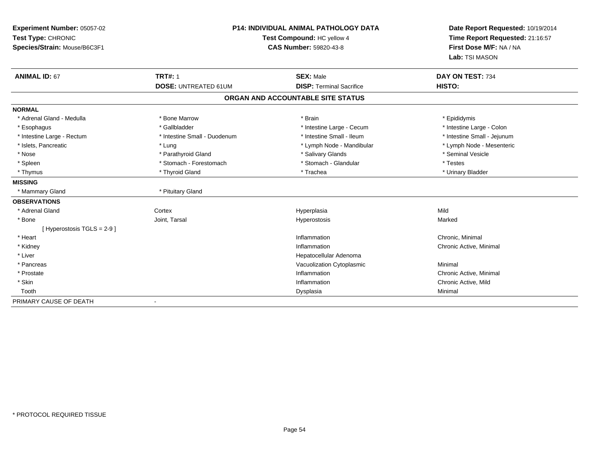| Experiment Number: 05057-02<br>Test Type: CHRONIC<br>Species/Strain: Mouse/B6C3F1 |                                               | <b>P14: INDIVIDUAL ANIMAL PATHOLOGY DATA</b><br>Test Compound: HC yellow 4<br><b>CAS Number: 59820-43-8</b> | Date Report Requested: 10/19/2014<br>Time Report Requested: 21:16:57<br>First Dose M/F: NA / NA<br>Lab: TSI MASON |
|-----------------------------------------------------------------------------------|-----------------------------------------------|-------------------------------------------------------------------------------------------------------------|-------------------------------------------------------------------------------------------------------------------|
| <b>ANIMAL ID: 67</b>                                                              | <b>TRT#: 1</b><br><b>DOSE: UNTREATED 61UM</b> | <b>SEX: Male</b><br><b>DISP: Terminal Sacrifice</b>                                                         | DAY ON TEST: 734<br>HISTO:                                                                                        |
|                                                                                   |                                               | ORGAN AND ACCOUNTABLE SITE STATUS                                                                           |                                                                                                                   |
|                                                                                   |                                               |                                                                                                             |                                                                                                                   |
| <b>NORMAL</b>                                                                     |                                               |                                                                                                             |                                                                                                                   |
| * Adrenal Gland - Medulla                                                         | * Bone Marrow                                 | * Brain                                                                                                     | * Epididymis                                                                                                      |
| * Esophagus                                                                       | * Gallbladder                                 | * Intestine Large - Cecum                                                                                   | * Intestine Large - Colon                                                                                         |
| * Intestine Large - Rectum                                                        | * Intestine Small - Duodenum                  | * Intestine Small - Ileum                                                                                   | * Intestine Small - Jejunum                                                                                       |
| * Islets, Pancreatic                                                              | * Lung                                        | * Lymph Node - Mandibular                                                                                   | * Lymph Node - Mesenteric                                                                                         |
| * Nose                                                                            | * Parathyroid Gland                           | * Salivary Glands                                                                                           | * Seminal Vesicle                                                                                                 |
| * Spleen                                                                          | * Stomach - Forestomach                       | * Stomach - Glandular                                                                                       | * Testes                                                                                                          |
| * Thymus                                                                          | * Thyroid Gland                               | * Trachea                                                                                                   | * Urinary Bladder                                                                                                 |
| <b>MISSING</b>                                                                    |                                               |                                                                                                             |                                                                                                                   |
| * Mammary Gland                                                                   | * Pituitary Gland                             |                                                                                                             |                                                                                                                   |
| <b>OBSERVATIONS</b>                                                               |                                               |                                                                                                             |                                                                                                                   |
| * Adrenal Gland                                                                   | Cortex                                        | Hyperplasia                                                                                                 | Mild                                                                                                              |
| * Bone                                                                            | Joint, Tarsal                                 | Hyperostosis                                                                                                | Marked                                                                                                            |
| [ Hyperostosis TGLS = 2-9 ]                                                       |                                               |                                                                                                             |                                                                                                                   |
| * Heart                                                                           |                                               | Inflammation                                                                                                | Chronic, Minimal                                                                                                  |
| * Kidney                                                                          |                                               | Inflammation                                                                                                | Chronic Active, Minimal                                                                                           |
| * Liver                                                                           |                                               | Hepatocellular Adenoma                                                                                      |                                                                                                                   |
| * Pancreas                                                                        |                                               | Vacuolization Cytoplasmic                                                                                   | Minimal                                                                                                           |
| * Prostate                                                                        |                                               | Inflammation                                                                                                | Chronic Active, Minimal                                                                                           |
| * Skin                                                                            |                                               | Inflammation                                                                                                | Chronic Active, Mild                                                                                              |
| Tooth                                                                             |                                               | Dysplasia                                                                                                   | Minimal                                                                                                           |
| PRIMARY CAUSE OF DEATH                                                            |                                               |                                                                                                             |                                                                                                                   |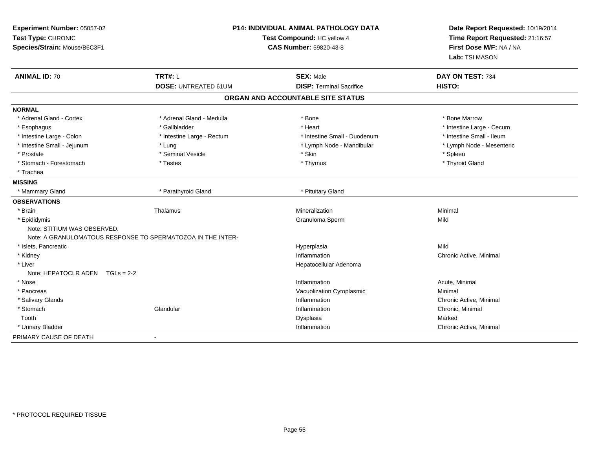| Experiment Number: 05057-02<br>Test Type: CHRONIC<br>Species/Strain: Mouse/B6C3F1 | <b>P14: INDIVIDUAL ANIMAL PATHOLOGY DATA</b><br>Test Compound: HC yellow 4<br><b>CAS Number: 59820-43-8</b> |                                   | Date Report Requested: 10/19/2014<br>Time Report Requested: 21:16:57<br>First Dose M/F: NA / NA<br>Lab: TSI MASON |  |
|-----------------------------------------------------------------------------------|-------------------------------------------------------------------------------------------------------------|-----------------------------------|-------------------------------------------------------------------------------------------------------------------|--|
| <b>ANIMAL ID: 70</b>                                                              | <b>TRT#: 1</b>                                                                                              | <b>SEX: Male</b>                  | DAY ON TEST: 734                                                                                                  |  |
|                                                                                   | <b>DOSE: UNTREATED 61UM</b>                                                                                 | <b>DISP: Terminal Sacrifice</b>   | HISTO:                                                                                                            |  |
|                                                                                   |                                                                                                             | ORGAN AND ACCOUNTABLE SITE STATUS |                                                                                                                   |  |
| <b>NORMAL</b>                                                                     |                                                                                                             |                                   |                                                                                                                   |  |
| * Adrenal Gland - Cortex                                                          | * Adrenal Gland - Medulla                                                                                   | * Bone                            | * Bone Marrow                                                                                                     |  |
| * Esophagus                                                                       | * Gallbladder                                                                                               | * Heart                           | * Intestine Large - Cecum                                                                                         |  |
| * Intestine Large - Colon                                                         | * Intestine Large - Rectum                                                                                  | * Intestine Small - Duodenum      | * Intestine Small - Ileum                                                                                         |  |
| * Intestine Small - Jejunum                                                       | * Lung                                                                                                      | * Lymph Node - Mandibular         | * Lymph Node - Mesenteric                                                                                         |  |
| * Prostate                                                                        | * Seminal Vesicle                                                                                           | * Skin                            | * Spleen                                                                                                          |  |
| * Stomach - Forestomach                                                           | * Testes                                                                                                    | * Thymus                          | * Thyroid Gland                                                                                                   |  |
| * Trachea                                                                         |                                                                                                             |                                   |                                                                                                                   |  |
| <b>MISSING</b>                                                                    |                                                                                                             |                                   |                                                                                                                   |  |
| * Mammary Gland                                                                   | * Parathyroid Gland                                                                                         | * Pituitary Gland                 |                                                                                                                   |  |
| <b>OBSERVATIONS</b>                                                               |                                                                                                             |                                   |                                                                                                                   |  |
| * Brain                                                                           | Thalamus                                                                                                    | Mineralization                    | Minimal                                                                                                           |  |
| * Epididymis                                                                      |                                                                                                             | Granuloma Sperm                   | Mild                                                                                                              |  |
| Note: STITIUM WAS OBSERVED.                                                       |                                                                                                             |                                   |                                                                                                                   |  |
|                                                                                   | Note: A GRANULOMATOUS RESPONSE TO SPERMATOZOA IN THE INTER-                                                 |                                   |                                                                                                                   |  |
| * Islets, Pancreatic                                                              |                                                                                                             | Hyperplasia                       | Mild                                                                                                              |  |
| * Kidney                                                                          |                                                                                                             | Inflammation                      | Chronic Active, Minimal                                                                                           |  |
| * Liver                                                                           |                                                                                                             | Hepatocellular Adenoma            |                                                                                                                   |  |
| Note: HEPATOCLR ADEN TGLs = 2-2                                                   |                                                                                                             |                                   |                                                                                                                   |  |
| * Nose                                                                            |                                                                                                             | Inflammation                      | Acute, Minimal                                                                                                    |  |
| * Pancreas                                                                        |                                                                                                             | Vacuolization Cytoplasmic         | Minimal                                                                                                           |  |
| * Salivary Glands                                                                 |                                                                                                             | Inflammation                      | Chronic Active, Minimal                                                                                           |  |
| * Stomach                                                                         | Glandular                                                                                                   | Inflammation                      | Chronic, Minimal                                                                                                  |  |
| Tooth                                                                             |                                                                                                             | Dysplasia                         | Marked                                                                                                            |  |
| * Urinary Bladder                                                                 |                                                                                                             | Inflammation                      | Chronic Active, Minimal                                                                                           |  |
| PRIMARY CAUSE OF DEATH                                                            | $\blacksquare$                                                                                              |                                   |                                                                                                                   |  |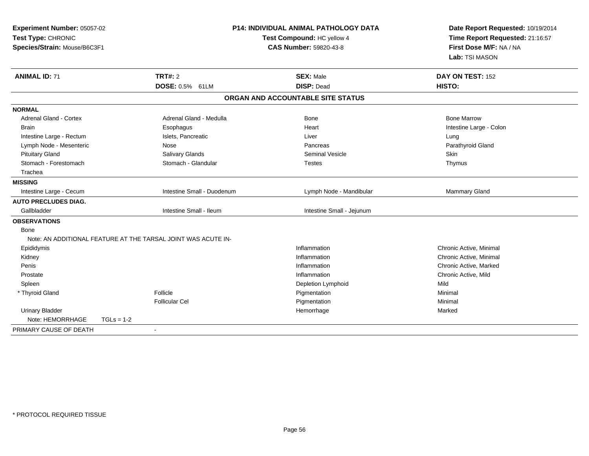| Experiment Number: 05057-02<br>Test Type: CHRONIC<br>Species/Strain: Mouse/B6C3F1 |                                                               |                            | <b>P14: INDIVIDUAL ANIMAL PATHOLOGY DATA</b><br>Test Compound: HC yellow 4<br>CAS Number: 59820-43-8 | Date Report Requested: 10/19/2014<br>Time Report Requested: 21:16:57<br>First Dose M/F: NA / NA<br>Lab: TSI MASON |  |
|-----------------------------------------------------------------------------------|---------------------------------------------------------------|----------------------------|------------------------------------------------------------------------------------------------------|-------------------------------------------------------------------------------------------------------------------|--|
| <b>ANIMAL ID: 71</b>                                                              | <b>TRT#: 2</b>                                                |                            | <b>SEX: Male</b>                                                                                     | DAY ON TEST: 152                                                                                                  |  |
|                                                                                   | DOSE: 0.5% 61LM                                               |                            | <b>DISP: Dead</b>                                                                                    | HISTO:                                                                                                            |  |
|                                                                                   |                                                               |                            | ORGAN AND ACCOUNTABLE SITE STATUS                                                                    |                                                                                                                   |  |
| <b>NORMAL</b>                                                                     |                                                               |                            |                                                                                                      |                                                                                                                   |  |
| <b>Adrenal Gland - Cortex</b>                                                     | Adrenal Gland - Medulla                                       |                            | Bone                                                                                                 | <b>Bone Marrow</b>                                                                                                |  |
| <b>Brain</b>                                                                      | Esophagus                                                     |                            | Heart                                                                                                | Intestine Large - Colon                                                                                           |  |
| Intestine Large - Rectum                                                          | Islets, Pancreatic                                            |                            | Liver                                                                                                | Lung                                                                                                              |  |
| Lymph Node - Mesenteric                                                           | Nose                                                          |                            | Pancreas                                                                                             | Parathyroid Gland                                                                                                 |  |
| <b>Pituitary Gland</b>                                                            | Salivary Glands                                               |                            | <b>Seminal Vesicle</b>                                                                               | <b>Skin</b>                                                                                                       |  |
| Stomach - Forestomach                                                             | Stomach - Glandular                                           |                            | <b>Testes</b>                                                                                        | Thymus                                                                                                            |  |
| Trachea                                                                           |                                                               |                            |                                                                                                      |                                                                                                                   |  |
| <b>MISSING</b>                                                                    |                                                               |                            |                                                                                                      |                                                                                                                   |  |
| Intestine Large - Cecum                                                           |                                                               | Intestine Small - Duodenum | Lymph Node - Mandibular                                                                              | Mammary Gland                                                                                                     |  |
| <b>AUTO PRECLUDES DIAG.</b>                                                       |                                                               |                            |                                                                                                      |                                                                                                                   |  |
| Gallbladder                                                                       | Intestine Small - Ileum                                       |                            | Intestine Small - Jejunum                                                                            |                                                                                                                   |  |
| <b>OBSERVATIONS</b>                                                               |                                                               |                            |                                                                                                      |                                                                                                                   |  |
| <b>Bone</b>                                                                       |                                                               |                            |                                                                                                      |                                                                                                                   |  |
|                                                                                   | Note: AN ADDITIONAL FEATURE AT THE TARSAL JOINT WAS ACUTE IN- |                            |                                                                                                      |                                                                                                                   |  |
| Epididymis                                                                        |                                                               |                            | Inflammation                                                                                         | Chronic Active, Minimal                                                                                           |  |
| Kidney                                                                            |                                                               |                            | Inflammation                                                                                         | Chronic Active, Minimal                                                                                           |  |
| Penis                                                                             |                                                               |                            | Inflammation                                                                                         | Chronic Active, Marked                                                                                            |  |
| Prostate                                                                          |                                                               |                            | Inflammation                                                                                         | Chronic Active, Mild                                                                                              |  |
| Spleen                                                                            |                                                               |                            | Depletion Lymphoid                                                                                   | Mild                                                                                                              |  |
| * Thyroid Gland                                                                   | Follicle                                                      |                            | Pigmentation                                                                                         | Minimal                                                                                                           |  |
|                                                                                   | <b>Follicular Cel</b>                                         |                            | Pigmentation                                                                                         | Minimal                                                                                                           |  |
| <b>Urinary Bladder</b>                                                            |                                                               |                            | Hemorrhage                                                                                           | Marked                                                                                                            |  |
| Note: HEMORRHAGE                                                                  | $TGLs = 1-2$                                                  |                            |                                                                                                      |                                                                                                                   |  |
| PRIMARY CAUSE OF DEATH                                                            |                                                               |                            |                                                                                                      |                                                                                                                   |  |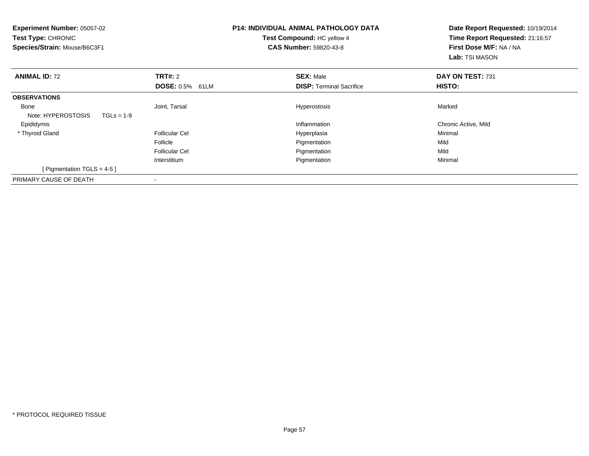| <b>Experiment Number: 05057-02</b><br>Test Type: CHRONIC<br>Species/Strain: Mouse/B6C3F1 |                        | <b>P14: INDIVIDUAL ANIMAL PATHOLOGY DATA</b><br>Test Compound: HC yellow 4<br><b>CAS Number: 59820-43-8</b> | Date Report Requested: 10/19/2014<br>Time Report Requested: 21:16:57<br>First Dose M/F: NA / NA<br><b>Lab:</b> TSI MASON |
|------------------------------------------------------------------------------------------|------------------------|-------------------------------------------------------------------------------------------------------------|--------------------------------------------------------------------------------------------------------------------------|
| <b>ANIMAL ID: 72</b>                                                                     | <b>TRT#: 2</b>         | <b>SEX: Male</b>                                                                                            | DAY ON TEST: 731                                                                                                         |
|                                                                                          | <b>DOSE: 0.5% 61LM</b> | <b>DISP:</b> Terminal Sacrifice                                                                             | <b>HISTO:</b>                                                                                                            |
| <b>OBSERVATIONS</b>                                                                      |                        |                                                                                                             |                                                                                                                          |
| Bone                                                                                     | Joint, Tarsal          | Hyperostosis                                                                                                | Marked                                                                                                                   |
| Note: HYPEROSTOSIS<br>$TGLs = 1-9$                                                       |                        |                                                                                                             |                                                                                                                          |
| Epididymis                                                                               |                        | Inflammation                                                                                                | Chronic Active, Mild                                                                                                     |
| * Thyroid Gland                                                                          | <b>Follicular Cel</b>  | Hyperplasia                                                                                                 | Minimal                                                                                                                  |
|                                                                                          | Follicle               | Pigmentation                                                                                                | Mild                                                                                                                     |
|                                                                                          | <b>Follicular Cel</b>  | Pigmentation                                                                                                | Mild                                                                                                                     |
|                                                                                          | Interstitium           | Pigmentation                                                                                                | Minimal                                                                                                                  |
| [ Pigmentation TGLS = 4-5 ]                                                              |                        |                                                                                                             |                                                                                                                          |
| PRIMARY CAUSE OF DEATH                                                                   | -                      |                                                                                                             |                                                                                                                          |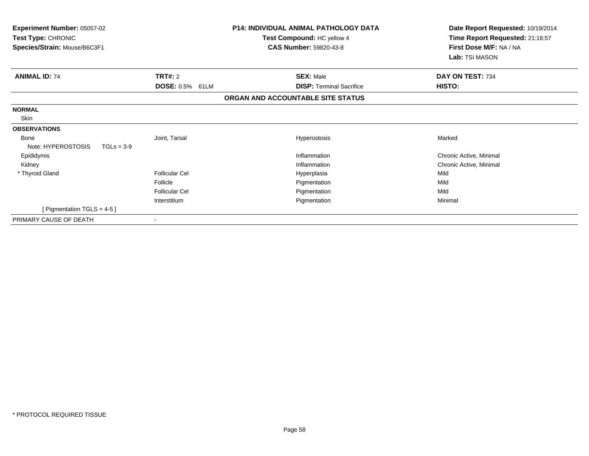| Experiment Number: 05057-02<br>Test Type: CHRONIC<br>Species/Strain: Mouse/B6C3F1 |                           | <b>P14: INDIVIDUAL ANIMAL PATHOLOGY DATA</b><br>Test Compound: HC yellow 4<br><b>CAS Number: 59820-43-8</b> | Date Report Requested: 10/19/2014<br>Time Report Requested: 21:16:57<br>First Dose M/F: NA / NA<br>Lab: TSI MASON |
|-----------------------------------------------------------------------------------|---------------------------|-------------------------------------------------------------------------------------------------------------|-------------------------------------------------------------------------------------------------------------------|
| <b>ANIMAL ID: 74</b>                                                              | TRT#: 2                   | <b>SEX: Male</b>                                                                                            | DAY ON TEST: 734                                                                                                  |
|                                                                                   | <b>DOSE: 0.5%</b><br>61LM | <b>DISP: Terminal Sacrifice</b>                                                                             | HISTO:                                                                                                            |
|                                                                                   |                           | ORGAN AND ACCOUNTABLE SITE STATUS                                                                           |                                                                                                                   |
| <b>NORMAL</b>                                                                     |                           |                                                                                                             |                                                                                                                   |
| Skin                                                                              |                           |                                                                                                             |                                                                                                                   |
| <b>OBSERVATIONS</b>                                                               |                           |                                                                                                             |                                                                                                                   |
| <b>Bone</b>                                                                       | Joint, Tarsal             | Hyperostosis                                                                                                | Marked                                                                                                            |
| Note: HYPEROSTOSIS<br>$TGLs = 3-9$                                                |                           |                                                                                                             |                                                                                                                   |
| Epididymis                                                                        |                           | Inflammation                                                                                                | Chronic Active, Minimal                                                                                           |
| Kidney                                                                            |                           | Inflammation                                                                                                | Chronic Active, Minimal                                                                                           |
| * Thyroid Gland                                                                   | <b>Follicular Cel</b>     | Hyperplasia                                                                                                 | Mild                                                                                                              |
|                                                                                   | Follicle                  | Pigmentation                                                                                                | Mild                                                                                                              |
|                                                                                   | Follicular Cel            | Pigmentation                                                                                                | Mild                                                                                                              |
|                                                                                   | Interstitium              | Pigmentation                                                                                                | Minimal                                                                                                           |
| [ Pigmentation TGLS = $4-5$ ]                                                     |                           |                                                                                                             |                                                                                                                   |
| PRIMARY CAUSE OF DEATH                                                            |                           |                                                                                                             |                                                                                                                   |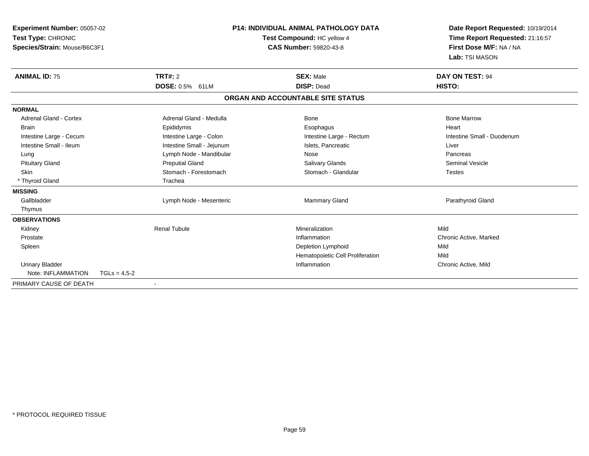| <b>Experiment Number: 05057-02</b><br>Test Type: CHRONIC<br>Species/Strain: Mouse/B6C3F1 |                |                           | <b>P14: INDIVIDUAL ANIMAL PATHOLOGY DATA</b><br>Test Compound: HC yellow 4<br><b>CAS Number: 59820-43-8</b> |                                   | Date Report Requested: 10/19/2014<br>Time Report Requested: 21:16:57<br>First Dose M/F: NA / NA<br>Lab: TSI MASON |  |
|------------------------------------------------------------------------------------------|----------------|---------------------------|-------------------------------------------------------------------------------------------------------------|-----------------------------------|-------------------------------------------------------------------------------------------------------------------|--|
| <b>ANIMAL ID: 75</b>                                                                     |                | <b>TRT#: 2</b>            |                                                                                                             | <b>SEX: Male</b>                  | <b>DAY ON TEST: 94</b>                                                                                            |  |
|                                                                                          |                | <b>DOSE: 0.5% 61LM</b>    |                                                                                                             | <b>DISP: Dead</b>                 | HISTO:                                                                                                            |  |
|                                                                                          |                |                           |                                                                                                             | ORGAN AND ACCOUNTABLE SITE STATUS |                                                                                                                   |  |
| <b>NORMAL</b>                                                                            |                |                           |                                                                                                             |                                   |                                                                                                                   |  |
| <b>Adrenal Gland - Cortex</b>                                                            |                | Adrenal Gland - Medulla   |                                                                                                             | Bone                              | <b>Bone Marrow</b>                                                                                                |  |
| Brain                                                                                    |                | Epididymis                |                                                                                                             | Esophagus                         | Heart                                                                                                             |  |
| Intestine Large - Cecum                                                                  |                | Intestine Large - Colon   |                                                                                                             | Intestine Large - Rectum          | Intestine Small - Duodenum                                                                                        |  |
| Intestine Small - Ileum                                                                  |                | Intestine Small - Jejunum |                                                                                                             | Islets, Pancreatic                | Liver                                                                                                             |  |
| Lung                                                                                     |                | Lymph Node - Mandibular   |                                                                                                             | Nose                              | Pancreas                                                                                                          |  |
| <b>Pituitary Gland</b>                                                                   |                | <b>Preputial Gland</b>    |                                                                                                             | Salivary Glands                   | <b>Seminal Vesicle</b>                                                                                            |  |
| <b>Skin</b>                                                                              |                | Stomach - Forestomach     |                                                                                                             | Stomach - Glandular               | <b>Testes</b>                                                                                                     |  |
| * Thyroid Gland                                                                          |                | Trachea                   |                                                                                                             |                                   |                                                                                                                   |  |
| <b>MISSING</b>                                                                           |                |                           |                                                                                                             |                                   |                                                                                                                   |  |
| Gallbladder                                                                              |                | Lymph Node - Mesenteric   |                                                                                                             | Mammary Gland                     | Parathyroid Gland                                                                                                 |  |
| Thymus                                                                                   |                |                           |                                                                                                             |                                   |                                                                                                                   |  |
| <b>OBSERVATIONS</b>                                                                      |                |                           |                                                                                                             |                                   |                                                                                                                   |  |
| Kidney                                                                                   |                | <b>Renal Tubule</b>       |                                                                                                             | Mineralization                    | Mild                                                                                                              |  |
| Prostate                                                                                 |                |                           |                                                                                                             | Inflammation                      | Chronic Active, Marked                                                                                            |  |
| Spleen                                                                                   |                |                           |                                                                                                             | Depletion Lymphoid                | Mild                                                                                                              |  |
|                                                                                          |                |                           |                                                                                                             | Hematopoietic Cell Proliferation  | Mild                                                                                                              |  |
| <b>Urinary Bladder</b>                                                                   |                |                           |                                                                                                             | Inflammation                      | Chronic Active, Mild                                                                                              |  |
| Note: INFLAMMATION                                                                       | $TGLs = 4.5-2$ |                           |                                                                                                             |                                   |                                                                                                                   |  |
| PRIMARY CAUSE OF DEATH                                                                   |                | $\blacksquare$            |                                                                                                             |                                   |                                                                                                                   |  |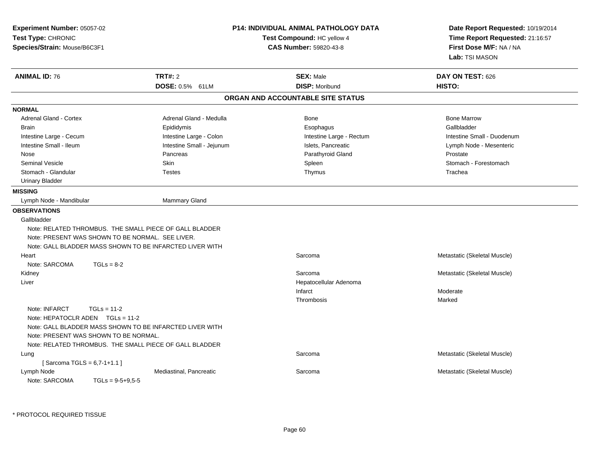| Experiment Number: 05057-02<br>Test Type: CHRONIC<br>Species/Strain: Mouse/B6C3F1                 |                                   | <b>P14: INDIVIDUAL ANIMAL PATHOLOGY DATA</b><br>Test Compound: HC yellow 4<br><b>CAS Number: 59820-43-8</b> | Date Report Requested: 10/19/2014<br>Time Report Requested: 21:16:57<br>First Dose M/F: NA / NA<br>Lab: TSI MASON |
|---------------------------------------------------------------------------------------------------|-----------------------------------|-------------------------------------------------------------------------------------------------------------|-------------------------------------------------------------------------------------------------------------------|
| <b>ANIMAL ID: 76</b>                                                                              | <b>TRT#: 2</b><br>DOSE: 0.5% 61LM | <b>SEX: Male</b><br><b>DISP: Moribund</b>                                                                   | DAY ON TEST: 626<br>HISTO:                                                                                        |
|                                                                                                   |                                   | ORGAN AND ACCOUNTABLE SITE STATUS                                                                           |                                                                                                                   |
| <b>NORMAL</b>                                                                                     |                                   |                                                                                                             |                                                                                                                   |
| <b>Adrenal Gland - Cortex</b>                                                                     | Adrenal Gland - Medulla           | <b>Bone</b>                                                                                                 | <b>Bone Marrow</b>                                                                                                |
| <b>Brain</b>                                                                                      | Epididymis                        | Esophagus                                                                                                   | Gallbladder                                                                                                       |
| Intestine Large - Cecum                                                                           | Intestine Large - Colon           | Intestine Large - Rectum                                                                                    | Intestine Small - Duodenum                                                                                        |
| Intestine Small - Ileum                                                                           | Intestine Small - Jejunum         | Islets, Pancreatic                                                                                          | Lymph Node - Mesenteric                                                                                           |
| Nose                                                                                              | Pancreas                          | Parathyroid Gland                                                                                           | Prostate                                                                                                          |
| <b>Seminal Vesicle</b>                                                                            | Skin                              | Spleen                                                                                                      | Stomach - Forestomach                                                                                             |
| Stomach - Glandular                                                                               | <b>Testes</b>                     | Thymus                                                                                                      | Trachea                                                                                                           |
| <b>Urinary Bladder</b>                                                                            |                                   |                                                                                                             |                                                                                                                   |
| <b>MISSING</b>                                                                                    |                                   |                                                                                                             |                                                                                                                   |
| Lymph Node - Mandibular                                                                           | <b>Mammary Gland</b>              |                                                                                                             |                                                                                                                   |
| <b>OBSERVATIONS</b>                                                                               |                                   |                                                                                                             |                                                                                                                   |
| Gallbladder                                                                                       |                                   |                                                                                                             |                                                                                                                   |
| Note: RELATED THROMBUS. THE SMALL PIECE OF GALL BLADDER                                           |                                   |                                                                                                             |                                                                                                                   |
| Note: PRESENT WAS SHOWN TO BE NORMAL. SEE LIVER.                                                  |                                   |                                                                                                             |                                                                                                                   |
| Note: GALL BLADDER MASS SHOWN TO BE INFARCTED LIVER WITH                                          |                                   |                                                                                                             |                                                                                                                   |
| Heart                                                                                             |                                   | Sarcoma                                                                                                     | Metastatic (Skeletal Muscle)                                                                                      |
| Note: SARCOMA<br>$TGLs = 8-2$                                                                     |                                   |                                                                                                             |                                                                                                                   |
| Kidney                                                                                            |                                   | Sarcoma                                                                                                     | Metastatic (Skeletal Muscle)                                                                                      |
| Liver                                                                                             |                                   | Hepatocellular Adenoma                                                                                      |                                                                                                                   |
|                                                                                                   |                                   | Infarct                                                                                                     | Moderate                                                                                                          |
|                                                                                                   |                                   | Thrombosis                                                                                                  | Marked                                                                                                            |
| Note: INFARCT<br>$TGLs = 11-2$<br>Note: HEPATOCLR ADEN TGLs = 11-2                                |                                   |                                                                                                             |                                                                                                                   |
| Note: GALL BLADDER MASS SHOWN TO BE INFARCTED LIVER WITH<br>Note: PRESENT WAS SHOWN TO BE NORMAL. |                                   |                                                                                                             |                                                                                                                   |
| Note: RELATED THROMBUS. THE SMALL PIECE OF GALL BLADDER                                           |                                   |                                                                                                             |                                                                                                                   |
| Lung                                                                                              |                                   | Sarcoma                                                                                                     | Metastatic (Skeletal Muscle)                                                                                      |
| [Sarcoma TGLS = $6,7-1+1.1$ ]                                                                     |                                   |                                                                                                             |                                                                                                                   |
| Lymph Node<br>Note: SARCOMA<br>$TGLs = 9-5+9.5-5$                                                 | Mediastinal, Pancreatic           | Sarcoma                                                                                                     | Metastatic (Skeletal Muscle)                                                                                      |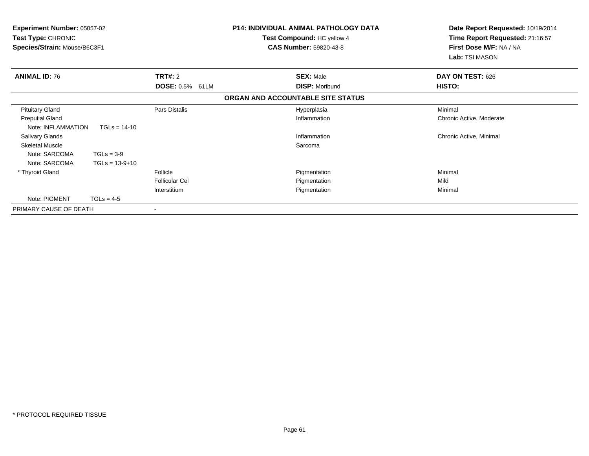| <b>Experiment Number: 05057-02</b><br><b>Test Type: CHRONIC</b><br>Species/Strain: Mouse/B6C3F1 |                  |                       | <b>P14: INDIVIDUAL ANIMAL PATHOLOGY DATA</b><br>Test Compound: HC yellow 4<br><b>CAS Number: 59820-43-8</b> | Date Report Requested: 10/19/2014<br>Time Report Requested: 21:16:57<br>First Dose M/F: NA / NA<br>Lab: TSI MASON |
|-------------------------------------------------------------------------------------------------|------------------|-----------------------|-------------------------------------------------------------------------------------------------------------|-------------------------------------------------------------------------------------------------------------------|
| <b>ANIMAL ID: 76</b>                                                                            |                  | <b>TRT#: 2</b>        | <b>SEX: Male</b>                                                                                            | DAY ON TEST: 626                                                                                                  |
|                                                                                                 |                  | DOSE: 0.5% 61LM       | <b>DISP: Moribund</b>                                                                                       | HISTO:                                                                                                            |
|                                                                                                 |                  |                       | ORGAN AND ACCOUNTABLE SITE STATUS                                                                           |                                                                                                                   |
| <b>Pituitary Gland</b>                                                                          |                  | Pars Distalis         | Hyperplasia                                                                                                 | Minimal                                                                                                           |
| <b>Preputial Gland</b><br>Note: INFLAMMATION                                                    | $TGLs = 14-10$   |                       | Inflammation                                                                                                | Chronic Active, Moderate                                                                                          |
| <b>Salivary Glands</b>                                                                          |                  |                       | Inflammation                                                                                                | Chronic Active, Minimal                                                                                           |
| <b>Skeletal Muscle</b>                                                                          |                  |                       | Sarcoma                                                                                                     |                                                                                                                   |
| Note: SARCOMA                                                                                   | $TGLs = 3-9$     |                       |                                                                                                             |                                                                                                                   |
| Note: SARCOMA                                                                                   | $TGLs = 13-9+10$ |                       |                                                                                                             |                                                                                                                   |
| * Thyroid Gland                                                                                 |                  | Follicle              | Pigmentation                                                                                                | Minimal                                                                                                           |
|                                                                                                 |                  | <b>Follicular Cel</b> | Pigmentation                                                                                                | Mild                                                                                                              |
|                                                                                                 |                  | Interstitium          | Pigmentation                                                                                                | Minimal                                                                                                           |
| Note: PIGMENT                                                                                   | $TGLs = 4-5$     |                       |                                                                                                             |                                                                                                                   |
| PRIMARY CAUSE OF DEATH                                                                          |                  |                       |                                                                                                             |                                                                                                                   |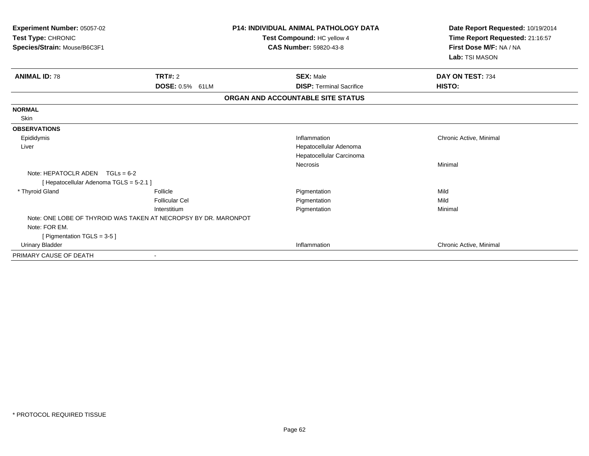| Experiment Number: 05057-02<br>Test Type: CHRONIC               |                       | <b>P14: INDIVIDUAL ANIMAL PATHOLOGY DATA</b> | Date Report Requested: 10/19/2014<br>Time Report Requested: 21:16:57 |  |
|-----------------------------------------------------------------|-----------------------|----------------------------------------------|----------------------------------------------------------------------|--|
|                                                                 |                       | Test Compound: HC yellow 4                   |                                                                      |  |
| Species/Strain: Mouse/B6C3F1                                    |                       | <b>CAS Number: 59820-43-8</b>                | First Dose M/F: NA / NA                                              |  |
|                                                                 |                       |                                              | Lab: TSI MASON                                                       |  |
| <b>ANIMAL ID: 78</b>                                            | <b>TRT#: 2</b>        | <b>SEX: Male</b>                             | DAY ON TEST: 734                                                     |  |
|                                                                 | DOSE: 0.5% 61LM       | <b>DISP: Terminal Sacrifice</b>              | HISTO:                                                               |  |
|                                                                 |                       | ORGAN AND ACCOUNTABLE SITE STATUS            |                                                                      |  |
| <b>NORMAL</b>                                                   |                       |                                              |                                                                      |  |
| <b>Skin</b>                                                     |                       |                                              |                                                                      |  |
| <b>OBSERVATIONS</b>                                             |                       |                                              |                                                                      |  |
| Epididymis                                                      |                       | Inflammation                                 | Chronic Active, Minimal                                              |  |
| Liver                                                           |                       | Hepatocellular Adenoma                       |                                                                      |  |
|                                                                 |                       | Hepatocellular Carcinoma                     |                                                                      |  |
|                                                                 |                       | Necrosis                                     | Minimal                                                              |  |
| Note: HEPATOCLR ADEN $TGLs = 6-2$                               |                       |                                              |                                                                      |  |
| [Hepatocellular Adenoma TGLS = 5-2.1]                           |                       |                                              |                                                                      |  |
| * Thyroid Gland                                                 | Follicle              | Pigmentation                                 | Mild                                                                 |  |
|                                                                 | <b>Follicular Cel</b> | Pigmentation                                 | Mild                                                                 |  |
|                                                                 | Interstitium          | Pigmentation                                 | Minimal                                                              |  |
| Note: ONE LOBE OF THYROID WAS TAKEN AT NECROPSY BY DR. MARONPOT |                       |                                              |                                                                      |  |
| Note: FOR EM.                                                   |                       |                                              |                                                                      |  |
| [ Pigmentation TGLS = $3-5$ ]                                   |                       |                                              |                                                                      |  |
| <b>Urinary Bladder</b>                                          |                       | Inflammation                                 | Chronic Active, Minimal                                              |  |
| PRIMARY CAUSE OF DEATH                                          |                       |                                              |                                                                      |  |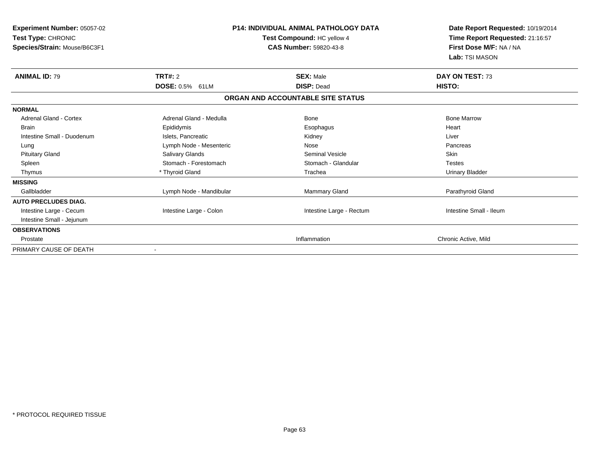| Experiment Number: 05057-02<br>Test Type: CHRONIC<br>Species/Strain: Mouse/B6C3F1 | <b>P14: INDIVIDUAL ANIMAL PATHOLOGY DATA</b><br>Test Compound: HC yellow 4<br><b>CAS Number: 59820-43-8</b> |                                   | Date Report Requested: 10/19/2014<br>Time Report Requested: 21:16:57<br>First Dose M/F: NA / NA<br>Lab: TSI MASON |
|-----------------------------------------------------------------------------------|-------------------------------------------------------------------------------------------------------------|-----------------------------------|-------------------------------------------------------------------------------------------------------------------|
| <b>ANIMAL ID: 79</b>                                                              | TRT#: 2                                                                                                     | <b>SEX: Male</b>                  | DAY ON TEST: 73                                                                                                   |
|                                                                                   | <b>DOSE: 0.5%</b><br>61LM                                                                                   | <b>DISP: Dead</b>                 | HISTO:                                                                                                            |
|                                                                                   |                                                                                                             | ORGAN AND ACCOUNTABLE SITE STATUS |                                                                                                                   |
| <b>NORMAL</b>                                                                     |                                                                                                             |                                   |                                                                                                                   |
| <b>Adrenal Gland - Cortex</b>                                                     | Adrenal Gland - Medulla                                                                                     | Bone                              | <b>Bone Marrow</b>                                                                                                |
| <b>Brain</b>                                                                      | Epididymis                                                                                                  | Esophagus                         | Heart                                                                                                             |
| Intestine Small - Duodenum                                                        | Islets, Pancreatic                                                                                          | Kidney                            | Liver                                                                                                             |
| Lung                                                                              | Lymph Node - Mesenteric                                                                                     | Nose                              | Pancreas                                                                                                          |
| <b>Pituitary Gland</b>                                                            | Salivary Glands                                                                                             | <b>Seminal Vesicle</b>            | <b>Skin</b>                                                                                                       |
| Spleen                                                                            | Stomach - Forestomach                                                                                       | Stomach - Glandular               | <b>Testes</b>                                                                                                     |
| Thymus                                                                            | * Thyroid Gland                                                                                             | Trachea                           | <b>Urinary Bladder</b>                                                                                            |
| <b>MISSING</b>                                                                    |                                                                                                             |                                   |                                                                                                                   |
| Gallbladder                                                                       | Lymph Node - Mandibular                                                                                     | <b>Mammary Gland</b>              | Parathyroid Gland                                                                                                 |
| <b>AUTO PRECLUDES DIAG.</b>                                                       |                                                                                                             |                                   |                                                                                                                   |
| Intestine Large - Cecum                                                           | Intestine Large - Colon                                                                                     | Intestine Large - Rectum          | Intestine Small - Ileum                                                                                           |
| Intestine Small - Jejunum                                                         |                                                                                                             |                                   |                                                                                                                   |
| <b>OBSERVATIONS</b>                                                               |                                                                                                             |                                   |                                                                                                                   |
| Prostate                                                                          |                                                                                                             | Inflammation                      | Chronic Active, Mild                                                                                              |
| PRIMARY CAUSE OF DEATH                                                            |                                                                                                             |                                   |                                                                                                                   |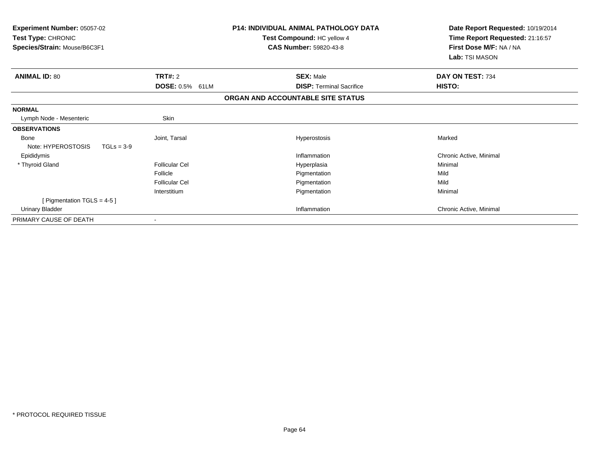| <b>Experiment Number: 05057-02</b><br>Test Type: CHRONIC<br>Species/Strain: Mouse/B6C3F1 |                        | <b>P14: INDIVIDUAL ANIMAL PATHOLOGY DATA</b><br>Test Compound: HC yellow 4<br><b>CAS Number: 59820-43-8</b> | Date Report Requested: 10/19/2014<br>Time Report Requested: 21:16:57<br>First Dose M/F: NA / NA<br>Lab: TSI MASON |
|------------------------------------------------------------------------------------------|------------------------|-------------------------------------------------------------------------------------------------------------|-------------------------------------------------------------------------------------------------------------------|
| <b>ANIMAL ID: 80</b>                                                                     | TRT#: 2                | <b>SEX: Male</b>                                                                                            | DAY ON TEST: 734                                                                                                  |
|                                                                                          | <b>DOSE: 0.5% 61LM</b> | <b>DISP: Terminal Sacrifice</b>                                                                             | HISTO:                                                                                                            |
|                                                                                          |                        | ORGAN AND ACCOUNTABLE SITE STATUS                                                                           |                                                                                                                   |
| <b>NORMAL</b>                                                                            |                        |                                                                                                             |                                                                                                                   |
| Lymph Node - Mesenteric                                                                  | Skin                   |                                                                                                             |                                                                                                                   |
| <b>OBSERVATIONS</b>                                                                      |                        |                                                                                                             |                                                                                                                   |
| <b>Bone</b>                                                                              | Joint, Tarsal          | Hyperostosis                                                                                                | Marked                                                                                                            |
| Note: HYPEROSTOSIS<br>$TGLs = 3-9$                                                       |                        |                                                                                                             |                                                                                                                   |
| Epididymis                                                                               |                        | Inflammation                                                                                                | Chronic Active, Minimal                                                                                           |
| * Thyroid Gland                                                                          | <b>Follicular Cel</b>  | Hyperplasia                                                                                                 | Minimal                                                                                                           |
|                                                                                          | Follicle               | Pigmentation                                                                                                | Mild                                                                                                              |
|                                                                                          | <b>Follicular Cel</b>  | Pigmentation                                                                                                | Mild                                                                                                              |
|                                                                                          | Interstitium           | Pigmentation                                                                                                | Minimal                                                                                                           |
| [ Pigmentation TGLS = 4-5 ]                                                              |                        |                                                                                                             |                                                                                                                   |
| Urinary Bladder                                                                          |                        | Inflammation                                                                                                | Chronic Active, Minimal                                                                                           |
| PRIMARY CAUSE OF DEATH                                                                   |                        |                                                                                                             |                                                                                                                   |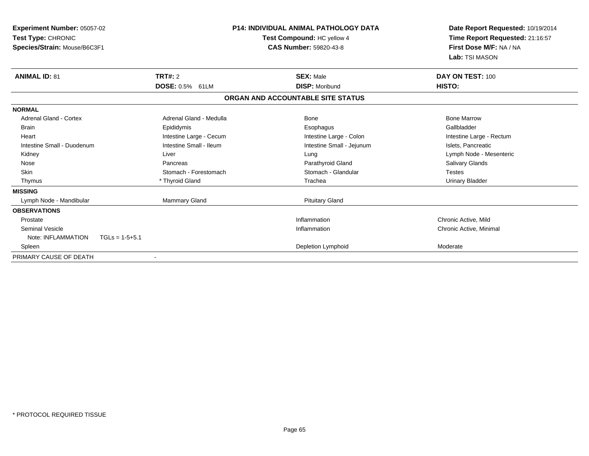| <b>Experiment Number: 05057-02</b><br>Test Type: CHRONIC<br>Species/Strain: Mouse/B6C3F1 |                           | <b>P14: INDIVIDUAL ANIMAL PATHOLOGY DATA</b><br>Test Compound: HC yellow 4<br><b>CAS Number: 59820-43-8</b> | Date Report Requested: 10/19/2014<br>Time Report Requested: 21:16:57<br>First Dose M/F: NA / NA<br>Lab: TSI MASON |
|------------------------------------------------------------------------------------------|---------------------------|-------------------------------------------------------------------------------------------------------------|-------------------------------------------------------------------------------------------------------------------|
| <b>ANIMAL ID: 81</b>                                                                     | <b>TRT#: 2</b>            | <b>SEX: Male</b>                                                                                            | DAY ON TEST: 100                                                                                                  |
|                                                                                          | <b>DOSE: 0.5%</b><br>61LM | <b>DISP: Moribund</b>                                                                                       | HISTO:                                                                                                            |
|                                                                                          |                           | ORGAN AND ACCOUNTABLE SITE STATUS                                                                           |                                                                                                                   |
| <b>NORMAL</b>                                                                            |                           |                                                                                                             |                                                                                                                   |
| Adrenal Gland - Cortex                                                                   | Adrenal Gland - Medulla   | Bone                                                                                                        | <b>Bone Marrow</b>                                                                                                |
| <b>Brain</b>                                                                             | Epididymis                | Esophagus                                                                                                   | Gallbladder                                                                                                       |
| Heart                                                                                    | Intestine Large - Cecum   | Intestine Large - Colon                                                                                     | Intestine Large - Rectum                                                                                          |
| Intestine Small - Duodenum                                                               | Intestine Small - Ileum   | Intestine Small - Jejunum                                                                                   | Islets, Pancreatic                                                                                                |
| Kidney                                                                                   | Liver                     | Lung                                                                                                        | Lymph Node - Mesenteric                                                                                           |
| Nose                                                                                     | Pancreas                  | Parathyroid Gland                                                                                           | <b>Salivary Glands</b>                                                                                            |
| Skin                                                                                     | Stomach - Forestomach     | Stomach - Glandular                                                                                         | <b>Testes</b>                                                                                                     |
| Thymus                                                                                   | * Thyroid Gland           | Trachea                                                                                                     | <b>Urinary Bladder</b>                                                                                            |
| <b>MISSING</b>                                                                           |                           |                                                                                                             |                                                                                                                   |
| Lymph Node - Mandibular                                                                  | <b>Mammary Gland</b>      | <b>Pituitary Gland</b>                                                                                      |                                                                                                                   |
| <b>OBSERVATIONS</b>                                                                      |                           |                                                                                                             |                                                                                                                   |
| Prostate                                                                                 |                           | Inflammation                                                                                                | Chronic Active, Mild                                                                                              |
| <b>Seminal Vesicle</b>                                                                   |                           | Inflammation                                                                                                | Chronic Active, Minimal                                                                                           |
| Note: INFLAMMATION<br>$TGLs = 1-5+5.1$                                                   |                           |                                                                                                             |                                                                                                                   |
| Spleen                                                                                   |                           | Depletion Lymphoid                                                                                          | Moderate                                                                                                          |
| PRIMARY CAUSE OF DEATH                                                                   |                           |                                                                                                             |                                                                                                                   |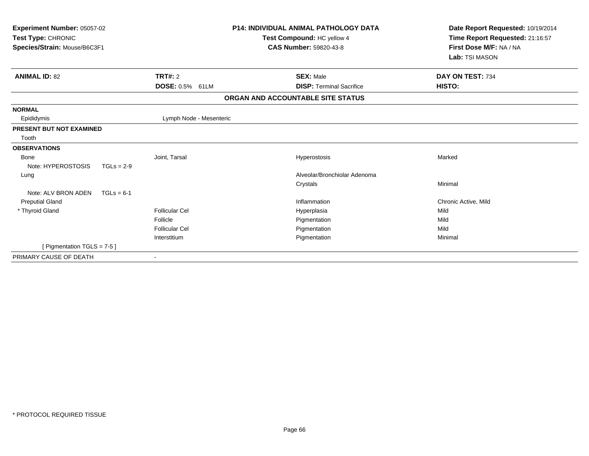| Experiment Number: 05057-02<br>Test Type: CHRONIC<br>Species/Strain: Mouse/B6C3F1 |              |                           | <b>P14: INDIVIDUAL ANIMAL PATHOLOGY DATA</b><br>Test Compound: HC yellow 4<br><b>CAS Number: 59820-43-8</b> | Date Report Requested: 10/19/2014<br>Time Report Requested: 21:16:57<br>First Dose M/F: NA / NA<br>Lab: TSI MASON |
|-----------------------------------------------------------------------------------|--------------|---------------------------|-------------------------------------------------------------------------------------------------------------|-------------------------------------------------------------------------------------------------------------------|
| <b>ANIMAL ID: 82</b>                                                              |              | TRT#: 2                   | <b>SEX: Male</b>                                                                                            | DAY ON TEST: 734                                                                                                  |
|                                                                                   |              | <b>DOSE: 0.5%</b><br>61LM | <b>DISP: Terminal Sacrifice</b>                                                                             | HISTO:                                                                                                            |
|                                                                                   |              |                           | ORGAN AND ACCOUNTABLE SITE STATUS                                                                           |                                                                                                                   |
| <b>NORMAL</b>                                                                     |              |                           |                                                                                                             |                                                                                                                   |
| Epididymis                                                                        |              | Lymph Node - Mesenteric   |                                                                                                             |                                                                                                                   |
| <b>PRESENT BUT NOT EXAMINED</b>                                                   |              |                           |                                                                                                             |                                                                                                                   |
| Tooth                                                                             |              |                           |                                                                                                             |                                                                                                                   |
| <b>OBSERVATIONS</b>                                                               |              |                           |                                                                                                             |                                                                                                                   |
| <b>Bone</b>                                                                       |              | Joint. Tarsal             | Hyperostosis                                                                                                | Marked                                                                                                            |
| Note: HYPEROSTOSIS                                                                | $TGLs = 2-9$ |                           |                                                                                                             |                                                                                                                   |
| Lung                                                                              |              |                           | Alveolar/Bronchiolar Adenoma                                                                                |                                                                                                                   |
|                                                                                   |              |                           | Crystals                                                                                                    | Minimal                                                                                                           |
| Note: ALV BRON ADEN                                                               | $TGLs = 6-1$ |                           |                                                                                                             |                                                                                                                   |
| <b>Preputial Gland</b>                                                            |              |                           | Inflammation                                                                                                | Chronic Active, Mild                                                                                              |
| * Thyroid Gland                                                                   |              | Follicular Cel            | Hyperplasia                                                                                                 | Mild                                                                                                              |
|                                                                                   |              | Follicle                  | Pigmentation                                                                                                | Mild                                                                                                              |
|                                                                                   |              | <b>Follicular Cel</b>     | Pigmentation                                                                                                | Mild                                                                                                              |
|                                                                                   |              | Interstitium              | Pigmentation                                                                                                | Minimal                                                                                                           |
| [ Pigmentation TGLS = 7-5 ]                                                       |              |                           |                                                                                                             |                                                                                                                   |
| PRIMARY CAUSE OF DEATH                                                            |              | $\overline{\phantom{a}}$  |                                                                                                             |                                                                                                                   |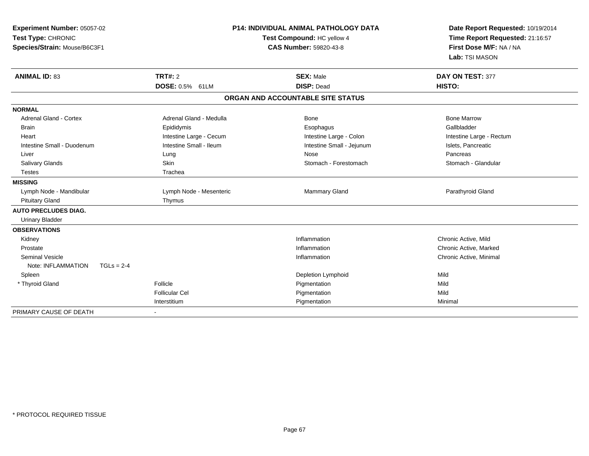| Experiment Number: 05057-02<br>Test Type: CHRONIC<br>Species/Strain: Mouse/B6C3F1 |                                   | P14: INDIVIDUAL ANIMAL PATHOLOGY DATA<br>Test Compound: HC yellow 4<br><b>CAS Number: 59820-43-8</b> | Date Report Requested: 10/19/2014<br>Time Report Requested: 21:16:57<br>First Dose M/F: NA / NA<br>Lab: TSI MASON |
|-----------------------------------------------------------------------------------|-----------------------------------|------------------------------------------------------------------------------------------------------|-------------------------------------------------------------------------------------------------------------------|
| <b>ANIMAL ID: 83</b>                                                              | <b>TRT#: 2</b><br>DOSE: 0.5% 61LM | <b>SEX: Male</b><br><b>DISP: Dead</b>                                                                | DAY ON TEST: 377<br>HISTO:                                                                                        |
|                                                                                   |                                   | ORGAN AND ACCOUNTABLE SITE STATUS                                                                    |                                                                                                                   |
| <b>NORMAL</b>                                                                     |                                   |                                                                                                      |                                                                                                                   |
| <b>Adrenal Gland - Cortex</b>                                                     | Adrenal Gland - Medulla           | <b>Bone</b>                                                                                          | <b>Bone Marrow</b>                                                                                                |
| <b>Brain</b>                                                                      | Epididymis                        | Esophagus                                                                                            | Gallbladder                                                                                                       |
| Heart                                                                             | Intestine Large - Cecum           | Intestine Large - Colon                                                                              | Intestine Large - Rectum                                                                                          |
| Intestine Small - Duodenum                                                        | Intestine Small - Ileum           | Intestine Small - Jejunum                                                                            | Islets, Pancreatic                                                                                                |
| Liver                                                                             | Lung                              | Nose                                                                                                 | Pancreas                                                                                                          |
| Salivary Glands                                                                   | Skin                              | Stomach - Forestomach                                                                                | Stomach - Glandular                                                                                               |
| <b>Testes</b>                                                                     | Trachea                           |                                                                                                      |                                                                                                                   |
| <b>MISSING</b>                                                                    |                                   |                                                                                                      |                                                                                                                   |
| Lymph Node - Mandibular                                                           | Lymph Node - Mesenteric           | Mammary Gland                                                                                        | Parathyroid Gland                                                                                                 |
| <b>Pituitary Gland</b>                                                            | Thymus                            |                                                                                                      |                                                                                                                   |
| <b>AUTO PRECLUDES DIAG.</b>                                                       |                                   |                                                                                                      |                                                                                                                   |
| <b>Urinary Bladder</b>                                                            |                                   |                                                                                                      |                                                                                                                   |
| <b>OBSERVATIONS</b>                                                               |                                   |                                                                                                      |                                                                                                                   |
| Kidney                                                                            |                                   | Inflammation                                                                                         | Chronic Active, Mild                                                                                              |
| Prostate                                                                          |                                   | Inflammation                                                                                         | Chronic Active, Marked                                                                                            |
| <b>Seminal Vesicle</b>                                                            |                                   | Inflammation                                                                                         | Chronic Active, Minimal                                                                                           |
| Note: INFLAMMATION<br>$TGLs = 2-4$                                                |                                   |                                                                                                      |                                                                                                                   |
| Spleen                                                                            |                                   | Depletion Lymphoid                                                                                   | Mild                                                                                                              |
| * Thyroid Gland                                                                   | Follicle                          | Pigmentation                                                                                         | Mild                                                                                                              |
|                                                                                   | <b>Follicular Cel</b>             | Pigmentation                                                                                         | Mild                                                                                                              |
|                                                                                   | Interstitium                      | Pigmentation                                                                                         | Minimal                                                                                                           |
| PRIMARY CAUSE OF DEATH                                                            |                                   |                                                                                                      |                                                                                                                   |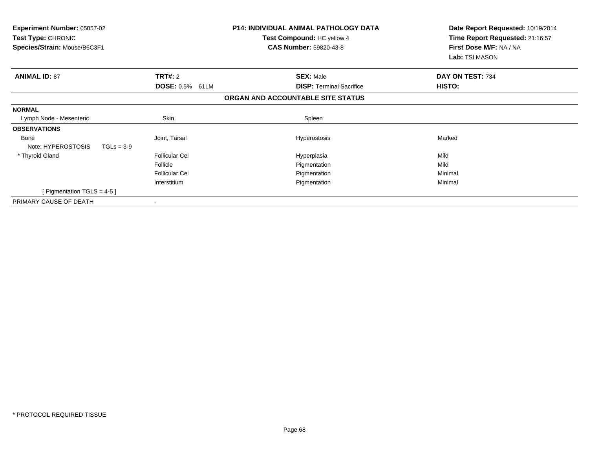| Experiment Number: 05057-02<br><b>Test Type: CHRONIC</b><br>Species/Strain: Mouse/B6C3F1 |                        | P14: INDIVIDUAL ANIMAL PATHOLOGY DATA<br>Test Compound: HC yellow 4<br><b>CAS Number: 59820-43-8</b> | Date Report Requested: 10/19/2014<br>Time Report Requested: 21:16:57<br>First Dose M/F: NA / NA<br>Lab: TSI MASON |
|------------------------------------------------------------------------------------------|------------------------|------------------------------------------------------------------------------------------------------|-------------------------------------------------------------------------------------------------------------------|
| <b>ANIMAL ID: 87</b>                                                                     | <b>TRT#: 2</b>         | <b>SEX: Male</b>                                                                                     | DAY ON TEST: 734                                                                                                  |
|                                                                                          | <b>DOSE: 0.5% 61LM</b> | <b>DISP: Terminal Sacrifice</b>                                                                      | HISTO:                                                                                                            |
|                                                                                          |                        | ORGAN AND ACCOUNTABLE SITE STATUS                                                                    |                                                                                                                   |
| <b>NORMAL</b>                                                                            |                        |                                                                                                      |                                                                                                                   |
| Lymph Node - Mesenteric                                                                  | Skin                   | Spleen                                                                                               |                                                                                                                   |
| <b>OBSERVATIONS</b>                                                                      |                        |                                                                                                      |                                                                                                                   |
| Bone<br>Note: HYPEROSTOSIS<br>$TGLs = 3-9$                                               | Joint, Tarsal          | Hyperostosis                                                                                         | Marked                                                                                                            |
| * Thyroid Gland                                                                          | <b>Follicular Cel</b>  | Hyperplasia                                                                                          | Mild                                                                                                              |
|                                                                                          | Follicle               | Pigmentation                                                                                         | Mild                                                                                                              |
|                                                                                          | <b>Follicular Cel</b>  | Pigmentation                                                                                         | Minimal                                                                                                           |
|                                                                                          | Interstitium           | Pigmentation                                                                                         | Minimal                                                                                                           |
| [Pigmentation TGLS = $4-5$ ]                                                             |                        |                                                                                                      |                                                                                                                   |
| PRIMARY CAUSE OF DEATH                                                                   |                        |                                                                                                      |                                                                                                                   |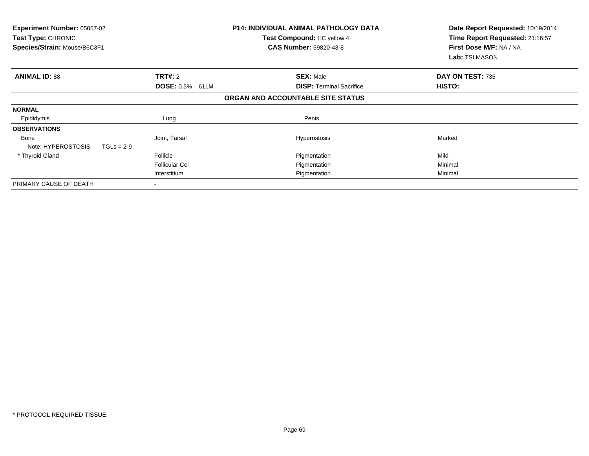| Experiment Number: 05057-02<br>Test Type: CHRONIC<br>Species/Strain: Mouse/B6C3F1 |              |                           | <b>P14: INDIVIDUAL ANIMAL PATHOLOGY DATA</b><br>Test Compound: HC yellow 4<br><b>CAS Number: 59820-43-8</b> | Date Report Requested: 10/19/2014<br>Time Report Requested: 21:16:57<br>First Dose M/F: NA / NA<br><b>Lab:</b> TSI MASON |
|-----------------------------------------------------------------------------------|--------------|---------------------------|-------------------------------------------------------------------------------------------------------------|--------------------------------------------------------------------------------------------------------------------------|
| <b>ANIMAL ID: 88</b>                                                              |              | <b>TRT#: 2</b>            | <b>SEX: Male</b>                                                                                            | DAY ON TEST: 735                                                                                                         |
|                                                                                   |              | <b>DOSE: 0.5%</b><br>61LM | <b>DISP: Terminal Sacrifice</b>                                                                             | <b>HISTO:</b>                                                                                                            |
|                                                                                   |              |                           | ORGAN AND ACCOUNTABLE SITE STATUS                                                                           |                                                                                                                          |
| <b>NORMAL</b>                                                                     |              |                           |                                                                                                             |                                                                                                                          |
| Epididymis                                                                        |              | Lung                      | Penis                                                                                                       |                                                                                                                          |
| <b>OBSERVATIONS</b>                                                               |              |                           |                                                                                                             |                                                                                                                          |
| Bone<br>Note: HYPEROSTOSIS                                                        | $TGLs = 2-9$ | Joint, Tarsal             | <b>Hyperostosis</b>                                                                                         | Marked                                                                                                                   |
| * Thyroid Gland                                                                   |              | Follicle                  | Pigmentation                                                                                                | Mild                                                                                                                     |
|                                                                                   |              | <b>Follicular Cel</b>     | Pigmentation                                                                                                | Minimal                                                                                                                  |
|                                                                                   |              | Interstitium              | Pigmentation                                                                                                | Minimal                                                                                                                  |
| PRIMARY CAUSE OF DEATH                                                            |              |                           |                                                                                                             |                                                                                                                          |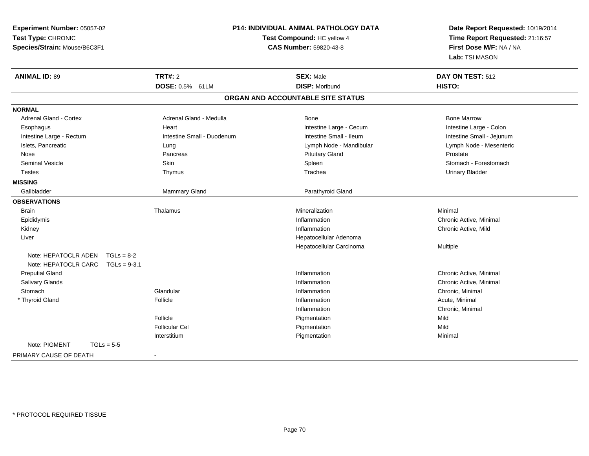| Experiment Number: 05057-02          |                            | <b>P14: INDIVIDUAL ANIMAL PATHOLOGY DATA</b> | Date Report Requested: 10/19/2014                          |  |
|--------------------------------------|----------------------------|----------------------------------------------|------------------------------------------------------------|--|
| Test Type: CHRONIC                   |                            | Test Compound: HC yellow 4                   | Time Report Requested: 21:16:57<br>First Dose M/F: NA / NA |  |
| Species/Strain: Mouse/B6C3F1         |                            | <b>CAS Number: 59820-43-8</b>                |                                                            |  |
|                                      |                            |                                              | Lab: TSI MASON                                             |  |
| <b>ANIMAL ID: 89</b>                 | <b>TRT#: 2</b>             | <b>SEX: Male</b>                             | DAY ON TEST: 512                                           |  |
|                                      | DOSE: 0.5% 61LM            | <b>DISP: Moribund</b>                        | HISTO:                                                     |  |
|                                      |                            | ORGAN AND ACCOUNTABLE SITE STATUS            |                                                            |  |
| <b>NORMAL</b>                        |                            |                                              |                                                            |  |
| <b>Adrenal Gland - Cortex</b>        | Adrenal Gland - Medulla    | Bone                                         | <b>Bone Marrow</b>                                         |  |
| Esophagus                            | Heart                      | Intestine Large - Cecum                      | Intestine Large - Colon                                    |  |
| Intestine Large - Rectum             | Intestine Small - Duodenum | Intestine Small - Ileum                      | Intestine Small - Jejunum                                  |  |
| Islets, Pancreatic                   | Lung                       | Lymph Node - Mandibular                      | Lymph Node - Mesenteric                                    |  |
| Nose                                 | Pancreas                   | <b>Pituitary Gland</b>                       | Prostate                                                   |  |
| <b>Seminal Vesicle</b>               | Skin                       | Spleen                                       | Stomach - Forestomach                                      |  |
| Testes                               | Thymus                     | Trachea                                      | <b>Urinary Bladder</b>                                     |  |
| <b>MISSING</b>                       |                            |                                              |                                                            |  |
| Gallbladder                          | Mammary Gland              | Parathyroid Gland                            |                                                            |  |
| <b>OBSERVATIONS</b>                  |                            |                                              |                                                            |  |
| Brain                                | Thalamus                   | Mineralization                               | Minimal                                                    |  |
| Epididymis                           |                            | Inflammation                                 | Chronic Active, Minimal                                    |  |
| Kidney                               |                            | Inflammation                                 | Chronic Active, Mild                                       |  |
| Liver                                |                            | Hepatocellular Adenoma                       |                                                            |  |
|                                      |                            | Hepatocellular Carcinoma                     | Multiple                                                   |  |
| Note: HEPATOCLR ADEN<br>$TGLs = 8-2$ |                            |                                              |                                                            |  |
| Note: HEPATOCLR CARC                 | $TGLs = 9-3.1$             |                                              |                                                            |  |
| <b>Preputial Gland</b>               |                            | Inflammation                                 | Chronic Active, Minimal                                    |  |
| Salivary Glands                      |                            | Inflammation                                 | Chronic Active, Minimal                                    |  |
| Stomach                              | Glandular                  | Inflammation                                 | Chronic, Minimal                                           |  |
| * Thyroid Gland                      | Follicle                   | Inflammation                                 | Acute, Minimal                                             |  |
|                                      |                            | Inflammation                                 | Chronic, Minimal                                           |  |
|                                      | Follicle                   | Pigmentation                                 | Mild                                                       |  |
|                                      | <b>Follicular Cel</b>      | Pigmentation                                 | Mild                                                       |  |
|                                      | Interstitium               | Pigmentation                                 | Minimal                                                    |  |
| Note: PIGMENT<br>$TGLs = 5-5$        |                            |                                              |                                                            |  |
| PRIMARY CAUSE OF DEATH               | $\overline{\phantom{a}}$   |                                              |                                                            |  |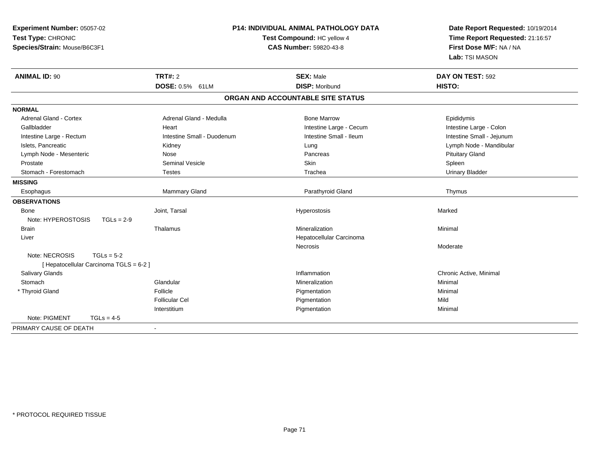| Experiment Number: 05057-02             |                            | <b>P14: INDIVIDUAL ANIMAL PATHOLOGY DATA</b> | Date Report Requested: 10/19/2014 |  |
|-----------------------------------------|----------------------------|----------------------------------------------|-----------------------------------|--|
| Test Type: CHRONIC                      |                            | Test Compound: HC yellow 4                   | Time Report Requested: 21:16:57   |  |
| Species/Strain: Mouse/B6C3F1            |                            | <b>CAS Number: 59820-43-8</b>                | First Dose M/F: NA / NA           |  |
|                                         |                            |                                              | Lab: TSI MASON                    |  |
| <b>ANIMAL ID: 90</b>                    | TRT#: 2                    | <b>SEX: Male</b>                             | DAY ON TEST: 592                  |  |
|                                         | DOSE: 0.5% 61LM            | <b>DISP: Moribund</b>                        | <b>HISTO:</b>                     |  |
|                                         |                            | ORGAN AND ACCOUNTABLE SITE STATUS            |                                   |  |
| <b>NORMAL</b>                           |                            |                                              |                                   |  |
| <b>Adrenal Gland - Cortex</b>           | Adrenal Gland - Medulla    | <b>Bone Marrow</b>                           | Epididymis                        |  |
| Gallbladder                             | Heart                      | Intestine Large - Cecum                      | Intestine Large - Colon           |  |
| Intestine Large - Rectum                | Intestine Small - Duodenum | Intestine Small - Ileum                      | Intestine Small - Jejunum         |  |
| Islets, Pancreatic                      | Kidney                     | Lung                                         | Lymph Node - Mandibular           |  |
| Lymph Node - Mesenteric                 | <b>Nose</b>                | Pancreas                                     | <b>Pituitary Gland</b>            |  |
| Prostate                                | <b>Seminal Vesicle</b>     | Skin                                         | Spleen                            |  |
| Stomach - Forestomach                   | <b>Testes</b>              | Trachea                                      | <b>Urinary Bladder</b>            |  |
| <b>MISSING</b>                          |                            |                                              |                                   |  |
| Esophagus                               | Mammary Gland              | Parathyroid Gland                            | Thymus                            |  |
| <b>OBSERVATIONS</b>                     |                            |                                              |                                   |  |
| Bone                                    | Joint, Tarsal              | Hyperostosis                                 | Marked                            |  |
| Note: HYPEROSTOSIS<br>$TGLs = 2-9$      |                            |                                              |                                   |  |
| <b>Brain</b>                            | Thalamus                   | Mineralization                               | Minimal                           |  |
| Liver                                   |                            | Hepatocellular Carcinoma                     |                                   |  |
|                                         |                            | Necrosis                                     | Moderate                          |  |
| Note: NECROSIS<br>$TGLs = 5-2$          |                            |                                              |                                   |  |
| [ Hepatocellular Carcinoma TGLS = 6-2 ] |                            |                                              |                                   |  |
| Salivary Glands                         |                            | Inflammation                                 | Chronic Active, Minimal           |  |
| Stomach                                 | Glandular                  | Mineralization                               | Minimal                           |  |
| * Thyroid Gland                         | Follicle                   | Pigmentation                                 | Minimal                           |  |
|                                         | Follicular Cel             | Pigmentation                                 | Mild                              |  |
|                                         | Interstitium               | Pigmentation                                 | Minimal                           |  |
| Note: PIGMENT<br>$TGLs = 4-5$           |                            |                                              |                                   |  |
| PRIMARY CAUSE OF DEATH                  | $\blacksquare$             |                                              |                                   |  |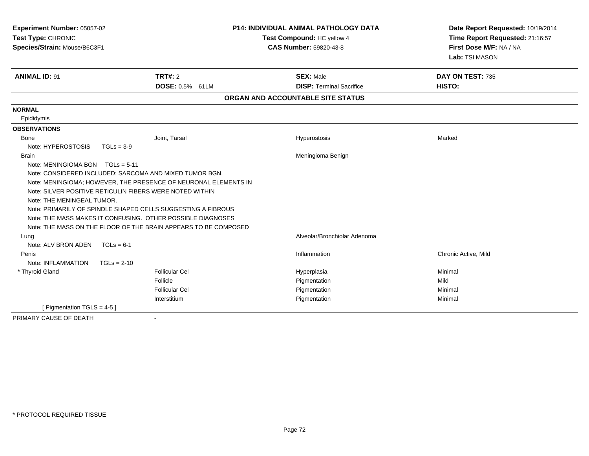| Experiment Number: 05057-02<br>Test Type: CHRONIC                              |                                                                                                                                                                                                                                                                                                                                                                                          | <b>P14: INDIVIDUAL ANIMAL PATHOLOGY DATA</b><br>Test Compound: HC yellow 4 | Date Report Requested: 10/19/2014<br>Time Report Requested: 21:16:57 |  |
|--------------------------------------------------------------------------------|------------------------------------------------------------------------------------------------------------------------------------------------------------------------------------------------------------------------------------------------------------------------------------------------------------------------------------------------------------------------------------------|----------------------------------------------------------------------------|----------------------------------------------------------------------|--|
| Species/Strain: Mouse/B6C3F1                                                   |                                                                                                                                                                                                                                                                                                                                                                                          | <b>CAS Number: 59820-43-8</b>                                              | First Dose M/F: NA / NA<br>Lab: TSI MASON                            |  |
| <b>ANIMAL ID: 91</b>                                                           | TRT#: 2<br>DOSE: 0.5% 61LM                                                                                                                                                                                                                                                                                                                                                               | <b>SEX: Male</b><br><b>DISP: Terminal Sacrifice</b>                        | DAY ON TEST: 735<br><b>HISTO:</b>                                    |  |
|                                                                                |                                                                                                                                                                                                                                                                                                                                                                                          | ORGAN AND ACCOUNTABLE SITE STATUS                                          |                                                                      |  |
| <b>NORMAL</b><br>Epididymis                                                    |                                                                                                                                                                                                                                                                                                                                                                                          |                                                                            |                                                                      |  |
| <b>OBSERVATIONS</b>                                                            |                                                                                                                                                                                                                                                                                                                                                                                          |                                                                            |                                                                      |  |
| Bone<br>Note: HYPEROSTOSIS                                                     | Joint, Tarsal<br>$TGLs = 3-9$                                                                                                                                                                                                                                                                                                                                                            | Hyperostosis                                                               | Marked                                                               |  |
| <b>Brain</b><br>Note: MENINGIOMA BGN TGLs = 5-11<br>Note: THE MENINGEAL TUMOR. | Note: CONSIDERED INCLUDED: SARCOMA AND MIXED TUMOR BGN.<br>Note: MENINGIOMA; HOWEVER, THE PRESENCE OF NEURONAL ELEMENTS IN<br>Note: SILVER POSITIVE RETICULIN FIBERS WERE NOTED WITHIN<br>Note: PRIMARILY OF SPINDLE SHAPED CELLS SUGGESTING A FIBROUS<br>Note: THE MASS MAKES IT CONFUSING. OTHER POSSIBLE DIAGNOSES<br>Note: THE MASS ON THE FLOOR OF THE BRAIN APPEARS TO BE COMPOSED | Meningioma Benign                                                          |                                                                      |  |
| Lung                                                                           |                                                                                                                                                                                                                                                                                                                                                                                          | Alveolar/Bronchiolar Adenoma                                               |                                                                      |  |
| Note: ALV BRON ADEN<br>Penis<br>Note: INFLAMMATION                             | $TGLs = 6-1$<br>$TGLs = 2-10$                                                                                                                                                                                                                                                                                                                                                            | Inflammation                                                               | Chronic Active, Mild                                                 |  |
| * Thyroid Gland                                                                | <b>Follicular Cel</b><br>Follicle<br><b>Follicular Cel</b><br>Interstitium                                                                                                                                                                                                                                                                                                               | Hyperplasia<br>Pigmentation<br>Pigmentation<br>Pigmentation                | Minimal<br>Mild<br>Minimal<br>Minimal                                |  |
| [ Pigmentation TGLS = $4-5$ ]                                                  |                                                                                                                                                                                                                                                                                                                                                                                          |                                                                            |                                                                      |  |
| PRIMARY CAUSE OF DEATH                                                         | $\overline{\phantom{a}}$                                                                                                                                                                                                                                                                                                                                                                 |                                                                            |                                                                      |  |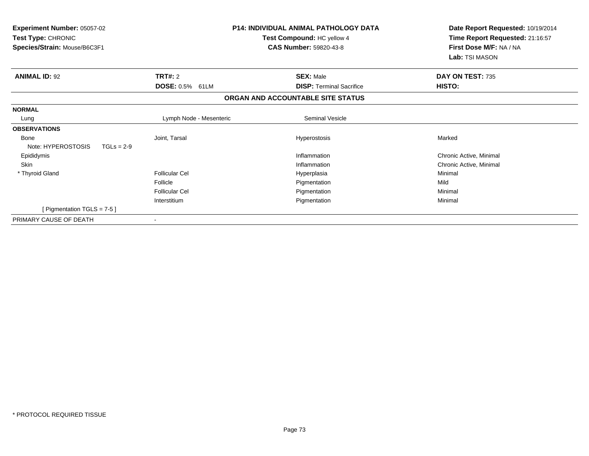| <b>Experiment Number: 05057-02</b><br>Test Type: CHRONIC<br>Species/Strain: Mouse/B6C3F1 |                           | <b>P14: INDIVIDUAL ANIMAL PATHOLOGY DATA</b><br>Test Compound: HC yellow 4<br><b>CAS Number: 59820-43-8</b> | Date Report Requested: 10/19/2014<br>Time Report Requested: 21:16:57<br>First Dose M/F: NA / NA<br>Lab: TSI MASON |
|------------------------------------------------------------------------------------------|---------------------------|-------------------------------------------------------------------------------------------------------------|-------------------------------------------------------------------------------------------------------------------|
| <b>ANIMAL ID: 92</b>                                                                     | TRT#: 2                   | <b>SEX: Male</b>                                                                                            | DAY ON TEST: 735                                                                                                  |
|                                                                                          | <b>DOSE: 0.5%</b><br>61LM | <b>DISP: Terminal Sacrifice</b>                                                                             | <b>HISTO:</b>                                                                                                     |
|                                                                                          |                           | ORGAN AND ACCOUNTABLE SITE STATUS                                                                           |                                                                                                                   |
| <b>NORMAL</b>                                                                            |                           |                                                                                                             |                                                                                                                   |
| Lung                                                                                     | Lymph Node - Mesenteric   | <b>Seminal Vesicle</b>                                                                                      |                                                                                                                   |
| <b>OBSERVATIONS</b>                                                                      |                           |                                                                                                             |                                                                                                                   |
| <b>Bone</b>                                                                              | Joint, Tarsal             | Hyperostosis                                                                                                | Marked                                                                                                            |
| Note: HYPEROSTOSIS<br>$TGLs = 2-9$                                                       |                           |                                                                                                             |                                                                                                                   |
| Epididymis                                                                               |                           | Inflammation                                                                                                | Chronic Active, Minimal                                                                                           |
| Skin                                                                                     |                           | Inflammation                                                                                                | Chronic Active, Minimal                                                                                           |
| * Thyroid Gland                                                                          | <b>Follicular Cel</b>     | Hyperplasia                                                                                                 | Minimal                                                                                                           |
|                                                                                          | Follicle                  | Pigmentation                                                                                                | Mild                                                                                                              |
|                                                                                          | <b>Follicular Cel</b>     | Pigmentation                                                                                                | Minimal                                                                                                           |
|                                                                                          | Interstitium              | Pigmentation                                                                                                | Minimal                                                                                                           |
| [Pigmentation TGLS = 7-5]                                                                |                           |                                                                                                             |                                                                                                                   |
| PRIMARY CAUSE OF DEATH                                                                   |                           |                                                                                                             |                                                                                                                   |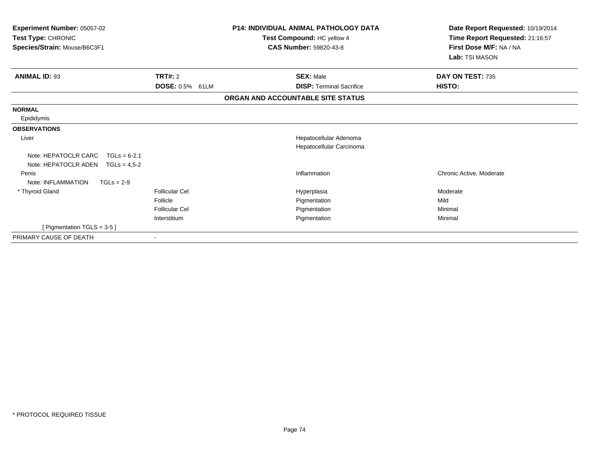| <b>Experiment Number: 05057-02</b><br>Test Type: CHRONIC<br>Species/Strain: Mouse/B6C3F1 |                                      | <b>P14: INDIVIDUAL ANIMAL PATHOLOGY DATA</b><br>Test Compound: HC yellow 4<br><b>CAS Number: 59820-43-8</b> | Date Report Requested: 10/19/2014<br>Time Report Requested: 21:16:57<br>First Dose M/F: NA / NA<br>Lab: TSI MASON |
|------------------------------------------------------------------------------------------|--------------------------------------|-------------------------------------------------------------------------------------------------------------|-------------------------------------------------------------------------------------------------------------------|
| <b>ANIMAL ID: 93</b>                                                                     | TRT#: 2<br><b>DOSE: 0.5%</b><br>61LM | <b>SEX: Male</b><br><b>DISP: Terminal Sacrifice</b>                                                         | DAY ON TEST: 735<br>HISTO:                                                                                        |
|                                                                                          |                                      | ORGAN AND ACCOUNTABLE SITE STATUS                                                                           |                                                                                                                   |
| <b>NORMAL</b>                                                                            |                                      |                                                                                                             |                                                                                                                   |
| Epididymis                                                                               |                                      |                                                                                                             |                                                                                                                   |
| <b>OBSERVATIONS</b>                                                                      |                                      |                                                                                                             |                                                                                                                   |
| Liver                                                                                    |                                      | Hepatocellular Adenoma<br>Hepatocellular Carcinoma                                                          |                                                                                                                   |
| Note: HEPATOCLR CARC<br>$TGLs = 6-2.1$<br>Note: HEPATOCLR ADEN<br>$TGLs = 4.5 - 2$       |                                      |                                                                                                             |                                                                                                                   |
| Penis<br>Note: INFLAMMATION<br>$TGLs = 2-9$                                              |                                      | Inflammation                                                                                                | Chronic Active, Moderate                                                                                          |
| * Thyroid Gland                                                                          | <b>Follicular Cel</b>                | Hyperplasia                                                                                                 | Moderate                                                                                                          |
|                                                                                          | Follicle                             | Pigmentation                                                                                                | Mild                                                                                                              |
|                                                                                          | <b>Follicular Cel</b>                | Pigmentation                                                                                                | Minimal                                                                                                           |
|                                                                                          | Interstitium                         | Pigmentation                                                                                                | Minimal                                                                                                           |
| [ Pigmentation TGLS = $3-5$ ]                                                            |                                      |                                                                                                             |                                                                                                                   |
| PRIMARY CAUSE OF DEATH                                                                   |                                      |                                                                                                             |                                                                                                                   |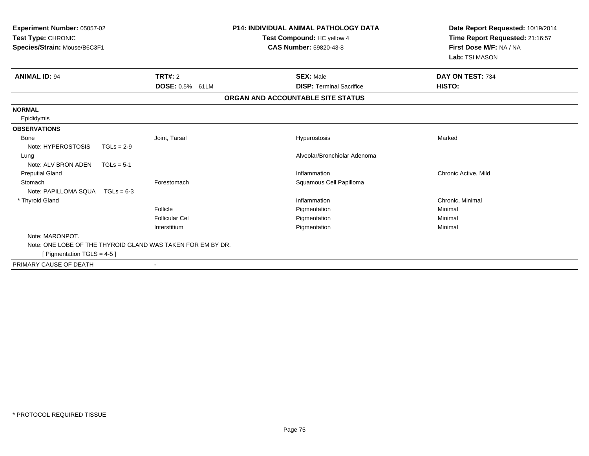| Experiment Number: 05057-02<br><b>Test Type: CHRONIC</b><br>Species/Strain: Mouse/B6C3F1 |              |                                                             | <b>P14: INDIVIDUAL ANIMAL PATHOLOGY DATA</b><br>Test Compound: HC yellow 4<br>CAS Number: 59820-43-8 | Date Report Requested: 10/19/2014<br>Time Report Requested: 21:16:57<br>First Dose M/F: NA / NA<br>Lab: TSI MASON |
|------------------------------------------------------------------------------------------|--------------|-------------------------------------------------------------|------------------------------------------------------------------------------------------------------|-------------------------------------------------------------------------------------------------------------------|
| <b>ANIMAL ID: 94</b>                                                                     |              | <b>TRT#: 2</b>                                              | <b>SEX: Male</b>                                                                                     | DAY ON TEST: 734                                                                                                  |
|                                                                                          |              | DOSE: 0.5% 61LM                                             | <b>DISP: Terminal Sacrifice</b>                                                                      | HISTO:                                                                                                            |
|                                                                                          |              |                                                             | ORGAN AND ACCOUNTABLE SITE STATUS                                                                    |                                                                                                                   |
| <b>NORMAL</b>                                                                            |              |                                                             |                                                                                                      |                                                                                                                   |
| Epididymis                                                                               |              |                                                             |                                                                                                      |                                                                                                                   |
| <b>OBSERVATIONS</b>                                                                      |              |                                                             |                                                                                                      |                                                                                                                   |
| Bone                                                                                     |              | Joint, Tarsal                                               | Hyperostosis                                                                                         | Marked                                                                                                            |
| Note: HYPEROSTOSIS                                                                       | $TGLs = 2-9$ |                                                             |                                                                                                      |                                                                                                                   |
| Lung                                                                                     |              |                                                             | Alveolar/Bronchiolar Adenoma                                                                         |                                                                                                                   |
| Note: ALV BRON ADEN                                                                      | $TGLs = 5-1$ |                                                             |                                                                                                      |                                                                                                                   |
| <b>Preputial Gland</b>                                                                   |              |                                                             | Inflammation                                                                                         | Chronic Active, Mild                                                                                              |
| Stomach                                                                                  |              | Forestomach                                                 | Squamous Cell Papilloma                                                                              |                                                                                                                   |
| Note: PAPILLOMA SQUA TGLs = 6-3                                                          |              |                                                             |                                                                                                      |                                                                                                                   |
| * Thyroid Gland                                                                          |              |                                                             | Inflammation                                                                                         | Chronic, Minimal                                                                                                  |
|                                                                                          |              | Follicle                                                    | Pigmentation                                                                                         | Minimal                                                                                                           |
|                                                                                          |              | <b>Follicular Cel</b>                                       | Pigmentation                                                                                         | Minimal                                                                                                           |
|                                                                                          |              | Interstitium                                                | Pigmentation                                                                                         | Minimal                                                                                                           |
| Note: MARONPOT.                                                                          |              |                                                             |                                                                                                      |                                                                                                                   |
|                                                                                          |              | Note: ONE LOBE OF THE THYROID GLAND WAS TAKEN FOR EM BY DR. |                                                                                                      |                                                                                                                   |
| [ Pigmentation TGLS = $4-5$ ]                                                            |              |                                                             |                                                                                                      |                                                                                                                   |
| PRIMARY CAUSE OF DEATH                                                                   |              |                                                             |                                                                                                      |                                                                                                                   |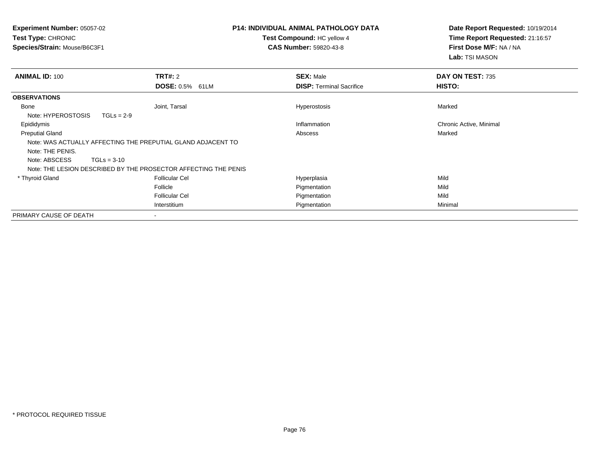| <b>Experiment Number: 05057-02</b><br><b>Test Type: CHRONIC</b><br>Species/Strain: Mouse/B6C3F1 |                                                                 | <b>P14: INDIVIDUAL ANIMAL PATHOLOGY DATA</b><br>Test Compound: HC yellow 4<br><b>CAS Number: 59820-43-8</b> | Date Report Requested: 10/19/2014<br>Time Report Requested: 21:16:57<br>First Dose M/F: NA / NA<br>Lab: TSI MASON |
|-------------------------------------------------------------------------------------------------|-----------------------------------------------------------------|-------------------------------------------------------------------------------------------------------------|-------------------------------------------------------------------------------------------------------------------|
| <b>ANIMAL ID: 100</b>                                                                           | <b>TRT#: 2</b><br><b>DOSE: 0.5%</b><br>61LM                     | <b>SEX: Male</b><br><b>DISP: Terminal Sacrifice</b>                                                         | DAY ON TEST: 735<br>HISTO:                                                                                        |
| <b>OBSERVATIONS</b>                                                                             |                                                                 |                                                                                                             |                                                                                                                   |
| Bone                                                                                            | Joint, Tarsal                                                   | Hyperostosis                                                                                                | Marked                                                                                                            |
| Note: HYPEROSTOSIS                                                                              | $TGLs = 2-9$                                                    |                                                                                                             |                                                                                                                   |
| Epididymis                                                                                      |                                                                 | Inflammation                                                                                                | Chronic Active, Minimal                                                                                           |
| <b>Preputial Gland</b>                                                                          |                                                                 | Abscess                                                                                                     | Marked                                                                                                            |
|                                                                                                 | Note: WAS ACTUALLY AFFECTING THE PREPUTIAL GLAND ADJACENT TO    |                                                                                                             |                                                                                                                   |
| Note: THE PENIS.                                                                                |                                                                 |                                                                                                             |                                                                                                                   |
| Note: ABSCESS                                                                                   | $TGLs = 3-10$                                                   |                                                                                                             |                                                                                                                   |
|                                                                                                 | Note: THE LESION DESCRIBED BY THE PROSECTOR AFFECTING THE PENIS |                                                                                                             |                                                                                                                   |
| * Thyroid Gland                                                                                 | Follicular Cel                                                  | Hyperplasia                                                                                                 | Mild                                                                                                              |
|                                                                                                 | Follicle                                                        | Pigmentation                                                                                                | Mild                                                                                                              |
|                                                                                                 | <b>Follicular Cel</b>                                           | Pigmentation                                                                                                | Mild                                                                                                              |
|                                                                                                 | Interstitium                                                    | Pigmentation                                                                                                | Minimal                                                                                                           |
| PRIMARY CAUSE OF DEATH                                                                          |                                                                 |                                                                                                             |                                                                                                                   |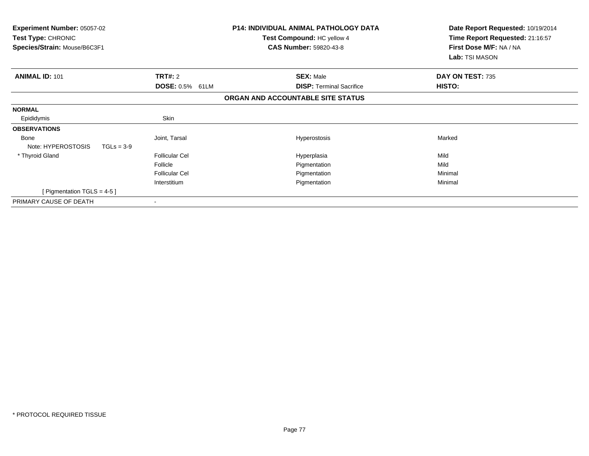| <b>Experiment Number: 05057-02</b><br><b>Test Type: CHRONIC</b><br>Species/Strain: Mouse/B6C3F1 |                           | <b>P14: INDIVIDUAL ANIMAL PATHOLOGY DATA</b><br>Test Compound: HC yellow 4<br><b>CAS Number: 59820-43-8</b> | Date Report Requested: 10/19/2014<br>Time Report Requested: 21:16:57<br>First Dose M/F: NA / NA<br>Lab: TSI MASON |
|-------------------------------------------------------------------------------------------------|---------------------------|-------------------------------------------------------------------------------------------------------------|-------------------------------------------------------------------------------------------------------------------|
| <b>ANIMAL ID: 101</b>                                                                           | TRT#: 2                   | <b>SEX: Male</b>                                                                                            | DAY ON TEST: 735                                                                                                  |
|                                                                                                 | <b>DOSE: 0.5%</b><br>61LM | <b>DISP: Terminal Sacrifice</b>                                                                             | HISTO:                                                                                                            |
|                                                                                                 |                           | ORGAN AND ACCOUNTABLE SITE STATUS                                                                           |                                                                                                                   |
| <b>NORMAL</b>                                                                                   |                           |                                                                                                             |                                                                                                                   |
| Epididymis                                                                                      | Skin                      |                                                                                                             |                                                                                                                   |
| <b>OBSERVATIONS</b>                                                                             |                           |                                                                                                             |                                                                                                                   |
| <b>Bone</b><br>Note: HYPEROSTOSIS<br>$TGLs = 3-9$                                               | Joint, Tarsal             | <b>Hyperostosis</b>                                                                                         | Marked                                                                                                            |
| * Thyroid Gland                                                                                 | <b>Follicular Cel</b>     | Hyperplasia                                                                                                 | Mild                                                                                                              |
|                                                                                                 | Follicle                  | Pigmentation                                                                                                | Mild                                                                                                              |
|                                                                                                 | <b>Follicular Cel</b>     | Pigmentation                                                                                                | Minimal                                                                                                           |
|                                                                                                 | Interstitium              | Pigmentation                                                                                                | Minimal                                                                                                           |
| [Pigmentation TGLS = 4-5]                                                                       |                           |                                                                                                             |                                                                                                                   |
| PRIMARY CAUSE OF DEATH                                                                          | $\overline{\phantom{a}}$  |                                                                                                             |                                                                                                                   |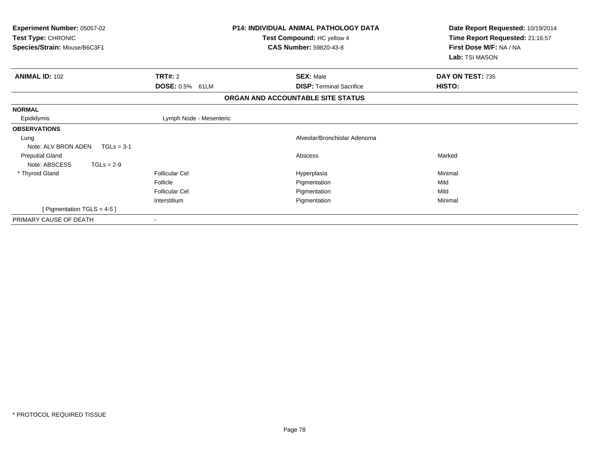| Experiment Number: 05057-02<br>Test Type: CHRONIC<br>Species/Strain: Mouse/B6C3F1 |                                                                     | <b>P14: INDIVIDUAL ANIMAL PATHOLOGY DATA</b><br>Test Compound: HC yellow 4<br><b>CAS Number: 59820-43-8</b> | Date Report Requested: 10/19/2014<br>Time Report Requested: 21:16:57<br>First Dose M/F: NA / NA<br>Lab: TSI MASON |
|-----------------------------------------------------------------------------------|---------------------------------------------------------------------|-------------------------------------------------------------------------------------------------------------|-------------------------------------------------------------------------------------------------------------------|
| <b>ANIMAL ID: 102</b>                                                             | TRT#: 2<br><b>DOSE: 0.5% 61LM</b>                                   | <b>SEX: Male</b><br><b>DISP: Terminal Sacrifice</b>                                                         | DAY ON TEST: 735<br>HISTO:                                                                                        |
|                                                                                   |                                                                     | ORGAN AND ACCOUNTABLE SITE STATUS                                                                           |                                                                                                                   |
| <b>NORMAL</b><br>Epididymis                                                       | Lymph Node - Mesenteric                                             |                                                                                                             |                                                                                                                   |
| <b>OBSERVATIONS</b><br>Lung<br>Note: ALV BRON ADEN<br>$TGLs = 3-1$                |                                                                     | Alveolar/Bronchiolar Adenoma                                                                                |                                                                                                                   |
| <b>Preputial Gland</b><br>Note: ABSCESS<br>$TGLs = 2-9$                           |                                                                     | Abscess                                                                                                     | Marked                                                                                                            |
| * Thyroid Gland                                                                   | <b>Follicular Cel</b><br>Follicle<br>Follicular Cel<br>Interstitium | Hyperplasia<br>Pigmentation<br>Pigmentation<br>Pigmentation                                                 | Minimal<br>Mild<br>Mild<br>Minimal                                                                                |
| [Pigmentation TGLS = 4-5]<br>PRIMARY CAUSE OF DEATH                               |                                                                     |                                                                                                             |                                                                                                                   |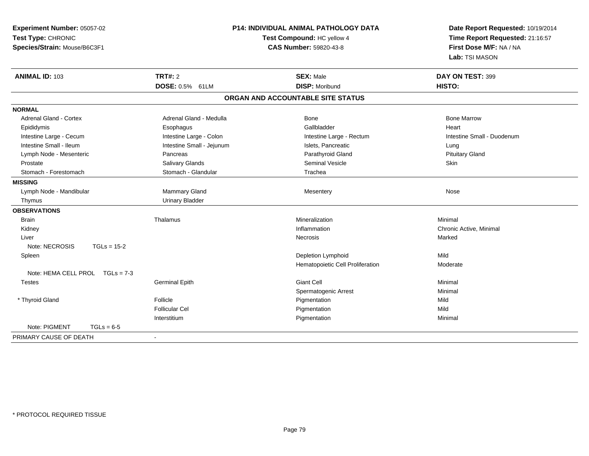| Experiment Number: 05057-02<br>Test Type: CHRONIC |                           | <b>P14: INDIVIDUAL ANIMAL PATHOLOGY DATA</b><br>Test Compound: HC yellow 4 | Date Report Requested: 10/19/2014<br>Time Report Requested: 21:16:57 |
|---------------------------------------------------|---------------------------|----------------------------------------------------------------------------|----------------------------------------------------------------------|
| Species/Strain: Mouse/B6C3F1                      |                           | CAS Number: 59820-43-8                                                     | First Dose M/F: NA / NA<br>Lab: TSI MASON                            |
| <b>ANIMAL ID: 103</b>                             | <b>TRT#: 2</b>            | <b>SEX: Male</b>                                                           | DAY ON TEST: 399                                                     |
|                                                   | DOSE: 0.5% 61LM           | <b>DISP: Moribund</b>                                                      | HISTO:                                                               |
|                                                   |                           | ORGAN AND ACCOUNTABLE SITE STATUS                                          |                                                                      |
| <b>NORMAL</b>                                     |                           |                                                                            |                                                                      |
| <b>Adrenal Gland - Cortex</b>                     | Adrenal Gland - Medulla   | <b>Bone</b>                                                                | <b>Bone Marrow</b>                                                   |
| Epididymis                                        | Esophagus                 | Gallbladder                                                                | Heart                                                                |
| Intestine Large - Cecum                           | Intestine Large - Colon   | Intestine Large - Rectum                                                   | Intestine Small - Duodenum                                           |
| Intestine Small - Ileum                           | Intestine Small - Jejunum | Islets, Pancreatic                                                         | Lung                                                                 |
| Lymph Node - Mesenteric                           | Pancreas                  | Parathyroid Gland                                                          | <b>Pituitary Gland</b>                                               |
| Prostate                                          | Salivary Glands           | Seminal Vesicle                                                            | Skin                                                                 |
| Stomach - Forestomach                             | Stomach - Glandular       | Trachea                                                                    |                                                                      |
| <b>MISSING</b>                                    |                           |                                                                            |                                                                      |
| Lymph Node - Mandibular                           | <b>Mammary Gland</b>      | Mesentery                                                                  | Nose                                                                 |
| Thymus                                            | <b>Urinary Bladder</b>    |                                                                            |                                                                      |
| <b>OBSERVATIONS</b>                               |                           |                                                                            |                                                                      |
| <b>Brain</b>                                      | Thalamus                  | Mineralization                                                             | Minimal                                                              |
| Kidney                                            |                           | Inflammation                                                               | Chronic Active, Minimal                                              |
| Liver                                             |                           | Necrosis                                                                   | Marked                                                               |
| Note: NECROSIS<br>$TGLs = 15-2$                   |                           |                                                                            |                                                                      |
| Spleen                                            |                           | Depletion Lymphoid                                                         | Mild                                                                 |
|                                                   |                           | Hematopoietic Cell Proliferation                                           | Moderate                                                             |
| Note: HEMA CELL PROL TGLs = 7-3                   |                           |                                                                            |                                                                      |
| <b>Testes</b>                                     | <b>Germinal Epith</b>     | <b>Giant Cell</b>                                                          | Minimal                                                              |
|                                                   |                           | Spermatogenic Arrest                                                       | Minimal                                                              |
| * Thyroid Gland                                   | Follicle                  | Pigmentation                                                               | Mild                                                                 |
|                                                   | <b>Follicular Cel</b>     | Pigmentation                                                               | Mild                                                                 |
|                                                   | Interstitium              | Pigmentation                                                               | Minimal                                                              |
| Note: PIGMENT<br>$TGLs = 6-5$                     |                           |                                                                            |                                                                      |
| PRIMARY CAUSE OF DEATH                            |                           |                                                                            |                                                                      |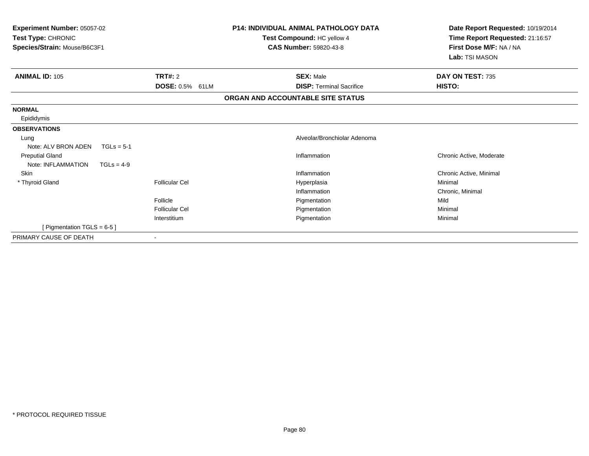| <b>Experiment Number: 05057-02</b><br>Test Type: CHRONIC<br>Species/Strain: Mouse/B6C3F1 |                                             | <b>P14: INDIVIDUAL ANIMAL PATHOLOGY DATA</b><br>Test Compound: HC yellow 4<br><b>CAS Number: 59820-43-8</b> | Date Report Requested: 10/19/2014<br>Time Report Requested: 21:16:57<br>First Dose M/F: NA / NA<br>Lab: TSI MASON |
|------------------------------------------------------------------------------------------|---------------------------------------------|-------------------------------------------------------------------------------------------------------------|-------------------------------------------------------------------------------------------------------------------|
| <b>ANIMAL ID: 105</b>                                                                    | <b>TRT#: 2</b><br><b>DOSE: 0.5%</b><br>61LM | <b>SEX: Male</b><br><b>DISP: Terminal Sacrifice</b>                                                         | DAY ON TEST: 735<br>HISTO:                                                                                        |
|                                                                                          |                                             | ORGAN AND ACCOUNTABLE SITE STATUS                                                                           |                                                                                                                   |
| <b>NORMAL</b>                                                                            |                                             |                                                                                                             |                                                                                                                   |
| Epididymis                                                                               |                                             |                                                                                                             |                                                                                                                   |
| <b>OBSERVATIONS</b>                                                                      |                                             |                                                                                                             |                                                                                                                   |
| Lung                                                                                     |                                             | Alveolar/Bronchiolar Adenoma                                                                                |                                                                                                                   |
| Note: ALV BRON ADEN<br>$TGLs = 5-1$                                                      |                                             |                                                                                                             |                                                                                                                   |
| <b>Preputial Gland</b>                                                                   |                                             | Inflammation                                                                                                | Chronic Active, Moderate                                                                                          |
| Note: INFLAMMATION<br>$TGLs = 4-9$                                                       |                                             |                                                                                                             |                                                                                                                   |
| <b>Skin</b>                                                                              |                                             | Inflammation                                                                                                | Chronic Active, Minimal                                                                                           |
| * Thyroid Gland                                                                          | Follicular Cel                              | Hyperplasia                                                                                                 | Minimal                                                                                                           |
|                                                                                          |                                             | Inflammation                                                                                                | Chronic, Minimal                                                                                                  |
|                                                                                          | Follicle                                    | Pigmentation                                                                                                | Mild                                                                                                              |
|                                                                                          | <b>Follicular Cel</b>                       | Pigmentation                                                                                                | Minimal                                                                                                           |
|                                                                                          | Interstitium                                | Pigmentation                                                                                                | Minimal                                                                                                           |
| [ Pigmentation TGLS = $6-5$ ]                                                            |                                             |                                                                                                             |                                                                                                                   |
| PRIMARY CAUSE OF DEATH                                                                   |                                             |                                                                                                             |                                                                                                                   |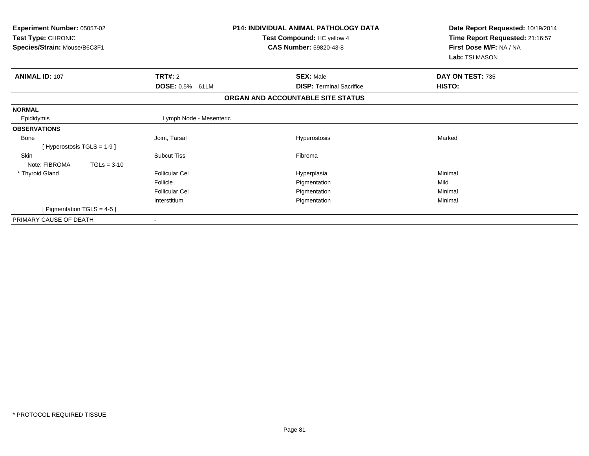| Experiment Number: 05057-02<br>Test Type: CHRONIC<br>Species/Strain: Mouse/B6C3F1 |                         | <b>P14: INDIVIDUAL ANIMAL PATHOLOGY DATA</b><br>Test Compound: HC yellow 4<br><b>CAS Number: 59820-43-8</b> | Date Report Requested: 10/19/2014<br>Time Report Requested: 21:16:57<br>First Dose M/F: NA / NA<br>Lab: TSI MASON |
|-----------------------------------------------------------------------------------|-------------------------|-------------------------------------------------------------------------------------------------------------|-------------------------------------------------------------------------------------------------------------------|
| <b>ANIMAL ID: 107</b>                                                             | TRT#: 2                 | <b>SEX: Male</b>                                                                                            | DAY ON TEST: 735                                                                                                  |
|                                                                                   | DOSE: 0.5% 61LM         | <b>DISP: Terminal Sacrifice</b>                                                                             | HISTO:                                                                                                            |
|                                                                                   |                         | ORGAN AND ACCOUNTABLE SITE STATUS                                                                           |                                                                                                                   |
| <b>NORMAL</b>                                                                     |                         |                                                                                                             |                                                                                                                   |
| Epididymis                                                                        | Lymph Node - Mesenteric |                                                                                                             |                                                                                                                   |
| <b>OBSERVATIONS</b>                                                               |                         |                                                                                                             |                                                                                                                   |
| <b>Bone</b>                                                                       | Joint, Tarsal           | Hyperostosis                                                                                                | Marked                                                                                                            |
| [Hyperostosis TGLS = $1-9$ ]                                                      |                         |                                                                                                             |                                                                                                                   |
| Skin                                                                              | <b>Subcut Tiss</b>      | Fibroma                                                                                                     |                                                                                                                   |
| Note: FIBROMA<br>$TGLs = 3-10$                                                    |                         |                                                                                                             |                                                                                                                   |
| * Thyroid Gland                                                                   | <b>Follicular Cel</b>   | Hyperplasia                                                                                                 | Minimal                                                                                                           |
|                                                                                   | Follicle                | Pigmentation                                                                                                | Mild                                                                                                              |
|                                                                                   | Follicular Cel          | Pigmentation                                                                                                | Minimal                                                                                                           |
|                                                                                   | Interstitium            | Pigmentation                                                                                                | Minimal                                                                                                           |
| [Pigmentation TGLS = $4-5$ ]                                                      |                         |                                                                                                             |                                                                                                                   |
| PRIMARY CAUSE OF DEATH                                                            |                         |                                                                                                             |                                                                                                                   |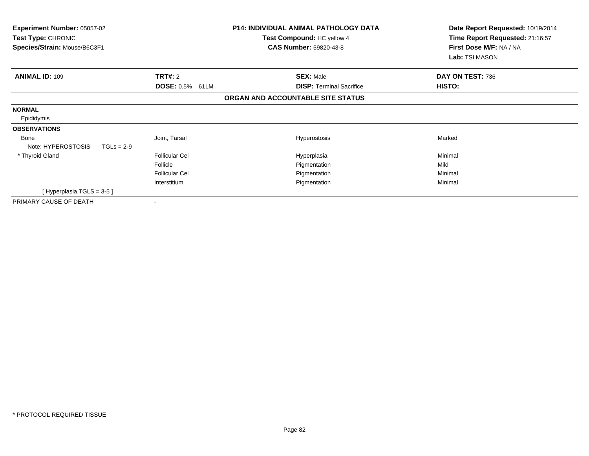| <b>P14: INDIVIDUAL ANIMAL PATHOLOGY DATA</b><br><b>Experiment Number: 05057-02</b><br><b>Test Type: CHRONIC</b><br>Test Compound: HC yellow 4<br><b>CAS Number: 59820-43-8</b><br>Species/Strain: Mouse/B6C3F1 |                        | Date Report Requested: 10/19/2014<br>Time Report Requested: 21:16:57<br>First Dose M/F: NA / NA<br>Lab: TSI MASON |                  |
|----------------------------------------------------------------------------------------------------------------------------------------------------------------------------------------------------------------|------------------------|-------------------------------------------------------------------------------------------------------------------|------------------|
| <b>ANIMAL ID: 109</b>                                                                                                                                                                                          | TRT#: 2                | <b>SEX: Male</b>                                                                                                  | DAY ON TEST: 736 |
|                                                                                                                                                                                                                | <b>DOSE: 0.5% 61LM</b> | <b>DISP:</b> Terminal Sacrifice                                                                                   | <b>HISTO:</b>    |
|                                                                                                                                                                                                                |                        | ORGAN AND ACCOUNTABLE SITE STATUS                                                                                 |                  |
| <b>NORMAL</b><br>Epididymis                                                                                                                                                                                    |                        |                                                                                                                   |                  |
| <b>OBSERVATIONS</b>                                                                                                                                                                                            |                        |                                                                                                                   |                  |
| <b>Bone</b><br>Note: HYPEROSTOSIS<br>$TGLs = 2-9$                                                                                                                                                              | Joint, Tarsal          | <b>Hyperostosis</b>                                                                                               | Marked           |
| * Thyroid Gland                                                                                                                                                                                                | <b>Follicular Cel</b>  | Hyperplasia                                                                                                       | Minimal          |
|                                                                                                                                                                                                                | Follicle               | Pigmentation                                                                                                      | Mild             |
|                                                                                                                                                                                                                | <b>Follicular Cel</b>  | Pigmentation                                                                                                      | Minimal          |
|                                                                                                                                                                                                                | Interstitium           | Pigmentation                                                                                                      | Minimal          |
| [Hyperplasia TGLS = 3-5 ]                                                                                                                                                                                      |                        |                                                                                                                   |                  |
| PRIMARY CAUSE OF DEATH                                                                                                                                                                                         |                        |                                                                                                                   |                  |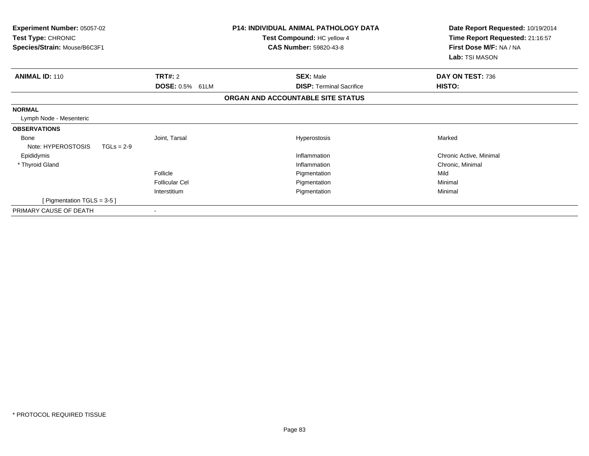| Experiment Number: 05057-02<br>Test Type: CHRONIC<br>Species/Strain: Mouse/B6C3F1 |                                   | <b>P14: INDIVIDUAL ANIMAL PATHOLOGY DATA</b><br>Test Compound: HC yellow 4<br><b>CAS Number: 59820-43-8</b> | Date Report Requested: 10/19/2014<br>Time Report Requested: 21:16:57<br>First Dose M/F: NA / NA<br>Lab: TSI MASON |
|-----------------------------------------------------------------------------------|-----------------------------------|-------------------------------------------------------------------------------------------------------------|-------------------------------------------------------------------------------------------------------------------|
| <b>ANIMAL ID: 110</b>                                                             | <b>TRT#: 2</b><br>DOSE: 0.5% 61LM | <b>SEX: Male</b><br><b>DISP: Terminal Sacrifice</b>                                                         | DAY ON TEST: 736<br>HISTO:                                                                                        |
|                                                                                   |                                   | ORGAN AND ACCOUNTABLE SITE STATUS                                                                           |                                                                                                                   |
| <b>NORMAL</b>                                                                     |                                   |                                                                                                             |                                                                                                                   |
| Lymph Node - Mesenteric                                                           |                                   |                                                                                                             |                                                                                                                   |
| <b>OBSERVATIONS</b>                                                               |                                   |                                                                                                             |                                                                                                                   |
| Bone                                                                              | Joint, Tarsal                     | Hyperostosis                                                                                                | Marked                                                                                                            |
| Note: HYPEROSTOSIS<br>$TGLs = 2-9$                                                |                                   |                                                                                                             |                                                                                                                   |
| Epididymis                                                                        |                                   | Inflammation                                                                                                | Chronic Active, Minimal                                                                                           |
| * Thyroid Gland                                                                   |                                   | Inflammation                                                                                                | Chronic, Minimal                                                                                                  |
|                                                                                   | Follicle                          | Pigmentation                                                                                                | Mild                                                                                                              |
|                                                                                   | <b>Follicular Cel</b>             | Pigmentation                                                                                                | Minimal                                                                                                           |
|                                                                                   | Interstitium                      | Pigmentation                                                                                                | Minimal                                                                                                           |
| [ Pigmentation TGLS = $3-5$ ]                                                     |                                   |                                                                                                             |                                                                                                                   |
| PRIMARY CAUSE OF DEATH                                                            |                                   |                                                                                                             |                                                                                                                   |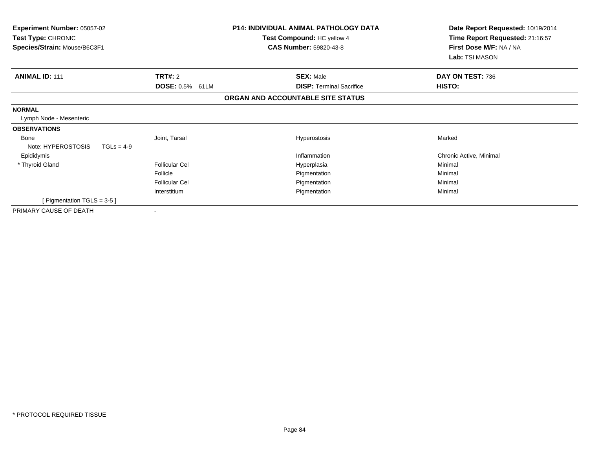| Experiment Number: 05057-02<br>Test Type: CHRONIC<br>Species/Strain: Mouse/B6C3F1 | <b>P14: INDIVIDUAL ANIMAL PATHOLOGY DATA</b><br>Test Compound: HC yellow 4<br><b>CAS Number: 59820-43-8</b> |                                                     | Date Report Requested: 10/19/2014<br>Time Report Requested: 21:16:57<br>First Dose M/F: NA / NA<br>Lab: TSI MASON |
|-----------------------------------------------------------------------------------|-------------------------------------------------------------------------------------------------------------|-----------------------------------------------------|-------------------------------------------------------------------------------------------------------------------|
| <b>ANIMAL ID: 111</b>                                                             | <b>TRT#: 2</b><br>DOSE: 0.5% 61LM                                                                           | <b>SEX: Male</b><br><b>DISP: Terminal Sacrifice</b> | DAY ON TEST: 736<br>HISTO:                                                                                        |
|                                                                                   |                                                                                                             | ORGAN AND ACCOUNTABLE SITE STATUS                   |                                                                                                                   |
| <b>NORMAL</b><br>Lymph Node - Mesenteric                                          |                                                                                                             |                                                     |                                                                                                                   |
| <b>OBSERVATIONS</b>                                                               |                                                                                                             |                                                     |                                                                                                                   |
| Bone<br>Note: HYPEROSTOSIS<br>$TGLs = 4-9$                                        | Joint, Tarsal                                                                                               | Hyperostosis                                        | Marked                                                                                                            |
| Epididymis                                                                        |                                                                                                             | Inflammation                                        | Chronic Active, Minimal                                                                                           |
| * Thyroid Gland                                                                   | <b>Follicular Cel</b>                                                                                       | Hyperplasia                                         | Minimal                                                                                                           |
|                                                                                   | Follicle                                                                                                    | Pigmentation                                        | Minimal                                                                                                           |
|                                                                                   | <b>Follicular Cel</b>                                                                                       | Pigmentation                                        | Minimal                                                                                                           |
|                                                                                   | Interstitium                                                                                                | Pigmentation                                        | Minimal                                                                                                           |
| [ Pigmentation TGLS = $3-5$ ]                                                     |                                                                                                             |                                                     |                                                                                                                   |
| PRIMARY CAUSE OF DEATH                                                            |                                                                                                             |                                                     |                                                                                                                   |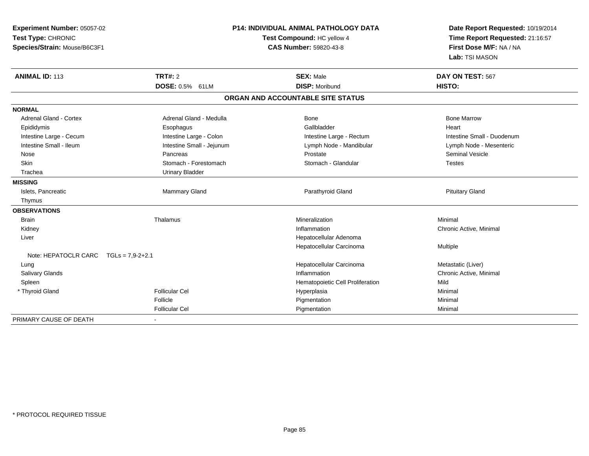| Experiment Number: 05057-02             | <b>P14: INDIVIDUAL ANIMAL PATHOLOGY DATA</b><br>Test Compound: HC yellow 4 |                                   | Date Report Requested: 10/19/2014 |
|-----------------------------------------|----------------------------------------------------------------------------|-----------------------------------|-----------------------------------|
| Test Type: CHRONIC                      |                                                                            |                                   | Time Report Requested: 21:16:57   |
| Species/Strain: Mouse/B6C3F1            |                                                                            | <b>CAS Number: 59820-43-8</b>     | First Dose M/F: NA / NA           |
|                                         |                                                                            |                                   | Lab: TSI MASON                    |
| <b>ANIMAL ID: 113</b>                   | <b>TRT#: 2</b>                                                             | <b>SEX: Male</b>                  | DAY ON TEST: 567                  |
|                                         | DOSE: 0.5% 61LM                                                            | <b>DISP: Moribund</b>             | HISTO:                            |
|                                         |                                                                            | ORGAN AND ACCOUNTABLE SITE STATUS |                                   |
| <b>NORMAL</b>                           |                                                                            |                                   |                                   |
| Adrenal Gland - Cortex                  | Adrenal Gland - Medulla                                                    | Bone                              | <b>Bone Marrow</b>                |
| Epididymis                              | Esophagus                                                                  | Gallbladder                       | Heart                             |
| Intestine Large - Cecum                 | Intestine Large - Colon                                                    | Intestine Large - Rectum          | Intestine Small - Duodenum        |
| Intestine Small - Ileum                 | Intestine Small - Jejunum                                                  | Lymph Node - Mandibular           | Lymph Node - Mesenteric           |
| Nose                                    | Pancreas                                                                   | Prostate                          | <b>Seminal Vesicle</b>            |
| Skin                                    | Stomach - Forestomach                                                      | Stomach - Glandular               | <b>Testes</b>                     |
| Trachea                                 | <b>Urinary Bladder</b>                                                     |                                   |                                   |
| <b>MISSING</b>                          |                                                                            |                                   |                                   |
| Islets, Pancreatic                      | Mammary Gland                                                              | Parathyroid Gland                 | <b>Pituitary Gland</b>            |
| Thymus                                  |                                                                            |                                   |                                   |
| <b>OBSERVATIONS</b>                     |                                                                            |                                   |                                   |
| <b>Brain</b>                            | Thalamus                                                                   | Mineralization                    | Minimal                           |
| Kidney                                  |                                                                            | Inflammation                      | Chronic Active, Minimal           |
| Liver                                   |                                                                            | Hepatocellular Adenoma            |                                   |
|                                         |                                                                            | Hepatocellular Carcinoma          | Multiple                          |
| Note: HEPATOCLR CARC $TGLs = 7.9-2+2.1$ |                                                                            |                                   |                                   |
| Lung                                    |                                                                            | Hepatocellular Carcinoma          | Metastatic (Liver)                |
| Salivary Glands                         |                                                                            | Inflammation                      | Chronic Active, Minimal           |
| Spleen                                  |                                                                            | Hematopoietic Cell Proliferation  | Mild                              |
| * Thyroid Gland                         | <b>Follicular Cel</b>                                                      | Hyperplasia                       | Minimal                           |
|                                         | Follicle                                                                   | Pigmentation                      | Minimal                           |
|                                         | <b>Follicular Cel</b>                                                      | Pigmentation                      | Minimal                           |
| PRIMARY CAUSE OF DEATH                  |                                                                            |                                   |                                   |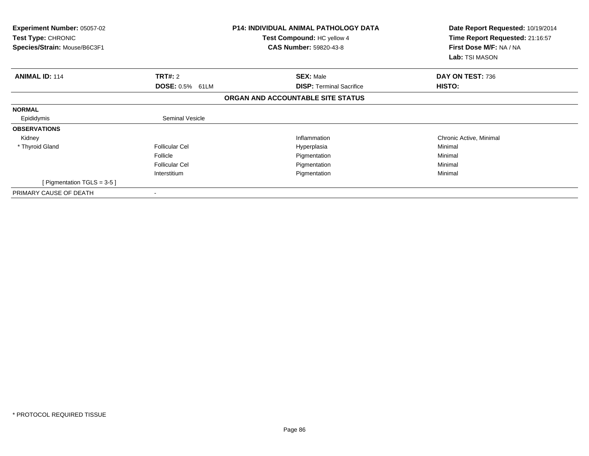| <b>Experiment Number: 05057-02</b><br>Test Type: CHRONIC<br>Species/Strain: Mouse/B6C3F1 |                        | <b>P14: INDIVIDUAL ANIMAL PATHOLOGY DATA</b><br>Test Compound: HC yellow 4<br><b>CAS Number: 59820-43-8</b> | Date Report Requested: 10/19/2014<br>Time Report Requested: 21:16:57<br>First Dose M/F: NA / NA<br>Lab: TSI MASON |  |
|------------------------------------------------------------------------------------------|------------------------|-------------------------------------------------------------------------------------------------------------|-------------------------------------------------------------------------------------------------------------------|--|
| <b>ANIMAL ID: 114</b>                                                                    | TRT#: 2                | <b>SEX: Male</b>                                                                                            | DAY ON TEST: 736                                                                                                  |  |
|                                                                                          | DOSE: 0.5% 61LM        | <b>DISP: Terminal Sacrifice</b>                                                                             | HISTO:                                                                                                            |  |
|                                                                                          |                        | ORGAN AND ACCOUNTABLE SITE STATUS                                                                           |                                                                                                                   |  |
| <b>NORMAL</b>                                                                            |                        |                                                                                                             |                                                                                                                   |  |
| Epididymis                                                                               | <b>Seminal Vesicle</b> |                                                                                                             |                                                                                                                   |  |
| <b>OBSERVATIONS</b>                                                                      |                        |                                                                                                             |                                                                                                                   |  |
| Kidney                                                                                   |                        | Inflammation                                                                                                | Chronic Active, Minimal                                                                                           |  |
| * Thyroid Gland                                                                          | <b>Follicular Cel</b>  | Hyperplasia                                                                                                 | Minimal                                                                                                           |  |
|                                                                                          | Follicle               | Pigmentation                                                                                                | Minimal                                                                                                           |  |
|                                                                                          | <b>Follicular Cel</b>  | Pigmentation                                                                                                | Minimal                                                                                                           |  |
|                                                                                          | Interstitium           | Pigmentation                                                                                                | Minimal                                                                                                           |  |
| [ Pigmentation TGLS = $3-5$ ]                                                            |                        |                                                                                                             |                                                                                                                   |  |
| PRIMARY CAUSE OF DEATH                                                                   |                        |                                                                                                             |                                                                                                                   |  |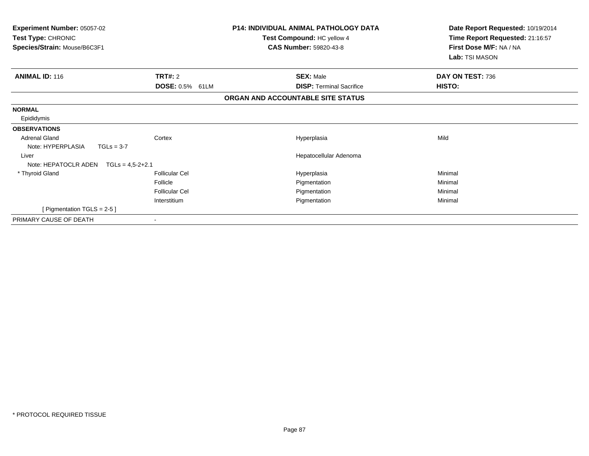| Experiment Number: 05057-02<br>Test Type: CHRONIC<br>Species/Strain: Mouse/B6C3F1 |                        | <b>P14: INDIVIDUAL ANIMAL PATHOLOGY DATA</b><br>Test Compound: HC yellow 4<br><b>CAS Number: 59820-43-8</b> | Date Report Requested: 10/19/2014<br>Time Report Requested: 21:16:57<br>First Dose M/F: NA / NA<br>Lab: TSI MASON |
|-----------------------------------------------------------------------------------|------------------------|-------------------------------------------------------------------------------------------------------------|-------------------------------------------------------------------------------------------------------------------|
| <b>ANIMAL ID: 116</b>                                                             | TRT#: 2                | <b>SEX: Male</b>                                                                                            | DAY ON TEST: 736                                                                                                  |
|                                                                                   | <b>DOSE: 0.5% 61LM</b> | <b>DISP: Terminal Sacrifice</b>                                                                             | HISTO:                                                                                                            |
|                                                                                   |                        | ORGAN AND ACCOUNTABLE SITE STATUS                                                                           |                                                                                                                   |
| <b>NORMAL</b>                                                                     |                        |                                                                                                             |                                                                                                                   |
| Epididymis                                                                        |                        |                                                                                                             |                                                                                                                   |
| <b>OBSERVATIONS</b>                                                               |                        |                                                                                                             |                                                                                                                   |
| <b>Adrenal Gland</b>                                                              | Cortex                 | Hyperplasia                                                                                                 | Mild                                                                                                              |
| Note: HYPERPLASIA<br>$TGLs = 3-7$                                                 |                        |                                                                                                             |                                                                                                                   |
| Liver                                                                             |                        | Hepatocellular Adenoma                                                                                      |                                                                                                                   |
| Note: HEPATOCLR ADEN                                                              | $TGLs = 4,5-2+2.1$     |                                                                                                             |                                                                                                                   |
| * Thyroid Gland                                                                   | <b>Follicular Cel</b>  | Hyperplasia                                                                                                 | Minimal                                                                                                           |
|                                                                                   | Follicle               | Pigmentation                                                                                                | Minimal                                                                                                           |
|                                                                                   | <b>Follicular Cel</b>  | Pigmentation                                                                                                | Minimal                                                                                                           |
|                                                                                   | Interstitium           | Pigmentation                                                                                                | Minimal                                                                                                           |
| [ Pigmentation TGLS = 2-5 ]                                                       |                        |                                                                                                             |                                                                                                                   |
| PRIMARY CAUSE OF DEATH                                                            |                        |                                                                                                             |                                                                                                                   |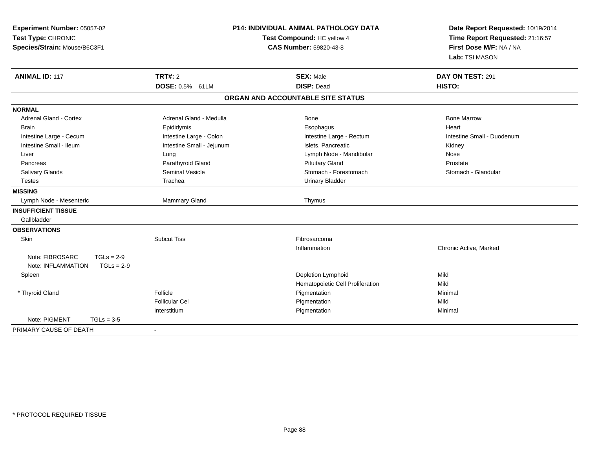| Experiment Number: 05057-02<br>Test Type: CHRONIC<br>Species/Strain: Mouse/B6C3F1 |                           | <b>P14: INDIVIDUAL ANIMAL PATHOLOGY DATA</b><br>Test Compound: HC yellow 4<br><b>CAS Number: 59820-43-8</b> | Date Report Requested: 10/19/2014<br>Time Report Requested: 21:16:57<br>First Dose M/F: NA / NA<br>Lab: TSI MASON |
|-----------------------------------------------------------------------------------|---------------------------|-------------------------------------------------------------------------------------------------------------|-------------------------------------------------------------------------------------------------------------------|
| <b>ANIMAL ID: 117</b>                                                             | <b>TRT#: 2</b>            | <b>SEX: Male</b>                                                                                            | DAY ON TEST: 291                                                                                                  |
|                                                                                   | DOSE: 0.5% 61LM           | <b>DISP: Dead</b>                                                                                           | HISTO:                                                                                                            |
|                                                                                   |                           | ORGAN AND ACCOUNTABLE SITE STATUS                                                                           |                                                                                                                   |
| <b>NORMAL</b>                                                                     |                           |                                                                                                             |                                                                                                                   |
| <b>Adrenal Gland - Cortex</b>                                                     | Adrenal Gland - Medulla   | <b>Bone</b>                                                                                                 | <b>Bone Marrow</b>                                                                                                |
| <b>Brain</b>                                                                      | Epididymis                | Esophagus                                                                                                   | Heart                                                                                                             |
| Intestine Large - Cecum                                                           | Intestine Large - Colon   | Intestine Large - Rectum                                                                                    | Intestine Small - Duodenum                                                                                        |
| Intestine Small - Ileum                                                           | Intestine Small - Jejunum | Islets, Pancreatic                                                                                          | Kidney                                                                                                            |
| Liver                                                                             | Lung                      | Lymph Node - Mandibular                                                                                     | Nose                                                                                                              |
| Pancreas                                                                          | Parathyroid Gland         | <b>Pituitary Gland</b>                                                                                      | Prostate                                                                                                          |
| Salivary Glands                                                                   | <b>Seminal Vesicle</b>    | Stomach - Forestomach                                                                                       | Stomach - Glandular                                                                                               |
| <b>Testes</b>                                                                     | Trachea                   | <b>Urinary Bladder</b>                                                                                      |                                                                                                                   |
| <b>MISSING</b>                                                                    |                           |                                                                                                             |                                                                                                                   |
| Lymph Node - Mesenteric                                                           | <b>Mammary Gland</b>      | Thymus                                                                                                      |                                                                                                                   |
| <b>INSUFFICIENT TISSUE</b>                                                        |                           |                                                                                                             |                                                                                                                   |
| Gallbladder                                                                       |                           |                                                                                                             |                                                                                                                   |
| <b>OBSERVATIONS</b>                                                               |                           |                                                                                                             |                                                                                                                   |
| Skin                                                                              | <b>Subcut Tiss</b>        | Fibrosarcoma                                                                                                |                                                                                                                   |
|                                                                                   |                           | Inflammation                                                                                                | Chronic Active, Marked                                                                                            |
| Note: FIBROSARC<br>$TGLs = 2-9$                                                   |                           |                                                                                                             |                                                                                                                   |
| $TGLs = 2-9$<br>Note: INFLAMMATION                                                |                           |                                                                                                             |                                                                                                                   |
| Spleen                                                                            |                           | Depletion Lymphoid                                                                                          | Mild                                                                                                              |
|                                                                                   |                           | Hematopoietic Cell Proliferation                                                                            | Mild                                                                                                              |
| * Thyroid Gland                                                                   | Follicle                  | Pigmentation                                                                                                | Minimal                                                                                                           |
|                                                                                   | <b>Follicular Cel</b>     | Pigmentation                                                                                                | Mild                                                                                                              |
|                                                                                   | Interstitium              | Pigmentation                                                                                                | Minimal                                                                                                           |
| Note: PIGMENT<br>$TGLs = 3-5$                                                     |                           |                                                                                                             |                                                                                                                   |
| PRIMARY CAUSE OF DEATH                                                            | $\blacksquare$            |                                                                                                             |                                                                                                                   |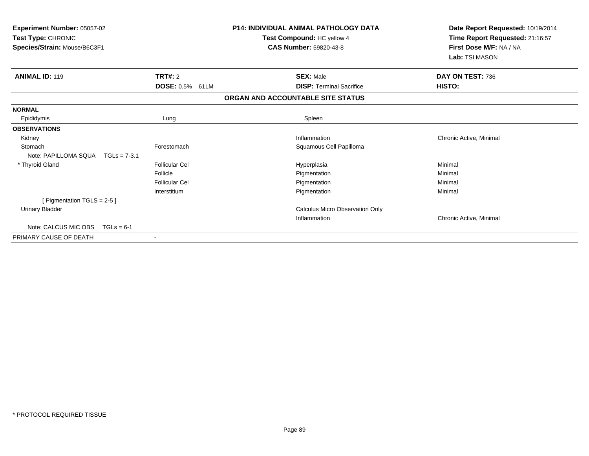| <b>Experiment Number: 05057-02</b><br>Test Type: CHRONIC<br>Species/Strain: Mouse/B6C3F1 |                           | <b>P14: INDIVIDUAL ANIMAL PATHOLOGY DATA</b><br>Test Compound: HC yellow 4<br><b>CAS Number: 59820-43-8</b> | Date Report Requested: 10/19/2014<br>Time Report Requested: 21:16:57<br>First Dose M/F: NA / NA<br>Lab: TSI MASON |
|------------------------------------------------------------------------------------------|---------------------------|-------------------------------------------------------------------------------------------------------------|-------------------------------------------------------------------------------------------------------------------|
| <b>ANIMAL ID: 119</b>                                                                    | <b>TRT#: 2</b>            | <b>SEX: Male</b><br><b>DISP: Terminal Sacrifice</b>                                                         | DAY ON TEST: 736                                                                                                  |
|                                                                                          | <b>DOSE: 0.5%</b><br>61LM | ORGAN AND ACCOUNTABLE SITE STATUS                                                                           | HISTO:                                                                                                            |
|                                                                                          |                           |                                                                                                             |                                                                                                                   |
| <b>NORMAL</b>                                                                            |                           |                                                                                                             |                                                                                                                   |
| Epididymis                                                                               | Lung                      | Spleen                                                                                                      |                                                                                                                   |
| <b>OBSERVATIONS</b>                                                                      |                           |                                                                                                             |                                                                                                                   |
| Kidney                                                                                   |                           | Inflammation                                                                                                | Chronic Active, Minimal                                                                                           |
| Stomach                                                                                  | Forestomach               | Squamous Cell Papilloma                                                                                     |                                                                                                                   |
| Note: PAPILLOMA SQUA<br>$TGLs = 7-3.1$                                                   |                           |                                                                                                             |                                                                                                                   |
| * Thyroid Gland                                                                          | <b>Follicular Cel</b>     | Hyperplasia                                                                                                 | Minimal                                                                                                           |
|                                                                                          | Follicle                  | Pigmentation                                                                                                | Minimal                                                                                                           |
|                                                                                          | Follicular Cel            | Pigmentation                                                                                                | Minimal                                                                                                           |
|                                                                                          | Interstitium              | Pigmentation                                                                                                | Minimal                                                                                                           |
| [ Pigmentation $TGLS = 2-5$ ]                                                            |                           |                                                                                                             |                                                                                                                   |
| <b>Urinary Bladder</b>                                                                   |                           | Calculus Micro Observation Only                                                                             |                                                                                                                   |
|                                                                                          |                           | Inflammation                                                                                                | Chronic Active, Minimal                                                                                           |
| Note: CALCUS MIC OBS<br>$TGLs = 6-1$                                                     |                           |                                                                                                             |                                                                                                                   |
| PRIMARY CAUSE OF DEATH                                                                   |                           |                                                                                                             |                                                                                                                   |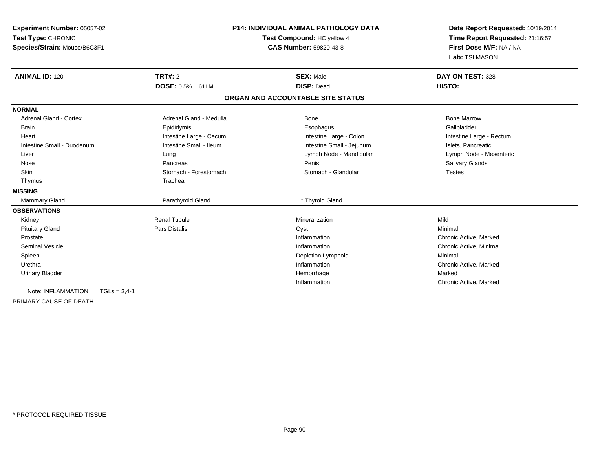| Experiment Number: 05057-02   |                | <b>P14: INDIVIDUAL ANIMAL PATHOLOGY DATA</b> |                                   | Date Report Requested: 10/19/2014 |
|-------------------------------|----------------|----------------------------------------------|-----------------------------------|-----------------------------------|
| Test Type: CHRONIC            |                | Test Compound: HC yellow 4                   |                                   | Time Report Requested: 21:16:57   |
| Species/Strain: Mouse/B6C3F1  |                |                                              | CAS Number: 59820-43-8            | First Dose M/F: NA / NA           |
|                               |                |                                              |                                   | Lab: TSI MASON                    |
| <b>ANIMAL ID: 120</b>         |                | TRT#: 2                                      | <b>SEX: Male</b>                  | DAY ON TEST: 328                  |
|                               |                | <b>DOSE: 0.5% 61LM</b>                       | <b>DISP: Dead</b>                 | HISTO:                            |
|                               |                |                                              | ORGAN AND ACCOUNTABLE SITE STATUS |                                   |
| <b>NORMAL</b>                 |                |                                              |                                   |                                   |
| <b>Adrenal Gland - Cortex</b> |                | Adrenal Gland - Medulla                      | Bone                              | <b>Bone Marrow</b>                |
| <b>Brain</b>                  |                | Epididymis                                   | Esophagus                         | Gallbladder                       |
| Heart                         |                | Intestine Large - Cecum                      | Intestine Large - Colon           | Intestine Large - Rectum          |
| Intestine Small - Duodenum    |                | Intestine Small - Ileum                      | Intestine Small - Jejunum         | Islets, Pancreatic                |
| Liver                         |                | Lung                                         | Lymph Node - Mandibular           | Lymph Node - Mesenteric           |
| Nose                          |                | Pancreas                                     | Penis                             | Salivary Glands                   |
| Skin                          |                | Stomach - Forestomach                        | Stomach - Glandular               | <b>Testes</b>                     |
| Thymus                        |                | Trachea                                      |                                   |                                   |
| <b>MISSING</b>                |                |                                              |                                   |                                   |
| <b>Mammary Gland</b>          |                | Parathyroid Gland                            | * Thyroid Gland                   |                                   |
| <b>OBSERVATIONS</b>           |                |                                              |                                   |                                   |
| Kidney                        |                | <b>Renal Tubule</b>                          | Mineralization                    | Mild                              |
| <b>Pituitary Gland</b>        |                | Pars Distalis                                | Cyst                              | Minimal                           |
| Prostate                      |                |                                              | Inflammation                      | Chronic Active, Marked            |
| <b>Seminal Vesicle</b>        |                |                                              | Inflammation                      | Chronic Active, Minimal           |
| Spleen                        |                |                                              | Depletion Lymphoid                | Minimal                           |
| Urethra                       |                |                                              | Inflammation                      | Chronic Active, Marked            |
| <b>Urinary Bladder</b>        |                |                                              | Hemorrhage                        | Marked                            |
|                               |                |                                              | Inflammation                      | Chronic Active, Marked            |
| Note: INFLAMMATION            | $TGLs = 3,4-1$ |                                              |                                   |                                   |
| PRIMARY CAUSE OF DEATH        |                | $\blacksquare$                               |                                   |                                   |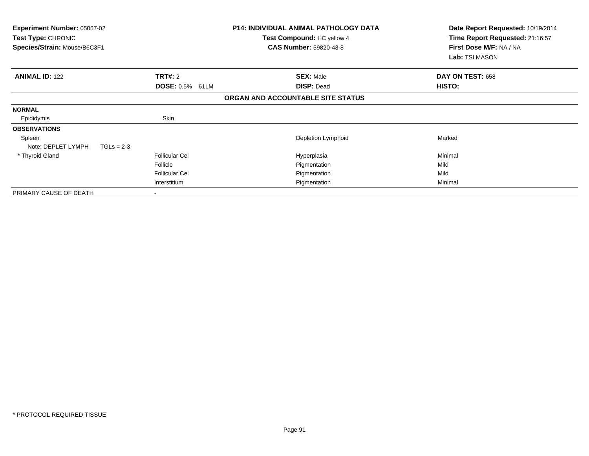| Experiment Number: 05057-02<br><b>Test Type: CHRONIC</b><br>Species/Strain: Mouse/B6C3F1 |                       | <b>P14: INDIVIDUAL ANIMAL PATHOLOGY DATA</b><br>Test Compound: HC yellow 4<br><b>CAS Number: 59820-43-8</b> | Date Report Requested: 10/19/2014<br>Time Report Requested: 21:16:57<br>First Dose M/F: NA / NA<br>Lab: TSI MASON |
|------------------------------------------------------------------------------------------|-----------------------|-------------------------------------------------------------------------------------------------------------|-------------------------------------------------------------------------------------------------------------------|
| <b>ANIMAL ID: 122</b>                                                                    | <b>TRT#: 2</b>        | <b>SEX: Male</b>                                                                                            | DAY ON TEST: 658                                                                                                  |
|                                                                                          | DOSE: 0.5% 61LM       | <b>DISP: Dead</b>                                                                                           | HISTO:                                                                                                            |
|                                                                                          |                       | ORGAN AND ACCOUNTABLE SITE STATUS                                                                           |                                                                                                                   |
| <b>NORMAL</b>                                                                            |                       |                                                                                                             |                                                                                                                   |
| Epididymis                                                                               | Skin                  |                                                                                                             |                                                                                                                   |
| <b>OBSERVATIONS</b>                                                                      |                       |                                                                                                             |                                                                                                                   |
| Spleen                                                                                   |                       | Depletion Lymphoid                                                                                          | Marked                                                                                                            |
| Note: DEPLET LYMPH<br>$TGLs = 2-3$                                                       |                       |                                                                                                             |                                                                                                                   |
| * Thyroid Gland                                                                          | <b>Follicular Cel</b> | Hyperplasia                                                                                                 | Minimal                                                                                                           |
|                                                                                          | Follicle              | Pigmentation                                                                                                | Mild                                                                                                              |
|                                                                                          | <b>Follicular Cel</b> | Pigmentation                                                                                                | Mild                                                                                                              |
|                                                                                          | Interstitium          | Pigmentation                                                                                                | Minimal                                                                                                           |
| PRIMARY CAUSE OF DEATH                                                                   |                       |                                                                                                             |                                                                                                                   |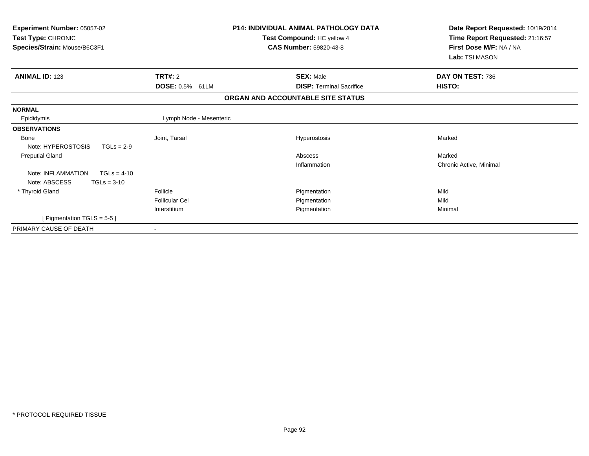| Experiment Number: 05057-02<br>Test Type: CHRONIC<br>Species/Strain: Mouse/B6C3F1 |                           | <b>P14: INDIVIDUAL ANIMAL PATHOLOGY DATA</b><br>Test Compound: HC yellow 4<br><b>CAS Number: 59820-43-8</b> | Date Report Requested: 10/19/2014<br>Time Report Requested: 21:16:57<br>First Dose M/F: NA / NA<br>Lab: TSI MASON |
|-----------------------------------------------------------------------------------|---------------------------|-------------------------------------------------------------------------------------------------------------|-------------------------------------------------------------------------------------------------------------------|
| <b>ANIMAL ID: 123</b>                                                             | <b>TRT#: 2</b>            | <b>SEX: Male</b>                                                                                            | DAY ON TEST: 736                                                                                                  |
|                                                                                   | <b>DOSE: 0.5%</b><br>61LM | <b>DISP: Terminal Sacrifice</b>                                                                             | HISTO:                                                                                                            |
|                                                                                   |                           | ORGAN AND ACCOUNTABLE SITE STATUS                                                                           |                                                                                                                   |
| <b>NORMAL</b>                                                                     |                           |                                                                                                             |                                                                                                                   |
| Epididymis                                                                        | Lymph Node - Mesenteric   |                                                                                                             |                                                                                                                   |
| <b>OBSERVATIONS</b>                                                               |                           |                                                                                                             |                                                                                                                   |
| <b>Bone</b>                                                                       | Joint, Tarsal             | Hyperostosis                                                                                                | Marked                                                                                                            |
| Note: HYPEROSTOSIS<br>$TGLs = 2-9$                                                |                           |                                                                                                             |                                                                                                                   |
| <b>Preputial Gland</b>                                                            |                           | Abscess                                                                                                     | Marked                                                                                                            |
|                                                                                   |                           | Inflammation                                                                                                | Chronic Active, Minimal                                                                                           |
| Note: INFLAMMATION<br>$TGLs = 4-10$                                               |                           |                                                                                                             |                                                                                                                   |
| Note: ABSCESS<br>$TGLs = 3-10$                                                    |                           |                                                                                                             |                                                                                                                   |
| * Thyroid Gland                                                                   | Follicle                  | Pigmentation                                                                                                | Mild                                                                                                              |
|                                                                                   | Follicular Cel            | Pigmentation                                                                                                | Mild                                                                                                              |
|                                                                                   | Interstitium              | Pigmentation                                                                                                | Minimal                                                                                                           |
| [ Pigmentation TGLS = $5-5$ ]                                                     |                           |                                                                                                             |                                                                                                                   |
| PRIMARY CAUSE OF DEATH                                                            |                           |                                                                                                             |                                                                                                                   |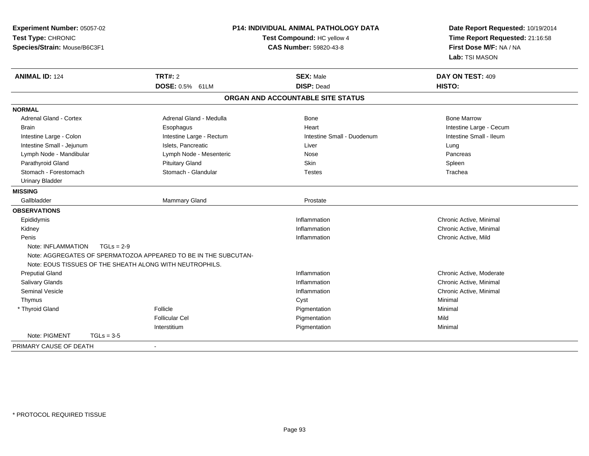| Experiment Number: 05057-02<br>Test Type: CHRONIC<br>Species/Strain: Mouse/B6C3F1 |                                                                 | P14: INDIVIDUAL ANIMAL PATHOLOGY DATA<br>Test Compound: HC yellow 4<br><b>CAS Number: 59820-43-8</b> | Date Report Requested: 10/19/2014<br>Time Report Requested: 21:16:58<br>First Dose M/F: NA / NA<br>Lab: TSI MASON |
|-----------------------------------------------------------------------------------|-----------------------------------------------------------------|------------------------------------------------------------------------------------------------------|-------------------------------------------------------------------------------------------------------------------|
| <b>ANIMAL ID: 124</b>                                                             | <b>TRT#: 2</b>                                                  | <b>SEX: Male</b>                                                                                     | DAY ON TEST: 409                                                                                                  |
|                                                                                   | DOSE: 0.5% 61LM                                                 | <b>DISP: Dead</b>                                                                                    | <b>HISTO:</b>                                                                                                     |
|                                                                                   |                                                                 | ORGAN AND ACCOUNTABLE SITE STATUS                                                                    |                                                                                                                   |
| <b>NORMAL</b>                                                                     |                                                                 |                                                                                                      |                                                                                                                   |
| <b>Adrenal Gland - Cortex</b>                                                     | Adrenal Gland - Medulla                                         | Bone                                                                                                 | <b>Bone Marrow</b>                                                                                                |
| <b>Brain</b>                                                                      | Esophagus                                                       | Heart                                                                                                | Intestine Large - Cecum                                                                                           |
| Intestine Large - Colon                                                           | Intestine Large - Rectum                                        | Intestine Small - Duodenum                                                                           | Intestine Small - Ileum                                                                                           |
| Intestine Small - Jejunum                                                         | Islets, Pancreatic                                              | Liver                                                                                                | Lung                                                                                                              |
| Lymph Node - Mandibular                                                           | Lymph Node - Mesenteric                                         | Nose                                                                                                 | Pancreas                                                                                                          |
| Parathyroid Gland                                                                 | <b>Pituitary Gland</b>                                          | Skin                                                                                                 | Spleen                                                                                                            |
| Stomach - Forestomach                                                             | Stomach - Glandular                                             | <b>Testes</b>                                                                                        | Trachea                                                                                                           |
| <b>Urinary Bladder</b>                                                            |                                                                 |                                                                                                      |                                                                                                                   |
| <b>MISSING</b>                                                                    |                                                                 |                                                                                                      |                                                                                                                   |
| Gallbladder                                                                       | <b>Mammary Gland</b>                                            | Prostate                                                                                             |                                                                                                                   |
| <b>OBSERVATIONS</b>                                                               |                                                                 |                                                                                                      |                                                                                                                   |
| Epididymis                                                                        |                                                                 | Inflammation                                                                                         | Chronic Active, Minimal                                                                                           |
| Kidney                                                                            |                                                                 | Inflammation                                                                                         | Chronic Active, Minimal                                                                                           |
| Penis                                                                             |                                                                 | Inflammation                                                                                         | Chronic Active, Mild                                                                                              |
| Note: INFLAMMATION<br>$TGLs = 2-9$                                                |                                                                 |                                                                                                      |                                                                                                                   |
|                                                                                   | Note: AGGREGATES OF SPERMATOZOA APPEARED TO BE IN THE SUBCUTAN- |                                                                                                      |                                                                                                                   |
| Note: EOUS TISSUES OF THE SHEATH ALONG WITH NEUTROPHILS.                          |                                                                 |                                                                                                      |                                                                                                                   |
| <b>Preputial Gland</b>                                                            |                                                                 | Inflammation                                                                                         | Chronic Active, Moderate                                                                                          |
| Salivary Glands                                                                   |                                                                 | Inflammation                                                                                         | Chronic Active, Minimal                                                                                           |
| <b>Seminal Vesicle</b>                                                            |                                                                 | Inflammation                                                                                         | Chronic Active, Minimal                                                                                           |
| Thymus                                                                            |                                                                 | Cyst                                                                                                 | Minimal                                                                                                           |
| * Thyroid Gland                                                                   | Follicle                                                        | Pigmentation                                                                                         | Minimal                                                                                                           |
|                                                                                   | <b>Follicular Cel</b>                                           | Pigmentation                                                                                         | Mild                                                                                                              |
|                                                                                   | Interstitium                                                    | Pigmentation                                                                                         | Minimal                                                                                                           |
| Note: PIGMENT<br>$TGLs = 3-5$                                                     |                                                                 |                                                                                                      |                                                                                                                   |
| PRIMARY CAUSE OF DEATH                                                            |                                                                 |                                                                                                      |                                                                                                                   |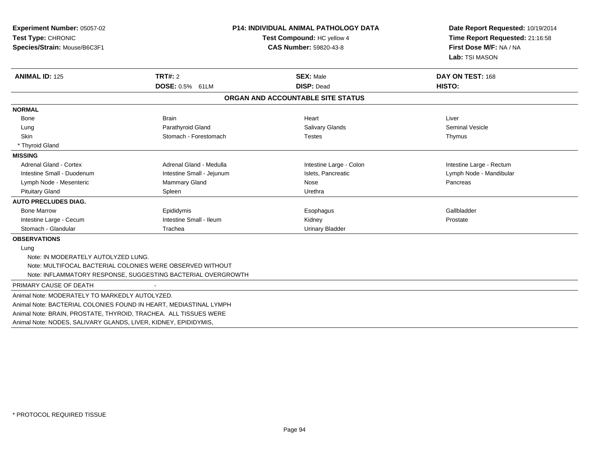| Experiment Number: 05057-02<br>Test Type: CHRONIC<br>Species/Strain: Mouse/B6C3F1 |                                                              | <b>P14: INDIVIDUAL ANIMAL PATHOLOGY DATA</b><br>Test Compound: HC yellow 4<br><b>CAS Number: 59820-43-8</b> |                          |
|-----------------------------------------------------------------------------------|--------------------------------------------------------------|-------------------------------------------------------------------------------------------------------------|--------------------------|
| <b>ANIMAL ID: 125</b>                                                             | TRT#: 2                                                      | <b>SEX: Male</b>                                                                                            | DAY ON TEST: 168         |
|                                                                                   | <b>DOSE: 0.5% 61LM</b>                                       | <b>DISP: Dead</b><br>ORGAN AND ACCOUNTABLE SITE STATUS                                                      | HISTO:                   |
|                                                                                   |                                                              |                                                                                                             |                          |
| <b>NORMAL</b>                                                                     |                                                              |                                                                                                             |                          |
| Bone                                                                              | <b>Brain</b>                                                 | Heart                                                                                                       | Liver                    |
| Lung                                                                              | Parathyroid Gland                                            | <b>Salivary Glands</b>                                                                                      | <b>Seminal Vesicle</b>   |
| <b>Skin</b>                                                                       | Stomach - Forestomach                                        | <b>Testes</b>                                                                                               | Thymus                   |
| * Thyroid Gland                                                                   |                                                              |                                                                                                             |                          |
| <b>MISSING</b>                                                                    |                                                              |                                                                                                             |                          |
| <b>Adrenal Gland - Cortex</b>                                                     | Adrenal Gland - Medulla                                      | Intestine Large - Colon                                                                                     | Intestine Large - Rectum |
| Intestine Small - Duodenum                                                        | Intestine Small - Jejunum                                    | Islets, Pancreatic                                                                                          | Lymph Node - Mandibular  |
| Lymph Node - Mesenteric                                                           | Mammary Gland                                                | Nose                                                                                                        | Pancreas                 |
| <b>Pituitary Gland</b>                                                            | Spleen                                                       | Urethra                                                                                                     |                          |
| <b>AUTO PRECLUDES DIAG.</b>                                                       |                                                              |                                                                                                             |                          |
| <b>Bone Marrow</b>                                                                | Epididymis                                                   | Esophagus                                                                                                   | Gallbladder              |
| Intestine Large - Cecum                                                           | Intestine Small - Ileum                                      | Kidney                                                                                                      | Prostate                 |
| Stomach - Glandular                                                               | Trachea                                                      | <b>Urinary Bladder</b>                                                                                      |                          |
| <b>OBSERVATIONS</b>                                                               |                                                              |                                                                                                             |                          |
| Lung                                                                              |                                                              |                                                                                                             |                          |
| Note: IN MODERATELY AUTOLYZED LUNG.                                               |                                                              |                                                                                                             |                          |
|                                                                                   | Note: MULTIFOCAL BACTERIAL COLONIES WERE OBSERVED WITHOUT    |                                                                                                             |                          |
|                                                                                   | Note: INFLAMMATORY RESPONSE, SUGGESTING BACTERIAL OVERGROWTH |                                                                                                             |                          |
| PRIMARY CAUSE OF DEATH                                                            |                                                              |                                                                                                             |                          |
| Animal Note: MODERATELY TO MARKEDLY AUTOLYZED.                                    |                                                              |                                                                                                             |                          |
| Animal Note: BACTERIAL COLONIES FOUND IN HEART, MEDIASTINAL LYMPH                 |                                                              |                                                                                                             |                          |
| Animal Note: BRAIN, PROSTATE, THYROID, TRACHEA. ALL TISSUES WERE                  |                                                              |                                                                                                             |                          |
| Animal Note: NODES, SALIVARY GLANDS, LIVER, KIDNEY, EPIDIDYMIS,                   |                                                              |                                                                                                             |                          |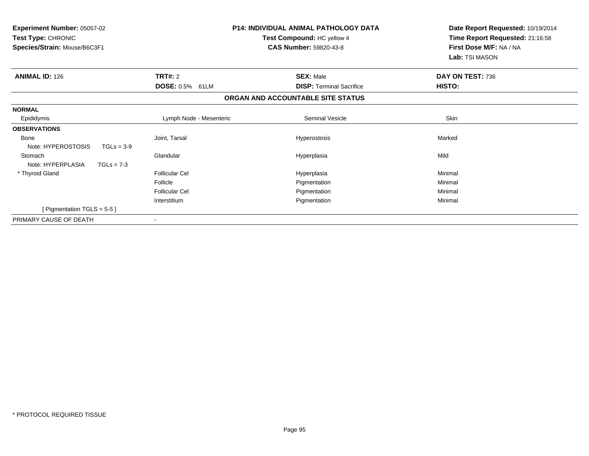| <b>Experiment Number: 05057-02</b><br>Test Type: CHRONIC<br>Species/Strain: Mouse/B6C3F1 |                           | <b>P14: INDIVIDUAL ANIMAL PATHOLOGY DATA</b><br>Test Compound: HC yellow 4<br><b>CAS Number: 59820-43-8</b> | Date Report Requested: 10/19/2014<br>Time Report Requested: 21:16:58<br>First Dose M/F: NA / NA<br>Lab: TSI MASON |
|------------------------------------------------------------------------------------------|---------------------------|-------------------------------------------------------------------------------------------------------------|-------------------------------------------------------------------------------------------------------------------|
| <b>ANIMAL ID: 126</b>                                                                    | TRT#: 2                   | <b>SEX: Male</b>                                                                                            | DAY ON TEST: 736                                                                                                  |
|                                                                                          | <b>DOSE: 0.5%</b><br>61LM | <b>DISP:</b> Terminal Sacrifice                                                                             | <b>HISTO:</b>                                                                                                     |
|                                                                                          |                           | ORGAN AND ACCOUNTABLE SITE STATUS                                                                           |                                                                                                                   |
| <b>NORMAL</b>                                                                            |                           |                                                                                                             |                                                                                                                   |
| Epididymis                                                                               | Lymph Node - Mesenteric   | Seminal Vesicle                                                                                             | Skin                                                                                                              |
| <b>OBSERVATIONS</b>                                                                      |                           |                                                                                                             |                                                                                                                   |
| <b>Bone</b>                                                                              | Joint, Tarsal             | Hyperostosis                                                                                                | Marked                                                                                                            |
| Note: HYPEROSTOSIS<br>$TGLs = 3-9$                                                       |                           |                                                                                                             |                                                                                                                   |
| Stomach                                                                                  | Glandular                 | Hyperplasia                                                                                                 | Mild                                                                                                              |
| Note: HYPERPLASIA<br>$TGLs = 7-3$                                                        |                           |                                                                                                             |                                                                                                                   |
| * Thyroid Gland                                                                          | <b>Follicular Cel</b>     | Hyperplasia                                                                                                 | Minimal                                                                                                           |
|                                                                                          | Follicle                  | Pigmentation                                                                                                | Minimal                                                                                                           |
|                                                                                          | <b>Follicular Cel</b>     | Pigmentation                                                                                                | Minimal                                                                                                           |
|                                                                                          | Interstitium              | Pigmentation                                                                                                | Minimal                                                                                                           |
| [Pigmentation TGLS = $5-5$ ]                                                             |                           |                                                                                                             |                                                                                                                   |
| PRIMARY CAUSE OF DEATH                                                                   |                           |                                                                                                             |                                                                                                                   |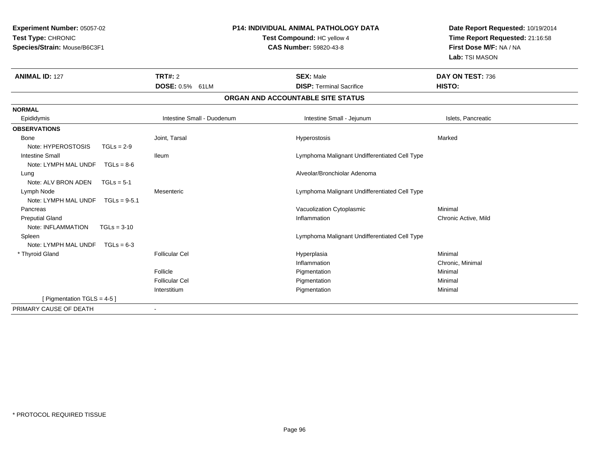| Experiment Number: 05057-02<br>Test Type: CHRONIC<br>Species/Strain: Mouse/B6C3F1 |                            | <b>P14: INDIVIDUAL ANIMAL PATHOLOGY DATA</b><br>Test Compound: HC yellow 4<br><b>CAS Number: 59820-43-8</b> | Date Report Requested: 10/19/2014<br>Time Report Requested: 21:16:58<br>First Dose M/F: NA / NA<br>Lab: TSI MASON |
|-----------------------------------------------------------------------------------|----------------------------|-------------------------------------------------------------------------------------------------------------|-------------------------------------------------------------------------------------------------------------------|
| <b>ANIMAL ID: 127</b>                                                             | TRT#: 2                    | <b>SEX: Male</b>                                                                                            | DAY ON TEST: 736                                                                                                  |
|                                                                                   | DOSE: 0.5% 61LM            | <b>DISP: Terminal Sacrifice</b>                                                                             | HISTO:                                                                                                            |
|                                                                                   |                            | ORGAN AND ACCOUNTABLE SITE STATUS                                                                           |                                                                                                                   |
| <b>NORMAL</b>                                                                     |                            |                                                                                                             |                                                                                                                   |
| Epididymis                                                                        | Intestine Small - Duodenum | Intestine Small - Jejunum                                                                                   | Islets, Pancreatic                                                                                                |
| <b>OBSERVATIONS</b>                                                               |                            |                                                                                                             |                                                                                                                   |
| Bone                                                                              | Joint, Tarsal              | Hyperostosis                                                                                                | Marked                                                                                                            |
| Note: HYPEROSTOSIS<br>$TGLs = 2-9$                                                |                            |                                                                                                             |                                                                                                                   |
| <b>Intestine Small</b>                                                            | <b>Ileum</b>               | Lymphoma Malignant Undifferentiated Cell Type                                                               |                                                                                                                   |
| Note: LYMPH MAL UNDF<br>$TGLs = 8-6$                                              |                            |                                                                                                             |                                                                                                                   |
| Lung                                                                              |                            | Alveolar/Bronchiolar Adenoma                                                                                |                                                                                                                   |
| Note: ALV BRON ADEN<br>$TGLs = 5-1$                                               |                            |                                                                                                             |                                                                                                                   |
| Lymph Node                                                                        | Mesenteric                 | Lymphoma Malignant Undifferentiated Cell Type                                                               |                                                                                                                   |
| Note: LYMPH MAL UNDF<br>$TGLs = 9-5.1$                                            |                            |                                                                                                             |                                                                                                                   |
| Pancreas                                                                          |                            | Vacuolization Cytoplasmic                                                                                   | Minimal                                                                                                           |
| <b>Preputial Gland</b>                                                            |                            | Inflammation                                                                                                | Chronic Active, Mild                                                                                              |
| Note: INFLAMMATION<br>$TGLs = 3-10$                                               |                            |                                                                                                             |                                                                                                                   |
| Spleen<br>Note: LYMPH MAL UNDF<br>$TGLs = 6-3$                                    |                            | Lymphoma Malignant Undifferentiated Cell Type                                                               |                                                                                                                   |
| * Thyroid Gland                                                                   | <b>Follicular Cel</b>      | Hyperplasia                                                                                                 | Minimal                                                                                                           |
|                                                                                   |                            | Inflammation                                                                                                | Chronic, Minimal                                                                                                  |
|                                                                                   | Follicle                   | Pigmentation                                                                                                | Minimal                                                                                                           |
|                                                                                   | <b>Follicular Cel</b>      | Pigmentation                                                                                                | Minimal                                                                                                           |
|                                                                                   | Interstitium               | Pigmentation                                                                                                | Minimal                                                                                                           |
| [ Pigmentation TGLS = $4-5$ ]                                                     |                            |                                                                                                             |                                                                                                                   |
| PRIMARY CAUSE OF DEATH                                                            | $\overline{\phantom{a}}$   |                                                                                                             |                                                                                                                   |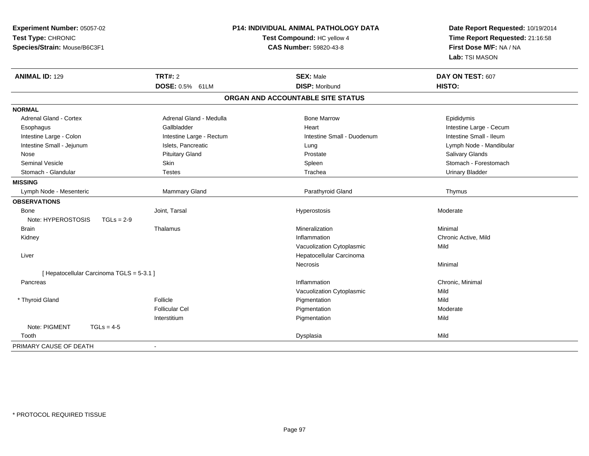| Experiment Number: 05057-02               |                          | <b>P14: INDIVIDUAL ANIMAL PATHOLOGY DATA</b> | Date Report Requested: 10/19/2014                          |
|-------------------------------------------|--------------------------|----------------------------------------------|------------------------------------------------------------|
| Test Type: CHRONIC                        |                          | Test Compound: HC yellow 4                   | Time Report Requested: 21:16:58<br>First Dose M/F: NA / NA |
| Species/Strain: Mouse/B6C3F1              |                          | <b>CAS Number: 59820-43-8</b>                |                                                            |
|                                           |                          |                                              | Lab: TSI MASON                                             |
| <b>ANIMAL ID: 129</b>                     | <b>TRT#: 2</b>           | <b>SEX: Male</b>                             | DAY ON TEST: 607                                           |
|                                           | DOSE: 0.5% 61LM          | <b>DISP: Moribund</b>                        | <b>HISTO:</b>                                              |
|                                           |                          | ORGAN AND ACCOUNTABLE SITE STATUS            |                                                            |
| <b>NORMAL</b>                             |                          |                                              |                                                            |
| <b>Adrenal Gland - Cortex</b>             | Adrenal Gland - Medulla  | <b>Bone Marrow</b>                           | Epididymis                                                 |
| Esophagus                                 | Gallbladder              | Heart                                        | Intestine Large - Cecum                                    |
| Intestine Large - Colon                   | Intestine Large - Rectum | Intestine Small - Duodenum                   | Intestine Small - Ileum                                    |
| Intestine Small - Jejunum                 | Islets, Pancreatic       | Lung                                         | Lymph Node - Mandibular                                    |
| Nose                                      | <b>Pituitary Gland</b>   | Prostate                                     | <b>Salivary Glands</b>                                     |
| Seminal Vesicle                           | Skin                     | Spleen                                       | Stomach - Forestomach                                      |
| Stomach - Glandular                       | <b>Testes</b>            | Trachea                                      | <b>Urinary Bladder</b>                                     |
| <b>MISSING</b>                            |                          |                                              |                                                            |
| Lymph Node - Mesenteric                   | Mammary Gland            | Parathyroid Gland                            | Thymus                                                     |
| <b>OBSERVATIONS</b>                       |                          |                                              |                                                            |
| Bone                                      | Joint, Tarsal            | Hyperostosis                                 | Moderate                                                   |
| Note: HYPEROSTOSIS<br>$TGLs = 2-9$        |                          |                                              |                                                            |
| <b>Brain</b>                              | Thalamus                 | Mineralization                               | Minimal                                                    |
| Kidney                                    |                          | Inflammation                                 | Chronic Active, Mild                                       |
|                                           |                          | Vacuolization Cytoplasmic                    | Mild                                                       |
| Liver                                     |                          | Hepatocellular Carcinoma                     |                                                            |
|                                           |                          | Necrosis                                     | Minimal                                                    |
| [ Hepatocellular Carcinoma TGLS = 5-3.1 ] |                          |                                              |                                                            |
| Pancreas                                  |                          | Inflammation                                 | Chronic, Minimal                                           |
|                                           |                          | Vacuolization Cytoplasmic                    | Mild                                                       |
| * Thyroid Gland                           | Follicle                 | Pigmentation                                 | Mild                                                       |
|                                           | <b>Follicular Cel</b>    | Pigmentation                                 | Moderate                                                   |
|                                           | Interstitium             | Pigmentation                                 | Mild                                                       |
| Note: PIGMENT<br>$TGLs = 4-5$             |                          |                                              |                                                            |
| Tooth                                     |                          | Dysplasia                                    | Mild                                                       |
| PRIMARY CAUSE OF DEATH                    |                          |                                              |                                                            |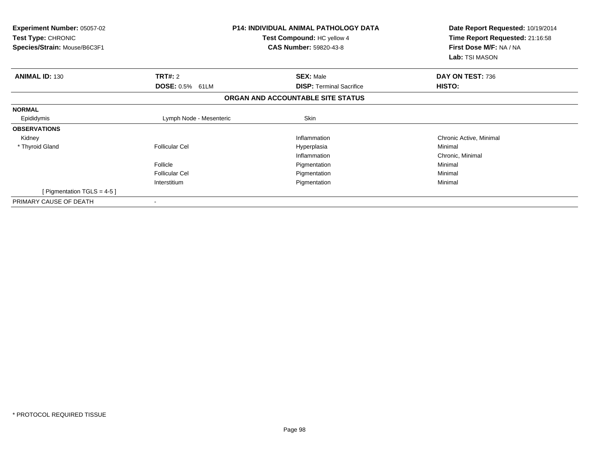| <b>Experiment Number: 05057-02</b><br>Test Type: CHRONIC<br>Species/Strain: Mouse/B6C3F1 |                         | <b>P14: INDIVIDUAL ANIMAL PATHOLOGY DATA</b><br>Test Compound: HC yellow 4<br><b>CAS Number: 59820-43-8</b> | Date Report Requested: 10/19/2014<br>Time Report Requested: 21:16:58<br>First Dose M/F: NA / NA<br>Lab: TSI MASON |  |
|------------------------------------------------------------------------------------------|-------------------------|-------------------------------------------------------------------------------------------------------------|-------------------------------------------------------------------------------------------------------------------|--|
| <b>ANIMAL ID: 130</b>                                                                    | TRT#: 2                 | <b>SEX: Male</b>                                                                                            | DAY ON TEST: 736                                                                                                  |  |
|                                                                                          | <b>DOSE: 0.5% 61LM</b>  | <b>DISP: Terminal Sacrifice</b>                                                                             | HISTO:                                                                                                            |  |
|                                                                                          |                         | ORGAN AND ACCOUNTABLE SITE STATUS                                                                           |                                                                                                                   |  |
| <b>NORMAL</b>                                                                            |                         |                                                                                                             |                                                                                                                   |  |
| Epididymis                                                                               | Lymph Node - Mesenteric | Skin                                                                                                        |                                                                                                                   |  |
| <b>OBSERVATIONS</b>                                                                      |                         |                                                                                                             |                                                                                                                   |  |
| Kidney                                                                                   |                         | Inflammation                                                                                                | Chronic Active, Minimal                                                                                           |  |
| * Thyroid Gland                                                                          | <b>Follicular Cel</b>   | Hyperplasia                                                                                                 | Minimal                                                                                                           |  |
|                                                                                          |                         | Inflammation                                                                                                | Chronic, Minimal                                                                                                  |  |
|                                                                                          | Follicle                | Pigmentation                                                                                                | Minimal                                                                                                           |  |
|                                                                                          | <b>Follicular Cel</b>   | Pigmentation                                                                                                | Minimal                                                                                                           |  |
|                                                                                          | Interstitium            | Pigmentation                                                                                                | Minimal                                                                                                           |  |
| [ Pigmentation TGLS = 4-5 ]                                                              |                         |                                                                                                             |                                                                                                                   |  |
| PRIMARY CAUSE OF DEATH                                                                   | $\blacksquare$          |                                                                                                             |                                                                                                                   |  |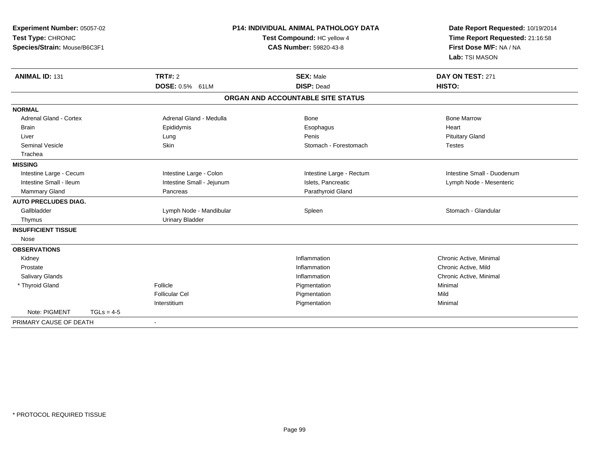| Experiment Number: 05057-02<br>Test Type: CHRONIC<br>Species/Strain: Mouse/B6C3F1 |              |                                   | <b>P14: INDIVIDUAL ANIMAL PATHOLOGY DATA</b><br>Test Compound: HC yellow 4<br><b>CAS Number: 59820-43-8</b> | Date Report Requested: 10/19/2014<br>Time Report Requested: 21:16:58<br>First Dose M/F: NA / NA<br>Lab: TSI MASON |
|-----------------------------------------------------------------------------------|--------------|-----------------------------------|-------------------------------------------------------------------------------------------------------------|-------------------------------------------------------------------------------------------------------------------|
| <b>ANIMAL ID: 131</b>                                                             |              | <b>TRT#: 2</b><br>DOSE: 0.5% 61LM | <b>SEX: Male</b><br><b>DISP: Dead</b>                                                                       | DAY ON TEST: 271<br>HISTO:                                                                                        |
|                                                                                   |              |                                   | ORGAN AND ACCOUNTABLE SITE STATUS                                                                           |                                                                                                                   |
| <b>NORMAL</b>                                                                     |              |                                   |                                                                                                             |                                                                                                                   |
| <b>Adrenal Gland - Cortex</b>                                                     |              | Adrenal Gland - Medulla           | Bone                                                                                                        | <b>Bone Marrow</b>                                                                                                |
| <b>Brain</b>                                                                      |              | Epididymis                        | Esophagus                                                                                                   | Heart                                                                                                             |
| Liver                                                                             |              | Lung                              | Penis                                                                                                       | <b>Pituitary Gland</b>                                                                                            |
| <b>Seminal Vesicle</b>                                                            |              | Skin                              | Stomach - Forestomach                                                                                       | <b>Testes</b>                                                                                                     |
| Trachea                                                                           |              |                                   |                                                                                                             |                                                                                                                   |
| <b>MISSING</b>                                                                    |              |                                   |                                                                                                             |                                                                                                                   |
| Intestine Large - Cecum                                                           |              | Intestine Large - Colon           | Intestine Large - Rectum                                                                                    | Intestine Small - Duodenum                                                                                        |
| Intestine Small - Ileum                                                           |              | Intestine Small - Jejunum         | Islets, Pancreatic                                                                                          | Lymph Node - Mesenteric                                                                                           |
| Mammary Gland                                                                     |              | Pancreas                          | Parathyroid Gland                                                                                           |                                                                                                                   |
| <b>AUTO PRECLUDES DIAG.</b>                                                       |              |                                   |                                                                                                             |                                                                                                                   |
| Gallbladder                                                                       |              | Lymph Node - Mandibular           | Spleen                                                                                                      | Stomach - Glandular                                                                                               |
| Thymus                                                                            |              | <b>Urinary Bladder</b>            |                                                                                                             |                                                                                                                   |
| <b>INSUFFICIENT TISSUE</b>                                                        |              |                                   |                                                                                                             |                                                                                                                   |
| Nose                                                                              |              |                                   |                                                                                                             |                                                                                                                   |
| <b>OBSERVATIONS</b>                                                               |              |                                   |                                                                                                             |                                                                                                                   |
| Kidney                                                                            |              |                                   | Inflammation                                                                                                | Chronic Active, Minimal                                                                                           |
| Prostate                                                                          |              |                                   | Inflammation                                                                                                | Chronic Active, Mild                                                                                              |
| <b>Salivary Glands</b>                                                            |              |                                   | Inflammation                                                                                                | Chronic Active, Minimal                                                                                           |
| * Thyroid Gland                                                                   |              | Follicle                          | Pigmentation                                                                                                | Minimal                                                                                                           |
|                                                                                   |              | Follicular Cel                    | Pigmentation                                                                                                | Mild                                                                                                              |
|                                                                                   |              | Interstitium                      | Pigmentation                                                                                                | Minimal                                                                                                           |
| Note: PIGMENT                                                                     | $TGLs = 4-5$ |                                   |                                                                                                             |                                                                                                                   |
| PRIMARY CAUSE OF DEATH                                                            |              |                                   |                                                                                                             |                                                                                                                   |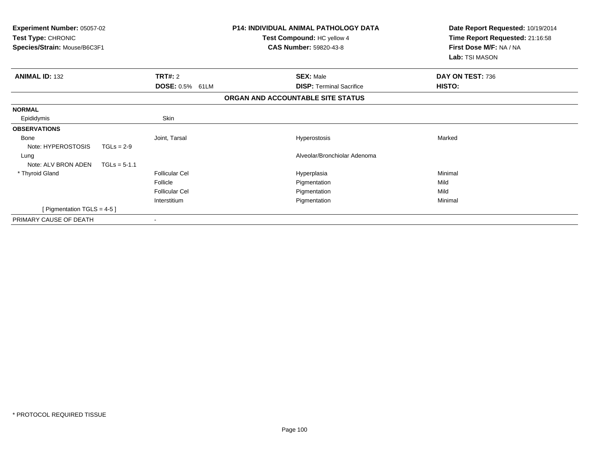| <b>Experiment Number: 05057-02</b><br>Test Type: CHRONIC<br>Species/Strain: Mouse/B6C3F1 |                        | <b>P14: INDIVIDUAL ANIMAL PATHOLOGY DATA</b><br>Test Compound: HC yellow 4<br>CAS Number: 59820-43-8 | Date Report Requested: 10/19/2014<br>Time Report Requested: 21:16:58<br>First Dose M/F: NA / NA<br>Lab: TSI MASON |
|------------------------------------------------------------------------------------------|------------------------|------------------------------------------------------------------------------------------------------|-------------------------------------------------------------------------------------------------------------------|
| <b>ANIMAL ID: 132</b>                                                                    | TRT#: 2                | <b>SEX: Male</b><br><b>DISP: Terminal Sacrifice</b>                                                  | DAY ON TEST: 736<br>HISTO:                                                                                        |
|                                                                                          | <b>DOSE: 0.5% 61LM</b> |                                                                                                      |                                                                                                                   |
|                                                                                          |                        | ORGAN AND ACCOUNTABLE SITE STATUS                                                                    |                                                                                                                   |
| <b>NORMAL</b>                                                                            |                        |                                                                                                      |                                                                                                                   |
| Epididymis                                                                               | Skin                   |                                                                                                      |                                                                                                                   |
| <b>OBSERVATIONS</b>                                                                      |                        |                                                                                                      |                                                                                                                   |
| <b>Bone</b>                                                                              | Joint, Tarsal          | Hyperostosis                                                                                         | Marked                                                                                                            |
| Note: HYPEROSTOSIS<br>$TGLs = 2-9$                                                       |                        |                                                                                                      |                                                                                                                   |
| Lung                                                                                     |                        | Alveolar/Bronchiolar Adenoma                                                                         |                                                                                                                   |
| Note: ALV BRON ADEN<br>$TGLs = 5-1.1$                                                    |                        |                                                                                                      |                                                                                                                   |
| * Thyroid Gland                                                                          | <b>Follicular Cel</b>  | Hyperplasia                                                                                          | Minimal                                                                                                           |
|                                                                                          | Follicle               | Pigmentation                                                                                         | Mild                                                                                                              |
|                                                                                          | <b>Follicular Cel</b>  | Pigmentation                                                                                         | Mild                                                                                                              |
|                                                                                          | Interstitium           | Pigmentation                                                                                         | Minimal                                                                                                           |
| [Pigmentation TGLS = 4-5]                                                                |                        |                                                                                                      |                                                                                                                   |
| PRIMARY CAUSE OF DEATH                                                                   |                        |                                                                                                      |                                                                                                                   |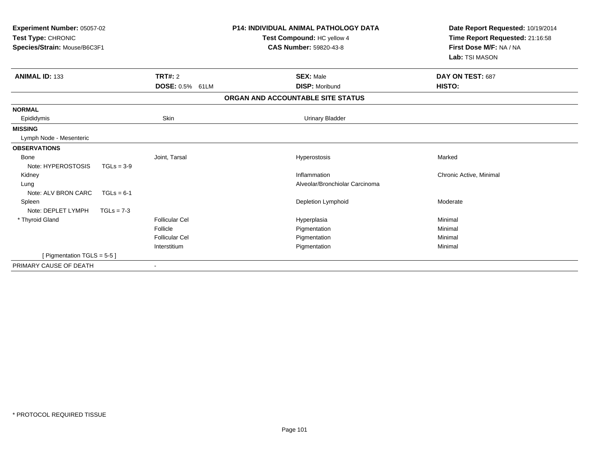| Experiment Number: 05057-02<br>Test Type: CHRONIC<br>Species/Strain: Mouse/B6C3F1 |              |                       | <b>P14: INDIVIDUAL ANIMAL PATHOLOGY DATA</b><br>Test Compound: HC yellow 4<br><b>CAS Number: 59820-43-8</b> | Date Report Requested: 10/19/2014<br>Time Report Requested: 21:16:58<br>First Dose M/F: NA / NA<br>Lab: TSI MASON |
|-----------------------------------------------------------------------------------|--------------|-----------------------|-------------------------------------------------------------------------------------------------------------|-------------------------------------------------------------------------------------------------------------------|
| <b>ANIMAL ID: 133</b>                                                             |              | TRT#: 2               | <b>SEX: Male</b>                                                                                            | DAY ON TEST: 687                                                                                                  |
|                                                                                   |              | DOSE: 0.5% 61LM       | <b>DISP: Moribund</b>                                                                                       | HISTO:                                                                                                            |
|                                                                                   |              |                       | ORGAN AND ACCOUNTABLE SITE STATUS                                                                           |                                                                                                                   |
| <b>NORMAL</b>                                                                     |              |                       |                                                                                                             |                                                                                                                   |
| Epididymis                                                                        |              | Skin                  | <b>Urinary Bladder</b>                                                                                      |                                                                                                                   |
| <b>MISSING</b>                                                                    |              |                       |                                                                                                             |                                                                                                                   |
| Lymph Node - Mesenteric                                                           |              |                       |                                                                                                             |                                                                                                                   |
| <b>OBSERVATIONS</b>                                                               |              |                       |                                                                                                             |                                                                                                                   |
| <b>Bone</b>                                                                       |              | Joint, Tarsal         | Hyperostosis                                                                                                | Marked                                                                                                            |
| Note: HYPEROSTOSIS                                                                | $TGLs = 3-9$ |                       |                                                                                                             |                                                                                                                   |
| Kidney                                                                            |              |                       | Inflammation                                                                                                | Chronic Active, Minimal                                                                                           |
| Lung                                                                              |              |                       | Alveolar/Bronchiolar Carcinoma                                                                              |                                                                                                                   |
| Note: ALV BRON CARC                                                               | $TGLs = 6-1$ |                       |                                                                                                             |                                                                                                                   |
| Spleen                                                                            |              |                       | Depletion Lymphoid                                                                                          | Moderate                                                                                                          |
| Note: DEPLET LYMPH                                                                | $TGLs = 7-3$ |                       |                                                                                                             |                                                                                                                   |
| * Thyroid Gland                                                                   |              | Follicular Cel        | Hyperplasia                                                                                                 | Minimal                                                                                                           |
|                                                                                   |              | Follicle              | Pigmentation                                                                                                | Minimal                                                                                                           |
|                                                                                   |              | <b>Follicular Cel</b> | Pigmentation                                                                                                | Minimal                                                                                                           |
|                                                                                   |              | Interstitium          | Pigmentation                                                                                                | Minimal                                                                                                           |
| [ Pigmentation TGLS = $5-5$ ]                                                     |              |                       |                                                                                                             |                                                                                                                   |
| PRIMARY CAUSE OF DEATH                                                            |              |                       |                                                                                                             |                                                                                                                   |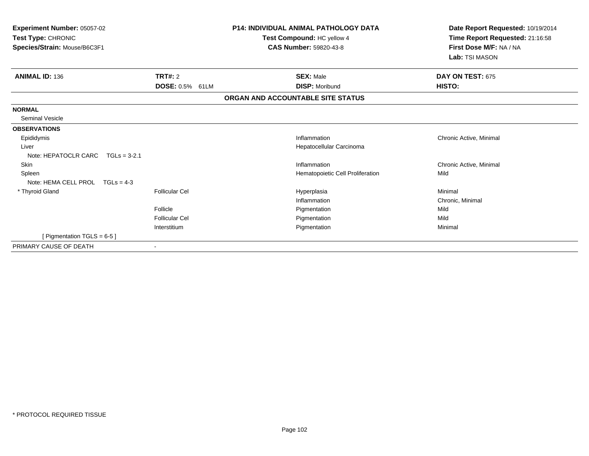| Experiment Number: 05057-02<br>Test Type: CHRONIC<br>Species/Strain: Mouse/B6C3F1 | <b>P14: INDIVIDUAL ANIMAL PATHOLOGY DATA</b><br>Test Compound: HC yellow 4<br><b>CAS Number: 59820-43-8</b> |                                   | Date Report Requested: 10/19/2014<br>Time Report Requested: 21:16:58<br>First Dose M/F: NA / NA<br>Lab: TSI MASON |
|-----------------------------------------------------------------------------------|-------------------------------------------------------------------------------------------------------------|-----------------------------------|-------------------------------------------------------------------------------------------------------------------|
| <b>ANIMAL ID: 136</b>                                                             | TRT#: 2                                                                                                     | <b>SEX: Male</b>                  | DAY ON TEST: 675                                                                                                  |
|                                                                                   | <b>DOSE: 0.5% 61LM</b>                                                                                      | <b>DISP: Moribund</b>             | HISTO:                                                                                                            |
|                                                                                   |                                                                                                             | ORGAN AND ACCOUNTABLE SITE STATUS |                                                                                                                   |
| <b>NORMAL</b>                                                                     |                                                                                                             |                                   |                                                                                                                   |
| <b>Seminal Vesicle</b>                                                            |                                                                                                             |                                   |                                                                                                                   |
| <b>OBSERVATIONS</b>                                                               |                                                                                                             |                                   |                                                                                                                   |
| Epididymis                                                                        |                                                                                                             | Inflammation                      | Chronic Active, Minimal                                                                                           |
| Liver                                                                             |                                                                                                             | Hepatocellular Carcinoma          |                                                                                                                   |
| Note: HEPATOCLR CARC $TGLs = 3-2.1$                                               |                                                                                                             |                                   |                                                                                                                   |
| Skin                                                                              |                                                                                                             | Inflammation                      | Chronic Active, Minimal                                                                                           |
| Spleen                                                                            |                                                                                                             | Hematopoietic Cell Proliferation  | Mild                                                                                                              |
| Note: HEMA CELL PROL<br>$TGLs = 4-3$                                              |                                                                                                             |                                   |                                                                                                                   |
| * Thyroid Gland                                                                   | <b>Follicular Cel</b>                                                                                       | Hyperplasia                       | Minimal                                                                                                           |
|                                                                                   |                                                                                                             | Inflammation                      | Chronic, Minimal                                                                                                  |
|                                                                                   | Follicle                                                                                                    | Pigmentation                      | Mild                                                                                                              |
|                                                                                   | <b>Follicular Cel</b>                                                                                       | Pigmentation                      | Mild                                                                                                              |
|                                                                                   | Interstitium                                                                                                | Pigmentation                      | Minimal                                                                                                           |
| [ Pigmentation TGLS = $6-5$ ]                                                     |                                                                                                             |                                   |                                                                                                                   |
| PRIMARY CAUSE OF DEATH                                                            |                                                                                                             |                                   |                                                                                                                   |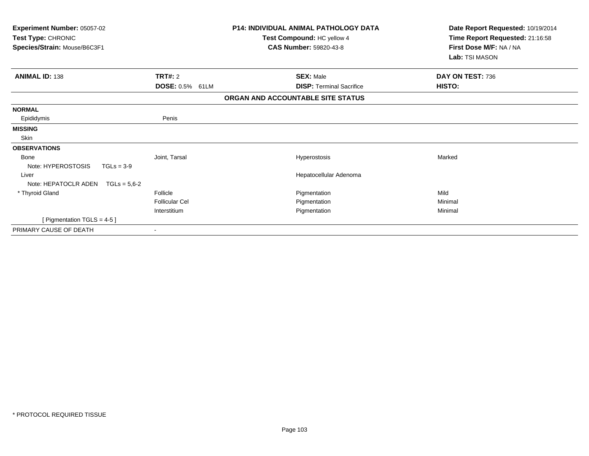| Experiment Number: 05057-02<br>Test Type: CHRONIC<br>Species/Strain: Mouse/B6C3F1 |                        | <b>P14: INDIVIDUAL ANIMAL PATHOLOGY DATA</b><br>Test Compound: HC yellow 4<br><b>CAS Number: 59820-43-8</b> | Date Report Requested: 10/19/2014<br>Time Report Requested: 21:16:58<br>First Dose M/F: NA / NA<br>Lab: TSI MASON |
|-----------------------------------------------------------------------------------|------------------------|-------------------------------------------------------------------------------------------------------------|-------------------------------------------------------------------------------------------------------------------|
| <b>ANIMAL ID: 138</b>                                                             | TRT#: 2                | <b>SEX: Male</b>                                                                                            | DAY ON TEST: 736                                                                                                  |
|                                                                                   | <b>DOSE: 0.5% 61LM</b> | <b>DISP: Terminal Sacrifice</b>                                                                             | HISTO:                                                                                                            |
|                                                                                   |                        | ORGAN AND ACCOUNTABLE SITE STATUS                                                                           |                                                                                                                   |
| <b>NORMAL</b>                                                                     |                        |                                                                                                             |                                                                                                                   |
| Epididymis                                                                        | Penis                  |                                                                                                             |                                                                                                                   |
| <b>MISSING</b>                                                                    |                        |                                                                                                             |                                                                                                                   |
| Skin                                                                              |                        |                                                                                                             |                                                                                                                   |
| <b>OBSERVATIONS</b>                                                               |                        |                                                                                                             |                                                                                                                   |
| <b>Bone</b>                                                                       | Joint, Tarsal          | Hyperostosis                                                                                                | Marked                                                                                                            |
| Note: HYPEROSTOSIS<br>$TGLs = 3-9$                                                |                        |                                                                                                             |                                                                                                                   |
| Liver                                                                             |                        | Hepatocellular Adenoma                                                                                      |                                                                                                                   |
| Note: HEPATOCLR ADEN<br>$TGLs = 5.6 - 2$                                          |                        |                                                                                                             |                                                                                                                   |
| * Thyroid Gland                                                                   | Follicle               | Pigmentation                                                                                                | Mild                                                                                                              |
|                                                                                   | <b>Follicular Cel</b>  | Pigmentation                                                                                                | Minimal                                                                                                           |
|                                                                                   | Interstitium           | Pigmentation                                                                                                | Minimal                                                                                                           |
| [ Pigmentation TGLS = 4-5 ]                                                       |                        |                                                                                                             |                                                                                                                   |
| PRIMARY CAUSE OF DEATH                                                            | $\blacksquare$         |                                                                                                             |                                                                                                                   |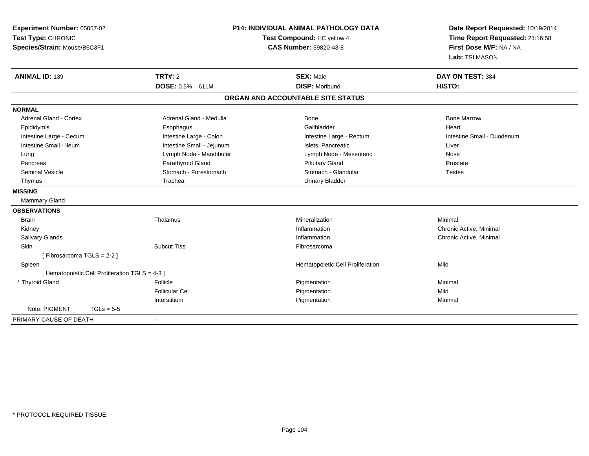| Experiment Number: 05057-02<br>Test Type: CHRONIC<br>Species/Strain: Mouse/B6C3F1 | <b>P14: INDIVIDUAL ANIMAL PATHOLOGY DATA</b><br>Test Compound: HC yellow 4<br><b>CAS Number: 59820-43-8</b> |                                                | Date Report Requested: 10/19/2014<br>Time Report Requested: 21:16:58<br>First Dose M/F: NA / NA<br>Lab: TSI MASON |
|-----------------------------------------------------------------------------------|-------------------------------------------------------------------------------------------------------------|------------------------------------------------|-------------------------------------------------------------------------------------------------------------------|
| <b>ANIMAL ID: 139</b>                                                             | <b>TRT#: 2</b><br>DOSE: 0.5% 61LM                                                                           | <b>SEX: Male</b><br><b>DISP: Moribund</b>      | DAY ON TEST: 384<br><b>HISTO:</b>                                                                                 |
|                                                                                   |                                                                                                             | ORGAN AND ACCOUNTABLE SITE STATUS              |                                                                                                                   |
|                                                                                   |                                                                                                             |                                                |                                                                                                                   |
| <b>NORMAL</b>                                                                     |                                                                                                             |                                                |                                                                                                                   |
| <b>Adrenal Gland - Cortex</b>                                                     | Adrenal Gland - Medulla                                                                                     | <b>Bone</b>                                    | <b>Bone Marrow</b>                                                                                                |
| Epididymis                                                                        | Esophagus                                                                                                   | Gallbladder                                    | Heart<br>Intestine Small - Duodenum                                                                               |
| Intestine Large - Cecum<br>Intestine Small - Ileum                                | Intestine Large - Colon<br>Intestine Small - Jejunum                                                        | Intestine Large - Rectum<br>Islets, Pancreatic | Liver                                                                                                             |
|                                                                                   | Lymph Node - Mandibular                                                                                     | Lymph Node - Mesenteric                        | Nose                                                                                                              |
| Lung<br>Pancreas                                                                  | Parathyroid Gland                                                                                           | <b>Pituitary Gland</b>                         | Prostate                                                                                                          |
| <b>Seminal Vesicle</b>                                                            | Stomach - Forestomach                                                                                       | Stomach - Glandular                            | <b>Testes</b>                                                                                                     |
| Thymus                                                                            | Trachea                                                                                                     | <b>Urinary Bladder</b>                         |                                                                                                                   |
|                                                                                   |                                                                                                             |                                                |                                                                                                                   |
| <b>MISSING</b>                                                                    |                                                                                                             |                                                |                                                                                                                   |
| Mammary Gland                                                                     |                                                                                                             |                                                |                                                                                                                   |
| <b>OBSERVATIONS</b>                                                               |                                                                                                             |                                                |                                                                                                                   |
| <b>Brain</b>                                                                      | Thalamus                                                                                                    | Mineralization                                 | Minimal                                                                                                           |
| Kidney                                                                            |                                                                                                             | Inflammation                                   | Chronic Active, Minimal                                                                                           |
| Salivary Glands                                                                   |                                                                                                             | Inflammation                                   | Chronic Active, Minimal                                                                                           |
| Skin                                                                              | <b>Subcut Tiss</b>                                                                                          | Fibrosarcoma                                   |                                                                                                                   |
| [Fibrosarcoma TGLS = 2-2]                                                         |                                                                                                             |                                                |                                                                                                                   |
| Spleen                                                                            |                                                                                                             | Hematopoietic Cell Proliferation               | Mild                                                                                                              |
| [ Hematopoietic Cell Proliferation TGLS = 4-3 ]                                   |                                                                                                             |                                                |                                                                                                                   |
| * Thyroid Gland                                                                   | Follicle                                                                                                    | Pigmentation                                   | Minimal                                                                                                           |
|                                                                                   | <b>Follicular Cel</b>                                                                                       | Pigmentation                                   | Mild                                                                                                              |
| Note: PIGMENT                                                                     | Interstitium                                                                                                | Pigmentation                                   | Minimal                                                                                                           |
| $TGLs = 5-5$                                                                      |                                                                                                             |                                                |                                                                                                                   |
| PRIMARY CAUSE OF DEATH                                                            | $\blacksquare$                                                                                              |                                                |                                                                                                                   |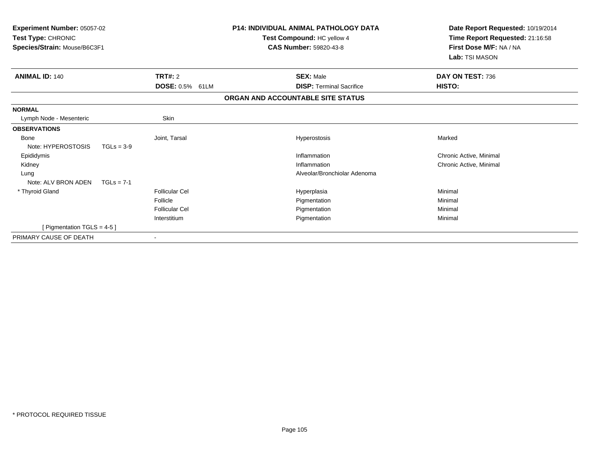| <b>Experiment Number: 05057-02</b><br>Test Type: CHRONIC<br>Species/Strain: Mouse/B6C3F1 |                                             | <b>P14: INDIVIDUAL ANIMAL PATHOLOGY DATA</b><br>Test Compound: HC yellow 4<br><b>CAS Number: 59820-43-8</b> | Date Report Requested: 10/19/2014<br>Time Report Requested: 21:16:58<br>First Dose M/F: NA / NA<br>Lab: TSI MASON |
|------------------------------------------------------------------------------------------|---------------------------------------------|-------------------------------------------------------------------------------------------------------------|-------------------------------------------------------------------------------------------------------------------|
| <b>ANIMAL ID: 140</b>                                                                    | <b>TRT#: 2</b><br><b>DOSE: 0.5%</b><br>61LM | <b>SEX: Male</b><br><b>DISP: Terminal Sacrifice</b>                                                         | DAY ON TEST: 736<br>HISTO:                                                                                        |
|                                                                                          |                                             | ORGAN AND ACCOUNTABLE SITE STATUS                                                                           |                                                                                                                   |
| <b>NORMAL</b>                                                                            |                                             |                                                                                                             |                                                                                                                   |
| Lymph Node - Mesenteric                                                                  | Skin                                        |                                                                                                             |                                                                                                                   |
| <b>OBSERVATIONS</b>                                                                      |                                             |                                                                                                             |                                                                                                                   |
| Bone<br>Note: HYPEROSTOSIS                                                               | Joint, Tarsal<br>$TGLs = 3-9$               | Hyperostosis                                                                                                | Marked                                                                                                            |
| Epididymis                                                                               |                                             | Inflammation                                                                                                | Chronic Active, Minimal                                                                                           |
| Kidney                                                                                   |                                             | Inflammation                                                                                                | Chronic Active, Minimal                                                                                           |
| Lung                                                                                     |                                             | Alveolar/Bronchiolar Adenoma                                                                                |                                                                                                                   |
| Note: ALV BRON ADEN                                                                      | $TGLs = 7-1$                                |                                                                                                             |                                                                                                                   |
| * Thyroid Gland                                                                          | <b>Follicular Cel</b>                       | Hyperplasia                                                                                                 | Minimal                                                                                                           |
|                                                                                          | Follicle                                    | Pigmentation                                                                                                | Minimal                                                                                                           |
|                                                                                          | <b>Follicular Cel</b>                       | Pigmentation                                                                                                | Minimal                                                                                                           |
|                                                                                          | Interstitium                                | Pigmentation                                                                                                | Minimal                                                                                                           |
| [ Pigmentation TGLS = $4-5$ ]                                                            |                                             |                                                                                                             |                                                                                                                   |
| PRIMARY CAUSE OF DEATH                                                                   |                                             |                                                                                                             |                                                                                                                   |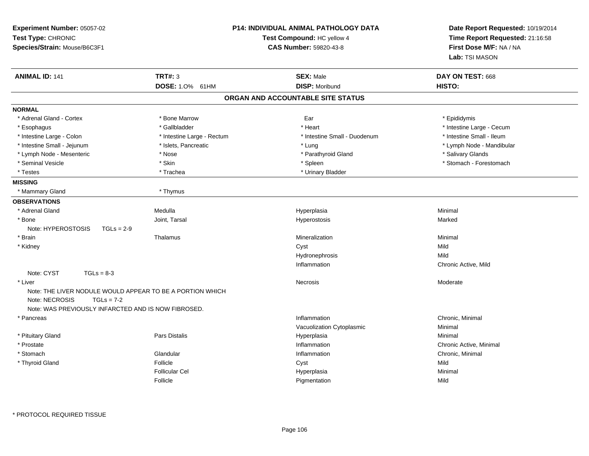| Experiment Number: 05057-02<br>Test Type: CHRONIC<br>Species/Strain: Mouse/B6C3F1 |                            | P14: INDIVIDUAL ANIMAL PATHOLOGY DATA<br>Test Compound: HC yellow 4<br>CAS Number: 59820-43-8 | Date Report Requested: 10/19/2014<br>Time Report Requested: 21:16:58<br>First Dose M/F: NA / NA<br>Lab: TSI MASON |
|-----------------------------------------------------------------------------------|----------------------------|-----------------------------------------------------------------------------------------------|-------------------------------------------------------------------------------------------------------------------|
| <b>ANIMAL ID: 141</b>                                                             | <b>TRT#: 3</b>             | <b>SEX: Male</b>                                                                              | DAY ON TEST: 668                                                                                                  |
|                                                                                   | DOSE: 1.0% 61HM            | <b>DISP: Moribund</b>                                                                         | HISTO:                                                                                                            |
|                                                                                   |                            | ORGAN AND ACCOUNTABLE SITE STATUS                                                             |                                                                                                                   |
| <b>NORMAL</b>                                                                     |                            |                                                                                               |                                                                                                                   |
| * Adrenal Gland - Cortex                                                          | * Bone Marrow              | Ear                                                                                           | * Epididymis                                                                                                      |
| * Esophagus                                                                       | * Gallbladder              | * Heart                                                                                       | * Intestine Large - Cecum                                                                                         |
| * Intestine Large - Colon                                                         | * Intestine Large - Rectum | * Intestine Small - Duodenum                                                                  | * Intestine Small - Ileum                                                                                         |
| * Intestine Small - Jejunum                                                       | * Islets, Pancreatic       | * Lung                                                                                        | * Lymph Node - Mandibular                                                                                         |
| * Lymph Node - Mesenteric                                                         | * Nose                     | * Parathyroid Gland                                                                           | * Salivary Glands                                                                                                 |
| * Seminal Vesicle                                                                 | * Skin                     | * Spleen                                                                                      | * Stomach - Forestomach                                                                                           |
| * Testes                                                                          | * Trachea                  | * Urinary Bladder                                                                             |                                                                                                                   |
| <b>MISSING</b>                                                                    |                            |                                                                                               |                                                                                                                   |
| * Mammary Gland                                                                   | * Thymus                   |                                                                                               |                                                                                                                   |
| <b>OBSERVATIONS</b>                                                               |                            |                                                                                               |                                                                                                                   |
| * Adrenal Gland                                                                   | Medulla                    | Hyperplasia                                                                                   | Minimal                                                                                                           |
| * Bone                                                                            | Joint, Tarsal              | Hyperostosis                                                                                  | Marked                                                                                                            |
| Note: HYPEROSTOSIS<br>$TGLs = 2-9$                                                |                            |                                                                                               |                                                                                                                   |
| * Brain                                                                           | Thalamus                   | Mineralization                                                                                | Minimal                                                                                                           |
| * Kidney                                                                          |                            | Cyst                                                                                          | Mild                                                                                                              |
|                                                                                   |                            | Hydronephrosis                                                                                | Mild                                                                                                              |
|                                                                                   |                            | Inflammation                                                                                  | Chronic Active, Mild                                                                                              |
| Note: CYST<br>$TGLs = 8-3$                                                        |                            |                                                                                               |                                                                                                                   |
| * Liver                                                                           |                            | Necrosis                                                                                      | Moderate                                                                                                          |
| Note: THE LIVER NODULE WOULD APPEAR TO BE A PORTION WHICH                         |                            |                                                                                               |                                                                                                                   |
| Note: NECROSIS<br>$TGLs = 7-2$                                                    |                            |                                                                                               |                                                                                                                   |
| Note: WAS PREVIOUSLY INFARCTED AND IS NOW FIBROSED.                               |                            |                                                                                               |                                                                                                                   |
| * Pancreas                                                                        |                            | Inflammation                                                                                  | Chronic, Minimal                                                                                                  |
|                                                                                   |                            | Vacuolization Cytoplasmic                                                                     | Minimal                                                                                                           |
| * Pituitary Gland                                                                 | Pars Distalis              | Hyperplasia                                                                                   | Minimal                                                                                                           |
| * Prostate                                                                        |                            | Inflammation                                                                                  | Chronic Active, Minimal                                                                                           |
| * Stomach                                                                         | Glandular                  | Inflammation                                                                                  | Chronic, Minimal                                                                                                  |
| * Thyroid Gland                                                                   | Follicle                   | Cyst                                                                                          | Mild                                                                                                              |
|                                                                                   | <b>Follicular Cel</b>      | Hyperplasia                                                                                   | Minimal                                                                                                           |
|                                                                                   | Follicle                   | Pigmentation                                                                                  | Mild                                                                                                              |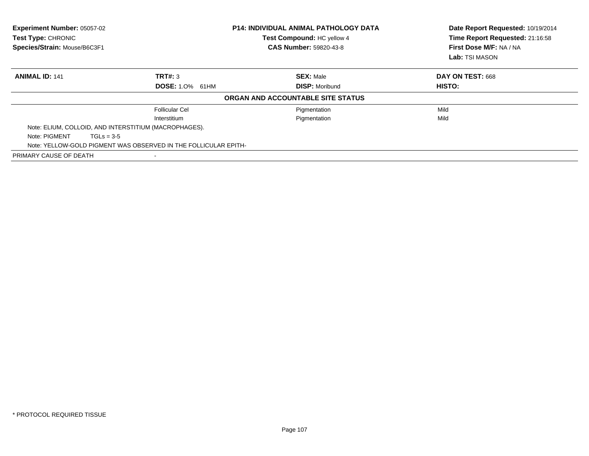| Experiment Number: 05057-02<br>Test Type: CHRONIC<br>Species/Strain: Mouse/B6C3F1 |                                                                 | <b>P14: INDIVIDUAL ANIMAL PATHOLOGY DATA</b><br>Test Compound: HC yellow 4<br><b>CAS Number: 59820-43-8</b> |                  |
|-----------------------------------------------------------------------------------|-----------------------------------------------------------------|-------------------------------------------------------------------------------------------------------------|------------------|
| <b>ANIMAL ID: 141</b>                                                             | TRT#: 3                                                         | <b>SEX: Male</b>                                                                                            | DAY ON TEST: 668 |
|                                                                                   | <b>DOSE: 1.0% 61HM</b>                                          | <b>DISP: Moribund</b>                                                                                       | HISTO:           |
|                                                                                   |                                                                 | ORGAN AND ACCOUNTABLE SITE STATUS                                                                           |                  |
|                                                                                   | <b>Follicular Cel</b>                                           | Pigmentation                                                                                                | Mild             |
|                                                                                   | Interstitium                                                    | Pigmentation                                                                                                | Mild             |
|                                                                                   | Note: ELIUM, COLLOID, AND INTERSTITIUM (MACROPHAGES).           |                                                                                                             |                  |
| Note: PIGMENT                                                                     | $TGLs = 3-5$                                                    |                                                                                                             |                  |
|                                                                                   | Note: YELLOW-GOLD PIGMENT WAS OBSERVED IN THE FOLLICULAR EPITH- |                                                                                                             |                  |
| PRIMARY CAUSE OF DEATH                                                            | $\blacksquare$                                                  |                                                                                                             |                  |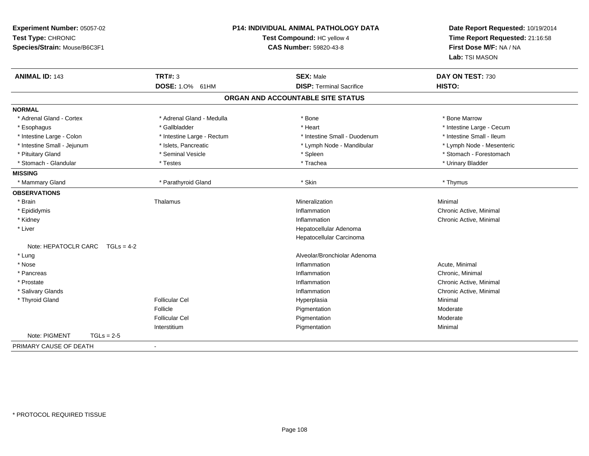| Experiment Number: 05057-02<br>Test Type: CHRONIC<br>Species/Strain: Mouse/B6C3F1 |                            | P14: INDIVIDUAL ANIMAL PATHOLOGY DATA<br>Test Compound: HC yellow 4<br><b>CAS Number: 59820-43-8</b> | Date Report Requested: 10/19/2014<br>Time Report Requested: 21:16:58<br>First Dose M/F: NA / NA<br>Lab: TSI MASON |
|-----------------------------------------------------------------------------------|----------------------------|------------------------------------------------------------------------------------------------------|-------------------------------------------------------------------------------------------------------------------|
| <b>ANIMAL ID: 143</b>                                                             | <b>TRT#: 3</b>             | <b>SEX: Male</b>                                                                                     | DAY ON TEST: 730                                                                                                  |
|                                                                                   | <b>DOSE: 1.0%</b><br>61HM  | <b>DISP: Terminal Sacrifice</b>                                                                      | HISTO:                                                                                                            |
|                                                                                   |                            | ORGAN AND ACCOUNTABLE SITE STATUS                                                                    |                                                                                                                   |
| <b>NORMAL</b>                                                                     |                            |                                                                                                      |                                                                                                                   |
| * Adrenal Gland - Cortex                                                          | * Adrenal Gland - Medulla  | * Bone                                                                                               | * Bone Marrow                                                                                                     |
| * Esophagus                                                                       | * Gallbladder              | * Heart                                                                                              | * Intestine Large - Cecum                                                                                         |
| * Intestine Large - Colon                                                         | * Intestine Large - Rectum | * Intestine Small - Duodenum                                                                         | * Intestine Small - Ileum                                                                                         |
| * Intestine Small - Jejunum                                                       | * Islets, Pancreatic       | * Lymph Node - Mandibular                                                                            | * Lymph Node - Mesenteric                                                                                         |
| * Pituitary Gland                                                                 | * Seminal Vesicle          | * Spleen                                                                                             | * Stomach - Forestomach                                                                                           |
| * Stomach - Glandular                                                             | * Testes                   | * Trachea                                                                                            | * Urinary Bladder                                                                                                 |
| <b>MISSING</b>                                                                    |                            |                                                                                                      |                                                                                                                   |
| * Mammary Gland                                                                   | * Parathyroid Gland        | * Skin                                                                                               | * Thymus                                                                                                          |
| <b>OBSERVATIONS</b>                                                               |                            |                                                                                                      |                                                                                                                   |
| * Brain                                                                           | Thalamus                   | Mineralization                                                                                       | Minimal                                                                                                           |
| * Epididymis                                                                      |                            | Inflammation                                                                                         | Chronic Active, Minimal                                                                                           |
| * Kidney                                                                          |                            | Inflammation                                                                                         | Chronic Active, Minimal                                                                                           |
| * Liver                                                                           |                            | Hepatocellular Adenoma                                                                               |                                                                                                                   |
|                                                                                   |                            | Hepatocellular Carcinoma                                                                             |                                                                                                                   |
| Note: HEPATOCLR CARC<br>$TGLs = 4-2$                                              |                            |                                                                                                      |                                                                                                                   |
| * Lung                                                                            |                            | Alveolar/Bronchiolar Adenoma                                                                         |                                                                                                                   |
| * Nose                                                                            |                            | Inflammation                                                                                         | Acute, Minimal                                                                                                    |
| * Pancreas                                                                        |                            | Inflammation                                                                                         | Chronic, Minimal                                                                                                  |
| * Prostate                                                                        |                            | Inflammation                                                                                         | Chronic Active, Minimal                                                                                           |
| * Salivary Glands                                                                 |                            | Inflammation                                                                                         | Chronic Active, Minimal                                                                                           |
| * Thyroid Gland                                                                   | <b>Follicular Cel</b>      | Hyperplasia                                                                                          | Minimal                                                                                                           |
|                                                                                   | Follicle                   | Pigmentation                                                                                         | Moderate                                                                                                          |
|                                                                                   | <b>Follicular Cel</b>      | Pigmentation                                                                                         | Moderate                                                                                                          |
|                                                                                   | Interstitium               | Pigmentation                                                                                         | Minimal                                                                                                           |
| Note: PIGMENT<br>$TGLs = 2-5$                                                     |                            |                                                                                                      |                                                                                                                   |
| PRIMARY CAUSE OF DEATH                                                            |                            |                                                                                                      |                                                                                                                   |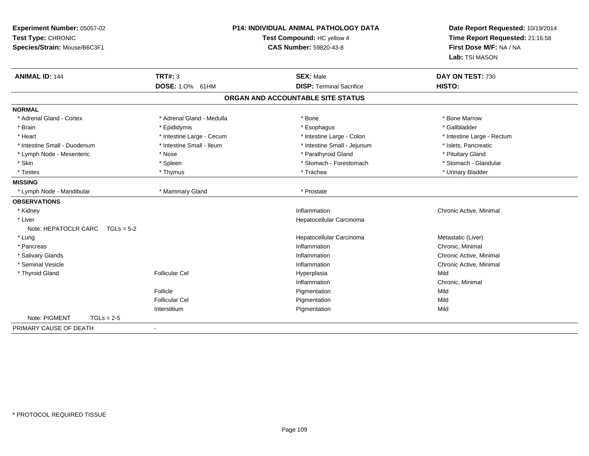| Experiment Number: 05057-02<br>Test Type: CHRONIC<br>Species/Strain: Mouse/B6C3F1 | P14: INDIVIDUAL ANIMAL PATHOLOGY DATA<br>Test Compound: HC yellow 4<br><b>CAS Number: 59820-43-8</b> |                                   | Date Report Requested: 10/19/2014<br>Time Report Requested: 21:16:58<br>First Dose M/F: NA / NA<br>Lab: TSI MASON |
|-----------------------------------------------------------------------------------|------------------------------------------------------------------------------------------------------|-----------------------------------|-------------------------------------------------------------------------------------------------------------------|
| <b>ANIMAL ID: 144</b>                                                             | <b>TRT#: 3</b>                                                                                       | <b>SEX: Male</b>                  | DAY ON TEST: 730                                                                                                  |
|                                                                                   | DOSE: 1.0% 61HM                                                                                      | <b>DISP: Terminal Sacrifice</b>   | HISTO:                                                                                                            |
|                                                                                   |                                                                                                      | ORGAN AND ACCOUNTABLE SITE STATUS |                                                                                                                   |
| <b>NORMAL</b>                                                                     |                                                                                                      |                                   |                                                                                                                   |
| * Adrenal Gland - Cortex                                                          | * Adrenal Gland - Medulla                                                                            | * Bone                            | * Bone Marrow                                                                                                     |
| * Brain                                                                           | * Epididymis                                                                                         | * Esophagus                       | * Gallbladder                                                                                                     |
| * Heart                                                                           | * Intestine Large - Cecum                                                                            | * Intestine Large - Colon         | * Intestine Large - Rectum                                                                                        |
| * Intestine Small - Duodenum                                                      | * Intestine Small - Ileum                                                                            | * Intestine Small - Jejunum       | * Islets, Pancreatic                                                                                              |
| * Lymph Node - Mesenteric                                                         | * Nose                                                                                               | * Parathyroid Gland               | * Pituitary Gland                                                                                                 |
| * Skin                                                                            | * Spleen                                                                                             | * Stomach - Forestomach           | * Stomach - Glandular                                                                                             |
| * Testes                                                                          | * Thymus                                                                                             | * Trachea                         | * Urinary Bladder                                                                                                 |
| <b>MISSING</b>                                                                    |                                                                                                      |                                   |                                                                                                                   |
| * Lymph Node - Mandibular                                                         | * Mammary Gland                                                                                      | * Prostate                        |                                                                                                                   |
| <b>OBSERVATIONS</b>                                                               |                                                                                                      |                                   |                                                                                                                   |
| * Kidney                                                                          |                                                                                                      | Inflammation                      | Chronic Active, Minimal                                                                                           |
| * Liver                                                                           |                                                                                                      | Hepatocellular Carcinoma          |                                                                                                                   |
| Note: HEPATOCLR CARC $TGLs = 5-2$                                                 |                                                                                                      |                                   |                                                                                                                   |
| * Lung                                                                            |                                                                                                      | Hepatocellular Carcinoma          | Metastatic (Liver)                                                                                                |
| * Pancreas                                                                        |                                                                                                      | Inflammation                      | Chronic, Minimal                                                                                                  |
| * Salivary Glands                                                                 |                                                                                                      | Inflammation                      | Chronic Active, Minimal                                                                                           |
| * Seminal Vesicle                                                                 |                                                                                                      | Inflammation                      | Chronic Active, Minimal                                                                                           |
| * Thyroid Gland                                                                   | <b>Follicular Cel</b>                                                                                | Hyperplasia                       | Mild                                                                                                              |
|                                                                                   |                                                                                                      | Inflammation                      | Chronic, Minimal                                                                                                  |
|                                                                                   | Follicle                                                                                             | Pigmentation                      | Mild                                                                                                              |
|                                                                                   | <b>Follicular Cel</b>                                                                                | Pigmentation                      | Mild                                                                                                              |
|                                                                                   | Interstitium                                                                                         | Pigmentation                      | Mild                                                                                                              |
| Note: PIGMENT<br>$TGLs = 2-5$                                                     |                                                                                                      |                                   |                                                                                                                   |
| PRIMARY CAUSE OF DEATH                                                            | $\blacksquare$                                                                                       |                                   |                                                                                                                   |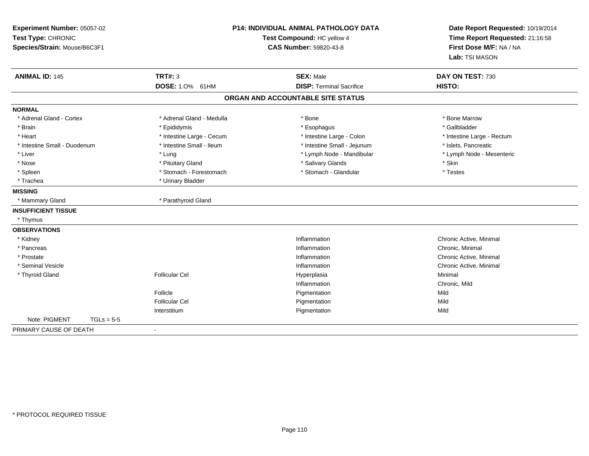| Experiment Number: 05057-02<br>Test Type: CHRONIC<br>Species/Strain: Mouse/B6C3F1 |              |                           | <b>P14: INDIVIDUAL ANIMAL PATHOLOGY DATA</b><br>Test Compound: HC yellow 4<br><b>CAS Number: 59820-43-8</b> | Date Report Requested: 10/19/2014<br>Time Report Requested: 21:16:58<br>First Dose M/F: NA / NA<br>Lab: TSI MASON |  |
|-----------------------------------------------------------------------------------|--------------|---------------------------|-------------------------------------------------------------------------------------------------------------|-------------------------------------------------------------------------------------------------------------------|--|
| <b>ANIMAL ID: 145</b>                                                             |              | <b>TRT#: 3</b>            | <b>SEX: Male</b>                                                                                            | DAY ON TEST: 730                                                                                                  |  |
|                                                                                   |              | DOSE: 1.0% 61HM           | <b>DISP: Terminal Sacrifice</b>                                                                             | HISTO:                                                                                                            |  |
|                                                                                   |              |                           | ORGAN AND ACCOUNTABLE SITE STATUS                                                                           |                                                                                                                   |  |
| <b>NORMAL</b>                                                                     |              |                           |                                                                                                             |                                                                                                                   |  |
| * Adrenal Gland - Cortex                                                          |              | * Adrenal Gland - Medulla | * Bone                                                                                                      | * Bone Marrow                                                                                                     |  |
| * Brain                                                                           |              | * Epididymis              | * Esophagus                                                                                                 | * Gallbladder                                                                                                     |  |
| * Heart                                                                           |              | * Intestine Large - Cecum | * Intestine Large - Colon                                                                                   | * Intestine Large - Rectum                                                                                        |  |
| * Intestine Small - Duodenum                                                      |              | * Intestine Small - Ileum | * Intestine Small - Jejunum                                                                                 | * Islets, Pancreatic                                                                                              |  |
| * Liver                                                                           |              | * Lung                    | * Lymph Node - Mandibular                                                                                   | * Lymph Node - Mesenteric                                                                                         |  |
| * Nose                                                                            |              | * Pituitary Gland         | * Salivary Glands                                                                                           | * Skin                                                                                                            |  |
| * Spleen                                                                          |              | * Stomach - Forestomach   | * Stomach - Glandular                                                                                       | * Testes                                                                                                          |  |
| * Trachea                                                                         |              | * Urinary Bladder         |                                                                                                             |                                                                                                                   |  |
| <b>MISSING</b>                                                                    |              |                           |                                                                                                             |                                                                                                                   |  |
| * Mammary Gland                                                                   |              | * Parathyroid Gland       |                                                                                                             |                                                                                                                   |  |
| <b>INSUFFICIENT TISSUE</b>                                                        |              |                           |                                                                                                             |                                                                                                                   |  |
| * Thymus                                                                          |              |                           |                                                                                                             |                                                                                                                   |  |
| <b>OBSERVATIONS</b>                                                               |              |                           |                                                                                                             |                                                                                                                   |  |
| * Kidney                                                                          |              |                           | Inflammation                                                                                                | Chronic Active, Minimal                                                                                           |  |
| * Pancreas                                                                        |              |                           | Inflammation                                                                                                | Chronic, Minimal                                                                                                  |  |
| * Prostate                                                                        |              |                           | Inflammation                                                                                                | Chronic Active, Minimal                                                                                           |  |
| * Seminal Vesicle                                                                 |              |                           | Inflammation                                                                                                | Chronic Active, Minimal                                                                                           |  |
| * Thyroid Gland                                                                   |              | <b>Follicular Cel</b>     | Hyperplasia                                                                                                 | Minimal                                                                                                           |  |
|                                                                                   |              |                           | Inflammation                                                                                                | Chronic, Mild                                                                                                     |  |
|                                                                                   |              | Follicle                  | Pigmentation                                                                                                | Mild                                                                                                              |  |
|                                                                                   |              | <b>Follicular Cel</b>     | Pigmentation                                                                                                | Mild                                                                                                              |  |
|                                                                                   |              | Interstitium              | Pigmentation                                                                                                | Mild                                                                                                              |  |
| Note: PIGMENT                                                                     | $TGLs = 5-5$ |                           |                                                                                                             |                                                                                                                   |  |
| PRIMARY CAUSE OF DEATH                                                            |              | $\blacksquare$            |                                                                                                             |                                                                                                                   |  |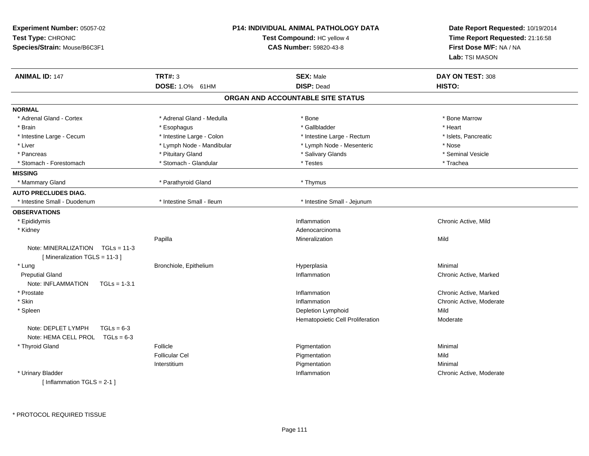| Experiment Number: 05057-02<br>Test Type: CHRONIC<br>Species/Strain: Mouse/B6C3F1 |                                          | <b>P14: INDIVIDUAL ANIMAL PATHOLOGY DATA</b><br><b>Test Compound: HC yellow 4</b><br>CAS Number: 59820-43-8 | Date Report Requested: 10/19/2014<br>Time Report Requested: 21:16:58<br>First Dose M/F: NA / NA<br>Lab: TSI MASON |
|-----------------------------------------------------------------------------------|------------------------------------------|-------------------------------------------------------------------------------------------------------------|-------------------------------------------------------------------------------------------------------------------|
| <b>ANIMAL ID: 147</b>                                                             | <b>TRT#: 3</b>                           | <b>SEX: Male</b>                                                                                            | DAY ON TEST: 308                                                                                                  |
|                                                                                   | DOSE: 1.0% 61HM                          | <b>DISP: Dead</b><br>ORGAN AND ACCOUNTABLE SITE STATUS                                                      | HISTO:                                                                                                            |
|                                                                                   |                                          |                                                                                                             |                                                                                                                   |
| <b>NORMAL</b>                                                                     |                                          |                                                                                                             |                                                                                                                   |
| * Adrenal Gland - Cortex                                                          | * Adrenal Gland - Medulla                | $*$ Bone                                                                                                    | * Bone Marrow                                                                                                     |
| * Brain                                                                           | * Esophagus<br>* Intestine Large - Colon | * Gallbladder                                                                                               | * Heart                                                                                                           |
| * Intestine Large - Cecum<br>* Liver                                              | * Lymph Node - Mandibular                | * Intestine Large - Rectum                                                                                  | * Islets, Pancreatic<br>* Nose                                                                                    |
| * Pancreas                                                                        | * Pituitary Gland                        | * Lymph Node - Mesenteric<br>* Salivary Glands                                                              | * Seminal Vesicle                                                                                                 |
| * Stomach - Forestomach                                                           | * Stomach - Glandular                    | * Testes                                                                                                    | * Trachea                                                                                                         |
| <b>MISSING</b>                                                                    |                                          |                                                                                                             |                                                                                                                   |
| * Mammary Gland                                                                   | * Parathyroid Gland                      | * Thymus                                                                                                    |                                                                                                                   |
| <b>AUTO PRECLUDES DIAG.</b>                                                       |                                          |                                                                                                             |                                                                                                                   |
| * Intestine Small - Duodenum                                                      | * Intestine Small - Ileum                | * Intestine Small - Jejunum                                                                                 |                                                                                                                   |
| <b>OBSERVATIONS</b>                                                               |                                          |                                                                                                             |                                                                                                                   |
| * Epididymis                                                                      |                                          | Inflammation                                                                                                | Chronic Active, Mild                                                                                              |
| * Kidney                                                                          |                                          | Adenocarcinoma                                                                                              |                                                                                                                   |
|                                                                                   | Papilla                                  | Mineralization                                                                                              | Mild                                                                                                              |
| Note: MINERALIZATION TGLs = 11-3<br>[Mineralization TGLS = 11-3]                  |                                          |                                                                                                             |                                                                                                                   |
| * Lung                                                                            | Bronchiole, Epithelium                   | Hyperplasia                                                                                                 | Minimal                                                                                                           |
| <b>Preputial Gland</b>                                                            |                                          | Inflammation                                                                                                | Chronic Active, Marked                                                                                            |
| Note: INFLAMMATION<br>$TGLs = 1-3.1$                                              |                                          |                                                                                                             |                                                                                                                   |
| * Prostate                                                                        |                                          | Inflammation                                                                                                | Chronic Active, Marked                                                                                            |
| * Skin                                                                            |                                          | Inflammation                                                                                                | Chronic Active, Moderate                                                                                          |
| * Spleen                                                                          |                                          | Depletion Lymphoid                                                                                          | Mild                                                                                                              |
|                                                                                   |                                          | Hematopoietic Cell Proliferation                                                                            | Moderate                                                                                                          |
| Note: DEPLET LYMPH<br>$TGLs = 6-3$<br>Note: HEMA CELL PROL TGLs = 6-3             |                                          |                                                                                                             |                                                                                                                   |
| * Thyroid Gland                                                                   | Follicle                                 | Pigmentation                                                                                                | Minimal                                                                                                           |
|                                                                                   | <b>Follicular Cel</b>                    | Pigmentation                                                                                                | Mild                                                                                                              |
|                                                                                   | Interstitium                             | Pigmentation                                                                                                | Minimal                                                                                                           |
| * Urinary Bladder<br>[Inflammation TGLS = $2-1$ ]                                 |                                          | Inflammation                                                                                                | Chronic Active, Moderate                                                                                          |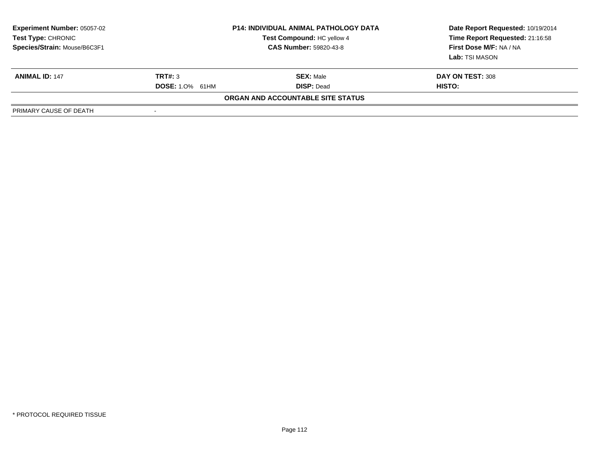| <b>Experiment Number: 05057-02</b><br>Test Type: CHRONIC<br>Species/Strain: Mouse/B6C3F1 |                        | <b>P14: INDIVIDUAL ANIMAL PATHOLOGY DATA</b><br>Test Compound: HC yellow 4<br><b>CAS Number: 59820-43-8</b> | Date Report Requested: 10/19/2014<br>Time Report Requested: 21:16:58<br>First Dose M/F: NA / NA<br>Lab: TSI MASON |
|------------------------------------------------------------------------------------------|------------------------|-------------------------------------------------------------------------------------------------------------|-------------------------------------------------------------------------------------------------------------------|
| <b>ANIMAL ID: 147</b>                                                                    | TRT#: 3                | <b>SEX: Male</b>                                                                                            | DAY ON TEST: 308                                                                                                  |
|                                                                                          | <b>DOSE:</b> 1.0% 61HM | <b>DISP: Dead</b>                                                                                           | <b>HISTO:</b>                                                                                                     |
|                                                                                          |                        | ORGAN AND ACCOUNTABLE SITE STATUS                                                                           |                                                                                                                   |
| PRIMARY CAUSE OF DEATH                                                                   |                        |                                                                                                             |                                                                                                                   |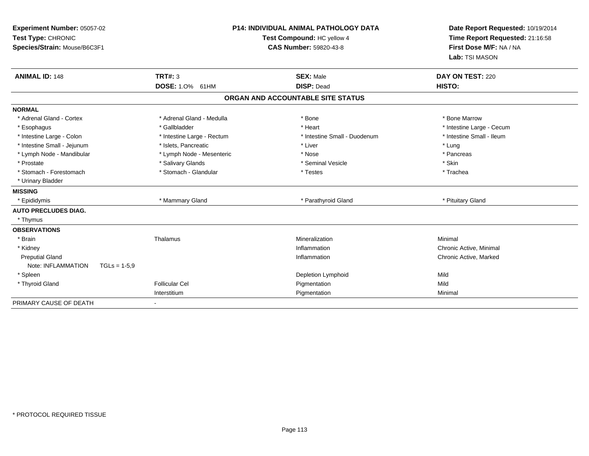| Experiment Number: 05057-02<br>Test Type: CHRONIC<br>Species/Strain: Mouse/B6C3F1<br><b>ANIMAL ID: 148</b> | TRT#: 3                    | <b>P14: INDIVIDUAL ANIMAL PATHOLOGY DATA</b><br>Test Compound: HC yellow 4<br><b>CAS Number: 59820-43-8</b><br><b>SEX: Male</b> | Date Report Requested: 10/19/2014<br>Time Report Requested: 21:16:58<br>First Dose M/F: NA / NA<br>Lab: TSI MASON<br>DAY ON TEST: 220 |  |
|------------------------------------------------------------------------------------------------------------|----------------------------|---------------------------------------------------------------------------------------------------------------------------------|---------------------------------------------------------------------------------------------------------------------------------------|--|
|                                                                                                            | DOSE: 1.0% 61HM            | <b>DISP: Dead</b>                                                                                                               | HISTO:                                                                                                                                |  |
|                                                                                                            |                            | ORGAN AND ACCOUNTABLE SITE STATUS                                                                                               |                                                                                                                                       |  |
| <b>NORMAL</b>                                                                                              |                            |                                                                                                                                 |                                                                                                                                       |  |
| * Adrenal Gland - Cortex                                                                                   | * Adrenal Gland - Medulla  | * Bone                                                                                                                          | * Bone Marrow                                                                                                                         |  |
| * Esophagus                                                                                                | * Gallbladder              | * Heart                                                                                                                         | * Intestine Large - Cecum                                                                                                             |  |
| * Intestine Large - Colon                                                                                  | * Intestine Large - Rectum | * Intestine Small - Duodenum                                                                                                    | * Intestine Small - Ileum                                                                                                             |  |
| * Intestine Small - Jejunum                                                                                | * Islets, Pancreatic       | * Liver                                                                                                                         | * Lung                                                                                                                                |  |
| * Lymph Node - Mandibular                                                                                  | * Lymph Node - Mesenteric  | * Nose                                                                                                                          | * Pancreas                                                                                                                            |  |
| * Prostate                                                                                                 | * Salivary Glands          | * Seminal Vesicle                                                                                                               | * Skin                                                                                                                                |  |
| * Stomach - Forestomach                                                                                    | * Stomach - Glandular      | * Testes                                                                                                                        | * Trachea                                                                                                                             |  |
| * Urinary Bladder                                                                                          |                            |                                                                                                                                 |                                                                                                                                       |  |
| <b>MISSING</b>                                                                                             |                            |                                                                                                                                 |                                                                                                                                       |  |
| * Epididymis                                                                                               | * Mammary Gland            | * Parathyroid Gland                                                                                                             | * Pituitary Gland                                                                                                                     |  |
| <b>AUTO PRECLUDES DIAG.</b>                                                                                |                            |                                                                                                                                 |                                                                                                                                       |  |
| * Thymus                                                                                                   |                            |                                                                                                                                 |                                                                                                                                       |  |
| <b>OBSERVATIONS</b>                                                                                        |                            |                                                                                                                                 |                                                                                                                                       |  |
| * Brain                                                                                                    | Thalamus                   | Mineralization                                                                                                                  | Minimal                                                                                                                               |  |
| * Kidney                                                                                                   |                            | Inflammation                                                                                                                    | Chronic Active, Minimal                                                                                                               |  |
| <b>Preputial Gland</b>                                                                                     |                            | Inflammation                                                                                                                    | Chronic Active, Marked                                                                                                                |  |
| Note: INFLAMMATION<br>$TGLs = 1-5.9$                                                                       |                            |                                                                                                                                 |                                                                                                                                       |  |
| * Spleen                                                                                                   |                            | Depletion Lymphoid                                                                                                              | Mild                                                                                                                                  |  |
| * Thyroid Gland                                                                                            | <b>Follicular Cel</b>      | Pigmentation                                                                                                                    | Mild                                                                                                                                  |  |
|                                                                                                            | Interstitium               | Pigmentation                                                                                                                    | Minimal                                                                                                                               |  |
| PRIMARY CAUSE OF DEATH                                                                                     |                            |                                                                                                                                 |                                                                                                                                       |  |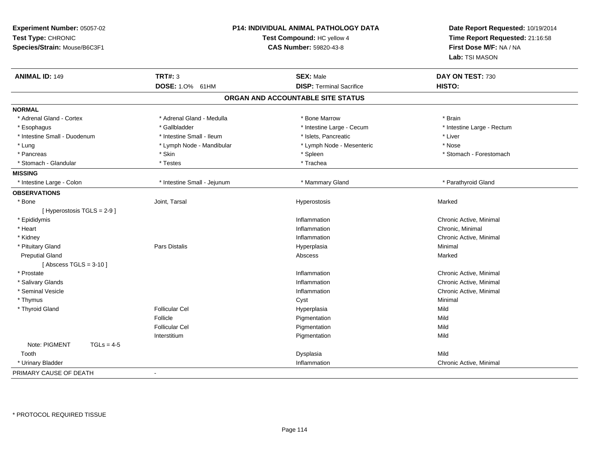| Experiment Number: 05057-02<br>Test Type: CHRONIC<br>Species/Strain: Mouse/B6C3F1 |                             | <b>P14: INDIVIDUAL ANIMAL PATHOLOGY DATA</b><br>Test Compound: HC yellow 4<br>CAS Number: 59820-43-8 | Date Report Requested: 10/19/2014<br>Time Report Requested: 21:16:58<br>First Dose M/F: NA / NA<br>Lab: TSI MASON |
|-----------------------------------------------------------------------------------|-----------------------------|------------------------------------------------------------------------------------------------------|-------------------------------------------------------------------------------------------------------------------|
| <b>ANIMAL ID: 149</b>                                                             | <b>TRT#: 3</b>              | <b>SEX: Male</b>                                                                                     | DAY ON TEST: 730                                                                                                  |
|                                                                                   | DOSE: 1.0% 61HM             | <b>DISP: Terminal Sacrifice</b>                                                                      | HISTO:                                                                                                            |
|                                                                                   |                             | ORGAN AND ACCOUNTABLE SITE STATUS                                                                    |                                                                                                                   |
| <b>NORMAL</b>                                                                     |                             |                                                                                                      |                                                                                                                   |
| * Adrenal Gland - Cortex                                                          | * Adrenal Gland - Medulla   | * Bone Marrow                                                                                        | * Brain                                                                                                           |
| * Esophagus                                                                       | * Gallbladder               | * Intestine Large - Cecum                                                                            | * Intestine Large - Rectum                                                                                        |
| * Intestine Small - Duodenum                                                      | * Intestine Small - Ileum   | * Islets, Pancreatic                                                                                 | * Liver                                                                                                           |
| * Lung                                                                            | * Lymph Node - Mandibular   | * Lymph Node - Mesenteric                                                                            | * Nose                                                                                                            |
| * Pancreas                                                                        | * Skin                      | * Spleen                                                                                             | * Stomach - Forestomach                                                                                           |
| * Stomach - Glandular                                                             | $^\star$ Testes             | * Trachea                                                                                            |                                                                                                                   |
| <b>MISSING</b>                                                                    |                             |                                                                                                      |                                                                                                                   |
| * Intestine Large - Colon                                                         | * Intestine Small - Jejunum | * Mammary Gland                                                                                      | * Parathyroid Gland                                                                                               |
| <b>OBSERVATIONS</b>                                                               |                             |                                                                                                      |                                                                                                                   |
| * Bone                                                                            | Joint, Tarsal               | Hyperostosis                                                                                         | Marked                                                                                                            |
| [ Hyperostosis TGLS = 2-9 ]                                                       |                             |                                                                                                      |                                                                                                                   |
| * Epididymis                                                                      |                             | Inflammation                                                                                         | Chronic Active, Minimal                                                                                           |
| * Heart                                                                           |                             | Inflammation                                                                                         | Chronic, Minimal                                                                                                  |
| * Kidney                                                                          |                             | Inflammation                                                                                         | Chronic Active, Minimal                                                                                           |
| * Pituitary Gland                                                                 | Pars Distalis               | Hyperplasia                                                                                          | Minimal                                                                                                           |
| <b>Preputial Gland</b>                                                            |                             | Abscess                                                                                              | Marked                                                                                                            |
| [Abscess TGLS = $3-10$ ]                                                          |                             |                                                                                                      |                                                                                                                   |
| * Prostate                                                                        |                             | Inflammation                                                                                         | Chronic Active, Minimal                                                                                           |
| * Salivary Glands                                                                 |                             | Inflammation                                                                                         | Chronic Active, Minimal                                                                                           |
| * Seminal Vesicle                                                                 |                             | Inflammation                                                                                         | Chronic Active, Minimal                                                                                           |
| * Thymus                                                                          |                             | Cyst                                                                                                 | Minimal                                                                                                           |
| * Thyroid Gland                                                                   | <b>Follicular Cel</b>       | Hyperplasia                                                                                          | Mild                                                                                                              |
|                                                                                   | Follicle                    | Pigmentation                                                                                         | Mild                                                                                                              |
|                                                                                   | <b>Follicular Cel</b>       | Pigmentation                                                                                         | Mild                                                                                                              |
|                                                                                   | Interstitium                | Pigmentation                                                                                         | Mild                                                                                                              |
| Note: PIGMENT<br>$TGLs = 4-5$                                                     |                             |                                                                                                      |                                                                                                                   |
| Tooth                                                                             |                             | Dysplasia                                                                                            | Mild                                                                                                              |
| * Urinary Bladder                                                                 |                             | Inflammation                                                                                         | Chronic Active, Minimal                                                                                           |
| PRIMARY CAUSE OF DEATH                                                            | $\blacksquare$              |                                                                                                      |                                                                                                                   |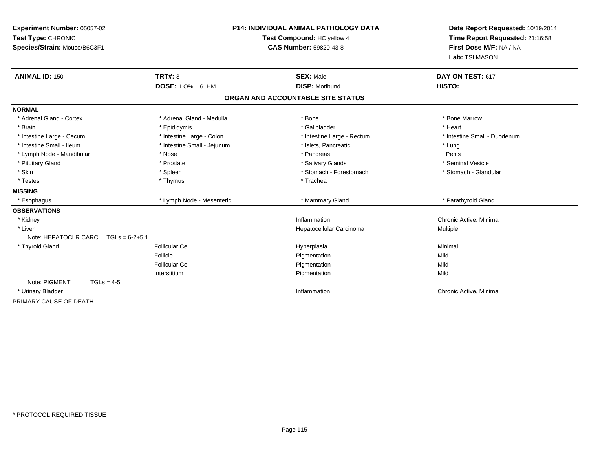| Experiment Number: 05057-02<br>Test Type: CHRONIC<br>Species/Strain: Mouse/B6C3F1<br><b>ANIMAL ID: 150</b> | <b>TRT#: 3</b>              | <b>P14: INDIVIDUAL ANIMAL PATHOLOGY DATA</b><br>Test Compound: HC yellow 4<br><b>CAS Number: 59820-43-8</b><br><b>SEX: Male</b> | DAY ON TEST: 617        | Date Report Requested: 10/19/2014<br>Time Report Requested: 21:16:58<br>First Dose M/F: NA / NA<br>Lab: TSI MASON |
|------------------------------------------------------------------------------------------------------------|-----------------------------|---------------------------------------------------------------------------------------------------------------------------------|-------------------------|-------------------------------------------------------------------------------------------------------------------|
|                                                                                                            | DOSE: 1.0% 61HM             | <b>DISP: Moribund</b>                                                                                                           | HISTO:                  |                                                                                                                   |
|                                                                                                            |                             | ORGAN AND ACCOUNTABLE SITE STATUS                                                                                               |                         |                                                                                                                   |
| <b>NORMAL</b>                                                                                              |                             |                                                                                                                                 |                         |                                                                                                                   |
| * Adrenal Gland - Cortex                                                                                   | * Adrenal Gland - Medulla   | * Bone                                                                                                                          | * Bone Marrow           |                                                                                                                   |
| * Brain                                                                                                    | * Epididymis                | * Gallbladder                                                                                                                   | * Heart                 |                                                                                                                   |
| * Intestine Large - Cecum                                                                                  | * Intestine Large - Colon   | * Intestine Large - Rectum                                                                                                      |                         | * Intestine Small - Duodenum                                                                                      |
| * Intestine Small - Ileum                                                                                  | * Intestine Small - Jejunum | * Islets, Pancreatic                                                                                                            | * Lung                  |                                                                                                                   |
| * Lymph Node - Mandibular                                                                                  | * Nose<br>* Pancreas        |                                                                                                                                 | Penis                   |                                                                                                                   |
| * Pituitary Gland                                                                                          | * Prostate                  | * Salivary Glands                                                                                                               | * Seminal Vesicle       |                                                                                                                   |
| * Skin                                                                                                     | * Spleen                    | * Stomach - Forestomach                                                                                                         |                         | * Stomach - Glandular                                                                                             |
| * Testes                                                                                                   | * Thymus                    | * Trachea                                                                                                                       |                         |                                                                                                                   |
| <b>MISSING</b>                                                                                             |                             |                                                                                                                                 |                         |                                                                                                                   |
| * Esophagus                                                                                                | * Lymph Node - Mesenteric   | * Mammary Gland                                                                                                                 | * Parathyroid Gland     |                                                                                                                   |
| <b>OBSERVATIONS</b>                                                                                        |                             |                                                                                                                                 |                         |                                                                                                                   |
| * Kidney                                                                                                   |                             | Inflammation                                                                                                                    | Chronic Active, Minimal |                                                                                                                   |
| * Liver                                                                                                    |                             | Hepatocellular Carcinoma                                                                                                        | Multiple                |                                                                                                                   |
| Note: HEPATOCLR CARC<br>$TGLs = 6-2+5.1$                                                                   |                             |                                                                                                                                 |                         |                                                                                                                   |
| * Thyroid Gland                                                                                            | <b>Follicular Cel</b>       | Hyperplasia                                                                                                                     | Minimal                 |                                                                                                                   |
|                                                                                                            | Follicle                    | Pigmentation                                                                                                                    | Mild                    |                                                                                                                   |
|                                                                                                            | <b>Follicular Cel</b>       | Pigmentation                                                                                                                    | Mild                    |                                                                                                                   |
|                                                                                                            | Interstitium                | Pigmentation                                                                                                                    | Mild                    |                                                                                                                   |
| Note: PIGMENT<br>$TGLs = 4-5$                                                                              |                             |                                                                                                                                 |                         |                                                                                                                   |
| * Urinary Bladder                                                                                          |                             | Inflammation                                                                                                                    | Chronic Active, Minimal |                                                                                                                   |
| PRIMARY CAUSE OF DEATH                                                                                     | $\overline{\phantom{a}}$    |                                                                                                                                 |                         |                                                                                                                   |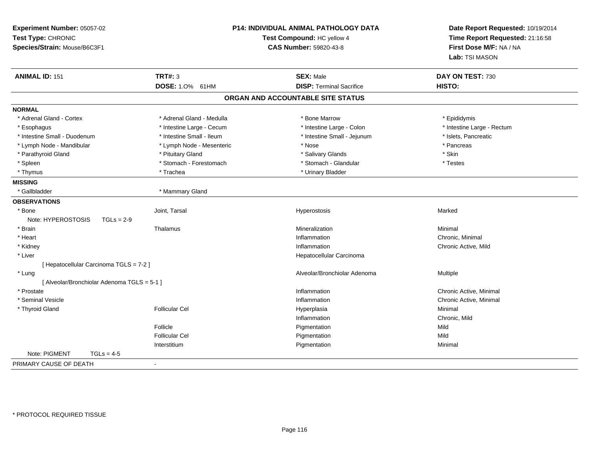| Experiment Number: 05057-02<br>Test Type: CHRONIC<br>Species/Strain: Mouse/B6C3F1 |                           | P14: INDIVIDUAL ANIMAL PATHOLOGY DATA<br>Test Compound: HC yellow 4<br>CAS Number: 59820-43-8 | Date Report Requested: 10/19/2014<br>Time Report Requested: 21:16:58<br>First Dose M/F: NA / NA<br>Lab: TSI MASON |  |
|-----------------------------------------------------------------------------------|---------------------------|-----------------------------------------------------------------------------------------------|-------------------------------------------------------------------------------------------------------------------|--|
| <b>ANIMAL ID: 151</b>                                                             | <b>TRT#: 3</b>            | <b>SEX: Male</b>                                                                              | DAY ON TEST: 730                                                                                                  |  |
|                                                                                   | DOSE: 1.0% 61HM           | <b>DISP: Terminal Sacrifice</b>                                                               | HISTO:                                                                                                            |  |
|                                                                                   |                           | ORGAN AND ACCOUNTABLE SITE STATUS                                                             |                                                                                                                   |  |
| <b>NORMAL</b>                                                                     |                           |                                                                                               |                                                                                                                   |  |
| * Adrenal Gland - Cortex                                                          | * Adrenal Gland - Medulla | * Bone Marrow                                                                                 | * Epididymis                                                                                                      |  |
| * Esophagus                                                                       | * Intestine Large - Cecum | * Intestine Large - Colon                                                                     | * Intestine Large - Rectum                                                                                        |  |
| * Intestine Small - Duodenum                                                      | * Intestine Small - Ileum | * Intestine Small - Jejunum                                                                   | * Islets, Pancreatic                                                                                              |  |
| * Lymph Node - Mandibular                                                         | * Lymph Node - Mesenteric | * Nose                                                                                        | * Pancreas                                                                                                        |  |
| * Parathyroid Gland                                                               | * Pituitary Gland         | * Salivary Glands                                                                             | * Skin                                                                                                            |  |
| * Spleen                                                                          | * Stomach - Forestomach   | * Stomach - Glandular                                                                         | * Testes                                                                                                          |  |
| * Thymus                                                                          | * Trachea                 | * Urinary Bladder                                                                             |                                                                                                                   |  |
| <b>MISSING</b>                                                                    |                           |                                                                                               |                                                                                                                   |  |
| * Gallbladder                                                                     | * Mammary Gland           |                                                                                               |                                                                                                                   |  |
| <b>OBSERVATIONS</b>                                                               |                           |                                                                                               |                                                                                                                   |  |
| * Bone                                                                            | Joint, Tarsal             | Hyperostosis                                                                                  | Marked                                                                                                            |  |
| Note: HYPEROSTOSIS<br>$TGLs = 2-9$                                                |                           |                                                                                               |                                                                                                                   |  |
| * Brain                                                                           | Thalamus                  | Mineralization                                                                                | Minimal                                                                                                           |  |
| * Heart                                                                           |                           | Inflammation                                                                                  | Chronic, Minimal                                                                                                  |  |
| * Kidney                                                                          |                           | Inflammation                                                                                  | Chronic Active, Mild                                                                                              |  |
| * Liver                                                                           |                           | Hepatocellular Carcinoma                                                                      |                                                                                                                   |  |
| [ Hepatocellular Carcinoma TGLS = 7-2 ]                                           |                           |                                                                                               |                                                                                                                   |  |
| * Lung                                                                            |                           | Alveolar/Bronchiolar Adenoma                                                                  | Multiple                                                                                                          |  |
| [ Alveolar/Bronchiolar Adenoma TGLS = 5-1 ]                                       |                           |                                                                                               |                                                                                                                   |  |
| * Prostate                                                                        |                           | Inflammation                                                                                  | Chronic Active, Minimal                                                                                           |  |
| * Seminal Vesicle                                                                 |                           | Inflammation                                                                                  | Chronic Active, Minimal                                                                                           |  |
| * Thyroid Gland                                                                   | <b>Follicular Cel</b>     | Hyperplasia                                                                                   | Minimal                                                                                                           |  |
|                                                                                   |                           | Inflammation                                                                                  | Chronic, Mild                                                                                                     |  |
|                                                                                   | Follicle                  | Pigmentation                                                                                  | Mild                                                                                                              |  |
|                                                                                   | <b>Follicular Cel</b>     | Pigmentation                                                                                  | Mild                                                                                                              |  |
|                                                                                   | Interstitium              | Pigmentation                                                                                  | Minimal                                                                                                           |  |
| Note: PIGMENT<br>$TGLs = 4-5$                                                     |                           |                                                                                               |                                                                                                                   |  |
| PRIMARY CAUSE OF DEATH                                                            | $\blacksquare$            |                                                                                               |                                                                                                                   |  |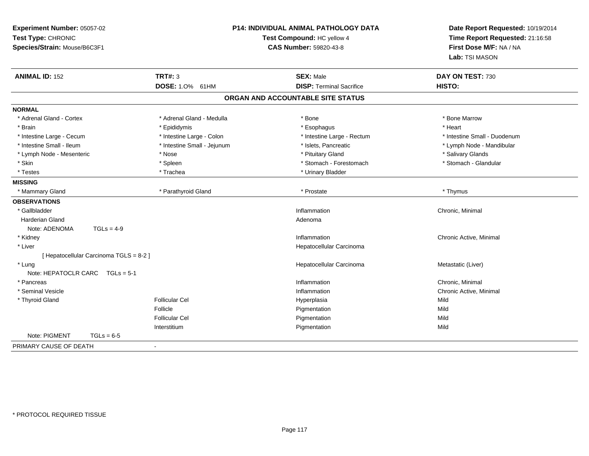| Experiment Number: 05057-02<br>Test Type: CHRONIC<br>Species/Strain: Mouse/B6C3F1 | <b>P14: INDIVIDUAL ANIMAL PATHOLOGY DATA</b><br>Test Compound: HC yellow 4<br><b>CAS Number: 59820-43-8</b> |                                                     | Date Report Requested: 10/19/2014<br>Time Report Requested: 21:16:58<br>First Dose M/F: NA / NA<br>Lab: TSI MASON |
|-----------------------------------------------------------------------------------|-------------------------------------------------------------------------------------------------------------|-----------------------------------------------------|-------------------------------------------------------------------------------------------------------------------|
| <b>ANIMAL ID: 152</b>                                                             | TRT#: 3<br>DOSE: 1.0% 61HM                                                                                  | <b>SEX: Male</b><br><b>DISP: Terminal Sacrifice</b> | DAY ON TEST: 730<br>HISTO:                                                                                        |
|                                                                                   |                                                                                                             | ORGAN AND ACCOUNTABLE SITE STATUS                   |                                                                                                                   |
| <b>NORMAL</b>                                                                     |                                                                                                             |                                                     |                                                                                                                   |
| * Adrenal Gland - Cortex                                                          | * Adrenal Gland - Medulla                                                                                   | * Bone                                              | * Bone Marrow                                                                                                     |
| * Brain                                                                           | * Epididymis                                                                                                | * Esophagus                                         | * Heart                                                                                                           |
| * Intestine Large - Cecum                                                         | * Intestine Large - Colon                                                                                   | * Intestine Large - Rectum                          | * Intestine Small - Duodenum                                                                                      |
| * Intestine Small - Ileum                                                         | * Intestine Small - Jejunum                                                                                 | * Islets, Pancreatic                                | * Lymph Node - Mandibular                                                                                         |
| * Lymph Node - Mesenteric                                                         | * Nose                                                                                                      | * Pituitary Gland                                   | * Salivary Glands                                                                                                 |
| * Skin                                                                            | * Spleen                                                                                                    | * Stomach - Forestomach                             | * Stomach - Glandular                                                                                             |
| * Testes                                                                          | * Trachea                                                                                                   | * Urinary Bladder                                   |                                                                                                                   |
| <b>MISSING</b>                                                                    |                                                                                                             |                                                     |                                                                                                                   |
| * Mammary Gland                                                                   | * Parathyroid Gland                                                                                         | * Prostate                                          | * Thymus                                                                                                          |
| <b>OBSERVATIONS</b>                                                               |                                                                                                             |                                                     |                                                                                                                   |
| * Gallbladder                                                                     |                                                                                                             | Inflammation                                        | Chronic, Minimal                                                                                                  |
| Harderian Gland                                                                   |                                                                                                             | Adenoma                                             |                                                                                                                   |
| Note: ADENOMA<br>$TGLs = 4-9$                                                     |                                                                                                             |                                                     |                                                                                                                   |
| * Kidney                                                                          |                                                                                                             | Inflammation                                        | Chronic Active, Minimal                                                                                           |
| * Liver                                                                           |                                                                                                             | Hepatocellular Carcinoma                            |                                                                                                                   |
| [ Hepatocellular Carcinoma TGLS = 8-2 ]                                           |                                                                                                             |                                                     |                                                                                                                   |
| * Lung                                                                            |                                                                                                             | Hepatocellular Carcinoma                            | Metastatic (Liver)                                                                                                |
| Note: HEPATOCLR CARC TGLs = 5-1                                                   |                                                                                                             |                                                     |                                                                                                                   |
| * Pancreas                                                                        |                                                                                                             | Inflammation                                        | Chronic, Minimal                                                                                                  |
| * Seminal Vesicle                                                                 |                                                                                                             | Inflammation                                        | Chronic Active, Minimal                                                                                           |
| * Thyroid Gland                                                                   | <b>Follicular Cel</b>                                                                                       | Hyperplasia                                         | Mild                                                                                                              |
|                                                                                   | Follicle                                                                                                    | Pigmentation                                        | Mild                                                                                                              |
|                                                                                   | <b>Follicular Cel</b>                                                                                       | Pigmentation                                        | Mild                                                                                                              |
|                                                                                   | Interstitium                                                                                                | Pigmentation                                        | Mild                                                                                                              |
| Note: PIGMENT<br>$TGLs = 6-5$                                                     |                                                                                                             |                                                     |                                                                                                                   |
| PRIMARY CAUSE OF DEATH                                                            | $\blacksquare$                                                                                              |                                                     |                                                                                                                   |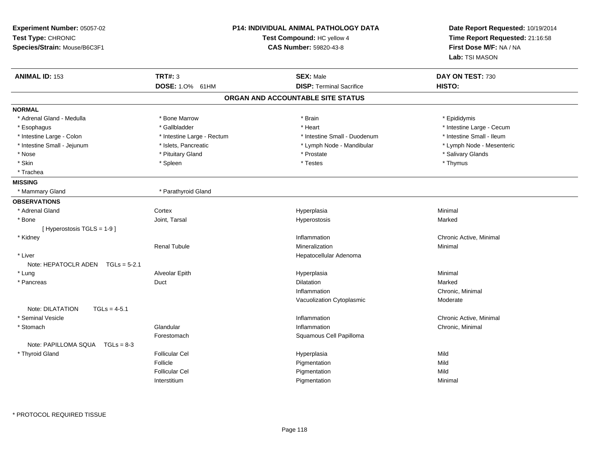| Experiment Number: 05057-02<br>Test Type: CHRONIC<br>Species/Strain: Mouse/B6C3F1 |                            | <b>P14: INDIVIDUAL ANIMAL PATHOLOGY DATA</b><br>Date Report Requested: 10/19/2014<br>Test Compound: HC yellow 4<br>Time Report Requested: 21:16:58<br><b>CAS Number: 59820-43-8</b><br>First Dose M/F: NA / NA<br>Lab: TSI MASON |                           |
|-----------------------------------------------------------------------------------|----------------------------|----------------------------------------------------------------------------------------------------------------------------------------------------------------------------------------------------------------------------------|---------------------------|
| <b>ANIMAL ID: 153</b>                                                             | <b>TRT#: 3</b>             | <b>SEX: Male</b>                                                                                                                                                                                                                 | DAY ON TEST: 730          |
|                                                                                   | DOSE: 1.0% 61HM            | <b>DISP: Terminal Sacrifice</b>                                                                                                                                                                                                  | HISTO:                    |
|                                                                                   |                            | ORGAN AND ACCOUNTABLE SITE STATUS                                                                                                                                                                                                |                           |
| <b>NORMAL</b>                                                                     |                            |                                                                                                                                                                                                                                  |                           |
| * Adrenal Gland - Medulla                                                         | * Bone Marrow              | * Brain                                                                                                                                                                                                                          | * Epididymis              |
| * Esophagus                                                                       | * Gallbladder              | * Heart                                                                                                                                                                                                                          | * Intestine Large - Cecum |
| * Intestine Large - Colon                                                         | * Intestine Large - Rectum | * Intestine Small - Duodenum                                                                                                                                                                                                     | * Intestine Small - Ileum |
| * Intestine Small - Jejunum                                                       | * Islets, Pancreatic       | * Lymph Node - Mandibular                                                                                                                                                                                                        | * Lymph Node - Mesenteric |
| * Nose                                                                            | * Pituitary Gland          | * Prostate                                                                                                                                                                                                                       | * Salivary Glands         |
| * Skin                                                                            | * Spleen                   | * Testes                                                                                                                                                                                                                         | * Thymus                  |
| * Trachea                                                                         |                            |                                                                                                                                                                                                                                  |                           |
| <b>MISSING</b>                                                                    |                            |                                                                                                                                                                                                                                  |                           |
| * Mammary Gland                                                                   | * Parathyroid Gland        |                                                                                                                                                                                                                                  |                           |
| <b>OBSERVATIONS</b>                                                               |                            |                                                                                                                                                                                                                                  |                           |
| * Adrenal Gland                                                                   | Cortex                     | Hyperplasia                                                                                                                                                                                                                      | Minimal                   |
| * Bone                                                                            | Joint, Tarsal              | Hyperostosis                                                                                                                                                                                                                     | Marked                    |
| [Hyperostosis TGLS = $1-9$ ]                                                      |                            |                                                                                                                                                                                                                                  |                           |
| * Kidney                                                                          |                            | Inflammation                                                                                                                                                                                                                     | Chronic Active, Minimal   |
|                                                                                   | <b>Renal Tubule</b>        | Mineralization                                                                                                                                                                                                                   | Minimal                   |
| * Liver                                                                           |                            | Hepatocellular Adenoma                                                                                                                                                                                                           |                           |
| Note: HEPATOCLR ADEN<br>$TGLs = 5-2.1$                                            |                            |                                                                                                                                                                                                                                  |                           |
| * Lung                                                                            | Alveolar Epith             | Hyperplasia                                                                                                                                                                                                                      | Minimal                   |
| * Pancreas                                                                        | Duct                       | <b>Dilatation</b>                                                                                                                                                                                                                | Marked                    |
|                                                                                   |                            | Inflammation                                                                                                                                                                                                                     | Chronic, Minimal          |
|                                                                                   |                            | Vacuolization Cytoplasmic                                                                                                                                                                                                        | Moderate                  |
| Note: DILATATION<br>$TGLs = 4-5.1$                                                |                            |                                                                                                                                                                                                                                  |                           |
| * Seminal Vesicle                                                                 |                            | Inflammation                                                                                                                                                                                                                     | Chronic Active, Minimal   |
| * Stomach                                                                         | Glandular                  | Inflammation                                                                                                                                                                                                                     | Chronic, Minimal          |
|                                                                                   | Forestomach                | Squamous Cell Papilloma                                                                                                                                                                                                          |                           |
| Note: PAPILLOMA SQUA<br>$TGLs = 8-3$                                              |                            |                                                                                                                                                                                                                                  |                           |
| * Thyroid Gland                                                                   | <b>Follicular Cel</b>      | Hyperplasia                                                                                                                                                                                                                      | Mild                      |
|                                                                                   | Follicle                   | Pigmentation                                                                                                                                                                                                                     | Mild                      |
|                                                                                   | <b>Follicular Cel</b>      | Pigmentation                                                                                                                                                                                                                     | Mild                      |
|                                                                                   | Interstitium               | Pigmentation                                                                                                                                                                                                                     | Minimal                   |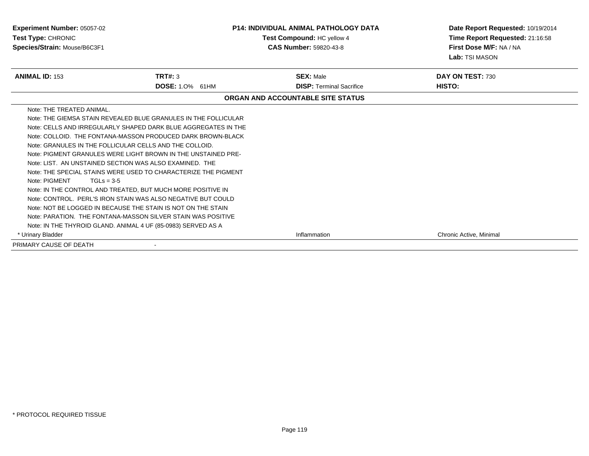| <b>Experiment Number: 05057-02</b><br>Test Type: CHRONIC<br>Species/Strain: Mouse/B6C3F1 |                                                                 | <b>P14: INDIVIDUAL ANIMAL PATHOLOGY DATA</b><br>Test Compound: HC yellow 4<br><b>CAS Number: 59820-43-8</b> | Date Report Requested: 10/19/2014<br>Time Report Requested: 21:16:58<br>First Dose M/F: NA / NA<br>Lab: TSI MASON |  |
|------------------------------------------------------------------------------------------|-----------------------------------------------------------------|-------------------------------------------------------------------------------------------------------------|-------------------------------------------------------------------------------------------------------------------|--|
| <b>ANIMAL ID: 153</b>                                                                    | TRT#: 3                                                         | <b>SEX: Male</b>                                                                                            | DAY ON TEST: 730                                                                                                  |  |
|                                                                                          | <b>DOSE: 1.0% 61HM</b>                                          | <b>DISP: Terminal Sacrifice</b>                                                                             | HISTO:                                                                                                            |  |
|                                                                                          |                                                                 | ORGAN AND ACCOUNTABLE SITE STATUS                                                                           |                                                                                                                   |  |
| Note: THE TREATED ANIMAL.                                                                |                                                                 |                                                                                                             |                                                                                                                   |  |
|                                                                                          | Note: THE GIEMSA STAIN REVEALED BLUE GRANULES IN THE FOLLICULAR |                                                                                                             |                                                                                                                   |  |
|                                                                                          | Note: CELLS AND IRREGULARLY SHAPED DARK BLUE AGGREGATES IN THE  |                                                                                                             |                                                                                                                   |  |
|                                                                                          | Note: COLLOID. THE FONTANA-MASSON PRODUCED DARK BROWN-BLACK     |                                                                                                             |                                                                                                                   |  |
| Note: GRANULES IN THE FOLLICULAR CELLS AND THE COLLOID.                                  |                                                                 |                                                                                                             |                                                                                                                   |  |
|                                                                                          | Note: PIGMENT GRANULES WERE LIGHT BROWN IN THE UNSTAINED PRE-   |                                                                                                             |                                                                                                                   |  |
| Note: LIST. AN UNSTAINED SECTION WAS ALSO EXAMINED. THE                                  |                                                                 |                                                                                                             |                                                                                                                   |  |
|                                                                                          | Note: THE SPECIAL STAINS WERE USED TO CHARACTERIZE THE PIGMENT  |                                                                                                             |                                                                                                                   |  |
| Note: PIGMENT<br>$TGLs = 3-5$                                                            |                                                                 |                                                                                                             |                                                                                                                   |  |
|                                                                                          | Note: IN THE CONTROL AND TREATED, BUT MUCH MORE POSITIVE IN     |                                                                                                             |                                                                                                                   |  |
|                                                                                          | Note: CONTROL. PERL'S IRON STAIN WAS ALSO NEGATIVE BUT COULD    |                                                                                                             |                                                                                                                   |  |
| Note: NOT BE LOGGED IN BECAUSE THE STAIN IS NOT ON THE STAIN                             |                                                                 |                                                                                                             |                                                                                                                   |  |
| Note: PARATION. THE FONTANA-MASSON SILVER STAIN WAS POSITIVE                             |                                                                 |                                                                                                             |                                                                                                                   |  |
| Note: IN THE THYROID GLAND. ANIMAL 4 UF (85-0983) SERVED AS A                            |                                                                 |                                                                                                             |                                                                                                                   |  |
| <b>Urinary Bladder</b>                                                                   |                                                                 | Inflammation                                                                                                | Chronic Active, Minimal                                                                                           |  |
| PRIMARY CAUSE OF DEATH                                                                   |                                                                 |                                                                                                             |                                                                                                                   |  |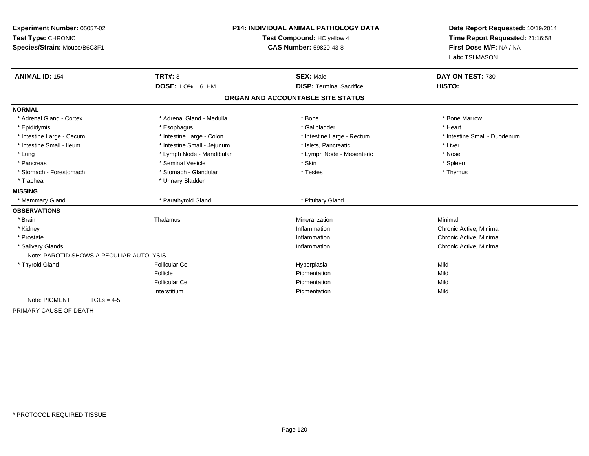| Experiment Number: 05057-02<br>Test Type: CHRONIC<br>Species/Strain: Mouse/B6C3F1 |                             | <b>P14: INDIVIDUAL ANIMAL PATHOLOGY DATA</b><br>Test Compound: HC yellow 4<br><b>CAS Number: 59820-43-8</b> | Date Report Requested: 10/19/2014<br>Time Report Requested: 21:16:58<br>First Dose M/F: NA / NA<br>Lab: TSI MASON |
|-----------------------------------------------------------------------------------|-----------------------------|-------------------------------------------------------------------------------------------------------------|-------------------------------------------------------------------------------------------------------------------|
| <b>ANIMAL ID: 154</b>                                                             | TRT#: 3<br>DOSE: 1.0% 61HM  | <b>SEX: Male</b><br><b>DISP: Terminal Sacrifice</b>                                                         | DAY ON TEST: 730<br>HISTO:                                                                                        |
|                                                                                   |                             | ORGAN AND ACCOUNTABLE SITE STATUS                                                                           |                                                                                                                   |
|                                                                                   |                             |                                                                                                             |                                                                                                                   |
| <b>NORMAL</b>                                                                     |                             |                                                                                                             |                                                                                                                   |
| * Adrenal Gland - Cortex                                                          | * Adrenal Gland - Medulla   | * Bone                                                                                                      | * Bone Marrow                                                                                                     |
| * Epididymis                                                                      | * Esophagus                 | * Gallbladder                                                                                               | * Heart                                                                                                           |
| * Intestine Large - Cecum                                                         | * Intestine Large - Colon   | * Intestine Large - Rectum                                                                                  | * Intestine Small - Duodenum                                                                                      |
| * Intestine Small - Ileum                                                         | * Intestine Small - Jejunum | * Islets. Pancreatic                                                                                        | * Liver                                                                                                           |
| * Lung                                                                            | * Lymph Node - Mandibular   | * Lymph Node - Mesenteric                                                                                   | * Nose                                                                                                            |
| * Pancreas                                                                        | * Seminal Vesicle           | * Skin                                                                                                      | * Spleen                                                                                                          |
| * Stomach - Forestomach                                                           | * Stomach - Glandular       | * Testes                                                                                                    | * Thymus                                                                                                          |
| * Trachea                                                                         | * Urinary Bladder           |                                                                                                             |                                                                                                                   |
| <b>MISSING</b>                                                                    |                             |                                                                                                             |                                                                                                                   |
| * Mammary Gland                                                                   | * Parathyroid Gland         | * Pituitary Gland                                                                                           |                                                                                                                   |
| <b>OBSERVATIONS</b>                                                               |                             |                                                                                                             |                                                                                                                   |
| * Brain                                                                           | Thalamus                    | Mineralization                                                                                              | Minimal                                                                                                           |
| * Kidney                                                                          |                             | Inflammation                                                                                                | Chronic Active, Minimal                                                                                           |
| * Prostate                                                                        |                             | Inflammation                                                                                                | Chronic Active, Minimal                                                                                           |
| * Salivary Glands                                                                 |                             | Inflammation                                                                                                | Chronic Active, Minimal                                                                                           |
| Note: PAROTID SHOWS A PECULIAR AUTOLYSIS.                                         |                             |                                                                                                             |                                                                                                                   |
| * Thyroid Gland                                                                   | <b>Follicular Cel</b>       | Hyperplasia                                                                                                 | Mild                                                                                                              |
|                                                                                   | Follicle                    | Pigmentation                                                                                                | Mild                                                                                                              |
|                                                                                   | <b>Follicular Cel</b>       | Pigmentation                                                                                                | Mild                                                                                                              |
|                                                                                   | Interstitium                | Pigmentation                                                                                                | Mild                                                                                                              |
| Note: PIGMENT<br>$TGLs = 4-5$                                                     |                             |                                                                                                             |                                                                                                                   |
| PRIMARY CAUSE OF DEATH                                                            |                             |                                                                                                             |                                                                                                                   |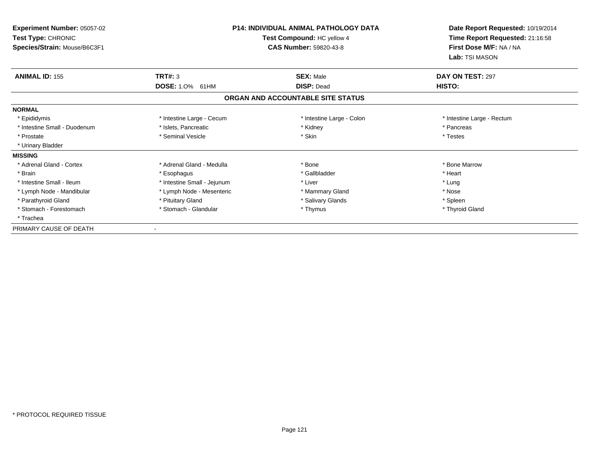| Experiment Number: 05057-02<br>Test Type: CHRONIC<br>Species/Strain: Mouse/B6C3F1 | <b>P14: INDIVIDUAL ANIMAL PATHOLOGY DATA</b><br>Test Compound: HC yellow 4<br><b>CAS Number: 59820-43-8</b> |                                   | Date Report Requested: 10/19/2014<br>Time Report Requested: 21:16:58<br>First Dose M/F: NA / NA<br>Lab: TSI MASON |
|-----------------------------------------------------------------------------------|-------------------------------------------------------------------------------------------------------------|-----------------------------------|-------------------------------------------------------------------------------------------------------------------|
| <b>ANIMAL ID: 155</b>                                                             | <b>TRT#: 3</b>                                                                                              | <b>SEX: Male</b>                  | DAY ON TEST: 297                                                                                                  |
|                                                                                   | <b>DOSE: 1.0%</b><br>61HM                                                                                   | <b>DISP: Dead</b>                 | <b>HISTO:</b>                                                                                                     |
|                                                                                   |                                                                                                             | ORGAN AND ACCOUNTABLE SITE STATUS |                                                                                                                   |
| <b>NORMAL</b>                                                                     |                                                                                                             |                                   |                                                                                                                   |
| * Epididymis                                                                      | * Intestine Large - Cecum                                                                                   | * Intestine Large - Colon         | * Intestine Large - Rectum                                                                                        |
| * Intestine Small - Duodenum                                                      | * Islets, Pancreatic                                                                                        | * Kidney                          | * Pancreas                                                                                                        |
| * Prostate                                                                        | * Seminal Vesicle                                                                                           | * Skin                            | * Testes                                                                                                          |
| * Urinary Bladder                                                                 |                                                                                                             |                                   |                                                                                                                   |
| <b>MISSING</b>                                                                    |                                                                                                             |                                   |                                                                                                                   |
| * Adrenal Gland - Cortex                                                          | * Adrenal Gland - Medulla                                                                                   | * Bone                            | * Bone Marrow                                                                                                     |
| * Brain                                                                           | * Esophagus                                                                                                 | * Gallbladder                     | * Heart                                                                                                           |
| * Intestine Small - Ileum                                                         | * Intestine Small - Jejunum                                                                                 | * Liver                           | * Lung                                                                                                            |
| * Lymph Node - Mandibular                                                         | * Lymph Node - Mesenteric                                                                                   | * Mammary Gland                   | * Nose                                                                                                            |
| * Parathyroid Gland                                                               | * Pituitary Gland                                                                                           | * Salivary Glands                 | * Spleen                                                                                                          |
| * Stomach - Forestomach                                                           | * Stomach - Glandular                                                                                       | * Thymus                          | * Thyroid Gland                                                                                                   |
| * Trachea                                                                         |                                                                                                             |                                   |                                                                                                                   |
| PRIMARY CAUSE OF DEATH                                                            |                                                                                                             |                                   |                                                                                                                   |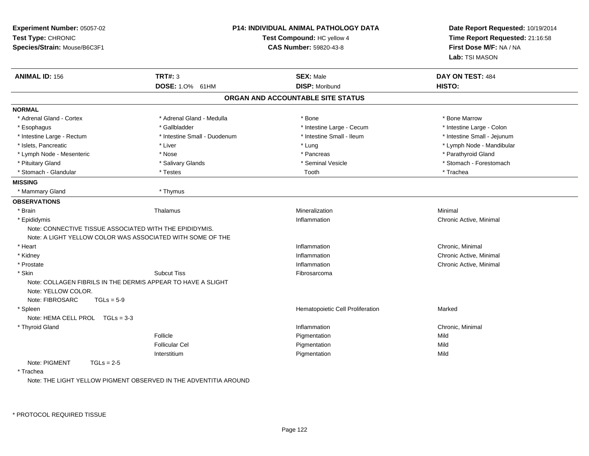| Experiment Number: 05057-02<br>Test Type: CHRONIC            |                                                                  | <b>P14: INDIVIDUAL ANIMAL PATHOLOGY DATA</b><br>Test Compound: HC yellow 4 | Date Report Requested: 10/19/2014<br>Time Report Requested: 21:16:58 |
|--------------------------------------------------------------|------------------------------------------------------------------|----------------------------------------------------------------------------|----------------------------------------------------------------------|
| Species/Strain: Mouse/B6C3F1                                 |                                                                  | <b>CAS Number: 59820-43-8</b>                                              | First Dose M/F: NA / NA<br>Lab: TSI MASON                            |
| <b>ANIMAL ID: 156</b>                                        | <b>TRT#: 3</b>                                                   | <b>SEX: Male</b>                                                           | DAY ON TEST: 484                                                     |
|                                                              | DOSE: 1.0% 61HM                                                  | <b>DISP: Moribund</b>                                                      | HISTO:                                                               |
|                                                              |                                                                  | ORGAN AND ACCOUNTABLE SITE STATUS                                          |                                                                      |
| <b>NORMAL</b>                                                |                                                                  |                                                                            |                                                                      |
| * Adrenal Gland - Cortex                                     | * Adrenal Gland - Medulla                                        | * Bone                                                                     | * Bone Marrow                                                        |
| * Esophagus                                                  | * Gallbladder                                                    | * Intestine Large - Cecum                                                  | * Intestine Large - Colon                                            |
| * Intestine Large - Rectum                                   | * Intestine Small - Duodenum                                     | * Intestine Small - Ileum                                                  | * Intestine Small - Jejunum                                          |
| * Islets, Pancreatic                                         | * Liver                                                          | * Lung                                                                     | * Lymph Node - Mandibular                                            |
| * Lymph Node - Mesenteric                                    | * Nose                                                           | * Pancreas                                                                 | * Parathyroid Gland                                                  |
| * Pituitary Gland                                            | * Salivary Glands                                                | * Seminal Vesicle                                                          | * Stomach - Forestomach                                              |
| * Stomach - Glandular                                        | * Testes                                                         | Tooth                                                                      | * Trachea                                                            |
| <b>MISSING</b>                                               |                                                                  |                                                                            |                                                                      |
| * Mammary Gland                                              | * Thymus                                                         |                                                                            |                                                                      |
| <b>OBSERVATIONS</b>                                          |                                                                  |                                                                            |                                                                      |
| * Brain                                                      | Thalamus                                                         | Mineralization                                                             | Minimal                                                              |
| * Epididymis                                                 |                                                                  | Inflammation                                                               | Chronic Active, Minimal                                              |
| Note: CONNECTIVE TISSUE ASSOCIATED WITH THE EPIDIDYMIS.      |                                                                  |                                                                            |                                                                      |
| Note: A LIGHT YELLOW COLOR WAS ASSOCIATED WITH SOME OF THE   |                                                                  |                                                                            |                                                                      |
| * Heart                                                      |                                                                  | Inflammation                                                               | Chronic, Minimal                                                     |
| * Kidney                                                     |                                                                  | Inflammation                                                               | Chronic Active, Minimal                                              |
| * Prostate                                                   |                                                                  | Inflammation                                                               | Chronic Active, Minimal                                              |
| * Skin                                                       | <b>Subcut Tiss</b>                                               | Fibrosarcoma                                                               |                                                                      |
| Note: COLLAGEN FIBRILS IN THE DERMIS APPEAR TO HAVE A SLIGHT |                                                                  |                                                                            |                                                                      |
| Note: YELLOW COLOR.                                          |                                                                  |                                                                            |                                                                      |
| Note: FIBROSARC<br>$TGLs = 5-9$                              |                                                                  |                                                                            |                                                                      |
| * Spleen                                                     |                                                                  | Hematopoietic Cell Proliferation                                           | Marked                                                               |
| Note: HEMA CELL PROL TGLs = 3-3                              |                                                                  |                                                                            |                                                                      |
| * Thyroid Gland                                              |                                                                  | Inflammation                                                               | Chronic, Minimal                                                     |
|                                                              | Follicle                                                         | Pigmentation                                                               | Mild                                                                 |
|                                                              | <b>Follicular Cel</b>                                            | Pigmentation                                                               | Mild                                                                 |
|                                                              | Interstitium                                                     | Pigmentation                                                               | Mild                                                                 |
| Note: PIGMENT<br>$TGLs = 2-5$                                |                                                                  |                                                                            |                                                                      |
| * Trachea                                                    |                                                                  |                                                                            |                                                                      |
|                                                              | Note: THE LIGHT YELLOW PIGMENT OBSERVED IN THE ADVENTITIA AROUND |                                                                            |                                                                      |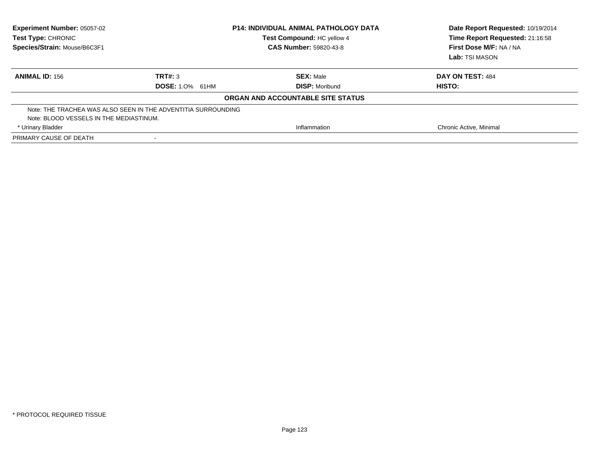| <b>Experiment Number: 05057-02</b><br>Test Type: CHRONIC<br>Species/Strain: Mouse/B6C3F1 |                        | <b>P14: INDIVIDUAL ANIMAL PATHOLOGY DATA</b><br>Test Compound: HC yellow 4<br><b>CAS Number: 59820-43-8</b> | Date Report Requested: 10/19/2014<br>Time Report Requested: 21:16:58<br>First Dose M/F: NA / NA<br>Lab: TSI MASON |
|------------------------------------------------------------------------------------------|------------------------|-------------------------------------------------------------------------------------------------------------|-------------------------------------------------------------------------------------------------------------------|
| <b>ANIMAL ID: 156</b>                                                                    | TRT#: 3                | <b>SEX: Male</b>                                                                                            | DAY ON TEST: 484                                                                                                  |
|                                                                                          | <b>DOSE: 1.0% 61HM</b> | <b>DISP:</b> Moribund                                                                                       | HISTO:                                                                                                            |
|                                                                                          |                        | ORGAN AND ACCOUNTABLE SITE STATUS                                                                           |                                                                                                                   |
| Note: THE TRACHEA WAS ALSO SEEN IN THE ADVENTITIA SURROUNDING                            |                        |                                                                                                             |                                                                                                                   |
| Note: BLOOD VESSELS IN THE MEDIASTINUM.                                                  |                        |                                                                                                             |                                                                                                                   |
| * Urinary Bladder                                                                        |                        | Inflammation                                                                                                | Chronic Active, Minimal                                                                                           |
| PRIMARY CAUSE OF DEATH                                                                   |                        |                                                                                                             |                                                                                                                   |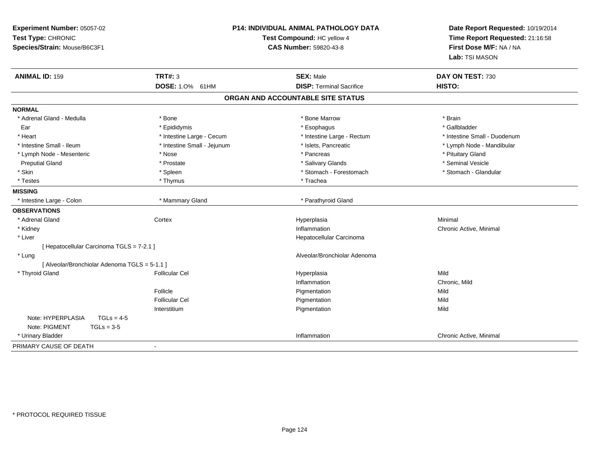| Experiment Number: 05057-02<br>Test Type: CHRONIC<br>Species/Strain: Mouse/B6C3F1 |                             | P14: INDIVIDUAL ANIMAL PATHOLOGY DATA<br>Test Compound: HC yellow 4<br><b>CAS Number: 59820-43-8</b> | Date Report Requested: 10/19/2014<br>Time Report Requested: 21:16:58<br>First Dose M/F: NA / NA<br>Lab: TSI MASON |
|-----------------------------------------------------------------------------------|-----------------------------|------------------------------------------------------------------------------------------------------|-------------------------------------------------------------------------------------------------------------------|
| <b>ANIMAL ID: 159</b>                                                             | <b>TRT#: 3</b>              | <b>SEX: Male</b>                                                                                     | DAY ON TEST: 730                                                                                                  |
|                                                                                   | DOSE: 1.0% 61HM             | <b>DISP: Terminal Sacrifice</b>                                                                      | HISTO:                                                                                                            |
|                                                                                   |                             | ORGAN AND ACCOUNTABLE SITE STATUS                                                                    |                                                                                                                   |
| <b>NORMAL</b>                                                                     |                             |                                                                                                      |                                                                                                                   |
| * Adrenal Gland - Medulla                                                         | * Bone                      | * Bone Marrow                                                                                        | * Brain                                                                                                           |
| Ear                                                                               | * Epididymis                | * Esophagus                                                                                          | * Gallbladder                                                                                                     |
| * Heart                                                                           | * Intestine Large - Cecum   | * Intestine Large - Rectum                                                                           | * Intestine Small - Duodenum                                                                                      |
| * Intestine Small - Ileum                                                         | * Intestine Small - Jejunum | * Islets, Pancreatic                                                                                 | * Lymph Node - Mandibular                                                                                         |
| * Lymph Node - Mesenteric                                                         | * Nose                      | * Pancreas                                                                                           | * Pituitary Gland                                                                                                 |
| <b>Preputial Gland</b>                                                            | * Prostate                  | * Salivary Glands                                                                                    | * Seminal Vesicle                                                                                                 |
| * Skin                                                                            | * Spleen                    | * Stomach - Forestomach                                                                              | * Stomach - Glandular                                                                                             |
| * Testes                                                                          | * Thymus                    | * Trachea                                                                                            |                                                                                                                   |
| <b>MISSING</b>                                                                    |                             |                                                                                                      |                                                                                                                   |
| * Intestine Large - Colon                                                         | * Mammary Gland             | * Parathyroid Gland                                                                                  |                                                                                                                   |
| <b>OBSERVATIONS</b>                                                               |                             |                                                                                                      |                                                                                                                   |
| * Adrenal Gland                                                                   | Cortex                      | Hyperplasia                                                                                          | Minimal                                                                                                           |
| * Kidney                                                                          |                             | Inflammation                                                                                         | Chronic Active, Minimal                                                                                           |
| * Liver                                                                           |                             | Hepatocellular Carcinoma                                                                             |                                                                                                                   |
| [ Hepatocellular Carcinoma TGLS = 7-2.1 ]                                         |                             |                                                                                                      |                                                                                                                   |
| * Lung                                                                            |                             | Alveolar/Bronchiolar Adenoma                                                                         |                                                                                                                   |
| [ Alveolar/Bronchiolar Adenoma TGLS = 5-1.1 ]                                     |                             |                                                                                                      |                                                                                                                   |
| * Thyroid Gland                                                                   | <b>Follicular Cel</b>       | Hyperplasia                                                                                          | Mild                                                                                                              |
|                                                                                   |                             | Inflammation                                                                                         | Chronic, Mild                                                                                                     |
|                                                                                   | Follicle                    | Pigmentation                                                                                         | Mild                                                                                                              |
|                                                                                   | <b>Follicular Cel</b>       | Pigmentation                                                                                         | Mild                                                                                                              |
|                                                                                   | Interstitium                | Pigmentation                                                                                         | Mild                                                                                                              |
| Note: HYPERPLASIA<br>$TGLs = 4-5$                                                 |                             |                                                                                                      |                                                                                                                   |
| Note: PIGMENT<br>$TGLs = 3-5$                                                     |                             |                                                                                                      |                                                                                                                   |
| * Urinary Bladder                                                                 |                             | Inflammation                                                                                         | Chronic Active, Minimal                                                                                           |
| PRIMARY CAUSE OF DEATH                                                            | $\blacksquare$              |                                                                                                      |                                                                                                                   |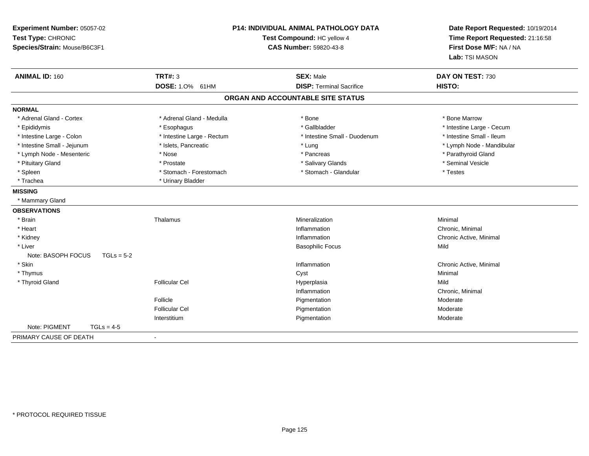| Experiment Number: 05057-02<br>Test Type: CHRONIC<br>Species/Strain: Mouse/B6C3F1 |                            | <b>P14: INDIVIDUAL ANIMAL PATHOLOGY DATA</b><br>Test Compound: HC yellow 4<br><b>CAS Number: 59820-43-8</b> | Date Report Requested: 10/19/2014<br>Time Report Requested: 21:16:58<br>First Dose M/F: NA / NA<br>Lab: TSI MASON |
|-----------------------------------------------------------------------------------|----------------------------|-------------------------------------------------------------------------------------------------------------|-------------------------------------------------------------------------------------------------------------------|
| <b>ANIMAL ID: 160</b>                                                             | <b>TRT#: 3</b>             | <b>SEX: Male</b>                                                                                            | DAY ON TEST: 730                                                                                                  |
|                                                                                   | DOSE: 1.0% 61HM            | <b>DISP: Terminal Sacrifice</b>                                                                             | HISTO:                                                                                                            |
|                                                                                   |                            | ORGAN AND ACCOUNTABLE SITE STATUS                                                                           |                                                                                                                   |
| <b>NORMAL</b>                                                                     |                            |                                                                                                             |                                                                                                                   |
| * Adrenal Gland - Cortex                                                          | * Adrenal Gland - Medulla  | * Bone                                                                                                      | * Bone Marrow                                                                                                     |
| * Epididymis                                                                      | * Esophagus                | * Gallbladder                                                                                               | * Intestine Large - Cecum                                                                                         |
| * Intestine Large - Colon                                                         | * Intestine Large - Rectum | * Intestine Small - Duodenum                                                                                | * Intestine Small - Ileum                                                                                         |
| * Intestine Small - Jejunum                                                       | * Islets, Pancreatic       | * Lung                                                                                                      | * Lymph Node - Mandibular                                                                                         |
| * Lymph Node - Mesenteric                                                         | * Nose                     | * Pancreas                                                                                                  | * Parathyroid Gland                                                                                               |
| * Pituitary Gland                                                                 | * Prostate                 | * Salivary Glands                                                                                           | * Seminal Vesicle                                                                                                 |
| * Spleen                                                                          | * Stomach - Forestomach    | * Stomach - Glandular                                                                                       | * Testes                                                                                                          |
| * Trachea                                                                         | * Urinary Bladder          |                                                                                                             |                                                                                                                   |
| <b>MISSING</b>                                                                    |                            |                                                                                                             |                                                                                                                   |
| * Mammary Gland                                                                   |                            |                                                                                                             |                                                                                                                   |
| <b>OBSERVATIONS</b>                                                               |                            |                                                                                                             |                                                                                                                   |
| * Brain                                                                           | Thalamus                   | Mineralization                                                                                              | Minimal                                                                                                           |
| * Heart                                                                           |                            | Inflammation                                                                                                | Chronic, Minimal                                                                                                  |
| * Kidney                                                                          |                            | Inflammation                                                                                                | Chronic Active, Minimal                                                                                           |
| * Liver                                                                           |                            | <b>Basophilic Focus</b>                                                                                     | Mild                                                                                                              |
| Note: BASOPH FOCUS<br>$TGLs = 5-2$                                                |                            |                                                                                                             |                                                                                                                   |
| * Skin                                                                            |                            | Inflammation                                                                                                | Chronic Active, Minimal                                                                                           |
| * Thymus                                                                          |                            | Cyst                                                                                                        | Minimal                                                                                                           |
| * Thyroid Gland                                                                   | <b>Follicular Cel</b>      | Hyperplasia                                                                                                 | Mild                                                                                                              |
|                                                                                   |                            | Inflammation                                                                                                | Chronic, Minimal                                                                                                  |
|                                                                                   | Follicle                   | Pigmentation                                                                                                | Moderate                                                                                                          |
|                                                                                   | <b>Follicular Cel</b>      | Pigmentation                                                                                                | Moderate                                                                                                          |
|                                                                                   | Interstitium               | Pigmentation                                                                                                | Moderate                                                                                                          |
| Note: PIGMENT<br>$TGLs = 4-5$                                                     |                            |                                                                                                             |                                                                                                                   |
| PRIMARY CAUSE OF DEATH                                                            | $\sim$                     |                                                                                                             |                                                                                                                   |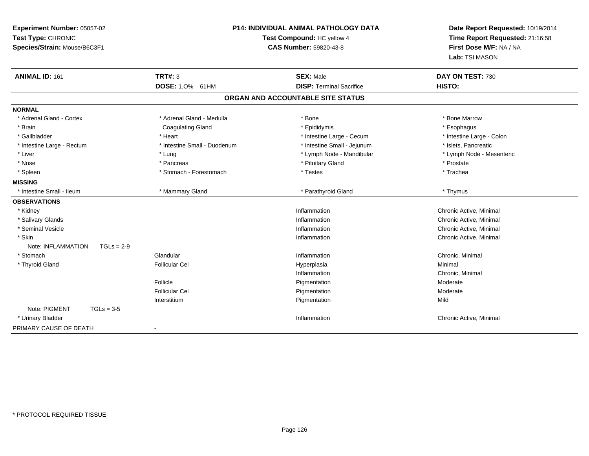| Experiment Number: 05057-02<br>Test Type: CHRONIC<br>Species/Strain: Mouse/B6C3F1 |                              | <b>P14: INDIVIDUAL ANIMAL PATHOLOGY DATA</b><br>Test Compound: HC yellow 4<br><b>CAS Number: 59820-43-8</b> | Date Report Requested: 10/19/2014<br>Time Report Requested: 21:16:58<br>First Dose M/F: NA / NA<br>Lab: TSI MASON |
|-----------------------------------------------------------------------------------|------------------------------|-------------------------------------------------------------------------------------------------------------|-------------------------------------------------------------------------------------------------------------------|
| <b>ANIMAL ID: 161</b>                                                             | <b>TRT#: 3</b>               | <b>SEX: Male</b>                                                                                            | DAY ON TEST: 730                                                                                                  |
|                                                                                   | DOSE: 1.0% 61HM              | <b>DISP: Terminal Sacrifice</b>                                                                             | HISTO:                                                                                                            |
|                                                                                   |                              | ORGAN AND ACCOUNTABLE SITE STATUS                                                                           |                                                                                                                   |
| <b>NORMAL</b>                                                                     |                              |                                                                                                             |                                                                                                                   |
| * Adrenal Gland - Cortex                                                          | * Adrenal Gland - Medulla    | * Bone                                                                                                      | * Bone Marrow                                                                                                     |
| * Brain                                                                           | <b>Coagulating Gland</b>     | * Epididymis                                                                                                | * Esophagus                                                                                                       |
| * Gallbladder                                                                     | * Heart                      | * Intestine Large - Cecum                                                                                   | * Intestine Large - Colon                                                                                         |
| * Intestine Large - Rectum                                                        | * Intestine Small - Duodenum | * Intestine Small - Jejunum                                                                                 | * Islets, Pancreatic                                                                                              |
| * Liver                                                                           | * Lung                       | * Lymph Node - Mandibular                                                                                   | * Lymph Node - Mesenteric                                                                                         |
| * Nose                                                                            | * Pancreas                   | * Pituitary Gland                                                                                           | * Prostate                                                                                                        |
| * Spleen                                                                          | * Stomach - Forestomach      | * Testes                                                                                                    | * Trachea                                                                                                         |
| <b>MISSING</b>                                                                    |                              |                                                                                                             |                                                                                                                   |
| * Intestine Small - Ileum                                                         | * Mammary Gland              | * Parathyroid Gland                                                                                         | * Thymus                                                                                                          |
| <b>OBSERVATIONS</b>                                                               |                              |                                                                                                             |                                                                                                                   |
| * Kidney                                                                          |                              | Inflammation                                                                                                | Chronic Active, Minimal                                                                                           |
| * Salivary Glands                                                                 |                              | Inflammation                                                                                                | Chronic Active, Minimal                                                                                           |
| * Seminal Vesicle                                                                 |                              | Inflammation                                                                                                | Chronic Active, Minimal                                                                                           |
| * Skin                                                                            |                              | Inflammation                                                                                                | Chronic Active, Minimal                                                                                           |
| Note: INFLAMMATION<br>$TGLs = 2-9$                                                |                              |                                                                                                             |                                                                                                                   |
| * Stomach                                                                         | Glandular                    | Inflammation                                                                                                | Chronic, Minimal                                                                                                  |
| * Thyroid Gland                                                                   | <b>Follicular Cel</b>        | Hyperplasia                                                                                                 | Minimal                                                                                                           |
|                                                                                   |                              | Inflammation                                                                                                | Chronic, Minimal                                                                                                  |
|                                                                                   | Follicle                     | Pigmentation                                                                                                | Moderate                                                                                                          |
|                                                                                   | <b>Follicular Cel</b>        | Pigmentation                                                                                                | Moderate                                                                                                          |
|                                                                                   | Interstitium                 | Pigmentation                                                                                                | Mild                                                                                                              |
| Note: PIGMENT<br>$TGLs = 3-5$                                                     |                              |                                                                                                             |                                                                                                                   |
| * Urinary Bladder                                                                 |                              | Inflammation                                                                                                | Chronic Active, Minimal                                                                                           |
| PRIMARY CAUSE OF DEATH                                                            | $\blacksquare$               |                                                                                                             |                                                                                                                   |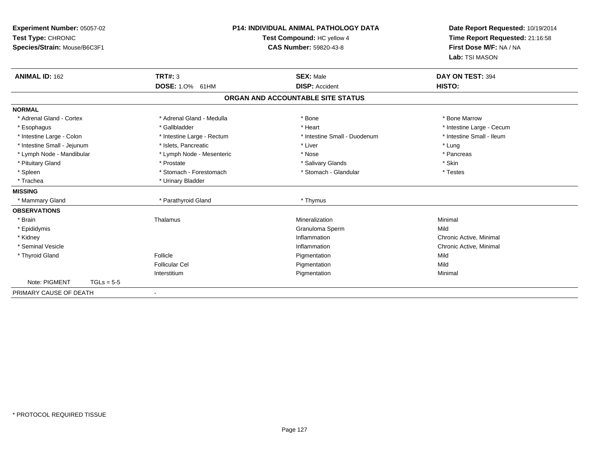| Experiment Number: 05057-02<br>Test Type: CHRONIC<br>Species/Strain: Mouse/B6C3F1<br><b>ANIMAL ID: 162</b> |              | TRT#: 3<br>DOSE: 1.0% 61HM | <b>P14: INDIVIDUAL ANIMAL PATHOLOGY DATA</b><br>Test Compound: HC yellow 4<br><b>CAS Number: 59820-43-8</b><br><b>SEX: Male</b><br><b>DISP: Accident</b> | Date Report Requested: 10/19/2014<br>Time Report Requested: 21:16:58<br>First Dose M/F: NA / NA<br>Lab: TSI MASON<br>DAY ON TEST: 394<br>HISTO: |
|------------------------------------------------------------------------------------------------------------|--------------|----------------------------|----------------------------------------------------------------------------------------------------------------------------------------------------------|-------------------------------------------------------------------------------------------------------------------------------------------------|
|                                                                                                            |              |                            | ORGAN AND ACCOUNTABLE SITE STATUS                                                                                                                        |                                                                                                                                                 |
| <b>NORMAL</b>                                                                                              |              |                            |                                                                                                                                                          |                                                                                                                                                 |
| * Adrenal Gland - Cortex                                                                                   |              | * Adrenal Gland - Medulla  | * Bone                                                                                                                                                   | * Bone Marrow                                                                                                                                   |
| * Esophagus                                                                                                |              | * Gallbladder              | * Heart                                                                                                                                                  | * Intestine Large - Cecum                                                                                                                       |
| * Intestine Large - Colon                                                                                  |              | * Intestine Large - Rectum | * Intestine Small - Duodenum                                                                                                                             | * Intestine Small - Ileum                                                                                                                       |
| * Intestine Small - Jejunum                                                                                |              | * Islets, Pancreatic       | * Liver                                                                                                                                                  | * Lung                                                                                                                                          |
| * Lymph Node - Mandibular                                                                                  |              | * Lymph Node - Mesenteric  | * Nose                                                                                                                                                   | * Pancreas                                                                                                                                      |
| * Pituitary Gland                                                                                          |              | * Prostate                 | * Salivary Glands                                                                                                                                        | * Skin                                                                                                                                          |
| * Spleen                                                                                                   |              | * Stomach - Forestomach    | * Stomach - Glandular                                                                                                                                    | * Testes                                                                                                                                        |
| * Trachea                                                                                                  |              | * Urinary Bladder          |                                                                                                                                                          |                                                                                                                                                 |
| <b>MISSING</b>                                                                                             |              |                            |                                                                                                                                                          |                                                                                                                                                 |
| * Mammary Gland                                                                                            |              | * Parathyroid Gland        | * Thymus                                                                                                                                                 |                                                                                                                                                 |
| <b>OBSERVATIONS</b>                                                                                        |              |                            |                                                                                                                                                          |                                                                                                                                                 |
| * Brain                                                                                                    |              | Thalamus                   | Mineralization                                                                                                                                           | Minimal                                                                                                                                         |
| * Epididymis                                                                                               |              |                            | Granuloma Sperm                                                                                                                                          | Mild                                                                                                                                            |
| * Kidney                                                                                                   |              |                            | Inflammation                                                                                                                                             | Chronic Active, Minimal                                                                                                                         |
| * Seminal Vesicle                                                                                          |              |                            | Inflammation                                                                                                                                             | Chronic Active, Minimal                                                                                                                         |
| * Thyroid Gland                                                                                            |              | Follicle                   | Pigmentation                                                                                                                                             | Mild                                                                                                                                            |
|                                                                                                            |              | <b>Follicular Cel</b>      | Pigmentation                                                                                                                                             | Mild                                                                                                                                            |
|                                                                                                            |              | Interstitium               | Pigmentation                                                                                                                                             | Minimal                                                                                                                                         |
| Note: PIGMENT                                                                                              | $TGLs = 5-5$ |                            |                                                                                                                                                          |                                                                                                                                                 |
| PRIMARY CAUSE OF DEATH                                                                                     |              |                            |                                                                                                                                                          |                                                                                                                                                 |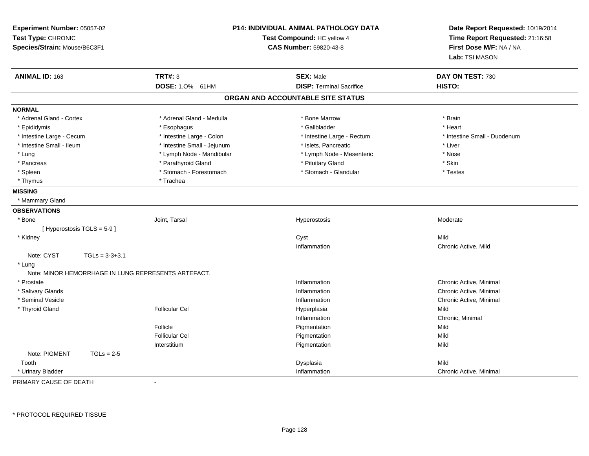| Experiment Number: 05057-02<br>Test Type: CHRONIC<br>Species/Strain: Mouse/B6C3F1 |                           | <b>P14: INDIVIDUAL ANIMAL PATHOLOGY DATA</b><br>Test Compound: HC yellow 4<br><b>CAS Number: 59820-43-8</b> |                                   | Date Report Requested: 10/19/2014<br>Time Report Requested: 21:16:58<br>First Dose M/F: NA / NA<br>Lab: TSI MASON |
|-----------------------------------------------------------------------------------|---------------------------|-------------------------------------------------------------------------------------------------------------|-----------------------------------|-------------------------------------------------------------------------------------------------------------------|
| ANIMAL ID: 163                                                                    |                           | <b>TRT#: 3</b>                                                                                              | <b>SEX: Male</b>                  | DAY ON TEST: 730                                                                                                  |
|                                                                                   |                           | DOSE: 1.0% 61HM                                                                                             | <b>DISP: Terminal Sacrifice</b>   | HISTO:                                                                                                            |
|                                                                                   |                           |                                                                                                             | ORGAN AND ACCOUNTABLE SITE STATUS |                                                                                                                   |
| <b>NORMAL</b>                                                                     |                           |                                                                                                             |                                   |                                                                                                                   |
| * Adrenal Gland - Cortex                                                          |                           | * Adrenal Gland - Medulla                                                                                   | * Bone Marrow                     | * Brain                                                                                                           |
| * Epididymis                                                                      |                           | * Esophagus                                                                                                 | * Gallbladder                     | * Heart                                                                                                           |
| * Intestine Large - Cecum                                                         |                           | * Intestine Large - Colon                                                                                   | * Intestine Large - Rectum        | * Intestine Small - Duodenum                                                                                      |
| * Intestine Small - Ileum                                                         |                           | * Intestine Small - Jejunum                                                                                 | * Islets, Pancreatic              | * Liver                                                                                                           |
| * Lung                                                                            |                           | * Lymph Node - Mandibular                                                                                   | * Lymph Node - Mesenteric         | * Nose                                                                                                            |
| * Pancreas                                                                        |                           | * Parathyroid Gland                                                                                         | * Pituitary Gland                 | * Skin                                                                                                            |
| * Spleen                                                                          |                           | * Stomach - Forestomach                                                                                     | * Stomach - Glandular             | * Testes                                                                                                          |
| * Thymus                                                                          |                           | * Trachea                                                                                                   |                                   |                                                                                                                   |
| <b>MISSING</b>                                                                    |                           |                                                                                                             |                                   |                                                                                                                   |
| * Mammary Gland                                                                   |                           |                                                                                                             |                                   |                                                                                                                   |
| <b>OBSERVATIONS</b>                                                               |                           |                                                                                                             |                                   |                                                                                                                   |
| * Bone                                                                            |                           | Joint, Tarsal                                                                                               | Hyperostosis                      | Moderate                                                                                                          |
|                                                                                   | [Hyperostosis TGLS = 5-9] |                                                                                                             |                                   |                                                                                                                   |
| * Kidney                                                                          |                           |                                                                                                             | Cyst                              | Mild                                                                                                              |
|                                                                                   |                           |                                                                                                             | Inflammation                      | Chronic Active, Mild                                                                                              |
| Note: CYST                                                                        | $TGLs = 3-3+3.1$          |                                                                                                             |                                   |                                                                                                                   |
| * Lung                                                                            |                           |                                                                                                             |                                   |                                                                                                                   |
|                                                                                   |                           | Note: MINOR HEMORRHAGE IN LUNG REPRESENTS ARTEFACT.                                                         |                                   |                                                                                                                   |
| * Prostate                                                                        |                           |                                                                                                             | Inflammation                      | Chronic Active, Minimal                                                                                           |
| * Salivary Glands                                                                 |                           |                                                                                                             | Inflammation                      | Chronic Active, Minimal                                                                                           |
| * Seminal Vesicle                                                                 |                           |                                                                                                             | Inflammation                      | Chronic Active, Minimal                                                                                           |
| * Thyroid Gland                                                                   |                           | <b>Follicular Cel</b>                                                                                       | Hyperplasia                       | Mild                                                                                                              |
|                                                                                   |                           |                                                                                                             | Inflammation                      | Chronic, Minimal                                                                                                  |
|                                                                                   |                           | Follicle                                                                                                    | Pigmentation                      | Mild                                                                                                              |
|                                                                                   |                           | <b>Follicular Cel</b>                                                                                       | Pigmentation                      | Mild                                                                                                              |
|                                                                                   |                           | Interstitium                                                                                                | Pigmentation                      | Mild                                                                                                              |
| Note: PIGMENT                                                                     | $TGLs = 2-5$              |                                                                                                             |                                   |                                                                                                                   |
| Tooth                                                                             |                           |                                                                                                             | Dysplasia                         | Mild                                                                                                              |
| * Urinary Bladder                                                                 |                           |                                                                                                             | Inflammation                      | Chronic Active, Minimal                                                                                           |
| PRIMARY CAUSE OF DEATH                                                            |                           | ÷,                                                                                                          |                                   |                                                                                                                   |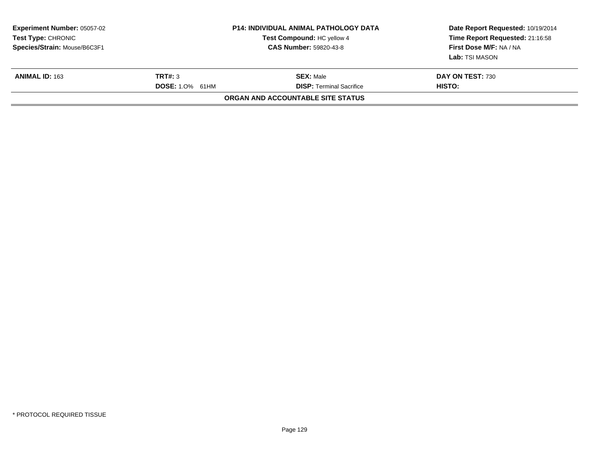| <b>Experiment Number: 05057-02</b><br><b>Test Type: CHRONIC</b><br>Species/Strain: Mouse/B6C3F1 |                                   | <b>P14: INDIVIDUAL ANIMAL PATHOLOGY DATA</b><br>Test Compound: HC yellow 4<br><b>CAS Number: 59820-43-8</b> | Date Report Requested: 10/19/2014<br>Time Report Requested: 21:16:58<br>First Dose M/F: NA / NA<br>Lab: TSI MASON |
|-------------------------------------------------------------------------------------------------|-----------------------------------|-------------------------------------------------------------------------------------------------------------|-------------------------------------------------------------------------------------------------------------------|
| <b>ANIMAL ID: 163</b>                                                                           | TRT#: 3<br><b>DOSE: 1.0% 61HM</b> | <b>SEX: Male</b><br><b>DISP: Terminal Sacrifice</b>                                                         | DAY ON TEST: 730<br>HISTO:                                                                                        |
|                                                                                                 |                                   | ORGAN AND ACCOUNTABLE SITE STATUS                                                                           |                                                                                                                   |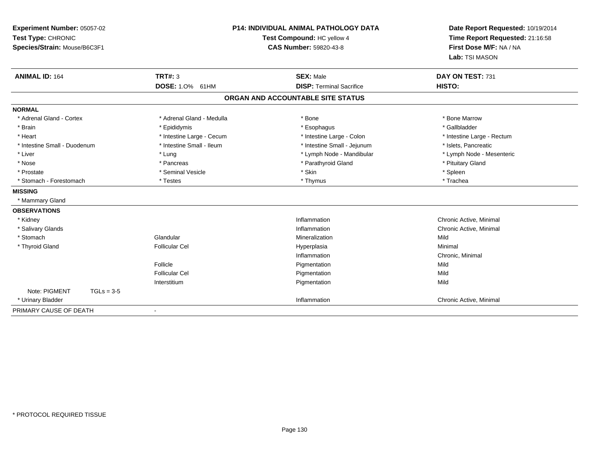| Experiment Number: 05057-02<br>Test Type: CHRONIC<br>Species/Strain: Mouse/B6C3F1 |                           | <b>P14: INDIVIDUAL ANIMAL PATHOLOGY DATA</b><br>Test Compound: HC yellow 4<br><b>CAS Number: 59820-43-8</b> | Date Report Requested: 10/19/2014<br>Time Report Requested: 21:16:58<br>First Dose M/F: NA / NA<br>Lab: TSI MASON |
|-----------------------------------------------------------------------------------|---------------------------|-------------------------------------------------------------------------------------------------------------|-------------------------------------------------------------------------------------------------------------------|
| <b>ANIMAL ID: 164</b>                                                             | TRT#: 3                   | <b>SEX: Male</b>                                                                                            | DAY ON TEST: 731                                                                                                  |
|                                                                                   | DOSE: 1.0% 61HM           | <b>DISP: Terminal Sacrifice</b>                                                                             | HISTO:                                                                                                            |
|                                                                                   |                           | ORGAN AND ACCOUNTABLE SITE STATUS                                                                           |                                                                                                                   |
| <b>NORMAL</b>                                                                     |                           |                                                                                                             |                                                                                                                   |
| * Adrenal Gland - Cortex                                                          | * Adrenal Gland - Medulla | * Bone                                                                                                      | * Bone Marrow                                                                                                     |
| * Brain                                                                           | * Epididymis              | * Esophagus                                                                                                 | * Gallbladder                                                                                                     |
| * Heart                                                                           | * Intestine Large - Cecum | * Intestine Large - Colon                                                                                   | * Intestine Large - Rectum                                                                                        |
| * Intestine Small - Duodenum                                                      | * Intestine Small - Ileum | * Intestine Small - Jejunum                                                                                 | * Islets, Pancreatic                                                                                              |
| * Liver                                                                           | * Lung                    | * Lymph Node - Mandibular                                                                                   | * Lymph Node - Mesenteric                                                                                         |
| * Nose                                                                            | * Pancreas                | * Parathyroid Gland                                                                                         | * Pituitary Gland                                                                                                 |
| * Prostate                                                                        | * Seminal Vesicle         | * Skin                                                                                                      | * Spleen                                                                                                          |
| * Stomach - Forestomach                                                           | * Testes                  | * Thymus                                                                                                    | * Trachea                                                                                                         |
| <b>MISSING</b>                                                                    |                           |                                                                                                             |                                                                                                                   |
| * Mammary Gland                                                                   |                           |                                                                                                             |                                                                                                                   |
| <b>OBSERVATIONS</b>                                                               |                           |                                                                                                             |                                                                                                                   |
| * Kidney                                                                          |                           | Inflammation                                                                                                | Chronic Active, Minimal                                                                                           |
| * Salivary Glands                                                                 |                           | Inflammation                                                                                                | Chronic Active, Minimal                                                                                           |
| * Stomach                                                                         | Glandular                 | Mineralization                                                                                              | Mild                                                                                                              |
| * Thyroid Gland                                                                   | <b>Follicular Cel</b>     | Hyperplasia                                                                                                 | Minimal                                                                                                           |
|                                                                                   |                           | Inflammation                                                                                                | Chronic, Minimal                                                                                                  |
|                                                                                   | Follicle                  | Pigmentation                                                                                                | Mild                                                                                                              |
|                                                                                   | <b>Follicular Cel</b>     | Pigmentation                                                                                                | Mild                                                                                                              |
|                                                                                   | Interstitium              | Pigmentation                                                                                                | Mild                                                                                                              |
| Note: PIGMENT<br>$TGLs = 3-5$                                                     |                           |                                                                                                             |                                                                                                                   |
| * Urinary Bladder                                                                 |                           | Inflammation                                                                                                | Chronic Active, Minimal                                                                                           |
| PRIMARY CAUSE OF DEATH                                                            | $\blacksquare$            |                                                                                                             |                                                                                                                   |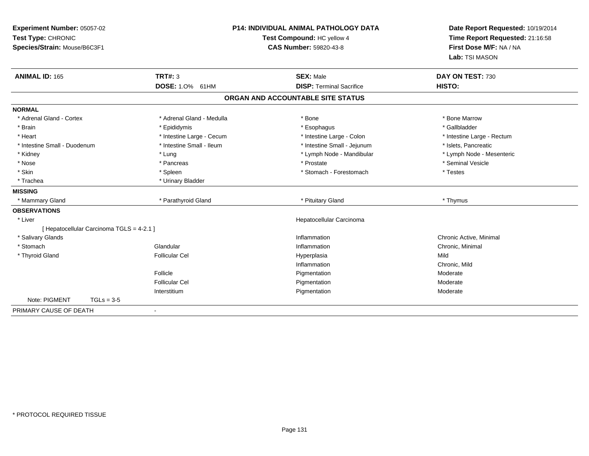| Experiment Number: 05057-02<br>Test Type: CHRONIC<br>Species/Strain: Mouse/B6C3F1 |                                           |                           | <b>P14: INDIVIDUAL ANIMAL PATHOLOGY DATA</b><br>Test Compound: HC yellow 4<br><b>CAS Number: 59820-43-8</b> | Date Report Requested: 10/19/2014<br>Time Report Requested: 21:16:58<br>First Dose M/F: NA / NA<br>Lab: TSI MASON |
|-----------------------------------------------------------------------------------|-------------------------------------------|---------------------------|-------------------------------------------------------------------------------------------------------------|-------------------------------------------------------------------------------------------------------------------|
| <b>ANIMAL ID: 165</b>                                                             |                                           | TRT#: 3                   | <b>SEX: Male</b>                                                                                            | DAY ON TEST: 730                                                                                                  |
|                                                                                   |                                           | <b>DOSE: 1.0%</b><br>61HM | <b>DISP: Terminal Sacrifice</b>                                                                             | <b>HISTO:</b>                                                                                                     |
|                                                                                   |                                           |                           | ORGAN AND ACCOUNTABLE SITE STATUS                                                                           |                                                                                                                   |
| <b>NORMAL</b>                                                                     |                                           |                           |                                                                                                             |                                                                                                                   |
| * Adrenal Gland - Cortex                                                          |                                           | * Adrenal Gland - Medulla | * Bone                                                                                                      | * Bone Marrow                                                                                                     |
| * Brain                                                                           |                                           | * Epididymis              | * Esophagus                                                                                                 | * Gallbladder                                                                                                     |
| * Heart                                                                           |                                           | * Intestine Large - Cecum | * Intestine Large - Colon                                                                                   | * Intestine Large - Rectum                                                                                        |
| * Intestine Small - Duodenum                                                      |                                           | * Intestine Small - Ileum | * Intestine Small - Jejunum                                                                                 | * Islets, Pancreatic                                                                                              |
| * Kidney                                                                          |                                           | * Lung                    | * Lymph Node - Mandibular                                                                                   | * Lymph Node - Mesenteric                                                                                         |
| * Nose                                                                            |                                           | * Pancreas                | * Prostate                                                                                                  | * Seminal Vesicle                                                                                                 |
| * Skin                                                                            |                                           | * Spleen                  | * Stomach - Forestomach                                                                                     | * Testes                                                                                                          |
| * Trachea                                                                         |                                           | * Urinary Bladder         |                                                                                                             |                                                                                                                   |
| <b>MISSING</b>                                                                    |                                           |                           |                                                                                                             |                                                                                                                   |
| * Mammary Gland                                                                   |                                           | * Parathyroid Gland       | * Pituitary Gland                                                                                           | * Thymus                                                                                                          |
| <b>OBSERVATIONS</b>                                                               |                                           |                           |                                                                                                             |                                                                                                                   |
| * Liver                                                                           |                                           |                           | Hepatocellular Carcinoma                                                                                    |                                                                                                                   |
|                                                                                   | [ Hepatocellular Carcinoma TGLS = 4-2.1 ] |                           |                                                                                                             |                                                                                                                   |
| * Salivary Glands                                                                 |                                           |                           | Inflammation                                                                                                | Chronic Active, Minimal                                                                                           |
| * Stomach                                                                         |                                           | Glandular                 | Inflammation                                                                                                | Chronic, Minimal                                                                                                  |
| * Thyroid Gland                                                                   |                                           | <b>Follicular Cel</b>     | Hyperplasia                                                                                                 | Mild                                                                                                              |
|                                                                                   |                                           |                           | Inflammation                                                                                                | Chronic, Mild                                                                                                     |
|                                                                                   |                                           | Follicle                  | Pigmentation                                                                                                | Moderate                                                                                                          |
|                                                                                   |                                           | <b>Follicular Cel</b>     | Pigmentation                                                                                                | Moderate                                                                                                          |
|                                                                                   |                                           | Interstitium              | Pigmentation                                                                                                | Moderate                                                                                                          |
| Note: PIGMENT                                                                     | $TGLs = 3-5$                              |                           |                                                                                                             |                                                                                                                   |
| PRIMARY CAUSE OF DEATH                                                            |                                           | $\blacksquare$            |                                                                                                             |                                                                                                                   |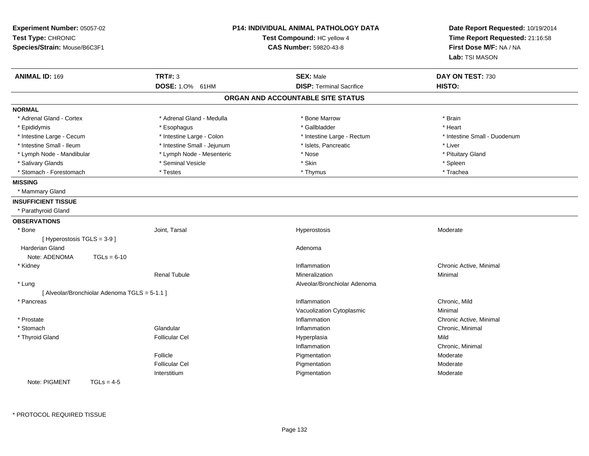| Experiment Number: 05057-02<br>Test Type: CHRONIC<br>Species/Strain: Mouse/B6C3F1 |                                               | <b>P14: INDIVIDUAL ANIMAL PATHOLOGY DATA</b><br>Test Compound: HC yellow 4<br><b>CAS Number: 59820-43-8</b> |                                                     | Date Report Requested: 10/19/2014<br>Time Report Requested: 21:16:58<br>First Dose M/F: NA / NA<br>Lab: TSI MASON |  |
|-----------------------------------------------------------------------------------|-----------------------------------------------|-------------------------------------------------------------------------------------------------------------|-----------------------------------------------------|-------------------------------------------------------------------------------------------------------------------|--|
| <b>ANIMAL ID: 169</b>                                                             |                                               | <b>TRT#: 3</b>                                                                                              | <b>SEX: Male</b><br><b>DISP: Terminal Sacrifice</b> | DAY ON TEST: 730                                                                                                  |  |
|                                                                                   |                                               | DOSE: 1.0% 61HM                                                                                             | ORGAN AND ACCOUNTABLE SITE STATUS                   | HISTO:                                                                                                            |  |
|                                                                                   |                                               |                                                                                                             |                                                     |                                                                                                                   |  |
| <b>NORMAL</b>                                                                     |                                               |                                                                                                             |                                                     |                                                                                                                   |  |
| * Adrenal Gland - Cortex                                                          |                                               | * Adrenal Gland - Medulla                                                                                   | * Bone Marrow                                       | * Brain                                                                                                           |  |
| * Epididymis                                                                      |                                               | * Esophagus                                                                                                 | * Gallbladder                                       | * Heart                                                                                                           |  |
| * Intestine Large - Cecum                                                         |                                               | * Intestine Large - Colon                                                                                   | * Intestine Large - Rectum                          | * Intestine Small - Duodenum                                                                                      |  |
| * Intestine Small - Ileum                                                         |                                               | * Intestine Small - Jejunum                                                                                 | * Islets, Pancreatic                                | * Liver                                                                                                           |  |
| * Lymph Node - Mandibular                                                         |                                               | * Lymph Node - Mesenteric                                                                                   | * Nose                                              | * Pituitary Gland                                                                                                 |  |
| * Salivary Glands                                                                 |                                               | * Seminal Vesicle                                                                                           | * Skin                                              | * Spleen                                                                                                          |  |
| * Stomach - Forestomach                                                           |                                               | * Testes                                                                                                    | * Thymus                                            | * Trachea                                                                                                         |  |
| <b>MISSING</b>                                                                    |                                               |                                                                                                             |                                                     |                                                                                                                   |  |
| * Mammary Gland                                                                   |                                               |                                                                                                             |                                                     |                                                                                                                   |  |
| <b>INSUFFICIENT TISSUE</b>                                                        |                                               |                                                                                                             |                                                     |                                                                                                                   |  |
| * Parathyroid Gland                                                               |                                               |                                                                                                             |                                                     |                                                                                                                   |  |
| <b>OBSERVATIONS</b>                                                               |                                               |                                                                                                             |                                                     |                                                                                                                   |  |
| * Bone                                                                            |                                               | Joint, Tarsal                                                                                               | Hyperostosis                                        | Moderate                                                                                                          |  |
| [ Hyperostosis TGLS = 3-9 ]                                                       |                                               |                                                                                                             |                                                     |                                                                                                                   |  |
| <b>Harderian Gland</b>                                                            |                                               |                                                                                                             | Adenoma                                             |                                                                                                                   |  |
| Note: ADENOMA                                                                     | $TGLs = 6-10$                                 |                                                                                                             |                                                     |                                                                                                                   |  |
| * Kidney                                                                          |                                               |                                                                                                             | Inflammation                                        | Chronic Active, Minimal                                                                                           |  |
|                                                                                   |                                               | <b>Renal Tubule</b>                                                                                         | Mineralization                                      | Minimal                                                                                                           |  |
| * Lung                                                                            |                                               |                                                                                                             | Alveolar/Bronchiolar Adenoma                        |                                                                                                                   |  |
|                                                                                   | [ Alveolar/Bronchiolar Adenoma TGLS = 5-1.1 ] |                                                                                                             |                                                     |                                                                                                                   |  |
| * Pancreas                                                                        |                                               |                                                                                                             | Inflammation                                        | Chronic. Mild                                                                                                     |  |
|                                                                                   |                                               |                                                                                                             | Vacuolization Cytoplasmic                           | Minimal                                                                                                           |  |
| * Prostate                                                                        |                                               |                                                                                                             | Inflammation                                        | Chronic Active, Minimal                                                                                           |  |
| * Stomach                                                                         |                                               | Glandular                                                                                                   | Inflammation                                        | Chronic, Minimal                                                                                                  |  |
| * Thyroid Gland                                                                   |                                               | <b>Follicular Cel</b>                                                                                       | Hyperplasia                                         | Mild                                                                                                              |  |
|                                                                                   |                                               |                                                                                                             | Inflammation                                        | Chronic, Minimal                                                                                                  |  |
|                                                                                   |                                               | Follicle                                                                                                    | Pigmentation                                        | Moderate                                                                                                          |  |
|                                                                                   |                                               | <b>Follicular Cel</b>                                                                                       | Pigmentation                                        | Moderate                                                                                                          |  |
|                                                                                   |                                               | Interstitium                                                                                                | Pigmentation                                        | Moderate                                                                                                          |  |
| Note: PIGMENT                                                                     | $TGLs = 4-5$                                  |                                                                                                             |                                                     |                                                                                                                   |  |
|                                                                                   |                                               |                                                                                                             |                                                     |                                                                                                                   |  |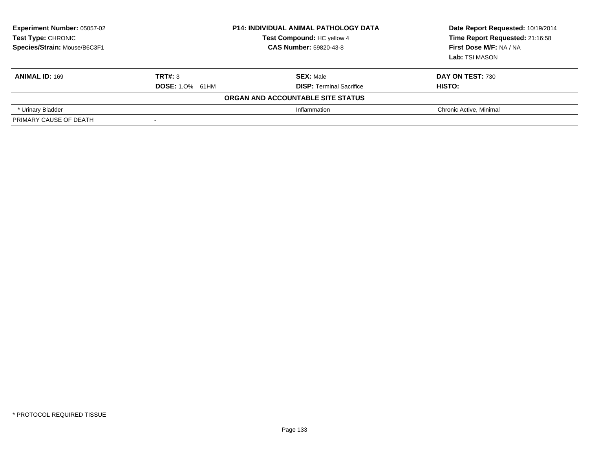| <b>Experiment Number: 05057-02</b><br>Test Type: CHRONIC<br>Species/Strain: Mouse/B6C3F1 | <b>P14: INDIVIDUAL ANIMAL PATHOLOGY DATA</b><br>Test Compound: HC yellow 4<br><b>CAS Number: 59820-43-8</b> |                                   | Date Report Requested: 10/19/2014<br>Time Report Requested: 21:16:58<br>First Dose M/F: NA / NA<br><b>Lab:</b> TSI MASON |
|------------------------------------------------------------------------------------------|-------------------------------------------------------------------------------------------------------------|-----------------------------------|--------------------------------------------------------------------------------------------------------------------------|
| <b>ANIMAL ID: 169</b>                                                                    | TRT#: 3                                                                                                     | <b>SEX: Male</b>                  | <b>DAY ON TEST: 730</b>                                                                                                  |
|                                                                                          | <b>DOSE: 1.0% 61HM</b>                                                                                      | <b>DISP:</b> Terminal Sacrifice   | HISTO:                                                                                                                   |
|                                                                                          |                                                                                                             | ORGAN AND ACCOUNTABLE SITE STATUS |                                                                                                                          |
| * Urinary Bladder                                                                        |                                                                                                             | Inflammation                      | Chronic Active, Minimal                                                                                                  |
| PRIMARY CAUSE OF DEATH                                                                   | $\overline{\phantom{a}}$                                                                                    |                                   |                                                                                                                          |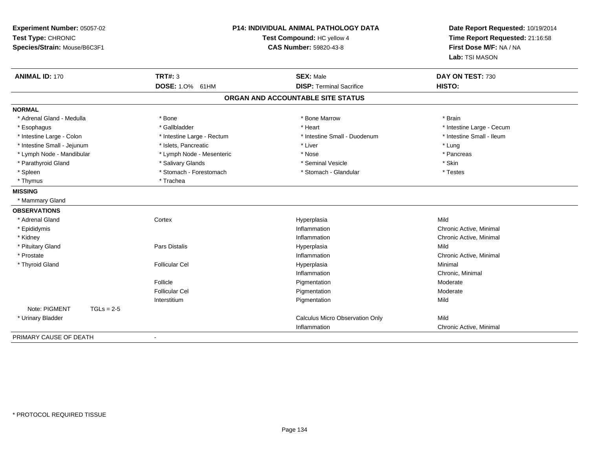| Experiment Number: 05057-02<br>Test Type: CHRONIC<br>Species/Strain: Mouse/B6C3F1 |                            | <b>P14: INDIVIDUAL ANIMAL PATHOLOGY DATA</b><br>Test Compound: HC yellow 4<br><b>CAS Number: 59820-43-8</b> | Date Report Requested: 10/19/2014<br>Time Report Requested: 21:16:58<br>First Dose M/F: NA / NA<br>Lab: TSI MASON |
|-----------------------------------------------------------------------------------|----------------------------|-------------------------------------------------------------------------------------------------------------|-------------------------------------------------------------------------------------------------------------------|
| <b>ANIMAL ID: 170</b>                                                             | TRT#: 3                    | <b>SEX: Male</b>                                                                                            | DAY ON TEST: 730                                                                                                  |
|                                                                                   | DOSE: 1.0% 61HM            | <b>DISP: Terminal Sacrifice</b>                                                                             | HISTO:                                                                                                            |
|                                                                                   |                            | ORGAN AND ACCOUNTABLE SITE STATUS                                                                           |                                                                                                                   |
| <b>NORMAL</b>                                                                     |                            |                                                                                                             |                                                                                                                   |
| * Adrenal Gland - Medulla                                                         | * Bone                     | * Bone Marrow                                                                                               | * Brain                                                                                                           |
| * Esophagus                                                                       | * Gallbladder              | * Heart                                                                                                     | * Intestine Large - Cecum                                                                                         |
| * Intestine Large - Colon                                                         | * Intestine Large - Rectum | * Intestine Small - Duodenum                                                                                | * Intestine Small - Ileum                                                                                         |
| * Intestine Small - Jejunum                                                       | * Islets, Pancreatic       | * Liver                                                                                                     | * Lung                                                                                                            |
| * Lymph Node - Mandibular                                                         | * Lymph Node - Mesenteric  | * Nose                                                                                                      | * Pancreas                                                                                                        |
| * Parathyroid Gland                                                               | * Salivary Glands          | * Seminal Vesicle                                                                                           | * Skin                                                                                                            |
| * Spleen                                                                          | * Stomach - Forestomach    | * Stomach - Glandular                                                                                       | * Testes                                                                                                          |
| * Thymus                                                                          | * Trachea                  |                                                                                                             |                                                                                                                   |
| <b>MISSING</b>                                                                    |                            |                                                                                                             |                                                                                                                   |
| * Mammary Gland                                                                   |                            |                                                                                                             |                                                                                                                   |
| <b>OBSERVATIONS</b>                                                               |                            |                                                                                                             |                                                                                                                   |
| * Adrenal Gland                                                                   | Cortex                     | Hyperplasia                                                                                                 | Mild                                                                                                              |
| * Epididymis                                                                      |                            | Inflammation                                                                                                | Chronic Active, Minimal                                                                                           |
| * Kidney                                                                          |                            | Inflammation                                                                                                | Chronic Active, Minimal                                                                                           |
| * Pituitary Gland                                                                 | Pars Distalis              | Hyperplasia                                                                                                 | Mild                                                                                                              |
| * Prostate                                                                        |                            | Inflammation                                                                                                | Chronic Active, Minimal                                                                                           |
| * Thyroid Gland                                                                   | <b>Follicular Cel</b>      | Hyperplasia                                                                                                 | Minimal                                                                                                           |
|                                                                                   |                            | Inflammation                                                                                                | Chronic, Minimal                                                                                                  |
|                                                                                   | Follicle                   | Pigmentation                                                                                                | Moderate                                                                                                          |
|                                                                                   | <b>Follicular Cel</b>      | Pigmentation                                                                                                | Moderate                                                                                                          |
|                                                                                   | Interstitium               | Pigmentation                                                                                                | Mild                                                                                                              |
| Note: PIGMENT<br>$TGLs = 2-5$                                                     |                            |                                                                                                             |                                                                                                                   |
| * Urinary Bladder                                                                 |                            | Calculus Micro Observation Only                                                                             | Mild                                                                                                              |
|                                                                                   |                            | Inflammation                                                                                                | Chronic Active, Minimal                                                                                           |
| PRIMARY CAUSE OF DEATH                                                            | $\blacksquare$             |                                                                                                             |                                                                                                                   |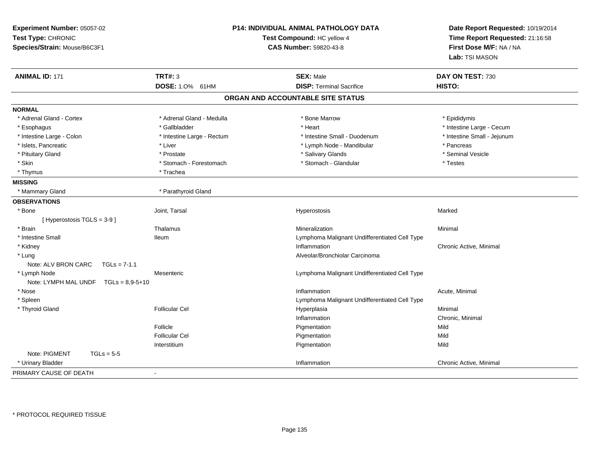| Experiment Number: 05057-02<br>Test Type: CHRONIC<br>Species/Strain: Mouse/B6C3F1 |                            | <b>P14: INDIVIDUAL ANIMAL PATHOLOGY DATA</b><br>Test Compound: HC yellow 4<br><b>CAS Number: 59820-43-8</b> | Date Report Requested: 10/19/2014<br>Time Report Requested: 21:16:58<br>First Dose M/F: NA / NA<br>Lab: TSI MASON |
|-----------------------------------------------------------------------------------|----------------------------|-------------------------------------------------------------------------------------------------------------|-------------------------------------------------------------------------------------------------------------------|
| <b>ANIMAL ID: 171</b>                                                             | <b>TRT#: 3</b>             | <b>SEX: Male</b>                                                                                            | DAY ON TEST: 730                                                                                                  |
|                                                                                   | DOSE: 1.0% 61HM            | <b>DISP: Terminal Sacrifice</b>                                                                             | HISTO:                                                                                                            |
|                                                                                   |                            | ORGAN AND ACCOUNTABLE SITE STATUS                                                                           |                                                                                                                   |
| <b>NORMAL</b>                                                                     |                            |                                                                                                             |                                                                                                                   |
| * Adrenal Gland - Cortex                                                          | * Adrenal Gland - Medulla  | * Bone Marrow                                                                                               | * Epididymis                                                                                                      |
| * Esophagus                                                                       | * Gallbladder              | * Heart                                                                                                     | * Intestine Large - Cecum                                                                                         |
| * Intestine Large - Colon                                                         | * Intestine Large - Rectum | * Intestine Small - Duodenum                                                                                | * Intestine Small - Jejunum                                                                                       |
| * Islets, Pancreatic                                                              | * Liver                    | * Lymph Node - Mandibular                                                                                   | * Pancreas                                                                                                        |
| * Pituitary Gland                                                                 | * Prostate                 | * Salivary Glands                                                                                           | * Seminal Vesicle                                                                                                 |
| * Skin                                                                            | * Stomach - Forestomach    | * Stomach - Glandular                                                                                       | $^\star$ Testes                                                                                                   |
| * Thymus                                                                          | * Trachea                  |                                                                                                             |                                                                                                                   |
| <b>MISSING</b>                                                                    |                            |                                                                                                             |                                                                                                                   |
| * Mammary Gland                                                                   | * Parathyroid Gland        |                                                                                                             |                                                                                                                   |
| <b>OBSERVATIONS</b>                                                               |                            |                                                                                                             |                                                                                                                   |
| * Bone                                                                            | Joint, Tarsal              | Hyperostosis                                                                                                | Marked                                                                                                            |
| [ Hyperostosis TGLS = 3-9 ]                                                       |                            |                                                                                                             |                                                                                                                   |
| * Brain                                                                           | Thalamus                   | Mineralization                                                                                              | Minimal                                                                                                           |
| * Intestine Small                                                                 | <b>Ileum</b>               | Lymphoma Malignant Undifferentiated Cell Type                                                               |                                                                                                                   |
| * Kidney                                                                          |                            | Inflammation                                                                                                | Chronic Active, Minimal                                                                                           |
| * Lung                                                                            |                            | Alveolar/Bronchiolar Carcinoma                                                                              |                                                                                                                   |
| Note: ALV BRON CARC<br>$TGLs = 7-1.1$                                             |                            |                                                                                                             |                                                                                                                   |
| * Lymph Node                                                                      | Mesenteric                 | Lymphoma Malignant Undifferentiated Cell Type                                                               |                                                                                                                   |
| Note: LYMPH MAL UNDF $TGLs = 8.9 - 5 + 10$                                        |                            |                                                                                                             |                                                                                                                   |
| * Nose                                                                            |                            | Inflammation                                                                                                | Acute, Minimal                                                                                                    |
| * Spleen                                                                          |                            | Lymphoma Malignant Undifferentiated Cell Type                                                               |                                                                                                                   |
| * Thyroid Gland                                                                   | <b>Follicular Cel</b>      | Hyperplasia                                                                                                 | Minimal                                                                                                           |
|                                                                                   |                            | Inflammation                                                                                                | Chronic, Minimal                                                                                                  |
|                                                                                   | Follicle                   | Pigmentation                                                                                                | Mild                                                                                                              |
|                                                                                   | <b>Follicular Cel</b>      | Pigmentation                                                                                                | Mild                                                                                                              |
|                                                                                   | Interstitium               | Pigmentation                                                                                                | Mild                                                                                                              |
| Note: PIGMENT<br>$TGLs = 5-5$                                                     |                            |                                                                                                             |                                                                                                                   |
| * Urinary Bladder                                                                 |                            | Inflammation                                                                                                | Chronic Active, Minimal                                                                                           |
| PRIMARY CAUSE OF DEATH                                                            |                            |                                                                                                             |                                                                                                                   |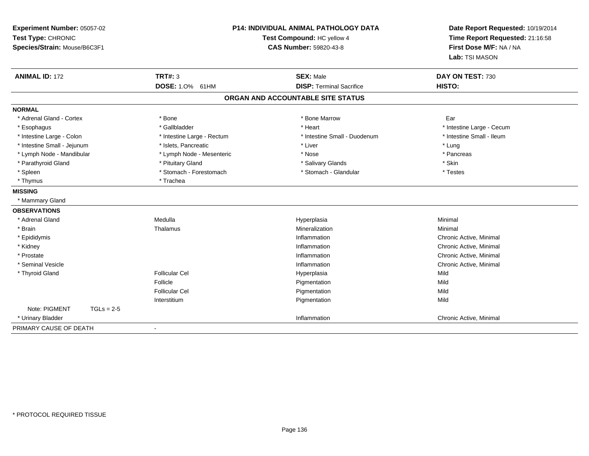| Experiment Number: 05057-02<br>Test Type: CHRONIC<br>Species/Strain: Mouse/B6C3F1 |                                   | <b>P14: INDIVIDUAL ANIMAL PATHOLOGY DATA</b><br>Test Compound: HC yellow 4<br>CAS Number: 59820-43-8 | Date Report Requested: 10/19/2014<br>Time Report Requested: 21:16:58<br>First Dose M/F: NA / NA<br>Lab: TSI MASON |
|-----------------------------------------------------------------------------------|-----------------------------------|------------------------------------------------------------------------------------------------------|-------------------------------------------------------------------------------------------------------------------|
| <b>ANIMAL ID: 172</b>                                                             | <b>TRT#: 3</b><br>DOSE: 1.0% 61HM | <b>SEX: Male</b><br><b>DISP: Terminal Sacrifice</b>                                                  | DAY ON TEST: 730<br>HISTO:                                                                                        |
|                                                                                   |                                   | ORGAN AND ACCOUNTABLE SITE STATUS                                                                    |                                                                                                                   |
|                                                                                   |                                   |                                                                                                      |                                                                                                                   |
| <b>NORMAL</b>                                                                     |                                   |                                                                                                      |                                                                                                                   |
| * Adrenal Gland - Cortex                                                          | * Bone                            | * Bone Marrow                                                                                        | Ear                                                                                                               |
| * Esophagus                                                                       | * Gallbladder                     | * Heart                                                                                              | * Intestine Large - Cecum                                                                                         |
| * Intestine Large - Colon                                                         | * Intestine Large - Rectum        | * Intestine Small - Duodenum                                                                         | * Intestine Small - Ileum                                                                                         |
| * Intestine Small - Jejunum                                                       | * Islets. Pancreatic              | * Liver                                                                                              | * Lung                                                                                                            |
| * Lymph Node - Mandibular                                                         | * Lymph Node - Mesenteric         | * Nose                                                                                               | * Pancreas                                                                                                        |
| * Parathyroid Gland                                                               | * Pituitary Gland                 | * Salivary Glands                                                                                    | * Skin                                                                                                            |
| * Spleen                                                                          | * Stomach - Forestomach           | * Stomach - Glandular                                                                                | * Testes                                                                                                          |
| * Thymus                                                                          | * Trachea                         |                                                                                                      |                                                                                                                   |
| <b>MISSING</b>                                                                    |                                   |                                                                                                      |                                                                                                                   |
| * Mammary Gland                                                                   |                                   |                                                                                                      |                                                                                                                   |
| <b>OBSERVATIONS</b>                                                               |                                   |                                                                                                      |                                                                                                                   |
| * Adrenal Gland                                                                   | Medulla                           | Hyperplasia                                                                                          | Minimal                                                                                                           |
| * Brain                                                                           | Thalamus                          | Mineralization                                                                                       | Minimal                                                                                                           |
| * Epididymis                                                                      |                                   | Inflammation                                                                                         | Chronic Active, Minimal                                                                                           |
| * Kidney                                                                          |                                   | Inflammation                                                                                         | Chronic Active, Minimal                                                                                           |
| * Prostate                                                                        |                                   | Inflammation                                                                                         | Chronic Active, Minimal                                                                                           |
| * Seminal Vesicle                                                                 |                                   | Inflammation                                                                                         | Chronic Active, Minimal                                                                                           |
| * Thyroid Gland                                                                   | <b>Follicular Cel</b>             | Hyperplasia                                                                                          | Mild                                                                                                              |
|                                                                                   | Follicle                          | Pigmentation                                                                                         | Mild                                                                                                              |
|                                                                                   | <b>Follicular Cel</b>             | Pigmentation                                                                                         | Mild                                                                                                              |
|                                                                                   | Interstitium                      | Pigmentation                                                                                         | Mild                                                                                                              |
| Note: PIGMENT<br>$TGLs = 2-5$                                                     |                                   |                                                                                                      |                                                                                                                   |
| * Urinary Bladder                                                                 |                                   | Inflammation                                                                                         | Chronic Active, Minimal                                                                                           |
| PRIMARY CAUSE OF DEATH                                                            | $\blacksquare$                    |                                                                                                      |                                                                                                                   |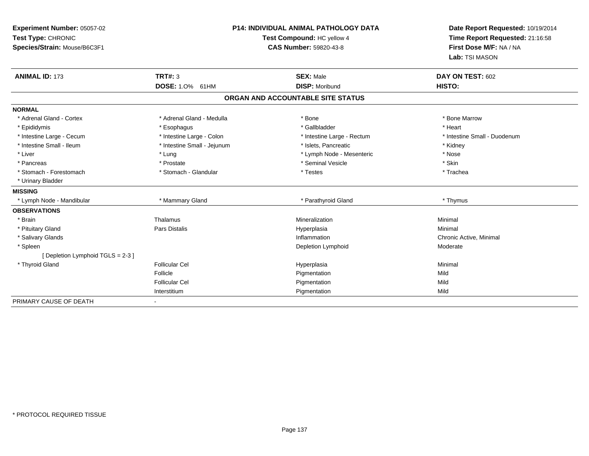| Experiment Number: 05057-02<br>Test Type: CHRONIC<br>Species/Strain: Mouse/B6C3F1 | <b>P14: INDIVIDUAL ANIMAL PATHOLOGY DATA</b><br>Test Compound: HC yellow 4<br><b>CAS Number: 59820-43-8</b> |                                           | Date Report Requested: 10/19/2014<br>Time Report Requested: 21:16:58<br>First Dose M/F: NA / NA<br>Lab: TSI MASON |  |
|-----------------------------------------------------------------------------------|-------------------------------------------------------------------------------------------------------------|-------------------------------------------|-------------------------------------------------------------------------------------------------------------------|--|
| <b>ANIMAL ID: 173</b>                                                             | <b>TRT#: 3</b>                                                                                              | <b>SEX: Male</b><br><b>DISP: Moribund</b> | DAY ON TEST: 602<br>HISTO:                                                                                        |  |
|                                                                                   | DOSE: 1.0% 61HM                                                                                             |                                           |                                                                                                                   |  |
|                                                                                   |                                                                                                             | ORGAN AND ACCOUNTABLE SITE STATUS         |                                                                                                                   |  |
| <b>NORMAL</b>                                                                     |                                                                                                             |                                           |                                                                                                                   |  |
| * Adrenal Gland - Cortex                                                          | * Adrenal Gland - Medulla                                                                                   | * Bone                                    | * Bone Marrow                                                                                                     |  |
| * Epididymis                                                                      | * Esophagus                                                                                                 | * Gallbladder                             | * Heart                                                                                                           |  |
| * Intestine Large - Cecum                                                         | * Intestine Large - Colon                                                                                   | * Intestine Large - Rectum                | * Intestine Small - Duodenum                                                                                      |  |
| * Intestine Small - Ileum                                                         | * Intestine Small - Jejunum                                                                                 | * Islets, Pancreatic                      | * Kidney                                                                                                          |  |
| * Liver                                                                           | * Lung                                                                                                      | * Lymph Node - Mesenteric                 | * Nose                                                                                                            |  |
| * Pancreas                                                                        | * Prostate                                                                                                  | * Seminal Vesicle                         | * Skin                                                                                                            |  |
| * Stomach - Forestomach                                                           | * Stomach - Glandular                                                                                       | * Testes                                  | * Trachea                                                                                                         |  |
| * Urinary Bladder                                                                 |                                                                                                             |                                           |                                                                                                                   |  |
| <b>MISSING</b>                                                                    |                                                                                                             |                                           |                                                                                                                   |  |
| * Lymph Node - Mandibular                                                         | * Mammary Gland                                                                                             | * Parathyroid Gland                       | * Thymus                                                                                                          |  |
| <b>OBSERVATIONS</b>                                                               |                                                                                                             |                                           |                                                                                                                   |  |
| * Brain                                                                           | Thalamus                                                                                                    | Mineralization                            | Minimal                                                                                                           |  |
| * Pituitary Gland                                                                 | <b>Pars Distalis</b>                                                                                        | Hyperplasia                               | Minimal                                                                                                           |  |
| * Salivary Glands                                                                 |                                                                                                             | Inflammation                              | Chronic Active, Minimal                                                                                           |  |
| * Spleen                                                                          |                                                                                                             | Depletion Lymphoid                        | Moderate                                                                                                          |  |
| [Depletion Lymphoid TGLS = 2-3 ]                                                  |                                                                                                             |                                           |                                                                                                                   |  |
| * Thyroid Gland                                                                   | <b>Follicular Cel</b>                                                                                       | Hyperplasia                               | Minimal                                                                                                           |  |
|                                                                                   | Follicle                                                                                                    | Pigmentation                              | Mild                                                                                                              |  |
|                                                                                   | <b>Follicular Cel</b>                                                                                       | Pigmentation                              | Mild                                                                                                              |  |
|                                                                                   | Interstitium                                                                                                | Pigmentation                              | Mild                                                                                                              |  |
| PRIMARY CAUSE OF DEATH                                                            |                                                                                                             |                                           |                                                                                                                   |  |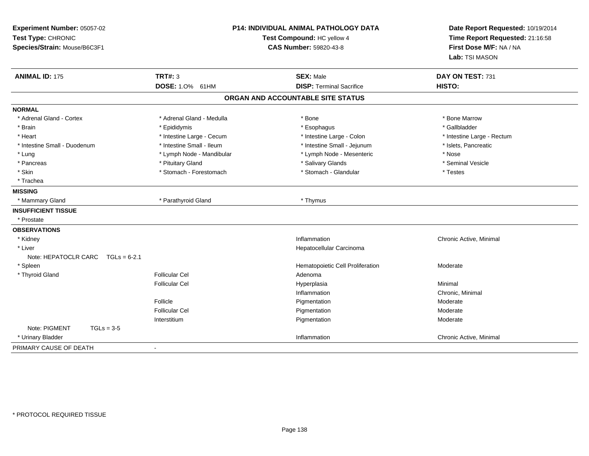| Experiment Number: 05057-02<br>Test Type: CHRONIC<br>Species/Strain: Mouse/B6C3F1 |                                   | P14: INDIVIDUAL ANIMAL PATHOLOGY DATA<br>Test Compound: HC yellow 4<br><b>CAS Number: 59820-43-8</b> | Date Report Requested: 10/19/2014<br>Time Report Requested: 21:16:58<br>First Dose M/F: NA / NA<br>Lab: TSI MASON |
|-----------------------------------------------------------------------------------|-----------------------------------|------------------------------------------------------------------------------------------------------|-------------------------------------------------------------------------------------------------------------------|
| <b>ANIMAL ID: 175</b>                                                             | <b>TRT#: 3</b><br>DOSE: 1.0% 61HM | <b>SEX: Male</b><br><b>DISP: Terminal Sacrifice</b>                                                  | DAY ON TEST: 731<br>HISTO:                                                                                        |
|                                                                                   |                                   | ORGAN AND ACCOUNTABLE SITE STATUS                                                                    |                                                                                                                   |
| <b>NORMAL</b>                                                                     |                                   |                                                                                                      |                                                                                                                   |
| * Adrenal Gland - Cortex                                                          | * Adrenal Gland - Medulla         | * Bone                                                                                               | * Bone Marrow                                                                                                     |
| * Brain                                                                           | * Epididymis                      | * Esophagus                                                                                          | * Gallbladder                                                                                                     |
| * Heart                                                                           | * Intestine Large - Cecum         | * Intestine Large - Colon                                                                            | * Intestine Large - Rectum                                                                                        |
| * Intestine Small - Duodenum                                                      | * Intestine Small - Ileum         | * Intestine Small - Jejunum                                                                          | * Islets, Pancreatic                                                                                              |
| * Lung                                                                            | * Lymph Node - Mandibular         | * Lymph Node - Mesenteric                                                                            | * Nose                                                                                                            |
| * Pancreas                                                                        | * Pituitary Gland                 | * Salivary Glands                                                                                    | * Seminal Vesicle                                                                                                 |
| * Skin                                                                            | * Stomach - Forestomach           | * Stomach - Glandular                                                                                | * Testes                                                                                                          |
| * Trachea                                                                         |                                   |                                                                                                      |                                                                                                                   |
| <b>MISSING</b>                                                                    |                                   |                                                                                                      |                                                                                                                   |
| * Mammary Gland                                                                   | * Parathyroid Gland               | * Thymus                                                                                             |                                                                                                                   |
| <b>INSUFFICIENT TISSUE</b>                                                        |                                   |                                                                                                      |                                                                                                                   |
| * Prostate                                                                        |                                   |                                                                                                      |                                                                                                                   |
| <b>OBSERVATIONS</b>                                                               |                                   |                                                                                                      |                                                                                                                   |
| * Kidney                                                                          |                                   | Inflammation                                                                                         | Chronic Active, Minimal                                                                                           |
| * Liver                                                                           |                                   | Hepatocellular Carcinoma                                                                             |                                                                                                                   |
| Note: HEPATOCLR CARC<br>$TGLs = 6-2.1$                                            |                                   |                                                                                                      |                                                                                                                   |
| * Spleen                                                                          |                                   | Hematopoietic Cell Proliferation                                                                     | Moderate                                                                                                          |
| * Thyroid Gland                                                                   | <b>Follicular Cel</b>             | Adenoma                                                                                              |                                                                                                                   |
|                                                                                   | <b>Follicular Cel</b>             | Hyperplasia                                                                                          | Minimal                                                                                                           |
|                                                                                   |                                   | Inflammation                                                                                         | Chronic, Minimal                                                                                                  |
|                                                                                   | Follicle                          | Pigmentation                                                                                         | Moderate                                                                                                          |
|                                                                                   | <b>Follicular Cel</b>             | Pigmentation                                                                                         | Moderate                                                                                                          |
|                                                                                   | Interstitium                      | Pigmentation                                                                                         | Moderate                                                                                                          |
| Note: PIGMENT<br>$TGLs = 3-5$                                                     |                                   |                                                                                                      |                                                                                                                   |
| * Urinary Bladder                                                                 |                                   | Inflammation                                                                                         | Chronic Active, Minimal                                                                                           |
| PRIMARY CAUSE OF DEATH                                                            | $\blacksquare$                    |                                                                                                      |                                                                                                                   |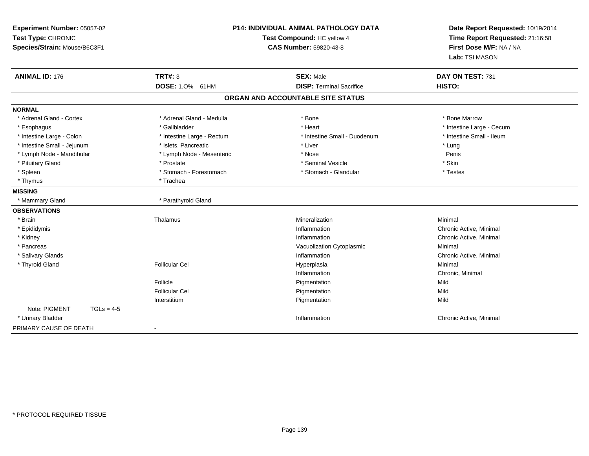| Experiment Number: 05057-02<br>Test Type: CHRONIC<br>Species/Strain: Mouse/B6C3F1 | <b>P14: INDIVIDUAL ANIMAL PATHOLOGY DATA</b><br>Test Compound: HC yellow 4<br>CAS Number: 59820-43-8 |                                                     | Date Report Requested: 10/19/2014<br>Time Report Requested: 21:16:58<br>First Dose M/F: NA / NA<br>Lab: TSI MASON |
|-----------------------------------------------------------------------------------|------------------------------------------------------------------------------------------------------|-----------------------------------------------------|-------------------------------------------------------------------------------------------------------------------|
| <b>ANIMAL ID: 176</b>                                                             | <b>TRT#: 3</b><br>DOSE: 1.0% 61HM                                                                    | <b>SEX: Male</b><br><b>DISP: Terminal Sacrifice</b> | DAY ON TEST: 731<br>HISTO:                                                                                        |
|                                                                                   |                                                                                                      | ORGAN AND ACCOUNTABLE SITE STATUS                   |                                                                                                                   |
| <b>NORMAL</b>                                                                     |                                                                                                      |                                                     |                                                                                                                   |
| * Adrenal Gland - Cortex                                                          | * Adrenal Gland - Medulla                                                                            | * Bone                                              | * Bone Marrow                                                                                                     |
| * Esophagus                                                                       | * Gallbladder                                                                                        | * Heart                                             | * Intestine Large - Cecum                                                                                         |
| * Intestine Large - Colon                                                         | * Intestine Large - Rectum                                                                           | * Intestine Small - Duodenum                        | * Intestine Small - Ileum                                                                                         |
| * Intestine Small - Jejunum                                                       | * Islets. Pancreatic                                                                                 | * Liver                                             | * Lung                                                                                                            |
| * Lymph Node - Mandibular                                                         | * Lymph Node - Mesenteric                                                                            | * Nose                                              | Penis                                                                                                             |
| * Pituitary Gland                                                                 | * Prostate                                                                                           | * Seminal Vesicle                                   | * Skin                                                                                                            |
| * Spleen                                                                          | * Stomach - Forestomach                                                                              | * Stomach - Glandular                               | * Testes                                                                                                          |
| * Thymus                                                                          | * Trachea                                                                                            |                                                     |                                                                                                                   |
| <b>MISSING</b>                                                                    |                                                                                                      |                                                     |                                                                                                                   |
| * Mammary Gland                                                                   | * Parathyroid Gland                                                                                  |                                                     |                                                                                                                   |
| <b>OBSERVATIONS</b>                                                               |                                                                                                      |                                                     |                                                                                                                   |
| * Brain                                                                           | Thalamus                                                                                             | Mineralization                                      | Minimal                                                                                                           |
| * Epididymis                                                                      |                                                                                                      | Inflammation                                        | Chronic Active, Minimal                                                                                           |
| * Kidney                                                                          |                                                                                                      | Inflammation                                        | Chronic Active, Minimal                                                                                           |
| * Pancreas                                                                        |                                                                                                      | Vacuolization Cytoplasmic                           | Minimal                                                                                                           |
| * Salivary Glands                                                                 |                                                                                                      | Inflammation                                        | Chronic Active, Minimal                                                                                           |
| * Thyroid Gland                                                                   | <b>Follicular Cel</b>                                                                                | Hyperplasia                                         | Minimal                                                                                                           |
|                                                                                   |                                                                                                      | Inflammation                                        | Chronic, Minimal                                                                                                  |
|                                                                                   | Follicle                                                                                             | Pigmentation                                        | Mild                                                                                                              |
|                                                                                   | <b>Follicular Cel</b>                                                                                | Pigmentation                                        | Mild                                                                                                              |
|                                                                                   | Interstitium                                                                                         | Pigmentation                                        | Mild                                                                                                              |
| Note: PIGMENT<br>$TGLs = 4-5$                                                     |                                                                                                      |                                                     |                                                                                                                   |
| * Urinary Bladder                                                                 |                                                                                                      | Inflammation                                        | Chronic Active, Minimal                                                                                           |
| PRIMARY CAUSE OF DEATH                                                            | $\blacksquare$                                                                                       |                                                     |                                                                                                                   |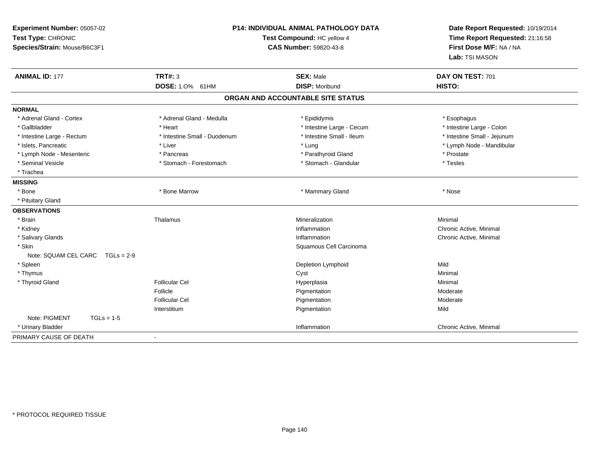| Experiment Number: 05057-02<br>Test Type: CHRONIC<br>Species/Strain: Mouse/B6C3F1 |                              | <b>P14: INDIVIDUAL ANIMAL PATHOLOGY DATA</b><br>Test Compound: HC yellow 4<br><b>CAS Number: 59820-43-8</b> | Date Report Requested: 10/19/2014<br>Time Report Requested: 21:16:58<br>First Dose M/F: NA / NA<br>Lab: TSI MASON |
|-----------------------------------------------------------------------------------|------------------------------|-------------------------------------------------------------------------------------------------------------|-------------------------------------------------------------------------------------------------------------------|
| <b>ANIMAL ID: 177</b>                                                             | <b>TRT#: 3</b>               | <b>SEX: Male</b>                                                                                            | DAY ON TEST: 701                                                                                                  |
|                                                                                   | DOSE: 1.0% 61HM              | <b>DISP: Moribund</b>                                                                                       | HISTO:                                                                                                            |
|                                                                                   |                              | ORGAN AND ACCOUNTABLE SITE STATUS                                                                           |                                                                                                                   |
| <b>NORMAL</b>                                                                     |                              |                                                                                                             |                                                                                                                   |
| * Adrenal Gland - Cortex                                                          | * Adrenal Gland - Medulla    | * Epididymis                                                                                                | * Esophagus                                                                                                       |
| * Gallbladder                                                                     | * Heart                      | * Intestine Large - Cecum                                                                                   | * Intestine Large - Colon                                                                                         |
| * Intestine Large - Rectum                                                        | * Intestine Small - Duodenum | * Intestine Small - Ileum                                                                                   | * Intestine Small - Jejunum                                                                                       |
| * Islets, Pancreatic                                                              | * Liver                      | * Lung                                                                                                      | * Lymph Node - Mandibular                                                                                         |
| * Lymph Node - Mesenteric                                                         | * Pancreas                   | * Parathyroid Gland                                                                                         | * Prostate                                                                                                        |
| * Seminal Vesicle                                                                 | * Stomach - Forestomach      | * Stomach - Glandular                                                                                       | * Testes                                                                                                          |
| * Trachea                                                                         |                              |                                                                                                             |                                                                                                                   |
| <b>MISSING</b>                                                                    |                              |                                                                                                             |                                                                                                                   |
| * Bone                                                                            | * Bone Marrow                | * Mammary Gland                                                                                             | * Nose                                                                                                            |
| * Pituitary Gland                                                                 |                              |                                                                                                             |                                                                                                                   |
| <b>OBSERVATIONS</b>                                                               |                              |                                                                                                             |                                                                                                                   |
| * Brain                                                                           | Thalamus                     | Mineralization                                                                                              | Minimal                                                                                                           |
| * Kidney                                                                          |                              | Inflammation                                                                                                | Chronic Active, Minimal                                                                                           |
| * Salivary Glands                                                                 |                              | Inflammation                                                                                                | Chronic Active, Minimal                                                                                           |
| * Skin                                                                            |                              | Squamous Cell Carcinoma                                                                                     |                                                                                                                   |
| Note: SQUAM CEL CARC<br>$TGLS = 2-9$                                              |                              |                                                                                                             |                                                                                                                   |
| * Spleen                                                                          |                              | Depletion Lymphoid                                                                                          | Mild                                                                                                              |
| * Thymus                                                                          |                              | Cyst                                                                                                        | Minimal                                                                                                           |
| * Thyroid Gland                                                                   | <b>Follicular Cel</b>        | Hyperplasia                                                                                                 | Minimal                                                                                                           |
|                                                                                   | Follicle                     | Pigmentation                                                                                                | Moderate                                                                                                          |
|                                                                                   | <b>Follicular Cel</b>        | Pigmentation                                                                                                | Moderate                                                                                                          |
|                                                                                   | Interstitium                 | Pigmentation                                                                                                | Mild                                                                                                              |
| Note: PIGMENT<br>$TGLs = 1-5$                                                     |                              |                                                                                                             |                                                                                                                   |
| * Urinary Bladder                                                                 |                              | Inflammation                                                                                                | Chronic Active, Minimal                                                                                           |
| PRIMARY CAUSE OF DEATH                                                            | $\blacksquare$               |                                                                                                             |                                                                                                                   |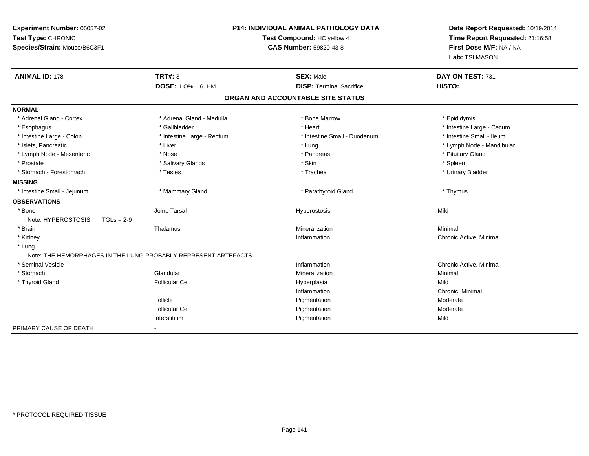| Experiment Number: 05057-02<br>Test Type: CHRONIC<br>Species/Strain: Mouse/B6C3F1 |                                                                | <b>P14: INDIVIDUAL ANIMAL PATHOLOGY DATA</b><br>Test Compound: HC yellow 4<br><b>CAS Number: 59820-43-8</b> | Date Report Requested: 10/19/2014<br>Time Report Requested: 21:16:58<br>First Dose M/F: NA / NA<br>Lab: TSI MASON |
|-----------------------------------------------------------------------------------|----------------------------------------------------------------|-------------------------------------------------------------------------------------------------------------|-------------------------------------------------------------------------------------------------------------------|
| <b>ANIMAL ID: 178</b>                                                             | <b>TRT#: 3</b><br>DOSE: 1.0% 61HM                              | <b>SEX: Male</b><br><b>DISP: Terminal Sacrifice</b>                                                         | DAY ON TEST: 731<br>HISTO:                                                                                        |
|                                                                                   |                                                                |                                                                                                             |                                                                                                                   |
|                                                                                   |                                                                | ORGAN AND ACCOUNTABLE SITE STATUS                                                                           |                                                                                                                   |
| <b>NORMAL</b>                                                                     |                                                                |                                                                                                             |                                                                                                                   |
| * Adrenal Gland - Cortex                                                          | * Adrenal Gland - Medulla                                      | * Bone Marrow                                                                                               | * Epididymis                                                                                                      |
| * Esophagus                                                                       | * Gallbladder                                                  | * Heart                                                                                                     | * Intestine Large - Cecum                                                                                         |
| * Intestine Large - Colon                                                         | * Intestine Large - Rectum                                     | * Intestine Small - Duodenum                                                                                | * Intestine Small - Ileum                                                                                         |
| * Islets, Pancreatic                                                              | * Liver                                                        | * Lung                                                                                                      | * Lymph Node - Mandibular                                                                                         |
| * Lymph Node - Mesenteric                                                         | * Nose                                                         | * Pancreas                                                                                                  | * Pituitary Gland                                                                                                 |
| * Prostate                                                                        | * Salivary Glands                                              | * Skin                                                                                                      | * Spleen                                                                                                          |
| * Stomach - Forestomach                                                           | * Testes                                                       | * Trachea                                                                                                   | * Urinary Bladder                                                                                                 |
| <b>MISSING</b>                                                                    |                                                                |                                                                                                             |                                                                                                                   |
| * Intestine Small - Jejunum                                                       | * Mammary Gland                                                | * Parathyroid Gland                                                                                         | * Thymus                                                                                                          |
| <b>OBSERVATIONS</b>                                                               |                                                                |                                                                                                             |                                                                                                                   |
| * Bone                                                                            | Joint, Tarsal                                                  | Hyperostosis                                                                                                | Mild                                                                                                              |
| Note: HYPEROSTOSIS<br>$TGLs = 2-9$                                                |                                                                |                                                                                                             |                                                                                                                   |
| * Brain                                                                           | Thalamus                                                       | Mineralization                                                                                              | Minimal                                                                                                           |
| * Kidney                                                                          |                                                                | Inflammation                                                                                                | Chronic Active, Minimal                                                                                           |
| * Lung                                                                            |                                                                |                                                                                                             |                                                                                                                   |
|                                                                                   | Note: THE HEMORRHAGES IN THE LUNG PROBABLY REPRESENT ARTEFACTS |                                                                                                             |                                                                                                                   |
| * Seminal Vesicle                                                                 |                                                                | Inflammation                                                                                                | Chronic Active, Minimal                                                                                           |
| * Stomach                                                                         | Glandular                                                      | Mineralization                                                                                              | Minimal                                                                                                           |
| * Thyroid Gland                                                                   | <b>Follicular Cel</b>                                          | Hyperplasia                                                                                                 | Mild                                                                                                              |
|                                                                                   |                                                                | Inflammation                                                                                                | Chronic, Minimal                                                                                                  |
|                                                                                   | Follicle                                                       | Pigmentation                                                                                                | Moderate                                                                                                          |
|                                                                                   | <b>Follicular Cel</b>                                          | Pigmentation                                                                                                | Moderate                                                                                                          |
|                                                                                   | Interstitium                                                   | Pigmentation                                                                                                | Mild                                                                                                              |
| PRIMARY CAUSE OF DEATH                                                            | $\blacksquare$                                                 |                                                                                                             |                                                                                                                   |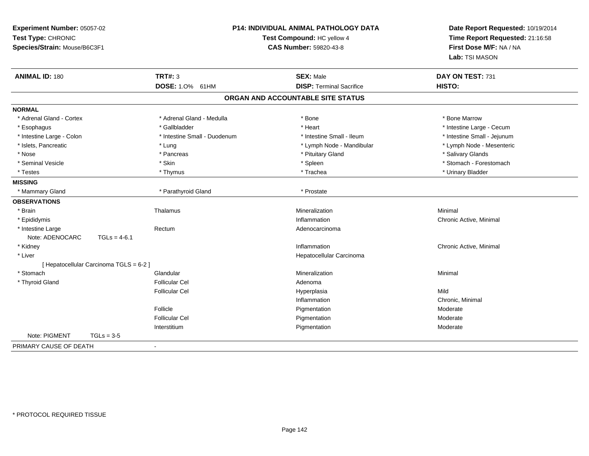| Experiment Number: 05057-02<br>Test Type: CHRONIC<br>Species/Strain: Mouse/B6C3F1 |                              | P14: INDIVIDUAL ANIMAL PATHOLOGY DATA<br>Test Compound: HC yellow 4<br><b>CAS Number: 59820-43-8</b> | Date Report Requested: 10/19/2014<br>Time Report Requested: 21:16:58<br>First Dose M/F: NA / NA<br>Lab: TSI MASON |
|-----------------------------------------------------------------------------------|------------------------------|------------------------------------------------------------------------------------------------------|-------------------------------------------------------------------------------------------------------------------|
| <b>ANIMAL ID: 180</b>                                                             | <b>TRT#: 3</b>               | <b>SEX: Male</b>                                                                                     | DAY ON TEST: 731                                                                                                  |
|                                                                                   | <b>DOSE: 1.0%</b><br>61HM    | <b>DISP: Terminal Sacrifice</b>                                                                      | HISTO:                                                                                                            |
|                                                                                   |                              | ORGAN AND ACCOUNTABLE SITE STATUS                                                                    |                                                                                                                   |
| <b>NORMAL</b>                                                                     |                              |                                                                                                      |                                                                                                                   |
| * Adrenal Gland - Cortex                                                          | * Adrenal Gland - Medulla    | * Bone                                                                                               | * Bone Marrow                                                                                                     |
| * Esophagus                                                                       | * Gallbladder                | * Heart                                                                                              | * Intestine Large - Cecum                                                                                         |
| * Intestine Large - Colon                                                         | * Intestine Small - Duodenum | * Intestine Small - Ileum                                                                            | * Intestine Small - Jejunum                                                                                       |
| * Islets, Pancreatic                                                              | * Lung                       | * Lymph Node - Mandibular                                                                            | * Lymph Node - Mesenteric                                                                                         |
| * Nose                                                                            | * Pancreas                   | * Pituitary Gland                                                                                    | * Salivary Glands                                                                                                 |
| * Seminal Vesicle                                                                 | * Skin                       | * Spleen                                                                                             | * Stomach - Forestomach                                                                                           |
| * Testes                                                                          | * Thymus                     | * Trachea                                                                                            | * Urinary Bladder                                                                                                 |
| <b>MISSING</b>                                                                    |                              |                                                                                                      |                                                                                                                   |
| * Mammary Gland                                                                   | * Parathyroid Gland          | * Prostate                                                                                           |                                                                                                                   |
| <b>OBSERVATIONS</b>                                                               |                              |                                                                                                      |                                                                                                                   |
| * Brain                                                                           | Thalamus                     | Mineralization                                                                                       | Minimal                                                                                                           |
| * Epididymis                                                                      |                              | Inflammation                                                                                         | Chronic Active, Minimal                                                                                           |
| * Intestine Large                                                                 | Rectum                       | Adenocarcinoma                                                                                       |                                                                                                                   |
| Note: ADENOCARC<br>$TGLs = 4-6.1$                                                 |                              |                                                                                                      |                                                                                                                   |
| * Kidney                                                                          |                              | Inflammation                                                                                         | Chronic Active, Minimal                                                                                           |
| * Liver                                                                           |                              | Hepatocellular Carcinoma                                                                             |                                                                                                                   |
| [ Hepatocellular Carcinoma TGLS = 6-2 ]                                           |                              |                                                                                                      |                                                                                                                   |
| * Stomach                                                                         | Glandular                    | Mineralization                                                                                       | Minimal                                                                                                           |
| * Thyroid Gland                                                                   | <b>Follicular Cel</b>        | Adenoma                                                                                              |                                                                                                                   |
|                                                                                   | <b>Follicular Cel</b>        | Hyperplasia                                                                                          | Mild                                                                                                              |
|                                                                                   |                              | Inflammation                                                                                         | Chronic, Minimal                                                                                                  |
|                                                                                   | Follicle                     | Pigmentation                                                                                         | Moderate                                                                                                          |
|                                                                                   | <b>Follicular Cel</b>        | Pigmentation                                                                                         | Moderate                                                                                                          |
|                                                                                   | Interstitium                 | Pigmentation                                                                                         | Moderate                                                                                                          |
| Note: PIGMENT<br>$TGLs = 3-5$                                                     |                              |                                                                                                      |                                                                                                                   |
| PRIMARY CAUSE OF DEATH                                                            | $\blacksquare$               |                                                                                                      |                                                                                                                   |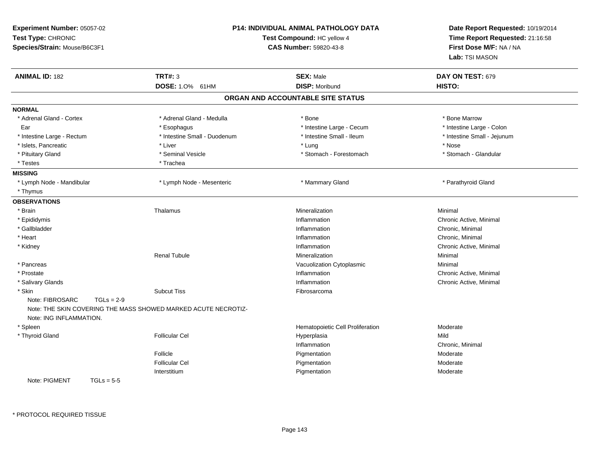| Experiment Number: 05057-02<br>Test Type: CHRONIC<br>Species/Strain: Mouse/B6C3F1 | <b>P14: INDIVIDUAL ANIMAL PATHOLOGY DATA</b><br>Test Compound: HC yellow 4<br><b>CAS Number: 59820-43-8</b> |                              | Date Report Requested: 10/19/2014<br>Time Report Requested: 21:16:58<br>First Dose M/F: NA / NA<br>Lab: TSI MASON |                             |
|-----------------------------------------------------------------------------------|-------------------------------------------------------------------------------------------------------------|------------------------------|-------------------------------------------------------------------------------------------------------------------|-----------------------------|
| <b>ANIMAL ID: 182</b>                                                             | <b>TRT#: 3</b>                                                                                              |                              | <b>SEX: Male</b>                                                                                                  | DAY ON TEST: 679            |
|                                                                                   | DOSE: 1.0% 61HM                                                                                             |                              | <b>DISP: Moribund</b>                                                                                             | HISTO:                      |
|                                                                                   |                                                                                                             |                              | ORGAN AND ACCOUNTABLE SITE STATUS                                                                                 |                             |
| <b>NORMAL</b>                                                                     |                                                                                                             |                              |                                                                                                                   |                             |
| * Adrenal Gland - Cortex                                                          | * Adrenal Gland - Medulla                                                                                   |                              | * Bone                                                                                                            | * Bone Marrow               |
| Ear                                                                               | * Esophagus                                                                                                 |                              | * Intestine Large - Cecum                                                                                         | * Intestine Large - Colon   |
| * Intestine Large - Rectum                                                        |                                                                                                             | * Intestine Small - Duodenum | * Intestine Small - Ileum                                                                                         | * Intestine Small - Jejunum |
| * Islets, Pancreatic                                                              | * Liver                                                                                                     |                              | * Lung                                                                                                            | * Nose                      |
| * Pituitary Gland                                                                 | * Seminal Vesicle                                                                                           |                              | * Stomach - Forestomach                                                                                           | * Stomach - Glandular       |
| * Testes                                                                          | * Trachea                                                                                                   |                              |                                                                                                                   |                             |
| <b>MISSING</b>                                                                    |                                                                                                             |                              |                                                                                                                   |                             |
| * Lymph Node - Mandibular                                                         | * Lymph Node - Mesenteric                                                                                   |                              | * Mammary Gland                                                                                                   | * Parathyroid Gland         |
| * Thymus                                                                          |                                                                                                             |                              |                                                                                                                   |                             |
| <b>OBSERVATIONS</b>                                                               |                                                                                                             |                              |                                                                                                                   |                             |
| * Brain                                                                           | Thalamus                                                                                                    |                              | Mineralization                                                                                                    | Minimal                     |
| * Epididymis                                                                      |                                                                                                             |                              | Inflammation                                                                                                      | Chronic Active, Minimal     |
| * Gallbladder                                                                     |                                                                                                             |                              | Inflammation                                                                                                      | Chronic, Minimal            |
| * Heart                                                                           |                                                                                                             |                              | Inflammation                                                                                                      | Chronic, Minimal            |
| * Kidney                                                                          |                                                                                                             |                              | Inflammation                                                                                                      | Chronic Active, Minimal     |
|                                                                                   | Renal Tubule                                                                                                |                              | Mineralization                                                                                                    | Minimal                     |
| * Pancreas                                                                        |                                                                                                             |                              | Vacuolization Cytoplasmic                                                                                         | Minimal                     |
| * Prostate                                                                        |                                                                                                             |                              | Inflammation                                                                                                      | Chronic Active, Minimal     |
| * Salivary Glands                                                                 |                                                                                                             |                              | Inflammation                                                                                                      | Chronic Active, Minimal     |
| * Skin                                                                            | <b>Subcut Tiss</b>                                                                                          |                              | Fibrosarcoma                                                                                                      |                             |
| Note: FIBROSARC<br>Note: ING INFLAMMATION.                                        | $TGLs = 2-9$<br>Note: THE SKIN COVERING THE MASS SHOWED MARKED ACUTE NECROTIZ-                              |                              |                                                                                                                   |                             |
| * Spleen                                                                          |                                                                                                             |                              | Hematopoietic Cell Proliferation                                                                                  | Moderate                    |
| * Thyroid Gland                                                                   | <b>Follicular Cel</b>                                                                                       |                              | Hyperplasia                                                                                                       | Mild                        |
|                                                                                   |                                                                                                             |                              | Inflammation                                                                                                      | Chronic, Minimal            |
|                                                                                   | Follicle                                                                                                    |                              | Pigmentation                                                                                                      | Moderate                    |
|                                                                                   | <b>Follicular Cel</b>                                                                                       |                              | Pigmentation                                                                                                      | Moderate                    |
|                                                                                   | Interstitium                                                                                                |                              | Pigmentation                                                                                                      | Moderate                    |
| Note: PIGMENT                                                                     | $TGLs = 5-5$                                                                                                |                              |                                                                                                                   |                             |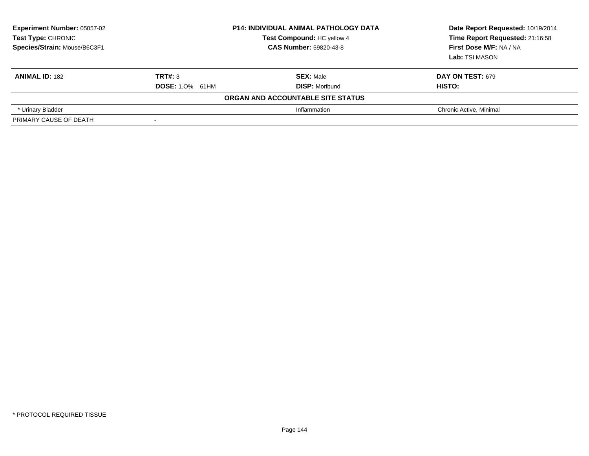| <b>Experiment Number: 05057-02</b><br>Test Type: CHRONIC<br>Species/Strain: Mouse/B6C3F1 | <b>P14: INDIVIDUAL ANIMAL PATHOLOGY DATA</b><br>Test Compound: HC yellow 4<br><b>CAS Number: 59820-43-8</b> |                                   | Date Report Requested: 10/19/2014<br>Time Report Requested: 21:16:58<br>First Dose M/F: NA / NA<br>Lab: TSI MASON |
|------------------------------------------------------------------------------------------|-------------------------------------------------------------------------------------------------------------|-----------------------------------|-------------------------------------------------------------------------------------------------------------------|
| <b>ANIMAL ID: 182</b>                                                                    | TRT#: 3                                                                                                     | <b>SEX: Male</b>                  | <b>DAY ON TEST: 679</b>                                                                                           |
|                                                                                          | <b>DOSE: 1.0% 61HM</b>                                                                                      | <b>DISP: Moribund</b>             | HISTO:                                                                                                            |
|                                                                                          |                                                                                                             | ORGAN AND ACCOUNTABLE SITE STATUS |                                                                                                                   |
| * Urinary Bladder                                                                        |                                                                                                             | Inflammation                      | Chronic Active, Minimal                                                                                           |
| PRIMARY CAUSE OF DEATH                                                                   |                                                                                                             |                                   |                                                                                                                   |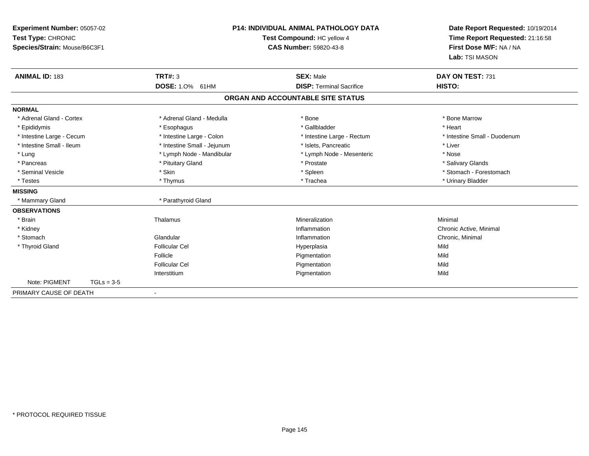| Experiment Number: 05057-02<br>Test Type: CHRONIC<br>Species/Strain: Mouse/B6C3F1 |              | <b>P14: INDIVIDUAL ANIMAL PATHOLOGY DATA</b><br>Test Compound: HC yellow 4<br><b>CAS Number: 59820-43-8</b> |                                   | Date Report Requested: 10/19/2014<br>Time Report Requested: 21:16:58<br>First Dose M/F: NA / NA<br>Lab: TSI MASON |
|-----------------------------------------------------------------------------------|--------------|-------------------------------------------------------------------------------------------------------------|-----------------------------------|-------------------------------------------------------------------------------------------------------------------|
| <b>ANIMAL ID: 183</b>                                                             |              | <b>TRT#: 3</b>                                                                                              | <b>SEX: Male</b>                  | DAY ON TEST: 731                                                                                                  |
|                                                                                   |              | <b>DOSE: 1.0% 61HM</b>                                                                                      | <b>DISP: Terminal Sacrifice</b>   | HISTO:                                                                                                            |
|                                                                                   |              |                                                                                                             | ORGAN AND ACCOUNTABLE SITE STATUS |                                                                                                                   |
| <b>NORMAL</b>                                                                     |              |                                                                                                             |                                   |                                                                                                                   |
| * Adrenal Gland - Cortex                                                          |              | * Adrenal Gland - Medulla                                                                                   | * Bone                            | * Bone Marrow                                                                                                     |
| * Epididymis                                                                      |              | * Esophagus                                                                                                 | * Gallbladder                     | * Heart                                                                                                           |
| * Intestine Large - Cecum                                                         |              | * Intestine Large - Colon                                                                                   | * Intestine Large - Rectum        | * Intestine Small - Duodenum                                                                                      |
| * Intestine Small - Ileum                                                         |              | * Intestine Small - Jejunum                                                                                 | * Islets. Pancreatic              | * Liver                                                                                                           |
| * Lung                                                                            |              | * Lymph Node - Mandibular                                                                                   | * Lymph Node - Mesenteric         | * Nose                                                                                                            |
| * Pancreas                                                                        |              | * Pituitary Gland                                                                                           | * Prostate                        | * Salivary Glands                                                                                                 |
| * Seminal Vesicle                                                                 |              | * Skin                                                                                                      | * Spleen                          | * Stomach - Forestomach                                                                                           |
| * Testes                                                                          |              | * Thymus                                                                                                    | * Trachea                         | * Urinary Bladder                                                                                                 |
| <b>MISSING</b>                                                                    |              |                                                                                                             |                                   |                                                                                                                   |
| * Mammary Gland                                                                   |              | * Parathyroid Gland                                                                                         |                                   |                                                                                                                   |
| <b>OBSERVATIONS</b>                                                               |              |                                                                                                             |                                   |                                                                                                                   |
| * Brain                                                                           |              | Thalamus                                                                                                    | Mineralization                    | Minimal                                                                                                           |
| * Kidney                                                                          |              |                                                                                                             | Inflammation                      | Chronic Active, Minimal                                                                                           |
| * Stomach                                                                         |              | Glandular                                                                                                   | Inflammation                      | Chronic, Minimal                                                                                                  |
| * Thyroid Gland                                                                   |              | <b>Follicular Cel</b>                                                                                       | Hyperplasia                       | Mild                                                                                                              |
|                                                                                   |              | Follicle                                                                                                    | Pigmentation                      | Mild                                                                                                              |
|                                                                                   |              | <b>Follicular Cel</b>                                                                                       | Pigmentation                      | Mild                                                                                                              |
|                                                                                   |              | Interstitium                                                                                                | Pigmentation                      | Mild                                                                                                              |
| Note: PIGMENT                                                                     | $TGLs = 3-5$ |                                                                                                             |                                   |                                                                                                                   |
| PRIMARY CAUSE OF DEATH                                                            |              | $\blacksquare$                                                                                              |                                   |                                                                                                                   |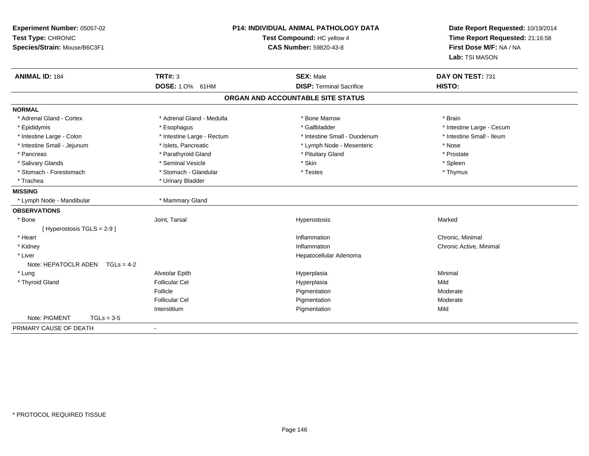| Experiment Number: 05057-02<br>Test Type: CHRONIC<br>Species/Strain: Mouse/B6C3F1 | <b>P14: INDIVIDUAL ANIMAL PATHOLOGY DATA</b><br>Test Compound: HC yellow 4<br><b>CAS Number: 59820-43-8</b> |                                   | Date Report Requested: 10/19/2014<br>Time Report Requested: 21:16:58<br>First Dose M/F: NA / NA<br>Lab: TSI MASON |
|-----------------------------------------------------------------------------------|-------------------------------------------------------------------------------------------------------------|-----------------------------------|-------------------------------------------------------------------------------------------------------------------|
| <b>ANIMAL ID: 184</b>                                                             | <b>TRT#: 3</b>                                                                                              | <b>SEX: Male</b>                  | DAY ON TEST: 731                                                                                                  |
|                                                                                   | DOSE: 1.0% 61HM                                                                                             | <b>DISP: Terminal Sacrifice</b>   | HISTO:                                                                                                            |
|                                                                                   |                                                                                                             | ORGAN AND ACCOUNTABLE SITE STATUS |                                                                                                                   |
| <b>NORMAL</b>                                                                     |                                                                                                             |                                   |                                                                                                                   |
| * Adrenal Gland - Cortex                                                          | * Adrenal Gland - Medulla                                                                                   | * Bone Marrow                     | * Brain                                                                                                           |
| * Epididymis                                                                      | * Esophagus                                                                                                 | * Gallbladder                     | * Intestine Large - Cecum                                                                                         |
| * Intestine Large - Colon                                                         | * Intestine Large - Rectum                                                                                  | * Intestine Small - Duodenum      | * Intestine Small - Ileum                                                                                         |
| * Intestine Small - Jejunum                                                       | * Islets, Pancreatic                                                                                        | * Lymph Node - Mesenteric         | * Nose                                                                                                            |
| * Pancreas                                                                        | * Parathyroid Gland                                                                                         | * Pituitary Gland                 | * Prostate                                                                                                        |
| * Salivary Glands                                                                 | * Seminal Vesicle                                                                                           | * Skin                            | * Spleen                                                                                                          |
| * Stomach - Forestomach                                                           | * Stomach - Glandular                                                                                       | * Testes                          | * Thymus                                                                                                          |
| * Trachea                                                                         | * Urinary Bladder                                                                                           |                                   |                                                                                                                   |
| <b>MISSING</b>                                                                    |                                                                                                             |                                   |                                                                                                                   |
| * Lymph Node - Mandibular                                                         | * Mammary Gland                                                                                             |                                   |                                                                                                                   |
| <b>OBSERVATIONS</b>                                                               |                                                                                                             |                                   |                                                                                                                   |
| * Bone                                                                            | Joint, Tarsal                                                                                               | Hyperostosis                      | Marked                                                                                                            |
| [ Hyperostosis TGLS = 2-9 ]                                                       |                                                                                                             |                                   |                                                                                                                   |
| * Heart                                                                           |                                                                                                             | Inflammation                      | Chronic, Minimal                                                                                                  |
| * Kidney                                                                          |                                                                                                             | Inflammation                      | Chronic Active, Minimal                                                                                           |
| * Liver                                                                           |                                                                                                             | Hepatocellular Adenoma            |                                                                                                                   |
| Note: HEPATOCLR ADEN<br>$TGLs = 4-2$                                              |                                                                                                             |                                   |                                                                                                                   |
| * Lung                                                                            | Alveolar Epith                                                                                              | Hyperplasia                       | Minimal                                                                                                           |
| * Thyroid Gland                                                                   | <b>Follicular Cel</b>                                                                                       | Hyperplasia                       | Mild                                                                                                              |
|                                                                                   | Follicle                                                                                                    | Pigmentation                      | Moderate                                                                                                          |
|                                                                                   | <b>Follicular Cel</b>                                                                                       | Pigmentation                      | Moderate                                                                                                          |
|                                                                                   | Interstitium                                                                                                | Pigmentation                      | Mild                                                                                                              |
| Note: PIGMENT<br>$TGLs = 3-5$                                                     |                                                                                                             |                                   |                                                                                                                   |
| PRIMARY CAUSE OF DEATH                                                            | $\blacksquare$                                                                                              |                                   |                                                                                                                   |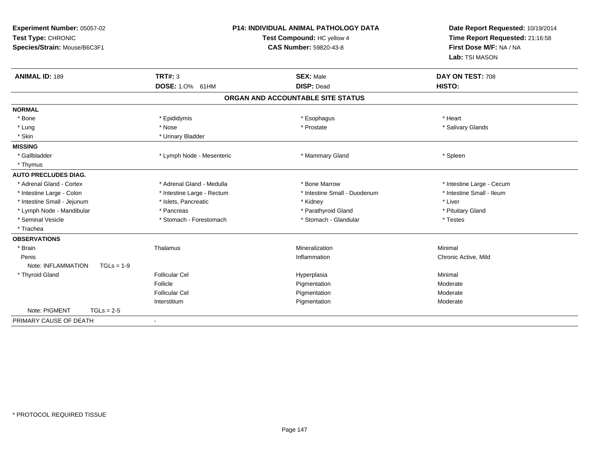| Experiment Number: 05057-02<br>Test Type: CHRONIC<br>Species/Strain: Mouse/B6C3F1 | <b>P14: INDIVIDUAL ANIMAL PATHOLOGY DATA</b><br>Test Compound: HC yellow 4<br><b>CAS Number: 59820-43-8</b> |                                       | Date Report Requested: 10/19/2014<br>Time Report Requested: 21:16:58<br>First Dose M/F: NA / NA<br>Lab: TSI MASON |
|-----------------------------------------------------------------------------------|-------------------------------------------------------------------------------------------------------------|---------------------------------------|-------------------------------------------------------------------------------------------------------------------|
| <b>ANIMAL ID: 189</b>                                                             | <b>TRT#: 3</b><br>DOSE: 1.0% 61HM                                                                           | <b>SEX: Male</b><br><b>DISP: Dead</b> | DAY ON TEST: 708<br>HISTO:                                                                                        |
|                                                                                   |                                                                                                             | ORGAN AND ACCOUNTABLE SITE STATUS     |                                                                                                                   |
| <b>NORMAL</b>                                                                     |                                                                                                             |                                       |                                                                                                                   |
| * Bone                                                                            | * Epididymis                                                                                                | * Esophagus                           | * Heart                                                                                                           |
| * Lung                                                                            | * Nose                                                                                                      | * Prostate                            | * Salivary Glands                                                                                                 |
| * Skin                                                                            | * Urinary Bladder                                                                                           |                                       |                                                                                                                   |
| <b>MISSING</b>                                                                    |                                                                                                             |                                       |                                                                                                                   |
| * Gallbladder                                                                     | * Lymph Node - Mesenteric                                                                                   | * Mammary Gland                       | * Spleen                                                                                                          |
| * Thymus                                                                          |                                                                                                             |                                       |                                                                                                                   |
| <b>AUTO PRECLUDES DIAG.</b>                                                       |                                                                                                             |                                       |                                                                                                                   |
| * Adrenal Gland - Cortex                                                          | * Adrenal Gland - Medulla                                                                                   | * Bone Marrow                         | * Intestine Large - Cecum                                                                                         |
| * Intestine Large - Colon                                                         | * Intestine Large - Rectum                                                                                  | * Intestine Small - Duodenum          | * Intestine Small - Ileum                                                                                         |
| * Intestine Small - Jejunum                                                       | * Islets, Pancreatic                                                                                        | * Kidney                              | * Liver                                                                                                           |
| * Lymph Node - Mandibular                                                         | * Pancreas                                                                                                  | * Parathyroid Gland                   | * Pituitary Gland                                                                                                 |
| * Seminal Vesicle                                                                 | * Stomach - Forestomach                                                                                     | * Stomach - Glandular                 | * Testes                                                                                                          |
| * Trachea                                                                         |                                                                                                             |                                       |                                                                                                                   |
| <b>OBSERVATIONS</b>                                                               |                                                                                                             |                                       |                                                                                                                   |
| * Brain                                                                           | Thalamus                                                                                                    | Mineralization                        | Minimal                                                                                                           |
| Penis                                                                             |                                                                                                             | Inflammation                          | Chronic Active, Mild                                                                                              |
| Note: INFLAMMATION<br>$TGLs = 1-9$                                                |                                                                                                             |                                       |                                                                                                                   |
| * Thyroid Gland                                                                   | <b>Follicular Cel</b>                                                                                       | Hyperplasia                           | Minimal                                                                                                           |
|                                                                                   | Follicle                                                                                                    | Pigmentation                          | Moderate                                                                                                          |
|                                                                                   | <b>Follicular Cel</b>                                                                                       | Pigmentation                          | Moderate                                                                                                          |
|                                                                                   | Interstitium                                                                                                | Pigmentation                          | Moderate                                                                                                          |
| Note: PIGMENT<br>$TGLs = 2-5$                                                     |                                                                                                             |                                       |                                                                                                                   |
| PRIMARY CAUSE OF DEATH                                                            | $\blacksquare$                                                                                              |                                       |                                                                                                                   |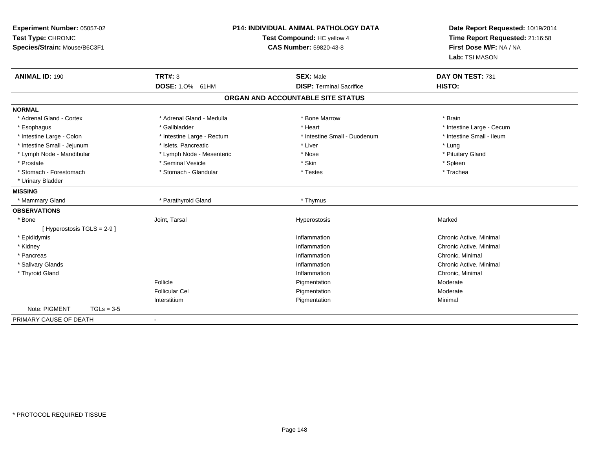| Experiment Number: 05057-02<br>Test Type: CHRONIC<br>Species/Strain: Mouse/B6C3F1 | P14: INDIVIDUAL ANIMAL PATHOLOGY DATA<br>Test Compound: HC yellow 4<br><b>CAS Number: 59820-43-8</b> |                                   | Date Report Requested: 10/19/2014<br>Time Report Requested: 21:16:58<br>First Dose M/F: NA / NA<br>Lab: TSI MASON |
|-----------------------------------------------------------------------------------|------------------------------------------------------------------------------------------------------|-----------------------------------|-------------------------------------------------------------------------------------------------------------------|
| <b>ANIMAL ID: 190</b>                                                             | <b>TRT#: 3</b>                                                                                       | <b>SEX: Male</b>                  | DAY ON TEST: 731                                                                                                  |
|                                                                                   | DOSE: 1.0% 61HM                                                                                      | <b>DISP: Terminal Sacrifice</b>   | HISTO:                                                                                                            |
|                                                                                   |                                                                                                      | ORGAN AND ACCOUNTABLE SITE STATUS |                                                                                                                   |
| <b>NORMAL</b>                                                                     |                                                                                                      |                                   |                                                                                                                   |
| * Adrenal Gland - Cortex                                                          | * Adrenal Gland - Medulla                                                                            | * Bone Marrow                     | * Brain                                                                                                           |
| * Esophagus                                                                       | * Gallbladder                                                                                        | * Heart                           | * Intestine Large - Cecum                                                                                         |
| * Intestine Large - Colon                                                         | * Intestine Large - Rectum                                                                           | * Intestine Small - Duodenum      | * Intestine Small - Ileum                                                                                         |
| * Intestine Small - Jejunum                                                       | * Islets, Pancreatic                                                                                 | * Liver                           | * Lung                                                                                                            |
| * Lymph Node - Mandibular                                                         | * Lymph Node - Mesenteric                                                                            | * Nose                            | * Pituitary Gland                                                                                                 |
| * Prostate                                                                        | * Seminal Vesicle                                                                                    | * Skin                            | * Spleen                                                                                                          |
| * Stomach - Forestomach                                                           | * Stomach - Glandular                                                                                | * Testes                          | * Trachea                                                                                                         |
| * Urinary Bladder                                                                 |                                                                                                      |                                   |                                                                                                                   |
| <b>MISSING</b>                                                                    |                                                                                                      |                                   |                                                                                                                   |
| * Mammary Gland                                                                   | * Parathyroid Gland                                                                                  | * Thymus                          |                                                                                                                   |
| <b>OBSERVATIONS</b>                                                               |                                                                                                      |                                   |                                                                                                                   |
| * Bone                                                                            | Joint, Tarsal                                                                                        | Hyperostosis                      | Marked                                                                                                            |
| [ Hyperostosis TGLS = 2-9 ]                                                       |                                                                                                      |                                   |                                                                                                                   |
| * Epididymis                                                                      |                                                                                                      | Inflammation                      | Chronic Active, Minimal                                                                                           |
| * Kidney                                                                          |                                                                                                      | Inflammation                      | Chronic Active, Minimal                                                                                           |
| * Pancreas                                                                        |                                                                                                      | Inflammation                      | Chronic, Minimal                                                                                                  |
| * Salivary Glands                                                                 |                                                                                                      | Inflammation                      | Chronic Active, Minimal                                                                                           |
| * Thyroid Gland                                                                   |                                                                                                      | Inflammation                      | Chronic, Minimal                                                                                                  |
|                                                                                   | Follicle                                                                                             | Pigmentation                      | Moderate                                                                                                          |
|                                                                                   | <b>Follicular Cel</b>                                                                                | Pigmentation                      | Moderate                                                                                                          |
|                                                                                   | Interstitium                                                                                         | Pigmentation                      | Minimal                                                                                                           |
| Note: PIGMENT<br>$TGLs = 3-5$                                                     |                                                                                                      |                                   |                                                                                                                   |
| PRIMARY CAUSE OF DEATH                                                            | $\sim$                                                                                               |                                   |                                                                                                                   |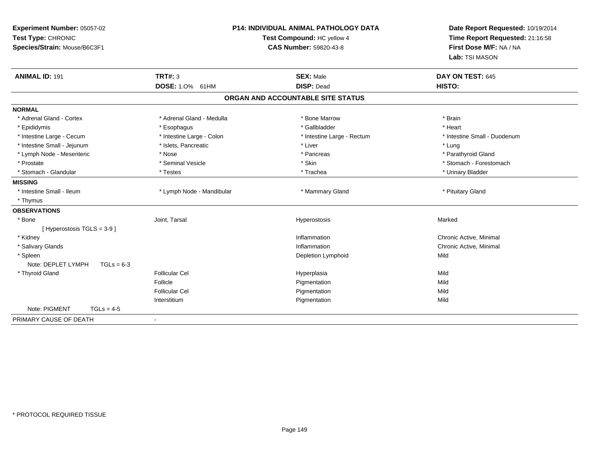| Experiment Number: 05057-02<br>Test Type: CHRONIC<br>Species/Strain: Mouse/B6C3F1 | <b>P14: INDIVIDUAL ANIMAL PATHOLOGY DATA</b><br>Test Compound: HC yellow 4<br><b>CAS Number: 59820-43-8</b> |                                       | Date Report Requested: 10/19/2014<br>Time Report Requested: 21:16:58<br>First Dose M/F: NA / NA<br>Lab: TSI MASON |
|-----------------------------------------------------------------------------------|-------------------------------------------------------------------------------------------------------------|---------------------------------------|-------------------------------------------------------------------------------------------------------------------|
| <b>ANIMAL ID: 191</b>                                                             | <b>TRT#: 3</b><br><b>DOSE: 1.0% 61HM</b>                                                                    | <b>SEX: Male</b><br><b>DISP: Dead</b> | DAY ON TEST: 645<br>HISTO:                                                                                        |
|                                                                                   |                                                                                                             | ORGAN AND ACCOUNTABLE SITE STATUS     |                                                                                                                   |
|                                                                                   |                                                                                                             |                                       |                                                                                                                   |
| <b>NORMAL</b>                                                                     |                                                                                                             |                                       |                                                                                                                   |
| * Adrenal Gland - Cortex                                                          | * Adrenal Gland - Medulla                                                                                   | * Bone Marrow                         | * Brain                                                                                                           |
| * Epididymis                                                                      | * Esophagus                                                                                                 | * Gallbladder                         | * Heart                                                                                                           |
| * Intestine Large - Cecum                                                         | * Intestine Large - Colon                                                                                   | * Intestine Large - Rectum            | * Intestine Small - Duodenum                                                                                      |
| * Intestine Small - Jejunum                                                       | * Islets, Pancreatic<br>* Nose                                                                              | * Liver<br>* Pancreas                 | * Lung                                                                                                            |
| * Lymph Node - Mesenteric<br>* Prostate                                           | * Seminal Vesicle                                                                                           | * Skin                                | * Parathyroid Gland<br>* Stomach - Forestomach                                                                    |
| * Stomach - Glandular                                                             | * Testes                                                                                                    | * Trachea                             | * Urinary Bladder                                                                                                 |
| <b>MISSING</b>                                                                    |                                                                                                             |                                       |                                                                                                                   |
| * Intestine Small - Ileum                                                         | * Lymph Node - Mandibular                                                                                   | * Mammary Gland                       | * Pituitary Gland                                                                                                 |
| * Thymus                                                                          |                                                                                                             |                                       |                                                                                                                   |
| <b>OBSERVATIONS</b>                                                               |                                                                                                             |                                       |                                                                                                                   |
| * Bone                                                                            | Joint, Tarsal                                                                                               | Hyperostosis                          | Marked                                                                                                            |
| [ Hyperostosis TGLS = 3-9 ]                                                       |                                                                                                             |                                       |                                                                                                                   |
| * Kidney                                                                          |                                                                                                             | Inflammation                          | Chronic Active, Minimal                                                                                           |
| * Salivary Glands                                                                 |                                                                                                             | Inflammation                          | Chronic Active, Minimal                                                                                           |
| * Spleen                                                                          |                                                                                                             | Depletion Lymphoid                    | Mild                                                                                                              |
| Note: DEPLET LYMPH<br>$TGLs = 6-3$                                                |                                                                                                             |                                       |                                                                                                                   |
| * Thyroid Gland                                                                   | <b>Follicular Cel</b>                                                                                       | Hyperplasia                           | Mild                                                                                                              |
|                                                                                   | Follicle                                                                                                    | Pigmentation                          | Mild                                                                                                              |
|                                                                                   | <b>Follicular Cel</b>                                                                                       | Pigmentation                          | Mild                                                                                                              |
|                                                                                   | Interstitium                                                                                                | Pigmentation                          | Mild                                                                                                              |
| Note: PIGMENT<br>$TGLs = 4-5$                                                     |                                                                                                             |                                       |                                                                                                                   |
| PRIMARY CAUSE OF DEATH                                                            | $\sim$                                                                                                      |                                       |                                                                                                                   |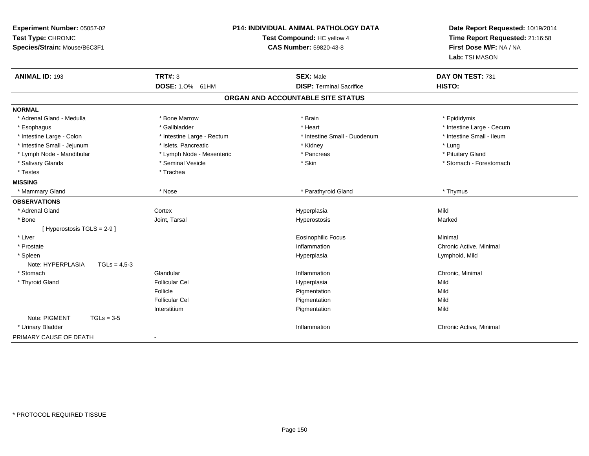| Experiment Number: 05057-02<br>Test Type: CHRONIC<br>Species/Strain: Mouse/B6C3F1 | P14: INDIVIDUAL ANIMAL PATHOLOGY DATA<br>Test Compound: HC yellow 4<br><b>CAS Number: 59820-43-8</b> |                                   | Date Report Requested: 10/19/2014<br>Time Report Requested: 21:16:58<br>First Dose M/F: NA / NA<br>Lab: TSI MASON |
|-----------------------------------------------------------------------------------|------------------------------------------------------------------------------------------------------|-----------------------------------|-------------------------------------------------------------------------------------------------------------------|
| <b>ANIMAL ID: 193</b>                                                             | <b>TRT#: 3</b>                                                                                       | <b>SEX: Male</b>                  | DAY ON TEST: 731                                                                                                  |
|                                                                                   | DOSE: 1.0% 61HM                                                                                      | <b>DISP: Terminal Sacrifice</b>   | HISTO:                                                                                                            |
|                                                                                   |                                                                                                      | ORGAN AND ACCOUNTABLE SITE STATUS |                                                                                                                   |
| <b>NORMAL</b>                                                                     |                                                                                                      |                                   |                                                                                                                   |
| * Adrenal Gland - Medulla                                                         | * Bone Marrow                                                                                        | * Brain                           | * Epididymis                                                                                                      |
| * Esophagus                                                                       | * Gallbladder                                                                                        | * Heart                           | * Intestine Large - Cecum                                                                                         |
| * Intestine Large - Colon                                                         | * Intestine Large - Rectum                                                                           | * Intestine Small - Duodenum      | * Intestine Small - Ileum                                                                                         |
| * Intestine Small - Jejunum                                                       | * Islets, Pancreatic                                                                                 | * Kidney                          | * Lung                                                                                                            |
| * Lymph Node - Mandibular                                                         | * Lymph Node - Mesenteric                                                                            | * Pancreas                        | * Pituitary Gland                                                                                                 |
| * Salivary Glands                                                                 | * Seminal Vesicle                                                                                    | * Skin                            | * Stomach - Forestomach                                                                                           |
| * Testes                                                                          | * Trachea                                                                                            |                                   |                                                                                                                   |
| <b>MISSING</b>                                                                    |                                                                                                      |                                   |                                                                                                                   |
| * Mammary Gland                                                                   | * Nose                                                                                               | * Parathyroid Gland               | * Thymus                                                                                                          |
| <b>OBSERVATIONS</b>                                                               |                                                                                                      |                                   |                                                                                                                   |
| * Adrenal Gland                                                                   | Cortex                                                                                               | Hyperplasia                       | Mild                                                                                                              |
| * Bone                                                                            | Joint, Tarsal                                                                                        | Hyperostosis                      | Marked                                                                                                            |
| [ Hyperostosis TGLS = 2-9 ]                                                       |                                                                                                      |                                   |                                                                                                                   |
| * Liver                                                                           |                                                                                                      | <b>Eosinophilic Focus</b>         | Minimal                                                                                                           |
| * Prostate                                                                        |                                                                                                      | Inflammation                      | Chronic Active, Minimal                                                                                           |
| * Spleen<br>Note: HYPERPLASIA<br>$TGLs = 4.5-3$                                   |                                                                                                      | Hyperplasia                       | Lymphoid, Mild                                                                                                    |
| * Stomach                                                                         | Glandular                                                                                            | Inflammation                      | Chronic, Minimal                                                                                                  |
| * Thyroid Gland                                                                   | <b>Follicular Cel</b>                                                                                | Hyperplasia                       | Mild                                                                                                              |
|                                                                                   | Follicle                                                                                             | Pigmentation                      | Mild                                                                                                              |
|                                                                                   | <b>Follicular Cel</b>                                                                                | Pigmentation                      | Mild                                                                                                              |
|                                                                                   | Interstitium                                                                                         | Pigmentation                      | Mild                                                                                                              |
| Note: PIGMENT<br>$TGLs = 3-5$                                                     |                                                                                                      |                                   |                                                                                                                   |
| * Urinary Bladder                                                                 |                                                                                                      | Inflammation                      | Chronic Active, Minimal                                                                                           |
| PRIMARY CAUSE OF DEATH                                                            | ÷,                                                                                                   |                                   |                                                                                                                   |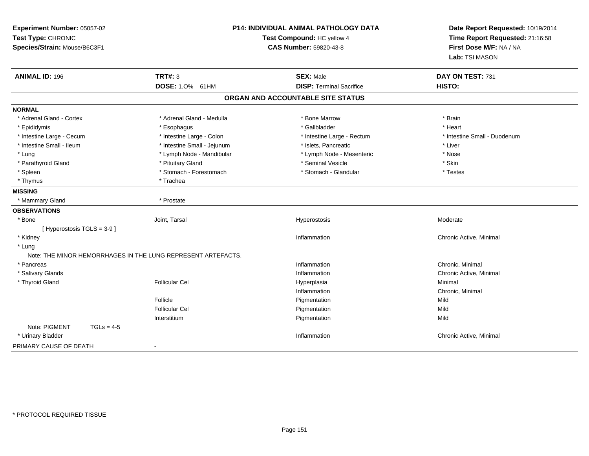| Experiment Number: 05057-02<br>Test Type: CHRONIC<br>Species/Strain: Mouse/B6C3F1 |                                                              | <b>P14: INDIVIDUAL ANIMAL PATHOLOGY DATA</b><br>Test Compound: HC yellow 4<br>CAS Number: 59820-43-8 | Date Report Requested: 10/19/2014<br>Time Report Requested: 21:16:58<br>First Dose M/F: NA / NA<br>Lab: TSI MASON |
|-----------------------------------------------------------------------------------|--------------------------------------------------------------|------------------------------------------------------------------------------------------------------|-------------------------------------------------------------------------------------------------------------------|
| <b>ANIMAL ID: 196</b>                                                             | <b>TRT#: 3</b>                                               | <b>SEX: Male</b>                                                                                     | DAY ON TEST: 731                                                                                                  |
|                                                                                   | DOSE: 1.0% 61HM                                              | <b>DISP: Terminal Sacrifice</b>                                                                      | HISTO:                                                                                                            |
|                                                                                   |                                                              | ORGAN AND ACCOUNTABLE SITE STATUS                                                                    |                                                                                                                   |
| <b>NORMAL</b>                                                                     |                                                              |                                                                                                      |                                                                                                                   |
| * Adrenal Gland - Cortex                                                          | * Adrenal Gland - Medulla                                    | * Bone Marrow                                                                                        | * Brain                                                                                                           |
| * Epididymis                                                                      | * Esophagus                                                  | * Gallbladder                                                                                        | * Heart                                                                                                           |
| * Intestine Large - Cecum                                                         | * Intestine Large - Colon                                    | * Intestine Large - Rectum                                                                           | * Intestine Small - Duodenum                                                                                      |
| * Intestine Small - Ileum                                                         | * Intestine Small - Jejunum                                  | * Islets, Pancreatic                                                                                 | * Liver                                                                                                           |
| * Lung                                                                            | * Lymph Node - Mandibular                                    | * Lymph Node - Mesenteric                                                                            | * Nose                                                                                                            |
| * Parathyroid Gland                                                               | * Pituitary Gland                                            | * Seminal Vesicle                                                                                    | * Skin                                                                                                            |
| * Spleen                                                                          | * Stomach - Forestomach                                      | * Stomach - Glandular                                                                                | * Testes                                                                                                          |
| * Thymus                                                                          | * Trachea                                                    |                                                                                                      |                                                                                                                   |
| <b>MISSING</b>                                                                    |                                                              |                                                                                                      |                                                                                                                   |
| * Mammary Gland                                                                   | * Prostate                                                   |                                                                                                      |                                                                                                                   |
| <b>OBSERVATIONS</b>                                                               |                                                              |                                                                                                      |                                                                                                                   |
| * Bone                                                                            | Joint, Tarsal                                                | Hyperostosis                                                                                         | Moderate                                                                                                          |
| [ Hyperostosis TGLS = 3-9 ]                                                       |                                                              |                                                                                                      |                                                                                                                   |
| * Kidney                                                                          |                                                              | Inflammation                                                                                         | Chronic Active, Minimal                                                                                           |
| * Lung                                                                            |                                                              |                                                                                                      |                                                                                                                   |
|                                                                                   | Note: THE MINOR HEMORRHAGES IN THE LUNG REPRESENT ARTEFACTS. |                                                                                                      |                                                                                                                   |
| * Pancreas                                                                        |                                                              | Inflammation                                                                                         | Chronic, Minimal                                                                                                  |
| * Salivary Glands                                                                 |                                                              | Inflammation                                                                                         | Chronic Active, Minimal                                                                                           |
| * Thyroid Gland                                                                   | <b>Follicular Cel</b>                                        | Hyperplasia                                                                                          | Minimal                                                                                                           |
|                                                                                   |                                                              | Inflammation                                                                                         | Chronic, Minimal                                                                                                  |
|                                                                                   | Follicle                                                     | Pigmentation                                                                                         | Mild                                                                                                              |
|                                                                                   | <b>Follicular Cel</b>                                        | Pigmentation                                                                                         | Mild                                                                                                              |
|                                                                                   | Interstitium                                                 | Pigmentation                                                                                         | Mild                                                                                                              |
| Note: PIGMENT<br>$TGLs = 4-5$                                                     |                                                              |                                                                                                      |                                                                                                                   |
| * Urinary Bladder                                                                 |                                                              | Inflammation                                                                                         | Chronic Active, Minimal                                                                                           |
| PRIMARY CAUSE OF DEATH                                                            | $\blacksquare$                                               |                                                                                                      |                                                                                                                   |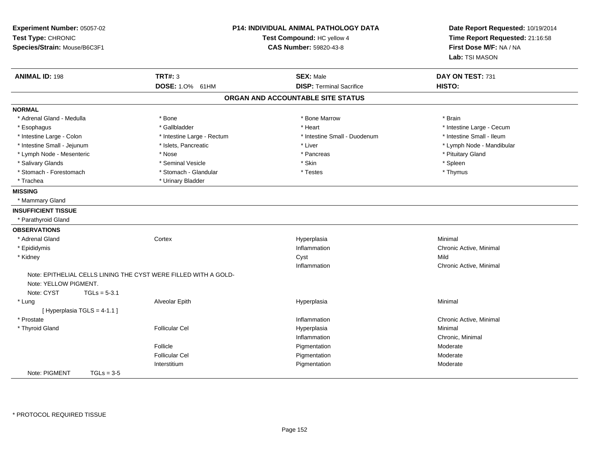| Experiment Number: 05057-02<br>Test Type: CHRONIC<br>Species/Strain: Mouse/B6C3F1 |                                                                                   | <b>P14: INDIVIDUAL ANIMAL PATHOLOGY DATA</b><br>Test Compound: HC yellow 4<br><b>CAS Number: 59820-43-8</b> | Date Report Requested: 10/19/2014<br>Time Report Requested: 21:16:58<br>First Dose M/F: NA / NA<br>Lab: TSI MASON |
|-----------------------------------------------------------------------------------|-----------------------------------------------------------------------------------|-------------------------------------------------------------------------------------------------------------|-------------------------------------------------------------------------------------------------------------------|
| <b>ANIMAL ID: 198</b>                                                             | <b>TRT#: 3</b>                                                                    | <b>SEX: Male</b>                                                                                            | DAY ON TEST: 731                                                                                                  |
|                                                                                   | DOSE: 1.0% 61HM                                                                   | <b>DISP: Terminal Sacrifice</b>                                                                             | HISTO:                                                                                                            |
|                                                                                   |                                                                                   | ORGAN AND ACCOUNTABLE SITE STATUS                                                                           |                                                                                                                   |
| <b>NORMAL</b>                                                                     |                                                                                   |                                                                                                             |                                                                                                                   |
| * Adrenal Gland - Medulla                                                         | * Bone                                                                            | * Bone Marrow                                                                                               | * Brain                                                                                                           |
| * Esophagus                                                                       | * Gallbladder                                                                     | * Heart                                                                                                     | * Intestine Large - Cecum                                                                                         |
| * Intestine Large - Colon                                                         | * Intestine Large - Rectum                                                        | * Intestine Small - Duodenum                                                                                | * Intestine Small - Ileum                                                                                         |
| * Intestine Small - Jejunum                                                       | * Islets, Pancreatic                                                              | * Liver                                                                                                     | * Lymph Node - Mandibular                                                                                         |
| * Lymph Node - Mesenteric                                                         | * Nose                                                                            | * Pancreas                                                                                                  | * Pituitary Gland                                                                                                 |
| * Salivary Glands                                                                 | * Seminal Vesicle                                                                 | * Skin                                                                                                      | * Spleen                                                                                                          |
| * Stomach - Forestomach                                                           | * Stomach - Glandular                                                             | * Testes                                                                                                    | * Thymus                                                                                                          |
| * Trachea                                                                         | * Urinary Bladder                                                                 |                                                                                                             |                                                                                                                   |
| <b>MISSING</b>                                                                    |                                                                                   |                                                                                                             |                                                                                                                   |
| * Mammary Gland                                                                   |                                                                                   |                                                                                                             |                                                                                                                   |
| <b>INSUFFICIENT TISSUE</b>                                                        |                                                                                   |                                                                                                             |                                                                                                                   |
| * Parathyroid Gland                                                               |                                                                                   |                                                                                                             |                                                                                                                   |
| <b>OBSERVATIONS</b>                                                               |                                                                                   |                                                                                                             |                                                                                                                   |
| * Adrenal Gland                                                                   | Cortex                                                                            | Hyperplasia                                                                                                 | Minimal                                                                                                           |
| * Epididymis                                                                      |                                                                                   | Inflammation                                                                                                | Chronic Active, Minimal                                                                                           |
| * Kidney                                                                          |                                                                                   | Cyst                                                                                                        | Mild                                                                                                              |
|                                                                                   |                                                                                   | Inflammation                                                                                                | Chronic Active, Minimal                                                                                           |
| Note: YELLOW PIGMENT.<br>Note: CYST                                               | Note: EPITHELIAL CELLS LINING THE CYST WERE FILLED WITH A GOLD-<br>$TGLs = 5-3.1$ |                                                                                                             |                                                                                                                   |
| * Lung                                                                            | Alveolar Epith                                                                    | Hyperplasia                                                                                                 | Minimal                                                                                                           |
| [Hyperplasia TGLS = 4-1.1]                                                        |                                                                                   |                                                                                                             |                                                                                                                   |
| * Prostate                                                                        |                                                                                   | Inflammation                                                                                                | Chronic Active, Minimal                                                                                           |
| * Thyroid Gland                                                                   | <b>Follicular Cel</b>                                                             | Hyperplasia                                                                                                 | Minimal                                                                                                           |
|                                                                                   |                                                                                   | Inflammation                                                                                                | Chronic, Minimal                                                                                                  |
|                                                                                   | Follicle                                                                          | Pigmentation                                                                                                | Moderate                                                                                                          |
|                                                                                   | <b>Follicular Cel</b>                                                             | Pigmentation                                                                                                | Moderate                                                                                                          |
|                                                                                   | Interstitium                                                                      | Pigmentation                                                                                                | Moderate                                                                                                          |
| Note: PIGMENT                                                                     | $TGLs = 3-5$                                                                      |                                                                                                             |                                                                                                                   |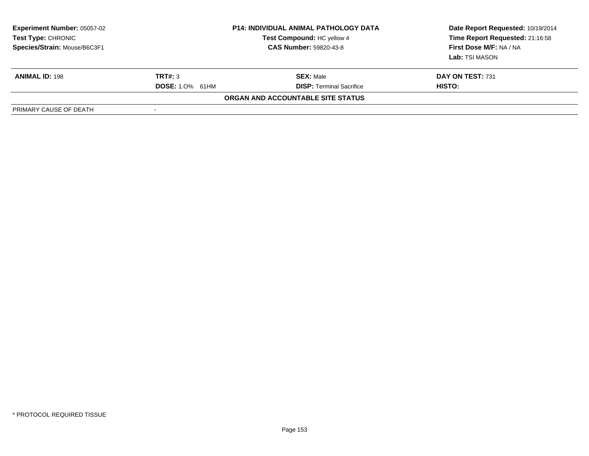| <b>Experiment Number: 05057-02</b><br>Test Type: CHRONIC<br>Species/Strain: Mouse/B6C3F1 |                        | <b>P14: INDIVIDUAL ANIMAL PATHOLOGY DATA</b><br>Test Compound: HC yellow 4<br><b>CAS Number: 59820-43-8</b> | Date Report Requested: 10/19/2014<br>Time Report Requested: 21:16:58<br>First Dose M/F: NA / NA<br><b>Lab:</b> TSI MASON |
|------------------------------------------------------------------------------------------|------------------------|-------------------------------------------------------------------------------------------------------------|--------------------------------------------------------------------------------------------------------------------------|
| <b>ANIMAL ID: 198</b>                                                                    | TRT#: 3                | <b>SEX: Male</b>                                                                                            | DAY ON TEST: 731                                                                                                         |
|                                                                                          | <b>DOSE: 1.0% 61HM</b> | <b>DISP: Terminal Sacrifice</b>                                                                             | <b>HISTO:</b>                                                                                                            |
|                                                                                          |                        | ORGAN AND ACCOUNTABLE SITE STATUS                                                                           |                                                                                                                          |
| PRIMARY CAUSE OF DEATH                                                                   | $\blacksquare$         |                                                                                                             |                                                                                                                          |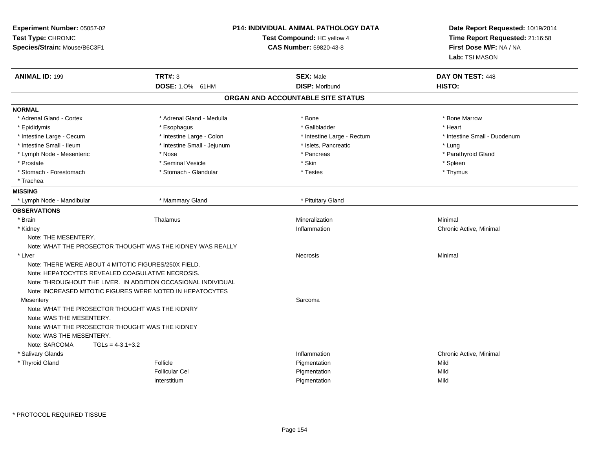| Experiment Number: 05057-02<br>Test Type: CHRONIC<br>Species/Strain: Mouse/B6C3F1                                                                                     |                                                               | <b>P14: INDIVIDUAL ANIMAL PATHOLOGY DATA</b><br>Test Compound: HC yellow 4<br><b>CAS Number: 59820-43-8</b> | Date Report Requested: 10/19/2014<br>Time Report Requested: 21:16:58<br>First Dose M/F: NA / NA<br>Lab: TSI MASON |
|-----------------------------------------------------------------------------------------------------------------------------------------------------------------------|---------------------------------------------------------------|-------------------------------------------------------------------------------------------------------------|-------------------------------------------------------------------------------------------------------------------|
| <b>ANIMAL ID: 199</b>                                                                                                                                                 | <b>TRT#: 3</b>                                                | <b>SEX: Male</b>                                                                                            | DAY ON TEST: 448                                                                                                  |
|                                                                                                                                                                       | DOSE: 1.0% 61HM                                               | <b>DISP: Moribund</b>                                                                                       | HISTO:                                                                                                            |
|                                                                                                                                                                       |                                                               | ORGAN AND ACCOUNTABLE SITE STATUS                                                                           |                                                                                                                   |
| <b>NORMAL</b>                                                                                                                                                         |                                                               |                                                                                                             |                                                                                                                   |
| * Adrenal Gland - Cortex                                                                                                                                              | * Adrenal Gland - Medulla                                     | * Bone                                                                                                      | * Bone Marrow                                                                                                     |
| * Epididymis                                                                                                                                                          | * Esophagus                                                   | * Gallbladder                                                                                               | * Heart                                                                                                           |
| * Intestine Large - Cecum                                                                                                                                             | * Intestine Large - Colon                                     | * Intestine Large - Rectum                                                                                  | * Intestine Small - Duodenum                                                                                      |
| * Intestine Small - Ileum                                                                                                                                             | * Intestine Small - Jejunum                                   | * Islets, Pancreatic                                                                                        | * Lung                                                                                                            |
| * Lymph Node - Mesenteric                                                                                                                                             | * Nose                                                        | * Pancreas                                                                                                  | * Parathyroid Gland                                                                                               |
| * Prostate                                                                                                                                                            | * Seminal Vesicle                                             | * Skin                                                                                                      | * Spleen                                                                                                          |
| * Stomach - Forestomach                                                                                                                                               | * Stomach - Glandular                                         | * Testes                                                                                                    | * Thymus                                                                                                          |
| * Trachea                                                                                                                                                             |                                                               |                                                                                                             |                                                                                                                   |
| <b>MISSING</b>                                                                                                                                                        |                                                               |                                                                                                             |                                                                                                                   |
| * Lymph Node - Mandibular                                                                                                                                             | * Mammary Gland                                               | * Pituitary Gland                                                                                           |                                                                                                                   |
| <b>OBSERVATIONS</b>                                                                                                                                                   |                                                               |                                                                                                             |                                                                                                                   |
| * Brain                                                                                                                                                               | Thalamus                                                      | Mineralization                                                                                              | Minimal                                                                                                           |
| * Kidney                                                                                                                                                              |                                                               | Inflammation                                                                                                | Chronic Active, Minimal                                                                                           |
| Note: THE MESENTERY.                                                                                                                                                  |                                                               |                                                                                                             |                                                                                                                   |
|                                                                                                                                                                       | Note: WHAT THE PROSECTOR THOUGHT WAS THE KIDNEY WAS REALLY    |                                                                                                             |                                                                                                                   |
| * Liver                                                                                                                                                               |                                                               | <b>Necrosis</b>                                                                                             | Minimal                                                                                                           |
| Note: THERE WERE ABOUT 4 MITOTIC FIGURES/250X FIELD.<br>Note: HEPATOCYTES REVEALED COAGULATIVE NECROSIS.<br>Note: INCREASED MITOTIC FIGURES WERE NOTED IN HEPATOCYTES | Note: THROUGHOUT THE LIVER. IN ADDITION OCCASIONAL INDIVIDUAL |                                                                                                             |                                                                                                                   |
| Mesentery                                                                                                                                                             |                                                               | Sarcoma                                                                                                     |                                                                                                                   |
| Note: WHAT THE PROSECTOR THOUGHT WAS THE KIDNRY<br>Note: WAS THE MESENTERY.<br>Note: WHAT THE PROSECTOR THOUGHT WAS THE KIDNEY<br>Note: WAS THE MESENTERY.            |                                                               |                                                                                                             |                                                                                                                   |
| Note: SARCOMA<br>$TGLs = 4-3.1+3.2$                                                                                                                                   |                                                               |                                                                                                             |                                                                                                                   |
| * Salivary Glands                                                                                                                                                     |                                                               | Inflammation                                                                                                | Chronic Active, Minimal                                                                                           |
| * Thyroid Gland                                                                                                                                                       | Follicle                                                      | Pigmentation                                                                                                | Mild                                                                                                              |
|                                                                                                                                                                       | <b>Follicular Cel</b>                                         | Pigmentation                                                                                                | Mild                                                                                                              |
|                                                                                                                                                                       | Interstitium                                                  | Pigmentation                                                                                                | Mild                                                                                                              |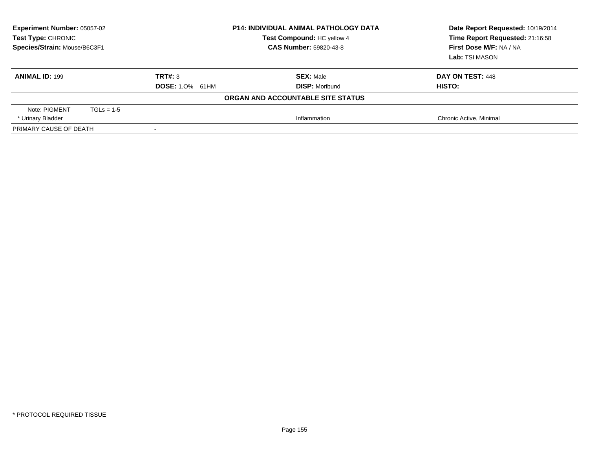| <b>Experiment Number: 05057-02</b><br><b>Test Type: CHRONIC</b><br>Species/Strain: Mouse/B6C3F1 |              |                        | <b>P14: INDIVIDUAL ANIMAL PATHOLOGY DATA</b><br>Test Compound: HC yellow 4<br><b>CAS Number: 59820-43-8</b> | Date Report Requested: 10/19/2014<br>Time Report Requested: 21:16:58<br>First Dose M/F: NA / NA<br>Lab: TSI MASON |
|-------------------------------------------------------------------------------------------------|--------------|------------------------|-------------------------------------------------------------------------------------------------------------|-------------------------------------------------------------------------------------------------------------------|
| <b>ANIMAL ID: 199</b>                                                                           |              | TRT#: 3                | <b>SEX: Male</b><br><b>DISP: Moribund</b>                                                                   | DAY ON TEST: 448<br>HISTO:                                                                                        |
|                                                                                                 |              | <b>DOSE: 1.0% 61HM</b> |                                                                                                             |                                                                                                                   |
|                                                                                                 |              |                        | ORGAN AND ACCOUNTABLE SITE STATUS                                                                           |                                                                                                                   |
| Note: PIGMENT                                                                                   | $TGLs = 1-5$ |                        |                                                                                                             |                                                                                                                   |
| * Urinary Bladder                                                                               |              |                        | Inflammation                                                                                                | Chronic Active, Minimal                                                                                           |
| PRIMARY CAUSE OF DEATH                                                                          |              |                        |                                                                                                             |                                                                                                                   |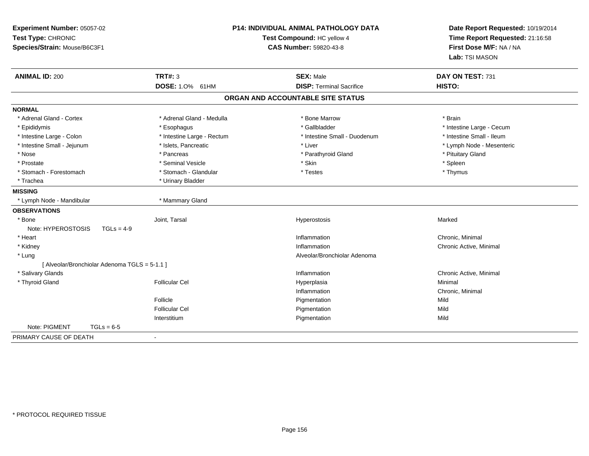| Experiment Number: 05057-02<br>Test Type: CHRONIC<br>Species/Strain: Mouse/B6C3F1 |                                   | P14: INDIVIDUAL ANIMAL PATHOLOGY DATA<br>Test Compound: HC yellow 4<br>CAS Number: 59820-43-8 | Date Report Requested: 10/19/2014<br>Time Report Requested: 21:16:58<br>First Dose M/F: NA / NA<br>Lab: TSI MASON |  |
|-----------------------------------------------------------------------------------|-----------------------------------|-----------------------------------------------------------------------------------------------|-------------------------------------------------------------------------------------------------------------------|--|
| <b>ANIMAL ID: 200</b>                                                             | <b>TRT#: 3</b><br>DOSE: 1.0% 61HM | <b>SEX: Male</b><br><b>DISP: Terminal Sacrifice</b>                                           | DAY ON TEST: 731<br><b>HISTO:</b>                                                                                 |  |
|                                                                                   |                                   | ORGAN AND ACCOUNTABLE SITE STATUS                                                             |                                                                                                                   |  |
|                                                                                   |                                   |                                                                                               |                                                                                                                   |  |
| <b>NORMAL</b>                                                                     |                                   |                                                                                               |                                                                                                                   |  |
| * Adrenal Gland - Cortex                                                          | * Adrenal Gland - Medulla         | * Bone Marrow                                                                                 | * Brain                                                                                                           |  |
| * Epididymis                                                                      | * Esophagus                       | * Gallbladder                                                                                 | * Intestine Large - Cecum                                                                                         |  |
| * Intestine Large - Colon                                                         | * Intestine Large - Rectum        | * Intestine Small - Duodenum                                                                  | * Intestine Small - Ileum                                                                                         |  |
| * Intestine Small - Jejunum                                                       | * Islets, Pancreatic              | * Liver                                                                                       | * Lymph Node - Mesenteric                                                                                         |  |
| $*$ Nose                                                                          | * Pancreas                        | * Parathyroid Gland                                                                           | * Pituitary Gland                                                                                                 |  |
| * Prostate                                                                        | * Seminal Vesicle                 | * Skin                                                                                        | * Spleen                                                                                                          |  |
| * Stomach - Forestomach                                                           | * Stomach - Glandular             | * Testes                                                                                      | * Thymus                                                                                                          |  |
| * Trachea                                                                         | * Urinary Bladder                 |                                                                                               |                                                                                                                   |  |
| <b>MISSING</b>                                                                    |                                   |                                                                                               |                                                                                                                   |  |
| * Lymph Node - Mandibular                                                         | * Mammary Gland                   |                                                                                               |                                                                                                                   |  |
| <b>OBSERVATIONS</b>                                                               |                                   |                                                                                               |                                                                                                                   |  |
| $*$ Bone                                                                          | Joint, Tarsal                     | Hyperostosis                                                                                  | Marked                                                                                                            |  |
| Note: HYPEROSTOSIS<br>$TGLs = 4-9$                                                |                                   |                                                                                               |                                                                                                                   |  |
| * Heart                                                                           |                                   | Inflammation                                                                                  | Chronic, Minimal                                                                                                  |  |
| * Kidney                                                                          |                                   | Inflammation                                                                                  | Chronic Active, Minimal                                                                                           |  |
| * Lung                                                                            |                                   | Alveolar/Bronchiolar Adenoma                                                                  |                                                                                                                   |  |
| [ Alveolar/Bronchiolar Adenoma TGLS = 5-1.1 ]                                     |                                   |                                                                                               |                                                                                                                   |  |
| * Salivary Glands                                                                 |                                   | Inflammation                                                                                  | Chronic Active, Minimal                                                                                           |  |
| * Thyroid Gland                                                                   | <b>Follicular Cel</b>             | Hyperplasia                                                                                   | Minimal                                                                                                           |  |
|                                                                                   |                                   | Inflammation                                                                                  | Chronic, Minimal                                                                                                  |  |
|                                                                                   | Follicle                          | Pigmentation                                                                                  | Mild                                                                                                              |  |
|                                                                                   | <b>Follicular Cel</b>             | Pigmentation                                                                                  | Mild                                                                                                              |  |
|                                                                                   | Interstitium                      | Pigmentation                                                                                  | Mild                                                                                                              |  |
| Note: PIGMENT<br>$TGLs = 6-5$                                                     |                                   |                                                                                               |                                                                                                                   |  |
| PRIMARY CAUSE OF DEATH                                                            | $\blacksquare$                    |                                                                                               |                                                                                                                   |  |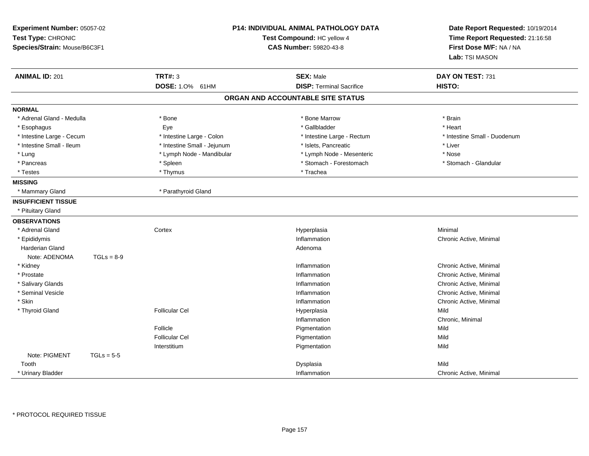| Experiment Number: 05057-02<br>Test Type: CHRONIC<br>Species/Strain: Mouse/B6C3F1 |              | P14: INDIVIDUAL ANIMAL PATHOLOGY DATA<br>Test Compound: HC yellow 4<br>CAS Number: 59820-43-8 |                                   | Date Report Requested: 10/19/2014<br>Time Report Requested: 21:16:58<br>First Dose M/F: NA / NA<br>Lab: TSI MASON |  |
|-----------------------------------------------------------------------------------|--------------|-----------------------------------------------------------------------------------------------|-----------------------------------|-------------------------------------------------------------------------------------------------------------------|--|
| <b>ANIMAL ID: 201</b>                                                             |              | <b>TRT#: 3</b>                                                                                | <b>SEX: Male</b>                  | DAY ON TEST: 731                                                                                                  |  |
|                                                                                   |              | DOSE: 1.0% 61HM                                                                               | <b>DISP: Terminal Sacrifice</b>   | HISTO:                                                                                                            |  |
|                                                                                   |              |                                                                                               | ORGAN AND ACCOUNTABLE SITE STATUS |                                                                                                                   |  |
| <b>NORMAL</b>                                                                     |              |                                                                                               |                                   |                                                                                                                   |  |
| * Adrenal Gland - Medulla                                                         |              | * Bone                                                                                        | * Bone Marrow                     | * Brain                                                                                                           |  |
| * Esophagus                                                                       |              | Eye                                                                                           | * Gallbladder                     | * Heart                                                                                                           |  |
| * Intestine Large - Cecum                                                         |              | * Intestine Large - Colon                                                                     | * Intestine Large - Rectum        | * Intestine Small - Duodenum                                                                                      |  |
| * Intestine Small - Ileum                                                         |              | * Intestine Small - Jejunum                                                                   | * Islets, Pancreatic              | * Liver                                                                                                           |  |
| * Lung                                                                            |              | * Lymph Node - Mandibular                                                                     | * Lymph Node - Mesenteric         | * Nose                                                                                                            |  |
| * Pancreas                                                                        |              | * Spleen                                                                                      | * Stomach - Forestomach           | * Stomach - Glandular                                                                                             |  |
| * Testes                                                                          |              | * Thymus                                                                                      | * Trachea                         |                                                                                                                   |  |
| <b>MISSING</b>                                                                    |              |                                                                                               |                                   |                                                                                                                   |  |
| * Mammary Gland                                                                   |              | * Parathyroid Gland                                                                           |                                   |                                                                                                                   |  |
| <b>INSUFFICIENT TISSUE</b>                                                        |              |                                                                                               |                                   |                                                                                                                   |  |
| * Pituitary Gland                                                                 |              |                                                                                               |                                   |                                                                                                                   |  |
| <b>OBSERVATIONS</b>                                                               |              |                                                                                               |                                   |                                                                                                                   |  |
| * Adrenal Gland                                                                   |              | Cortex                                                                                        | Hyperplasia                       | Minimal                                                                                                           |  |
| * Epididymis                                                                      |              |                                                                                               | Inflammation                      | Chronic Active, Minimal                                                                                           |  |
| <b>Harderian Gland</b>                                                            |              |                                                                                               | Adenoma                           |                                                                                                                   |  |
| Note: ADENOMA                                                                     | $TGLs = 8-9$ |                                                                                               |                                   |                                                                                                                   |  |
| * Kidney                                                                          |              |                                                                                               | Inflammation                      | Chronic Active, Minimal                                                                                           |  |
| * Prostate                                                                        |              |                                                                                               | Inflammation                      | Chronic Active, Minimal                                                                                           |  |
| * Salivary Glands                                                                 |              |                                                                                               | Inflammation                      | Chronic Active, Minimal                                                                                           |  |
| * Seminal Vesicle                                                                 |              |                                                                                               | Inflammation                      | Chronic Active, Minimal                                                                                           |  |
| * Skin                                                                            |              |                                                                                               | Inflammation                      | Chronic Active, Minimal                                                                                           |  |
| * Thyroid Gland                                                                   |              | <b>Follicular Cel</b>                                                                         | Hyperplasia                       | Mild                                                                                                              |  |
|                                                                                   |              |                                                                                               | Inflammation                      | Chronic, Minimal                                                                                                  |  |
|                                                                                   |              | Follicle                                                                                      | Pigmentation                      | Mild                                                                                                              |  |
|                                                                                   |              | <b>Follicular Cel</b>                                                                         | Pigmentation                      | Mild                                                                                                              |  |
|                                                                                   |              | Interstitium                                                                                  | Pigmentation                      | Mild                                                                                                              |  |
| Note: PIGMENT                                                                     | $TGLs = 5-5$ |                                                                                               |                                   |                                                                                                                   |  |
| Tooth                                                                             |              |                                                                                               | Dysplasia                         | Mild                                                                                                              |  |
| * Urinary Bladder                                                                 |              |                                                                                               | Inflammation                      | Chronic Active, Minimal                                                                                           |  |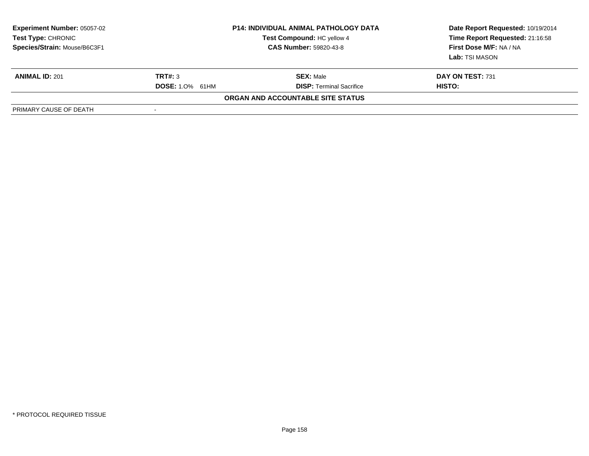| <b>Experiment Number: 05057-02</b><br>Test Type: CHRONIC<br>Species/Strain: Mouse/B6C3F1 | <b>P14: INDIVIDUAL ANIMAL PATHOLOGY DATA</b><br>Test Compound: HC yellow 4<br><b>CAS Number: 59820-43-8</b> |                                   | Date Report Requested: 10/19/2014<br>Time Report Requested: 21:16:58<br>First Dose M/F: NA / NA<br><b>Lab:</b> TSI MASON |
|------------------------------------------------------------------------------------------|-------------------------------------------------------------------------------------------------------------|-----------------------------------|--------------------------------------------------------------------------------------------------------------------------|
| <b>ANIMAL ID: 201</b>                                                                    | TRT#: 3                                                                                                     | <b>SEX: Male</b>                  | DAY ON TEST: 731                                                                                                         |
|                                                                                          | <b>DOSE:</b> 1.0% 61HM                                                                                      | <b>DISP:</b> Terminal Sacrifice   | <b>HISTO:</b>                                                                                                            |
|                                                                                          |                                                                                                             | ORGAN AND ACCOUNTABLE SITE STATUS |                                                                                                                          |
| PRIMARY CAUSE OF DEATH                                                                   | $\overline{\phantom{a}}$                                                                                    |                                   |                                                                                                                          |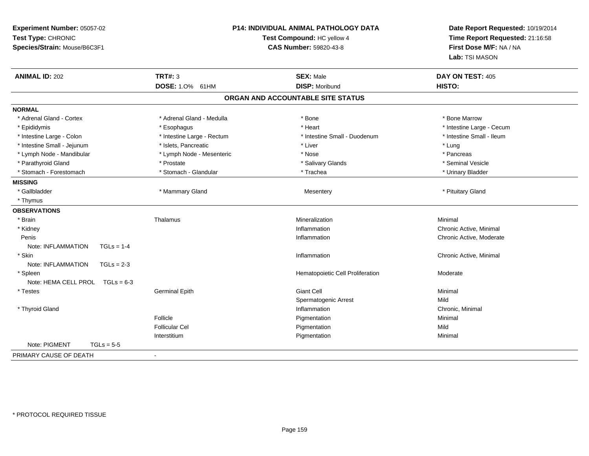| Experiment Number: 05057-02<br>Test Type: CHRONIC<br>Species/Strain: Mouse/B6C3F1 | <b>P14: INDIVIDUAL ANIMAL PATHOLOGY DATA</b><br>Test Compound: HC yellow 4<br><b>CAS Number: 59820-43-8</b> |                                   | Date Report Requested: 10/19/2014<br>Time Report Requested: 21:16:58<br>First Dose M/F: NA / NA<br>Lab: TSI MASON |
|-----------------------------------------------------------------------------------|-------------------------------------------------------------------------------------------------------------|-----------------------------------|-------------------------------------------------------------------------------------------------------------------|
| <b>ANIMAL ID: 202</b>                                                             | <b>TRT#: 3</b>                                                                                              | <b>SEX: Male</b>                  | DAY ON TEST: 405                                                                                                  |
|                                                                                   | DOSE: 1.0% 61HM                                                                                             | <b>DISP: Moribund</b>             | HISTO:                                                                                                            |
|                                                                                   |                                                                                                             | ORGAN AND ACCOUNTABLE SITE STATUS |                                                                                                                   |
| <b>NORMAL</b>                                                                     |                                                                                                             |                                   |                                                                                                                   |
| * Adrenal Gland - Cortex                                                          | * Adrenal Gland - Medulla                                                                                   | * Bone                            | * Bone Marrow                                                                                                     |
| * Epididymis                                                                      | * Esophagus                                                                                                 | * Heart                           | * Intestine Large - Cecum                                                                                         |
| * Intestine Large - Colon                                                         | * Intestine Large - Rectum                                                                                  | * Intestine Small - Duodenum      | * Intestine Small - Ileum                                                                                         |
| * Intestine Small - Jejunum                                                       | * Islets, Pancreatic                                                                                        | * Liver                           | * Lung                                                                                                            |
| * Lymph Node - Mandibular                                                         | * Lymph Node - Mesenteric                                                                                   | * Nose                            | * Pancreas                                                                                                        |
| * Parathyroid Gland                                                               | * Prostate                                                                                                  | * Salivary Glands                 | * Seminal Vesicle                                                                                                 |
| * Stomach - Forestomach                                                           | * Stomach - Glandular                                                                                       | * Trachea                         | * Urinary Bladder                                                                                                 |
| <b>MISSING</b>                                                                    |                                                                                                             |                                   |                                                                                                                   |
| * Gallbladder                                                                     | * Mammary Gland                                                                                             | Mesentery                         | * Pituitary Gland                                                                                                 |
| * Thymus                                                                          |                                                                                                             |                                   |                                                                                                                   |
| <b>OBSERVATIONS</b>                                                               |                                                                                                             |                                   |                                                                                                                   |
| * Brain                                                                           | Thalamus                                                                                                    | Mineralization                    | Minimal                                                                                                           |
| * Kidney                                                                          |                                                                                                             | Inflammation                      | Chronic Active, Minimal                                                                                           |
| Penis                                                                             |                                                                                                             | Inflammation                      | Chronic Active, Moderate                                                                                          |
| Note: INFLAMMATION<br>$TGLs = 1-4$                                                |                                                                                                             |                                   |                                                                                                                   |
| * Skin                                                                            |                                                                                                             | Inflammation                      | Chronic Active, Minimal                                                                                           |
| Note: INFLAMMATION<br>$TGLs = 2-3$                                                |                                                                                                             |                                   |                                                                                                                   |
| * Spleen                                                                          |                                                                                                             | Hematopoietic Cell Proliferation  | Moderate                                                                                                          |
| Note: HEMA CELL PROL $TGLs = 6-3$                                                 |                                                                                                             |                                   |                                                                                                                   |
| * Testes                                                                          | <b>Germinal Epith</b>                                                                                       | Giant Cell                        | Minimal                                                                                                           |
|                                                                                   |                                                                                                             | Spermatogenic Arrest              | Mild                                                                                                              |
| * Thyroid Gland                                                                   |                                                                                                             | Inflammation                      | Chronic, Minimal                                                                                                  |
|                                                                                   | Follicle                                                                                                    | Pigmentation                      | Minimal                                                                                                           |
|                                                                                   | <b>Follicular Cel</b>                                                                                       | Pigmentation                      | Mild                                                                                                              |
|                                                                                   | Interstitium                                                                                                | Pigmentation                      | Minimal                                                                                                           |
| Note: PIGMENT<br>$TGLs = 5-5$                                                     |                                                                                                             |                                   |                                                                                                                   |
| PRIMARY CAUSE OF DEATH                                                            | $\overline{\phantom{a}}$                                                                                    |                                   |                                                                                                                   |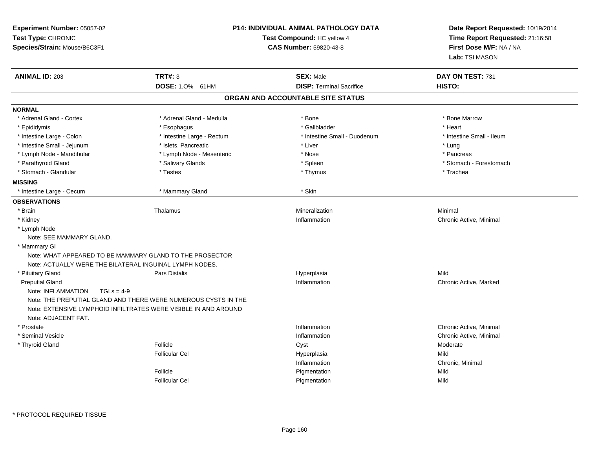| Experiment Number: 05057-02<br>Test Type: CHRONIC<br>Species/Strain: Mouse/B6C3F1 |                                                                 | <b>P14: INDIVIDUAL ANIMAL PATHOLOGY DATA</b><br>Test Compound: HC yellow 4<br><b>CAS Number: 59820-43-8</b> | Date Report Requested: 10/19/2014<br>Time Report Requested: 21:16:58<br>First Dose M/F: NA / NA<br>Lab: TSI MASON |
|-----------------------------------------------------------------------------------|-----------------------------------------------------------------|-------------------------------------------------------------------------------------------------------------|-------------------------------------------------------------------------------------------------------------------|
| <b>ANIMAL ID: 203</b>                                                             | <b>TRT#: 3</b><br>DOSE: 1.0% 61HM                               | <b>SEX: Male</b><br><b>DISP: Terminal Sacrifice</b>                                                         | DAY ON TEST: 731<br>HISTO:                                                                                        |
|                                                                                   |                                                                 | ORGAN AND ACCOUNTABLE SITE STATUS                                                                           |                                                                                                                   |
| <b>NORMAL</b>                                                                     |                                                                 |                                                                                                             |                                                                                                                   |
| * Adrenal Gland - Cortex                                                          | * Adrenal Gland - Medulla                                       | * Bone                                                                                                      | * Bone Marrow                                                                                                     |
| * Epididymis                                                                      | * Esophagus                                                     | * Gallbladder                                                                                               | * Heart                                                                                                           |
| * Intestine Large - Colon                                                         | * Intestine Large - Rectum                                      | * Intestine Small - Duodenum                                                                                | * Intestine Small - Ileum                                                                                         |
| * Intestine Small - Jejunum                                                       | * Islets. Pancreatic                                            | * Liver                                                                                                     | * Lung                                                                                                            |
| * Lymph Node - Mandibular                                                         | * Lymph Node - Mesenteric                                       | * Nose                                                                                                      | * Pancreas                                                                                                        |
| * Parathyroid Gland                                                               | * Salivary Glands                                               | * Spleen                                                                                                    | * Stomach - Forestomach                                                                                           |
| * Stomach - Glandular                                                             | * Testes                                                        | * Thymus                                                                                                    | * Trachea                                                                                                         |
| <b>MISSING</b>                                                                    |                                                                 |                                                                                                             |                                                                                                                   |
| * Intestine Large - Cecum                                                         | * Mammary Gland                                                 | * Skin                                                                                                      |                                                                                                                   |
| <b>OBSERVATIONS</b>                                                               |                                                                 |                                                                                                             |                                                                                                                   |
| * Brain                                                                           | Thalamus                                                        | Mineralization                                                                                              | Minimal                                                                                                           |
| * Kidney                                                                          |                                                                 | Inflammation                                                                                                | Chronic Active, Minimal                                                                                           |
| * Lymph Node                                                                      |                                                                 |                                                                                                             |                                                                                                                   |
| Note: SEE MAMMARY GLAND.                                                          |                                                                 |                                                                                                             |                                                                                                                   |
| * Mammary GI                                                                      |                                                                 |                                                                                                             |                                                                                                                   |
|                                                                                   | Note: WHAT APPEARED TO BE MAMMARY GLAND TO THE PROSECTOR        |                                                                                                             |                                                                                                                   |
| Note: ACTUALLY WERE THE BILATERAL INGUINAL LYMPH NODES.                           |                                                                 |                                                                                                             |                                                                                                                   |
| * Pituitary Gland                                                                 | Pars Distalis                                                   | Hyperplasia                                                                                                 | Mild                                                                                                              |
| <b>Preputial Gland</b>                                                            |                                                                 | Inflammation                                                                                                | Chronic Active, Marked                                                                                            |
| Note: INFLAMMATION<br>$TGLs = 4-9$                                                |                                                                 |                                                                                                             |                                                                                                                   |
|                                                                                   | Note: THE PREPUTIAL GLAND AND THERE WERE NUMEROUS CYSTS IN THE  |                                                                                                             |                                                                                                                   |
|                                                                                   | Note: EXTENSIVE LYMPHOID INFILTRATES WERE VISIBLE IN AND AROUND |                                                                                                             |                                                                                                                   |
| Note: ADJACENT FAT.                                                               |                                                                 |                                                                                                             |                                                                                                                   |
| * Prostate                                                                        |                                                                 | Inflammation                                                                                                | Chronic Active, Minimal                                                                                           |
| * Seminal Vesicle                                                                 |                                                                 | Inflammation                                                                                                | Chronic Active, Minimal                                                                                           |
| * Thyroid Gland                                                                   | Follicle                                                        | Cyst                                                                                                        | Moderate                                                                                                          |
|                                                                                   | <b>Follicular Cel</b>                                           | Hyperplasia                                                                                                 | Mild                                                                                                              |
|                                                                                   |                                                                 | Inflammation                                                                                                | Chronic, Minimal                                                                                                  |
|                                                                                   | Follicle                                                        | Pigmentation                                                                                                | Mild                                                                                                              |
|                                                                                   | <b>Follicular Cel</b>                                           | Pigmentation                                                                                                | Mild                                                                                                              |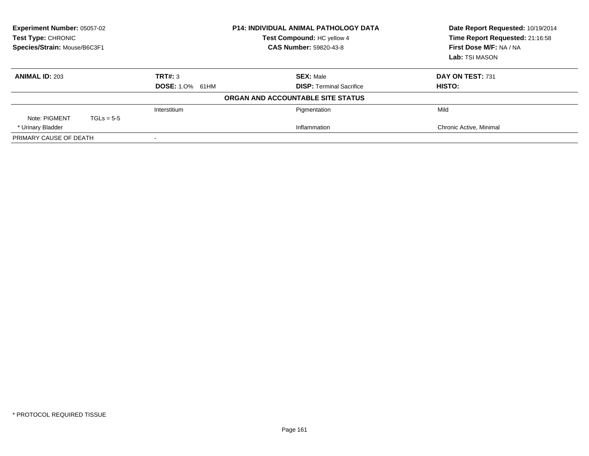| Experiment Number: 05057-02<br>Test Type: CHRONIC<br>Species/Strain: Mouse/B6C3F1 |              |                        | <b>P14: INDIVIDUAL ANIMAL PATHOLOGY DATA</b><br>Test Compound: HC yellow 4<br><b>CAS Number: 59820-43-8</b> | Date Report Requested: 10/19/2014<br>Time Report Requested: 21:16:58<br>First Dose M/F: NA / NA<br>Lab: TSI MASON |
|-----------------------------------------------------------------------------------|--------------|------------------------|-------------------------------------------------------------------------------------------------------------|-------------------------------------------------------------------------------------------------------------------|
| <b>ANIMAL ID: 203</b>                                                             |              | TRT#: 3                | <b>SEX: Male</b>                                                                                            | DAY ON TEST: 731                                                                                                  |
|                                                                                   |              | <b>DOSE: 1.0% 61HM</b> | <b>DISP:</b> Terminal Sacrifice                                                                             | HISTO:                                                                                                            |
|                                                                                   |              |                        | ORGAN AND ACCOUNTABLE SITE STATUS                                                                           |                                                                                                                   |
|                                                                                   |              | Interstitium           | Pigmentation                                                                                                | Mild                                                                                                              |
| Note: PIGMENT                                                                     | $TGLs = 5-5$ |                        |                                                                                                             |                                                                                                                   |
| * Urinary Bladder                                                                 |              |                        | Inflammation                                                                                                | Chronic Active, Minimal                                                                                           |
| PRIMARY CAUSE OF DEATH                                                            |              |                        |                                                                                                             |                                                                                                                   |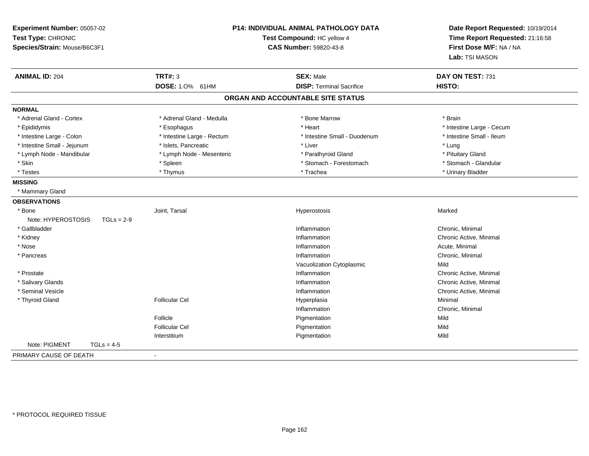| Experiment Number: 05057-02<br>Test Type: CHRONIC<br>Species/Strain: Mouse/B6C3F1 | <b>P14: INDIVIDUAL ANIMAL PATHOLOGY DATA</b><br>Test Compound: HC yellow 4<br><b>CAS Number: 59820-43-8</b> |                                   | Date Report Requested: 10/19/2014<br>Time Report Requested: 21:16:58<br>First Dose M/F: NA / NA<br>Lab: TSI MASON |
|-----------------------------------------------------------------------------------|-------------------------------------------------------------------------------------------------------------|-----------------------------------|-------------------------------------------------------------------------------------------------------------------|
| <b>ANIMAL ID: 204</b>                                                             | <b>TRT#: 3</b>                                                                                              | <b>SEX: Male</b>                  | DAY ON TEST: 731                                                                                                  |
|                                                                                   | <b>DOSE: 1.0%</b><br>61HM                                                                                   | <b>DISP: Terminal Sacrifice</b>   | HISTO:                                                                                                            |
|                                                                                   |                                                                                                             | ORGAN AND ACCOUNTABLE SITE STATUS |                                                                                                                   |
| <b>NORMAL</b>                                                                     |                                                                                                             |                                   |                                                                                                                   |
| * Adrenal Gland - Cortex                                                          | * Adrenal Gland - Medulla                                                                                   | * Bone Marrow                     | * Brain                                                                                                           |
| * Epididymis                                                                      | * Esophagus                                                                                                 | * Heart                           | * Intestine Large - Cecum                                                                                         |
| * Intestine Large - Colon                                                         | * Intestine Large - Rectum                                                                                  | * Intestine Small - Duodenum      | * Intestine Small - Ileum                                                                                         |
| * Intestine Small - Jejunum                                                       | * Islets. Pancreatic                                                                                        | * Liver                           | * Lung                                                                                                            |
| * Lymph Node - Mandibular                                                         | * Lymph Node - Mesenteric                                                                                   | * Parathyroid Gland               | * Pituitary Gland                                                                                                 |
| * Skin                                                                            | * Spleen                                                                                                    | * Stomach - Forestomach           | * Stomach - Glandular                                                                                             |
| * Testes                                                                          | * Thymus                                                                                                    | * Trachea                         | * Urinary Bladder                                                                                                 |
| <b>MISSING</b>                                                                    |                                                                                                             |                                   |                                                                                                                   |
| * Mammary Gland                                                                   |                                                                                                             |                                   |                                                                                                                   |
| <b>OBSERVATIONS</b>                                                               |                                                                                                             |                                   |                                                                                                                   |
| * Bone                                                                            | Joint, Tarsal                                                                                               | Hyperostosis                      | Marked                                                                                                            |
| Note: HYPEROSTOSIS<br>$TGLs = 2-9$                                                |                                                                                                             |                                   |                                                                                                                   |
| * Gallbladder                                                                     |                                                                                                             | Inflammation                      | Chronic, Minimal                                                                                                  |
| * Kidney                                                                          |                                                                                                             | Inflammation                      | Chronic Active, Minimal                                                                                           |
| * Nose                                                                            |                                                                                                             | Inflammation                      | Acute, Minimal                                                                                                    |
| * Pancreas                                                                        |                                                                                                             | Inflammation                      | Chronic, Minimal                                                                                                  |
|                                                                                   |                                                                                                             | Vacuolization Cytoplasmic         | Mild                                                                                                              |
| * Prostate                                                                        |                                                                                                             | Inflammation                      | Chronic Active, Minimal                                                                                           |
| * Salivary Glands                                                                 |                                                                                                             | Inflammation                      | Chronic Active, Minimal                                                                                           |
| * Seminal Vesicle                                                                 |                                                                                                             | Inflammation                      | Chronic Active, Minimal                                                                                           |
| * Thyroid Gland                                                                   | <b>Follicular Cel</b>                                                                                       | Hyperplasia                       | Minimal                                                                                                           |
|                                                                                   |                                                                                                             | Inflammation                      | Chronic, Minimal                                                                                                  |
|                                                                                   | Follicle                                                                                                    | Pigmentation                      | Mild                                                                                                              |
|                                                                                   | <b>Follicular Cel</b>                                                                                       | Pigmentation                      | Mild                                                                                                              |
|                                                                                   | Interstitium                                                                                                | Pigmentation                      | Mild                                                                                                              |
| Note: PIGMENT<br>$TGLs = 4-5$                                                     |                                                                                                             |                                   |                                                                                                                   |
| PRIMARY CAUSE OF DEATH                                                            | $\overline{\phantom{a}}$                                                                                    |                                   |                                                                                                                   |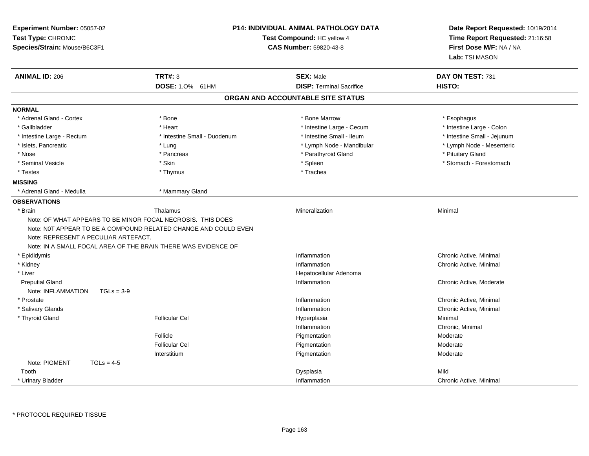| Experiment Number: 05057-02<br>Test Type: CHRONIC<br>Species/Strain: Mouse/B6C3F1                                                                                     |                                                                 | <b>P14: INDIVIDUAL ANIMAL PATHOLOGY DATA</b><br>Test Compound: HC yellow 4<br><b>CAS Number: 59820-43-8</b> | Date Report Requested: 10/19/2014<br>Time Report Requested: 21:16:58<br>First Dose M/F: NA / NA<br>Lab: TSI MASON |
|-----------------------------------------------------------------------------------------------------------------------------------------------------------------------|-----------------------------------------------------------------|-------------------------------------------------------------------------------------------------------------|-------------------------------------------------------------------------------------------------------------------|
| <b>ANIMAL ID: 206</b>                                                                                                                                                 | <b>TRT#: 3</b>                                                  | <b>SEX: Male</b>                                                                                            | DAY ON TEST: 731                                                                                                  |
|                                                                                                                                                                       | DOSE: 1.0% 61HM                                                 | <b>DISP: Terminal Sacrifice</b>                                                                             | HISTO:                                                                                                            |
|                                                                                                                                                                       |                                                                 | ORGAN AND ACCOUNTABLE SITE STATUS                                                                           |                                                                                                                   |
| <b>NORMAL</b>                                                                                                                                                         |                                                                 |                                                                                                             |                                                                                                                   |
| * Adrenal Gland - Cortex                                                                                                                                              | * Bone                                                          | * Bone Marrow                                                                                               | * Esophagus                                                                                                       |
| * Gallbladder                                                                                                                                                         | * Heart                                                         | * Intestine Large - Cecum                                                                                   | * Intestine Large - Colon                                                                                         |
| * Intestine Large - Rectum                                                                                                                                            | * Intestine Small - Duodenum                                    | * Intestine Small - Ileum                                                                                   | * Intestine Small - Jejunum                                                                                       |
| * Islets, Pancreatic                                                                                                                                                  | * Lung                                                          | * Lymph Node - Mandibular                                                                                   | * Lymph Node - Mesenteric                                                                                         |
| * Nose                                                                                                                                                                | * Pancreas                                                      | * Parathyroid Gland                                                                                         | * Pituitary Gland                                                                                                 |
| * Seminal Vesicle                                                                                                                                                     | * Skin                                                          | * Spleen                                                                                                    | * Stomach - Forestomach                                                                                           |
| * Testes                                                                                                                                                              | * Thymus                                                        | * Trachea                                                                                                   |                                                                                                                   |
| <b>MISSING</b>                                                                                                                                                        |                                                                 |                                                                                                             |                                                                                                                   |
| * Adrenal Gland - Medulla                                                                                                                                             | * Mammary Gland                                                 |                                                                                                             |                                                                                                                   |
| <b>OBSERVATIONS</b>                                                                                                                                                   |                                                                 |                                                                                                             |                                                                                                                   |
| * Brain                                                                                                                                                               | Thalamus                                                        | Mineralization                                                                                              | Minimal                                                                                                           |
| Note: OF WHAT APPEARS TO BE MINOR FOCAL NECROSIS. THIS DOES<br>Note: REPRESENT A PECULIAR ARTEFACT.<br>Note: IN A SMALL FOCAL AREA OF THE BRAIN THERE WAS EVIDENCE OF | Note: NOT APPEAR TO BE A COMPOUND RELATED CHANGE AND COULD EVEN |                                                                                                             |                                                                                                                   |
| * Epididymis                                                                                                                                                          |                                                                 | Inflammation                                                                                                | Chronic Active, Minimal                                                                                           |
| * Kidney                                                                                                                                                              |                                                                 | Inflammation                                                                                                | Chronic Active, Minimal                                                                                           |
| * Liver                                                                                                                                                               |                                                                 | Hepatocellular Adenoma                                                                                      |                                                                                                                   |
| <b>Preputial Gland</b>                                                                                                                                                |                                                                 | Inflammation                                                                                                | Chronic Active, Moderate                                                                                          |
| Note: INFLAMMATION<br>$TGLs = 3-9$                                                                                                                                    |                                                                 |                                                                                                             |                                                                                                                   |
| * Prostate                                                                                                                                                            |                                                                 | Inflammation                                                                                                | Chronic Active, Minimal                                                                                           |
| * Salivary Glands                                                                                                                                                     |                                                                 | Inflammation                                                                                                | Chronic Active, Minimal                                                                                           |
| * Thyroid Gland                                                                                                                                                       | <b>Follicular Cel</b>                                           | Hyperplasia                                                                                                 | Minimal                                                                                                           |
|                                                                                                                                                                       |                                                                 | Inflammation                                                                                                | Chronic, Minimal                                                                                                  |
|                                                                                                                                                                       | Follicle                                                        | Pigmentation                                                                                                | Moderate                                                                                                          |
|                                                                                                                                                                       | <b>Follicular Cel</b>                                           | Pigmentation                                                                                                | Moderate                                                                                                          |
|                                                                                                                                                                       | Interstitium                                                    | Pigmentation                                                                                                | Moderate                                                                                                          |
| Note: PIGMENT<br>$TGLs = 4-5$                                                                                                                                         |                                                                 |                                                                                                             |                                                                                                                   |
| Tooth                                                                                                                                                                 |                                                                 | Dysplasia                                                                                                   | Mild                                                                                                              |
| * Urinary Bladder                                                                                                                                                     |                                                                 | Inflammation                                                                                                | Chronic Active, Minimal                                                                                           |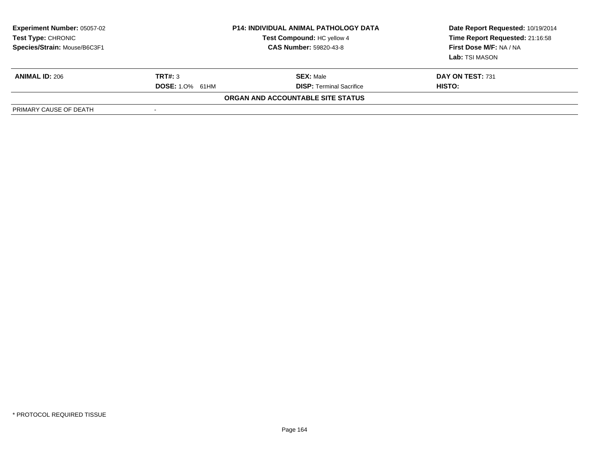| <b>Experiment Number: 05057-02</b><br>Test Type: CHRONIC<br>Species/Strain: Mouse/B6C3F1 |                        | <b>P14: INDIVIDUAL ANIMAL PATHOLOGY DATA</b><br>Test Compound: HC yellow 4<br><b>CAS Number: 59820-43-8</b> | Date Report Requested: 10/19/2014<br>Time Report Requested: 21:16:58<br>First Dose M/F: NA / NA<br><b>Lab:</b> TSI MASON |  |
|------------------------------------------------------------------------------------------|------------------------|-------------------------------------------------------------------------------------------------------------|--------------------------------------------------------------------------------------------------------------------------|--|
| <b>ANIMAL ID: 206</b>                                                                    | TRT#: 3                | <b>SEX: Male</b>                                                                                            | DAY ON TEST: 731                                                                                                         |  |
|                                                                                          | <b>DOSE: 1.0% 61HM</b> | <b>DISP: Terminal Sacrifice</b>                                                                             | HISTO:                                                                                                                   |  |
|                                                                                          |                        | ORGAN AND ACCOUNTABLE SITE STATUS                                                                           |                                                                                                                          |  |
| PRIMARY CAUSE OF DEATH                                                                   |                        |                                                                                                             |                                                                                                                          |  |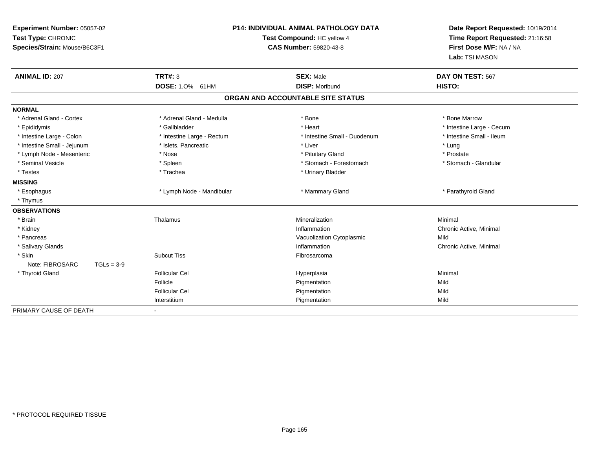| Experiment Number: 05057-02<br>Test Type: CHRONIC<br>Species/Strain: Mouse/B6C3F1 | P14: INDIVIDUAL ANIMAL PATHOLOGY DATA<br>Test Compound: HC yellow 4<br><b>CAS Number: 59820-43-8</b> |                                           | Date Report Requested: 10/19/2014<br>Time Report Requested: 21:16:58<br>First Dose M/F: NA / NA<br>Lab: TSI MASON |  |
|-----------------------------------------------------------------------------------|------------------------------------------------------------------------------------------------------|-------------------------------------------|-------------------------------------------------------------------------------------------------------------------|--|
| <b>ANIMAL ID: 207</b>                                                             | <b>TRT#: 3</b>                                                                                       | <b>SEX: Male</b><br><b>DISP: Moribund</b> | DAY ON TEST: 567                                                                                                  |  |
|                                                                                   | DOSE: 1.0% 61HM                                                                                      |                                           | HISTO:                                                                                                            |  |
|                                                                                   |                                                                                                      | ORGAN AND ACCOUNTABLE SITE STATUS         |                                                                                                                   |  |
| <b>NORMAL</b>                                                                     |                                                                                                      |                                           |                                                                                                                   |  |
| * Adrenal Gland - Cortex                                                          | * Adrenal Gland - Medulla                                                                            | * Bone                                    | * Bone Marrow                                                                                                     |  |
| * Epididymis                                                                      | * Gallbladder                                                                                        | * Heart                                   | * Intestine Large - Cecum                                                                                         |  |
| * Intestine Large - Colon                                                         | * Intestine Large - Rectum                                                                           | * Intestine Small - Duodenum              | * Intestine Small - Ileum                                                                                         |  |
| * Intestine Small - Jejunum                                                       | * Islets, Pancreatic                                                                                 | * Liver                                   | * Lung                                                                                                            |  |
| * Lymph Node - Mesenteric                                                         | * Nose                                                                                               | * Pituitary Gland                         | * Prostate                                                                                                        |  |
| * Seminal Vesicle                                                                 | * Spleen                                                                                             | * Stomach - Forestomach                   | * Stomach - Glandular                                                                                             |  |
| * Testes                                                                          | * Trachea                                                                                            | * Urinary Bladder                         |                                                                                                                   |  |
| <b>MISSING</b>                                                                    |                                                                                                      |                                           |                                                                                                                   |  |
| * Esophagus                                                                       | * Lymph Node - Mandibular                                                                            | * Mammary Gland                           | * Parathyroid Gland                                                                                               |  |
| * Thymus                                                                          |                                                                                                      |                                           |                                                                                                                   |  |
| <b>OBSERVATIONS</b>                                                               |                                                                                                      |                                           |                                                                                                                   |  |
| * Brain                                                                           | Thalamus                                                                                             | Mineralization                            | Minimal                                                                                                           |  |
| * Kidney                                                                          |                                                                                                      | Inflammation                              | Chronic Active, Minimal                                                                                           |  |
| * Pancreas                                                                        |                                                                                                      | Vacuolization Cytoplasmic                 | Mild                                                                                                              |  |
| * Salivary Glands                                                                 |                                                                                                      | Inflammation                              | Chronic Active, Minimal                                                                                           |  |
| * Skin                                                                            | <b>Subcut Tiss</b>                                                                                   | Fibrosarcoma                              |                                                                                                                   |  |
| Note: FIBROSARC<br>$TGLs = 3-9$                                                   |                                                                                                      |                                           |                                                                                                                   |  |
| * Thyroid Gland                                                                   | <b>Follicular Cel</b>                                                                                | Hyperplasia                               | Minimal                                                                                                           |  |
|                                                                                   | Follicle                                                                                             | Pigmentation                              | Mild                                                                                                              |  |
|                                                                                   | <b>Follicular Cel</b>                                                                                | Pigmentation                              | Mild                                                                                                              |  |
|                                                                                   | Interstitium                                                                                         | Pigmentation                              | Mild                                                                                                              |  |
| PRIMARY CAUSE OF DEATH                                                            |                                                                                                      |                                           |                                                                                                                   |  |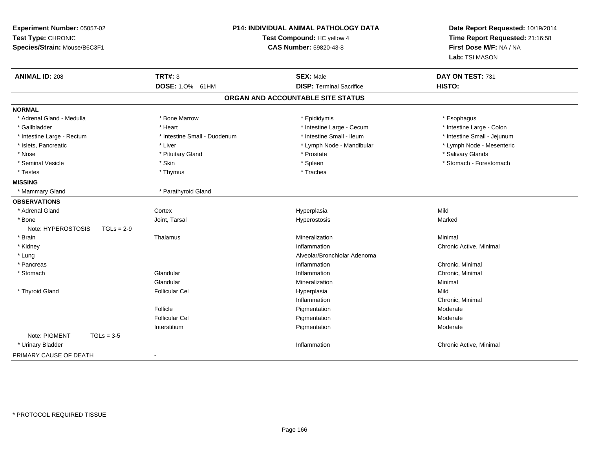| Experiment Number: 05057-02<br>Test Type: CHRONIC<br>Species/Strain: Mouse/B6C3F1 | <b>P14: INDIVIDUAL ANIMAL PATHOLOGY DATA</b><br>Test Compound: HC yellow 4<br><b>CAS Number: 59820-43-8</b> |                                   | Date Report Requested: 10/19/2014<br>Time Report Requested: 21:16:58<br>First Dose M/F: NA / NA<br>Lab: TSI MASON |
|-----------------------------------------------------------------------------------|-------------------------------------------------------------------------------------------------------------|-----------------------------------|-------------------------------------------------------------------------------------------------------------------|
| <b>ANIMAL ID: 208</b>                                                             | <b>TRT#: 3</b>                                                                                              | <b>SEX: Male</b>                  | DAY ON TEST: 731                                                                                                  |
|                                                                                   | DOSE: 1.0% 61HM                                                                                             | <b>DISP: Terminal Sacrifice</b>   | HISTO:                                                                                                            |
|                                                                                   |                                                                                                             | ORGAN AND ACCOUNTABLE SITE STATUS |                                                                                                                   |
| <b>NORMAL</b>                                                                     |                                                                                                             |                                   |                                                                                                                   |
| * Adrenal Gland - Medulla                                                         | * Bone Marrow                                                                                               | * Epididymis                      | * Esophagus                                                                                                       |
| * Gallbladder                                                                     | * Heart                                                                                                     | * Intestine Large - Cecum         | * Intestine Large - Colon                                                                                         |
| * Intestine Large - Rectum                                                        | * Intestine Small - Duodenum                                                                                | * Intestine Small - Ileum         | * Intestine Small - Jejunum                                                                                       |
| * Islets, Pancreatic                                                              | * Liver                                                                                                     | * Lymph Node - Mandibular         | * Lymph Node - Mesenteric                                                                                         |
| * Nose                                                                            | * Pituitary Gland                                                                                           | * Prostate                        | * Salivary Glands                                                                                                 |
| * Seminal Vesicle                                                                 | * Skin                                                                                                      | * Spleen                          | * Stomach - Forestomach                                                                                           |
| * Testes                                                                          | * Thymus                                                                                                    | * Trachea                         |                                                                                                                   |
| <b>MISSING</b>                                                                    |                                                                                                             |                                   |                                                                                                                   |
| * Mammary Gland                                                                   | * Parathyroid Gland                                                                                         |                                   |                                                                                                                   |
| <b>OBSERVATIONS</b>                                                               |                                                                                                             |                                   |                                                                                                                   |
| * Adrenal Gland                                                                   | Cortex                                                                                                      | Hyperplasia                       | Mild                                                                                                              |
| * Bone                                                                            | Joint, Tarsal                                                                                               | Hyperostosis                      | Marked                                                                                                            |
| Note: HYPEROSTOSIS<br>$TGLs = 2-9$                                                |                                                                                                             |                                   |                                                                                                                   |
| * Brain                                                                           | Thalamus                                                                                                    | Mineralization                    | Minimal                                                                                                           |
| * Kidney                                                                          |                                                                                                             | Inflammation                      | Chronic Active, Minimal                                                                                           |
| * Lung                                                                            |                                                                                                             | Alveolar/Bronchiolar Adenoma      |                                                                                                                   |
| * Pancreas                                                                        |                                                                                                             | Inflammation                      | Chronic, Minimal                                                                                                  |
| * Stomach                                                                         | Glandular                                                                                                   | Inflammation                      | Chronic, Minimal                                                                                                  |
|                                                                                   | Glandular                                                                                                   | Mineralization                    | Minimal                                                                                                           |
| * Thyroid Gland                                                                   | <b>Follicular Cel</b>                                                                                       | Hyperplasia                       | Mild                                                                                                              |
|                                                                                   |                                                                                                             | Inflammation                      | Chronic, Minimal                                                                                                  |
|                                                                                   | Follicle                                                                                                    | Pigmentation                      | Moderate                                                                                                          |
|                                                                                   | <b>Follicular Cel</b>                                                                                       | Pigmentation                      | Moderate                                                                                                          |
|                                                                                   | Interstitium                                                                                                | Pigmentation                      | Moderate                                                                                                          |
| Note: PIGMENT<br>$TGLs = 3-5$                                                     |                                                                                                             |                                   |                                                                                                                   |
| * Urinary Bladder                                                                 |                                                                                                             | Inflammation                      | Chronic Active, Minimal                                                                                           |
| PRIMARY CAUSE OF DEATH                                                            | $\blacksquare$                                                                                              |                                   |                                                                                                                   |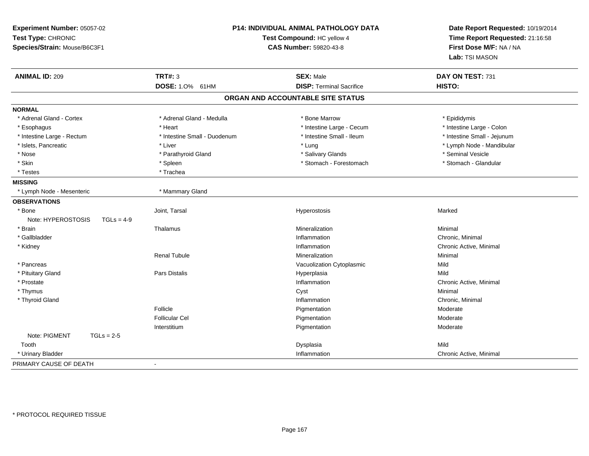| Experiment Number: 05057-02<br>Test Type: CHRONIC<br>Species/Strain: Mouse/B6C3F1 | P14: INDIVIDUAL ANIMAL PATHOLOGY DATA<br>Test Compound: HC yellow 4<br><b>CAS Number: 59820-43-8</b> |                                                     | Date Report Requested: 10/19/2014<br>Time Report Requested: 21:16:58<br>First Dose M/F: NA / NA<br>Lab: TSI MASON |
|-----------------------------------------------------------------------------------|------------------------------------------------------------------------------------------------------|-----------------------------------------------------|-------------------------------------------------------------------------------------------------------------------|
| <b>ANIMAL ID: 209</b>                                                             | <b>TRT#: 3</b><br>DOSE: 1.0% 61HM                                                                    | <b>SEX: Male</b><br><b>DISP: Terminal Sacrifice</b> | DAY ON TEST: 731<br>HISTO:                                                                                        |
|                                                                                   |                                                                                                      |                                                     |                                                                                                                   |
|                                                                                   |                                                                                                      | ORGAN AND ACCOUNTABLE SITE STATUS                   |                                                                                                                   |
| <b>NORMAL</b>                                                                     |                                                                                                      |                                                     |                                                                                                                   |
| * Adrenal Gland - Cortex                                                          | * Adrenal Gland - Medulla                                                                            | * Bone Marrow                                       | * Epididymis                                                                                                      |
| * Esophagus                                                                       | * Heart                                                                                              | * Intestine Large - Cecum                           | * Intestine Large - Colon                                                                                         |
| * Intestine Large - Rectum                                                        | * Intestine Small - Duodenum                                                                         | * Intestine Small - Ileum                           | * Intestine Small - Jejunum                                                                                       |
| * Islets, Pancreatic                                                              | * Liver                                                                                              | * Lung                                              | * Lymph Node - Mandibular                                                                                         |
| * Nose                                                                            | * Parathyroid Gland                                                                                  | * Salivary Glands                                   | * Seminal Vesicle                                                                                                 |
| * Skin                                                                            | * Spleen                                                                                             | * Stomach - Forestomach                             | * Stomach - Glandular                                                                                             |
| * Testes                                                                          | * Trachea                                                                                            |                                                     |                                                                                                                   |
| <b>MISSING</b>                                                                    |                                                                                                      |                                                     |                                                                                                                   |
| * Lymph Node - Mesenteric                                                         | * Mammary Gland                                                                                      |                                                     |                                                                                                                   |
| <b>OBSERVATIONS</b>                                                               |                                                                                                      |                                                     |                                                                                                                   |
| * Bone                                                                            | Joint, Tarsal                                                                                        | Hyperostosis                                        | Marked                                                                                                            |
| Note: HYPEROSTOSIS<br>$TGLs = 4-9$                                                |                                                                                                      |                                                     |                                                                                                                   |
| * Brain                                                                           | Thalamus                                                                                             | Mineralization                                      | Minimal                                                                                                           |
| * Gallbladder                                                                     |                                                                                                      | Inflammation                                        | Chronic, Minimal                                                                                                  |
| * Kidney                                                                          |                                                                                                      | Inflammation                                        | Chronic Active, Minimal                                                                                           |
|                                                                                   | <b>Renal Tubule</b>                                                                                  | Mineralization                                      | Minimal                                                                                                           |
| * Pancreas                                                                        |                                                                                                      | Vacuolization Cytoplasmic                           | Mild                                                                                                              |
| * Pituitary Gland                                                                 | <b>Pars Distalis</b>                                                                                 | Hyperplasia                                         | Mild                                                                                                              |
| * Prostate                                                                        |                                                                                                      | Inflammation                                        | Chronic Active, Minimal                                                                                           |
| * Thymus                                                                          |                                                                                                      | Cyst                                                | Minimal                                                                                                           |
| * Thyroid Gland                                                                   |                                                                                                      | Inflammation                                        | Chronic, Minimal                                                                                                  |
|                                                                                   | Follicle                                                                                             | Pigmentation                                        | Moderate                                                                                                          |
|                                                                                   | <b>Follicular Cel</b>                                                                                | Pigmentation                                        | Moderate                                                                                                          |
|                                                                                   | Interstitium                                                                                         | Pigmentation                                        | Moderate                                                                                                          |
| Note: PIGMENT<br>$TGLs = 2-5$                                                     |                                                                                                      |                                                     |                                                                                                                   |
| Tooth                                                                             |                                                                                                      | Dysplasia                                           | Mild                                                                                                              |
| * Urinary Bladder                                                                 |                                                                                                      | Inflammation                                        | Chronic Active, Minimal                                                                                           |
| PRIMARY CAUSE OF DEATH                                                            |                                                                                                      |                                                     |                                                                                                                   |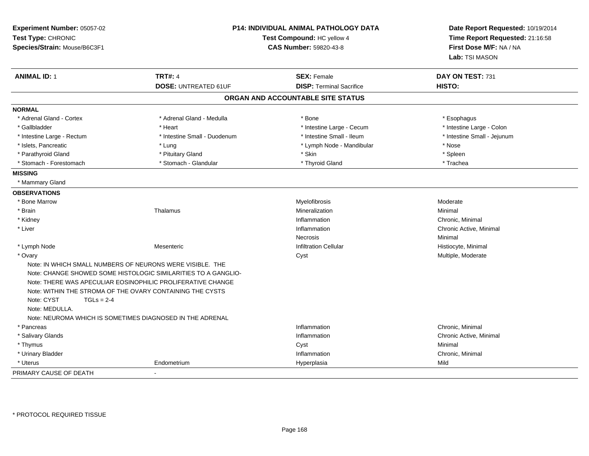| Experiment Number: 05057-02<br>Test Type: CHRONIC<br>Species/Strain: Mouse/B6C3F1                                                                                      |                                                                                                                               | <b>P14: INDIVIDUAL ANIMAL PATHOLOGY DATA</b><br>Test Compound: HC yellow 4<br><b>CAS Number: 59820-43-8</b> | Date Report Requested: 10/19/2014<br>Time Report Requested: 21:16:58<br>First Dose M/F: NA / NA<br>Lab: TSI MASON |
|------------------------------------------------------------------------------------------------------------------------------------------------------------------------|-------------------------------------------------------------------------------------------------------------------------------|-------------------------------------------------------------------------------------------------------------|-------------------------------------------------------------------------------------------------------------------|
| <b>ANIMAL ID: 1</b>                                                                                                                                                    | <b>TRT#: 4</b>                                                                                                                | <b>SEX: Female</b>                                                                                          | DAY ON TEST: 731                                                                                                  |
|                                                                                                                                                                        | <b>DOSE: UNTREATED 61UF</b>                                                                                                   | <b>DISP: Terminal Sacrifice</b>                                                                             | HISTO:                                                                                                            |
|                                                                                                                                                                        |                                                                                                                               | ORGAN AND ACCOUNTABLE SITE STATUS                                                                           |                                                                                                                   |
| <b>NORMAL</b>                                                                                                                                                          |                                                                                                                               |                                                                                                             |                                                                                                                   |
| * Adrenal Gland - Cortex                                                                                                                                               | * Adrenal Gland - Medulla                                                                                                     | * Bone                                                                                                      | * Esophagus                                                                                                       |
| * Gallbladder                                                                                                                                                          | * Heart                                                                                                                       | * Intestine Large - Cecum                                                                                   | * Intestine Large - Colon                                                                                         |
| * Intestine Large - Rectum                                                                                                                                             | * Intestine Small - Duodenum                                                                                                  | * Intestine Small - Ileum                                                                                   | * Intestine Small - Jejunum                                                                                       |
| * Islets, Pancreatic                                                                                                                                                   | * Lung                                                                                                                        | * Lymph Node - Mandibular                                                                                   | * Nose                                                                                                            |
| * Parathyroid Gland                                                                                                                                                    | * Pituitary Gland                                                                                                             | * Skin                                                                                                      | * Spleen                                                                                                          |
| * Stomach - Forestomach                                                                                                                                                | * Stomach - Glandular                                                                                                         | * Thyroid Gland                                                                                             | * Trachea                                                                                                         |
| <b>MISSING</b>                                                                                                                                                         |                                                                                                                               |                                                                                                             |                                                                                                                   |
| * Mammary Gland                                                                                                                                                        |                                                                                                                               |                                                                                                             |                                                                                                                   |
| <b>OBSERVATIONS</b>                                                                                                                                                    |                                                                                                                               |                                                                                                             |                                                                                                                   |
| * Bone Marrow                                                                                                                                                          |                                                                                                                               | Myelofibrosis                                                                                               | Moderate                                                                                                          |
| * Brain                                                                                                                                                                | Thalamus                                                                                                                      | Mineralization                                                                                              | Minimal                                                                                                           |
| * Kidney                                                                                                                                                               |                                                                                                                               | Inflammation                                                                                                | Chronic, Minimal                                                                                                  |
| * Liver                                                                                                                                                                |                                                                                                                               | Inflammation                                                                                                | Chronic Active, Minimal                                                                                           |
|                                                                                                                                                                        |                                                                                                                               | <b>Necrosis</b>                                                                                             | Minimal                                                                                                           |
| * Lymph Node                                                                                                                                                           | Mesenteric                                                                                                                    | <b>Infiltration Cellular</b>                                                                                | Histiocyte, Minimal                                                                                               |
| * Ovary                                                                                                                                                                |                                                                                                                               | Cyst                                                                                                        | Multiple, Moderate                                                                                                |
| Note: IN WHICH SMALL NUMBERS OF NEURONS WERE VISIBLE. THE<br>Note: WITHIN THE STROMA OF THE OVARY CONTAINING THE CYSTS<br>Note: CYST<br>$TGLs = 2-4$<br>Note: MEDULLA. | Note: CHANGE SHOWED SOME HISTOLOGIC SIMILARITIES TO A GANGLIO-<br>Note: THERE WAS APECULIAR EOSINOPHILIC PROLIFERATIVE CHANGE |                                                                                                             |                                                                                                                   |
| Note: NEUROMA WHICH IS SOMETIMES DIAGNOSED IN THE ADRENAL                                                                                                              |                                                                                                                               |                                                                                                             |                                                                                                                   |
| * Pancreas                                                                                                                                                             |                                                                                                                               | Inflammation                                                                                                | Chronic, Minimal                                                                                                  |
| * Salivary Glands                                                                                                                                                      |                                                                                                                               | Inflammation                                                                                                | Chronic Active, Minimal                                                                                           |
| * Thymus                                                                                                                                                               |                                                                                                                               | Cyst                                                                                                        | Minimal                                                                                                           |
| * Urinary Bladder                                                                                                                                                      |                                                                                                                               | Inflammation                                                                                                | Chronic, Minimal                                                                                                  |
| * Uterus<br>PRIMARY CAUSE OF DEATH                                                                                                                                     | Endometrium                                                                                                                   | Hyperplasia                                                                                                 | Mild                                                                                                              |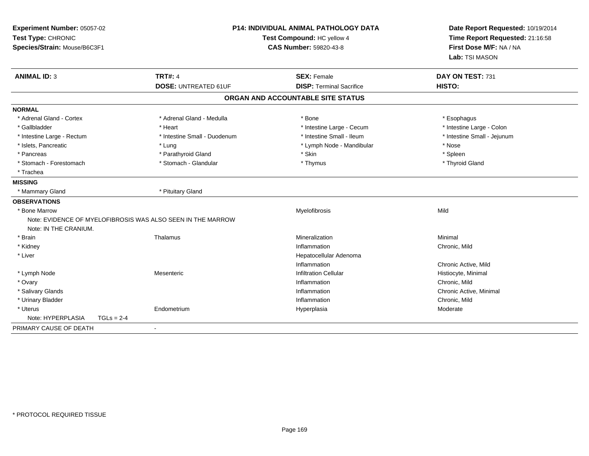| Experiment Number: 05057-02<br>Test Type: CHRONIC<br>Species/Strain: Mouse/B6C3F1 |                                                             | P14: INDIVIDUAL ANIMAL PATHOLOGY DATA<br>Test Compound: HC yellow 4<br><b>CAS Number: 59820-43-8</b> |                             |
|-----------------------------------------------------------------------------------|-------------------------------------------------------------|------------------------------------------------------------------------------------------------------|-----------------------------|
| <b>ANIMAL ID: 3</b>                                                               | <b>TRT#: 4</b><br><b>DOSE: UNTREATED 61UF</b>               | <b>SEX: Female</b><br><b>DISP: Terminal Sacrifice</b>                                                | DAY ON TEST: 731<br>HISTO:  |
|                                                                                   |                                                             | ORGAN AND ACCOUNTABLE SITE STATUS                                                                    |                             |
| <b>NORMAL</b>                                                                     |                                                             |                                                                                                      |                             |
| * Adrenal Gland - Cortex                                                          | * Adrenal Gland - Medulla                                   | * Bone                                                                                               | * Esophagus                 |
| * Gallbladder                                                                     | * Heart                                                     | * Intestine Large - Cecum                                                                            | * Intestine Large - Colon   |
| * Intestine Large - Rectum                                                        | * Intestine Small - Duodenum                                | * Intestine Small - Ileum                                                                            | * Intestine Small - Jejunum |
| * Islets, Pancreatic                                                              | * Lung                                                      | * Lymph Node - Mandibular                                                                            | * Nose                      |
| * Pancreas                                                                        | * Parathyroid Gland                                         | * Skin                                                                                               | * Spleen                    |
| * Stomach - Forestomach                                                           | * Stomach - Glandular                                       | * Thymus                                                                                             | * Thyroid Gland             |
| * Trachea                                                                         |                                                             |                                                                                                      |                             |
| <b>MISSING</b>                                                                    |                                                             |                                                                                                      |                             |
| * Mammary Gland                                                                   | * Pituitary Gland                                           |                                                                                                      |                             |
| <b>OBSERVATIONS</b>                                                               |                                                             |                                                                                                      |                             |
| * Bone Marrow                                                                     |                                                             | Myelofibrosis                                                                                        | Mild                        |
|                                                                                   | Note: EVIDENCE OF MYELOFIBROSIS WAS ALSO SEEN IN THE MARROW |                                                                                                      |                             |
| Note: IN THE CRANIUM.                                                             |                                                             |                                                                                                      |                             |
| * Brain                                                                           | Thalamus                                                    | Mineralization                                                                                       | Minimal                     |
| * Kidney                                                                          |                                                             | Inflammation                                                                                         | Chronic, Mild               |
| * Liver                                                                           |                                                             | Hepatocellular Adenoma                                                                               |                             |
|                                                                                   |                                                             | Inflammation                                                                                         | Chronic Active, Mild        |
| * Lymph Node                                                                      | Mesenteric                                                  | <b>Infiltration Cellular</b>                                                                         | Histiocyte, Minimal         |
| * Ovary                                                                           |                                                             | Inflammation                                                                                         | Chronic, Mild               |
| * Salivary Glands                                                                 |                                                             | Inflammation                                                                                         | Chronic Active, Minimal     |
| * Urinary Bladder                                                                 |                                                             | Inflammation                                                                                         | Chronic, Mild               |
| * Uterus                                                                          | Endometrium                                                 | Hyperplasia                                                                                          | Moderate                    |
| Note: HYPERPLASIA<br>$TGLs = 2-4$                                                 |                                                             |                                                                                                      |                             |
| PRIMARY CAUSE OF DEATH                                                            | $\blacksquare$                                              |                                                                                                      |                             |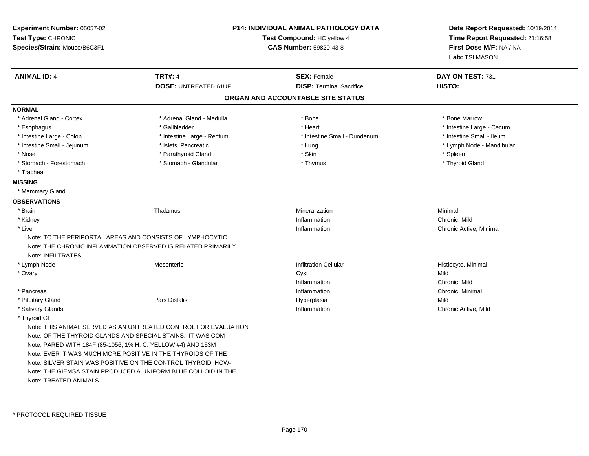| Experiment Number: 05057-02<br>Test Type: CHRONIC<br>Species/Strain: Mouse/B6C3F1 |                                                                                                                           | <b>P14: INDIVIDUAL ANIMAL PATHOLOGY DATA</b><br>Test Compound: HC yellow 4<br>CAS Number: 59820-43-8 |                           |
|-----------------------------------------------------------------------------------|---------------------------------------------------------------------------------------------------------------------------|------------------------------------------------------------------------------------------------------|---------------------------|
| <b>ANIMAL ID: 4</b>                                                               | <b>TRT#: 4</b>                                                                                                            | <b>SEX: Female</b>                                                                                   | DAY ON TEST: 731          |
|                                                                                   | <b>DOSE: UNTREATED 61UF</b>                                                                                               | <b>DISP: Terminal Sacrifice</b>                                                                      | HISTO:                    |
|                                                                                   |                                                                                                                           | ORGAN AND ACCOUNTABLE SITE STATUS                                                                    |                           |
| <b>NORMAL</b>                                                                     |                                                                                                                           |                                                                                                      |                           |
| * Adrenal Gland - Cortex                                                          | * Adrenal Gland - Medulla                                                                                                 | * Bone                                                                                               | * Bone Marrow             |
| * Esophagus                                                                       | * Gallbladder                                                                                                             | * Heart                                                                                              | * Intestine Large - Cecum |
| * Intestine Large - Colon                                                         | * Intestine Large - Rectum                                                                                                | * Intestine Small - Duodenum                                                                         | * Intestine Small - Ileum |
| * Intestine Small - Jejunum                                                       | * Islets, Pancreatic                                                                                                      | * Lung                                                                                               | * Lymph Node - Mandibular |
| * Nose                                                                            | * Parathyroid Gland                                                                                                       | * Skin                                                                                               | * Spleen                  |
| * Stomach - Forestomach                                                           | * Stomach - Glandular                                                                                                     | * Thymus                                                                                             | * Thyroid Gland           |
| * Trachea                                                                         |                                                                                                                           |                                                                                                      |                           |
| <b>MISSING</b>                                                                    |                                                                                                                           |                                                                                                      |                           |
| * Mammary Gland                                                                   |                                                                                                                           |                                                                                                      |                           |
| <b>OBSERVATIONS</b>                                                               |                                                                                                                           |                                                                                                      |                           |
| * Brain                                                                           | Thalamus                                                                                                                  | Mineralization                                                                                       | Minimal                   |
| * Kidney                                                                          |                                                                                                                           | Inflammation                                                                                         | Chronic, Mild             |
| * Liver                                                                           |                                                                                                                           | Inflammation                                                                                         | Chronic Active, Minimal   |
| Note: INFILTRATES.                                                                | Note: TO THE PERIPORTAL AREAS AND CONSISTS OF LYMPHOCYTIC<br>Note: THE CHRONIC INFLAMMATION OBSERVED IS RELATED PRIMARILY |                                                                                                      |                           |
| * Lymph Node                                                                      | Mesenteric                                                                                                                | <b>Infiltration Cellular</b>                                                                         | Histiocyte, Minimal       |
| * Ovary                                                                           |                                                                                                                           | Cyst                                                                                                 | Mild                      |
|                                                                                   |                                                                                                                           | Inflammation                                                                                         | Chronic, Mild             |
| * Pancreas                                                                        |                                                                                                                           | Inflammation                                                                                         | Chronic, Minimal          |
| * Pituitary Gland                                                                 | Pars Distalis                                                                                                             | Hyperplasia                                                                                          | Mild                      |
| * Salivary Glands                                                                 |                                                                                                                           | Inflammation                                                                                         | Chronic Active, Mild      |
| * Thyroid GI                                                                      |                                                                                                                           |                                                                                                      |                           |
|                                                                                   | Note: THIS ANIMAL SERVED AS AN UNTREATED CONTROL FOR EVALUATION                                                           |                                                                                                      |                           |
|                                                                                   | Note: OF THE THYROID GLANDS AND SPECIAL STAINS. IT WAS COM-                                                               |                                                                                                      |                           |
| Note: PARED WITH 184F (85-1056, 1% H. C. YELLOW #4) AND 153M                      |                                                                                                                           |                                                                                                      |                           |
|                                                                                   | Note: EVER IT WAS MUCH MORE POSITIVE IN THE THYROIDS OF THE                                                               |                                                                                                      |                           |
|                                                                                   | Note: SILVER STAIN WAS POSITIVE ON THE CONTROL THYROID, HOW-                                                              |                                                                                                      |                           |
|                                                                                   | Note: THE GIEMSA STAIN PRODUCED A UNIFORM BLUE COLLOID IN THE                                                             |                                                                                                      |                           |
| Note: TREATED ANIMALS.                                                            |                                                                                                                           |                                                                                                      |                           |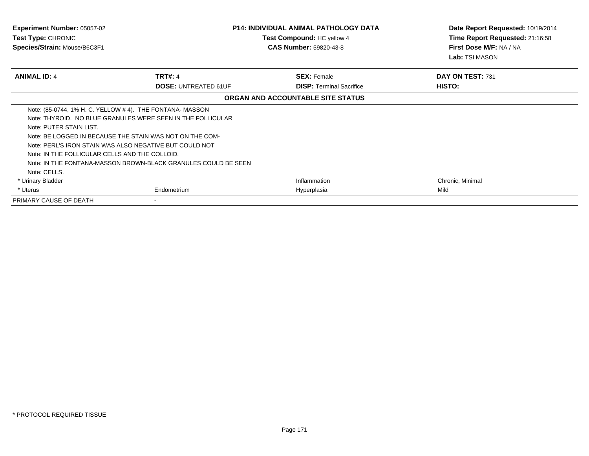| <b>Experiment Number: 05057-02</b><br><b>Test Type: CHRONIC</b><br>Species/Strain: Mouse/B6C3F1                                                                                                                                                                                                    |                                                                                                                               | <b>P14: INDIVIDUAL ANIMAL PATHOLOGY DATA</b><br>Test Compound: HC yellow 4<br><b>CAS Number: 59820-43-8</b> | Date Report Requested: 10/19/2014<br>Time Report Requested: 21:16:58<br>First Dose M/F: NA / NA<br><b>Lab:</b> TSI MASON |
|----------------------------------------------------------------------------------------------------------------------------------------------------------------------------------------------------------------------------------------------------------------------------------------------------|-------------------------------------------------------------------------------------------------------------------------------|-------------------------------------------------------------------------------------------------------------|--------------------------------------------------------------------------------------------------------------------------|
| <b>ANIMAL ID: 4</b>                                                                                                                                                                                                                                                                                | <b>TRT#: 4</b>                                                                                                                | <b>SEX: Female</b>                                                                                          | DAY ON TEST: 731                                                                                                         |
|                                                                                                                                                                                                                                                                                                    | <b>DOSE: UNTREATED 61UF</b>                                                                                                   | <b>DISP: Terminal Sacrifice</b>                                                                             | HISTO:                                                                                                                   |
|                                                                                                                                                                                                                                                                                                    |                                                                                                                               | ORGAN AND ACCOUNTABLE SITE STATUS                                                                           |                                                                                                                          |
| Note: (85-0744, 1% H. C. YELLOW # 4). THE FONTANA- MASSON<br>Note: PUTER STAIN LIST.<br>Note: BE LOGGED IN BECAUSE THE STAIN WAS NOT ON THE COM-<br>Note: PERL'S IRON STAIN WAS ALSO NEGATIVE BUT COULD NOT<br>Note: IN THE FOLLICULAR CELLS AND THE COLLOID.<br>Note: CELLS.<br>* Urinary Bladder | Note: THYROID. NO BLUE GRANULES WERE SEEN IN THE FOLLICULAR<br>Note: IN THE FONTANA-MASSON BROWN-BLACK GRANULES COULD BE SEEN | Inflammation                                                                                                | Chronic, Minimal                                                                                                         |
| * Uterus                                                                                                                                                                                                                                                                                           | Endometrium                                                                                                                   | Hyperplasia                                                                                                 | Mild                                                                                                                     |
| PRIMARY CAUSE OF DEATH                                                                                                                                                                                                                                                                             |                                                                                                                               |                                                                                                             |                                                                                                                          |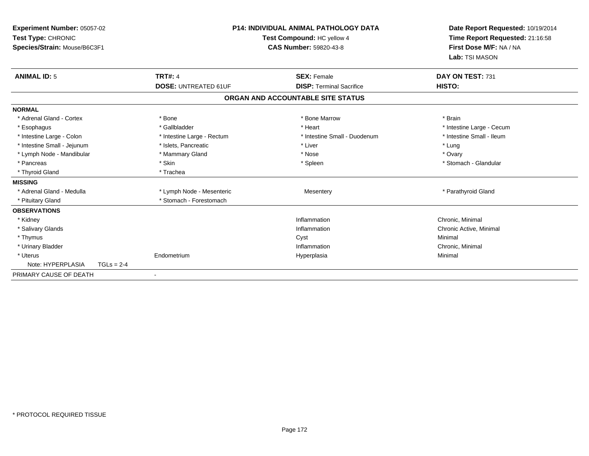| Experiment Number: 05057-02<br>Test Type: CHRONIC<br>Species/Strain: Mouse/B6C3F1 |              | <b>P14: INDIVIDUAL ANIMAL PATHOLOGY DATA</b><br>Test Compound: HC yellow 4<br><b>CAS Number: 59820-43-8</b> |  | Date Report Requested: 10/19/2014<br>Time Report Requested: 21:16:58<br>First Dose M/F: NA / NA<br>Lab: TSI MASON |                           |  |
|-----------------------------------------------------------------------------------|--------------|-------------------------------------------------------------------------------------------------------------|--|-------------------------------------------------------------------------------------------------------------------|---------------------------|--|
| <b>ANIMAL ID: 5</b>                                                               |              | <b>TRT#: 4</b>                                                                                              |  | <b>SEX: Female</b>                                                                                                | DAY ON TEST: 731          |  |
|                                                                                   |              | <b>DOSE: UNTREATED 61UF</b>                                                                                 |  | <b>DISP: Terminal Sacrifice</b>                                                                                   | HISTO:                    |  |
|                                                                                   |              |                                                                                                             |  | ORGAN AND ACCOUNTABLE SITE STATUS                                                                                 |                           |  |
| <b>NORMAL</b>                                                                     |              |                                                                                                             |  |                                                                                                                   |                           |  |
| * Adrenal Gland - Cortex                                                          |              | * Bone                                                                                                      |  | * Bone Marrow                                                                                                     | * Brain                   |  |
| * Esophagus                                                                       |              | * Gallbladder                                                                                               |  | * Heart                                                                                                           | * Intestine Large - Cecum |  |
| * Intestine Large - Colon                                                         |              | * Intestine Large - Rectum                                                                                  |  | * Intestine Small - Duodenum                                                                                      | * Intestine Small - Ileum |  |
| * Intestine Small - Jejunum                                                       |              | * Islets, Pancreatic                                                                                        |  | * Liver                                                                                                           | * Lung                    |  |
| * Lymph Node - Mandibular                                                         |              | * Mammary Gland                                                                                             |  | * Nose                                                                                                            | * Ovary                   |  |
| * Pancreas                                                                        |              | * Skin                                                                                                      |  | * Spleen                                                                                                          | * Stomach - Glandular     |  |
| * Thyroid Gland                                                                   |              | * Trachea                                                                                                   |  |                                                                                                                   |                           |  |
| <b>MISSING</b>                                                                    |              |                                                                                                             |  |                                                                                                                   |                           |  |
| * Adrenal Gland - Medulla                                                         |              | * Lymph Node - Mesenteric                                                                                   |  | Mesentery                                                                                                         | * Parathyroid Gland       |  |
| * Pituitary Gland                                                                 |              | * Stomach - Forestomach                                                                                     |  |                                                                                                                   |                           |  |
| <b>OBSERVATIONS</b>                                                               |              |                                                                                                             |  |                                                                                                                   |                           |  |
| * Kidney                                                                          |              |                                                                                                             |  | Inflammation                                                                                                      | Chronic, Minimal          |  |
| * Salivary Glands                                                                 |              |                                                                                                             |  | Inflammation                                                                                                      | Chronic Active, Minimal   |  |
| * Thymus                                                                          |              |                                                                                                             |  | Cyst                                                                                                              | Minimal                   |  |
| * Urinary Bladder                                                                 |              |                                                                                                             |  | Inflammation                                                                                                      | Chronic, Minimal          |  |
| * Uterus                                                                          |              | Endometrium                                                                                                 |  | Hyperplasia                                                                                                       | Minimal                   |  |
| Note: HYPERPLASIA                                                                 | $TGLs = 2-4$ |                                                                                                             |  |                                                                                                                   |                           |  |
| PRIMARY CAUSE OF DEATH                                                            |              | $\overline{\phantom{a}}$                                                                                    |  |                                                                                                                   |                           |  |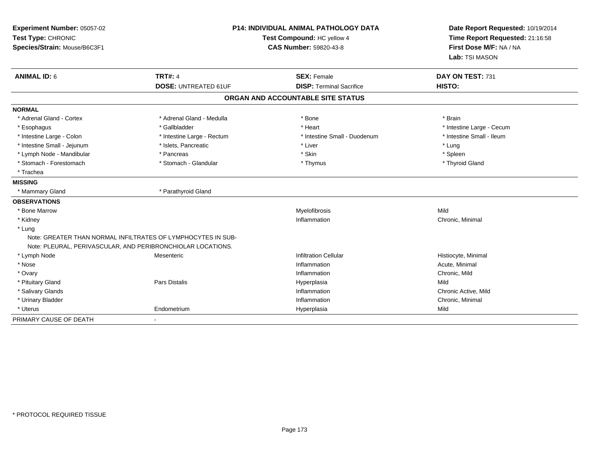| Experiment Number: 05057-02<br>Test Type: CHRONIC<br>Species/Strain: Mouse/B6C3F1 |                                                              | <b>P14: INDIVIDUAL ANIMAL PATHOLOGY DATA</b><br>Test Compound: HC yellow 4<br><b>CAS Number: 59820-43-8</b> |                           |
|-----------------------------------------------------------------------------------|--------------------------------------------------------------|-------------------------------------------------------------------------------------------------------------|---------------------------|
| <b>ANIMAL ID: 6</b>                                                               | <b>TRT#: 4</b>                                               | <b>SEX: Female</b>                                                                                          | DAY ON TEST: 731          |
|                                                                                   | <b>DOSE: UNTREATED 61UF</b>                                  | <b>DISP: Terminal Sacrifice</b>                                                                             | HISTO:                    |
|                                                                                   |                                                              | ORGAN AND ACCOUNTABLE SITE STATUS                                                                           |                           |
| <b>NORMAL</b>                                                                     |                                                              |                                                                                                             |                           |
| * Adrenal Gland - Cortex                                                          | * Adrenal Gland - Medulla                                    | * Bone                                                                                                      | * Brain                   |
| * Esophagus                                                                       | * Gallbladder                                                | * Heart                                                                                                     | * Intestine Large - Cecum |
| * Intestine Large - Colon                                                         | * Intestine Large - Rectum                                   | * Intestine Small - Duodenum                                                                                | * Intestine Small - Ileum |
| * Intestine Small - Jejunum                                                       | * Islets, Pancreatic                                         | * Liver                                                                                                     | * Lung                    |
| * Lymph Node - Mandibular                                                         | * Pancreas                                                   | * Skin                                                                                                      | * Spleen                  |
| * Stomach - Forestomach                                                           | * Stomach - Glandular                                        | * Thymus                                                                                                    | * Thyroid Gland           |
| * Trachea                                                                         |                                                              |                                                                                                             |                           |
| <b>MISSING</b>                                                                    |                                                              |                                                                                                             |                           |
| * Mammary Gland                                                                   | * Parathyroid Gland                                          |                                                                                                             |                           |
| <b>OBSERVATIONS</b>                                                               |                                                              |                                                                                                             |                           |
| * Bone Marrow                                                                     |                                                              | Myelofibrosis                                                                                               | Mild                      |
| * Kidney                                                                          |                                                              | Inflammation                                                                                                | Chronic, Minimal          |
| * Lung                                                                            |                                                              |                                                                                                             |                           |
|                                                                                   | Note: GREATER THAN NORMAL INFILTRATES OF LYMPHOCYTES IN SUB- |                                                                                                             |                           |
|                                                                                   | Note: PLEURAL, PERIVASCULAR, AND PERIBRONCHIOLAR LOCATIONS.  |                                                                                                             |                           |
| * Lymph Node                                                                      | Mesenteric                                                   | <b>Infiltration Cellular</b>                                                                                | Histiocyte, Minimal       |
| * Nose                                                                            |                                                              | Inflammation                                                                                                | Acute, Minimal            |
| * Ovary                                                                           |                                                              | Inflammation                                                                                                | Chronic, Mild             |
| * Pituitary Gland                                                                 | Pars Distalis                                                | Hyperplasia                                                                                                 | Mild                      |
| * Salivary Glands                                                                 |                                                              | Inflammation                                                                                                | Chronic Active, Mild      |
| * Urinary Bladder                                                                 |                                                              | Inflammation                                                                                                | Chronic, Minimal          |
| * Uterus                                                                          | Endometrium                                                  | Hyperplasia                                                                                                 | Mild                      |
| PRIMARY CAUSE OF DEATH                                                            | $\sim$                                                       |                                                                                                             |                           |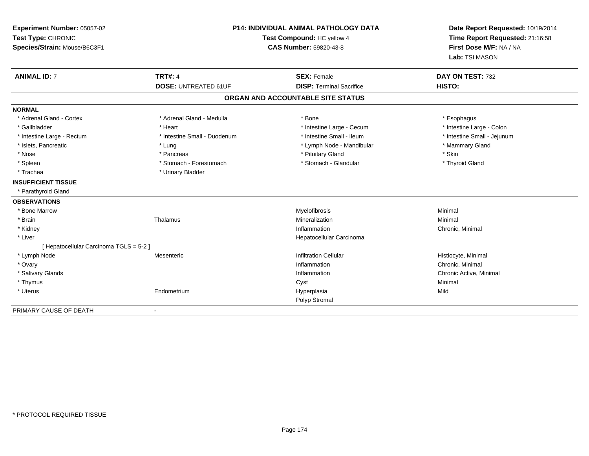| Experiment Number: 05057-02<br>Test Type: CHRONIC<br>Species/Strain: Mouse/B6C3F1 | P14: INDIVIDUAL ANIMAL PATHOLOGY DATA<br>Test Compound: HC yellow 4<br><b>CAS Number: 59820-43-8</b> |                                   | Date Report Requested: 10/19/2014<br>Time Report Requested: 21:16:58<br>First Dose M/F: NA / NA<br>Lab: TSI MASON |  |
|-----------------------------------------------------------------------------------|------------------------------------------------------------------------------------------------------|-----------------------------------|-------------------------------------------------------------------------------------------------------------------|--|
| <b>ANIMAL ID: 7</b>                                                               | <b>TRT#: 4</b>                                                                                       | <b>SEX: Female</b>                | DAY ON TEST: 732                                                                                                  |  |
|                                                                                   | <b>DOSE: UNTREATED 61UF</b>                                                                          | <b>DISP: Terminal Sacrifice</b>   | HISTO:                                                                                                            |  |
|                                                                                   |                                                                                                      | ORGAN AND ACCOUNTABLE SITE STATUS |                                                                                                                   |  |
| <b>NORMAL</b>                                                                     |                                                                                                      |                                   |                                                                                                                   |  |
| * Adrenal Gland - Cortex                                                          | * Adrenal Gland - Medulla                                                                            | * Bone                            | * Esophagus                                                                                                       |  |
| * Gallbladder                                                                     | * Heart                                                                                              | * Intestine Large - Cecum         | * Intestine Large - Colon                                                                                         |  |
| * Intestine Large - Rectum                                                        | * Intestine Small - Duodenum                                                                         | * Intestine Small - Ileum         | * Intestine Small - Jejunum                                                                                       |  |
| * Islets, Pancreatic                                                              | * Lung                                                                                               | * Lymph Node - Mandibular         | * Mammary Gland                                                                                                   |  |
| * Nose                                                                            | * Pancreas                                                                                           | * Pituitary Gland                 | * Skin                                                                                                            |  |
| * Spleen                                                                          | * Stomach - Forestomach                                                                              | * Stomach - Glandular             | * Thyroid Gland                                                                                                   |  |
| * Trachea                                                                         | * Urinary Bladder                                                                                    |                                   |                                                                                                                   |  |
| <b>INSUFFICIENT TISSUE</b>                                                        |                                                                                                      |                                   |                                                                                                                   |  |
| * Parathyroid Gland                                                               |                                                                                                      |                                   |                                                                                                                   |  |
| <b>OBSERVATIONS</b>                                                               |                                                                                                      |                                   |                                                                                                                   |  |
| * Bone Marrow                                                                     |                                                                                                      | Myelofibrosis                     | Minimal                                                                                                           |  |
| * Brain                                                                           | Thalamus                                                                                             | Mineralization                    | Minimal                                                                                                           |  |
| * Kidney                                                                          |                                                                                                      | Inflammation                      | Chronic, Minimal                                                                                                  |  |
| * Liver                                                                           |                                                                                                      | Hepatocellular Carcinoma          |                                                                                                                   |  |
| [ Hepatocellular Carcinoma TGLS = 5-2 ]                                           |                                                                                                      |                                   |                                                                                                                   |  |
| * Lymph Node                                                                      | Mesenteric                                                                                           | <b>Infiltration Cellular</b>      | Histiocyte, Minimal                                                                                               |  |
| * Ovary                                                                           |                                                                                                      | Inflammation                      | Chronic, Minimal                                                                                                  |  |
| * Salivary Glands                                                                 |                                                                                                      | Inflammation                      | Chronic Active, Minimal                                                                                           |  |
| * Thymus                                                                          |                                                                                                      | Cyst                              | Minimal                                                                                                           |  |
| * Uterus                                                                          | Endometrium                                                                                          | Hyperplasia                       | Mild                                                                                                              |  |
|                                                                                   |                                                                                                      | Polyp Stromal                     |                                                                                                                   |  |
| PRIMARY CAUSE OF DEATH                                                            |                                                                                                      |                                   |                                                                                                                   |  |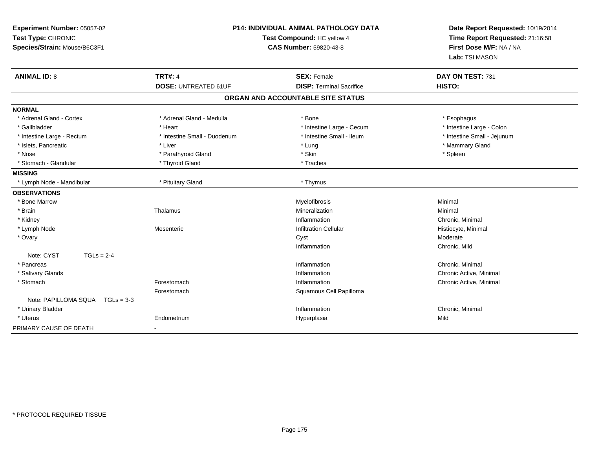| Experiment Number: 05057-02<br>Test Type: CHRONIC<br>Species/Strain: Mouse/B6C3F1 |                              | P14: INDIVIDUAL ANIMAL PATHOLOGY DATA<br>Test Compound: HC yellow 4<br><b>CAS Number: 59820-43-8</b> | Date Report Requested: 10/19/2014<br>Time Report Requested: 21:16:58<br>First Dose M/F: NA / NA<br>Lab: TSI MASON |  |
|-----------------------------------------------------------------------------------|------------------------------|------------------------------------------------------------------------------------------------------|-------------------------------------------------------------------------------------------------------------------|--|
| <b>ANIMAL ID: 8</b>                                                               | <b>TRT#: 4</b>               | <b>SEX: Female</b>                                                                                   | DAY ON TEST: 731                                                                                                  |  |
|                                                                                   | <b>DOSE: UNTREATED 61UF</b>  | <b>DISP: Terminal Sacrifice</b>                                                                      | HISTO:                                                                                                            |  |
|                                                                                   |                              | ORGAN AND ACCOUNTABLE SITE STATUS                                                                    |                                                                                                                   |  |
| <b>NORMAL</b>                                                                     |                              |                                                                                                      |                                                                                                                   |  |
| * Adrenal Gland - Cortex                                                          | * Adrenal Gland - Medulla    | * Bone                                                                                               | * Esophagus                                                                                                       |  |
| * Gallbladder                                                                     | * Heart                      | * Intestine Large - Cecum                                                                            | * Intestine Large - Colon                                                                                         |  |
| * Intestine Large - Rectum                                                        | * Intestine Small - Duodenum | * Intestine Small - Ileum                                                                            | * Intestine Small - Jejunum                                                                                       |  |
| * Islets, Pancreatic                                                              | * Liver                      | * Lung                                                                                               | * Mammary Gland                                                                                                   |  |
| * Nose                                                                            | * Parathyroid Gland          | * Skin                                                                                               | * Spleen                                                                                                          |  |
| * Stomach - Glandular                                                             | * Thyroid Gland              | * Trachea                                                                                            |                                                                                                                   |  |
| <b>MISSING</b>                                                                    |                              |                                                                                                      |                                                                                                                   |  |
| * Lymph Node - Mandibular                                                         | * Pituitary Gland            | * Thymus                                                                                             |                                                                                                                   |  |
| <b>OBSERVATIONS</b>                                                               |                              |                                                                                                      |                                                                                                                   |  |
| * Bone Marrow                                                                     |                              | Myelofibrosis                                                                                        | Minimal                                                                                                           |  |
| * Brain                                                                           | Thalamus                     | Mineralization                                                                                       | Minimal                                                                                                           |  |
| * Kidney                                                                          |                              | Inflammation                                                                                         | Chronic, Minimal                                                                                                  |  |
| * Lymph Node                                                                      | Mesenteric                   | <b>Infiltration Cellular</b>                                                                         | Histiocyte, Minimal                                                                                               |  |
| * Ovary                                                                           |                              | Cyst                                                                                                 | Moderate                                                                                                          |  |
|                                                                                   |                              | Inflammation                                                                                         | Chronic, Mild                                                                                                     |  |
| $TGLs = 2-4$<br>Note: CYST                                                        |                              |                                                                                                      |                                                                                                                   |  |
| * Pancreas                                                                        |                              | Inflammation                                                                                         | Chronic, Minimal                                                                                                  |  |
| * Salivary Glands                                                                 |                              | Inflammation                                                                                         | Chronic Active, Minimal                                                                                           |  |
| * Stomach                                                                         | Forestomach                  | Inflammation                                                                                         | Chronic Active, Minimal                                                                                           |  |
|                                                                                   | Forestomach                  | Squamous Cell Papilloma                                                                              |                                                                                                                   |  |
| Note: PAPILLOMA SQUA  TGLs = 3-3                                                  |                              |                                                                                                      |                                                                                                                   |  |
| * Urinary Bladder                                                                 |                              | Inflammation                                                                                         | Chronic, Minimal                                                                                                  |  |
| * Uterus                                                                          | Endometrium                  | Hyperplasia                                                                                          | Mild                                                                                                              |  |
| PRIMARY CAUSE OF DEATH                                                            |                              |                                                                                                      |                                                                                                                   |  |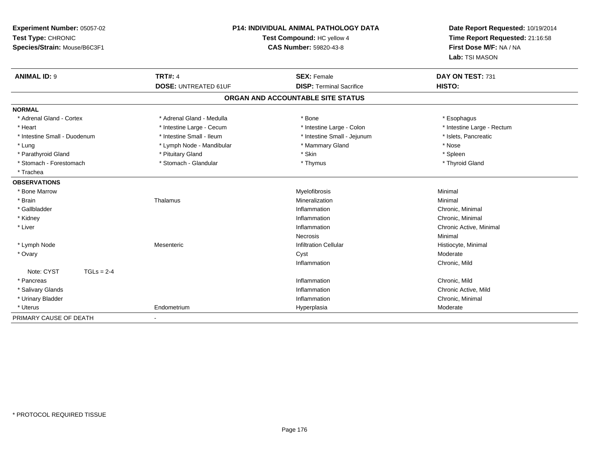| Experiment Number: 05057-02<br>Test Type: CHRONIC<br>Species/Strain: Mouse/B6C3F1 | P14: INDIVIDUAL ANIMAL PATHOLOGY DATA<br>Test Compound: HC yellow 4<br><b>CAS Number: 59820-43-8</b> |                                   | Date Report Requested: 10/19/2014<br>Time Report Requested: 21:16:58<br>First Dose M/F: NA / NA<br>Lab: TSI MASON |  |
|-----------------------------------------------------------------------------------|------------------------------------------------------------------------------------------------------|-----------------------------------|-------------------------------------------------------------------------------------------------------------------|--|
| <b>ANIMAL ID: 9</b>                                                               | <b>TRT#: 4</b>                                                                                       | <b>SEX: Female</b>                | DAY ON TEST: 731                                                                                                  |  |
|                                                                                   | <b>DOSE: UNTREATED 61UF</b>                                                                          | <b>DISP: Terminal Sacrifice</b>   | HISTO:                                                                                                            |  |
|                                                                                   |                                                                                                      | ORGAN AND ACCOUNTABLE SITE STATUS |                                                                                                                   |  |
| <b>NORMAL</b>                                                                     |                                                                                                      |                                   |                                                                                                                   |  |
| * Adrenal Gland - Cortex                                                          | * Adrenal Gland - Medulla                                                                            | * Bone                            | * Esophagus                                                                                                       |  |
| * Heart                                                                           | * Intestine Large - Cecum                                                                            | * Intestine Large - Colon         | * Intestine Large - Rectum                                                                                        |  |
| * Intestine Small - Duodenum                                                      | * Intestine Small - Ileum                                                                            | * Intestine Small - Jejunum       | * Islets, Pancreatic                                                                                              |  |
| * Lung                                                                            | * Lymph Node - Mandibular                                                                            | * Mammary Gland                   | * Nose                                                                                                            |  |
| * Parathyroid Gland                                                               | * Pituitary Gland                                                                                    | * Skin                            | * Spleen                                                                                                          |  |
| * Stomach - Forestomach                                                           | * Stomach - Glandular                                                                                | * Thymus                          | * Thyroid Gland                                                                                                   |  |
| * Trachea                                                                         |                                                                                                      |                                   |                                                                                                                   |  |
| <b>OBSERVATIONS</b>                                                               |                                                                                                      |                                   |                                                                                                                   |  |
| * Bone Marrow                                                                     |                                                                                                      | Myelofibrosis                     | Minimal                                                                                                           |  |
| * Brain                                                                           | Thalamus                                                                                             | Mineralization                    | Minimal                                                                                                           |  |
| * Gallbladder                                                                     |                                                                                                      | Inflammation                      | Chronic, Minimal                                                                                                  |  |
| * Kidney                                                                          |                                                                                                      | Inflammation                      | Chronic, Minimal                                                                                                  |  |
| * Liver                                                                           |                                                                                                      | Inflammation                      | Chronic Active, Minimal                                                                                           |  |
|                                                                                   |                                                                                                      | <b>Necrosis</b>                   | Minimal                                                                                                           |  |
| * Lymph Node                                                                      | Mesenteric                                                                                           | <b>Infiltration Cellular</b>      | Histiocyte, Minimal                                                                                               |  |
| * Ovary                                                                           |                                                                                                      | Cyst                              | Moderate                                                                                                          |  |
|                                                                                   |                                                                                                      | Inflammation                      | Chronic, Mild                                                                                                     |  |
| Note: CYST<br>$TGLs = 2-4$                                                        |                                                                                                      |                                   |                                                                                                                   |  |
| * Pancreas                                                                        |                                                                                                      | Inflammation                      | Chronic, Mild                                                                                                     |  |
| * Salivary Glands                                                                 |                                                                                                      | Inflammation                      | Chronic Active, Mild                                                                                              |  |
| * Urinary Bladder                                                                 |                                                                                                      | Inflammation                      | Chronic, Minimal                                                                                                  |  |
| * Uterus                                                                          | Endometrium                                                                                          | Hyperplasia                       | Moderate                                                                                                          |  |
| PRIMARY CAUSE OF DEATH                                                            |                                                                                                      |                                   |                                                                                                                   |  |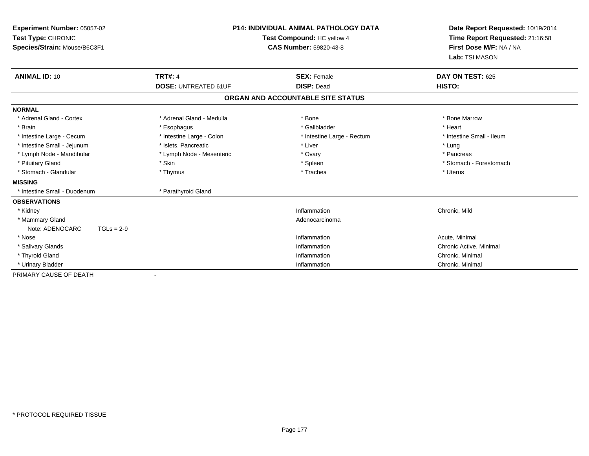|                                                                                                                                                                         | Test Compound: HC yellow 4<br><b>CAS Number: 59820-43-8</b>                                          | Date Report Requested: 10/19/2014<br>Time Report Requested: 21:16:58<br>First Dose M/F: NA / NA<br>Lab: TSI MASON    |  |
|-------------------------------------------------------------------------------------------------------------------------------------------------------------------------|------------------------------------------------------------------------------------------------------|----------------------------------------------------------------------------------------------------------------------|--|
| <b>TRT#: 4</b>                                                                                                                                                          | <b>SEX: Female</b>                                                                                   | DAY ON TEST: 625<br>HISTO:                                                                                           |  |
|                                                                                                                                                                         |                                                                                                      |                                                                                                                      |  |
|                                                                                                                                                                         |                                                                                                      |                                                                                                                      |  |
| * Adrenal Gland - Medulla<br>* Esophagus<br>* Intestine Large - Colon<br>* Islets, Pancreatic<br>* Lymph Node - Mesenteric<br>* Skin<br>* Thymus<br>* Parathyroid Gland | * Bone<br>* Gallbladder<br>* Intestine Large - Rectum<br>* Liver<br>* Ovary<br>* Spleen<br>* Trachea | * Bone Marrow<br>* Heart<br>* Intestine Small - Ileum<br>* Lung<br>* Pancreas<br>* Stomach - Forestomach<br>* Uterus |  |
|                                                                                                                                                                         | Inflammation<br>Adenocarcinoma<br>Inflammation<br>Inflammation<br>Inflammation<br>Inflammation       | Chronic, Mild<br>Acute, Minimal<br>Chronic Active, Minimal<br>Chronic, Minimal<br>Chronic, Minimal                   |  |
|                                                                                                                                                                         | <b>DOSE: UNTREATED 61UF</b>                                                                          | <b>P14: INDIVIDUAL ANIMAL PATHOLOGY DATA</b><br><b>DISP: Dead</b><br>ORGAN AND ACCOUNTABLE SITE STATUS               |  |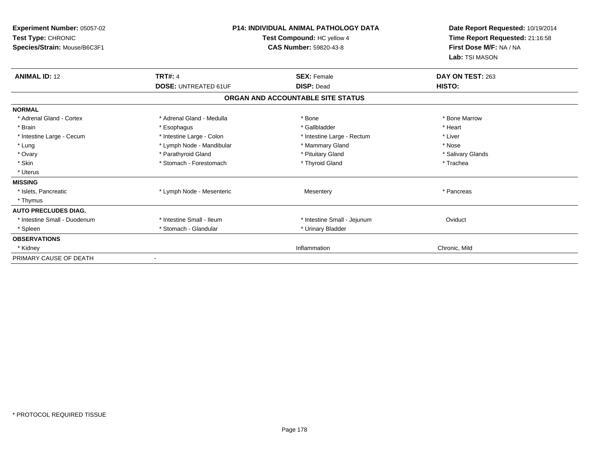| Experiment Number: 05057-02<br>Test Type: CHRONIC<br>Species/Strain: Mouse/B6C3F1 | <b>P14: INDIVIDUAL ANIMAL PATHOLOGY DATA</b><br>Test Compound: HC yellow 4<br>CAS Number: 59820-43-8 |                                   | Date Report Requested: 10/19/2014<br>Time Report Requested: 21:16:58<br>First Dose M/F: NA / NA<br>Lab: TSI MASON |  |
|-----------------------------------------------------------------------------------|------------------------------------------------------------------------------------------------------|-----------------------------------|-------------------------------------------------------------------------------------------------------------------|--|
| <b>ANIMAL ID: 12</b>                                                              | <b>TRT#: 4</b>                                                                                       | <b>SEX: Female</b>                | DAY ON TEST: 263                                                                                                  |  |
|                                                                                   | <b>DOSE: UNTREATED 61UF</b>                                                                          | <b>DISP: Dead</b>                 | HISTO:                                                                                                            |  |
|                                                                                   |                                                                                                      | ORGAN AND ACCOUNTABLE SITE STATUS |                                                                                                                   |  |
| <b>NORMAL</b>                                                                     |                                                                                                      |                                   |                                                                                                                   |  |
| * Adrenal Gland - Cortex                                                          | * Adrenal Gland - Medulla                                                                            | * Bone                            | * Bone Marrow                                                                                                     |  |
| * Brain                                                                           | * Esophagus                                                                                          | * Gallbladder                     | * Heart                                                                                                           |  |
| * Intestine Large - Cecum                                                         | * Intestine Large - Colon                                                                            | * Intestine Large - Rectum        | * Liver                                                                                                           |  |
| * Lung                                                                            | * Lymph Node - Mandibular                                                                            | * Mammary Gland                   | * Nose                                                                                                            |  |
| * Ovary                                                                           | * Parathyroid Gland                                                                                  | * Pituitary Gland                 | * Salivary Glands                                                                                                 |  |
| * Skin                                                                            | * Stomach - Forestomach                                                                              | * Thyroid Gland                   | * Trachea                                                                                                         |  |
| * Uterus                                                                          |                                                                                                      |                                   |                                                                                                                   |  |
| <b>MISSING</b>                                                                    |                                                                                                      |                                   |                                                                                                                   |  |
| * Islets, Pancreatic                                                              | * Lymph Node - Mesenteric                                                                            | Mesentery                         | * Pancreas                                                                                                        |  |
| * Thymus                                                                          |                                                                                                      |                                   |                                                                                                                   |  |
| <b>AUTO PRECLUDES DIAG.</b>                                                       |                                                                                                      |                                   |                                                                                                                   |  |
| * Intestine Small - Duodenum                                                      | * Intestine Small - Ileum                                                                            | * Intestine Small - Jejunum       | Oviduct                                                                                                           |  |
| * Spleen                                                                          | * Stomach - Glandular                                                                                | * Urinary Bladder                 |                                                                                                                   |  |
| <b>OBSERVATIONS</b>                                                               |                                                                                                      |                                   |                                                                                                                   |  |
| * Kidney                                                                          |                                                                                                      | Inflammation                      | Chronic, Mild                                                                                                     |  |
| PRIMARY CAUSE OF DEATH                                                            |                                                                                                      |                                   |                                                                                                                   |  |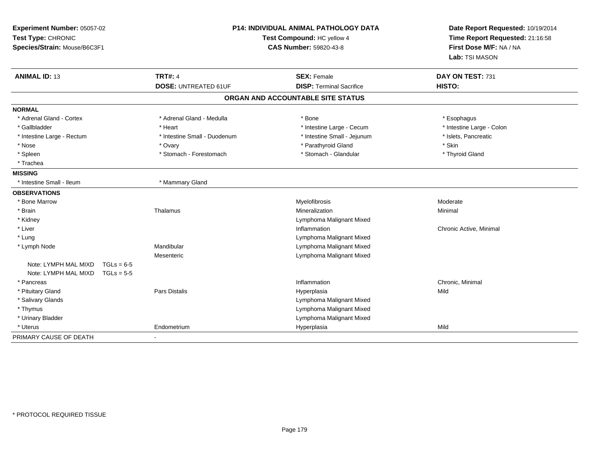| <b>P14: INDIVIDUAL ANIMAL PATHOLOGY DATA</b><br>Experiment Number: 05057-02<br>Test Type: CHRONIC<br>Test Compound: HC yellow 4<br><b>CAS Number: 59820-43-8</b><br>Species/Strain: Mouse/B6C3F1 |              | Date Report Requested: 10/19/2014<br>Time Report Requested: 21:16:58<br>First Dose M/F: NA / NA<br>Lab: TSI MASON |                                   |                           |
|--------------------------------------------------------------------------------------------------------------------------------------------------------------------------------------------------|--------------|-------------------------------------------------------------------------------------------------------------------|-----------------------------------|---------------------------|
| <b>ANIMAL ID: 13</b>                                                                                                                                                                             |              | <b>TRT#: 4</b>                                                                                                    | <b>SEX: Female</b>                | DAY ON TEST: 731          |
|                                                                                                                                                                                                  |              | <b>DOSE: UNTREATED 61UF</b>                                                                                       | <b>DISP: Terminal Sacrifice</b>   | HISTO:                    |
|                                                                                                                                                                                                  |              |                                                                                                                   | ORGAN AND ACCOUNTABLE SITE STATUS |                           |
| <b>NORMAL</b>                                                                                                                                                                                    |              |                                                                                                                   |                                   |                           |
| * Adrenal Gland - Cortex                                                                                                                                                                         |              | * Adrenal Gland - Medulla                                                                                         | * Bone                            | * Esophagus               |
| * Gallbladder                                                                                                                                                                                    |              | * Heart                                                                                                           | * Intestine Large - Cecum         | * Intestine Large - Colon |
| * Intestine Large - Rectum                                                                                                                                                                       |              | * Intestine Small - Duodenum                                                                                      | * Intestine Small - Jejunum       | * Islets, Pancreatic      |
| * Nose                                                                                                                                                                                           |              | * Ovary                                                                                                           | * Parathyroid Gland               | * Skin                    |
| * Spleen                                                                                                                                                                                         |              | * Stomach - Forestomach                                                                                           | * Stomach - Glandular             | * Thyroid Gland           |
| * Trachea                                                                                                                                                                                        |              |                                                                                                                   |                                   |                           |
| <b>MISSING</b>                                                                                                                                                                                   |              |                                                                                                                   |                                   |                           |
| * Intestine Small - Ileum                                                                                                                                                                        |              | * Mammary Gland                                                                                                   |                                   |                           |
| <b>OBSERVATIONS</b>                                                                                                                                                                              |              |                                                                                                                   |                                   |                           |
| * Bone Marrow                                                                                                                                                                                    |              |                                                                                                                   | Myelofibrosis                     | Moderate                  |
| * Brain                                                                                                                                                                                          |              | Thalamus                                                                                                          | Mineralization                    | Minimal                   |
| * Kidney                                                                                                                                                                                         |              |                                                                                                                   | Lymphoma Malignant Mixed          |                           |
| * Liver                                                                                                                                                                                          |              |                                                                                                                   | Inflammation                      | Chronic Active, Minimal   |
| * Lung                                                                                                                                                                                           |              |                                                                                                                   | Lymphoma Malignant Mixed          |                           |
| * Lymph Node                                                                                                                                                                                     |              | Mandibular                                                                                                        | Lymphoma Malignant Mixed          |                           |
|                                                                                                                                                                                                  |              | Mesenteric                                                                                                        | Lymphoma Malignant Mixed          |                           |
| Note: LYMPH MAL MIXD                                                                                                                                                                             | $TGLs = 6-5$ |                                                                                                                   |                                   |                           |
| Note: LYMPH MAL MIXD                                                                                                                                                                             | $TGLs = 5-5$ |                                                                                                                   |                                   |                           |
| * Pancreas                                                                                                                                                                                       |              |                                                                                                                   | Inflammation                      | Chronic, Minimal          |
| * Pituitary Gland                                                                                                                                                                                |              | Pars Distalis                                                                                                     | Hyperplasia                       | Mild                      |
| * Salivary Glands                                                                                                                                                                                |              |                                                                                                                   | Lymphoma Malignant Mixed          |                           |
| * Thymus                                                                                                                                                                                         |              |                                                                                                                   | Lymphoma Malignant Mixed          |                           |
| * Urinary Bladder                                                                                                                                                                                |              |                                                                                                                   | Lymphoma Malignant Mixed          |                           |
| * Uterus                                                                                                                                                                                         |              | Endometrium                                                                                                       | Hyperplasia                       | Mild                      |
| PRIMARY CAUSE OF DEATH                                                                                                                                                                           |              |                                                                                                                   |                                   |                           |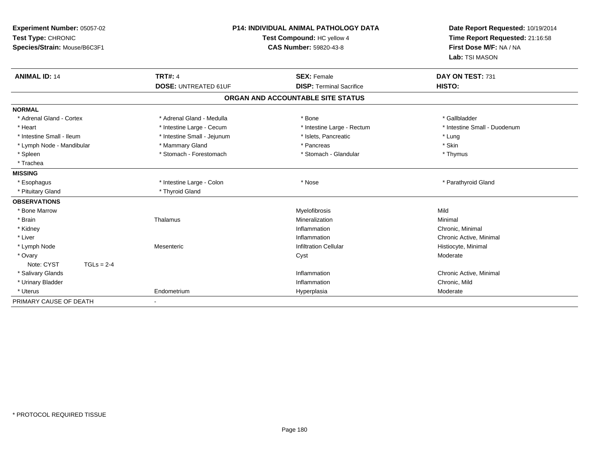| Experiment Number: 05057-02<br>Test Type: CHRONIC<br>Species/Strain: Mouse/B6C3F1 |                             | <b>P14: INDIVIDUAL ANIMAL PATHOLOGY DATA</b><br>Test Compound: HC yellow 4<br><b>CAS Number: 59820-43-8</b> | Date Report Requested: 10/19/2014<br>Time Report Requested: 21:16:58<br>First Dose M/F: NA / NA<br>Lab: TSI MASON |  |
|-----------------------------------------------------------------------------------|-----------------------------|-------------------------------------------------------------------------------------------------------------|-------------------------------------------------------------------------------------------------------------------|--|
| <b>ANIMAL ID: 14</b>                                                              | <b>TRT#: 4</b>              | <b>SEX: Female</b>                                                                                          | DAY ON TEST: 731                                                                                                  |  |
|                                                                                   | <b>DOSE: UNTREATED 61UF</b> | <b>DISP: Terminal Sacrifice</b>                                                                             | HISTO:                                                                                                            |  |
|                                                                                   |                             | ORGAN AND ACCOUNTABLE SITE STATUS                                                                           |                                                                                                                   |  |
| <b>NORMAL</b>                                                                     |                             |                                                                                                             |                                                                                                                   |  |
| * Adrenal Gland - Cortex                                                          | * Adrenal Gland - Medulla   | * Bone                                                                                                      | * Gallbladder                                                                                                     |  |
| * Heart                                                                           | * Intestine Large - Cecum   | * Intestine Large - Rectum                                                                                  | * Intestine Small - Duodenum                                                                                      |  |
| * Intestine Small - Ileum                                                         | * Intestine Small - Jejunum | * Islets, Pancreatic                                                                                        | * Lung                                                                                                            |  |
| * Lymph Node - Mandibular                                                         | * Mammary Gland             | * Pancreas                                                                                                  | * Skin                                                                                                            |  |
| * Spleen                                                                          | * Stomach - Forestomach     | * Stomach - Glandular                                                                                       | * Thymus                                                                                                          |  |
| * Trachea                                                                         |                             |                                                                                                             |                                                                                                                   |  |
| <b>MISSING</b>                                                                    |                             |                                                                                                             |                                                                                                                   |  |
| * Esophagus                                                                       | * Intestine Large - Colon   | * Nose                                                                                                      | * Parathyroid Gland                                                                                               |  |
| * Pituitary Gland                                                                 | * Thyroid Gland             |                                                                                                             |                                                                                                                   |  |
| <b>OBSERVATIONS</b>                                                               |                             |                                                                                                             |                                                                                                                   |  |
| * Bone Marrow                                                                     |                             | Myelofibrosis                                                                                               | Mild                                                                                                              |  |
| * Brain                                                                           | Thalamus                    | Mineralization                                                                                              | Minimal                                                                                                           |  |
| * Kidney                                                                          |                             | Inflammation                                                                                                | Chronic, Minimal                                                                                                  |  |
| * Liver                                                                           |                             | Inflammation                                                                                                | Chronic Active, Minimal                                                                                           |  |
| * Lymph Node                                                                      | Mesenteric                  | <b>Infiltration Cellular</b>                                                                                | Histiocyte, Minimal                                                                                               |  |
| * Ovary                                                                           |                             | Cyst                                                                                                        | Moderate                                                                                                          |  |
| Note: CYST<br>$TGLs = 2-4$                                                        |                             |                                                                                                             |                                                                                                                   |  |
| * Salivary Glands                                                                 |                             | Inflammation                                                                                                | Chronic Active, Minimal                                                                                           |  |
| * Urinary Bladder                                                                 |                             | Inflammation                                                                                                | Chronic, Mild                                                                                                     |  |
| * Uterus                                                                          | Endometrium                 | Hyperplasia                                                                                                 | Moderate                                                                                                          |  |
| PRIMARY CAUSE OF DEATH                                                            |                             |                                                                                                             |                                                                                                                   |  |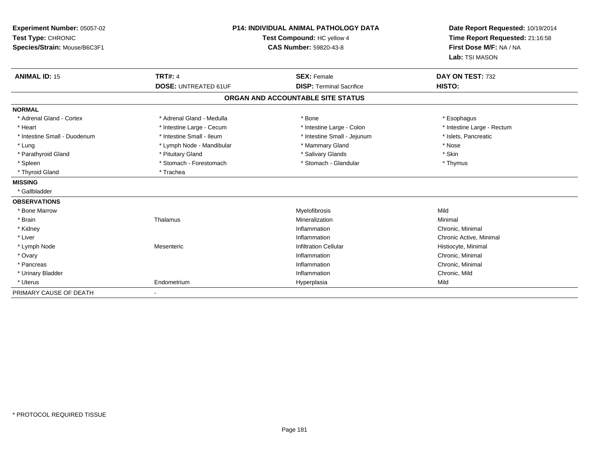| Experiment Number: 05057-02<br>Test Type: CHRONIC<br>Species/Strain: Mouse/B6C3F1 |                             | P14: INDIVIDUAL ANIMAL PATHOLOGY DATA<br>Test Compound: HC yellow 4<br><b>CAS Number: 59820-43-8</b> | Date Report Requested: 10/19/2014<br>Time Report Requested: 21:16:58<br>First Dose M/F: NA / NA<br>Lab: TSI MASON |  |
|-----------------------------------------------------------------------------------|-----------------------------|------------------------------------------------------------------------------------------------------|-------------------------------------------------------------------------------------------------------------------|--|
| <b>ANIMAL ID: 15</b>                                                              | <b>TRT#: 4</b>              | <b>SEX: Female</b>                                                                                   | DAY ON TEST: 732                                                                                                  |  |
|                                                                                   | <b>DOSE: UNTREATED 61UF</b> | <b>DISP: Terminal Sacrifice</b>                                                                      | HISTO:                                                                                                            |  |
|                                                                                   |                             | ORGAN AND ACCOUNTABLE SITE STATUS                                                                    |                                                                                                                   |  |
| <b>NORMAL</b>                                                                     |                             |                                                                                                      |                                                                                                                   |  |
| * Adrenal Gland - Cortex                                                          | * Adrenal Gland - Medulla   | * Bone                                                                                               | * Esophagus                                                                                                       |  |
| * Heart                                                                           | * Intestine Large - Cecum   | * Intestine Large - Colon                                                                            | * Intestine Large - Rectum                                                                                        |  |
| * Intestine Small - Duodenum                                                      | * Intestine Small - Ileum   | * Intestine Small - Jejunum                                                                          | * Islets, Pancreatic                                                                                              |  |
| * Lung                                                                            | * Lymph Node - Mandibular   | * Mammary Gland                                                                                      | * Nose                                                                                                            |  |
| * Parathyroid Gland                                                               | * Pituitary Gland           | * Salivary Glands                                                                                    | * Skin                                                                                                            |  |
| * Spleen                                                                          | * Stomach - Forestomach     | * Stomach - Glandular                                                                                | * Thymus                                                                                                          |  |
| * Thyroid Gland                                                                   | * Trachea                   |                                                                                                      |                                                                                                                   |  |
| <b>MISSING</b>                                                                    |                             |                                                                                                      |                                                                                                                   |  |
| * Gallbladder                                                                     |                             |                                                                                                      |                                                                                                                   |  |
| <b>OBSERVATIONS</b>                                                               |                             |                                                                                                      |                                                                                                                   |  |
| * Bone Marrow                                                                     |                             | Myelofibrosis                                                                                        | Mild                                                                                                              |  |
| * Brain                                                                           | Thalamus                    | Mineralization                                                                                       | Minimal                                                                                                           |  |
| * Kidney                                                                          |                             | Inflammation                                                                                         | Chronic, Minimal                                                                                                  |  |
| * Liver                                                                           |                             | Inflammation                                                                                         | Chronic Active, Minimal                                                                                           |  |
| * Lymph Node                                                                      | Mesenteric                  | <b>Infiltration Cellular</b>                                                                         | Histiocyte, Minimal                                                                                               |  |
| * Ovary                                                                           |                             | Inflammation                                                                                         | Chronic, Minimal                                                                                                  |  |
| * Pancreas                                                                        |                             | Inflammation                                                                                         | Chronic, Minimal                                                                                                  |  |
| * Urinary Bladder                                                                 |                             | Inflammation                                                                                         | Chronic, Mild                                                                                                     |  |
| * Uterus                                                                          | Endometrium                 | Hyperplasia                                                                                          | Mild                                                                                                              |  |
| PRIMARY CAUSE OF DEATH                                                            |                             |                                                                                                      |                                                                                                                   |  |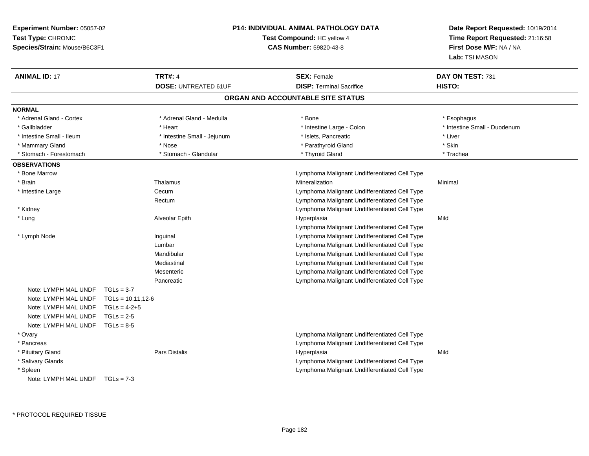| Experiment Number: 05057-02<br>Test Type: CHRONIC |                     |                             | <b>P14: INDIVIDUAL ANIMAL PATHOLOGY DATA</b><br>Test Compound: HC yellow 4<br>CAS Number: 59820-43-8 | Date Report Requested: 10/19/2014<br>Time Report Requested: 21:16:58<br>First Dose M/F: NA / NA |
|---------------------------------------------------|---------------------|-----------------------------|------------------------------------------------------------------------------------------------------|-------------------------------------------------------------------------------------------------|
| Species/Strain: Mouse/B6C3F1                      |                     |                             |                                                                                                      | Lab: TSI MASON                                                                                  |
| <b>ANIMAL ID: 17</b>                              | <b>TRT#: 4</b>      |                             | <b>SEX: Female</b>                                                                                   | DAY ON TEST: 731                                                                                |
|                                                   |                     | <b>DOSE: UNTREATED 61UF</b> | <b>DISP: Terminal Sacrifice</b>                                                                      | HISTO:                                                                                          |
|                                                   |                     |                             | ORGAN AND ACCOUNTABLE SITE STATUS                                                                    |                                                                                                 |
| <b>NORMAL</b>                                     |                     |                             |                                                                                                      |                                                                                                 |
| * Adrenal Gland - Cortex                          |                     | * Adrenal Gland - Medulla   | * Bone                                                                                               | * Esophagus                                                                                     |
| * Gallbladder                                     | * Heart             |                             | * Intestine Large - Colon                                                                            | * Intestine Small - Duodenum                                                                    |
| * Intestine Small - Ileum                         |                     | * Intestine Small - Jejunum | * Islets, Pancreatic                                                                                 | * Liver                                                                                         |
| * Mammary Gland                                   | * Nose              |                             | * Parathyroid Gland                                                                                  | * Skin                                                                                          |
| * Stomach - Forestomach                           |                     | * Stomach - Glandular       | * Thyroid Gland                                                                                      | * Trachea                                                                                       |
| <b>OBSERVATIONS</b>                               |                     |                             |                                                                                                      |                                                                                                 |
| * Bone Marrow                                     |                     |                             | Lymphoma Malignant Undifferentiated Cell Type                                                        |                                                                                                 |
| * Brain                                           | Thalamus            |                             | Mineralization                                                                                       | Minimal                                                                                         |
| * Intestine Large                                 | Cecum               |                             | Lymphoma Malignant Undifferentiated Cell Type                                                        |                                                                                                 |
|                                                   | Rectum              |                             | Lymphoma Malignant Undifferentiated Cell Type                                                        |                                                                                                 |
| * Kidney                                          |                     |                             | Lymphoma Malignant Undifferentiated Cell Type                                                        |                                                                                                 |
| * Lung                                            | Alveolar Epith      |                             | Hyperplasia                                                                                          | Mild                                                                                            |
|                                                   |                     |                             | Lymphoma Malignant Undifferentiated Cell Type                                                        |                                                                                                 |
| * Lymph Node                                      | Inguinal            |                             | Lymphoma Malignant Undifferentiated Cell Type                                                        |                                                                                                 |
|                                                   | Lumbar              |                             | Lymphoma Malignant Undifferentiated Cell Type                                                        |                                                                                                 |
|                                                   | Mandibular          |                             | Lymphoma Malignant Undifferentiated Cell Type                                                        |                                                                                                 |
|                                                   | Mediastinal         |                             | Lymphoma Malignant Undifferentiated Cell Type                                                        |                                                                                                 |
|                                                   | Mesenteric          |                             | Lymphoma Malignant Undifferentiated Cell Type                                                        |                                                                                                 |
|                                                   | Pancreatic          |                             | Lymphoma Malignant Undifferentiated Cell Type                                                        |                                                                                                 |
| Note: LYMPH MAL UNDF                              | $TGLs = 3-7$        |                             |                                                                                                      |                                                                                                 |
| Note: LYMPH MAL UNDF                              | $TGLs = 10,11,12-6$ |                             |                                                                                                      |                                                                                                 |
| Note: LYMPH MAL UNDF                              | $TGLs = 4-2+5$      |                             |                                                                                                      |                                                                                                 |
| Note: LYMPH MAL UNDF                              | $TGLs = 2-5$        |                             |                                                                                                      |                                                                                                 |
| Note: LYMPH MAL UNDF TGLs = 8-5                   |                     |                             |                                                                                                      |                                                                                                 |
| * Ovary                                           |                     |                             | Lymphoma Malignant Undifferentiated Cell Type                                                        |                                                                                                 |
| * Pancreas                                        |                     |                             | Lymphoma Malignant Undifferentiated Cell Type                                                        |                                                                                                 |
| * Pituitary Gland                                 | Pars Distalis       |                             | Hyperplasia                                                                                          | Mild                                                                                            |
| * Salivary Glands                                 |                     |                             | Lymphoma Malignant Undifferentiated Cell Type                                                        |                                                                                                 |
| * Spleen                                          |                     |                             | Lymphoma Malignant Undifferentiated Cell Type                                                        |                                                                                                 |
| Note: LYMPH MAL UNDF $TGLs = 7-3$                 |                     |                             |                                                                                                      |                                                                                                 |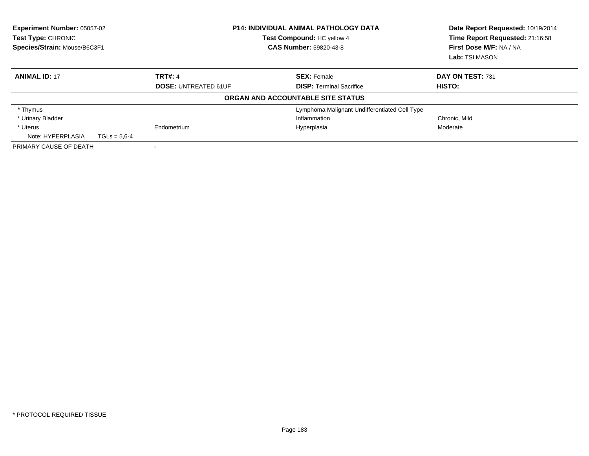| <b>Experiment Number: 05057-02</b><br>Test Type: CHRONIC<br>Species/Strain: Mouse/B6C3F1 |                             | <b>P14: INDIVIDUAL ANIMAL PATHOLOGY DATA</b><br>Test Compound: HC yellow 4<br><b>CAS Number: 59820-43-8</b> | Date Report Requested: 10/19/2014<br>Time Report Requested: 21:16:58<br>First Dose M/F: NA / NA<br>Lab: TSI MASON |
|------------------------------------------------------------------------------------------|-----------------------------|-------------------------------------------------------------------------------------------------------------|-------------------------------------------------------------------------------------------------------------------|
| <b>ANIMAL ID: 17</b>                                                                     | <b>TRT#: 4</b>              | <b>SEX: Female</b>                                                                                          | DAY ON TEST: 731                                                                                                  |
|                                                                                          | <b>DOSE: UNTREATED 61UF</b> | <b>DISP: Terminal Sacrifice</b>                                                                             | HISTO:                                                                                                            |
|                                                                                          |                             | ORGAN AND ACCOUNTABLE SITE STATUS                                                                           |                                                                                                                   |
| * Thymus                                                                                 |                             | Lymphoma Malignant Undifferentiated Cell Type                                                               |                                                                                                                   |
| * Urinary Bladder                                                                        |                             | Inflammation                                                                                                | Chronic, Mild                                                                                                     |
| * Uterus                                                                                 | Endometrium                 | Hyperplasia                                                                                                 | Moderate                                                                                                          |
| Note: HYPERPLASIA                                                                        | $TGLs = 5.6 - 4$            |                                                                                                             |                                                                                                                   |
| PRIMARY CAUSE OF DEATH                                                                   |                             |                                                                                                             |                                                                                                                   |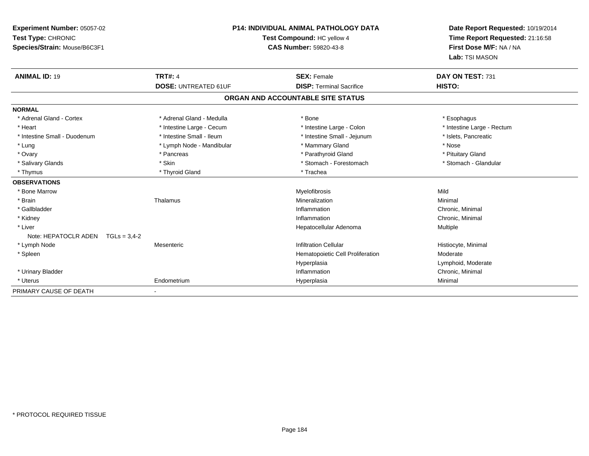| <b>Experiment Number: 05057-02</b><br>Test Type: CHRONIC<br>Species/Strain: Mouse/B6C3F1 | <b>P14: INDIVIDUAL ANIMAL PATHOLOGY DATA</b><br>Test Compound: HC yellow 4<br>CAS Number: 59820-43-8 |                                   | Date Report Requested: 10/19/2014<br>Time Report Requested: 21:16:58<br>First Dose M/F: NA / NA<br>Lab: TSI MASON |  |
|------------------------------------------------------------------------------------------|------------------------------------------------------------------------------------------------------|-----------------------------------|-------------------------------------------------------------------------------------------------------------------|--|
| <b>ANIMAL ID: 19</b>                                                                     | <b>TRT#: 4</b>                                                                                       | <b>SEX: Female</b>                | DAY ON TEST: 731                                                                                                  |  |
|                                                                                          | <b>DOSE: UNTREATED 61UF</b>                                                                          | <b>DISP: Terminal Sacrifice</b>   | HISTO:                                                                                                            |  |
|                                                                                          |                                                                                                      | ORGAN AND ACCOUNTABLE SITE STATUS |                                                                                                                   |  |
| <b>NORMAL</b>                                                                            |                                                                                                      |                                   |                                                                                                                   |  |
| * Adrenal Gland - Cortex                                                                 | * Adrenal Gland - Medulla                                                                            | * Bone                            | * Esophagus                                                                                                       |  |
| * Heart                                                                                  | * Intestine Large - Cecum                                                                            | * Intestine Large - Colon         | * Intestine Large - Rectum                                                                                        |  |
| * Intestine Small - Duodenum                                                             | * Intestine Small - Ileum                                                                            | * Intestine Small - Jejunum       | * Islets, Pancreatic                                                                                              |  |
| * Lung                                                                                   | * Lymph Node - Mandibular                                                                            | * Mammary Gland                   | * Nose                                                                                                            |  |
| * Ovary                                                                                  | * Pancreas                                                                                           | * Parathyroid Gland               | * Pituitary Gland                                                                                                 |  |
| * Salivary Glands                                                                        | * Skin                                                                                               | * Stomach - Forestomach           | * Stomach - Glandular                                                                                             |  |
| * Thymus                                                                                 | * Thyroid Gland                                                                                      | * Trachea                         |                                                                                                                   |  |
| <b>OBSERVATIONS</b>                                                                      |                                                                                                      |                                   |                                                                                                                   |  |
| * Bone Marrow                                                                            |                                                                                                      | Myelofibrosis                     | Mild                                                                                                              |  |
| * Brain                                                                                  | Thalamus                                                                                             | Mineralization                    | Minimal                                                                                                           |  |
| * Gallbladder                                                                            |                                                                                                      | Inflammation                      | Chronic, Minimal                                                                                                  |  |
| * Kidney                                                                                 |                                                                                                      | Inflammation                      | Chronic, Minimal                                                                                                  |  |
| * Liver                                                                                  |                                                                                                      | Hepatocellular Adenoma            | Multiple                                                                                                          |  |
| Note: HEPATOCLR ADEN<br>$TGLs = 3,4-2$                                                   |                                                                                                      |                                   |                                                                                                                   |  |
| * Lymph Node                                                                             | Mesenteric                                                                                           | Infiltration Cellular             | Histiocyte, Minimal                                                                                               |  |
| * Spleen                                                                                 |                                                                                                      | Hematopoietic Cell Proliferation  | Moderate                                                                                                          |  |
|                                                                                          |                                                                                                      | Hyperplasia                       | Lymphoid, Moderate                                                                                                |  |
| * Urinary Bladder                                                                        |                                                                                                      | Inflammation                      | Chronic, Minimal                                                                                                  |  |
| * Uterus                                                                                 | Endometrium                                                                                          | Hyperplasia                       | Minimal                                                                                                           |  |
| PRIMARY CAUSE OF DEATH                                                                   |                                                                                                      |                                   |                                                                                                                   |  |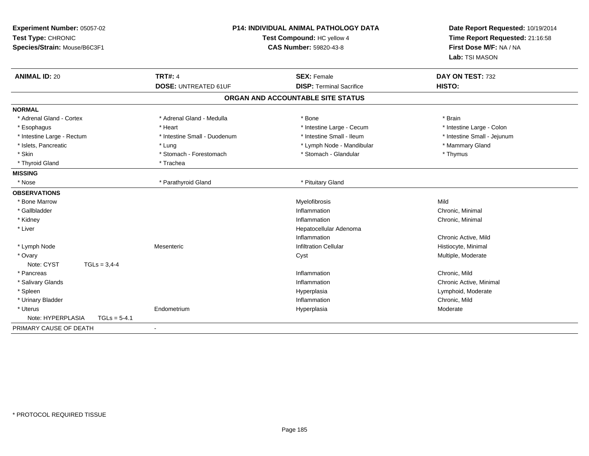| Experiment Number: 05057-02<br>Test Type: CHRONIC<br>Species/Strain: Mouse/B6C3F1 |                              | P14: INDIVIDUAL ANIMAL PATHOLOGY DATA<br>Test Compound: HC yellow 4<br><b>CAS Number: 59820-43-8</b> |                             |
|-----------------------------------------------------------------------------------|------------------------------|------------------------------------------------------------------------------------------------------|-----------------------------|
| <b>ANIMAL ID: 20</b>                                                              | <b>TRT#: 4</b>               | <b>SEX: Female</b><br><b>DISP: Terminal Sacrifice</b>                                                | DAY ON TEST: 732<br>HISTO:  |
|                                                                                   | <b>DOSE: UNTREATED 61UF</b>  |                                                                                                      |                             |
|                                                                                   |                              | ORGAN AND ACCOUNTABLE SITE STATUS                                                                    |                             |
| <b>NORMAL</b>                                                                     |                              |                                                                                                      |                             |
| * Adrenal Gland - Cortex                                                          | * Adrenal Gland - Medulla    | * Bone                                                                                               | * Brain                     |
| * Esophagus                                                                       | * Heart                      | * Intestine Large - Cecum                                                                            | * Intestine Large - Colon   |
| * Intestine Large - Rectum                                                        | * Intestine Small - Duodenum | * Intestine Small - Ileum                                                                            | * Intestine Small - Jejunum |
| * Islets, Pancreatic                                                              | * Lung                       | * Lymph Node - Mandibular                                                                            | * Mammary Gland             |
| * Skin                                                                            | * Stomach - Forestomach      | * Stomach - Glandular                                                                                | * Thymus                    |
| * Thyroid Gland                                                                   | * Trachea                    |                                                                                                      |                             |
| <b>MISSING</b>                                                                    |                              |                                                                                                      |                             |
| * Nose                                                                            | * Parathyroid Gland          | * Pituitary Gland                                                                                    |                             |
| <b>OBSERVATIONS</b>                                                               |                              |                                                                                                      |                             |
| * Bone Marrow                                                                     |                              | Myelofibrosis                                                                                        | Mild                        |
| * Gallbladder                                                                     |                              | Inflammation                                                                                         | Chronic, Minimal            |
| * Kidney                                                                          |                              | Inflammation                                                                                         | Chronic, Minimal            |
| * Liver                                                                           |                              | Hepatocellular Adenoma                                                                               |                             |
|                                                                                   |                              | Inflammation                                                                                         | Chronic Active, Mild        |
| * Lymph Node                                                                      | Mesenteric                   | <b>Infiltration Cellular</b>                                                                         | Histiocyte, Minimal         |
| * Ovary                                                                           |                              | Cyst                                                                                                 | Multiple, Moderate          |
| $TGLs = 3,4-4$<br>Note: CYST                                                      |                              |                                                                                                      |                             |
| * Pancreas                                                                        |                              | Inflammation                                                                                         | Chronic, Mild               |
| * Salivary Glands                                                                 |                              | Inflammation                                                                                         | Chronic Active, Minimal     |
| * Spleen                                                                          |                              | Hyperplasia                                                                                          | Lymphoid, Moderate          |
| * Urinary Bladder                                                                 |                              | Inflammation                                                                                         | Chronic, Mild               |
| * Uterus                                                                          | Endometrium                  | Hyperplasia                                                                                          | Moderate                    |
| Note: HYPERPLASIA<br>$TGLs = 5-4.1$                                               |                              |                                                                                                      |                             |
| PRIMARY CAUSE OF DEATH                                                            | $\blacksquare$               |                                                                                                      |                             |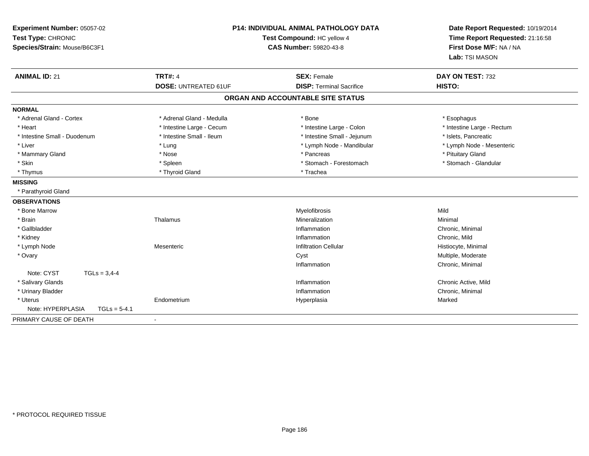| Experiment Number: 05057-02<br>Test Type: CHRONIC<br>Species/Strain: Mouse/B6C3F1 | <b>P14: INDIVIDUAL ANIMAL PATHOLOGY DATA</b><br>Test Compound: HC yellow 4<br><b>CAS Number: 59820-43-8</b> |                                   | Date Report Requested: 10/19/2014<br>Time Report Requested: 21:16:58<br>First Dose M/F: NA / NA<br>Lab: TSI MASON |
|-----------------------------------------------------------------------------------|-------------------------------------------------------------------------------------------------------------|-----------------------------------|-------------------------------------------------------------------------------------------------------------------|
| <b>ANIMAL ID: 21</b>                                                              | <b>TRT#: 4</b>                                                                                              | <b>SEX: Female</b>                | DAY ON TEST: 732                                                                                                  |
|                                                                                   | <b>DOSE: UNTREATED 61UF</b>                                                                                 | <b>DISP: Terminal Sacrifice</b>   | HISTO:                                                                                                            |
|                                                                                   |                                                                                                             | ORGAN AND ACCOUNTABLE SITE STATUS |                                                                                                                   |
| <b>NORMAL</b>                                                                     |                                                                                                             |                                   |                                                                                                                   |
| * Adrenal Gland - Cortex                                                          | * Adrenal Gland - Medulla                                                                                   | * Bone                            | * Esophagus                                                                                                       |
| * Heart                                                                           | * Intestine Large - Cecum                                                                                   | * Intestine Large - Colon         | * Intestine Large - Rectum                                                                                        |
| * Intestine Small - Duodenum                                                      | * Intestine Small - Ileum                                                                                   | * Intestine Small - Jejunum       | * Islets, Pancreatic                                                                                              |
| * Liver                                                                           | * Lung                                                                                                      | * Lymph Node - Mandibular         | * Lymph Node - Mesenteric                                                                                         |
| * Mammary Gland                                                                   | * Nose                                                                                                      | * Pancreas                        | * Pituitary Gland                                                                                                 |
| * Skin                                                                            | * Spleen                                                                                                    | * Stomach - Forestomach           | * Stomach - Glandular                                                                                             |
| * Thymus                                                                          | * Thyroid Gland                                                                                             | * Trachea                         |                                                                                                                   |
| <b>MISSING</b>                                                                    |                                                                                                             |                                   |                                                                                                                   |
| * Parathyroid Gland                                                               |                                                                                                             |                                   |                                                                                                                   |
| <b>OBSERVATIONS</b>                                                               |                                                                                                             |                                   |                                                                                                                   |
| * Bone Marrow                                                                     |                                                                                                             | Myelofibrosis                     | Mild                                                                                                              |
| * Brain                                                                           | Thalamus                                                                                                    | Mineralization                    | Minimal                                                                                                           |
| * Gallbladder                                                                     |                                                                                                             | Inflammation                      | Chronic, Minimal                                                                                                  |
| * Kidney                                                                          |                                                                                                             | Inflammation                      | Chronic, Mild                                                                                                     |
| * Lymph Node                                                                      | Mesenteric                                                                                                  | <b>Infiltration Cellular</b>      | Histiocyte, Minimal                                                                                               |
| * Ovary                                                                           |                                                                                                             | Cyst                              | Multiple, Moderate                                                                                                |
|                                                                                   |                                                                                                             | Inflammation                      | Chronic, Minimal                                                                                                  |
| Note: CYST<br>$TGLs = 3,4-4$                                                      |                                                                                                             |                                   |                                                                                                                   |
| * Salivary Glands                                                                 |                                                                                                             | Inflammation                      | Chronic Active, Mild                                                                                              |
| * Urinary Bladder                                                                 |                                                                                                             | Inflammation                      | Chronic, Minimal                                                                                                  |
| * Uterus                                                                          | Endometrium                                                                                                 | Hyperplasia                       | Marked                                                                                                            |
| Note: HYPERPLASIA<br>$TGLs = 5-4.1$                                               |                                                                                                             |                                   |                                                                                                                   |
| PRIMARY CAUSE OF DEATH                                                            |                                                                                                             |                                   |                                                                                                                   |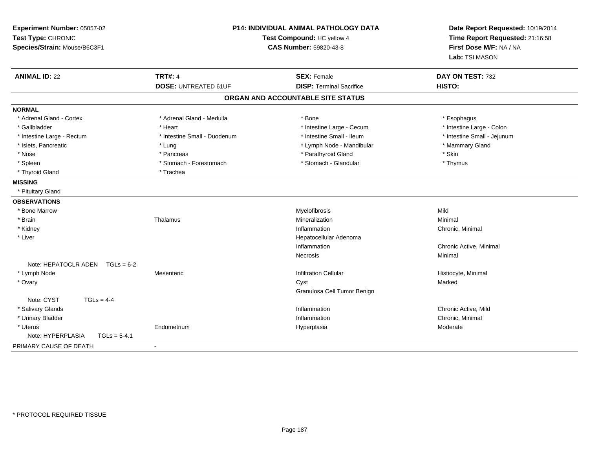| Experiment Number: 05057-02<br>Test Type: CHRONIC<br>Species/Strain: Mouse/B6C3F1 | P14: INDIVIDUAL ANIMAL PATHOLOGY DATA<br>Test Compound: HC yellow 4<br><b>CAS Number: 59820-43-8</b> |                                   | Date Report Requested: 10/19/2014<br>Time Report Requested: 21:16:58<br>First Dose M/F: NA / NA<br>Lab: TSI MASON |
|-----------------------------------------------------------------------------------|------------------------------------------------------------------------------------------------------|-----------------------------------|-------------------------------------------------------------------------------------------------------------------|
| <b>ANIMAL ID: 22</b>                                                              | <b>TRT#: 4</b>                                                                                       | <b>SEX: Female</b>                | DAY ON TEST: 732                                                                                                  |
|                                                                                   | <b>DOSE: UNTREATED 61UF</b>                                                                          | <b>DISP: Terminal Sacrifice</b>   | HISTO:                                                                                                            |
|                                                                                   |                                                                                                      | ORGAN AND ACCOUNTABLE SITE STATUS |                                                                                                                   |
| <b>NORMAL</b>                                                                     |                                                                                                      |                                   |                                                                                                                   |
| * Adrenal Gland - Cortex                                                          | * Adrenal Gland - Medulla                                                                            | * Bone                            | * Esophagus                                                                                                       |
| * Gallbladder                                                                     | * Heart                                                                                              | * Intestine Large - Cecum         | * Intestine Large - Colon                                                                                         |
| * Intestine Large - Rectum                                                        | * Intestine Small - Duodenum                                                                         | * Intestine Small - Ileum         | * Intestine Small - Jejunum                                                                                       |
| * Islets, Pancreatic                                                              | * Lung                                                                                               | * Lymph Node - Mandibular         | * Mammary Gland                                                                                                   |
| * Nose                                                                            | * Pancreas                                                                                           | * Parathyroid Gland               | * Skin                                                                                                            |
| * Spleen                                                                          | * Stomach - Forestomach                                                                              | * Stomach - Glandular             | * Thymus                                                                                                          |
| * Thyroid Gland                                                                   | * Trachea                                                                                            |                                   |                                                                                                                   |
| <b>MISSING</b>                                                                    |                                                                                                      |                                   |                                                                                                                   |
| * Pituitary Gland                                                                 |                                                                                                      |                                   |                                                                                                                   |
| <b>OBSERVATIONS</b>                                                               |                                                                                                      |                                   |                                                                                                                   |
| * Bone Marrow                                                                     |                                                                                                      | Myelofibrosis                     | Mild                                                                                                              |
| * Brain                                                                           | Thalamus                                                                                             | Mineralization                    | Minimal                                                                                                           |
| * Kidney                                                                          |                                                                                                      | Inflammation                      | Chronic, Minimal                                                                                                  |
| * Liver                                                                           |                                                                                                      | Hepatocellular Adenoma            |                                                                                                                   |
|                                                                                   |                                                                                                      | Inflammation                      | Chronic Active, Minimal                                                                                           |
|                                                                                   |                                                                                                      | Necrosis                          | Minimal                                                                                                           |
| Note: HEPATOCLR ADEN<br>$TGLs = 6-2$                                              |                                                                                                      |                                   |                                                                                                                   |
| * Lymph Node                                                                      | Mesenteric                                                                                           | <b>Infiltration Cellular</b>      | Histiocyte, Minimal                                                                                               |
| * Ovary                                                                           |                                                                                                      | Cyst                              | Marked                                                                                                            |
|                                                                                   |                                                                                                      | Granulosa Cell Tumor Benign       |                                                                                                                   |
| Note: CYST<br>$TGLs = 4-4$                                                        |                                                                                                      |                                   |                                                                                                                   |
| * Salivary Glands                                                                 |                                                                                                      | Inflammation                      | Chronic Active, Mild                                                                                              |
| * Urinary Bladder                                                                 |                                                                                                      | Inflammation                      | Chronic, Minimal                                                                                                  |
| * Uterus                                                                          | Endometrium                                                                                          | Hyperplasia                       | Moderate                                                                                                          |
| Note: HYPERPLASIA<br>$TGLs = 5-4.1$                                               |                                                                                                      |                                   |                                                                                                                   |
| PRIMARY CAUSE OF DEATH                                                            | $\blacksquare$                                                                                       |                                   |                                                                                                                   |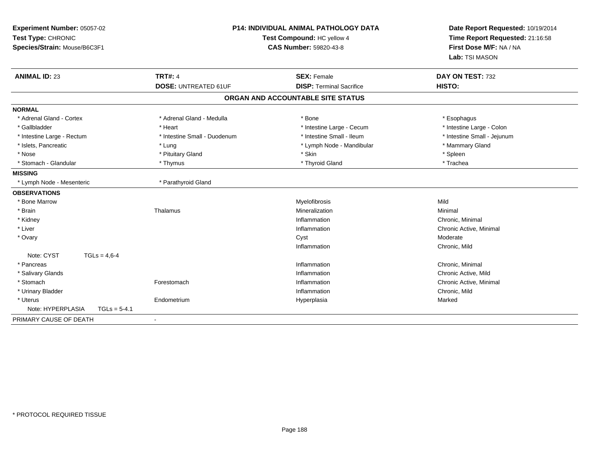| Experiment Number: 05057-02<br>Test Type: CHRONIC<br>Species/Strain: Mouse/B6C3F1 | <b>P14: INDIVIDUAL ANIMAL PATHOLOGY DATA</b><br>Test Compound: HC yellow 4<br><b>CAS Number: 59820-43-8</b> |                                   | Date Report Requested: 10/19/2014<br>Time Report Requested: 21:16:58<br>First Dose M/F: NA / NA<br>Lab: TSI MASON |
|-----------------------------------------------------------------------------------|-------------------------------------------------------------------------------------------------------------|-----------------------------------|-------------------------------------------------------------------------------------------------------------------|
| <b>ANIMAL ID: 23</b>                                                              | <b>TRT#: 4</b>                                                                                              | <b>SEX: Female</b>                | DAY ON TEST: 732                                                                                                  |
|                                                                                   | <b>DOSE: UNTREATED 61UF</b>                                                                                 | <b>DISP: Terminal Sacrifice</b>   | HISTO:                                                                                                            |
|                                                                                   |                                                                                                             | ORGAN AND ACCOUNTABLE SITE STATUS |                                                                                                                   |
| <b>NORMAL</b>                                                                     |                                                                                                             |                                   |                                                                                                                   |
| * Adrenal Gland - Cortex                                                          | * Adrenal Gland - Medulla                                                                                   | * Bone                            | * Esophagus                                                                                                       |
| * Gallbladder                                                                     | * Heart                                                                                                     | * Intestine Large - Cecum         | * Intestine Large - Colon                                                                                         |
| * Intestine Large - Rectum                                                        | * Intestine Small - Duodenum                                                                                | * Intestine Small - Ileum         | * Intestine Small - Jejunum                                                                                       |
| * Islets, Pancreatic                                                              | * Lung                                                                                                      | * Lymph Node - Mandibular         | * Mammary Gland                                                                                                   |
| * Nose                                                                            | * Pituitary Gland                                                                                           | * Skin                            | * Spleen                                                                                                          |
| * Stomach - Glandular                                                             | * Thymus                                                                                                    | * Thyroid Gland                   | * Trachea                                                                                                         |
| <b>MISSING</b>                                                                    |                                                                                                             |                                   |                                                                                                                   |
| * Lymph Node - Mesenteric                                                         | * Parathyroid Gland                                                                                         |                                   |                                                                                                                   |
| <b>OBSERVATIONS</b>                                                               |                                                                                                             |                                   |                                                                                                                   |
| * Bone Marrow                                                                     |                                                                                                             | Myelofibrosis                     | Mild                                                                                                              |
| * Brain                                                                           | Thalamus                                                                                                    | Mineralization                    | Minimal                                                                                                           |
| * Kidney                                                                          |                                                                                                             | Inflammation                      | Chronic, Minimal                                                                                                  |
| * Liver                                                                           |                                                                                                             | Inflammation                      | Chronic Active, Minimal                                                                                           |
| * Ovary                                                                           |                                                                                                             | Cyst                              | Moderate                                                                                                          |
|                                                                                   |                                                                                                             | Inflammation                      | Chronic, Mild                                                                                                     |
| Note: CYST<br>$TGLs = 4.6 - 4$                                                    |                                                                                                             |                                   |                                                                                                                   |
| * Pancreas                                                                        |                                                                                                             | Inflammation                      | Chronic, Minimal                                                                                                  |
| * Salivary Glands                                                                 |                                                                                                             | Inflammation                      | Chronic Active, Mild                                                                                              |
| * Stomach                                                                         | Forestomach                                                                                                 | Inflammation                      | Chronic Active, Minimal                                                                                           |
| * Urinary Bladder                                                                 |                                                                                                             | Inflammation                      | Chronic, Mild                                                                                                     |
| * Uterus                                                                          | Endometrium                                                                                                 | Hyperplasia                       | Marked                                                                                                            |
| Note: HYPERPLASIA<br>$TGLs = 5-4.1$                                               |                                                                                                             |                                   |                                                                                                                   |
| PRIMARY CAUSE OF DEATH                                                            | $\blacksquare$                                                                                              |                                   |                                                                                                                   |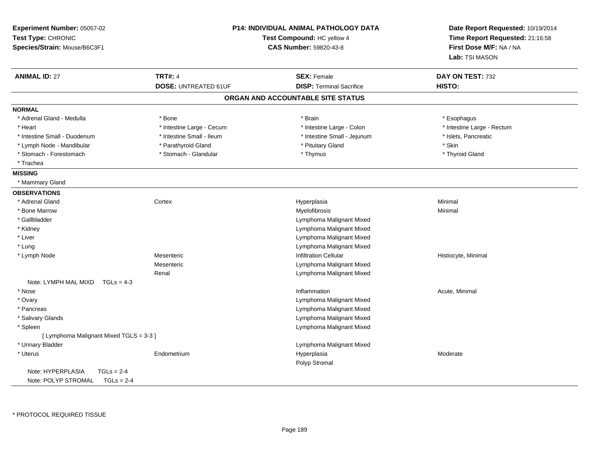| Experiment Number: 05057-02<br>Test Type: CHRONIC<br>Species/Strain: Mouse/B6C3F1 |                             | P14: INDIVIDUAL ANIMAL PATHOLOGY DATA<br>Test Compound: HC yellow 4<br>CAS Number: 59820-43-8 | Date Report Requested: 10/19/2014<br>Time Report Requested: 21:16:58<br>First Dose M/F: NA / NA<br>Lab: TSI MASON |
|-----------------------------------------------------------------------------------|-----------------------------|-----------------------------------------------------------------------------------------------|-------------------------------------------------------------------------------------------------------------------|
| <b>ANIMAL ID: 27</b>                                                              | <b>TRT#: 4</b>              | <b>SEX: Female</b>                                                                            | DAY ON TEST: 732                                                                                                  |
|                                                                                   | <b>DOSE: UNTREATED 61UF</b> | <b>DISP: Terminal Sacrifice</b>                                                               | HISTO:                                                                                                            |
|                                                                                   |                             | ORGAN AND ACCOUNTABLE SITE STATUS                                                             |                                                                                                                   |
| <b>NORMAL</b>                                                                     |                             |                                                                                               |                                                                                                                   |
| * Adrenal Gland - Medulla                                                         | * Bone                      | * Brain                                                                                       | * Esophagus                                                                                                       |
| * Heart                                                                           | * Intestine Large - Cecum   | * Intestine Large - Colon                                                                     | * Intestine Large - Rectum                                                                                        |
| * Intestine Small - Duodenum                                                      | * Intestine Small - Ileum   | * Intestine Small - Jejunum                                                                   | * Islets, Pancreatic                                                                                              |
| * Lymph Node - Mandibular                                                         | * Parathyroid Gland         | * Pituitary Gland                                                                             | * Skin                                                                                                            |
| * Stomach - Forestomach                                                           | * Stomach - Glandular       | * Thymus                                                                                      | * Thyroid Gland                                                                                                   |
| * Trachea                                                                         |                             |                                                                                               |                                                                                                                   |
| <b>MISSING</b>                                                                    |                             |                                                                                               |                                                                                                                   |
| * Mammary Gland                                                                   |                             |                                                                                               |                                                                                                                   |
| <b>OBSERVATIONS</b>                                                               |                             |                                                                                               |                                                                                                                   |
| * Adrenal Gland                                                                   | Cortex                      | Hyperplasia                                                                                   | Minimal                                                                                                           |
| * Bone Marrow                                                                     |                             | Myelofibrosis                                                                                 | Minimal                                                                                                           |
| * Gallbladder                                                                     |                             | Lymphoma Malignant Mixed                                                                      |                                                                                                                   |
| * Kidney                                                                          |                             | Lymphoma Malignant Mixed                                                                      |                                                                                                                   |
| * Liver                                                                           |                             | Lymphoma Malignant Mixed                                                                      |                                                                                                                   |
| * Lung                                                                            |                             | Lymphoma Malignant Mixed                                                                      |                                                                                                                   |
| * Lymph Node                                                                      | Mesenteric                  | <b>Infiltration Cellular</b>                                                                  | Histiocyte, Minimal                                                                                               |
|                                                                                   | Mesenteric                  | Lymphoma Malignant Mixed                                                                      |                                                                                                                   |
|                                                                                   | Renal                       | Lymphoma Malignant Mixed                                                                      |                                                                                                                   |
| Note: LYMPH MAL MIXD<br>$TGLs = 4-3$                                              |                             |                                                                                               |                                                                                                                   |
| * Nose                                                                            |                             | Inflammation                                                                                  | Acute, Minimal                                                                                                    |
| * Ovary                                                                           |                             | Lymphoma Malignant Mixed                                                                      |                                                                                                                   |
| * Pancreas                                                                        |                             | Lymphoma Malignant Mixed                                                                      |                                                                                                                   |
| * Salivary Glands                                                                 |                             | Lymphoma Malignant Mixed                                                                      |                                                                                                                   |
| * Spleen                                                                          |                             | Lymphoma Malignant Mixed                                                                      |                                                                                                                   |
| [ Lymphoma Malignant Mixed TGLS = 3-3 ]                                           |                             |                                                                                               |                                                                                                                   |
| * Urinary Bladder                                                                 |                             | Lymphoma Malignant Mixed                                                                      |                                                                                                                   |
| * Uterus                                                                          | Endometrium                 | Hyperplasia                                                                                   | Moderate                                                                                                          |
|                                                                                   |                             | Polyp Stromal                                                                                 |                                                                                                                   |
| Note: HYPERPLASIA<br>$TGLs = 2-4$                                                 |                             |                                                                                               |                                                                                                                   |
| Note: POLYP STROMAL<br>$TGLs = 2-4$                                               |                             |                                                                                               |                                                                                                                   |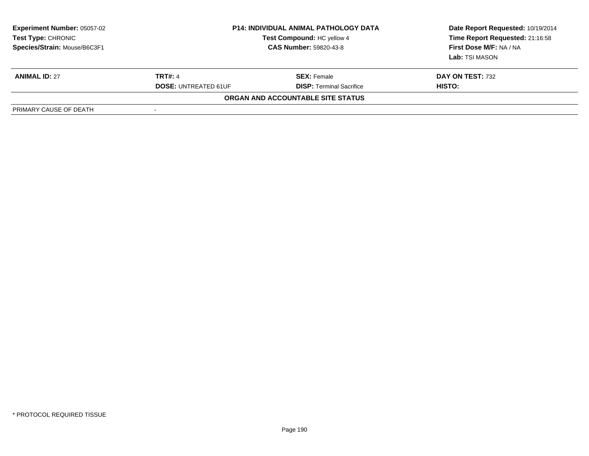| <b>Experiment Number: 05057-02</b><br>Test Type: CHRONIC<br>Species/Strain: Mouse/B6C3F1 | <b>P14: INDIVIDUAL ANIMAL PATHOLOGY DATA</b><br>Test Compound: HC yellow 4<br>CAS Number: 59820-43-8 |                                   | Date Report Requested: 10/19/2014<br>Time Report Requested: 21:16:58<br>First Dose M/F: NA / NA<br>Lab: TSI MASON |
|------------------------------------------------------------------------------------------|------------------------------------------------------------------------------------------------------|-----------------------------------|-------------------------------------------------------------------------------------------------------------------|
| <b>ANIMAL ID: 27</b>                                                                     | <b>TRT#: 4</b>                                                                                       | <b>SEX:</b> Female                | DAY ON TEST: 732                                                                                                  |
|                                                                                          | <b>DOSE: UNTREATED 61UF</b>                                                                          | <b>DISP: Terminal Sacrifice</b>   | HISTO:                                                                                                            |
|                                                                                          |                                                                                                      | ORGAN AND ACCOUNTABLE SITE STATUS |                                                                                                                   |
| PRIMARY CAUSE OF DEATH                                                                   | -                                                                                                    |                                   |                                                                                                                   |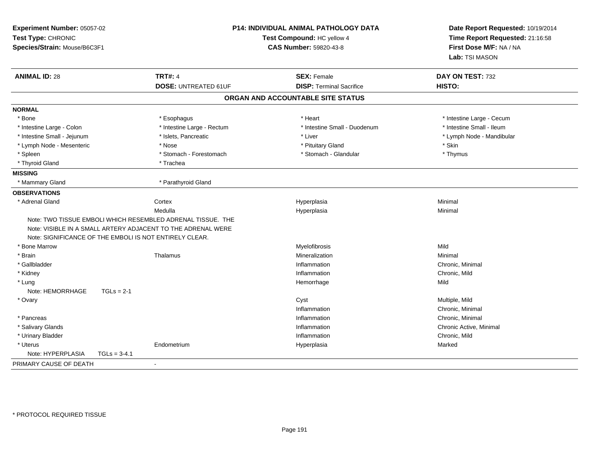| Experiment Number: 05057-02<br>Test Type: CHRONIC<br>Species/Strain: Mouse/B6C3F1 |                                                                                                                             | <b>P14: INDIVIDUAL ANIMAL PATHOLOGY DATA</b><br>Test Compound: HC yellow 4<br>CAS Number: 59820-43-8 | Date Report Requested: 10/19/2014<br>Time Report Requested: 21:16:58<br>First Dose M/F: NA / NA<br>Lab: TSI MASON |
|-----------------------------------------------------------------------------------|-----------------------------------------------------------------------------------------------------------------------------|------------------------------------------------------------------------------------------------------|-------------------------------------------------------------------------------------------------------------------|
| <b>ANIMAL ID: 28</b>                                                              | <b>TRT#: 4</b>                                                                                                              | <b>SEX: Female</b>                                                                                   | DAY ON TEST: 732                                                                                                  |
|                                                                                   | <b>DOSE: UNTREATED 61UF</b>                                                                                                 | <b>DISP: Terminal Sacrifice</b>                                                                      | HISTO:                                                                                                            |
|                                                                                   |                                                                                                                             | ORGAN AND ACCOUNTABLE SITE STATUS                                                                    |                                                                                                                   |
| <b>NORMAL</b>                                                                     |                                                                                                                             |                                                                                                      |                                                                                                                   |
| * Bone                                                                            | * Esophagus                                                                                                                 | * Heart                                                                                              | * Intestine Large - Cecum                                                                                         |
| * Intestine Large - Colon                                                         | * Intestine Large - Rectum                                                                                                  | * Intestine Small - Duodenum                                                                         | * Intestine Small - Ileum                                                                                         |
| * Intestine Small - Jejunum                                                       | * Islets, Pancreatic                                                                                                        | * Liver                                                                                              | * Lymph Node - Mandibular                                                                                         |
| * Lymph Node - Mesenteric                                                         | * Nose                                                                                                                      | * Pituitary Gland                                                                                    | $^\star$ Skin                                                                                                     |
| * Spleen                                                                          | * Stomach - Forestomach                                                                                                     | * Stomach - Glandular                                                                                | * Thymus                                                                                                          |
| * Thyroid Gland                                                                   | * Trachea                                                                                                                   |                                                                                                      |                                                                                                                   |
| <b>MISSING</b>                                                                    |                                                                                                                             |                                                                                                      |                                                                                                                   |
| * Mammary Gland                                                                   | * Parathyroid Gland                                                                                                         |                                                                                                      |                                                                                                                   |
| <b>OBSERVATIONS</b>                                                               |                                                                                                                             |                                                                                                      |                                                                                                                   |
| * Adrenal Gland                                                                   | Cortex                                                                                                                      | Hyperplasia                                                                                          | Minimal                                                                                                           |
|                                                                                   | Medulla                                                                                                                     | Hyperplasia                                                                                          | Minimal                                                                                                           |
| Note: SIGNIFICANCE OF THE EMBOLI IS NOT ENTIRELY CLEAR.                           | Note: TWO TISSUE EMBOLI WHICH RESEMBLED ADRENAL TISSUE. THE<br>Note: VISIBLE IN A SMALL ARTERY ADJACENT TO THE ADRENAL WERE |                                                                                                      |                                                                                                                   |
| * Bone Marrow                                                                     |                                                                                                                             | Myelofibrosis                                                                                        | Mild                                                                                                              |
| * Brain                                                                           | Thalamus                                                                                                                    | Mineralization                                                                                       | Minimal                                                                                                           |
| * Gallbladder                                                                     |                                                                                                                             | Inflammation                                                                                         | Chronic, Minimal                                                                                                  |
| * Kidney                                                                          |                                                                                                                             | Inflammation                                                                                         | Chronic, Mild                                                                                                     |
| * Lung                                                                            |                                                                                                                             | Hemorrhage                                                                                           | Mild                                                                                                              |
| Note: HEMORRHAGE<br>$TGLs = 2-1$                                                  |                                                                                                                             |                                                                                                      |                                                                                                                   |
| * Ovary                                                                           |                                                                                                                             | Cyst                                                                                                 | Multiple, Mild                                                                                                    |
|                                                                                   |                                                                                                                             | Inflammation                                                                                         | Chronic, Minimal                                                                                                  |
| * Pancreas                                                                        |                                                                                                                             | Inflammation                                                                                         | Chronic, Minimal                                                                                                  |
| * Salivary Glands                                                                 |                                                                                                                             | Inflammation                                                                                         | Chronic Active, Minimal                                                                                           |
| * Urinary Bladder                                                                 |                                                                                                                             | Inflammation                                                                                         | Chronic, Mild                                                                                                     |
| * Uterus<br>Note: HYPERPLASIA<br>$TGLs = 3-4.1$                                   | Endometrium                                                                                                                 | Hyperplasia                                                                                          | Marked                                                                                                            |
| PRIMARY CAUSE OF DEATH                                                            | $\blacksquare$                                                                                                              |                                                                                                      |                                                                                                                   |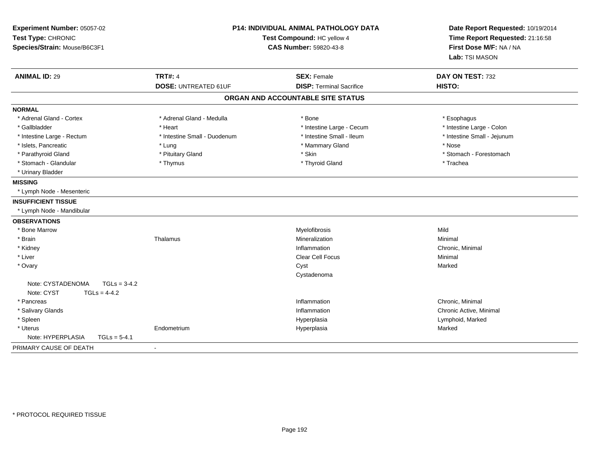| Experiment Number: 05057-02<br>Test Type: CHRONIC<br>Species/Strain: Mouse/B6C3F1 |                                               | <b>P14: INDIVIDUAL ANIMAL PATHOLOGY DATA</b><br>Test Compound: HC yellow 4<br><b>CAS Number: 59820-43-8</b> | Date Report Requested: 10/19/2014<br>Time Report Requested: 21:16:58<br>First Dose M/F: NA / NA<br>Lab: TSI MASON |  |
|-----------------------------------------------------------------------------------|-----------------------------------------------|-------------------------------------------------------------------------------------------------------------|-------------------------------------------------------------------------------------------------------------------|--|
| <b>ANIMAL ID: 29</b>                                                              | <b>TRT#: 4</b><br><b>DOSE: UNTREATED 61UF</b> | <b>SEX: Female</b><br><b>DISP: Terminal Sacrifice</b>                                                       | DAY ON TEST: 732<br>HISTO:                                                                                        |  |
|                                                                                   |                                               | ORGAN AND ACCOUNTABLE SITE STATUS                                                                           |                                                                                                                   |  |
| <b>NORMAL</b>                                                                     |                                               |                                                                                                             |                                                                                                                   |  |
| * Adrenal Gland - Cortex                                                          | * Adrenal Gland - Medulla                     | * Bone                                                                                                      | * Esophagus                                                                                                       |  |
| * Gallbladder                                                                     | * Heart                                       | * Intestine Large - Cecum                                                                                   | * Intestine Large - Colon                                                                                         |  |
| * Intestine Large - Rectum                                                        | * Intestine Small - Duodenum                  | * Intestine Small - Ileum                                                                                   | * Intestine Small - Jejunum                                                                                       |  |
| * Islets, Pancreatic                                                              | * Lung                                        | * Mammary Gland                                                                                             | * Nose                                                                                                            |  |
| * Parathyroid Gland                                                               | * Pituitary Gland                             | * Skin                                                                                                      | * Stomach - Forestomach                                                                                           |  |
| * Stomach - Glandular                                                             | * Thymus                                      | * Thyroid Gland                                                                                             | * Trachea                                                                                                         |  |
| * Urinary Bladder                                                                 |                                               |                                                                                                             |                                                                                                                   |  |
| <b>MISSING</b>                                                                    |                                               |                                                                                                             |                                                                                                                   |  |
| * Lymph Node - Mesenteric                                                         |                                               |                                                                                                             |                                                                                                                   |  |
| <b>INSUFFICIENT TISSUE</b>                                                        |                                               |                                                                                                             |                                                                                                                   |  |
| * Lymph Node - Mandibular                                                         |                                               |                                                                                                             |                                                                                                                   |  |
| <b>OBSERVATIONS</b>                                                               |                                               |                                                                                                             |                                                                                                                   |  |
| * Bone Marrow                                                                     |                                               | Myelofibrosis                                                                                               | Mild                                                                                                              |  |
| * Brain                                                                           | Thalamus                                      | Mineralization                                                                                              | Minimal                                                                                                           |  |
| * Kidney                                                                          |                                               | Inflammation                                                                                                | Chronic, Minimal                                                                                                  |  |
| * Liver                                                                           |                                               | Clear Cell Focus                                                                                            | Minimal                                                                                                           |  |
| * Ovary                                                                           |                                               | Cyst                                                                                                        | Marked                                                                                                            |  |
| $TGLs = 3-4.2$<br>Note: CYSTADENOMA                                               |                                               | Cystadenoma                                                                                                 |                                                                                                                   |  |
| Note: CYST<br>$TGLs = 4-4.2$<br>* Pancreas                                        |                                               | Inflammation                                                                                                | Chronic, Minimal                                                                                                  |  |
| * Salivary Glands                                                                 |                                               | Inflammation                                                                                                | Chronic Active, Minimal                                                                                           |  |
| * Spleen                                                                          |                                               | Hyperplasia                                                                                                 | Lymphoid, Marked                                                                                                  |  |
| * Uterus                                                                          | Endometrium                                   | Hyperplasia                                                                                                 | Marked                                                                                                            |  |
| Note: HYPERPLASIA<br>$TGLs = 5-4.1$                                               |                                               |                                                                                                             |                                                                                                                   |  |
| PRIMARY CAUSE OF DEATH                                                            | $\overline{a}$                                |                                                                                                             |                                                                                                                   |  |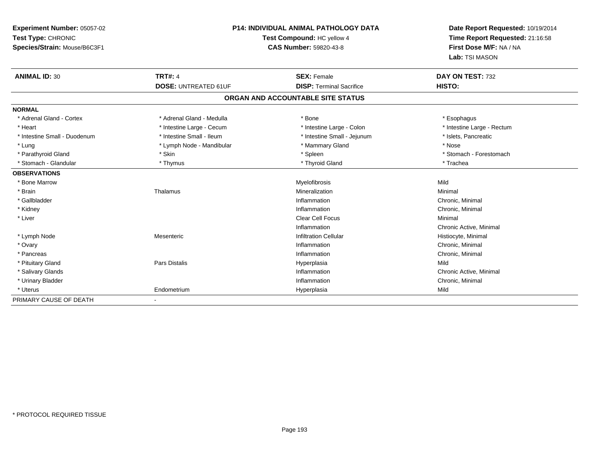| Experiment Number: 05057-02  |                             | <b>P14: INDIVIDUAL ANIMAL PATHOLOGY DATA</b> |                                                                      |
|------------------------------|-----------------------------|----------------------------------------------|----------------------------------------------------------------------|
| Test Type: CHRONIC           | Test Compound: HC yellow 4  |                                              | Date Report Requested: 10/19/2014<br>Time Report Requested: 21:16:58 |
| Species/Strain: Mouse/B6C3F1 |                             | CAS Number: 59820-43-8                       | First Dose M/F: NA / NA                                              |
|                              |                             |                                              | Lab: TSI MASON                                                       |
| <b>ANIMAL ID: 30</b>         | <b>TRT#: 4</b>              | <b>SEX: Female</b>                           | DAY ON TEST: 732                                                     |
|                              | <b>DOSE: UNTREATED 61UF</b> | <b>DISP: Terminal Sacrifice</b>              | HISTO:                                                               |
|                              |                             | ORGAN AND ACCOUNTABLE SITE STATUS            |                                                                      |
| <b>NORMAL</b>                |                             |                                              |                                                                      |
| * Adrenal Gland - Cortex     | * Adrenal Gland - Medulla   | * Bone                                       | * Esophagus                                                          |
| * Heart                      | * Intestine Large - Cecum   | * Intestine Large - Colon                    | * Intestine Large - Rectum                                           |
| * Intestine Small - Duodenum | * Intestine Small - Ileum   | * Intestine Small - Jejunum                  | * Islets, Pancreatic                                                 |
| * Lung                       | * Lymph Node - Mandibular   | * Mammary Gland                              | * Nose                                                               |
| * Parathyroid Gland          | * Skin                      | * Spleen                                     | * Stomach - Forestomach                                              |
| * Stomach - Glandular        | * Thymus                    | * Thyroid Gland                              | * Trachea                                                            |
| <b>OBSERVATIONS</b>          |                             |                                              |                                                                      |
| * Bone Marrow                |                             | Myelofibrosis                                | Mild                                                                 |
| * Brain                      | Thalamus                    | Mineralization                               | Minimal                                                              |
| * Gallbladder                |                             | Inflammation                                 | Chronic, Minimal                                                     |
| * Kidney                     |                             | Inflammation                                 | Chronic, Minimal                                                     |
| * Liver                      |                             | Clear Cell Focus                             | Minimal                                                              |
|                              |                             | Inflammation                                 | Chronic Active, Minimal                                              |
| * Lymph Node                 | Mesenteric                  | <b>Infiltration Cellular</b>                 | Histiocyte, Minimal                                                  |
| * Ovary                      |                             | Inflammation                                 | Chronic, Minimal                                                     |
| * Pancreas                   |                             | Inflammation                                 | Chronic, Minimal                                                     |
| * Pituitary Gland            | Pars Distalis               | Hyperplasia                                  | Mild                                                                 |
| * Salivary Glands            |                             | Inflammation                                 | Chronic Active, Minimal                                              |
| * Urinary Bladder            |                             | Inflammation                                 | Chronic, Minimal                                                     |
| * Uterus                     | Endometrium                 | Hyperplasia                                  | Mild                                                                 |
| PRIMARY CAUSE OF DEATH       | $\blacksquare$              |                                              |                                                                      |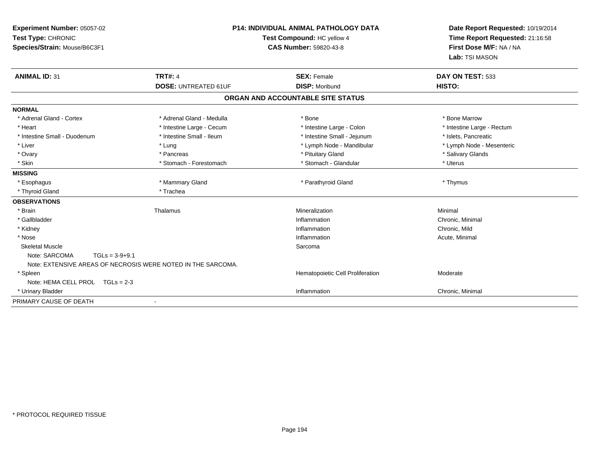| Experiment Number: 05057-02<br>Test Type: CHRONIC<br>Species/Strain: Mouse/B6C3F1<br><b>ANIMAL ID: 31</b> | <b>TRT#: 4</b>              | <b>P14: INDIVIDUAL ANIMAL PATHOLOGY DATA</b><br>Test Compound: HC yellow 4<br><b>CAS Number: 59820-43-8</b><br><b>SEX: Female</b> | Date Report Requested: 10/19/2014<br>Time Report Requested: 21:16:58<br>First Dose M/F: NA / NA<br>Lab: TSI MASON<br>DAY ON TEST: 533 |  |
|-----------------------------------------------------------------------------------------------------------|-----------------------------|-----------------------------------------------------------------------------------------------------------------------------------|---------------------------------------------------------------------------------------------------------------------------------------|--|
|                                                                                                           | <b>DOSE: UNTREATED 61UF</b> | <b>DISP: Moribund</b>                                                                                                             | HISTO:                                                                                                                                |  |
|                                                                                                           |                             | ORGAN AND ACCOUNTABLE SITE STATUS                                                                                                 |                                                                                                                                       |  |
| <b>NORMAL</b>                                                                                             |                             |                                                                                                                                   |                                                                                                                                       |  |
| * Adrenal Gland - Cortex                                                                                  | * Adrenal Gland - Medulla   | * Bone                                                                                                                            | * Bone Marrow                                                                                                                         |  |
| * Heart                                                                                                   | * Intestine Large - Cecum   | * Intestine Large - Colon                                                                                                         | * Intestine Large - Rectum                                                                                                            |  |
| * Intestine Small - Duodenum                                                                              | * Intestine Small - Ileum   | * Intestine Small - Jejunum                                                                                                       | * Islets. Pancreatic                                                                                                                  |  |
| * Liver                                                                                                   | * Lung                      | * Lymph Node - Mandibular                                                                                                         | * Lymph Node - Mesenteric                                                                                                             |  |
| * Ovary                                                                                                   | * Pancreas                  | * Pituitary Gland                                                                                                                 | * Salivary Glands                                                                                                                     |  |
| * Skin                                                                                                    | * Stomach - Forestomach     | * Stomach - Glandular                                                                                                             | * Uterus                                                                                                                              |  |
| <b>MISSING</b>                                                                                            |                             |                                                                                                                                   |                                                                                                                                       |  |
| * Esophagus                                                                                               | * Mammary Gland             | * Parathyroid Gland                                                                                                               | * Thymus                                                                                                                              |  |
| * Thyroid Gland                                                                                           | * Trachea                   |                                                                                                                                   |                                                                                                                                       |  |
| <b>OBSERVATIONS</b>                                                                                       |                             |                                                                                                                                   |                                                                                                                                       |  |
| * Brain                                                                                                   | Thalamus                    | Mineralization                                                                                                                    | Minimal                                                                                                                               |  |
| * Gallbladder                                                                                             |                             | Inflammation                                                                                                                      | Chronic, Minimal                                                                                                                      |  |
| * Kidney                                                                                                  |                             | Inflammation                                                                                                                      | Chronic, Mild                                                                                                                         |  |
| * Nose                                                                                                    |                             | Inflammation                                                                                                                      | Acute, Minimal                                                                                                                        |  |
| <b>Skeletal Muscle</b>                                                                                    |                             | Sarcoma                                                                                                                           |                                                                                                                                       |  |
| Note: SARCOMA<br>$TGLs = 3-9+9.1$<br>Note: EXTENSIVE AREAS OF NECROSIS WERE NOTED IN THE SARCOMA.         |                             |                                                                                                                                   |                                                                                                                                       |  |
| * Spleen                                                                                                  |                             | Hematopoietic Cell Proliferation                                                                                                  | Moderate                                                                                                                              |  |
| Note: HEMA CELL PROL TGLs = 2-3                                                                           |                             |                                                                                                                                   |                                                                                                                                       |  |
| * Urinary Bladder                                                                                         |                             | Inflammation                                                                                                                      | Chronic, Minimal                                                                                                                      |  |
| PRIMARY CAUSE OF DEATH                                                                                    |                             |                                                                                                                                   |                                                                                                                                       |  |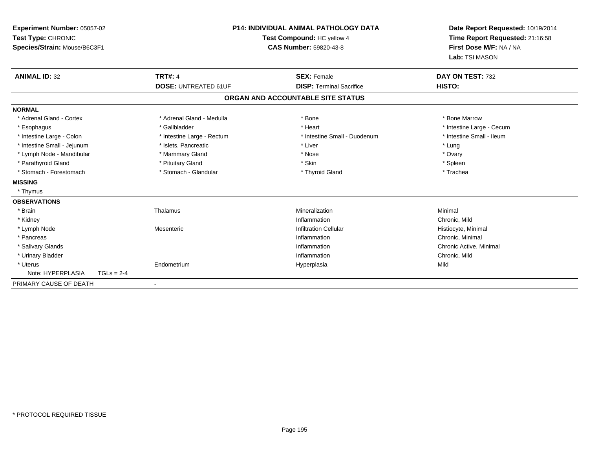| Experiment Number: 05057-02<br>Test Type: CHRONIC<br>Species/Strain: Mouse/B6C3F1<br><b>ANIMAL ID: 32</b> |              | <b>P14: INDIVIDUAL ANIMAL PATHOLOGY DATA</b><br>Test Compound: HC yellow 4<br><b>CAS Number: 59820-43-8</b><br><b>TRT#: 4</b><br><b>SEX: Female</b> |                                   | Date Report Requested: 10/19/2014<br>Time Report Requested: 21:16:58<br>First Dose M/F: NA / NA<br>Lab: TSI MASON<br>DAY ON TEST: 732 |  |
|-----------------------------------------------------------------------------------------------------------|--------------|-----------------------------------------------------------------------------------------------------------------------------------------------------|-----------------------------------|---------------------------------------------------------------------------------------------------------------------------------------|--|
|                                                                                                           |              | <b>DOSE: UNTREATED 61UF</b>                                                                                                                         | <b>DISP: Terminal Sacrifice</b>   | HISTO:                                                                                                                                |  |
|                                                                                                           |              |                                                                                                                                                     | ORGAN AND ACCOUNTABLE SITE STATUS |                                                                                                                                       |  |
| <b>NORMAL</b>                                                                                             |              |                                                                                                                                                     |                                   |                                                                                                                                       |  |
| * Adrenal Gland - Cortex                                                                                  |              | * Adrenal Gland - Medulla                                                                                                                           | * Bone                            | * Bone Marrow                                                                                                                         |  |
| * Esophagus                                                                                               |              | * Gallbladder                                                                                                                                       | * Heart                           | * Intestine Large - Cecum                                                                                                             |  |
| * Intestine Large - Colon                                                                                 |              | * Intestine Large - Rectum                                                                                                                          | * Intestine Small - Duodenum      | * Intestine Small - Ileum                                                                                                             |  |
| * Intestine Small - Jejunum                                                                               |              | * Islets, Pancreatic                                                                                                                                | * Liver                           | * Lung                                                                                                                                |  |
| * Lymph Node - Mandibular                                                                                 |              | * Mammary Gland                                                                                                                                     | * Nose                            | * Ovary                                                                                                                               |  |
| * Parathyroid Gland                                                                                       |              | * Pituitary Gland                                                                                                                                   | * Skin                            | * Spleen                                                                                                                              |  |
| * Stomach - Forestomach                                                                                   |              | * Stomach - Glandular                                                                                                                               | * Thyroid Gland                   | * Trachea                                                                                                                             |  |
| <b>MISSING</b>                                                                                            |              |                                                                                                                                                     |                                   |                                                                                                                                       |  |
| * Thymus                                                                                                  |              |                                                                                                                                                     |                                   |                                                                                                                                       |  |
| <b>OBSERVATIONS</b>                                                                                       |              |                                                                                                                                                     |                                   |                                                                                                                                       |  |
| * Brain                                                                                                   |              | Thalamus                                                                                                                                            | Mineralization                    | Minimal                                                                                                                               |  |
| * Kidney                                                                                                  |              |                                                                                                                                                     | Inflammation                      | Chronic, Mild                                                                                                                         |  |
| * Lymph Node                                                                                              |              | Mesenteric                                                                                                                                          | <b>Infiltration Cellular</b>      | Histiocyte, Minimal                                                                                                                   |  |
| * Pancreas                                                                                                |              |                                                                                                                                                     | Inflammation                      | Chronic, Minimal                                                                                                                      |  |
| * Salivary Glands                                                                                         |              |                                                                                                                                                     | Inflammation                      | Chronic Active, Minimal                                                                                                               |  |
| * Urinary Bladder                                                                                         |              |                                                                                                                                                     | Inflammation                      | Chronic, Mild                                                                                                                         |  |
| * Uterus                                                                                                  |              | Endometrium                                                                                                                                         | Hyperplasia                       | Mild                                                                                                                                  |  |
| Note: HYPERPLASIA                                                                                         | $TGLs = 2-4$ |                                                                                                                                                     |                                   |                                                                                                                                       |  |
| PRIMARY CAUSE OF DEATH                                                                                    |              |                                                                                                                                                     |                                   |                                                                                                                                       |  |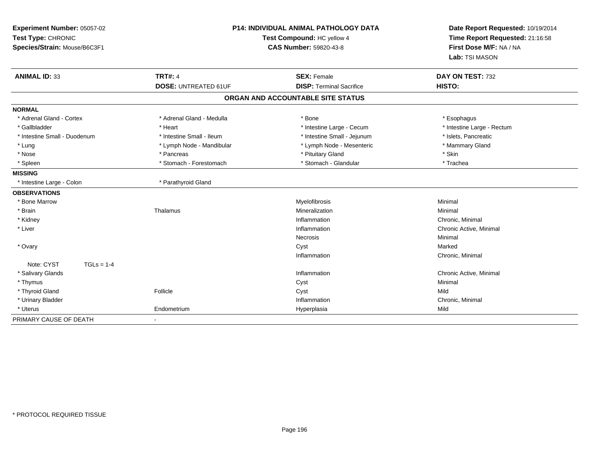| Experiment Number: 05057-02<br>Test Type: CHRONIC<br>Species/Strain: Mouse/B6C3F1 |                             | <b>P14: INDIVIDUAL ANIMAL PATHOLOGY DATA</b><br>Test Compound: HC yellow 4<br><b>CAS Number: 59820-43-8</b> | Date Report Requested: 10/19/2014<br>Time Report Requested: 21:16:58<br>First Dose M/F: NA / NA<br>Lab: TSI MASON |  |
|-----------------------------------------------------------------------------------|-----------------------------|-------------------------------------------------------------------------------------------------------------|-------------------------------------------------------------------------------------------------------------------|--|
| <b>ANIMAL ID: 33</b>                                                              | <b>TRT#: 4</b>              | <b>SEX: Female</b>                                                                                          | DAY ON TEST: 732                                                                                                  |  |
|                                                                                   | <b>DOSE: UNTREATED 61UF</b> | <b>DISP: Terminal Sacrifice</b>                                                                             | HISTO:                                                                                                            |  |
|                                                                                   |                             | ORGAN AND ACCOUNTABLE SITE STATUS                                                                           |                                                                                                                   |  |
| <b>NORMAL</b>                                                                     |                             |                                                                                                             |                                                                                                                   |  |
| * Adrenal Gland - Cortex                                                          | * Adrenal Gland - Medulla   | * Bone                                                                                                      | * Esophagus                                                                                                       |  |
| * Gallbladder                                                                     | * Heart                     | * Intestine Large - Cecum                                                                                   | * Intestine Large - Rectum                                                                                        |  |
| * Intestine Small - Duodenum                                                      | * Intestine Small - Ileum   | * Intestine Small - Jejunum                                                                                 | * Islets, Pancreatic                                                                                              |  |
| * Lung                                                                            | * Lymph Node - Mandibular   | * Lymph Node - Mesenteric                                                                                   | * Mammary Gland                                                                                                   |  |
| * Nose                                                                            | * Pancreas                  | * Pituitary Gland                                                                                           | * Skin                                                                                                            |  |
| * Spleen                                                                          | * Stomach - Forestomach     | * Stomach - Glandular                                                                                       | * Trachea                                                                                                         |  |
| <b>MISSING</b>                                                                    |                             |                                                                                                             |                                                                                                                   |  |
| * Intestine Large - Colon                                                         | * Parathyroid Gland         |                                                                                                             |                                                                                                                   |  |
| <b>OBSERVATIONS</b>                                                               |                             |                                                                                                             |                                                                                                                   |  |
| * Bone Marrow                                                                     |                             | Myelofibrosis                                                                                               | Minimal                                                                                                           |  |
| * Brain                                                                           | Thalamus                    | Mineralization                                                                                              | Minimal                                                                                                           |  |
| * Kidney                                                                          |                             | Inflammation                                                                                                | Chronic, Minimal                                                                                                  |  |
| * Liver                                                                           |                             | Inflammation                                                                                                | Chronic Active, Minimal                                                                                           |  |
|                                                                                   |                             | Necrosis                                                                                                    | Minimal                                                                                                           |  |
| * Ovary                                                                           |                             | Cyst                                                                                                        | Marked                                                                                                            |  |
|                                                                                   |                             | Inflammation                                                                                                | Chronic, Minimal                                                                                                  |  |
| Note: CYST<br>$TGLs = 1-4$                                                        |                             |                                                                                                             |                                                                                                                   |  |
| * Salivary Glands                                                                 |                             | Inflammation                                                                                                | Chronic Active, Minimal                                                                                           |  |
| * Thymus                                                                          |                             | Cyst                                                                                                        | Minimal                                                                                                           |  |
| * Thyroid Gland                                                                   | Follicle                    | Cyst                                                                                                        | Mild                                                                                                              |  |
| * Urinary Bladder                                                                 |                             | Inflammation                                                                                                | Chronic, Minimal                                                                                                  |  |
| * Uterus                                                                          | Endometrium                 | Hyperplasia                                                                                                 | Mild                                                                                                              |  |
| PRIMARY CAUSE OF DEATH                                                            | $\sim$                      |                                                                                                             |                                                                                                                   |  |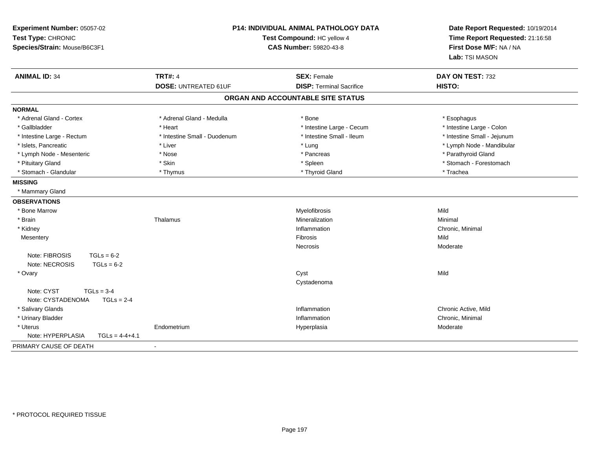| Experiment Number: 05057-02<br>Test Type: CHRONIC<br>Species/Strain: Mouse/B6C3F1 |                                               | <b>P14: INDIVIDUAL ANIMAL PATHOLOGY DATA</b><br>Test Compound: HC yellow 4<br><b>CAS Number: 59820-43-8</b> | Date Report Requested: 10/19/2014<br>Time Report Requested: 21:16:58<br>First Dose M/F: NA / NA<br>Lab: TSI MASON |
|-----------------------------------------------------------------------------------|-----------------------------------------------|-------------------------------------------------------------------------------------------------------------|-------------------------------------------------------------------------------------------------------------------|
| <b>ANIMAL ID: 34</b>                                                              | <b>TRT#: 4</b><br><b>DOSE: UNTREATED 61UF</b> | <b>SEX: Female</b><br><b>DISP: Terminal Sacrifice</b>                                                       | DAY ON TEST: 732<br>HISTO:                                                                                        |
|                                                                                   |                                               | ORGAN AND ACCOUNTABLE SITE STATUS                                                                           |                                                                                                                   |
|                                                                                   |                                               |                                                                                                             |                                                                                                                   |
| <b>NORMAL</b><br>* Adrenal Gland - Cortex                                         | * Adrenal Gland - Medulla                     | * Bone                                                                                                      | * Esophagus                                                                                                       |
| * Gallbladder                                                                     | * Heart                                       | * Intestine Large - Cecum                                                                                   | * Intestine Large - Colon                                                                                         |
| * Intestine Large - Rectum                                                        | * Intestine Small - Duodenum                  | * Intestine Small - Ileum                                                                                   | * Intestine Small - Jejunum                                                                                       |
| * Islets, Pancreatic                                                              | * Liver                                       | * Lung                                                                                                      | * Lymph Node - Mandibular                                                                                         |
| * Lymph Node - Mesenteric                                                         | * Nose                                        | * Pancreas                                                                                                  | * Parathyroid Gland                                                                                               |
| * Pituitary Gland                                                                 | * Skin                                        | * Spleen                                                                                                    | * Stomach - Forestomach                                                                                           |
| * Stomach - Glandular                                                             | * Thymus                                      | * Thyroid Gland                                                                                             | * Trachea                                                                                                         |
| <b>MISSING</b>                                                                    |                                               |                                                                                                             |                                                                                                                   |
| * Mammary Gland                                                                   |                                               |                                                                                                             |                                                                                                                   |
| <b>OBSERVATIONS</b>                                                               |                                               |                                                                                                             |                                                                                                                   |
| * Bone Marrow                                                                     |                                               | Myelofibrosis                                                                                               | Mild                                                                                                              |
| * Brain                                                                           | Thalamus                                      | Mineralization                                                                                              | Minimal                                                                                                           |
| * Kidney                                                                          |                                               | Inflammation                                                                                                | Chronic, Minimal                                                                                                  |
| Mesentery                                                                         |                                               | Fibrosis                                                                                                    | Mild                                                                                                              |
|                                                                                   |                                               | Necrosis                                                                                                    | Moderate                                                                                                          |
| Note: FIBROSIS<br>$TGLs = 6-2$                                                    |                                               |                                                                                                             |                                                                                                                   |
| Note: NECROSIS<br>$TGLs = 6-2$                                                    |                                               |                                                                                                             |                                                                                                                   |
| * Ovary                                                                           |                                               | Cyst                                                                                                        | Mild                                                                                                              |
|                                                                                   |                                               | Cystadenoma                                                                                                 |                                                                                                                   |
| Note: CYST<br>$TGLs = 3-4$                                                        |                                               |                                                                                                             |                                                                                                                   |
| Note: CYSTADENOMA<br>$TGLs = 2-4$                                                 |                                               |                                                                                                             |                                                                                                                   |
| * Salivary Glands                                                                 |                                               | Inflammation                                                                                                | Chronic Active, Mild                                                                                              |
| * Urinary Bladder                                                                 |                                               | Inflammation                                                                                                | Chronic, Minimal                                                                                                  |
| * Uterus                                                                          | Endometrium                                   | Hyperplasia                                                                                                 | Moderate                                                                                                          |
| Note: HYPERPLASIA<br>$TGLS = 4-4+4.1$                                             |                                               |                                                                                                             |                                                                                                                   |
| PRIMARY CAUSE OF DEATH                                                            | $\blacksquare$                                |                                                                                                             |                                                                                                                   |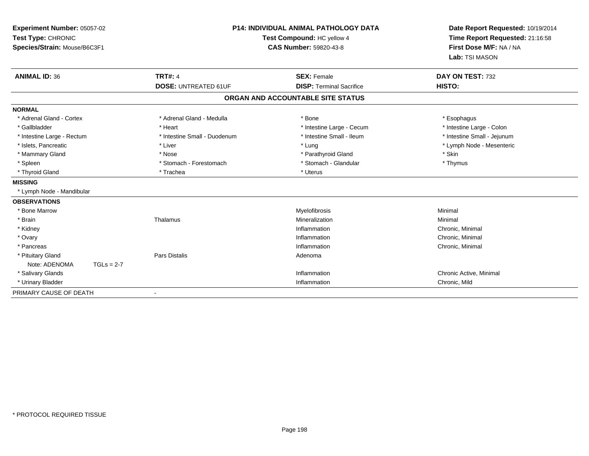| Experiment Number: 05057-02<br>Test Type: CHRONIC<br>Species/Strain: Mouse/B6C3F1 |                              | <b>P14: INDIVIDUAL ANIMAL PATHOLOGY DATA</b><br>Test Compound: HC yellow 4<br><b>CAS Number: 59820-43-8</b> | Date Report Requested: 10/19/2014<br>Time Report Requested: 21:16:58<br>First Dose M/F: NA / NA<br>Lab: TSI MASON |
|-----------------------------------------------------------------------------------|------------------------------|-------------------------------------------------------------------------------------------------------------|-------------------------------------------------------------------------------------------------------------------|
| <b>ANIMAL ID: 36</b>                                                              | <b>TRT#: 4</b>               | <b>SEX: Female</b>                                                                                          | DAY ON TEST: 732                                                                                                  |
|                                                                                   | <b>DOSE: UNTREATED 61UF</b>  | <b>DISP: Terminal Sacrifice</b>                                                                             | <b>HISTO:</b>                                                                                                     |
|                                                                                   |                              | ORGAN AND ACCOUNTABLE SITE STATUS                                                                           |                                                                                                                   |
| <b>NORMAL</b>                                                                     |                              |                                                                                                             |                                                                                                                   |
| * Adrenal Gland - Cortex                                                          | * Adrenal Gland - Medulla    | * Bone                                                                                                      | * Esophagus                                                                                                       |
| * Gallbladder                                                                     | * Heart                      | * Intestine Large - Cecum                                                                                   | * Intestine Large - Colon                                                                                         |
| * Intestine Large - Rectum                                                        | * Intestine Small - Duodenum | * Intestine Small - Ileum                                                                                   | * Intestine Small - Jejunum                                                                                       |
| * Islets, Pancreatic                                                              | * Liver                      | * Lung                                                                                                      | * Lymph Node - Mesenteric                                                                                         |
| * Mammary Gland                                                                   | * Nose                       | * Parathyroid Gland                                                                                         | * Skin                                                                                                            |
| * Spleen                                                                          | * Stomach - Forestomach      | * Stomach - Glandular                                                                                       | * Thymus                                                                                                          |
| * Thyroid Gland                                                                   | * Trachea                    | * Uterus                                                                                                    |                                                                                                                   |
| <b>MISSING</b>                                                                    |                              |                                                                                                             |                                                                                                                   |
| * Lymph Node - Mandibular                                                         |                              |                                                                                                             |                                                                                                                   |
| <b>OBSERVATIONS</b>                                                               |                              |                                                                                                             |                                                                                                                   |
| * Bone Marrow                                                                     |                              | Myelofibrosis                                                                                               | Minimal                                                                                                           |
| * Brain                                                                           | Thalamus                     | Mineralization                                                                                              | Minimal                                                                                                           |
| * Kidney                                                                          |                              | Inflammation                                                                                                | Chronic, Minimal                                                                                                  |
| * Ovary                                                                           |                              | Inflammation                                                                                                | Chronic, Minimal                                                                                                  |
| * Pancreas                                                                        |                              | Inflammation                                                                                                | Chronic, Minimal                                                                                                  |
| * Pituitary Gland                                                                 | <b>Pars Distalis</b>         | Adenoma                                                                                                     |                                                                                                                   |
| Note: ADENOMA<br>$TGLs = 2-7$                                                     |                              |                                                                                                             |                                                                                                                   |
| * Salivary Glands                                                                 |                              | Inflammation                                                                                                | Chronic Active, Minimal                                                                                           |
| * Urinary Bladder                                                                 |                              | Inflammation                                                                                                | Chronic, Mild                                                                                                     |
| PRIMARY CAUSE OF DEATH                                                            |                              |                                                                                                             |                                                                                                                   |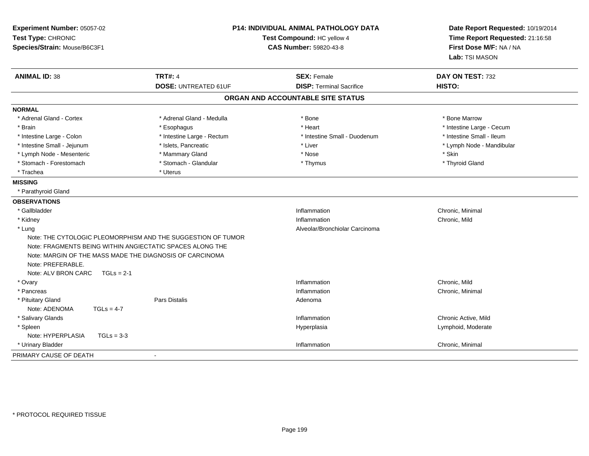| Experiment Number: 05057-02<br>Test Type: CHRONIC<br>Species/Strain: Mouse/B6C3F1                                                                                                 |                                                              | P14: INDIVIDUAL ANIMAL PATHOLOGY DATA<br>Test Compound: HC yellow 4<br><b>CAS Number: 59820-43-8</b> |                           |
|-----------------------------------------------------------------------------------------------------------------------------------------------------------------------------------|--------------------------------------------------------------|------------------------------------------------------------------------------------------------------|---------------------------|
| <b>ANIMAL ID: 38</b>                                                                                                                                                              | <b>TRT#: 4</b>                                               | <b>SEX: Female</b>                                                                                   | DAY ON TEST: 732          |
|                                                                                                                                                                                   | <b>DOSE: UNTREATED 61UF</b>                                  | <b>DISP: Terminal Sacrifice</b>                                                                      | <b>HISTO:</b>             |
|                                                                                                                                                                                   |                                                              | ORGAN AND ACCOUNTABLE SITE STATUS                                                                    |                           |
| <b>NORMAL</b>                                                                                                                                                                     |                                                              |                                                                                                      |                           |
| * Adrenal Gland - Cortex                                                                                                                                                          | * Adrenal Gland - Medulla                                    | * Bone                                                                                               | * Bone Marrow             |
| * Brain                                                                                                                                                                           | * Esophagus                                                  | * Heart                                                                                              | * Intestine Large - Cecum |
| * Intestine Large - Colon                                                                                                                                                         | * Intestine Large - Rectum                                   | * Intestine Small - Duodenum                                                                         | * Intestine Small - Ileum |
| * Intestine Small - Jejunum                                                                                                                                                       | * Islets, Pancreatic                                         | * Liver                                                                                              | * Lymph Node - Mandibular |
| * Lymph Node - Mesenteric                                                                                                                                                         | * Mammary Gland                                              | * Nose                                                                                               | * Skin                    |
| * Stomach - Forestomach                                                                                                                                                           | * Stomach - Glandular                                        | * Thymus                                                                                             | * Thyroid Gland           |
| * Trachea                                                                                                                                                                         | * Uterus                                                     |                                                                                                      |                           |
| <b>MISSING</b>                                                                                                                                                                    |                                                              |                                                                                                      |                           |
| * Parathyroid Gland                                                                                                                                                               |                                                              |                                                                                                      |                           |
| <b>OBSERVATIONS</b>                                                                                                                                                               |                                                              |                                                                                                      |                           |
| * Gallbladder                                                                                                                                                                     |                                                              | Inflammation                                                                                         | Chronic, Minimal          |
| * Kidney                                                                                                                                                                          |                                                              | Inflammation                                                                                         | Chronic, Mild             |
| * Lung                                                                                                                                                                            |                                                              | Alveolar/Bronchiolar Carcinoma                                                                       |                           |
| Note: FRAGMENTS BEING WITHIN ANGIECTATIC SPACES ALONG THE<br>Note: MARGIN OF THE MASS MADE THE DIAGNOSIS OF CARCINOMA<br>Note: PREFERABLE.<br>Note: ALV BRON CARC<br>$TGLs = 2-1$ | Note: THE CYTOLOGIC PLEOMORPHISM AND THE SUGGESTION OF TUMOR |                                                                                                      |                           |
| * Ovary                                                                                                                                                                           |                                                              | Inflammation                                                                                         | Chronic, Mild             |
| * Pancreas                                                                                                                                                                        |                                                              | Inflammation                                                                                         | Chronic, Minimal          |
| * Pituitary Gland                                                                                                                                                                 | Pars Distalis                                                | Adenoma                                                                                              |                           |
| Note: ADENOMA<br>$TGLs = 4-7$                                                                                                                                                     |                                                              |                                                                                                      |                           |
| * Salivary Glands                                                                                                                                                                 |                                                              | Inflammation                                                                                         | Chronic Active, Mild      |
| * Spleen                                                                                                                                                                          |                                                              | Hyperplasia                                                                                          | Lymphoid, Moderate        |
| Note: HYPERPLASIA<br>$TGLs = 3-3$                                                                                                                                                 |                                                              |                                                                                                      |                           |
| * Urinary Bladder                                                                                                                                                                 |                                                              | Inflammation                                                                                         | Chronic, Minimal          |
| PRIMARY CAUSE OF DEATH                                                                                                                                                            | $\overline{\phantom{a}}$                                     |                                                                                                      |                           |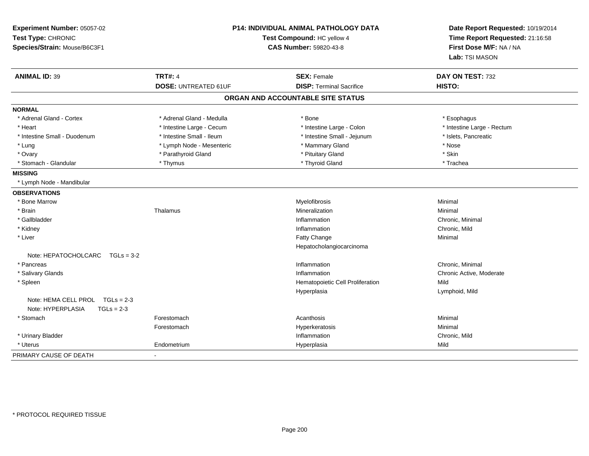| Experiment Number: 05057-02<br>Test Type: CHRONIC<br>Species/Strain: Mouse/B6C3F1 | P14: INDIVIDUAL ANIMAL PATHOLOGY DATA<br>Test Compound: HC yellow 4<br><b>CAS Number: 59820-43-8</b> |                                   | Date Report Requested: 10/19/2014<br>Time Report Requested: 21:16:58<br>First Dose M/F: NA / NA<br>Lab: TSI MASON |  |
|-----------------------------------------------------------------------------------|------------------------------------------------------------------------------------------------------|-----------------------------------|-------------------------------------------------------------------------------------------------------------------|--|
| <b>ANIMAL ID: 39</b>                                                              | <b>TRT#: 4</b>                                                                                       | <b>SEX: Female</b>                | DAY ON TEST: 732                                                                                                  |  |
|                                                                                   | <b>DOSE: UNTREATED 61UF</b>                                                                          | <b>DISP: Terminal Sacrifice</b>   | <b>HISTO:</b>                                                                                                     |  |
|                                                                                   |                                                                                                      | ORGAN AND ACCOUNTABLE SITE STATUS |                                                                                                                   |  |
| <b>NORMAL</b>                                                                     |                                                                                                      |                                   |                                                                                                                   |  |
| * Adrenal Gland - Cortex                                                          | * Adrenal Gland - Medulla                                                                            | * Bone                            | * Esophagus                                                                                                       |  |
| * Heart                                                                           | * Intestine Large - Cecum                                                                            | * Intestine Large - Colon         | * Intestine Large - Rectum                                                                                        |  |
| * Intestine Small - Duodenum                                                      | * Intestine Small - Ileum                                                                            | * Intestine Small - Jejunum       | * Islets, Pancreatic                                                                                              |  |
| * Lung                                                                            | * Lymph Node - Mesenteric                                                                            | * Mammary Gland                   | * Nose                                                                                                            |  |
| * Ovary                                                                           | * Parathyroid Gland                                                                                  | * Pituitary Gland                 | * Skin                                                                                                            |  |
| * Stomach - Glandular                                                             | * Thymus                                                                                             | * Thyroid Gland                   | * Trachea                                                                                                         |  |
| <b>MISSING</b>                                                                    |                                                                                                      |                                   |                                                                                                                   |  |
| * Lymph Node - Mandibular                                                         |                                                                                                      |                                   |                                                                                                                   |  |
| <b>OBSERVATIONS</b>                                                               |                                                                                                      |                                   |                                                                                                                   |  |
| * Bone Marrow                                                                     |                                                                                                      | Myelofibrosis                     | Minimal                                                                                                           |  |
| * Brain                                                                           | Thalamus                                                                                             | Mineralization                    | Minimal                                                                                                           |  |
| * Gallbladder                                                                     |                                                                                                      | Inflammation                      | Chronic, Minimal                                                                                                  |  |
| * Kidney                                                                          |                                                                                                      | Inflammation                      | Chronic, Mild                                                                                                     |  |
| * Liver                                                                           |                                                                                                      | Fatty Change                      | Minimal                                                                                                           |  |
|                                                                                   |                                                                                                      | Hepatocholangiocarcinoma          |                                                                                                                   |  |
| Note: $HEPATOCHOLCARC$ $TGLs = 3-2$                                               |                                                                                                      |                                   |                                                                                                                   |  |
| * Pancreas                                                                        |                                                                                                      | Inflammation                      | Chronic, Minimal                                                                                                  |  |
| * Salivary Glands                                                                 |                                                                                                      | Inflammation                      | Chronic Active, Moderate                                                                                          |  |
| * Spleen                                                                          |                                                                                                      | Hematopoietic Cell Proliferation  | Mild                                                                                                              |  |
|                                                                                   |                                                                                                      | Hyperplasia                       | Lymphoid, Mild                                                                                                    |  |
| Note: HEMA CELL PROL TGLs = 2-3                                                   |                                                                                                      |                                   |                                                                                                                   |  |
| Note: HYPERPLASIA<br>$TGLs = 2-3$                                                 |                                                                                                      |                                   |                                                                                                                   |  |
| * Stomach                                                                         | Forestomach                                                                                          | Acanthosis                        | Minimal                                                                                                           |  |
|                                                                                   | Forestomach                                                                                          | Hyperkeratosis                    | Minimal                                                                                                           |  |
| * Urinary Bladder                                                                 |                                                                                                      | Inflammation                      | Chronic, Mild                                                                                                     |  |
| * Uterus                                                                          | Endometrium                                                                                          | Hyperplasia                       | Mild                                                                                                              |  |
| PRIMARY CAUSE OF DEATH                                                            | $\blacksquare$                                                                                       |                                   |                                                                                                                   |  |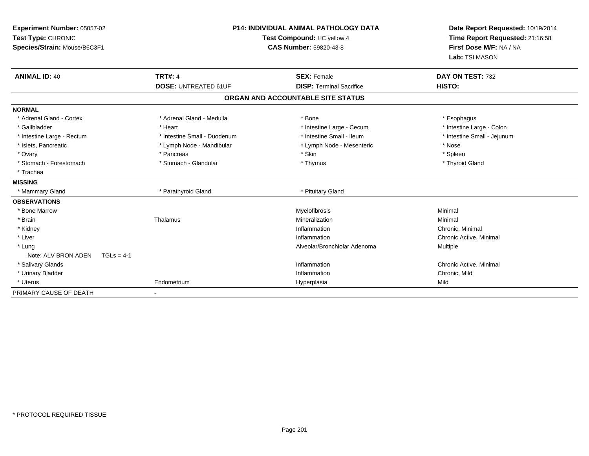| Experiment Number: 05057-02<br>Test Type: CHRONIC<br>Species/Strain: Mouse/B6C3F1 |                              | <b>P14: INDIVIDUAL ANIMAL PATHOLOGY DATA</b><br>Test Compound: HC yellow 4<br><b>CAS Number: 59820-43-8</b> | Date Report Requested: 10/19/2014<br>Time Report Requested: 21:16:58<br>First Dose M/F: NA / NA<br>Lab: TSI MASON |
|-----------------------------------------------------------------------------------|------------------------------|-------------------------------------------------------------------------------------------------------------|-------------------------------------------------------------------------------------------------------------------|
| <b>ANIMAL ID: 40</b>                                                              | <b>TRT#: 4</b>               | <b>SEX: Female</b>                                                                                          | DAY ON TEST: 732                                                                                                  |
|                                                                                   | <b>DOSE: UNTREATED 61UF</b>  | <b>DISP: Terminal Sacrifice</b>                                                                             | HISTO:                                                                                                            |
|                                                                                   |                              | ORGAN AND ACCOUNTABLE SITE STATUS                                                                           |                                                                                                                   |
| <b>NORMAL</b>                                                                     |                              |                                                                                                             |                                                                                                                   |
| * Adrenal Gland - Cortex                                                          | * Adrenal Gland - Medulla    | * Bone                                                                                                      | * Esophagus                                                                                                       |
| * Gallbladder                                                                     | * Heart                      | * Intestine Large - Cecum                                                                                   | * Intestine Large - Colon                                                                                         |
| * Intestine Large - Rectum                                                        | * Intestine Small - Duodenum | * Intestine Small - Ileum                                                                                   | * Intestine Small - Jejunum                                                                                       |
| * Islets, Pancreatic                                                              | * Lymph Node - Mandibular    | * Lymph Node - Mesenteric                                                                                   | * Nose                                                                                                            |
| * Ovary                                                                           | * Pancreas                   | * Skin                                                                                                      | * Spleen                                                                                                          |
| * Stomach - Forestomach                                                           | * Stomach - Glandular        | * Thymus                                                                                                    | * Thyroid Gland                                                                                                   |
| * Trachea                                                                         |                              |                                                                                                             |                                                                                                                   |
| <b>MISSING</b>                                                                    |                              |                                                                                                             |                                                                                                                   |
| * Mammary Gland                                                                   | * Parathyroid Gland          | * Pituitary Gland                                                                                           |                                                                                                                   |
| <b>OBSERVATIONS</b>                                                               |                              |                                                                                                             |                                                                                                                   |
| * Bone Marrow                                                                     |                              | Myelofibrosis                                                                                               | Minimal                                                                                                           |
| * Brain                                                                           | Thalamus                     | Mineralization                                                                                              | Minimal                                                                                                           |
| * Kidney                                                                          |                              | Inflammation                                                                                                | Chronic, Minimal                                                                                                  |
| * Liver                                                                           |                              | Inflammation                                                                                                | Chronic Active, Minimal                                                                                           |
| * Lung                                                                            |                              | Alveolar/Bronchiolar Adenoma                                                                                | <b>Multiple</b>                                                                                                   |
| Note: ALV BRON ADEN<br>$TGLs = 4-1$                                               |                              |                                                                                                             |                                                                                                                   |
| * Salivary Glands                                                                 |                              | Inflammation                                                                                                | Chronic Active, Minimal                                                                                           |
| * Urinary Bladder                                                                 |                              | Inflammation                                                                                                | Chronic, Mild                                                                                                     |
| * Uterus                                                                          | Endometrium                  | Hyperplasia                                                                                                 | Mild                                                                                                              |
| PRIMARY CAUSE OF DEATH                                                            |                              |                                                                                                             |                                                                                                                   |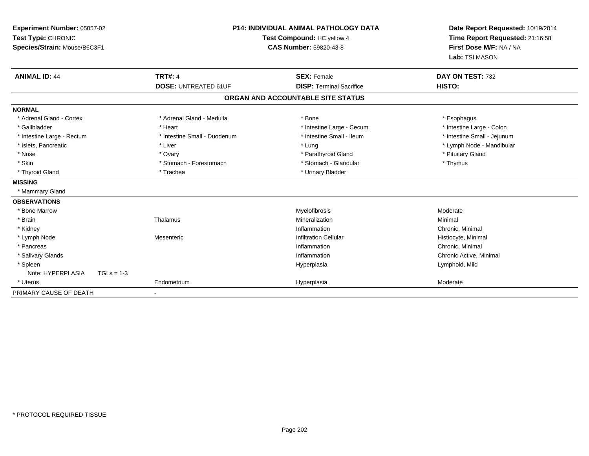| Experiment Number: 05057-02<br>Test Type: CHRONIC<br>Species/Strain: Mouse/B6C3F1 | <b>P14: INDIVIDUAL ANIMAL PATHOLOGY DATA</b><br>Test Compound: HC yellow 4<br><b>CAS Number: 59820-43-8</b> |                                   | Date Report Requested: 10/19/2014<br>Time Report Requested: 21:16:58<br>First Dose M/F: NA / NA<br>Lab: TSI MASON |  |
|-----------------------------------------------------------------------------------|-------------------------------------------------------------------------------------------------------------|-----------------------------------|-------------------------------------------------------------------------------------------------------------------|--|
| <b>ANIMAL ID: 44</b>                                                              | <b>TRT#: 4</b>                                                                                              | <b>SEX: Female</b>                | DAY ON TEST: 732                                                                                                  |  |
|                                                                                   | <b>DOSE: UNTREATED 61UF</b>                                                                                 | <b>DISP: Terminal Sacrifice</b>   | HISTO:                                                                                                            |  |
|                                                                                   |                                                                                                             | ORGAN AND ACCOUNTABLE SITE STATUS |                                                                                                                   |  |
| <b>NORMAL</b>                                                                     |                                                                                                             |                                   |                                                                                                                   |  |
| * Adrenal Gland - Cortex                                                          | * Adrenal Gland - Medulla                                                                                   | * Bone                            | * Esophagus                                                                                                       |  |
| * Gallbladder                                                                     | * Heart                                                                                                     | * Intestine Large - Cecum         | * Intestine Large - Colon                                                                                         |  |
| * Intestine Large - Rectum                                                        | * Intestine Small - Duodenum                                                                                | * Intestine Small - Ileum         | * Intestine Small - Jejunum                                                                                       |  |
| * Islets, Pancreatic                                                              | * Liver                                                                                                     | * Lung                            | * Lymph Node - Mandibular                                                                                         |  |
| * Nose                                                                            | * Ovary                                                                                                     | * Parathyroid Gland               | * Pituitary Gland                                                                                                 |  |
| * Skin                                                                            | * Stomach - Forestomach                                                                                     | * Stomach - Glandular             | * Thymus                                                                                                          |  |
| * Thyroid Gland                                                                   | * Trachea                                                                                                   | * Urinary Bladder                 |                                                                                                                   |  |
| <b>MISSING</b>                                                                    |                                                                                                             |                                   |                                                                                                                   |  |
| * Mammary Gland                                                                   |                                                                                                             |                                   |                                                                                                                   |  |
| <b>OBSERVATIONS</b>                                                               |                                                                                                             |                                   |                                                                                                                   |  |
| * Bone Marrow                                                                     |                                                                                                             | Myelofibrosis                     | Moderate                                                                                                          |  |
| * Brain                                                                           | Thalamus                                                                                                    | Mineralization                    | Minimal                                                                                                           |  |
| * Kidney                                                                          |                                                                                                             | Inflammation                      | Chronic, Minimal                                                                                                  |  |
| * Lymph Node                                                                      | Mesenteric                                                                                                  | <b>Infiltration Cellular</b>      | Histiocyte, Minimal                                                                                               |  |
| * Pancreas                                                                        |                                                                                                             | Inflammation                      | Chronic, Minimal                                                                                                  |  |
| * Salivary Glands                                                                 |                                                                                                             | Inflammation                      | Chronic Active, Minimal                                                                                           |  |
| * Spleen                                                                          |                                                                                                             | Hyperplasia                       | Lymphoid, Mild                                                                                                    |  |
| Note: HYPERPLASIA<br>$TGLs = 1-3$                                                 |                                                                                                             |                                   |                                                                                                                   |  |
| * Uterus                                                                          | Endometrium                                                                                                 | Hyperplasia                       | Moderate                                                                                                          |  |
| PRIMARY CAUSE OF DEATH                                                            |                                                                                                             |                                   |                                                                                                                   |  |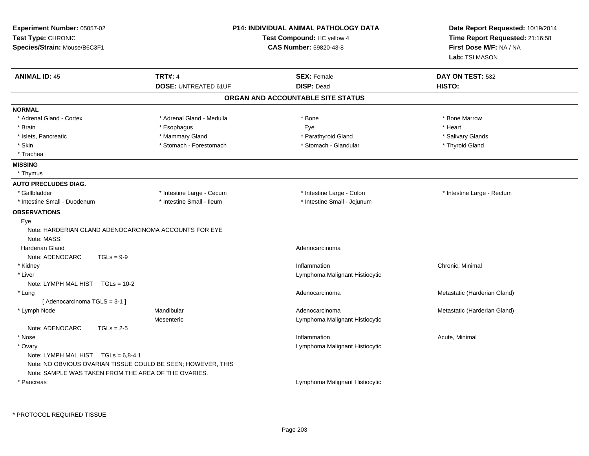| Experiment Number: 05057-02<br>Test Type: CHRONIC<br>Species/Strain: Mouse/B6C3F1 |                             | <b>P14: INDIVIDUAL ANIMAL PATHOLOGY DATA</b><br>Test Compound: HC yellow 4<br><b>CAS Number: 59820-43-8</b> | Date Report Requested: 10/19/2014<br>Time Report Requested: 21:16:58<br>First Dose M/F: NA / NA<br>Lab: TSI MASON |  |
|-----------------------------------------------------------------------------------|-----------------------------|-------------------------------------------------------------------------------------------------------------|-------------------------------------------------------------------------------------------------------------------|--|
| <b>ANIMAL ID: 45</b>                                                              | <b>TRT#: 4</b>              | <b>SEX: Female</b>                                                                                          | DAY ON TEST: 532                                                                                                  |  |
|                                                                                   | <b>DOSE: UNTREATED 61UF</b> | <b>DISP: Dead</b>                                                                                           | HISTO:                                                                                                            |  |
|                                                                                   |                             | ORGAN AND ACCOUNTABLE SITE STATUS                                                                           |                                                                                                                   |  |
| <b>NORMAL</b>                                                                     |                             |                                                                                                             |                                                                                                                   |  |
| * Adrenal Gland - Cortex                                                          | * Adrenal Gland - Medulla   | * Bone                                                                                                      | * Bone Marrow                                                                                                     |  |
| * Brain                                                                           | * Esophagus                 | Eye                                                                                                         | * Heart                                                                                                           |  |
| * Islets, Pancreatic                                                              | * Mammary Gland             | * Parathyroid Gland                                                                                         | * Salivary Glands                                                                                                 |  |
| * Skin                                                                            | * Stomach - Forestomach     | * Stomach - Glandular                                                                                       | * Thyroid Gland                                                                                                   |  |
| * Trachea                                                                         |                             |                                                                                                             |                                                                                                                   |  |
| <b>MISSING</b>                                                                    |                             |                                                                                                             |                                                                                                                   |  |
| * Thymus                                                                          |                             |                                                                                                             |                                                                                                                   |  |
| <b>AUTO PRECLUDES DIAG.</b>                                                       |                             |                                                                                                             |                                                                                                                   |  |
| * Gallbladder                                                                     | * Intestine Large - Cecum   | * Intestine Large - Colon                                                                                   | * Intestine Large - Rectum                                                                                        |  |
| * Intestine Small - Duodenum                                                      | * Intestine Small - Ileum   | * Intestine Small - Jejunum                                                                                 |                                                                                                                   |  |
| <b>OBSERVATIONS</b>                                                               |                             |                                                                                                             |                                                                                                                   |  |
| Eye                                                                               |                             |                                                                                                             |                                                                                                                   |  |
| Note: HARDERIAN GLAND ADENOCARCINOMA ACCOUNTS FOR EYE                             |                             |                                                                                                             |                                                                                                                   |  |
| Note: MASS.                                                                       |                             |                                                                                                             |                                                                                                                   |  |
| Harderian Gland                                                                   |                             | Adenocarcinoma                                                                                              |                                                                                                                   |  |
| Note: ADENOCARC<br>$TGLs = 9-9$                                                   |                             |                                                                                                             |                                                                                                                   |  |
| * Kidney                                                                          |                             | Inflammation                                                                                                | Chronic, Minimal                                                                                                  |  |
| * Liver                                                                           |                             | Lymphoma Malignant Histiocytic                                                                              |                                                                                                                   |  |
| Note: LYMPH MAL HIST TGLs = 10-2                                                  |                             |                                                                                                             |                                                                                                                   |  |
| * Lung                                                                            |                             | Adenocarcinoma                                                                                              | Metastatic (Harderian Gland)                                                                                      |  |
| [Adenocarcinoma TGLS = 3-1]                                                       |                             |                                                                                                             |                                                                                                                   |  |
| * Lymph Node                                                                      | Mandibular                  | Adenocarcinoma                                                                                              | Metastatic (Harderian Gland)                                                                                      |  |
|                                                                                   | Mesenteric                  | Lymphoma Malignant Histiocytic                                                                              |                                                                                                                   |  |
| Note: ADENOCARC<br>$TGLs = 2-5$                                                   |                             |                                                                                                             |                                                                                                                   |  |
| $*$ Nose                                                                          |                             | Inflammation                                                                                                | Acute, Minimal                                                                                                    |  |
| * Ovary                                                                           |                             | Lymphoma Malignant Histiocytic                                                                              |                                                                                                                   |  |
| Note: LYMPH MAL HIST TGLs = 6,8-4.1                                               |                             |                                                                                                             |                                                                                                                   |  |
| Note: NO OBVIOUS OVARIAN TISSUE COULD BE SEEN; HOWEVER, THIS                      |                             |                                                                                                             |                                                                                                                   |  |
| Note: SAMPLE WAS TAKEN FROM THE AREA OF THE OVARIES.                              |                             |                                                                                                             |                                                                                                                   |  |
| * Pancreas                                                                        |                             | Lymphoma Malignant Histiocytic                                                                              |                                                                                                                   |  |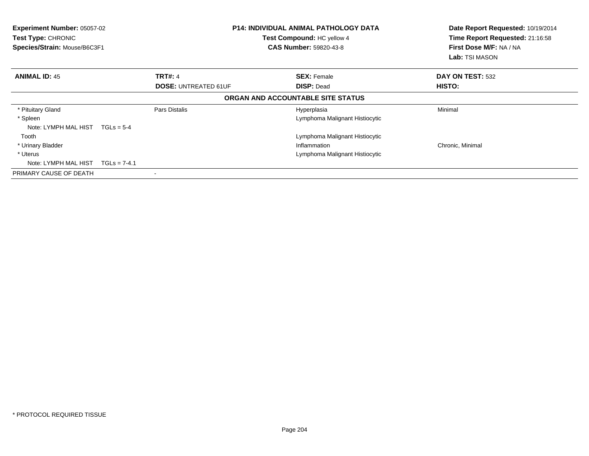| Experiment Number: 05057-02<br><b>Test Type: CHRONIC</b><br>Species/Strain: Mouse/B6C3F1 |                | <b>P14: INDIVIDUAL ANIMAL PATHOLOGY DATA</b><br>Test Compound: HC yellow 4<br><b>CAS Number: 59820-43-8</b> |                                   | Date Report Requested: 10/19/2014<br>Time Report Requested: 21:16:58<br>First Dose M/F: NA / NA<br><b>Lab:</b> TSI MASON |
|------------------------------------------------------------------------------------------|----------------|-------------------------------------------------------------------------------------------------------------|-----------------------------------|--------------------------------------------------------------------------------------------------------------------------|
| <b>ANIMAL ID: 45</b>                                                                     |                | <b>TRT#: 4</b>                                                                                              | <b>SEX: Female</b>                | DAY ON TEST: 532                                                                                                         |
|                                                                                          |                | <b>DOSE: UNTREATED 61UF</b>                                                                                 | <b>DISP: Dead</b>                 | HISTO:                                                                                                                   |
|                                                                                          |                |                                                                                                             | ORGAN AND ACCOUNTABLE SITE STATUS |                                                                                                                          |
| * Pituitary Gland                                                                        |                | Pars Distalis                                                                                               | Hyperplasia                       | Minimal                                                                                                                  |
| * Spleen                                                                                 |                |                                                                                                             | Lymphoma Malignant Histiocytic    |                                                                                                                          |
| Note: LYMPH MAL HIST                                                                     | $TGLs = 5-4$   |                                                                                                             |                                   |                                                                                                                          |
| Tooth                                                                                    |                |                                                                                                             | Lymphoma Malignant Histiocytic    |                                                                                                                          |
| * Urinary Bladder                                                                        |                |                                                                                                             | Inflammation                      | Chronic, Minimal                                                                                                         |
| * Uterus                                                                                 |                |                                                                                                             | Lymphoma Malignant Histiocytic    |                                                                                                                          |
| Note: LYMPH MAL HIST                                                                     | $TGLs = 7-4.1$ |                                                                                                             |                                   |                                                                                                                          |
| PRIMARY CAUSE OF DEATH                                                                   |                |                                                                                                             |                                   |                                                                                                                          |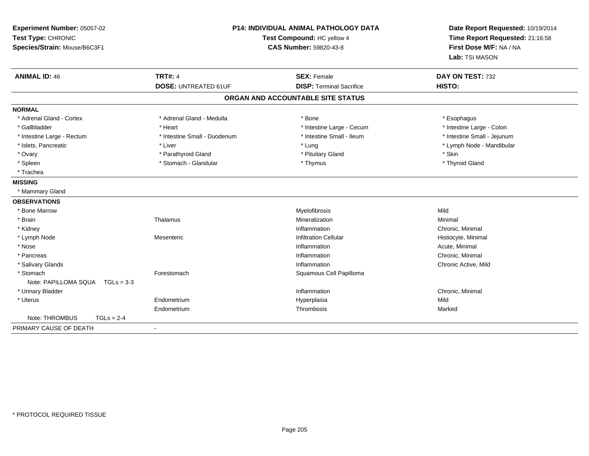| Experiment Number: 05057-02<br>Test Type: CHRONIC<br>Species/Strain: Mouse/B6C3F1 | <b>P14: INDIVIDUAL ANIMAL PATHOLOGY DATA</b><br>Test Compound: HC yellow 4<br><b>CAS Number: 59820-43-8</b> |                                                       | Date Report Requested: 10/19/2014<br>Time Report Requested: 21:16:58<br>First Dose M/F: NA / NA<br>Lab: TSI MASON |
|-----------------------------------------------------------------------------------|-------------------------------------------------------------------------------------------------------------|-------------------------------------------------------|-------------------------------------------------------------------------------------------------------------------|
| <b>ANIMAL ID: 46</b>                                                              | <b>TRT#: 4</b><br><b>DOSE: UNTREATED 61UF</b>                                                               | <b>SEX: Female</b><br><b>DISP: Terminal Sacrifice</b> | DAY ON TEST: 732<br>HISTO:                                                                                        |
|                                                                                   |                                                                                                             |                                                       |                                                                                                                   |
|                                                                                   |                                                                                                             | ORGAN AND ACCOUNTABLE SITE STATUS                     |                                                                                                                   |
| <b>NORMAL</b>                                                                     |                                                                                                             |                                                       |                                                                                                                   |
| * Adrenal Gland - Cortex                                                          | * Adrenal Gland - Medulla                                                                                   | * Bone                                                | * Esophagus                                                                                                       |
| * Gallbladder                                                                     | * Heart                                                                                                     | * Intestine Large - Cecum                             | * Intestine Large - Colon                                                                                         |
| * Intestine Large - Rectum                                                        | * Intestine Small - Duodenum                                                                                | * Intestine Small - Ileum                             | * Intestine Small - Jejunum                                                                                       |
| * Islets, Pancreatic                                                              | * Liver                                                                                                     | * Lung                                                | * Lymph Node - Mandibular                                                                                         |
| * Ovary                                                                           | * Parathyroid Gland                                                                                         | * Pituitary Gland                                     | * Skin                                                                                                            |
| * Spleen                                                                          | * Stomach - Glandular                                                                                       | * Thymus                                              | * Thyroid Gland                                                                                                   |
| * Trachea                                                                         |                                                                                                             |                                                       |                                                                                                                   |
| <b>MISSING</b>                                                                    |                                                                                                             |                                                       |                                                                                                                   |
| * Mammary Gland                                                                   |                                                                                                             |                                                       |                                                                                                                   |
| <b>OBSERVATIONS</b>                                                               |                                                                                                             |                                                       |                                                                                                                   |
| * Bone Marrow                                                                     |                                                                                                             | Myelofibrosis                                         | Mild                                                                                                              |
| * Brain                                                                           | Thalamus                                                                                                    | Mineralization                                        | Minimal                                                                                                           |
| * Kidney                                                                          |                                                                                                             | Inflammation                                          | Chronic, Minimal                                                                                                  |
| * Lymph Node                                                                      | Mesenteric                                                                                                  | <b>Infiltration Cellular</b>                          | Histiocyte, Minimal                                                                                               |
| * Nose                                                                            |                                                                                                             | Inflammation                                          | Acute, Minimal                                                                                                    |
| * Pancreas                                                                        |                                                                                                             | Inflammation                                          | Chronic, Minimal                                                                                                  |
| * Salivary Glands                                                                 |                                                                                                             | Inflammation                                          | Chronic Active, Mild                                                                                              |
| * Stomach                                                                         | Forestomach                                                                                                 | Squamous Cell Papilloma                               |                                                                                                                   |
| Note: PAPILLOMA SQUA<br>$TGLs = 3-3$                                              |                                                                                                             |                                                       |                                                                                                                   |
| * Urinary Bladder                                                                 |                                                                                                             | Inflammation                                          | Chronic, Minimal                                                                                                  |
| * Uterus                                                                          | Endometrium                                                                                                 | Hyperplasia                                           | Mild                                                                                                              |
|                                                                                   | Endometrium                                                                                                 | Thrombosis                                            | Marked                                                                                                            |
| Note: THROMBUS<br>$TGLs = 2-4$                                                    |                                                                                                             |                                                       |                                                                                                                   |
| PRIMARY CAUSE OF DEATH                                                            | $\blacksquare$                                                                                              |                                                       |                                                                                                                   |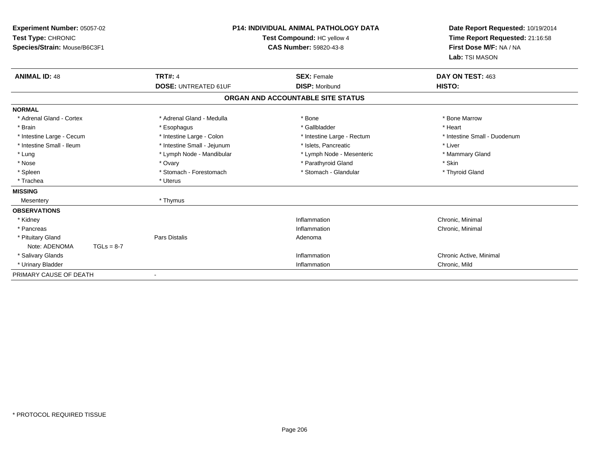| Experiment Number: 05057-02<br>Test Type: CHRONIC<br>Species/Strain: Mouse/B6C3F1 |                             | <b>P14: INDIVIDUAL ANIMAL PATHOLOGY DATA</b><br>Test Compound: HC yellow 4<br><b>CAS Number: 59820-43-8</b> | Date Report Requested: 10/19/2014<br>Time Report Requested: 21:16:58<br>First Dose M/F: NA / NA<br>Lab: TSI MASON |  |
|-----------------------------------------------------------------------------------|-----------------------------|-------------------------------------------------------------------------------------------------------------|-------------------------------------------------------------------------------------------------------------------|--|
| <b>ANIMAL ID: 48</b>                                                              | <b>TRT#: 4</b>              | <b>SEX: Female</b>                                                                                          | DAY ON TEST: 463                                                                                                  |  |
|                                                                                   | <b>DOSE: UNTREATED 61UF</b> | <b>DISP: Moribund</b>                                                                                       | HISTO:                                                                                                            |  |
|                                                                                   |                             | ORGAN AND ACCOUNTABLE SITE STATUS                                                                           |                                                                                                                   |  |
| <b>NORMAL</b>                                                                     |                             |                                                                                                             |                                                                                                                   |  |
| * Adrenal Gland - Cortex                                                          | * Adrenal Gland - Medulla   | * Bone                                                                                                      | * Bone Marrow                                                                                                     |  |
| * Brain                                                                           | * Esophagus                 | * Gallbladder                                                                                               | * Heart                                                                                                           |  |
| * Intestine Large - Cecum                                                         | * Intestine Large - Colon   | * Intestine Large - Rectum                                                                                  | * Intestine Small - Duodenum                                                                                      |  |
| * Intestine Small - Ileum                                                         | * Intestine Small - Jejunum | * Islets, Pancreatic                                                                                        | * Liver                                                                                                           |  |
| * Lung                                                                            | * Lymph Node - Mandibular   | * Lymph Node - Mesenteric                                                                                   | * Mammary Gland                                                                                                   |  |
| * Nose                                                                            | * Ovary                     | * Parathyroid Gland                                                                                         | * Skin                                                                                                            |  |
| * Spleen                                                                          | * Stomach - Forestomach     | * Stomach - Glandular                                                                                       | * Thyroid Gland                                                                                                   |  |
| * Trachea                                                                         | * Uterus                    |                                                                                                             |                                                                                                                   |  |
| <b>MISSING</b>                                                                    |                             |                                                                                                             |                                                                                                                   |  |
| Mesentery                                                                         | * Thymus                    |                                                                                                             |                                                                                                                   |  |
| <b>OBSERVATIONS</b>                                                               |                             |                                                                                                             |                                                                                                                   |  |
| * Kidney                                                                          |                             | Inflammation                                                                                                | Chronic, Minimal                                                                                                  |  |
| * Pancreas                                                                        |                             | Inflammation                                                                                                | Chronic, Minimal                                                                                                  |  |
| * Pituitary Gland                                                                 | <b>Pars Distalis</b>        | Adenoma                                                                                                     |                                                                                                                   |  |
| Note: ADENOMA<br>$TGLs = 8-7$                                                     |                             |                                                                                                             |                                                                                                                   |  |
| * Salivary Glands                                                                 |                             | Inflammation                                                                                                | Chronic Active, Minimal                                                                                           |  |
| * Urinary Bladder                                                                 |                             | Inflammation                                                                                                | Chronic, Mild                                                                                                     |  |
| PRIMARY CAUSE OF DEATH                                                            |                             |                                                                                                             |                                                                                                                   |  |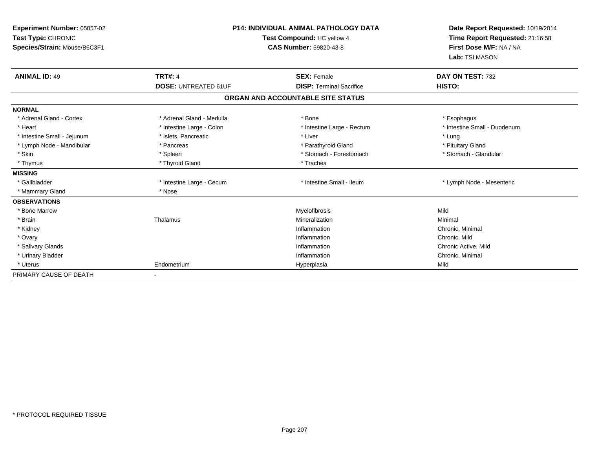| Experiment Number: 05057-02<br>Test Type: CHRONIC<br>Species/Strain: Mouse/B6C3F1 |                             | <b>P14: INDIVIDUAL ANIMAL PATHOLOGY DATA</b><br>Test Compound: HC yellow 4<br>CAS Number: 59820-43-8 | Date Report Requested: 10/19/2014<br>Time Report Requested: 21:16:58<br>First Dose M/F: NA / NA<br>Lab: TSI MASON |
|-----------------------------------------------------------------------------------|-----------------------------|------------------------------------------------------------------------------------------------------|-------------------------------------------------------------------------------------------------------------------|
| <b>ANIMAL ID: 49</b>                                                              | <b>TRT#: 4</b>              | <b>SEX: Female</b>                                                                                   | DAY ON TEST: 732                                                                                                  |
|                                                                                   | <b>DOSE: UNTREATED 61UF</b> | <b>DISP: Terminal Sacrifice</b>                                                                      | HISTO:                                                                                                            |
|                                                                                   |                             | ORGAN AND ACCOUNTABLE SITE STATUS                                                                    |                                                                                                                   |
| <b>NORMAL</b>                                                                     |                             |                                                                                                      |                                                                                                                   |
| * Adrenal Gland - Cortex                                                          | * Adrenal Gland - Medulla   | * Bone                                                                                               | * Esophagus                                                                                                       |
| * Heart                                                                           | * Intestine Large - Colon   | * Intestine Large - Rectum                                                                           | * Intestine Small - Duodenum                                                                                      |
| * Intestine Small - Jejunum                                                       | * Islets, Pancreatic        | * Liver                                                                                              | * Lung                                                                                                            |
| * Lymph Node - Mandibular                                                         | * Pancreas                  | * Parathyroid Gland                                                                                  | * Pituitary Gland                                                                                                 |
| * Skin                                                                            | * Spleen                    | * Stomach - Forestomach                                                                              | * Stomach - Glandular                                                                                             |
| * Thymus                                                                          | * Thyroid Gland             | * Trachea                                                                                            |                                                                                                                   |
| <b>MISSING</b>                                                                    |                             |                                                                                                      |                                                                                                                   |
| * Gallbladder                                                                     | * Intestine Large - Cecum   | * Intestine Small - Ileum                                                                            | * Lymph Node - Mesenteric                                                                                         |
| * Mammary Gland                                                                   | * Nose                      |                                                                                                      |                                                                                                                   |
| <b>OBSERVATIONS</b>                                                               |                             |                                                                                                      |                                                                                                                   |
| * Bone Marrow                                                                     |                             | Myelofibrosis                                                                                        | Mild                                                                                                              |
| * Brain                                                                           | Thalamus                    | Mineralization                                                                                       | Minimal                                                                                                           |
| * Kidney                                                                          |                             | Inflammation                                                                                         | Chronic, Minimal                                                                                                  |
| * Ovary                                                                           |                             | Inflammation                                                                                         | Chronic, Mild                                                                                                     |
| * Salivary Glands                                                                 |                             | Inflammation                                                                                         | Chronic Active, Mild                                                                                              |
| * Urinary Bladder                                                                 |                             | Inflammation                                                                                         | Chronic, Minimal                                                                                                  |
| * Uterus                                                                          | Endometrium                 | Hyperplasia                                                                                          | Mild                                                                                                              |
| PRIMARY CAUSE OF DEATH                                                            |                             |                                                                                                      |                                                                                                                   |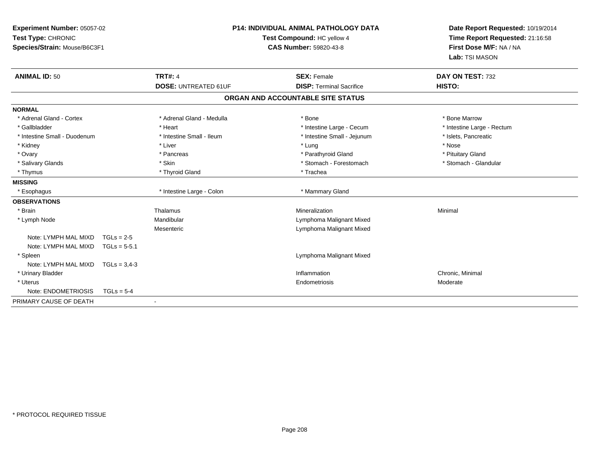| Experiment Number: 05057-02<br>Test Type: CHRONIC<br>Species/Strain: Mouse/B6C3F1 |                |                             | <b>P14: INDIVIDUAL ANIMAL PATHOLOGY DATA</b><br>Test Compound: HC yellow 4<br><b>CAS Number: 59820-43-8</b> |  | Date Report Requested: 10/19/2014<br>Time Report Requested: 21:16:58<br>First Dose M/F: NA / NA<br>Lab: TSI MASON |
|-----------------------------------------------------------------------------------|----------------|-----------------------------|-------------------------------------------------------------------------------------------------------------|--|-------------------------------------------------------------------------------------------------------------------|
| <b>ANIMAL ID: 50</b>                                                              |                | <b>TRT#: 4</b>              | <b>SEX: Female</b>                                                                                          |  | DAY ON TEST: 732                                                                                                  |
|                                                                                   |                | <b>DOSE: UNTREATED 61UF</b> | <b>DISP: Terminal Sacrifice</b>                                                                             |  | HISTO:                                                                                                            |
|                                                                                   |                |                             | ORGAN AND ACCOUNTABLE SITE STATUS                                                                           |  |                                                                                                                   |
| <b>NORMAL</b>                                                                     |                |                             |                                                                                                             |  |                                                                                                                   |
| * Adrenal Gland - Cortex                                                          |                | * Adrenal Gland - Medulla   | * Bone                                                                                                      |  | * Bone Marrow                                                                                                     |
| * Gallbladder                                                                     |                | * Heart                     | * Intestine Large - Cecum                                                                                   |  | * Intestine Large - Rectum                                                                                        |
| * Intestine Small - Duodenum                                                      |                | * Intestine Small - Ileum   | * Intestine Small - Jejunum                                                                                 |  | * Islets, Pancreatic                                                                                              |
| * Kidney                                                                          |                | * Liver                     | * Lung                                                                                                      |  | * Nose                                                                                                            |
| * Ovary                                                                           |                | * Pancreas                  | * Parathyroid Gland                                                                                         |  | * Pituitary Gland                                                                                                 |
| * Salivary Glands                                                                 |                | * Skin                      | * Stomach - Forestomach                                                                                     |  | * Stomach - Glandular                                                                                             |
| * Thymus                                                                          |                | * Thyroid Gland             | * Trachea                                                                                                   |  |                                                                                                                   |
| <b>MISSING</b>                                                                    |                |                             |                                                                                                             |  |                                                                                                                   |
| * Esophagus                                                                       |                | * Intestine Large - Colon   | * Mammary Gland                                                                                             |  |                                                                                                                   |
| <b>OBSERVATIONS</b>                                                               |                |                             |                                                                                                             |  |                                                                                                                   |
| * Brain                                                                           |                | Thalamus                    | Mineralization                                                                                              |  | Minimal                                                                                                           |
| * Lymph Node                                                                      |                | Mandibular                  | Lymphoma Malignant Mixed                                                                                    |  |                                                                                                                   |
|                                                                                   |                | Mesenteric                  | Lymphoma Malignant Mixed                                                                                    |  |                                                                                                                   |
| Note: LYMPH MAL MIXD                                                              | $TGLs = 2-5$   |                             |                                                                                                             |  |                                                                                                                   |
| Note: LYMPH MAL MIXD                                                              | $TGLs = 5-5.1$ |                             |                                                                                                             |  |                                                                                                                   |
| * Spleen                                                                          |                |                             | Lymphoma Malignant Mixed                                                                                    |  |                                                                                                                   |
| Note: LYMPH MAL MIXD                                                              | $TGLs = 3.4-3$ |                             |                                                                                                             |  |                                                                                                                   |
| * Urinary Bladder                                                                 |                |                             | Inflammation                                                                                                |  | Chronic, Minimal                                                                                                  |
| * Uterus                                                                          |                |                             | Endometriosis                                                                                               |  | Moderate                                                                                                          |
| Note: ENDOMETRIOSIS                                                               | $TGLs = 5-4$   |                             |                                                                                                             |  |                                                                                                                   |
| PRIMARY CAUSE OF DEATH                                                            |                |                             |                                                                                                             |  |                                                                                                                   |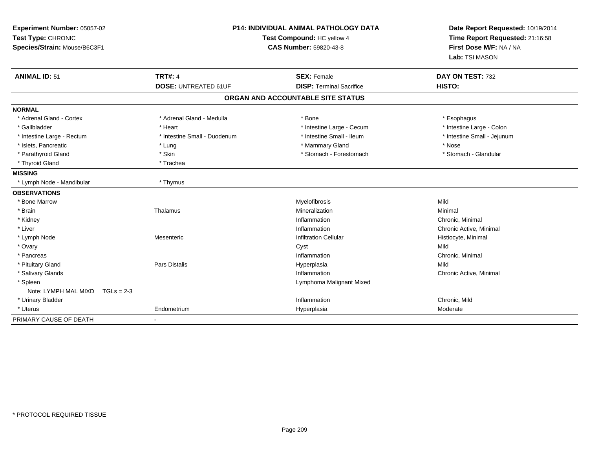| Experiment Number: 05057-02<br>Test Type: CHRONIC<br>Species/Strain: Mouse/B6C3F1 |                              | <b>P14: INDIVIDUAL ANIMAL PATHOLOGY DATA</b><br>Test Compound: HC yellow 4<br><b>CAS Number: 59820-43-8</b> | Date Report Requested: 10/19/2014<br>Time Report Requested: 21:16:58<br>First Dose M/F: NA / NA<br>Lab: TSI MASON |  |
|-----------------------------------------------------------------------------------|------------------------------|-------------------------------------------------------------------------------------------------------------|-------------------------------------------------------------------------------------------------------------------|--|
| <b>ANIMAL ID: 51</b>                                                              | <b>TRT#: 4</b>               | <b>SEX: Female</b>                                                                                          | DAY ON TEST: 732                                                                                                  |  |
|                                                                                   | <b>DOSE: UNTREATED 61UF</b>  | <b>DISP: Terminal Sacrifice</b>                                                                             | HISTO:                                                                                                            |  |
|                                                                                   |                              | ORGAN AND ACCOUNTABLE SITE STATUS                                                                           |                                                                                                                   |  |
| <b>NORMAL</b>                                                                     |                              |                                                                                                             |                                                                                                                   |  |
| * Adrenal Gland - Cortex                                                          | * Adrenal Gland - Medulla    | * Bone                                                                                                      | * Esophagus                                                                                                       |  |
| * Gallbladder                                                                     | * Heart                      | * Intestine Large - Cecum                                                                                   | * Intestine Large - Colon                                                                                         |  |
| * Intestine Large - Rectum                                                        | * Intestine Small - Duodenum | * Intestine Small - Ileum                                                                                   | * Intestine Small - Jejunum                                                                                       |  |
| * Islets, Pancreatic                                                              | * Lung                       | * Mammary Gland                                                                                             | * Nose                                                                                                            |  |
| * Parathyroid Gland                                                               | * Skin                       | * Stomach - Forestomach                                                                                     | * Stomach - Glandular                                                                                             |  |
| * Thyroid Gland                                                                   | * Trachea                    |                                                                                                             |                                                                                                                   |  |
| <b>MISSING</b>                                                                    |                              |                                                                                                             |                                                                                                                   |  |
| * Lymph Node - Mandibular                                                         | * Thymus                     |                                                                                                             |                                                                                                                   |  |
| <b>OBSERVATIONS</b>                                                               |                              |                                                                                                             |                                                                                                                   |  |
| * Bone Marrow                                                                     |                              | Myelofibrosis                                                                                               | Mild                                                                                                              |  |
| * Brain                                                                           | Thalamus                     | Mineralization                                                                                              | Minimal                                                                                                           |  |
| * Kidney                                                                          |                              | Inflammation                                                                                                | Chronic, Minimal                                                                                                  |  |
| * Liver                                                                           |                              | Inflammation                                                                                                | Chronic Active, Minimal                                                                                           |  |
| * Lymph Node                                                                      | Mesenteric                   | <b>Infiltration Cellular</b>                                                                                | Histiocyte, Minimal                                                                                               |  |
| * Ovary                                                                           |                              | Cyst                                                                                                        | Mild                                                                                                              |  |
| * Pancreas                                                                        |                              | Inflammation                                                                                                | Chronic, Minimal                                                                                                  |  |
| * Pituitary Gland                                                                 | Pars Distalis                | Hyperplasia                                                                                                 | Mild                                                                                                              |  |
| * Salivary Glands                                                                 |                              | Inflammation                                                                                                | Chronic Active, Minimal                                                                                           |  |
| * Spleen                                                                          |                              | Lymphoma Malignant Mixed                                                                                    |                                                                                                                   |  |
| Note: LYMPH MAL MIXD<br>$TGLs = 2-3$                                              |                              |                                                                                                             |                                                                                                                   |  |
| * Urinary Bladder                                                                 |                              | Inflammation                                                                                                | Chronic, Mild                                                                                                     |  |
| * Uterus                                                                          | Endometrium                  | Hyperplasia                                                                                                 | Moderate                                                                                                          |  |
| PRIMARY CAUSE OF DEATH                                                            |                              |                                                                                                             |                                                                                                                   |  |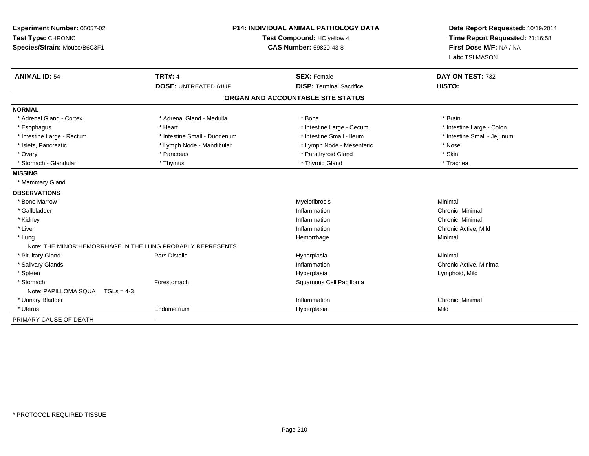| Experiment Number: 05057-02<br>Test Type: CHRONIC<br>Species/Strain: Mouse/B6C3F1 |                                                            | <b>P14: INDIVIDUAL ANIMAL PATHOLOGY DATA</b><br>Test Compound: HC yellow 4<br><b>CAS Number: 59820-43-8</b> | Date Report Requested: 10/19/2014<br>Time Report Requested: 21:16:58<br>First Dose M/F: NA / NA<br>Lab: TSI MASON |
|-----------------------------------------------------------------------------------|------------------------------------------------------------|-------------------------------------------------------------------------------------------------------------|-------------------------------------------------------------------------------------------------------------------|
| <b>ANIMAL ID: 54</b>                                                              | <b>TRT#: 4</b>                                             | <b>SEX: Female</b>                                                                                          | DAY ON TEST: 732                                                                                                  |
|                                                                                   | <b>DOSE: UNTREATED 61UF</b>                                | <b>DISP: Terminal Sacrifice</b>                                                                             | HISTO:                                                                                                            |
|                                                                                   |                                                            | ORGAN AND ACCOUNTABLE SITE STATUS                                                                           |                                                                                                                   |
| <b>NORMAL</b>                                                                     |                                                            |                                                                                                             |                                                                                                                   |
| * Adrenal Gland - Cortex                                                          | * Adrenal Gland - Medulla                                  | * Bone                                                                                                      | * Brain                                                                                                           |
| * Esophagus                                                                       | * Heart                                                    | * Intestine Large - Cecum                                                                                   | * Intestine Large - Colon                                                                                         |
| * Intestine Large - Rectum                                                        | * Intestine Small - Duodenum                               | * Intestine Small - Ileum                                                                                   | * Intestine Small - Jejunum                                                                                       |
| * Islets, Pancreatic                                                              | * Lymph Node - Mandibular                                  | * Lymph Node - Mesenteric                                                                                   | * Nose                                                                                                            |
| * Ovary                                                                           | * Pancreas                                                 | * Parathyroid Gland                                                                                         | * Skin                                                                                                            |
| * Stomach - Glandular                                                             | * Thymus                                                   | * Thyroid Gland                                                                                             | * Trachea                                                                                                         |
| <b>MISSING</b>                                                                    |                                                            |                                                                                                             |                                                                                                                   |
| * Mammary Gland                                                                   |                                                            |                                                                                                             |                                                                                                                   |
| <b>OBSERVATIONS</b>                                                               |                                                            |                                                                                                             |                                                                                                                   |
| * Bone Marrow                                                                     |                                                            | Myelofibrosis                                                                                               | Minimal                                                                                                           |
| * Gallbladder                                                                     |                                                            | Inflammation                                                                                                | Chronic, Minimal                                                                                                  |
| * Kidney                                                                          |                                                            | Inflammation                                                                                                | Chronic, Minimal                                                                                                  |
| * Liver                                                                           |                                                            | Inflammation                                                                                                | Chronic Active, Mild                                                                                              |
| * Lung                                                                            |                                                            | Hemorrhage                                                                                                  | Minimal                                                                                                           |
|                                                                                   | Note: THE MINOR HEMORRHAGE IN THE LUNG PROBABLY REPRESENTS |                                                                                                             |                                                                                                                   |
| * Pituitary Gland                                                                 | <b>Pars Distalis</b>                                       | Hyperplasia                                                                                                 | Minimal                                                                                                           |
| * Salivary Glands                                                                 |                                                            | Inflammation                                                                                                | Chronic Active, Minimal                                                                                           |
| * Spleen                                                                          |                                                            | Hyperplasia                                                                                                 | Lymphoid, Mild                                                                                                    |
| * Stomach                                                                         | Forestomach                                                | Squamous Cell Papilloma                                                                                     |                                                                                                                   |
| Note: PAPILLOMA SQUA TGLs = 4-3                                                   |                                                            |                                                                                                             |                                                                                                                   |
| * Urinary Bladder                                                                 |                                                            | Inflammation                                                                                                | Chronic, Minimal                                                                                                  |
| * Uterus                                                                          | Endometrium                                                | Hyperplasia                                                                                                 | Mild                                                                                                              |
| PRIMARY CAUSE OF DEATH                                                            |                                                            |                                                                                                             |                                                                                                                   |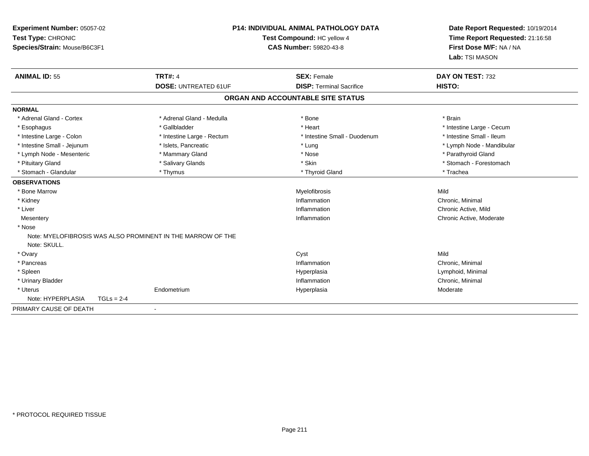| <b>Experiment Number: 05057-02</b><br>Test Type: CHRONIC<br>Species/Strain: Mouse/B6C3F1 |              | <b>P14: INDIVIDUAL ANIMAL PATHOLOGY DATA</b><br>Test Compound: HC yellow 4<br><b>CAS Number: 59820-43-8</b> |                                   |                                 | Date Report Requested: 10/19/2014<br>Time Report Requested: 21:16:58<br>First Dose M/F: NA / NA<br>Lab: TSI MASON |                           |
|------------------------------------------------------------------------------------------|--------------|-------------------------------------------------------------------------------------------------------------|-----------------------------------|---------------------------------|-------------------------------------------------------------------------------------------------------------------|---------------------------|
| <b>ANIMAL ID: 55</b>                                                                     |              | <b>TRT#: 4</b>                                                                                              |                                   | <b>SEX: Female</b>              |                                                                                                                   | DAY ON TEST: 732          |
|                                                                                          |              | <b>DOSE: UNTREATED 61UF</b>                                                                                 |                                   | <b>DISP: Terminal Sacrifice</b> | HISTO:                                                                                                            |                           |
|                                                                                          |              |                                                                                                             | ORGAN AND ACCOUNTABLE SITE STATUS |                                 |                                                                                                                   |                           |
| <b>NORMAL</b>                                                                            |              |                                                                                                             |                                   |                                 |                                                                                                                   |                           |
| * Adrenal Gland - Cortex                                                                 |              | * Adrenal Gland - Medulla                                                                                   | * Bone                            |                                 | * Brain                                                                                                           |                           |
| * Esophagus                                                                              |              | * Gallbladder                                                                                               | * Heart                           |                                 |                                                                                                                   | * Intestine Large - Cecum |
| * Intestine Large - Colon                                                                |              | * Intestine Large - Rectum                                                                                  |                                   | * Intestine Small - Duodenum    |                                                                                                                   | * Intestine Small - Ileum |
| * Intestine Small - Jejunum                                                              |              | * Islets, Pancreatic                                                                                        | * Lung                            |                                 |                                                                                                                   | * Lymph Node - Mandibular |
| * Lymph Node - Mesenteric                                                                |              | * Mammary Gland                                                                                             | * Nose                            |                                 |                                                                                                                   | * Parathyroid Gland       |
| * Pituitary Gland                                                                        |              | * Salivary Glands                                                                                           | * Skin                            |                                 |                                                                                                                   | * Stomach - Forestomach   |
| * Stomach - Glandular                                                                    |              | * Thymus                                                                                                    |                                   | * Thyroid Gland                 | * Trachea                                                                                                         |                           |
| <b>OBSERVATIONS</b>                                                                      |              |                                                                                                             |                                   |                                 |                                                                                                                   |                           |
| * Bone Marrow                                                                            |              |                                                                                                             |                                   | Myelofibrosis                   | Mild                                                                                                              |                           |
| * Kidney                                                                                 |              |                                                                                                             |                                   | Inflammation                    | Chronic, Minimal                                                                                                  |                           |
| * Liver                                                                                  |              |                                                                                                             |                                   | Inflammation                    | Chronic Active, Mild                                                                                              |                           |
| Mesentery                                                                                |              |                                                                                                             |                                   | Inflammation                    |                                                                                                                   | Chronic Active, Moderate  |
| * Nose                                                                                   |              |                                                                                                             |                                   |                                 |                                                                                                                   |                           |
| Note: SKULL.                                                                             |              | Note: MYELOFIBROSIS WAS ALSO PROMINENT IN THE MARROW OF THE                                                 |                                   |                                 |                                                                                                                   |                           |
| * Ovary                                                                                  |              |                                                                                                             | Cyst                              |                                 | Mild                                                                                                              |                           |
| * Pancreas                                                                               |              |                                                                                                             |                                   | Inflammation                    | Chronic, Minimal                                                                                                  |                           |
| * Spleen                                                                                 |              |                                                                                                             | Hyperplasia                       |                                 | Lymphoid, Minimal                                                                                                 |                           |
| * Urinary Bladder                                                                        |              |                                                                                                             |                                   | Inflammation                    | Chronic, Minimal                                                                                                  |                           |
| * Uterus                                                                                 |              | Endometrium                                                                                                 | Hyperplasia                       |                                 | Moderate                                                                                                          |                           |
| Note: HYPERPLASIA                                                                        | $TGLs = 2-4$ |                                                                                                             |                                   |                                 |                                                                                                                   |                           |
| PRIMARY CAUSE OF DEATH                                                                   |              |                                                                                                             |                                   |                                 |                                                                                                                   |                           |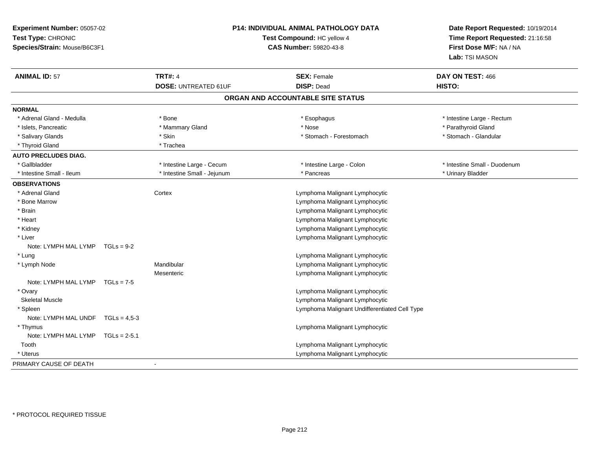| Time Report Requested: 21:16:58<br>Test Type: CHRONIC<br>Test Compound: HC yellow 4<br><b>CAS Number: 59820-43-8</b><br>First Dose M/F: NA / NA<br>Species/Strain: Mouse/B6C3F1<br>Lab: TSI MASON<br><b>ANIMAL ID: 57</b><br><b>TRT#: 4</b><br>DAY ON TEST: 466<br><b>SEX: Female</b><br><b>DISP: Dead</b><br>HISTO:<br><b>DOSE: UNTREATED 61UF</b> |  |  |  |
|-----------------------------------------------------------------------------------------------------------------------------------------------------------------------------------------------------------------------------------------------------------------------------------------------------------------------------------------------------|--|--|--|
|                                                                                                                                                                                                                                                                                                                                                     |  |  |  |
|                                                                                                                                                                                                                                                                                                                                                     |  |  |  |
|                                                                                                                                                                                                                                                                                                                                                     |  |  |  |
|                                                                                                                                                                                                                                                                                                                                                     |  |  |  |
|                                                                                                                                                                                                                                                                                                                                                     |  |  |  |
| ORGAN AND ACCOUNTABLE SITE STATUS                                                                                                                                                                                                                                                                                                                   |  |  |  |
| <b>NORMAL</b>                                                                                                                                                                                                                                                                                                                                       |  |  |  |
| * Adrenal Gland - Medulla<br>* Intestine Large - Rectum<br>* Bone<br>* Esophagus                                                                                                                                                                                                                                                                    |  |  |  |
| * Parathyroid Gland<br>* Islets, Pancreatic<br>* Mammary Gland<br>* Nose                                                                                                                                                                                                                                                                            |  |  |  |
| * Salivary Glands<br>* Stomach - Forestomach<br>* Stomach - Glandular<br>* Skin                                                                                                                                                                                                                                                                     |  |  |  |
| * Thyroid Gland<br>* Trachea                                                                                                                                                                                                                                                                                                                        |  |  |  |
| <b>AUTO PRECLUDES DIAG.</b>                                                                                                                                                                                                                                                                                                                         |  |  |  |
| * Intestine Large - Cecum<br>* Intestine Large - Colon<br>* Intestine Small - Duodenum<br>* Gallbladder                                                                                                                                                                                                                                             |  |  |  |
| * Intestine Small - Jejunum<br>* Urinary Bladder<br>* Intestine Small - Ileum<br>* Pancreas                                                                                                                                                                                                                                                         |  |  |  |
| <b>OBSERVATIONS</b>                                                                                                                                                                                                                                                                                                                                 |  |  |  |
| * Adrenal Gland<br>Cortex<br>Lymphoma Malignant Lymphocytic                                                                                                                                                                                                                                                                                         |  |  |  |
| * Bone Marrow<br>Lymphoma Malignant Lymphocytic                                                                                                                                                                                                                                                                                                     |  |  |  |
| Lymphoma Malignant Lymphocytic<br>* Brain                                                                                                                                                                                                                                                                                                           |  |  |  |
| * Heart<br>Lymphoma Malignant Lymphocytic                                                                                                                                                                                                                                                                                                           |  |  |  |
| * Kidney<br>Lymphoma Malignant Lymphocytic                                                                                                                                                                                                                                                                                                          |  |  |  |
| * Liver<br>Lymphoma Malignant Lymphocytic                                                                                                                                                                                                                                                                                                           |  |  |  |
| Note: LYMPH MAL LYMP $TGLs = 9-2$                                                                                                                                                                                                                                                                                                                   |  |  |  |
| * Lung<br>Lymphoma Malignant Lymphocytic                                                                                                                                                                                                                                                                                                            |  |  |  |
| Mandibular<br>Lymphoma Malignant Lymphocytic<br>* Lymph Node                                                                                                                                                                                                                                                                                        |  |  |  |
| Lymphoma Malignant Lymphocytic<br>Mesenteric                                                                                                                                                                                                                                                                                                        |  |  |  |
| Note: LYMPH MAL LYMP $TGLs = 7-5$                                                                                                                                                                                                                                                                                                                   |  |  |  |
| Lymphoma Malignant Lymphocytic<br>* Ovary                                                                                                                                                                                                                                                                                                           |  |  |  |
| Lymphoma Malignant Lymphocytic<br><b>Skeletal Muscle</b>                                                                                                                                                                                                                                                                                            |  |  |  |
| Lymphoma Malignant Undifferentiated Cell Type<br>* Spleen                                                                                                                                                                                                                                                                                           |  |  |  |
| Note: LYMPH MAL UNDF $TGLs = 4.5-3$                                                                                                                                                                                                                                                                                                                 |  |  |  |
| * Thymus<br>Lymphoma Malignant Lymphocytic                                                                                                                                                                                                                                                                                                          |  |  |  |
| Note: LYMPH MAL LYMP TGLs = 2-5.1                                                                                                                                                                                                                                                                                                                   |  |  |  |
| Tooth<br>Lymphoma Malignant Lymphocytic                                                                                                                                                                                                                                                                                                             |  |  |  |
| Lymphoma Malignant Lymphocytic<br>* Uterus                                                                                                                                                                                                                                                                                                          |  |  |  |
| PRIMARY CAUSE OF DEATH                                                                                                                                                                                                                                                                                                                              |  |  |  |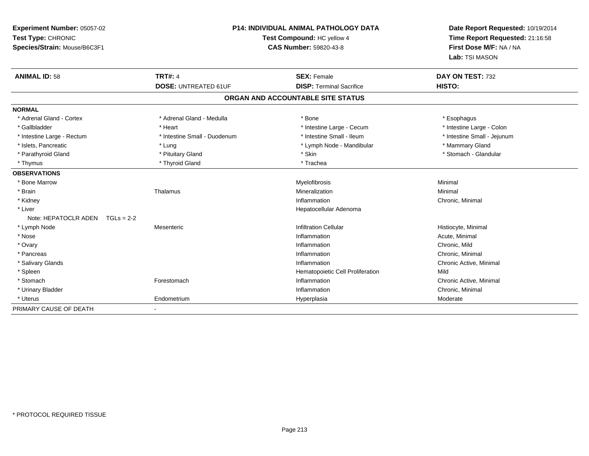| Experiment Number: 05057-02<br>Test Type: CHRONIC | <b>P14: INDIVIDUAL ANIMAL PATHOLOGY DATA</b><br>Test Compound: HC yellow 4 |                                   | Date Report Requested: 10/19/2014<br>Time Report Requested: 21:16:58 |  |
|---------------------------------------------------|----------------------------------------------------------------------------|-----------------------------------|----------------------------------------------------------------------|--|
| Species/Strain: Mouse/B6C3F1                      |                                                                            | CAS Number: 59820-43-8            | First Dose M/F: NA / NA<br>Lab: TSI MASON                            |  |
| <b>ANIMAL ID: 58</b>                              | <b>TRT#: 4</b>                                                             | <b>SEX: Female</b>                | DAY ON TEST: 732                                                     |  |
|                                                   | <b>DOSE: UNTREATED 61UF</b>                                                | <b>DISP: Terminal Sacrifice</b>   | HISTO:                                                               |  |
|                                                   |                                                                            | ORGAN AND ACCOUNTABLE SITE STATUS |                                                                      |  |
| <b>NORMAL</b>                                     |                                                                            |                                   |                                                                      |  |
| * Adrenal Gland - Cortex                          | * Adrenal Gland - Medulla                                                  | * Bone                            | * Esophagus                                                          |  |
| * Gallbladder                                     | * Heart                                                                    | * Intestine Large - Cecum         | * Intestine Large - Colon                                            |  |
| * Intestine Large - Rectum                        | * Intestine Small - Duodenum                                               | * Intestine Small - Ileum         | * Intestine Small - Jejunum                                          |  |
| * Islets, Pancreatic                              | * Lung                                                                     | * Lymph Node - Mandibular         | * Mammary Gland                                                      |  |
| * Parathyroid Gland                               | * Pituitary Gland                                                          | * Skin                            | * Stomach - Glandular                                                |  |
| * Thymus                                          | * Thyroid Gland                                                            | * Trachea                         |                                                                      |  |
| <b>OBSERVATIONS</b>                               |                                                                            |                                   |                                                                      |  |
| * Bone Marrow                                     |                                                                            | Myelofibrosis                     | Minimal                                                              |  |
| * Brain                                           | Thalamus                                                                   | Mineralization                    | Minimal                                                              |  |
| * Kidney                                          |                                                                            | Inflammation                      | Chronic, Minimal                                                     |  |
| * Liver                                           |                                                                            | Hepatocellular Adenoma            |                                                                      |  |
| Note: HEPATOCLR ADEN $TGLs = 2-2$                 |                                                                            |                                   |                                                                      |  |
| * Lymph Node                                      | Mesenteric                                                                 | <b>Infiltration Cellular</b>      | Histiocyte, Minimal                                                  |  |
| * Nose                                            |                                                                            | Inflammation                      | Acute, Minimal                                                       |  |
| * Ovary                                           |                                                                            | Inflammation                      | Chronic, Mild                                                        |  |
| * Pancreas                                        |                                                                            | Inflammation                      | Chronic, Minimal                                                     |  |
| * Salivary Glands                                 |                                                                            | Inflammation                      | Chronic Active, Minimal                                              |  |
| * Spleen                                          |                                                                            | Hematopoietic Cell Proliferation  | Mild                                                                 |  |
| * Stomach                                         | Forestomach                                                                | Inflammation                      | Chronic Active, Minimal                                              |  |
| * Urinary Bladder                                 |                                                                            | Inflammation                      | Chronic, Minimal                                                     |  |
| * Uterus                                          | Endometrium                                                                | Hyperplasia                       | Moderate                                                             |  |
| PRIMARY CAUSE OF DEATH                            |                                                                            |                                   |                                                                      |  |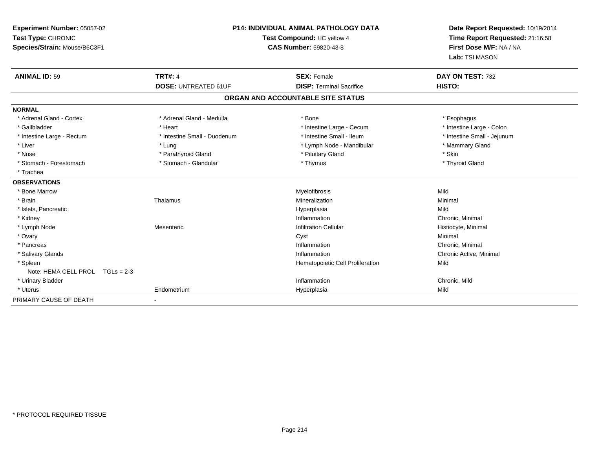| Experiment Number: 05057-02<br>Test Type: CHRONIC<br>Species/Strain: Mouse/B6C3F1 |                                               | <b>P14: INDIVIDUAL ANIMAL PATHOLOGY DATA</b><br>Test Compound: HC yellow 4<br><b>CAS Number: 59820-43-8</b> |                                                       | Date Report Requested: 10/19/2014<br>Time Report Requested: 21:16:58<br>First Dose M/F: NA / NA<br>Lab: TSI MASON |
|-----------------------------------------------------------------------------------|-----------------------------------------------|-------------------------------------------------------------------------------------------------------------|-------------------------------------------------------|-------------------------------------------------------------------------------------------------------------------|
| <b>ANIMAL ID: 59</b>                                                              | <b>TRT#: 4</b><br><b>DOSE: UNTREATED 61UF</b> |                                                                                                             | <b>SEX: Female</b><br><b>DISP: Terminal Sacrifice</b> | DAY ON TEST: 732<br>HISTO:                                                                                        |
|                                                                                   |                                               |                                                                                                             | ORGAN AND ACCOUNTABLE SITE STATUS                     |                                                                                                                   |
| <b>NORMAL</b>                                                                     |                                               |                                                                                                             |                                                       |                                                                                                                   |
| * Adrenal Gland - Cortex                                                          | * Adrenal Gland - Medulla                     |                                                                                                             | * Bone                                                | * Esophagus                                                                                                       |
| * Gallbladder                                                                     | * Heart                                       |                                                                                                             | * Intestine Large - Cecum                             | * Intestine Large - Colon                                                                                         |
| * Intestine Large - Rectum                                                        |                                               | * Intestine Small - Duodenum                                                                                | * Intestine Small - Ileum                             | * Intestine Small - Jejunum                                                                                       |
| * Liver                                                                           | * Lung                                        |                                                                                                             | * Lymph Node - Mandibular                             | * Mammary Gland                                                                                                   |
| * Nose                                                                            | * Parathyroid Gland                           |                                                                                                             | * Pituitary Gland                                     | * Skin                                                                                                            |
| * Stomach - Forestomach                                                           | * Stomach - Glandular                         |                                                                                                             | * Thymus                                              | * Thyroid Gland                                                                                                   |
| * Trachea                                                                         |                                               |                                                                                                             |                                                       |                                                                                                                   |
| <b>OBSERVATIONS</b>                                                               |                                               |                                                                                                             |                                                       |                                                                                                                   |
| * Bone Marrow                                                                     |                                               |                                                                                                             | Myelofibrosis                                         | Mild                                                                                                              |
| * Brain                                                                           | Thalamus                                      |                                                                                                             | Mineralization                                        | Minimal                                                                                                           |
| * Islets, Pancreatic                                                              |                                               |                                                                                                             | Hyperplasia                                           | Mild                                                                                                              |
| * Kidney                                                                          |                                               |                                                                                                             | Inflammation                                          | Chronic, Minimal                                                                                                  |
| * Lymph Node                                                                      | Mesenteric                                    |                                                                                                             | <b>Infiltration Cellular</b>                          | Histiocyte, Minimal                                                                                               |
| * Ovary                                                                           |                                               |                                                                                                             | Cyst                                                  | Minimal                                                                                                           |
| * Pancreas                                                                        |                                               |                                                                                                             | Inflammation                                          | Chronic. Minimal                                                                                                  |
| * Salivary Glands                                                                 |                                               |                                                                                                             | Inflammation                                          | Chronic Active, Minimal                                                                                           |
| * Spleen                                                                          |                                               |                                                                                                             | Hematopoietic Cell Proliferation                      | Mild                                                                                                              |
| Note: HEMA CELL PROL TGLs = 2-3                                                   |                                               |                                                                                                             |                                                       |                                                                                                                   |
| * Urinary Bladder                                                                 |                                               |                                                                                                             | Inflammation                                          | Chronic, Mild                                                                                                     |
| * Uterus                                                                          | Endometrium                                   |                                                                                                             | Hyperplasia                                           | Mild                                                                                                              |
| PRIMARY CAUSE OF DEATH                                                            |                                               |                                                                                                             |                                                       |                                                                                                                   |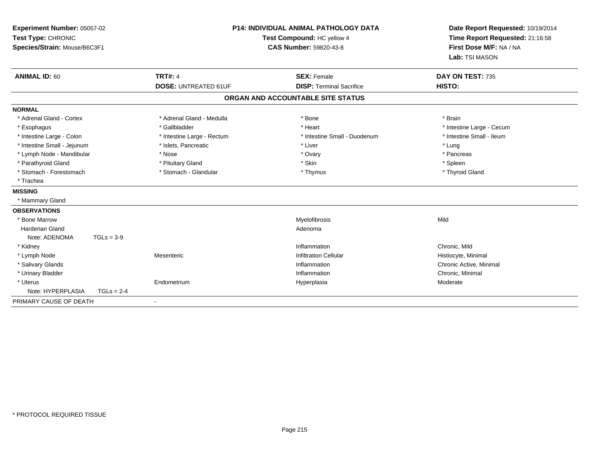| Experiment Number: 05057-02<br>Test Type: CHRONIC<br>Species/Strain: Mouse/B6C3F1<br><b>ANIMAL ID: 60</b> |              | <b>P14: INDIVIDUAL ANIMAL PATHOLOGY DATA</b><br>Test Compound: HC yellow 4<br><b>CAS Number: 59820-43-8</b> |                                   | Date Report Requested: 10/19/2014<br>Time Report Requested: 21:16:58<br>First Dose M/F: NA / NA<br>Lab: TSI MASON |  |
|-----------------------------------------------------------------------------------------------------------|--------------|-------------------------------------------------------------------------------------------------------------|-----------------------------------|-------------------------------------------------------------------------------------------------------------------|--|
|                                                                                                           |              | <b>TRT#: 4</b>                                                                                              | <b>SEX: Female</b>                | DAY ON TEST: 735<br>HISTO:                                                                                        |  |
|                                                                                                           |              | <b>DOSE: UNTREATED 61UF</b>                                                                                 | <b>DISP: Terminal Sacrifice</b>   |                                                                                                                   |  |
|                                                                                                           |              |                                                                                                             | ORGAN AND ACCOUNTABLE SITE STATUS |                                                                                                                   |  |
| <b>NORMAL</b>                                                                                             |              |                                                                                                             |                                   |                                                                                                                   |  |
| * Adrenal Gland - Cortex                                                                                  |              | * Adrenal Gland - Medulla                                                                                   | * Bone                            | * Brain                                                                                                           |  |
| * Esophagus                                                                                               |              | * Gallbladder                                                                                               | * Heart                           | * Intestine Large - Cecum                                                                                         |  |
| * Intestine Large - Colon                                                                                 |              | * Intestine Large - Rectum                                                                                  | * Intestine Small - Duodenum      | * Intestine Small - Ileum                                                                                         |  |
| * Intestine Small - Jejunum                                                                               |              | * Islets, Pancreatic                                                                                        | * Liver                           | * Lung                                                                                                            |  |
| * Lymph Node - Mandibular                                                                                 |              | * Nose                                                                                                      | * Ovary                           | * Pancreas                                                                                                        |  |
| * Parathyroid Gland                                                                                       |              | * Pituitary Gland                                                                                           | * Skin                            | * Spleen                                                                                                          |  |
| * Stomach - Forestomach                                                                                   |              | * Stomach - Glandular                                                                                       | * Thymus                          | * Thyroid Gland                                                                                                   |  |
| * Trachea                                                                                                 |              |                                                                                                             |                                   |                                                                                                                   |  |
| <b>MISSING</b>                                                                                            |              |                                                                                                             |                                   |                                                                                                                   |  |
| * Mammary Gland                                                                                           |              |                                                                                                             |                                   |                                                                                                                   |  |
| <b>OBSERVATIONS</b>                                                                                       |              |                                                                                                             |                                   |                                                                                                                   |  |
| * Bone Marrow                                                                                             |              |                                                                                                             | Myelofibrosis                     | Mild                                                                                                              |  |
| <b>Harderian Gland</b>                                                                                    |              |                                                                                                             | Adenoma                           |                                                                                                                   |  |
| Note: ADENOMA                                                                                             | $TGLs = 3-9$ |                                                                                                             |                                   |                                                                                                                   |  |
| * Kidney                                                                                                  |              |                                                                                                             | Inflammation                      | Chronic, Mild                                                                                                     |  |
| * Lymph Node                                                                                              |              | Mesenteric                                                                                                  | <b>Infiltration Cellular</b>      | Histiocyte, Minimal                                                                                               |  |
| * Salivary Glands                                                                                         |              |                                                                                                             | Inflammation                      | Chronic Active, Minimal                                                                                           |  |
| * Urinary Bladder                                                                                         |              |                                                                                                             | Inflammation                      | Chronic, Minimal                                                                                                  |  |
| * Uterus                                                                                                  |              | Endometrium                                                                                                 | Hyperplasia                       | Moderate                                                                                                          |  |
| Note: HYPERPLASIA                                                                                         | $TGLs = 2-4$ |                                                                                                             |                                   |                                                                                                                   |  |
| PRIMARY CAUSE OF DEATH                                                                                    |              |                                                                                                             |                                   |                                                                                                                   |  |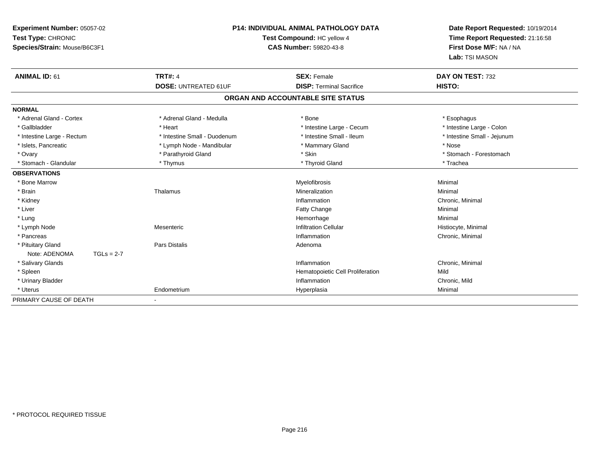| Experiment Number: 05057-02   | P14: INDIVIDUAL ANIMAL PATHOLOGY DATA |                                   | Date Report Requested: 10/19/2014 |
|-------------------------------|---------------------------------------|-----------------------------------|-----------------------------------|
| Test Type: CHRONIC            |                                       | Test Compound: HC yellow 4        | Time Report Requested: 21:16:58   |
| Species/Strain: Mouse/B6C3F1  |                                       | <b>CAS Number: 59820-43-8</b>     | First Dose M/F: NA / NA           |
|                               |                                       |                                   | Lab: TSI MASON                    |
| <b>ANIMAL ID: 61</b>          | <b>TRT#: 4</b>                        | <b>SEX: Female</b>                | DAY ON TEST: 732                  |
|                               | <b>DOSE: UNTREATED 61UF</b>           | <b>DISP: Terminal Sacrifice</b>   | HISTO:                            |
|                               |                                       | ORGAN AND ACCOUNTABLE SITE STATUS |                                   |
| <b>NORMAL</b>                 |                                       |                                   |                                   |
| * Adrenal Gland - Cortex      | * Adrenal Gland - Medulla             | * Bone                            | * Esophagus                       |
| * Gallbladder                 | * Heart                               | * Intestine Large - Cecum         | * Intestine Large - Colon         |
| * Intestine Large - Rectum    | * Intestine Small - Duodenum          | * Intestine Small - Ileum         | * Intestine Small - Jejunum       |
| * Islets, Pancreatic          | * Lymph Node - Mandibular             | * Mammary Gland                   | * Nose                            |
| * Ovary                       | * Parathyroid Gland                   | * Skin                            | * Stomach - Forestomach           |
| * Stomach - Glandular         | * Thymus                              | * Thyroid Gland                   | * Trachea                         |
| <b>OBSERVATIONS</b>           |                                       |                                   |                                   |
| * Bone Marrow                 |                                       | Myelofibrosis                     | Minimal                           |
| * Brain                       | Thalamus                              | Mineralization                    | Minimal                           |
| * Kidney                      |                                       | Inflammation                      | Chronic, Minimal                  |
| * Liver                       |                                       | Fatty Change                      | Minimal                           |
| * Lung                        |                                       | Hemorrhage                        | Minimal                           |
| * Lymph Node                  | Mesenteric                            | <b>Infiltration Cellular</b>      | Histiocyte, Minimal               |
| * Pancreas                    |                                       | Inflammation                      | Chronic, Minimal                  |
| * Pituitary Gland             | <b>Pars Distalis</b>                  | Adenoma                           |                                   |
| Note: ADENOMA<br>$TGLs = 2-7$ |                                       |                                   |                                   |
| * Salivary Glands             |                                       | Inflammation                      | Chronic, Minimal                  |
| * Spleen                      |                                       | Hematopoietic Cell Proliferation  | Mild                              |
| * Urinary Bladder             |                                       | Inflammation                      | Chronic, Mild                     |
| * Uterus                      | Endometrium                           | Hyperplasia                       | Minimal                           |
| PRIMARY CAUSE OF DEATH        |                                       |                                   |                                   |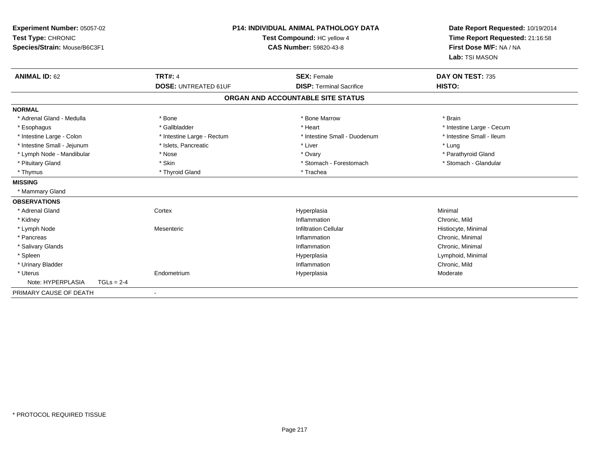| Experiment Number: 05057-02<br>Test Type: CHRONIC<br>Species/Strain: Mouse/B6C3F1 |              |                             | <b>P14: INDIVIDUAL ANIMAL PATHOLOGY DATA</b><br>Test Compound: HC yellow 4<br><b>CAS Number: 59820-43-8</b> | Date Report Requested: 10/19/2014<br>Time Report Requested: 21:16:58<br>First Dose M/F: NA / NA<br>Lab: TSI MASON |
|-----------------------------------------------------------------------------------|--------------|-----------------------------|-------------------------------------------------------------------------------------------------------------|-------------------------------------------------------------------------------------------------------------------|
| <b>ANIMAL ID: 62</b>                                                              |              | <b>TRT#: 4</b>              | <b>SEX: Female</b>                                                                                          | DAY ON TEST: 735                                                                                                  |
|                                                                                   |              | <b>DOSE: UNTREATED 61UF</b> | <b>DISP: Terminal Sacrifice</b>                                                                             | HISTO:                                                                                                            |
|                                                                                   |              |                             | ORGAN AND ACCOUNTABLE SITE STATUS                                                                           |                                                                                                                   |
| <b>NORMAL</b>                                                                     |              |                             |                                                                                                             |                                                                                                                   |
| * Adrenal Gland - Medulla                                                         |              | * Bone                      | * Bone Marrow                                                                                               | * Brain                                                                                                           |
| * Esophagus                                                                       |              | * Gallbladder               | * Heart                                                                                                     | * Intestine Large - Cecum                                                                                         |
| * Intestine Large - Colon                                                         |              | * Intestine Large - Rectum  | * Intestine Small - Duodenum                                                                                | * Intestine Small - Ileum                                                                                         |
| * Intestine Small - Jejunum                                                       |              | * Islets, Pancreatic        | * Liver                                                                                                     | * Lung                                                                                                            |
| * Lymph Node - Mandibular                                                         |              | * Nose                      | * Ovary                                                                                                     | * Parathyroid Gland                                                                                               |
| * Pituitary Gland                                                                 |              | * Skin                      | * Stomach - Forestomach                                                                                     | * Stomach - Glandular                                                                                             |
| * Thymus                                                                          |              | * Thyroid Gland             | * Trachea                                                                                                   |                                                                                                                   |
| <b>MISSING</b>                                                                    |              |                             |                                                                                                             |                                                                                                                   |
| * Mammary Gland                                                                   |              |                             |                                                                                                             |                                                                                                                   |
| <b>OBSERVATIONS</b>                                                               |              |                             |                                                                                                             |                                                                                                                   |
| * Adrenal Gland                                                                   |              | Cortex                      | Hyperplasia                                                                                                 | Minimal                                                                                                           |
| * Kidney                                                                          |              |                             | Inflammation                                                                                                | Chronic, Mild                                                                                                     |
| * Lymph Node                                                                      |              | Mesenteric                  | <b>Infiltration Cellular</b>                                                                                | Histiocyte, Minimal                                                                                               |
| * Pancreas                                                                        |              |                             | Inflammation                                                                                                | Chronic, Minimal                                                                                                  |
| * Salivary Glands                                                                 |              |                             | Inflammation                                                                                                | Chronic, Minimal                                                                                                  |
| * Spleen                                                                          |              |                             | Hyperplasia                                                                                                 | Lymphoid, Minimal                                                                                                 |
| * Urinary Bladder                                                                 |              |                             | Inflammation                                                                                                | Chronic, Mild                                                                                                     |
| * Uterus                                                                          |              | Endometrium                 | Hyperplasia                                                                                                 | Moderate                                                                                                          |
| Note: HYPERPLASIA                                                                 | $TGLs = 2-4$ |                             |                                                                                                             |                                                                                                                   |
| PRIMARY CAUSE OF DEATH                                                            |              |                             |                                                                                                             |                                                                                                                   |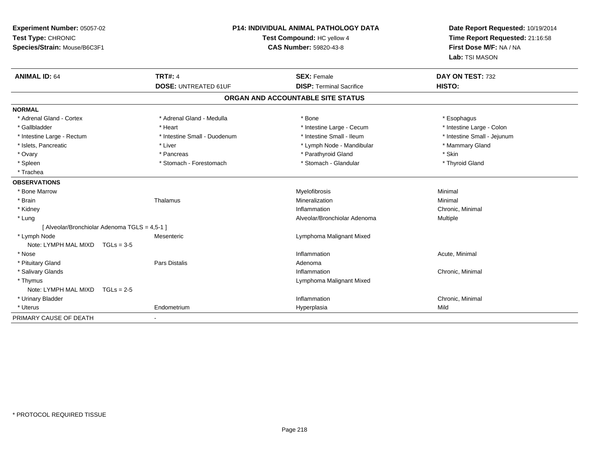| Experiment Number: 05057-02<br>Test Type: CHRONIC |                                               | <b>P14: INDIVIDUAL ANIMAL PATHOLOGY DATA</b> |                                   | Date Report Requested: 10/19/2014 |
|---------------------------------------------------|-----------------------------------------------|----------------------------------------------|-----------------------------------|-----------------------------------|
|                                                   |                                               |                                              | Test Compound: HC yellow 4        | Time Report Requested: 21:16:58   |
| Species/Strain: Mouse/B6C3F1                      |                                               |                                              | <b>CAS Number: 59820-43-8</b>     | First Dose M/F: NA / NA           |
|                                                   |                                               |                                              |                                   | Lab: TSI MASON                    |
| <b>ANIMAL ID: 64</b>                              | <b>TRT#: 4</b>                                |                                              | <b>SEX: Female</b>                | DAY ON TEST: 732                  |
|                                                   | <b>DOSE: UNTREATED 61UF</b>                   |                                              | <b>DISP: Terminal Sacrifice</b>   | HISTO:                            |
|                                                   |                                               |                                              | ORGAN AND ACCOUNTABLE SITE STATUS |                                   |
| <b>NORMAL</b>                                     |                                               |                                              |                                   |                                   |
| * Adrenal Gland - Cortex                          | * Adrenal Gland - Medulla                     |                                              | * Bone                            | * Esophagus                       |
| * Gallbladder                                     | * Heart                                       |                                              | * Intestine Large - Cecum         | * Intestine Large - Colon         |
| * Intestine Large - Rectum                        | * Intestine Small - Duodenum                  |                                              | * Intestine Small - Ileum         | * Intestine Small - Jejunum       |
| * Islets, Pancreatic                              | * Liver                                       |                                              | * Lymph Node - Mandibular         | * Mammary Gland                   |
| * Ovary                                           | * Pancreas                                    |                                              | * Parathyroid Gland               | * Skin                            |
| * Spleen                                          | * Stomach - Forestomach                       |                                              | * Stomach - Glandular             | * Thyroid Gland                   |
| * Trachea                                         |                                               |                                              |                                   |                                   |
| <b>OBSERVATIONS</b>                               |                                               |                                              |                                   |                                   |
| * Bone Marrow                                     |                                               |                                              | Myelofibrosis                     | Minimal                           |
| * Brain                                           | Thalamus                                      |                                              | Mineralization                    | Minimal                           |
| * Kidney                                          |                                               |                                              | Inflammation                      | Chronic, Minimal                  |
| * Lung                                            |                                               |                                              | Alveolar/Bronchiolar Adenoma      | Multiple                          |
|                                                   | [ Alveolar/Bronchiolar Adenoma TGLS = 4,5-1 ] |                                              |                                   |                                   |
| * Lymph Node                                      | Mesenteric                                    |                                              | Lymphoma Malignant Mixed          |                                   |
| Note: LYMPH MAL MIXD                              | $TGLs = 3-5$                                  |                                              |                                   |                                   |
| * Nose                                            |                                               |                                              | Inflammation                      | Acute, Minimal                    |
| * Pituitary Gland                                 | <b>Pars Distalis</b>                          |                                              | Adenoma                           |                                   |
| * Salivary Glands                                 |                                               |                                              | Inflammation                      | Chronic, Minimal                  |
| * Thymus                                          |                                               |                                              | Lymphoma Malignant Mixed          |                                   |
| Note: LYMPH MAL MIXD                              | $TGLs = 2-5$                                  |                                              |                                   |                                   |
| * Urinary Bladder                                 |                                               |                                              | Inflammation                      | Chronic, Minimal                  |
| * Uterus                                          | Endometrium                                   |                                              | Hyperplasia                       | Mild                              |
| PRIMARY CAUSE OF DEATH                            |                                               |                                              |                                   |                                   |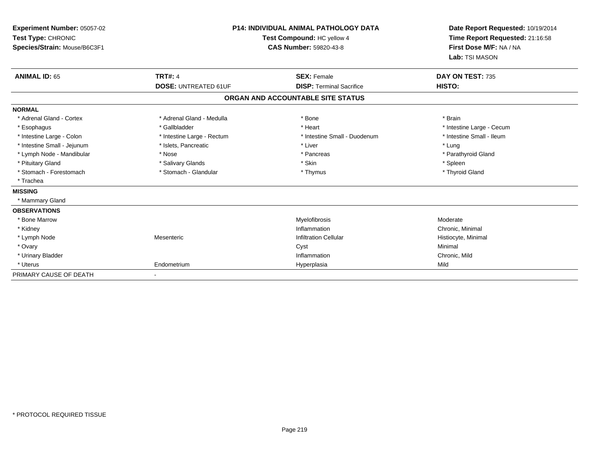| Experiment Number: 05057-02<br>Test Type: CHRONIC<br>Species/Strain: Mouse/B6C3F1 |                             | <b>P14: INDIVIDUAL ANIMAL PATHOLOGY DATA</b><br>Test Compound: HC yellow 4<br><b>CAS Number: 59820-43-8</b> | Date Report Requested: 10/19/2014<br>Time Report Requested: 21:16:58<br>First Dose M/F: NA / NA<br>Lab: TSI MASON |
|-----------------------------------------------------------------------------------|-----------------------------|-------------------------------------------------------------------------------------------------------------|-------------------------------------------------------------------------------------------------------------------|
| <b>ANIMAL ID: 65</b>                                                              | <b>TRT#: 4</b>              | <b>SEX: Female</b>                                                                                          | DAY ON TEST: 735                                                                                                  |
|                                                                                   | <b>DOSE: UNTREATED 61UF</b> | <b>DISP: Terminal Sacrifice</b>                                                                             | HISTO:                                                                                                            |
|                                                                                   |                             | ORGAN AND ACCOUNTABLE SITE STATUS                                                                           |                                                                                                                   |
| <b>NORMAL</b>                                                                     |                             |                                                                                                             |                                                                                                                   |
| * Adrenal Gland - Cortex                                                          | * Adrenal Gland - Medulla   | * Bone                                                                                                      | * Brain                                                                                                           |
| * Esophagus                                                                       | * Gallbladder               | * Heart                                                                                                     | * Intestine Large - Cecum                                                                                         |
| * Intestine Large - Colon                                                         | * Intestine Large - Rectum  | * Intestine Small - Duodenum                                                                                | * Intestine Small - Ileum                                                                                         |
| * Intestine Small - Jejunum                                                       | * Islets, Pancreatic        | * Liver                                                                                                     | * Lung                                                                                                            |
| * Lymph Node - Mandibular                                                         | * Nose                      | * Pancreas                                                                                                  | * Parathyroid Gland                                                                                               |
| * Pituitary Gland                                                                 | * Salivary Glands           | * Skin                                                                                                      | * Spleen                                                                                                          |
| * Stomach - Forestomach                                                           | * Stomach - Glandular       | * Thymus                                                                                                    | * Thyroid Gland                                                                                                   |
| * Trachea                                                                         |                             |                                                                                                             |                                                                                                                   |
| <b>MISSING</b>                                                                    |                             |                                                                                                             |                                                                                                                   |
| * Mammary Gland                                                                   |                             |                                                                                                             |                                                                                                                   |
| <b>OBSERVATIONS</b>                                                               |                             |                                                                                                             |                                                                                                                   |
| * Bone Marrow                                                                     |                             | Myelofibrosis                                                                                               | Moderate                                                                                                          |
| * Kidney                                                                          |                             | Inflammation                                                                                                | Chronic, Minimal                                                                                                  |
| * Lymph Node                                                                      | Mesenteric                  | <b>Infiltration Cellular</b>                                                                                | Histiocyte, Minimal                                                                                               |
| * Ovary                                                                           |                             | Cyst                                                                                                        | Minimal                                                                                                           |
| * Urinary Bladder                                                                 |                             | Inflammation                                                                                                | Chronic, Mild                                                                                                     |
| * Uterus                                                                          | Endometrium                 | Hyperplasia                                                                                                 | Mild                                                                                                              |
| PRIMARY CAUSE OF DEATH                                                            |                             |                                                                                                             |                                                                                                                   |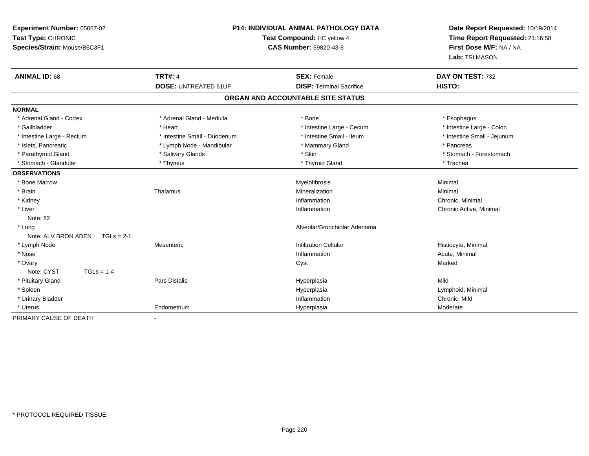| Experiment Number: 05057-02         |                              | <b>P14: INDIVIDUAL ANIMAL PATHOLOGY DATA</b> | Date Report Requested: 10/19/2014 |
|-------------------------------------|------------------------------|----------------------------------------------|-----------------------------------|
| Test Type: CHRONIC                  | Test Compound: HC yellow 4   |                                              | Time Report Requested: 21:16:58   |
| Species/Strain: Mouse/B6C3F1        |                              | <b>CAS Number: 59820-43-8</b>                | First Dose M/F: NA / NA           |
|                                     |                              |                                              | Lab: TSI MASON                    |
| <b>ANIMAL ID: 68</b>                | <b>TRT#: 4</b>               | <b>SEX: Female</b>                           | DAY ON TEST: 732                  |
|                                     | <b>DOSE: UNTREATED 61UF</b>  | <b>DISP: Terminal Sacrifice</b>              | HISTO:                            |
|                                     |                              | ORGAN AND ACCOUNTABLE SITE STATUS            |                                   |
| <b>NORMAL</b>                       |                              |                                              |                                   |
| * Adrenal Gland - Cortex            | * Adrenal Gland - Medulla    | * Bone                                       | * Esophagus                       |
| * Gallbladder                       | * Heart                      | * Intestine Large - Cecum                    | * Intestine Large - Colon         |
| * Intestine Large - Rectum          | * Intestine Small - Duodenum | * Intestine Small - Ileum                    | * Intestine Small - Jejunum       |
| * Islets, Pancreatic                | * Lymph Node - Mandibular    | * Mammary Gland                              | * Pancreas                        |
| * Parathyroid Gland                 | * Salivary Glands            | * Skin                                       | * Stomach - Forestomach           |
| * Stomach - Glandular               | * Thymus                     | * Thyroid Gland                              | * Trachea                         |
| <b>OBSERVATIONS</b>                 |                              |                                              |                                   |
| * Bone Marrow                       |                              | Myelofibrosis                                | Minimal                           |
| * Brain                             | Thalamus                     | Mineralization                               | Minimal                           |
| * Kidney                            |                              | Inflammation                                 | Chronic, Minimal                  |
| * Liver                             |                              | Inflammation                                 | Chronic Active, Minimal           |
| Note: 82                            |                              |                                              |                                   |
| * Lung                              |                              | Alveolar/Bronchiolar Adenoma                 |                                   |
| Note: ALV BRON ADEN<br>$TGLs = 2-1$ |                              |                                              |                                   |
| * Lymph Node                        | Mesenteric                   | <b>Infiltration Cellular</b>                 | Histiocyte, Minimal               |
| * Nose                              |                              | Inflammation                                 | Acute, Minimal                    |
| * Ovary                             |                              | Cyst                                         | Marked                            |
| Note: CYST<br>$TGLs = 1-4$          |                              |                                              |                                   |
| * Pituitary Gland                   | <b>Pars Distalis</b>         | Hyperplasia                                  | Mild                              |
| * Spleen                            |                              | Hyperplasia                                  | Lymphoid, Minimal                 |
| * Urinary Bladder                   |                              | Inflammation                                 | Chronic, Mild                     |
| * Uterus                            | Endometrium                  | Hyperplasia                                  | Moderate                          |
| PRIMARY CAUSE OF DEATH              |                              |                                              |                                   |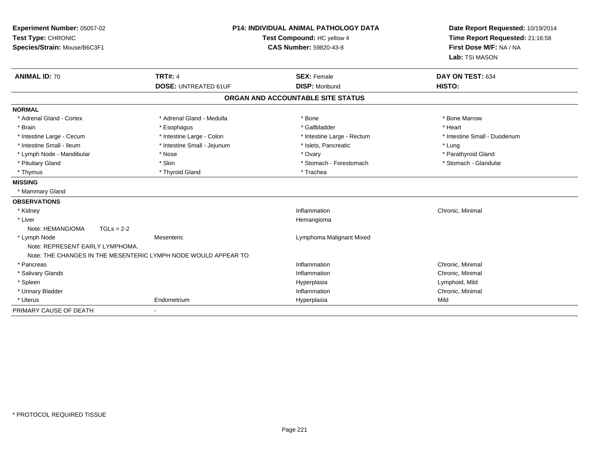| Experiment Number: 05057-02<br>Test Type: CHRONIC<br>Species/Strain: Mouse/B6C3F1 |                                                                | <b>P14: INDIVIDUAL ANIMAL PATHOLOGY DATA</b><br>Test Compound: HC yellow 4<br><b>CAS Number: 59820-43-8</b> | Date Report Requested: 10/19/2014<br>Time Report Requested: 21:16:58<br>First Dose M/F: NA / NA<br>Lab: TSI MASON |
|-----------------------------------------------------------------------------------|----------------------------------------------------------------|-------------------------------------------------------------------------------------------------------------|-------------------------------------------------------------------------------------------------------------------|
| <b>ANIMAL ID: 70</b>                                                              | <b>TRT#: 4</b><br><b>DOSE: UNTREATED 61UF</b>                  | <b>SEX: Female</b><br><b>DISP: Moribund</b>                                                                 | DAY ON TEST: 634<br>HISTO:                                                                                        |
|                                                                                   |                                                                | ORGAN AND ACCOUNTABLE SITE STATUS                                                                           |                                                                                                                   |
|                                                                                   |                                                                |                                                                                                             |                                                                                                                   |
| <b>NORMAL</b>                                                                     |                                                                |                                                                                                             |                                                                                                                   |
| * Adrenal Gland - Cortex                                                          | * Adrenal Gland - Medulla                                      | * Bone                                                                                                      | * Bone Marrow                                                                                                     |
| * Brain                                                                           | * Esophagus                                                    | * Gallbladder                                                                                               | * Heart                                                                                                           |
| * Intestine Large - Cecum                                                         | * Intestine Large - Colon                                      | * Intestine Large - Rectum                                                                                  | * Intestine Small - Duodenum                                                                                      |
| * Intestine Small - Ileum                                                         | * Intestine Small - Jejunum                                    | * Islets, Pancreatic                                                                                        | * Lung                                                                                                            |
| * Lymph Node - Mandibular                                                         | * Nose                                                         | * Ovary                                                                                                     | * Parathyroid Gland                                                                                               |
| * Pituitary Gland                                                                 | * Skin                                                         | * Stomach - Forestomach                                                                                     | * Stomach - Glandular                                                                                             |
| * Thymus                                                                          | * Thyroid Gland                                                | * Trachea                                                                                                   |                                                                                                                   |
| <b>MISSING</b>                                                                    |                                                                |                                                                                                             |                                                                                                                   |
| * Mammary Gland                                                                   |                                                                |                                                                                                             |                                                                                                                   |
| <b>OBSERVATIONS</b>                                                               |                                                                |                                                                                                             |                                                                                                                   |
| * Kidney                                                                          |                                                                | Inflammation                                                                                                | Chronic, Minimal                                                                                                  |
| * Liver                                                                           |                                                                | Hemangioma                                                                                                  |                                                                                                                   |
| Note: HEMANGIOMA                                                                  | $TGLs = 2-2$                                                   |                                                                                                             |                                                                                                                   |
| * Lymph Node                                                                      | Mesenteric                                                     | Lymphoma Malignant Mixed                                                                                    |                                                                                                                   |
| Note: REPRESENT EARLY LYMPHOMA.                                                   |                                                                |                                                                                                             |                                                                                                                   |
|                                                                                   | Note: THE CHANGES IN THE MESENTERIC LYMPH NODE WOULD APPEAR TO |                                                                                                             |                                                                                                                   |
| * Pancreas                                                                        |                                                                | Inflammation                                                                                                | Chronic, Minimal                                                                                                  |
| * Salivary Glands                                                                 |                                                                | Inflammation                                                                                                | Chronic, Minimal                                                                                                  |
| * Spleen                                                                          |                                                                | Hyperplasia                                                                                                 | Lymphoid, Mild                                                                                                    |
| * Urinary Bladder                                                                 |                                                                | Inflammation                                                                                                | Chronic, Minimal                                                                                                  |
| * Uterus                                                                          | Endometrium                                                    | Hyperplasia                                                                                                 | Mild                                                                                                              |
| PRIMARY CAUSE OF DEATH                                                            |                                                                |                                                                                                             |                                                                                                                   |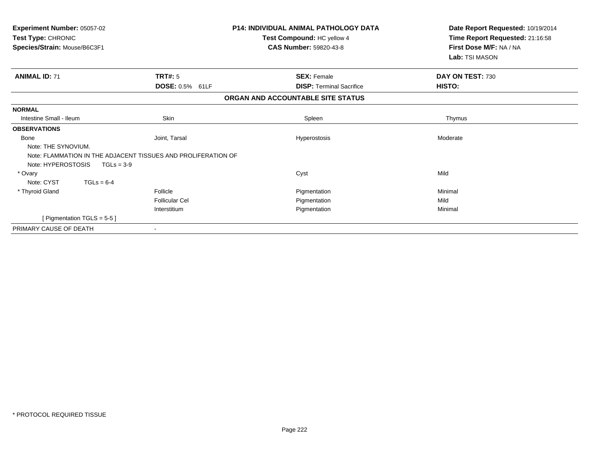| Experiment Number: 05057-02<br>Test Type: CHRONIC<br>Species/Strain: Mouse/B6C3F1                   |                       | <b>P14: INDIVIDUAL ANIMAL PATHOLOGY DATA</b><br>Test Compound: HC yellow 4<br><b>CAS Number: 59820-43-8</b> | Date Report Requested: 10/19/2014<br>Time Report Requested: 21:16:58<br>First Dose M/F: NA / NA<br>Lab: TSI MASON |
|-----------------------------------------------------------------------------------------------------|-----------------------|-------------------------------------------------------------------------------------------------------------|-------------------------------------------------------------------------------------------------------------------|
| <b>ANIMAL ID: 71</b>                                                                                | <b>TRT#: 5</b>        | <b>SEX: Female</b>                                                                                          | DAY ON TEST: 730                                                                                                  |
|                                                                                                     | DOSE: 0.5% 61LF       | <b>DISP: Terminal Sacrifice</b>                                                                             | HISTO:                                                                                                            |
|                                                                                                     |                       | ORGAN AND ACCOUNTABLE SITE STATUS                                                                           |                                                                                                                   |
| <b>NORMAL</b>                                                                                       |                       |                                                                                                             |                                                                                                                   |
| Intestine Small - Ileum                                                                             | <b>Skin</b>           | Spleen                                                                                                      | Thymus                                                                                                            |
| <b>OBSERVATIONS</b>                                                                                 |                       |                                                                                                             |                                                                                                                   |
| <b>Bone</b><br>Note: THE SYNOVIUM.                                                                  | Joint, Tarsal         | Hyperostosis                                                                                                | Moderate                                                                                                          |
| Note: FLAMMATION IN THE ADJACENT TISSUES AND PROLIFERATION OF<br>Note: HYPEROSTOSIS<br>$TGLs = 3-9$ |                       |                                                                                                             |                                                                                                                   |
| * Ovary                                                                                             |                       | Cyst                                                                                                        | Mild                                                                                                              |
| Note: CYST<br>$TGLs = 6-4$                                                                          |                       |                                                                                                             |                                                                                                                   |
| * Thyroid Gland                                                                                     | Follicle              | Pigmentation                                                                                                | Minimal                                                                                                           |
|                                                                                                     | <b>Follicular Cel</b> | Pigmentation                                                                                                | Mild                                                                                                              |
|                                                                                                     | Interstitium          | Pigmentation                                                                                                | Minimal                                                                                                           |
| [ Pigmentation TGLS = $5-5$ ]                                                                       |                       |                                                                                                             |                                                                                                                   |
| PRIMARY CAUSE OF DEATH                                                                              |                       |                                                                                                             |                                                                                                                   |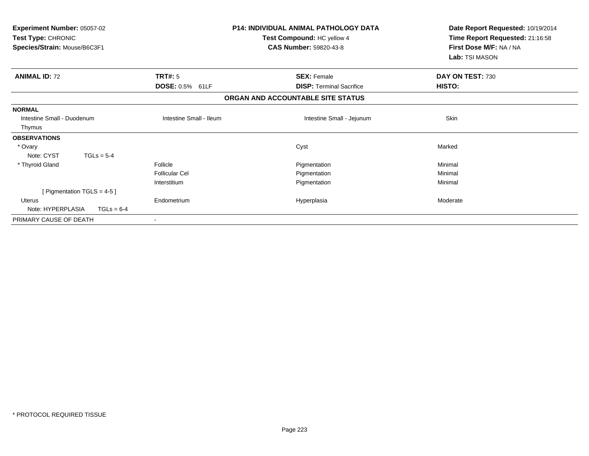| Experiment Number: 05057-02<br>Test Type: CHRONIC<br>Species/Strain: Mouse/B6C3F1 | <b>P14: INDIVIDUAL ANIMAL PATHOLOGY DATA</b><br>Test Compound: HC yellow 4<br><b>CAS Number: 59820-43-8</b> |                                   | Date Report Requested: 10/19/2014<br>Time Report Requested: 21:16:58<br>First Dose M/F: NA / NA<br>Lab: TSI MASON |
|-----------------------------------------------------------------------------------|-------------------------------------------------------------------------------------------------------------|-----------------------------------|-------------------------------------------------------------------------------------------------------------------|
| <b>ANIMAL ID: 72</b>                                                              | TRT#: 5                                                                                                     | <b>SEX: Female</b>                | DAY ON TEST: 730                                                                                                  |
|                                                                                   | DOSE: 0.5% 61LF                                                                                             | <b>DISP:</b> Terminal Sacrifice   | HISTO:                                                                                                            |
|                                                                                   |                                                                                                             | ORGAN AND ACCOUNTABLE SITE STATUS |                                                                                                                   |
| <b>NORMAL</b>                                                                     |                                                                                                             |                                   |                                                                                                                   |
| Intestine Small - Duodenum                                                        | Intestine Small - Ileum                                                                                     | Intestine Small - Jejunum         | Skin                                                                                                              |
| Thymus                                                                            |                                                                                                             |                                   |                                                                                                                   |
| <b>OBSERVATIONS</b>                                                               |                                                                                                             |                                   |                                                                                                                   |
| * Ovary                                                                           |                                                                                                             | Cyst                              | Marked                                                                                                            |
| Note: CYST<br>$TGLs = 5-4$                                                        |                                                                                                             |                                   |                                                                                                                   |
| * Thyroid Gland                                                                   | Follicle                                                                                                    | Pigmentation                      | Minimal                                                                                                           |
|                                                                                   | <b>Follicular Cel</b>                                                                                       | Pigmentation                      | Minimal                                                                                                           |
|                                                                                   | Interstitium                                                                                                | Pigmentation                      | Minimal                                                                                                           |
| [ Pigmentation TGLS = $4-5$ ]                                                     |                                                                                                             |                                   |                                                                                                                   |
| Uterus                                                                            | Endometrium                                                                                                 | Hyperplasia                       | Moderate                                                                                                          |
| Note: HYPERPLASIA<br>$TGLs = 6-4$                                                 |                                                                                                             |                                   |                                                                                                                   |
| PRIMARY CAUSE OF DEATH                                                            |                                                                                                             |                                   |                                                                                                                   |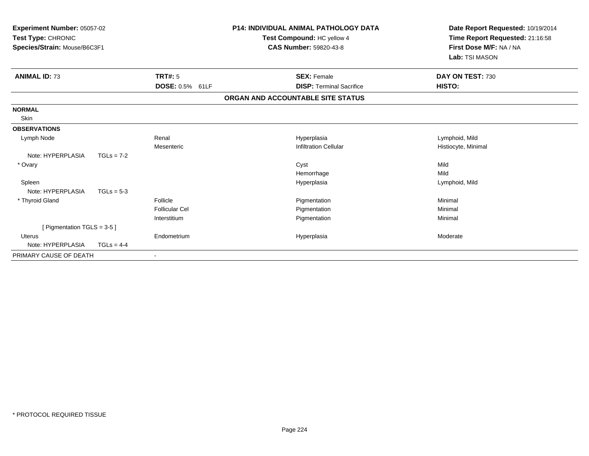| Experiment Number: 05057-02<br>Test Type: CHRONIC<br>Species/Strain: Mouse/B6C3F1 |              |                       | <b>P14: INDIVIDUAL ANIMAL PATHOLOGY DATA</b><br>Test Compound: HC yellow 4<br><b>CAS Number: 59820-43-8</b> | Date Report Requested: 10/19/2014<br>Time Report Requested: 21:16:58<br>First Dose M/F: NA / NA<br>Lab: TSI MASON |
|-----------------------------------------------------------------------------------|--------------|-----------------------|-------------------------------------------------------------------------------------------------------------|-------------------------------------------------------------------------------------------------------------------|
| <b>ANIMAL ID: 73</b>                                                              |              | <b>TRT#: 5</b>        | <b>SEX: Female</b>                                                                                          | DAY ON TEST: 730                                                                                                  |
|                                                                                   |              | DOSE: 0.5% 61LF       | <b>DISP: Terminal Sacrifice</b>                                                                             | HISTO:                                                                                                            |
|                                                                                   |              |                       | ORGAN AND ACCOUNTABLE SITE STATUS                                                                           |                                                                                                                   |
| <b>NORMAL</b>                                                                     |              |                       |                                                                                                             |                                                                                                                   |
| Skin                                                                              |              |                       |                                                                                                             |                                                                                                                   |
| <b>OBSERVATIONS</b>                                                               |              |                       |                                                                                                             |                                                                                                                   |
| Lymph Node                                                                        |              | Renal                 | Hyperplasia                                                                                                 | Lymphoid, Mild                                                                                                    |
|                                                                                   |              | Mesenteric            | <b>Infiltration Cellular</b>                                                                                | Histiocyte, Minimal                                                                                               |
| Note: HYPERPLASIA                                                                 | $TGLs = 7-2$ |                       |                                                                                                             |                                                                                                                   |
| * Ovary                                                                           |              |                       | Cyst                                                                                                        | Mild                                                                                                              |
|                                                                                   |              |                       | Hemorrhage                                                                                                  | Mild                                                                                                              |
| Spleen                                                                            |              |                       | Hyperplasia                                                                                                 | Lymphoid, Mild                                                                                                    |
| Note: HYPERPLASIA                                                                 | $TGLs = 5-3$ |                       |                                                                                                             |                                                                                                                   |
| * Thyroid Gland                                                                   |              | Follicle              | Pigmentation                                                                                                | Minimal                                                                                                           |
|                                                                                   |              | <b>Follicular Cel</b> | Pigmentation                                                                                                | Minimal                                                                                                           |
|                                                                                   |              | Interstitium          | Pigmentation                                                                                                | Minimal                                                                                                           |
| [ Pigmentation TGLS = $3-5$ ]                                                     |              |                       |                                                                                                             |                                                                                                                   |
| <b>Uterus</b>                                                                     |              | Endometrium           | Hyperplasia                                                                                                 | Moderate                                                                                                          |
| Note: HYPERPLASIA                                                                 | $TGLs = 4-4$ |                       |                                                                                                             |                                                                                                                   |
| PRIMARY CAUSE OF DEATH                                                            |              |                       |                                                                                                             |                                                                                                                   |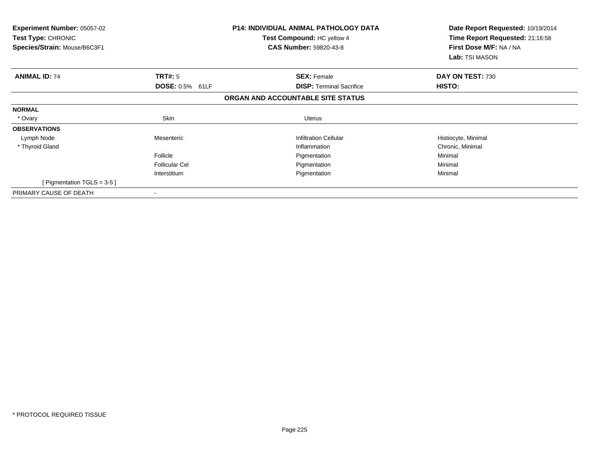| <b>Experiment Number: 05057-02</b><br>Test Type: CHRONIC<br>Species/Strain: Mouse/B6C3F1 |                       | <b>P14: INDIVIDUAL ANIMAL PATHOLOGY DATA</b><br>Test Compound: HC yellow 4<br><b>CAS Number: 59820-43-8</b> | Date Report Requested: 10/19/2014<br>Time Report Requested: 21:16:58<br>First Dose M/F: NA / NA<br>Lab: TSI MASON |
|------------------------------------------------------------------------------------------|-----------------------|-------------------------------------------------------------------------------------------------------------|-------------------------------------------------------------------------------------------------------------------|
| <b>ANIMAL ID: 74</b>                                                                     | TRT#: 5               | <b>SEX: Female</b>                                                                                          | DAY ON TEST: 730                                                                                                  |
|                                                                                          | DOSE: 0.5% 61LF       | <b>DISP:</b> Terminal Sacrifice                                                                             | HISTO:                                                                                                            |
|                                                                                          |                       | ORGAN AND ACCOUNTABLE SITE STATUS                                                                           |                                                                                                                   |
| <b>NORMAL</b>                                                                            |                       |                                                                                                             |                                                                                                                   |
| * Ovary                                                                                  | Skin                  | Uterus                                                                                                      |                                                                                                                   |
| <b>OBSERVATIONS</b>                                                                      |                       |                                                                                                             |                                                                                                                   |
| Lymph Node                                                                               | Mesenteric            | <b>Infiltration Cellular</b>                                                                                | Histiocyte, Minimal                                                                                               |
| * Thyroid Gland                                                                          |                       | Inflammation                                                                                                | Chronic, Minimal                                                                                                  |
|                                                                                          | Follicle              | Pigmentation                                                                                                | Minimal                                                                                                           |
|                                                                                          | <b>Follicular Cel</b> | Pigmentation                                                                                                | Minimal                                                                                                           |
|                                                                                          | Interstitium          | Pigmentation                                                                                                | Minimal                                                                                                           |
| [ Pigmentation TGLS = $3-5$ ]                                                            |                       |                                                                                                             |                                                                                                                   |
| PRIMARY CAUSE OF DEATH                                                                   |                       |                                                                                                             |                                                                                                                   |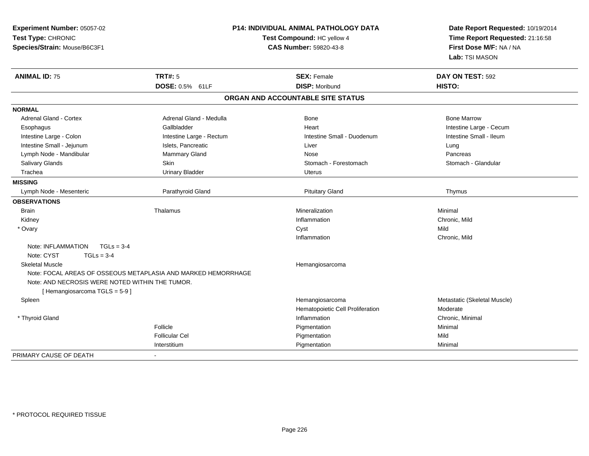| Experiment Number: 05057-02<br>Test Type: CHRONIC<br>Species/Strain: Mouse/B6C3F1 |                                                               | P14: INDIVIDUAL ANIMAL PATHOLOGY DATA<br>Test Compound: HC yellow 4<br><b>CAS Number: 59820-43-8</b> | Date Report Requested: 10/19/2014<br>Time Report Requested: 21:16:58<br>First Dose M/F: NA / NA<br>Lab: TSI MASON |
|-----------------------------------------------------------------------------------|---------------------------------------------------------------|------------------------------------------------------------------------------------------------------|-------------------------------------------------------------------------------------------------------------------|
| <b>ANIMAL ID: 75</b>                                                              | <b>TRT#: 5</b>                                                | <b>SEX: Female</b>                                                                                   | DAY ON TEST: 592                                                                                                  |
|                                                                                   | DOSE: 0.5% 61LF                                               | <b>DISP: Moribund</b>                                                                                | HISTO:                                                                                                            |
|                                                                                   |                                                               | ORGAN AND ACCOUNTABLE SITE STATUS                                                                    |                                                                                                                   |
| <b>NORMAL</b>                                                                     |                                                               |                                                                                                      |                                                                                                                   |
| <b>Adrenal Gland - Cortex</b>                                                     | Adrenal Gland - Medulla                                       | Bone                                                                                                 | <b>Bone Marrow</b>                                                                                                |
| Esophagus                                                                         | Gallbladder                                                   | Heart                                                                                                | Intestine Large - Cecum                                                                                           |
| Intestine Large - Colon                                                           | Intestine Large - Rectum                                      | Intestine Small - Duodenum                                                                           | Intestine Small - Ileum                                                                                           |
| Intestine Small - Jejunum                                                         | Islets, Pancreatic                                            | Liver                                                                                                | Lung                                                                                                              |
| Lymph Node - Mandibular                                                           | Mammary Gland                                                 | <b>Nose</b>                                                                                          | Pancreas                                                                                                          |
| Salivary Glands                                                                   | <b>Skin</b>                                                   | Stomach - Forestomach                                                                                | Stomach - Glandular                                                                                               |
| Trachea                                                                           | <b>Urinary Bladder</b>                                        | <b>Uterus</b>                                                                                        |                                                                                                                   |
| <b>MISSING</b>                                                                    |                                                               |                                                                                                      |                                                                                                                   |
| Lymph Node - Mesenteric                                                           | Parathyroid Gland                                             | <b>Pituitary Gland</b>                                                                               | Thymus                                                                                                            |
| <b>OBSERVATIONS</b>                                                               |                                                               |                                                                                                      |                                                                                                                   |
| <b>Brain</b>                                                                      | Thalamus                                                      | Mineralization                                                                                       | Minimal                                                                                                           |
| Kidney                                                                            |                                                               | Inflammation                                                                                         | Chronic, Mild                                                                                                     |
| * Ovary                                                                           |                                                               | Cyst                                                                                                 | Mild                                                                                                              |
|                                                                                   |                                                               | Inflammation                                                                                         | Chronic, Mild                                                                                                     |
| Note: INFLAMMATION<br>$TGLs = 3-4$                                                |                                                               |                                                                                                      |                                                                                                                   |
| Note: CYST<br>$TGLs = 3-4$                                                        |                                                               |                                                                                                      |                                                                                                                   |
| <b>Skeletal Muscle</b>                                                            |                                                               | Hemangiosarcoma                                                                                      |                                                                                                                   |
|                                                                                   | Note: FOCAL AREAS OF OSSEOUS METAPLASIA AND MARKED HEMORRHAGE |                                                                                                      |                                                                                                                   |
| Note: AND NECROSIS WERE NOTED WITHIN THE TUMOR.                                   |                                                               |                                                                                                      |                                                                                                                   |
| [Hemangiosarcoma TGLS = 5-9]                                                      |                                                               |                                                                                                      |                                                                                                                   |
| Spleen                                                                            |                                                               | Hemangiosarcoma                                                                                      | Metastatic (Skeletal Muscle)                                                                                      |
|                                                                                   |                                                               | Hematopoietic Cell Proliferation                                                                     | Moderate                                                                                                          |
| * Thyroid Gland                                                                   |                                                               | Inflammation                                                                                         | Chronic, Minimal                                                                                                  |
|                                                                                   | Follicle                                                      | Pigmentation                                                                                         | Minimal                                                                                                           |
|                                                                                   | <b>Follicular Cel</b>                                         | Pigmentation                                                                                         | Mild                                                                                                              |
|                                                                                   | Interstitium                                                  | Pigmentation                                                                                         | Minimal                                                                                                           |
| PRIMARY CAUSE OF DEATH                                                            |                                                               |                                                                                                      |                                                                                                                   |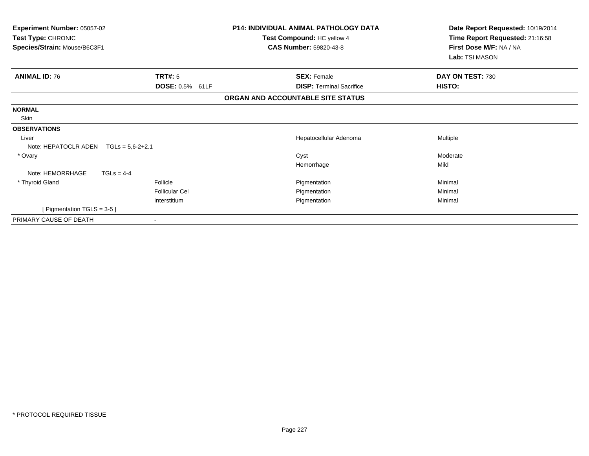| Experiment Number: 05057-02<br>Test Type: CHRONIC<br>Species/Strain: Mouse/B6C3F1 |                    | P14: INDIVIDUAL ANIMAL PATHOLOGY DATA<br>Test Compound: HC yellow 4<br><b>CAS Number: 59820-43-8</b> | Date Report Requested: 10/19/2014<br>Time Report Requested: 21:16:58<br>First Dose M/F: NA / NA<br>Lab: TSI MASON |
|-----------------------------------------------------------------------------------|--------------------|------------------------------------------------------------------------------------------------------|-------------------------------------------------------------------------------------------------------------------|
| <b>ANIMAL ID: 76</b>                                                              | TRT#: 5            | <b>SEX: Female</b>                                                                                   | DAY ON TEST: 730                                                                                                  |
|                                                                                   | DOSE: 0.5% 61LF    | <b>DISP: Terminal Sacrifice</b>                                                                      | HISTO:                                                                                                            |
|                                                                                   |                    | ORGAN AND ACCOUNTABLE SITE STATUS                                                                    |                                                                                                                   |
| <b>NORMAL</b>                                                                     |                    |                                                                                                      |                                                                                                                   |
| Skin                                                                              |                    |                                                                                                      |                                                                                                                   |
| <b>OBSERVATIONS</b>                                                               |                    |                                                                                                      |                                                                                                                   |
| Liver                                                                             |                    | Hepatocellular Adenoma                                                                               | Multiple                                                                                                          |
| Note: HEPATOCLR ADEN                                                              | $TGLs = 5.6-2+2.1$ |                                                                                                      |                                                                                                                   |
| * Ovary                                                                           |                    | Cyst                                                                                                 | Moderate                                                                                                          |
|                                                                                   |                    | Hemorrhage                                                                                           | Mild                                                                                                              |
| Note: HEMORRHAGE                                                                  | $TGLs = 4-4$       |                                                                                                      |                                                                                                                   |
| * Thyroid Gland                                                                   | Follicle           | Pigmentation                                                                                         | Minimal                                                                                                           |
|                                                                                   | Follicular Cel     | Pigmentation                                                                                         | Minimal                                                                                                           |
|                                                                                   | Interstitium       | Pigmentation                                                                                         | Minimal                                                                                                           |
| [ Pigmentation TGLS = 3-5 ]                                                       |                    |                                                                                                      |                                                                                                                   |
| PRIMARY CAUSE OF DEATH                                                            |                    |                                                                                                      |                                                                                                                   |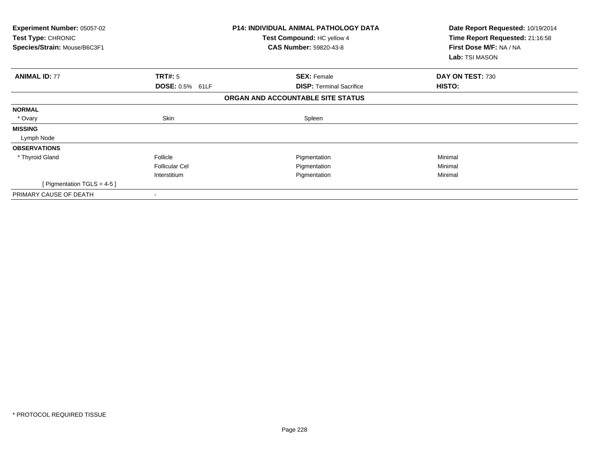| Experiment Number: 05057-02<br><b>Test Type: CHRONIC</b><br>Species/Strain: Mouse/B6C3F1 |                       | <b>P14: INDIVIDUAL ANIMAL PATHOLOGY DATA</b><br>Test Compound: HC yellow 4<br><b>CAS Number: 59820-43-8</b> | Date Report Requested: 10/19/2014<br>Time Report Requested: 21:16:58<br>First Dose M/F: NA / NA<br>Lab: TSI MASON |
|------------------------------------------------------------------------------------------|-----------------------|-------------------------------------------------------------------------------------------------------------|-------------------------------------------------------------------------------------------------------------------|
| <b>ANIMAL ID: 77</b>                                                                     | TRT#: 5               | <b>SEX: Female</b>                                                                                          | DAY ON TEST: 730                                                                                                  |
|                                                                                          | DOSE: 0.5% 61LF       | <b>DISP:</b> Terminal Sacrifice                                                                             | <b>HISTO:</b>                                                                                                     |
|                                                                                          |                       | ORGAN AND ACCOUNTABLE SITE STATUS                                                                           |                                                                                                                   |
| <b>NORMAL</b>                                                                            |                       |                                                                                                             |                                                                                                                   |
| * Ovary                                                                                  | Skin                  | Spleen                                                                                                      |                                                                                                                   |
| <b>MISSING</b>                                                                           |                       |                                                                                                             |                                                                                                                   |
| Lymph Node                                                                               |                       |                                                                                                             |                                                                                                                   |
| <b>OBSERVATIONS</b>                                                                      |                       |                                                                                                             |                                                                                                                   |
| * Thyroid Gland                                                                          | Follicle              | Pigmentation                                                                                                | Minimal                                                                                                           |
|                                                                                          | <b>Follicular Cel</b> | Pigmentation                                                                                                | Minimal                                                                                                           |
|                                                                                          | Interstitium          | Pigmentation                                                                                                | Minimal                                                                                                           |
| [ Pigmentation TGLS = $4-5$ ]                                                            |                       |                                                                                                             |                                                                                                                   |
| PRIMARY CAUSE OF DEATH                                                                   |                       |                                                                                                             |                                                                                                                   |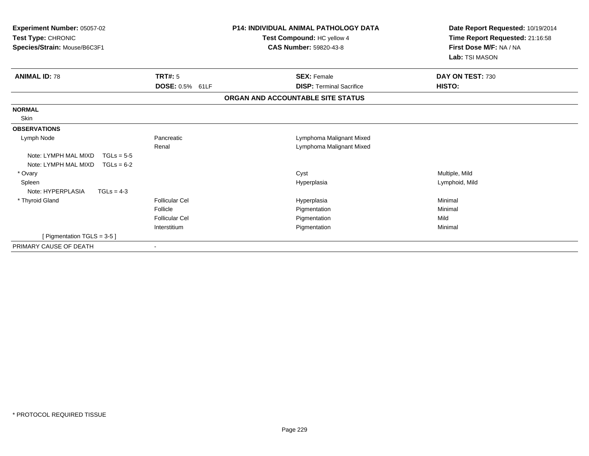| <b>Experiment Number: 05057-02</b><br>Test Type: CHRONIC<br>Species/Strain: Mouse/B6C3F1   |                                                                            | <b>P14: INDIVIDUAL ANIMAL PATHOLOGY DATA</b><br>Date Report Requested: 10/19/2014<br>Time Report Requested: 21:16:58<br>Test Compound: HC yellow 4<br>First Dose M/F: NA / NA<br><b>CAS Number: 59820-43-8</b><br>Lab: TSI MASON |                                       |
|--------------------------------------------------------------------------------------------|----------------------------------------------------------------------------|----------------------------------------------------------------------------------------------------------------------------------------------------------------------------------------------------------------------------------|---------------------------------------|
| <b>ANIMAL ID: 78</b>                                                                       | TRT#: 5                                                                    | <b>SEX: Female</b>                                                                                                                                                                                                               | DAY ON TEST: 730                      |
|                                                                                            | <b>DOSE: 0.5% 61LF</b>                                                     | <b>DISP: Terminal Sacrifice</b>                                                                                                                                                                                                  | HISTO:                                |
|                                                                                            |                                                                            | ORGAN AND ACCOUNTABLE SITE STATUS                                                                                                                                                                                                |                                       |
| <b>NORMAL</b><br>Skin                                                                      |                                                                            |                                                                                                                                                                                                                                  |                                       |
| <b>OBSERVATIONS</b>                                                                        |                                                                            |                                                                                                                                                                                                                                  |                                       |
| Lymph Node<br>Note: LYMPH MAL MIXD<br>$TGLs = 5-5$<br>Note: LYMPH MAL MIXD<br>$TGLs = 6-2$ | Pancreatic<br>Renal                                                        | Lymphoma Malignant Mixed<br>Lymphoma Malignant Mixed                                                                                                                                                                             |                                       |
| * Ovary<br>Spleen<br>Note: HYPERPLASIA<br>$TGLs = 4-3$                                     |                                                                            | Cyst<br>Hyperplasia                                                                                                                                                                                                              | Multiple, Mild<br>Lymphoid, Mild      |
| * Thyroid Gland                                                                            | <b>Follicular Cel</b><br>Follicle<br><b>Follicular Cel</b><br>Interstitium | Hyperplasia<br>Pigmentation<br>Pigmentation<br>Pigmentation                                                                                                                                                                      | Minimal<br>Minimal<br>Mild<br>Minimal |
| [ Pigmentation TGLS = $3-5$ ]                                                              |                                                                            |                                                                                                                                                                                                                                  |                                       |
| PRIMARY CAUSE OF DEATH                                                                     |                                                                            |                                                                                                                                                                                                                                  |                                       |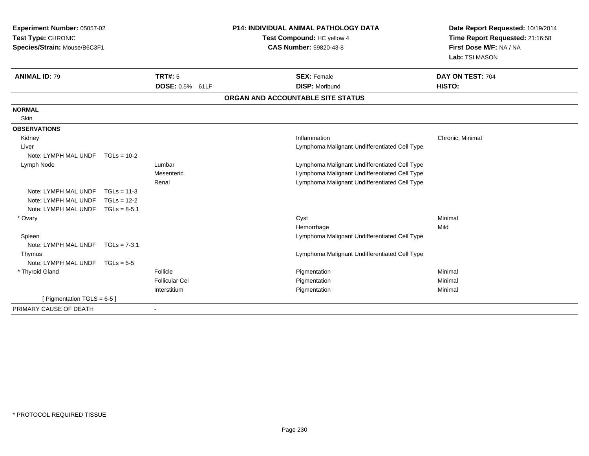| Experiment Number: 05057-02<br>Test Type: CHRONIC<br>Species/Strain: Mouse/B6C3F1 |                | <b>P14: INDIVIDUAL ANIMAL PATHOLOGY DATA</b><br>Test Compound: HC yellow 4<br><b>CAS Number: 59820-43-8</b> | Date Report Requested: 10/19/2014<br>Time Report Requested: 21:16:58<br>First Dose M/F: NA / NA<br>Lab: TSI MASON |                                               |                            |
|-----------------------------------------------------------------------------------|----------------|-------------------------------------------------------------------------------------------------------------|-------------------------------------------------------------------------------------------------------------------|-----------------------------------------------|----------------------------|
| <b>ANIMAL ID: 79</b>                                                              |                | TRT#: 5<br><b>DOSE: 0.5% 61LF</b>                                                                           |                                                                                                                   | <b>SEX: Female</b><br><b>DISP: Moribund</b>   | DAY ON TEST: 704<br>HISTO: |
|                                                                                   |                |                                                                                                             |                                                                                                                   | ORGAN AND ACCOUNTABLE SITE STATUS             |                            |
| <b>NORMAL</b><br>Skin                                                             |                |                                                                                                             |                                                                                                                   |                                               |                            |
| <b>OBSERVATIONS</b>                                                               |                |                                                                                                             |                                                                                                                   |                                               |                            |
| Kidney                                                                            |                |                                                                                                             |                                                                                                                   | Inflammation                                  | Chronic, Minimal           |
| Liver                                                                             |                |                                                                                                             |                                                                                                                   | Lymphoma Malignant Undifferentiated Cell Type |                            |
| Note: LYMPH MAL UNDF                                                              | $TGLs = 10-2$  |                                                                                                             |                                                                                                                   |                                               |                            |
| Lymph Node                                                                        |                | Lumbar                                                                                                      |                                                                                                                   | Lymphoma Malignant Undifferentiated Cell Type |                            |
|                                                                                   |                | Mesenteric                                                                                                  |                                                                                                                   | Lymphoma Malignant Undifferentiated Cell Type |                            |
|                                                                                   |                | Renal                                                                                                       |                                                                                                                   | Lymphoma Malignant Undifferentiated Cell Type |                            |
| Note: LYMPH MAL UNDF                                                              | $TGLs = 11-3$  |                                                                                                             |                                                                                                                   |                                               |                            |
| Note: LYMPH MAL UNDF                                                              | $TGLs = 12-2$  |                                                                                                             |                                                                                                                   |                                               |                            |
| Note: LYMPH MAL UNDF                                                              | $TGLs = 8-5.1$ |                                                                                                             |                                                                                                                   |                                               |                            |
| * Ovary                                                                           |                |                                                                                                             |                                                                                                                   | Cyst                                          | Minimal                    |
|                                                                                   |                |                                                                                                             |                                                                                                                   | Hemorrhage                                    | Mild                       |
| Spleen                                                                            |                |                                                                                                             |                                                                                                                   | Lymphoma Malignant Undifferentiated Cell Type |                            |
| Note: LYMPH MAL UNDF                                                              | $TGLs = 7-3.1$ |                                                                                                             |                                                                                                                   |                                               |                            |
| Thymus                                                                            |                |                                                                                                             |                                                                                                                   | Lymphoma Malignant Undifferentiated Cell Type |                            |
| Note: LYMPH MAL UNDF                                                              | $TGLs = 5-5$   |                                                                                                             |                                                                                                                   |                                               |                            |
| * Thyroid Gland                                                                   |                | Follicle                                                                                                    |                                                                                                                   | Pigmentation                                  | Minimal                    |
|                                                                                   |                | <b>Follicular Cel</b>                                                                                       |                                                                                                                   | Pigmentation                                  | Minimal                    |
|                                                                                   |                | Interstitium                                                                                                |                                                                                                                   | Pigmentation                                  | Minimal                    |
| [ Pigmentation TGLS = 6-5 ]                                                       |                |                                                                                                             |                                                                                                                   |                                               |                            |
| PRIMARY CAUSE OF DEATH                                                            |                | $\overline{\phantom{a}}$                                                                                    |                                                                                                                   |                                               |                            |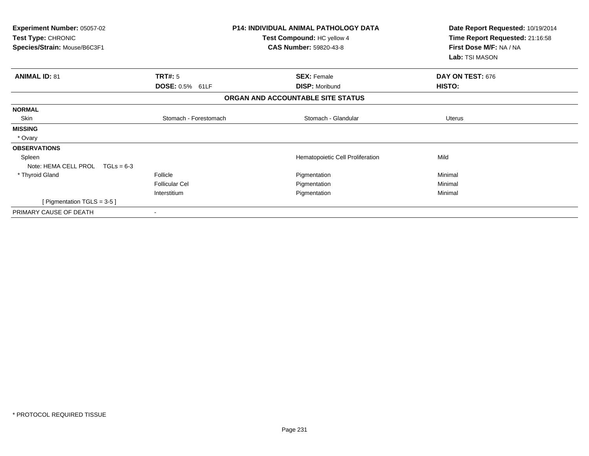| Experiment Number: 05057-02<br>Test Type: CHRONIC<br>Species/Strain: Mouse/B6C3F1 |                        | <b>P14: INDIVIDUAL ANIMAL PATHOLOGY DATA</b><br>Test Compound: HC yellow 4<br><b>CAS Number: 59820-43-8</b> | Date Report Requested: 10/19/2014<br>Time Report Requested: 21:16:58<br>First Dose M/F: NA / NA<br>Lab: TSI MASON |
|-----------------------------------------------------------------------------------|------------------------|-------------------------------------------------------------------------------------------------------------|-------------------------------------------------------------------------------------------------------------------|
| <b>ANIMAL ID: 81</b>                                                              | <b>TRT#: 5</b>         | <b>SEX: Female</b>                                                                                          | DAY ON TEST: 676                                                                                                  |
|                                                                                   | <b>DOSE: 0.5% 61LF</b> | <b>DISP: Moribund</b><br>ORGAN AND ACCOUNTABLE SITE STATUS                                                  | <b>HISTO:</b>                                                                                                     |
|                                                                                   |                        |                                                                                                             |                                                                                                                   |
| <b>NORMAL</b>                                                                     |                        |                                                                                                             |                                                                                                                   |
| Skin                                                                              | Stomach - Forestomach  | Stomach - Glandular                                                                                         | Uterus                                                                                                            |
| <b>MISSING</b>                                                                    |                        |                                                                                                             |                                                                                                                   |
| * Ovary                                                                           |                        |                                                                                                             |                                                                                                                   |
| <b>OBSERVATIONS</b>                                                               |                        |                                                                                                             |                                                                                                                   |
| Spleen                                                                            |                        | Hematopoietic Cell Proliferation                                                                            | Mild                                                                                                              |
| Note: HEMA CELL PROL $TGLs = 6-3$                                                 |                        |                                                                                                             |                                                                                                                   |
| * Thyroid Gland                                                                   | Follicle               | Pigmentation                                                                                                | Minimal                                                                                                           |
|                                                                                   | <b>Follicular Cel</b>  | Pigmentation                                                                                                | Minimal                                                                                                           |
|                                                                                   | Interstitium           | Pigmentation                                                                                                | Minimal                                                                                                           |
| [ Pigmentation TGLS = $3-5$ ]                                                     |                        |                                                                                                             |                                                                                                                   |
| PRIMARY CAUSE OF DEATH                                                            |                        |                                                                                                             |                                                                                                                   |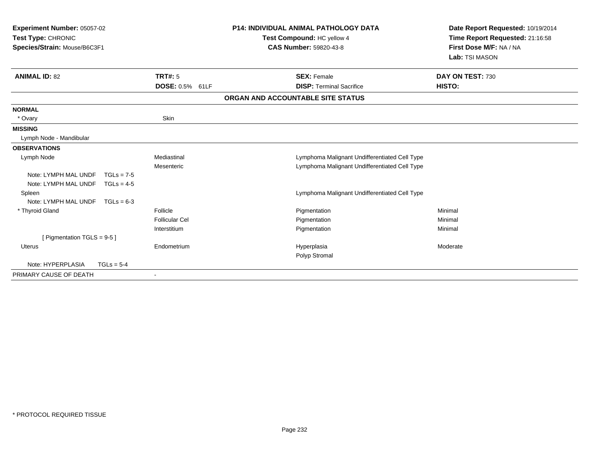| <b>Experiment Number: 05057-02</b><br>Test Type: CHRONIC<br>Species/Strain: Mouse/B6C3F1 |                       | <b>P14: INDIVIDUAL ANIMAL PATHOLOGY DATA</b><br>Date Report Requested: 10/19/2014<br>Time Report Requested: 21:16:58<br>Test Compound: HC yellow 4<br><b>CAS Number: 59820-43-8</b><br>First Dose M/F: NA / NA<br>Lab: TSI MASON |                  |
|------------------------------------------------------------------------------------------|-----------------------|----------------------------------------------------------------------------------------------------------------------------------------------------------------------------------------------------------------------------------|------------------|
| <b>ANIMAL ID: 82</b>                                                                     | <b>TRT#: 5</b>        | <b>SEX: Female</b>                                                                                                                                                                                                               | DAY ON TEST: 730 |
|                                                                                          | DOSE: 0.5% 61LF       | <b>DISP: Terminal Sacrifice</b>                                                                                                                                                                                                  | HISTO:           |
|                                                                                          |                       | ORGAN AND ACCOUNTABLE SITE STATUS                                                                                                                                                                                                |                  |
| <b>NORMAL</b>                                                                            |                       |                                                                                                                                                                                                                                  |                  |
| * Ovary                                                                                  | Skin                  |                                                                                                                                                                                                                                  |                  |
| <b>MISSING</b>                                                                           |                       |                                                                                                                                                                                                                                  |                  |
| Lymph Node - Mandibular                                                                  |                       |                                                                                                                                                                                                                                  |                  |
| <b>OBSERVATIONS</b>                                                                      |                       |                                                                                                                                                                                                                                  |                  |
| Lymph Node                                                                               | Mediastinal           | Lymphoma Malignant Undifferentiated Cell Type                                                                                                                                                                                    |                  |
|                                                                                          | Mesenteric            | Lymphoma Malignant Undifferentiated Cell Type                                                                                                                                                                                    |                  |
| Note: LYMPH MAL UNDF<br>$TGLs = 7-5$                                                     |                       |                                                                                                                                                                                                                                  |                  |
| Note: LYMPH MAL UNDF<br>$TGLs = 4-5$                                                     |                       |                                                                                                                                                                                                                                  |                  |
| Spleen                                                                                   |                       | Lymphoma Malignant Undifferentiated Cell Type                                                                                                                                                                                    |                  |
| Note: LYMPH MAL UNDF<br>$TGLs = 6-3$                                                     |                       |                                                                                                                                                                                                                                  |                  |
| * Thyroid Gland                                                                          | Follicle              | Pigmentation                                                                                                                                                                                                                     | Minimal          |
|                                                                                          | <b>Follicular Cel</b> | Pigmentation                                                                                                                                                                                                                     | Minimal          |
|                                                                                          | Interstitium          | Pigmentation                                                                                                                                                                                                                     | Minimal          |
| [ Pigmentation TGLS = $9-5$ ]                                                            |                       |                                                                                                                                                                                                                                  |                  |
| <b>Uterus</b>                                                                            | Endometrium           | Hyperplasia                                                                                                                                                                                                                      | Moderate         |
|                                                                                          |                       | Polyp Stromal                                                                                                                                                                                                                    |                  |
| Note: HYPERPLASIA<br>$TGLs = 5-4$                                                        |                       |                                                                                                                                                                                                                                  |                  |
| PRIMARY CAUSE OF DEATH                                                                   |                       |                                                                                                                                                                                                                                  |                  |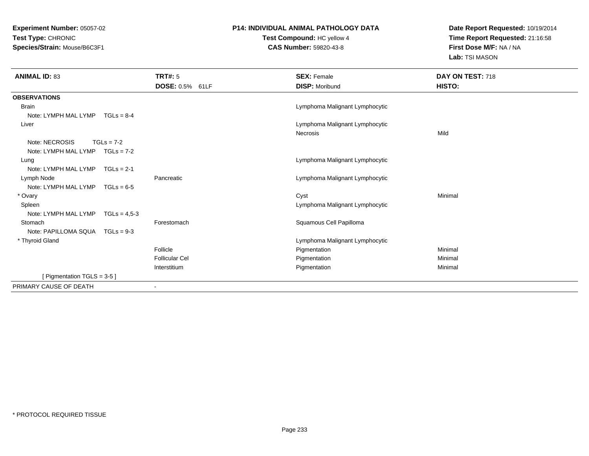**Experiment Number:** 05057-02**Test Type:** CHRONIC**Species/Strain:** Mouse/B6C3F1

## **P14: INDIVIDUAL ANIMAL PATHOLOGY DATA**

**Test Compound:** HC yellow 4**CAS Number:** 59820-43-8

**Date Report Requested:** 10/19/2014**Time Report Requested:** 21:16:58**First Dose M/F:** NA / NA**Lab:** TSI MASON

| <b>ANIMAL ID: 83</b>                   | <b>TRT#: 5</b>           | <b>SEX: Female</b>                         | DAY ON TEST: 718 |
|----------------------------------------|--------------------------|--------------------------------------------|------------------|
|                                        | DOSE: 0.5% 61LF          | <b>DISP: Moribund</b>                      | HISTO:           |
| <b>OBSERVATIONS</b>                    |                          |                                            |                  |
| <b>Brain</b>                           |                          | Lymphoma Malignant Lymphocytic             |                  |
| Note: LYMPH MAL LYMP TGLs = 8-4        |                          |                                            |                  |
| Liver                                  |                          | Lymphoma Malignant Lymphocytic<br>Necrosis | Mild             |
| Note: NECROSIS<br>$TGLs = 7-2$         |                          |                                            |                  |
| Note: LYMPH MAL LYMP $TGLs = 7-2$      |                          |                                            |                  |
| Lung                                   |                          | Lymphoma Malignant Lymphocytic             |                  |
| Note: LYMPH MAL LYMP $TGLs = 2-1$      |                          |                                            |                  |
| Lymph Node                             | Pancreatic               | Lymphoma Malignant Lymphocytic             |                  |
| Note: LYMPH MAL LYMP $TGLs = 6-5$      |                          |                                            |                  |
| * Ovary                                |                          | Cyst                                       | Minimal          |
| Spleen                                 |                          | Lymphoma Malignant Lymphocytic             |                  |
| Note: LYMPH MAL LYMP<br>$TGLs = 4.5-3$ |                          |                                            |                  |
| Stomach                                | Forestomach              | Squamous Cell Papilloma                    |                  |
| Note: PAPILLOMA SQUA TGLs = 9-3        |                          |                                            |                  |
| * Thyroid Gland                        |                          | Lymphoma Malignant Lymphocytic             |                  |
|                                        | Follicle                 | Pigmentation                               | Minimal          |
|                                        | <b>Follicular Cel</b>    | Pigmentation                               | Minimal          |
|                                        | Interstitium             | Pigmentation                               | Minimal          |
| [ Pigmentation TGLS = 3-5 ]            |                          |                                            |                  |
| PRIMARY CAUSE OF DEATH                 | $\overline{\phantom{a}}$ |                                            |                  |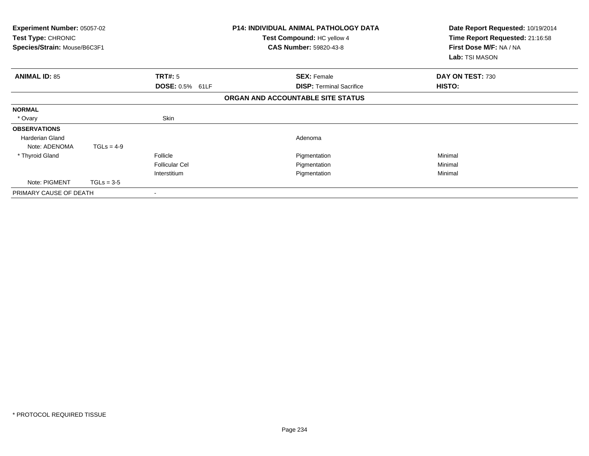| <b>Experiment Number: 05057-02</b><br>Test Type: CHRONIC<br>Species/Strain: Mouse/B6C3F1 |              |                        | <b>P14: INDIVIDUAL ANIMAL PATHOLOGY DATA</b><br>Test Compound: HC yellow 4<br><b>CAS Number: 59820-43-8</b> | Date Report Requested: 10/19/2014<br>Time Report Requested: 21:16:58<br>First Dose M/F: NA / NA<br>Lab: TSI MASON |
|------------------------------------------------------------------------------------------|--------------|------------------------|-------------------------------------------------------------------------------------------------------------|-------------------------------------------------------------------------------------------------------------------|
| <b>ANIMAL ID: 85</b>                                                                     |              | <b>TRT#:</b> 5         | <b>SEX: Female</b>                                                                                          | DAY ON TEST: 730                                                                                                  |
|                                                                                          |              | <b>DOSE: 0.5% 61LF</b> | <b>DISP:</b> Terminal Sacrifice                                                                             | <b>HISTO:</b>                                                                                                     |
|                                                                                          |              |                        | ORGAN AND ACCOUNTABLE SITE STATUS                                                                           |                                                                                                                   |
| <b>NORMAL</b>                                                                            |              |                        |                                                                                                             |                                                                                                                   |
| * Ovary                                                                                  |              | Skin                   |                                                                                                             |                                                                                                                   |
| <b>OBSERVATIONS</b>                                                                      |              |                        |                                                                                                             |                                                                                                                   |
| <b>Harderian Gland</b>                                                                   |              |                        | Adenoma                                                                                                     |                                                                                                                   |
| Note: ADENOMA                                                                            | $TGLs = 4-9$ |                        |                                                                                                             |                                                                                                                   |
| * Thyroid Gland                                                                          |              | Follicle               | Pigmentation                                                                                                | Minimal                                                                                                           |
|                                                                                          |              | <b>Follicular Cel</b>  | Pigmentation                                                                                                | Minimal                                                                                                           |
|                                                                                          |              | Interstitium           | Pigmentation                                                                                                | Minimal                                                                                                           |
| Note: PIGMENT                                                                            | $TGLs = 3-5$ |                        |                                                                                                             |                                                                                                                   |
| PRIMARY CAUSE OF DEATH                                                                   |              |                        |                                                                                                             |                                                                                                                   |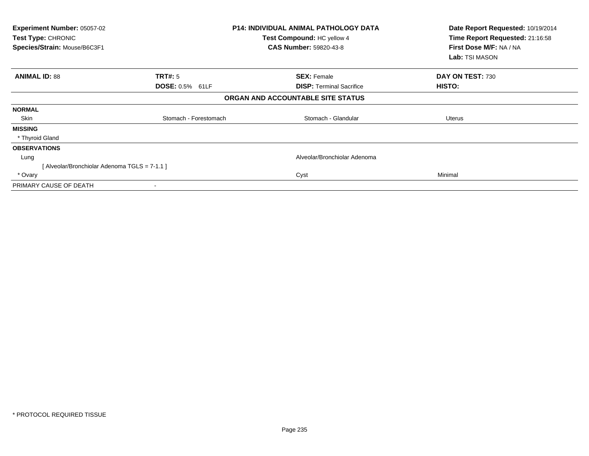| Experiment Number: 05057-02<br>Test Type: CHRONIC<br>Species/Strain: Mouse/B6C3F1 |                       | <b>P14: INDIVIDUAL ANIMAL PATHOLOGY DATA</b><br>Test Compound: HC yellow 4<br><b>CAS Number: 59820-43-8</b> | Date Report Requested: 10/19/2014<br>Time Report Requested: 21:16:58<br>First Dose M/F: NA / NA<br>Lab: TSI MASON |
|-----------------------------------------------------------------------------------|-----------------------|-------------------------------------------------------------------------------------------------------------|-------------------------------------------------------------------------------------------------------------------|
| <b>ANIMAL ID: 88</b>                                                              | TRT#: 5               | <b>SEX: Female</b>                                                                                          | DAY ON TEST: 730                                                                                                  |
|                                                                                   | DOSE: 0.5% 61LF       | <b>DISP:</b> Terminal Sacrifice                                                                             | HISTO:                                                                                                            |
|                                                                                   |                       | ORGAN AND ACCOUNTABLE SITE STATUS                                                                           |                                                                                                                   |
| <b>NORMAL</b>                                                                     |                       |                                                                                                             |                                                                                                                   |
| Skin                                                                              | Stomach - Forestomach | Stomach - Glandular                                                                                         | Uterus                                                                                                            |
| <b>MISSING</b>                                                                    |                       |                                                                                                             |                                                                                                                   |
| * Thyroid Gland                                                                   |                       |                                                                                                             |                                                                                                                   |
| <b>OBSERVATIONS</b>                                                               |                       |                                                                                                             |                                                                                                                   |
| Lung                                                                              |                       | Alveolar/Bronchiolar Adenoma                                                                                |                                                                                                                   |
| [Alveolar/Bronchiolar Adenoma TGLS = 7-1.1]                                       |                       |                                                                                                             |                                                                                                                   |
| * Ovary                                                                           |                       | Cyst                                                                                                        | Minimal                                                                                                           |
| PRIMARY CAUSE OF DEATH                                                            | $\blacksquare$        |                                                                                                             |                                                                                                                   |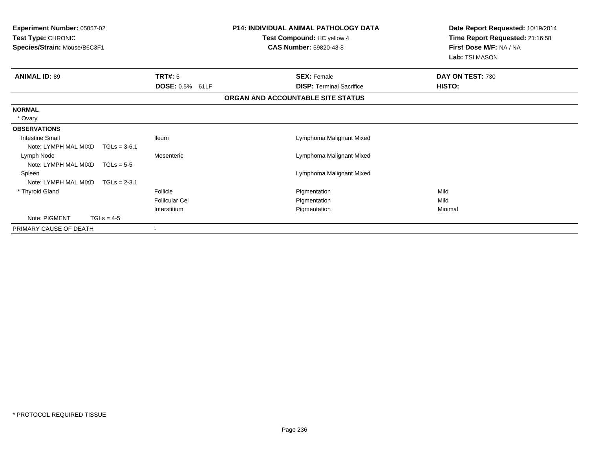| <b>Experiment Number: 05057-02</b><br>Test Type: CHRONIC<br>Species/Strain: Mouse/B6C3F1 |                | <b>P14: INDIVIDUAL ANIMAL PATHOLOGY DATA</b><br>Test Compound: HC yellow 4<br><b>CAS Number: 59820-43-8</b> |  | Date Report Requested: 10/19/2014<br>Time Report Requested: 21:16:58<br>First Dose M/F: NA / NA<br>Lab: TSI MASON |                  |
|------------------------------------------------------------------------------------------|----------------|-------------------------------------------------------------------------------------------------------------|--|-------------------------------------------------------------------------------------------------------------------|------------------|
| <b>ANIMAL ID: 89</b>                                                                     |                | <b>TRT#: 5</b>                                                                                              |  | <b>SEX: Female</b>                                                                                                | DAY ON TEST: 730 |
|                                                                                          |                | DOSE: 0.5% 61LF                                                                                             |  | <b>DISP: Terminal Sacrifice</b>                                                                                   | HISTO:           |
|                                                                                          |                |                                                                                                             |  | ORGAN AND ACCOUNTABLE SITE STATUS                                                                                 |                  |
| <b>NORMAL</b>                                                                            |                |                                                                                                             |  |                                                                                                                   |                  |
| * Ovary                                                                                  |                |                                                                                                             |  |                                                                                                                   |                  |
| <b>OBSERVATIONS</b>                                                                      |                |                                                                                                             |  |                                                                                                                   |                  |
| <b>Intestine Small</b>                                                                   |                | <b>Ileum</b>                                                                                                |  | Lymphoma Malignant Mixed                                                                                          |                  |
| Note: LYMPH MAL MIXD                                                                     | $TGLs = 3-6.1$ |                                                                                                             |  |                                                                                                                   |                  |
| Lymph Node                                                                               |                | Mesenteric                                                                                                  |  | Lymphoma Malignant Mixed                                                                                          |                  |
| Note: LYMPH MAL MIXD                                                                     | $TGLs = 5-5$   |                                                                                                             |  |                                                                                                                   |                  |
| Spleen                                                                                   |                |                                                                                                             |  | Lymphoma Malignant Mixed                                                                                          |                  |
| Note: LYMPH MAL MIXD                                                                     | $TGLs = 2-3.1$ |                                                                                                             |  |                                                                                                                   |                  |
| * Thyroid Gland                                                                          |                | Follicle                                                                                                    |  | Pigmentation                                                                                                      | Mild             |
|                                                                                          |                | <b>Follicular Cel</b>                                                                                       |  | Pigmentation                                                                                                      | Mild             |
|                                                                                          |                | Interstitium                                                                                                |  | Pigmentation                                                                                                      | Minimal          |
| Note: PIGMENT                                                                            | $TGLs = 4-5$   |                                                                                                             |  |                                                                                                                   |                  |
| PRIMARY CAUSE OF DEATH                                                                   |                |                                                                                                             |  |                                                                                                                   |                  |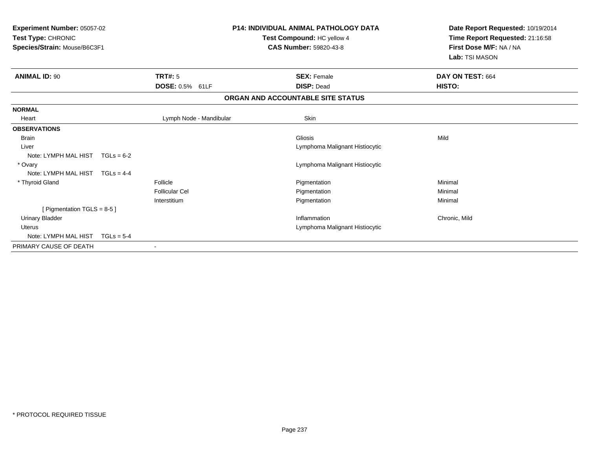| Experiment Number: 05057-02<br>Test Type: CHRONIC<br>Species/Strain: Mouse/B6C3F1 |                         | <b>P14: INDIVIDUAL ANIMAL PATHOLOGY DATA</b><br>Test Compound: HC yellow 4<br>CAS Number: 59820-43-8 | Date Report Requested: 10/19/2014<br>Time Report Requested: 21:16:58<br>First Dose M/F: NA / NA<br>Lab: TSI MASON |  |
|-----------------------------------------------------------------------------------|-------------------------|------------------------------------------------------------------------------------------------------|-------------------------------------------------------------------------------------------------------------------|--|
| <b>ANIMAL ID: 90</b>                                                              | TRT#: 5                 | <b>SEX: Female</b>                                                                                   | DAY ON TEST: 664                                                                                                  |  |
|                                                                                   | DOSE: 0.5% 61LF         | <b>DISP: Dead</b>                                                                                    | HISTO:                                                                                                            |  |
|                                                                                   |                         | ORGAN AND ACCOUNTABLE SITE STATUS                                                                    |                                                                                                                   |  |
| <b>NORMAL</b>                                                                     |                         |                                                                                                      |                                                                                                                   |  |
| Heart                                                                             | Lymph Node - Mandibular | Skin                                                                                                 |                                                                                                                   |  |
| <b>OBSERVATIONS</b>                                                               |                         |                                                                                                      |                                                                                                                   |  |
| <b>Brain</b>                                                                      |                         | Gliosis                                                                                              | Mild                                                                                                              |  |
| Liver                                                                             |                         | Lymphoma Malignant Histiocytic                                                                       |                                                                                                                   |  |
| Note: LYMPH MAL HIST $TGLs = 6-2$                                                 |                         |                                                                                                      |                                                                                                                   |  |
| * Ovary                                                                           |                         | Lymphoma Malignant Histiocytic                                                                       |                                                                                                                   |  |
| Note: LYMPH MAL HIST<br>$TGLs = 4-4$                                              |                         |                                                                                                      |                                                                                                                   |  |
| * Thyroid Gland                                                                   | Follicle                | Pigmentation                                                                                         | Minimal                                                                                                           |  |
|                                                                                   | <b>Follicular Cel</b>   | Pigmentation                                                                                         | Minimal                                                                                                           |  |
|                                                                                   | Interstitium            | Pigmentation                                                                                         | Minimal                                                                                                           |  |
| [ Pigmentation $TGLS = 8-5$ ]                                                     |                         |                                                                                                      |                                                                                                                   |  |
| <b>Urinary Bladder</b>                                                            |                         | Inflammation                                                                                         | Chronic, Mild                                                                                                     |  |
| Uterus                                                                            |                         | Lymphoma Malignant Histiocytic                                                                       |                                                                                                                   |  |
| Note: LYMPH MAL HIST<br>$TGLs = 5-4$                                              |                         |                                                                                                      |                                                                                                                   |  |
| PRIMARY CAUSE OF DEATH                                                            |                         |                                                                                                      |                                                                                                                   |  |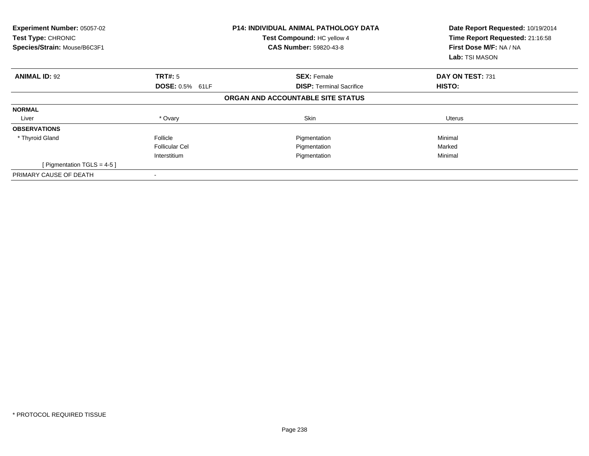| Experiment Number: 05057-02<br>Test Type: CHRONIC<br>Species/Strain: Mouse/B6C3F1 |                       | <b>P14: INDIVIDUAL ANIMAL PATHOLOGY DATA</b><br>Test Compound: HC yellow 4<br><b>CAS Number: 59820-43-8</b> | Date Report Requested: 10/19/2014<br>Time Report Requested: 21:16:58<br>First Dose M/F: NA / NA<br><b>Lab:</b> TSI MASON |  |
|-----------------------------------------------------------------------------------|-----------------------|-------------------------------------------------------------------------------------------------------------|--------------------------------------------------------------------------------------------------------------------------|--|
| <b>ANIMAL ID: 92</b>                                                              | TRT#: 5               | <b>SEX: Female</b>                                                                                          | DAY ON TEST: 731                                                                                                         |  |
|                                                                                   | DOSE: 0.5% 61LF       | <b>DISP:</b> Terminal Sacrifice                                                                             | HISTO:                                                                                                                   |  |
|                                                                                   |                       | ORGAN AND ACCOUNTABLE SITE STATUS                                                                           |                                                                                                                          |  |
| <b>NORMAL</b>                                                                     |                       |                                                                                                             |                                                                                                                          |  |
| Liver                                                                             | * Ovary               | Skin                                                                                                        | Uterus                                                                                                                   |  |
| <b>OBSERVATIONS</b>                                                               |                       |                                                                                                             |                                                                                                                          |  |
| * Thyroid Gland                                                                   | Follicle              | Pigmentation                                                                                                | Minimal                                                                                                                  |  |
|                                                                                   | <b>Follicular Cel</b> | Pigmentation                                                                                                | Marked                                                                                                                   |  |
|                                                                                   | Interstitium          | Pigmentation                                                                                                | Minimal                                                                                                                  |  |
| [ Pigmentation TGLS = $4-5$ ]                                                     |                       |                                                                                                             |                                                                                                                          |  |
| PRIMARY CAUSE OF DEATH                                                            |                       |                                                                                                             |                                                                                                                          |  |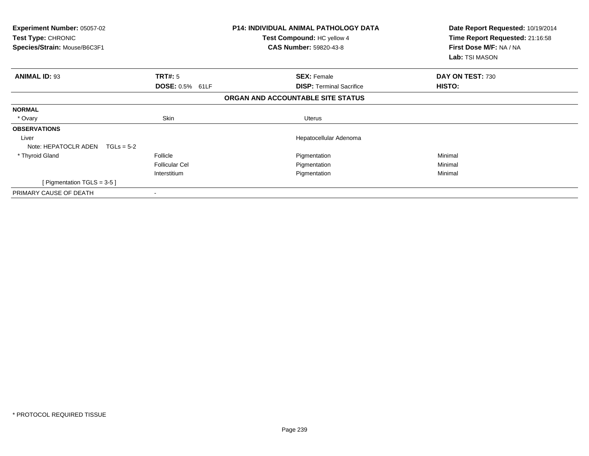| <b>Experiment Number: 05057-02</b><br>Test Type: CHRONIC<br>Species/Strain: Mouse/B6C3F1 |                        | <b>P14: INDIVIDUAL ANIMAL PATHOLOGY DATA</b><br>Test Compound: HC yellow 4<br><b>CAS Number: 59820-43-8</b> | Date Report Requested: 10/19/2014<br>Time Report Requested: 21:16:58<br>First Dose M/F: NA / NA<br>Lab: TSI MASON |
|------------------------------------------------------------------------------------------|------------------------|-------------------------------------------------------------------------------------------------------------|-------------------------------------------------------------------------------------------------------------------|
| <b>ANIMAL ID: 93</b>                                                                     | TRT#: 5                | <b>SEX: Female</b>                                                                                          | DAY ON TEST: 730                                                                                                  |
|                                                                                          | <b>DOSE: 0.5% 61LF</b> | <b>DISP:</b> Terminal Sacrifice                                                                             | <b>HISTO:</b>                                                                                                     |
|                                                                                          |                        | ORGAN AND ACCOUNTABLE SITE STATUS                                                                           |                                                                                                                   |
| <b>NORMAL</b>                                                                            |                        |                                                                                                             |                                                                                                                   |
| * Ovary                                                                                  | Skin                   | Uterus                                                                                                      |                                                                                                                   |
| <b>OBSERVATIONS</b>                                                                      |                        |                                                                                                             |                                                                                                                   |
| Liver                                                                                    |                        | Hepatocellular Adenoma                                                                                      |                                                                                                                   |
| Note: HEPATOCLR ADEN $TGLs = 5-2$                                                        |                        |                                                                                                             |                                                                                                                   |
| * Thyroid Gland                                                                          | Follicle               | Pigmentation                                                                                                | Minimal                                                                                                           |
|                                                                                          | <b>Follicular Cel</b>  | Pigmentation                                                                                                | Minimal                                                                                                           |
|                                                                                          | Interstitium           | Pigmentation                                                                                                | Minimal                                                                                                           |
| [ Pigmentation TGLS = $3-5$ ]                                                            |                        |                                                                                                             |                                                                                                                   |
| PRIMARY CAUSE OF DEATH                                                                   |                        |                                                                                                             |                                                                                                                   |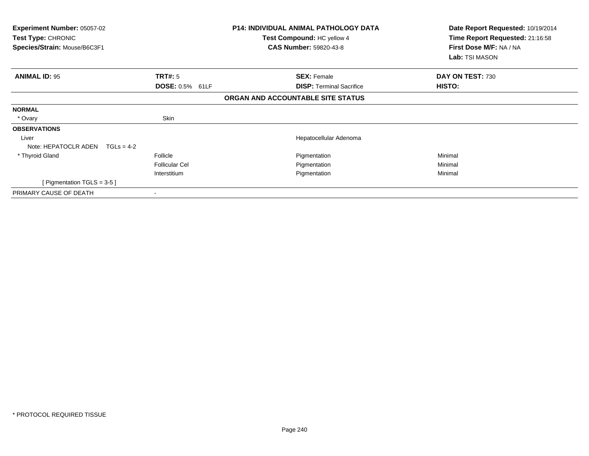| <b>Experiment Number: 05057-02</b><br>Test Type: CHRONIC<br>Species/Strain: Mouse/B6C3F1 |                        | <b>P14: INDIVIDUAL ANIMAL PATHOLOGY DATA</b><br>Test Compound: HC yellow 4<br><b>CAS Number: 59820-43-8</b> | Date Report Requested: 10/19/2014<br>Time Report Requested: 21:16:58<br>First Dose M/F: NA / NA<br>Lab: TSI MASON |
|------------------------------------------------------------------------------------------|------------------------|-------------------------------------------------------------------------------------------------------------|-------------------------------------------------------------------------------------------------------------------|
| <b>ANIMAL ID: 95</b>                                                                     | <b>TRT#:</b> 5         | <b>SEX: Female</b>                                                                                          | DAY ON TEST: 730                                                                                                  |
|                                                                                          | <b>DOSE: 0.5% 61LF</b> | <b>DISP:</b> Terminal Sacrifice                                                                             | <b>HISTO:</b>                                                                                                     |
|                                                                                          |                        | ORGAN AND ACCOUNTABLE SITE STATUS                                                                           |                                                                                                                   |
| <b>NORMAL</b>                                                                            |                        |                                                                                                             |                                                                                                                   |
| * Ovary                                                                                  | Skin                   |                                                                                                             |                                                                                                                   |
| <b>OBSERVATIONS</b>                                                                      |                        |                                                                                                             |                                                                                                                   |
| Liver                                                                                    |                        | Hepatocellular Adenoma                                                                                      |                                                                                                                   |
| Note: HEPATOCLR ADEN                                                                     | $TGLs = 4-2$           |                                                                                                             |                                                                                                                   |
| * Thyroid Gland                                                                          | Follicle               | Pigmentation                                                                                                | Minimal                                                                                                           |
|                                                                                          | <b>Follicular Cel</b>  | Pigmentation                                                                                                | Minimal                                                                                                           |
|                                                                                          | Interstitium           | Pigmentation                                                                                                | Minimal                                                                                                           |
| [ Pigmentation TGLS = $3-5$ ]                                                            |                        |                                                                                                             |                                                                                                                   |
| PRIMARY CAUSE OF DEATH                                                                   |                        |                                                                                                             |                                                                                                                   |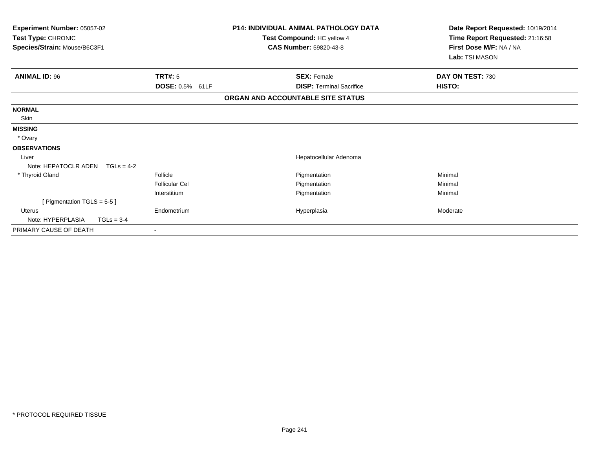| <b>Experiment Number: 05057-02</b><br>Test Type: CHRONIC<br>Species/Strain: Mouse/B6C3F1 |                       |                 | <b>P14: INDIVIDUAL ANIMAL PATHOLOGY DATA</b><br>Test Compound: HC yellow 4<br><b>CAS Number: 59820-43-8</b> | Date Report Requested: 10/19/2014<br>Time Report Requested: 21:16:58<br>First Dose M/F: NA / NA<br>Lab: TSI MASON |
|------------------------------------------------------------------------------------------|-----------------------|-----------------|-------------------------------------------------------------------------------------------------------------|-------------------------------------------------------------------------------------------------------------------|
| <b>ANIMAL ID: 96</b>                                                                     | <b>TRT#: 5</b>        |                 | <b>SEX: Female</b>                                                                                          | DAY ON TEST: 730                                                                                                  |
|                                                                                          |                       | DOSE: 0.5% 61LF | <b>DISP: Terminal Sacrifice</b>                                                                             | HISTO:                                                                                                            |
|                                                                                          |                       |                 | ORGAN AND ACCOUNTABLE SITE STATUS                                                                           |                                                                                                                   |
| <b>NORMAL</b>                                                                            |                       |                 |                                                                                                             |                                                                                                                   |
| Skin                                                                                     |                       |                 |                                                                                                             |                                                                                                                   |
| <b>MISSING</b>                                                                           |                       |                 |                                                                                                             |                                                                                                                   |
| * Ovary                                                                                  |                       |                 |                                                                                                             |                                                                                                                   |
| <b>OBSERVATIONS</b>                                                                      |                       |                 |                                                                                                             |                                                                                                                   |
| Liver                                                                                    |                       |                 | Hepatocellular Adenoma                                                                                      |                                                                                                                   |
| Note: HEPATOCLR ADEN                                                                     | $TGLs = 4-2$          |                 |                                                                                                             |                                                                                                                   |
| * Thyroid Gland                                                                          | Follicle              |                 | Pigmentation                                                                                                | Minimal                                                                                                           |
|                                                                                          | <b>Follicular Cel</b> |                 | Pigmentation                                                                                                | Minimal                                                                                                           |
|                                                                                          | Interstitium          |                 | Pigmentation                                                                                                | Minimal                                                                                                           |
| [ Pigmentation $TGLS = 5-5$ ]                                                            |                       |                 |                                                                                                             |                                                                                                                   |
| <b>Uterus</b>                                                                            | Endometrium           |                 | Hyperplasia                                                                                                 | Moderate                                                                                                          |
| Note: HYPERPLASIA                                                                        | $TGLs = 3-4$          |                 |                                                                                                             |                                                                                                                   |
| PRIMARY CAUSE OF DEATH                                                                   |                       |                 |                                                                                                             |                                                                                                                   |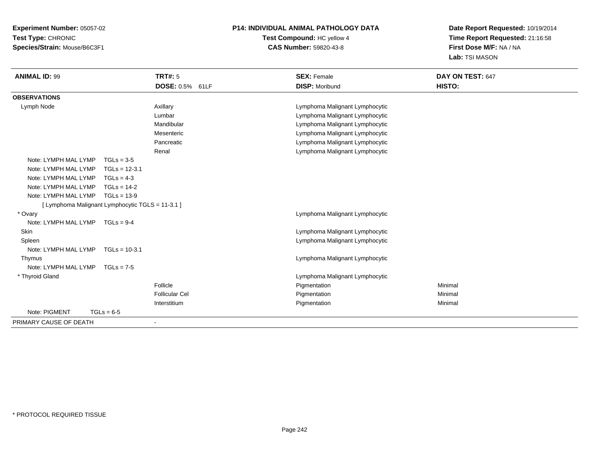**Experiment Number:** 05057-02**Test Type:** CHRONIC**Species/Strain:** Mouse/B6C3F1

## **P14: INDIVIDUAL ANIMAL PATHOLOGY DATA**

## **Test Compound:** HC yellow 4**CAS Number:** 59820-43-8

**Date Report Requested:** 10/19/2014**Time Report Requested:** 21:16:58**First Dose M/F:** NA / NA**Lab:** TSI MASON

| <b>ANIMAL ID: 99</b>                             |                 | <b>TRT#: 5</b>        | <b>SEX: Female</b>             | DAY ON TEST: 647 |  |
|--------------------------------------------------|-----------------|-----------------------|--------------------------------|------------------|--|
|                                                  |                 | DOSE: 0.5% 61LF       | <b>DISP: Moribund</b>          | HISTO:           |  |
| <b>OBSERVATIONS</b>                              |                 |                       |                                |                  |  |
| Lymph Node                                       |                 | Axillary              | Lymphoma Malignant Lymphocytic |                  |  |
|                                                  |                 | Lumbar                | Lymphoma Malignant Lymphocytic |                  |  |
|                                                  |                 | Mandibular            | Lymphoma Malignant Lymphocytic |                  |  |
|                                                  |                 | Mesenteric            | Lymphoma Malignant Lymphocytic |                  |  |
|                                                  |                 | Pancreatic            | Lymphoma Malignant Lymphocytic |                  |  |
|                                                  |                 | Renal                 | Lymphoma Malignant Lymphocytic |                  |  |
| Note: LYMPH MAL LYMP                             | $TGLs = 3-5$    |                       |                                |                  |  |
| Note: LYMPH MAL LYMP                             | $TGLs = 12-3.1$ |                       |                                |                  |  |
| Note: LYMPH MAL LYMP                             | $TGLs = 4-3$    |                       |                                |                  |  |
| Note: LYMPH MAL LYMP                             | $TGLs = 14-2$   |                       |                                |                  |  |
| Note: LYMPH MAL LYMP                             | $TGLs = 13-9$   |                       |                                |                  |  |
| [ Lymphoma Malignant Lymphocytic TGLS = 11-3.1 ] |                 |                       |                                |                  |  |
| * Ovary                                          |                 |                       | Lymphoma Malignant Lymphocytic |                  |  |
| Note: LYMPH MAL LYMP                             | $TGLs = 9-4$    |                       |                                |                  |  |
| Skin                                             |                 |                       | Lymphoma Malignant Lymphocytic |                  |  |
| Spleen                                           |                 |                       | Lymphoma Malignant Lymphocytic |                  |  |
| Note: LYMPH MAL LYMP                             | $TGLs = 10-3.1$ |                       |                                |                  |  |
| Thymus                                           |                 |                       | Lymphoma Malignant Lymphocytic |                  |  |
| Note: LYMPH MAL LYMP                             | $TGLs = 7-5$    |                       |                                |                  |  |
| * Thyroid Gland                                  |                 |                       | Lymphoma Malignant Lymphocytic |                  |  |
|                                                  |                 | Follicle              | Pigmentation                   | Minimal          |  |
|                                                  |                 | <b>Follicular Cel</b> | Pigmentation                   | Minimal          |  |
|                                                  |                 | Interstitium          | Pigmentation                   | Minimal          |  |
| Note: PIGMENT                                    | $TGLs = 6-5$    |                       |                                |                  |  |
| PRIMARY CAUSE OF DEATH                           |                 |                       |                                |                  |  |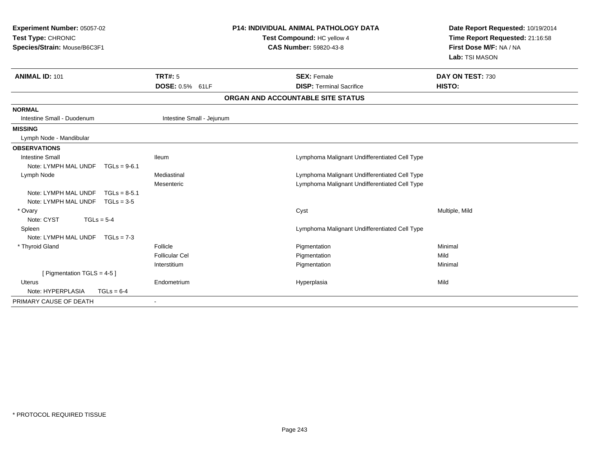| Experiment Number: 05057-02<br>Test Type: CHRONIC<br>Species/Strain: Mouse/B6C3F1 |                            | <b>P14: INDIVIDUAL ANIMAL PATHOLOGY DATA</b><br>Test Compound: HC yellow 4<br><b>CAS Number: 59820-43-8</b> | Date Report Requested: 10/19/2014<br>Time Report Requested: 21:16:58<br>First Dose M/F: NA / NA<br>Lab: TSI MASON |
|-----------------------------------------------------------------------------------|----------------------------|-------------------------------------------------------------------------------------------------------------|-------------------------------------------------------------------------------------------------------------------|
| <b>ANIMAL ID: 101</b>                                                             | TRT#: 5<br>DOSE: 0.5% 61LF | <b>SEX: Female</b><br><b>DISP: Terminal Sacrifice</b>                                                       | DAY ON TEST: 730<br>HISTO:                                                                                        |
|                                                                                   |                            | ORGAN AND ACCOUNTABLE SITE STATUS                                                                           |                                                                                                                   |
| <b>NORMAL</b>                                                                     |                            |                                                                                                             |                                                                                                                   |
| Intestine Small - Duodenum                                                        | Intestine Small - Jejunum  |                                                                                                             |                                                                                                                   |
| <b>MISSING</b>                                                                    |                            |                                                                                                             |                                                                                                                   |
| Lymph Node - Mandibular                                                           |                            |                                                                                                             |                                                                                                                   |
| <b>OBSERVATIONS</b>                                                               |                            |                                                                                                             |                                                                                                                   |
| <b>Intestine Small</b>                                                            | lleum                      | Lymphoma Malignant Undifferentiated Cell Type                                                               |                                                                                                                   |
| Note: LYMPH MAL UNDF                                                              | $TGLs = 9-6.1$             |                                                                                                             |                                                                                                                   |
| Lymph Node                                                                        | Mediastinal                | Lymphoma Malignant Undifferentiated Cell Type                                                               |                                                                                                                   |
|                                                                                   | Mesenteric                 | Lymphoma Malignant Undifferentiated Cell Type                                                               |                                                                                                                   |
| Note: LYMPH MAL UNDF                                                              | $TGLs = 8-5.1$             |                                                                                                             |                                                                                                                   |
| Note: LYMPH MAL UNDF TGLs = 3-5                                                   |                            |                                                                                                             |                                                                                                                   |
| * Ovary                                                                           |                            | Cyst                                                                                                        | Multiple, Mild                                                                                                    |
| Note: CYST<br>$TGLs = 5-4$                                                        |                            |                                                                                                             |                                                                                                                   |
| Spleen                                                                            |                            | Lymphoma Malignant Undifferentiated Cell Type                                                               |                                                                                                                   |
| Note: LYMPH MAL UNDF TGLs = 7-3                                                   |                            |                                                                                                             |                                                                                                                   |
| * Thyroid Gland                                                                   | Follicle                   | Pigmentation                                                                                                | Minimal                                                                                                           |
|                                                                                   | <b>Follicular Cel</b>      | Pigmentation                                                                                                | Mild                                                                                                              |
| Interstitium                                                                      |                            | Pigmentation                                                                                                | Minimal                                                                                                           |
| [ Pigmentation TGLS = $4-5$ ]                                                     |                            |                                                                                                             |                                                                                                                   |
| Uterus                                                                            | Endometrium                | Hyperplasia                                                                                                 | Mild                                                                                                              |
| Note: HYPERPLASIA<br>$TGLs = 6-4$                                                 |                            |                                                                                                             |                                                                                                                   |
| PRIMARY CAUSE OF DEATH                                                            |                            |                                                                                                             |                                                                                                                   |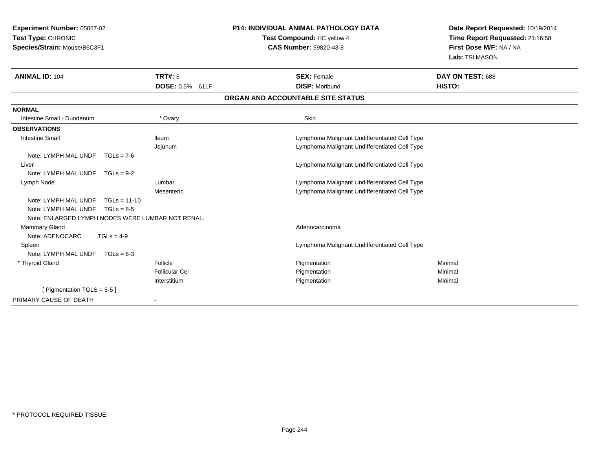| Experiment Number: 05057-02<br>Test Type: CHRONIC<br>Species/Strain: Mouse/B6C3F1 |                                   | <b>P14: INDIVIDUAL ANIMAL PATHOLOGY DATA</b><br>Test Compound: HC yellow 4<br><b>CAS Number: 59820-43-8</b> | Date Report Requested: 10/19/2014<br>Time Report Requested: 21:16:58<br>First Dose M/F: NA / NA<br>Lab: TSI MASON |  |
|-----------------------------------------------------------------------------------|-----------------------------------|-------------------------------------------------------------------------------------------------------------|-------------------------------------------------------------------------------------------------------------------|--|
| <b>ANIMAL ID: 104</b>                                                             | <b>TRT#: 5</b><br>DOSE: 0.5% 61LF | <b>SEX: Female</b><br><b>DISP: Moribund</b>                                                                 | DAY ON TEST: 688<br>HISTO:                                                                                        |  |
|                                                                                   |                                   | ORGAN AND ACCOUNTABLE SITE STATUS                                                                           |                                                                                                                   |  |
| <b>NORMAL</b>                                                                     |                                   |                                                                                                             |                                                                                                                   |  |
| Intestine Small - Duodenum                                                        | * Ovary                           | Skin                                                                                                        |                                                                                                                   |  |
| <b>OBSERVATIONS</b>                                                               |                                   |                                                                                                             |                                                                                                                   |  |
| <b>Intestine Small</b>                                                            | lleum                             | Lymphoma Malignant Undifferentiated Cell Type                                                               |                                                                                                                   |  |
|                                                                                   | Jejunum                           | Lymphoma Malignant Undifferentiated Cell Type                                                               |                                                                                                                   |  |
| Note: LYMPH MAL UNDF<br>$TGLs = 7-6$                                              |                                   |                                                                                                             |                                                                                                                   |  |
| Liver                                                                             |                                   | Lymphoma Malignant Undifferentiated Cell Type                                                               |                                                                                                                   |  |
| Note: LYMPH MAL UNDF<br>$TGLs = 9-2$                                              |                                   |                                                                                                             |                                                                                                                   |  |
| Lymph Node                                                                        | Lumbar                            | Lymphoma Malignant Undifferentiated Cell Type                                                               |                                                                                                                   |  |
|                                                                                   | Mesenteric                        | Lymphoma Malignant Undifferentiated Cell Type                                                               |                                                                                                                   |  |
| Note: LYMPH MAL UNDF<br>$TGLs = 11-10$                                            |                                   |                                                                                                             |                                                                                                                   |  |
| Note: LYMPH MAL UNDF<br>$TGLs = 8-5$                                              |                                   |                                                                                                             |                                                                                                                   |  |
| Note: ENLARGED LYMPH NODES WERE LUMBAR NOT RENAL.                                 |                                   |                                                                                                             |                                                                                                                   |  |
| <b>Mammary Gland</b>                                                              |                                   | Adenocarcinoma                                                                                              |                                                                                                                   |  |
| Note: ADENOCARC<br>$TGLs = 4-9$                                                   |                                   |                                                                                                             |                                                                                                                   |  |
| Spleen                                                                            |                                   | Lymphoma Malignant Undifferentiated Cell Type                                                               |                                                                                                                   |  |
| Note: LYMPH MAL UNDF<br>$TGLs = 6-3$                                              |                                   |                                                                                                             |                                                                                                                   |  |
| * Thyroid Gland                                                                   | Follicle                          | Pigmentation                                                                                                | Minimal                                                                                                           |  |
|                                                                                   | <b>Follicular Cel</b>             | Pigmentation                                                                                                | Minimal                                                                                                           |  |
| [ Pigmentation TGLS = $5-5$ ]                                                     | Interstitium                      | Pigmentation                                                                                                | Minimal                                                                                                           |  |
|                                                                                   |                                   |                                                                                                             |                                                                                                                   |  |
| PRIMARY CAUSE OF DEATH                                                            |                                   |                                                                                                             |                                                                                                                   |  |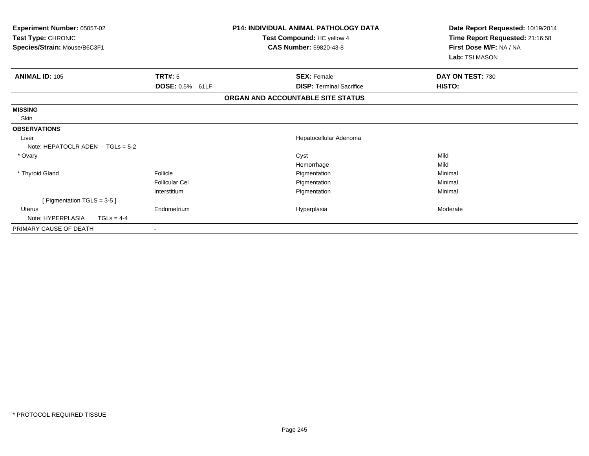| Experiment Number: 05057-02<br>Test Type: CHRONIC<br>Species/Strain: Mouse/B6C3F1 |                          | <b>P14: INDIVIDUAL ANIMAL PATHOLOGY DATA</b><br>Test Compound: HC yellow 4<br><b>CAS Number: 59820-43-8</b> | Date Report Requested: 10/19/2014<br>Time Report Requested: 21:16:58<br>First Dose M/F: NA / NA<br>Lab: TSI MASON |
|-----------------------------------------------------------------------------------|--------------------------|-------------------------------------------------------------------------------------------------------------|-------------------------------------------------------------------------------------------------------------------|
| <b>ANIMAL ID: 105</b>                                                             | TRT#: 5                  | <b>SEX: Female</b>                                                                                          | DAY ON TEST: 730                                                                                                  |
|                                                                                   | DOSE: 0.5% 61LF          | <b>DISP: Terminal Sacrifice</b>                                                                             | HISTO:                                                                                                            |
|                                                                                   |                          | ORGAN AND ACCOUNTABLE SITE STATUS                                                                           |                                                                                                                   |
| <b>MISSING</b>                                                                    |                          |                                                                                                             |                                                                                                                   |
| Skin                                                                              |                          |                                                                                                             |                                                                                                                   |
| <b>OBSERVATIONS</b>                                                               |                          |                                                                                                             |                                                                                                                   |
| Liver                                                                             |                          | Hepatocellular Adenoma                                                                                      |                                                                                                                   |
| Note: HEPATOCLR ADEN<br>$TGLs = 5-2$                                              |                          |                                                                                                             |                                                                                                                   |
| * Ovary                                                                           |                          | Cyst                                                                                                        | Mild                                                                                                              |
|                                                                                   |                          | Hemorrhage                                                                                                  | Mild                                                                                                              |
| * Thyroid Gland                                                                   | Follicle                 | Pigmentation                                                                                                | Minimal                                                                                                           |
|                                                                                   | <b>Follicular Cel</b>    | Pigmentation                                                                                                | Minimal                                                                                                           |
|                                                                                   | Interstitium             | Pigmentation                                                                                                | Minimal                                                                                                           |
| [ Pigmentation TGLS = 3-5 ]                                                       |                          |                                                                                                             |                                                                                                                   |
| Uterus                                                                            | Endometrium              | Hyperplasia                                                                                                 | Moderate                                                                                                          |
| Note: HYPERPLASIA<br>$TGLs = 4-4$                                                 |                          |                                                                                                             |                                                                                                                   |
| PRIMARY CAUSE OF DEATH                                                            | $\overline{\phantom{a}}$ |                                                                                                             |                                                                                                                   |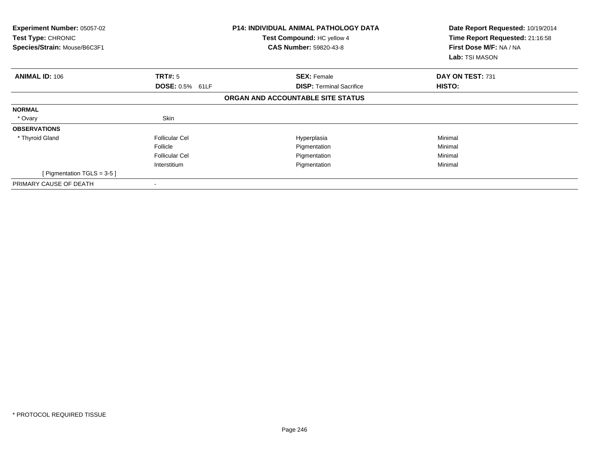| <b>Experiment Number: 05057-02</b><br><b>Test Type: CHRONIC</b><br>Species/Strain: Mouse/B6C3F1 |                        | <b>P14: INDIVIDUAL ANIMAL PATHOLOGY DATA</b><br>Test Compound: HC yellow 4<br><b>CAS Number: 59820-43-8</b> | Date Report Requested: 10/19/2014<br>Time Report Requested: 21:16:58<br>First Dose M/F: NA / NA<br>Lab: TSI MASON |
|-------------------------------------------------------------------------------------------------|------------------------|-------------------------------------------------------------------------------------------------------------|-------------------------------------------------------------------------------------------------------------------|
| <b>ANIMAL ID: 106</b>                                                                           | TRT#: 5                | <b>SEX: Female</b>                                                                                          | DAY ON TEST: 731                                                                                                  |
|                                                                                                 | <b>DOSE: 0.5% 61LF</b> | <b>DISP:</b> Terminal Sacrifice                                                                             | HISTO:                                                                                                            |
|                                                                                                 |                        | ORGAN AND ACCOUNTABLE SITE STATUS                                                                           |                                                                                                                   |
| <b>NORMAL</b>                                                                                   |                        |                                                                                                             |                                                                                                                   |
| * Ovary                                                                                         | Skin                   |                                                                                                             |                                                                                                                   |
| <b>OBSERVATIONS</b>                                                                             |                        |                                                                                                             |                                                                                                                   |
| * Thyroid Gland                                                                                 | <b>Follicular Cel</b>  | Hyperplasia                                                                                                 | Minimal                                                                                                           |
|                                                                                                 | Follicle               | Pigmentation                                                                                                | Minimal                                                                                                           |
|                                                                                                 | <b>Follicular Cel</b>  | Pigmentation                                                                                                | Minimal                                                                                                           |
|                                                                                                 | Interstitium           | Pigmentation                                                                                                | Minimal                                                                                                           |
| [ Pigmentation TGLS = $3-5$ ]                                                                   |                        |                                                                                                             |                                                                                                                   |
| PRIMARY CAUSE OF DEATH                                                                          |                        |                                                                                                             |                                                                                                                   |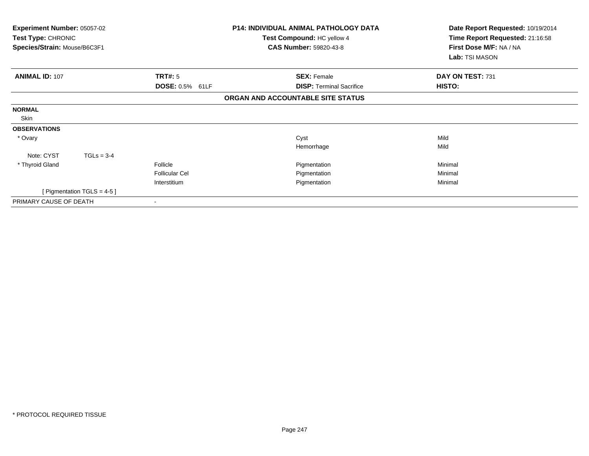| <b>Experiment Number: 05057-02</b><br>Test Type: CHRONIC<br>Species/Strain: Mouse/B6C3F1 | <b>P14: INDIVIDUAL ANIMAL PATHOLOGY DATA</b><br>Test Compound: HC yellow 4<br><b>CAS Number: 59820-43-8</b> | Date Report Requested: 10/19/2014<br>Time Report Requested: 21:16:58<br>First Dose M/F: NA / NA |
|------------------------------------------------------------------------------------------|-------------------------------------------------------------------------------------------------------------|-------------------------------------------------------------------------------------------------|
|                                                                                          |                                                                                                             | Lab: TSI MASON                                                                                  |
| <b>ANIMAL ID: 107</b><br>TRT#: 5                                                         | <b>SEX: Female</b>                                                                                          | DAY ON TEST: 731                                                                                |
| DOSE: 0.5% 61LF                                                                          | <b>DISP:</b> Terminal Sacrifice                                                                             | HISTO:                                                                                          |
|                                                                                          | ORGAN AND ACCOUNTABLE SITE STATUS                                                                           |                                                                                                 |
| <b>NORMAL</b>                                                                            |                                                                                                             |                                                                                                 |
| Skin                                                                                     |                                                                                                             |                                                                                                 |
| <b>OBSERVATIONS</b>                                                                      |                                                                                                             |                                                                                                 |
| * Ovary                                                                                  | Cyst                                                                                                        | Mild                                                                                            |
|                                                                                          | Hemorrhage                                                                                                  | Mild                                                                                            |
| Note: CYST<br>$TGLs = 3-4$                                                               |                                                                                                             |                                                                                                 |
| * Thyroid Gland<br>Follicle                                                              | Pigmentation                                                                                                | Minimal                                                                                         |
| <b>Follicular Cel</b>                                                                    | Pigmentation                                                                                                | Minimal                                                                                         |
| Interstitium                                                                             | Pigmentation                                                                                                | Minimal                                                                                         |
| [ Pigmentation TGLS = $4-5$ ]                                                            |                                                                                                             |                                                                                                 |
| PRIMARY CAUSE OF DEATH                                                                   |                                                                                                             |                                                                                                 |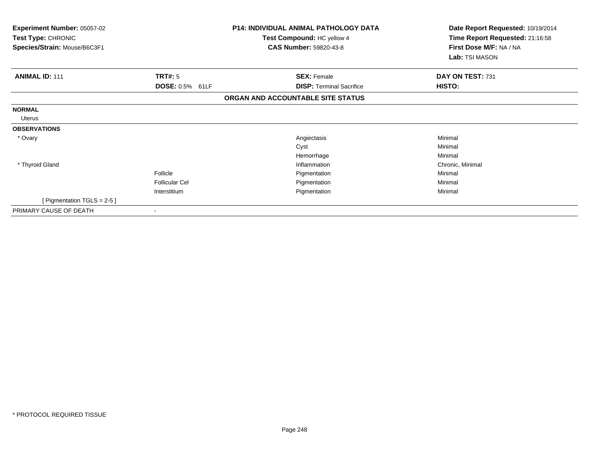| <b>Experiment Number: 05057-02</b><br>Test Type: CHRONIC<br>Species/Strain: Mouse/B6C3F1 |                                   | <b>P14: INDIVIDUAL ANIMAL PATHOLOGY DATA</b><br>Test Compound: HC yellow 4<br><b>CAS Number: 59820-43-8</b> | Date Report Requested: 10/19/2014<br>Time Report Requested: 21:16:58<br>First Dose M/F: NA / NA<br>Lab: TSI MASON |  |
|------------------------------------------------------------------------------------------|-----------------------------------|-------------------------------------------------------------------------------------------------------------|-------------------------------------------------------------------------------------------------------------------|--|
| <b>ANIMAL ID: 111</b>                                                                    | TRT#: 5                           | <b>SEX: Female</b>                                                                                          | DAY ON TEST: 731                                                                                                  |  |
|                                                                                          | <b>DOSE: 0.5% 61LF</b>            | <b>DISP: Terminal Sacrifice</b>                                                                             | HISTO:                                                                                                            |  |
|                                                                                          |                                   | ORGAN AND ACCOUNTABLE SITE STATUS                                                                           |                                                                                                                   |  |
| <b>NORMAL</b><br>Uterus                                                                  |                                   |                                                                                                             |                                                                                                                   |  |
| <b>OBSERVATIONS</b>                                                                      |                                   |                                                                                                             |                                                                                                                   |  |
| * Ovary                                                                                  |                                   | Angiectasis<br>Cyst<br>Hemorrhage                                                                           | Minimal<br>Minimal<br>Minimal                                                                                     |  |
| * Thyroid Gland                                                                          | Follicle<br><b>Follicular Cel</b> | Inflammation<br>Pigmentation<br>Pigmentation                                                                | Chronic, Minimal<br>Minimal<br>Minimal                                                                            |  |
| [ Pigmentation TGLS = $2-5$ ]                                                            | Interstitium                      | Pigmentation                                                                                                | Minimal                                                                                                           |  |
| PRIMARY CAUSE OF DEATH                                                                   |                                   |                                                                                                             |                                                                                                                   |  |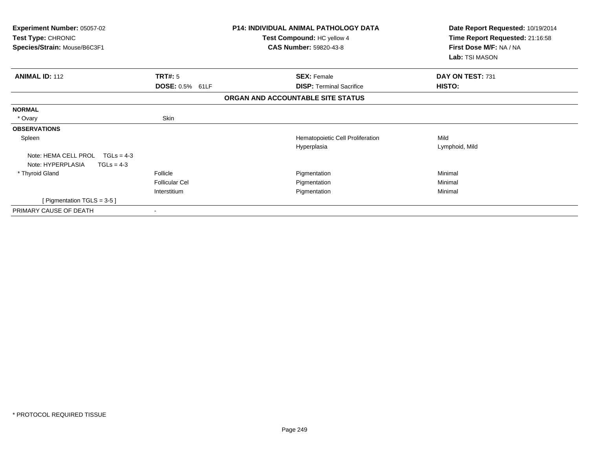| <b>Experiment Number: 05057-02</b><br>Test Type: CHRONIC<br>Species/Strain: Mouse/B6C3F1 |                        | <b>P14: INDIVIDUAL ANIMAL PATHOLOGY DATA</b><br>Test Compound: HC yellow 4<br><b>CAS Number: 59820-43-8</b> | Date Report Requested: 10/19/2014<br>Time Report Requested: 21:16:58<br>First Dose M/F: NA / NA<br>Lab: TSI MASON |
|------------------------------------------------------------------------------------------|------------------------|-------------------------------------------------------------------------------------------------------------|-------------------------------------------------------------------------------------------------------------------|
| <b>ANIMAL ID: 112</b>                                                                    | TRT#: 5                | <b>SEX: Female</b>                                                                                          | DAY ON TEST: 731                                                                                                  |
|                                                                                          | <b>DOSE: 0.5% 61LF</b> | <b>DISP: Terminal Sacrifice</b>                                                                             | HISTO:                                                                                                            |
|                                                                                          |                        | ORGAN AND ACCOUNTABLE SITE STATUS                                                                           |                                                                                                                   |
| <b>NORMAL</b>                                                                            |                        |                                                                                                             |                                                                                                                   |
| * Ovary                                                                                  | Skin                   |                                                                                                             |                                                                                                                   |
| <b>OBSERVATIONS</b>                                                                      |                        |                                                                                                             |                                                                                                                   |
| Spleen                                                                                   |                        | Hematopoietic Cell Proliferation                                                                            | Mild                                                                                                              |
|                                                                                          |                        | Hyperplasia                                                                                                 | Lymphoid, Mild                                                                                                    |
| Note: HEMA CELL PROL<br>$TGLs = 4-3$                                                     |                        |                                                                                                             |                                                                                                                   |
| Note: HYPERPLASIA<br>$TGLs = 4-3$                                                        |                        |                                                                                                             |                                                                                                                   |
| * Thyroid Gland                                                                          | Follicle               | Pigmentation                                                                                                | Minimal                                                                                                           |
|                                                                                          | <b>Follicular Cel</b>  | Pigmentation                                                                                                | Minimal                                                                                                           |
|                                                                                          | Interstitium           | Pigmentation                                                                                                | Minimal                                                                                                           |
| [ Pigmentation TGLS = 3-5 ]                                                              |                        |                                                                                                             |                                                                                                                   |
| PRIMARY CAUSE OF DEATH                                                                   |                        |                                                                                                             |                                                                                                                   |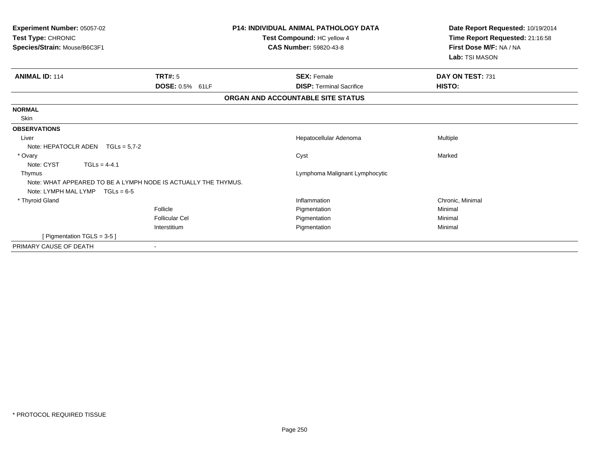| Experiment Number: 05057-02<br>Test Type: CHRONIC |                                                                | <b>P14: INDIVIDUAL ANIMAL PATHOLOGY DATA</b> | Date Report Requested: 10/19/2014 |
|---------------------------------------------------|----------------------------------------------------------------|----------------------------------------------|-----------------------------------|
|                                                   |                                                                | Test Compound: HC yellow 4                   | Time Report Requested: 21:16:58   |
| Species/Strain: Mouse/B6C3F1                      |                                                                | <b>CAS Number: 59820-43-8</b>                | First Dose M/F: NA / NA           |
|                                                   |                                                                |                                              | Lab: TSI MASON                    |
| <b>ANIMAL ID: 114</b>                             | <b>TRT#: 5</b>                                                 | <b>SEX: Female</b>                           | DAY ON TEST: 731                  |
|                                                   | <b>DOSE: 0.5% 61LF</b>                                         | <b>DISP: Terminal Sacrifice</b>              | HISTO:                            |
|                                                   |                                                                | ORGAN AND ACCOUNTABLE SITE STATUS            |                                   |
| <b>NORMAL</b>                                     |                                                                |                                              |                                   |
| Skin                                              |                                                                |                                              |                                   |
| <b>OBSERVATIONS</b>                               |                                                                |                                              |                                   |
| Liver                                             |                                                                | Hepatocellular Adenoma                       | Multiple                          |
|                                                   | Note: HEPATOCLR ADEN $TGLs = 5.7-2$                            |                                              |                                   |
| * Ovary                                           |                                                                | Cyst                                         | Marked                            |
| Note: CYST                                        | $TGLs = 4-4.1$                                                 |                                              |                                   |
| Thymus                                            |                                                                | Lymphoma Malignant Lymphocytic               |                                   |
|                                                   | Note: WHAT APPEARED TO BE A LYMPH NODE IS ACTUALLY THE THYMUS. |                                              |                                   |
|                                                   | Note: LYMPH MAL LYMP $TGLs = 6-5$                              |                                              |                                   |
| * Thyroid Gland                                   |                                                                | Inflammation                                 | Chronic, Minimal                  |
|                                                   | Follicle                                                       | Pigmentation                                 | Minimal                           |
|                                                   | Follicular Cel                                                 | Pigmentation                                 | Minimal                           |
|                                                   | Interstitium                                                   | Pigmentation                                 | Minimal                           |
|                                                   | [ Pigmentation TGLS = 3-5 ]                                    |                                              |                                   |
| PRIMARY CAUSE OF DEATH                            |                                                                |                                              |                                   |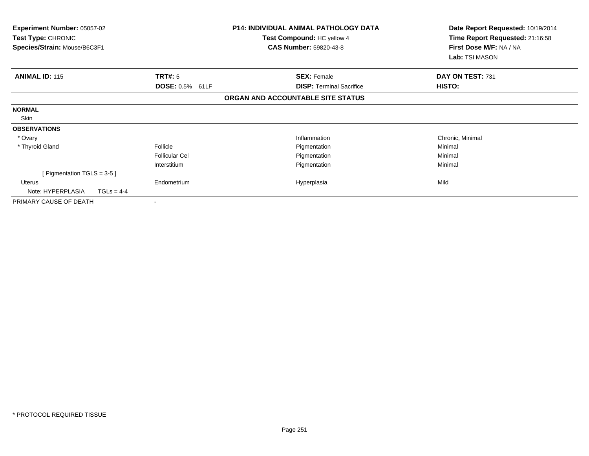| <b>Experiment Number: 05057-02</b><br><b>Test Type: CHRONIC</b><br>Species/Strain: Mouse/B6C3F1 |                 | P14: INDIVIDUAL ANIMAL PATHOLOGY DATA<br>Test Compound: HC yellow 4<br><b>CAS Number: 59820-43-8</b> | Date Report Requested: 10/19/2014<br>Time Report Requested: 21:16:58<br>First Dose M/F: NA / NA |
|-------------------------------------------------------------------------------------------------|-----------------|------------------------------------------------------------------------------------------------------|-------------------------------------------------------------------------------------------------|
|                                                                                                 |                 |                                                                                                      | Lab: TSI MASON                                                                                  |
| TRT#: 5<br><b>ANIMAL ID: 115</b>                                                                |                 | <b>SEX: Female</b>                                                                                   | DAY ON TEST: 731                                                                                |
|                                                                                                 | DOSE: 0.5% 61LF | <b>DISP:</b> Terminal Sacrifice                                                                      | HISTO:                                                                                          |
|                                                                                                 |                 | ORGAN AND ACCOUNTABLE SITE STATUS                                                                    |                                                                                                 |
| <b>NORMAL</b>                                                                                   |                 |                                                                                                      |                                                                                                 |
| Skin                                                                                            |                 |                                                                                                      |                                                                                                 |
| <b>OBSERVATIONS</b>                                                                             |                 |                                                                                                      |                                                                                                 |
| * Ovary                                                                                         |                 | Inflammation                                                                                         | Chronic, Minimal                                                                                |
| * Thyroid Gland<br>Follicle                                                                     |                 | Pigmentation                                                                                         | Minimal                                                                                         |
| <b>Follicular Cel</b>                                                                           |                 | Pigmentation                                                                                         | Minimal                                                                                         |
| Interstitium                                                                                    |                 | Pigmentation                                                                                         | Minimal                                                                                         |
| [ Pigmentation TGLS = $3-5$ ]                                                                   |                 |                                                                                                      |                                                                                                 |
| Endometrium<br>Uterus                                                                           |                 | Hyperplasia                                                                                          | Mild                                                                                            |
| Note: HYPERPLASIA<br>$TGLs = 4-4$                                                               |                 |                                                                                                      |                                                                                                 |
| PRIMARY CAUSE OF DEATH                                                                          |                 |                                                                                                      |                                                                                                 |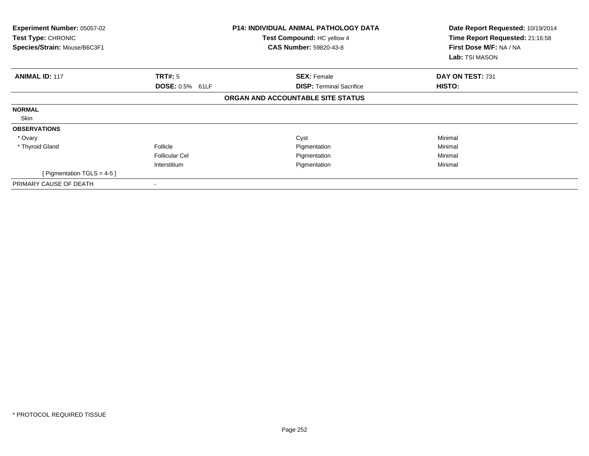| Experiment Number: 05057-02<br>Test Type: CHRONIC<br>Species/Strain: Mouse/B6C3F1 |                        | <b>P14: INDIVIDUAL ANIMAL PATHOLOGY DATA</b><br>Test Compound: HC yellow 4<br><b>CAS Number: 59820-43-8</b> | Date Report Requested: 10/19/2014<br>Time Report Requested: 21:16:58<br>First Dose M/F: NA / NA<br>Lab: TSI MASON |
|-----------------------------------------------------------------------------------|------------------------|-------------------------------------------------------------------------------------------------------------|-------------------------------------------------------------------------------------------------------------------|
| <b>ANIMAL ID: 117</b>                                                             | TRT#: 5                | <b>SEX: Female</b>                                                                                          | DAY ON TEST: 731                                                                                                  |
|                                                                                   | <b>DOSE: 0.5% 61LF</b> | <b>DISP: Terminal Sacrifice</b>                                                                             | HISTO:                                                                                                            |
|                                                                                   |                        | ORGAN AND ACCOUNTABLE SITE STATUS                                                                           |                                                                                                                   |
| <b>NORMAL</b>                                                                     |                        |                                                                                                             |                                                                                                                   |
| Skin                                                                              |                        |                                                                                                             |                                                                                                                   |
| <b>OBSERVATIONS</b>                                                               |                        |                                                                                                             |                                                                                                                   |
| * Ovary                                                                           |                        | Cyst                                                                                                        | Minimal                                                                                                           |
| * Thyroid Gland                                                                   | Follicle               | Pigmentation                                                                                                | Minimal                                                                                                           |
|                                                                                   | <b>Follicular Cel</b>  | Pigmentation                                                                                                | Minimal                                                                                                           |
|                                                                                   | Interstitium           | Pigmentation                                                                                                | Minimal                                                                                                           |
| [ Pigmentation $TGLS = 4-5$ ]                                                     |                        |                                                                                                             |                                                                                                                   |
| PRIMARY CAUSE OF DEATH                                                            |                        |                                                                                                             |                                                                                                                   |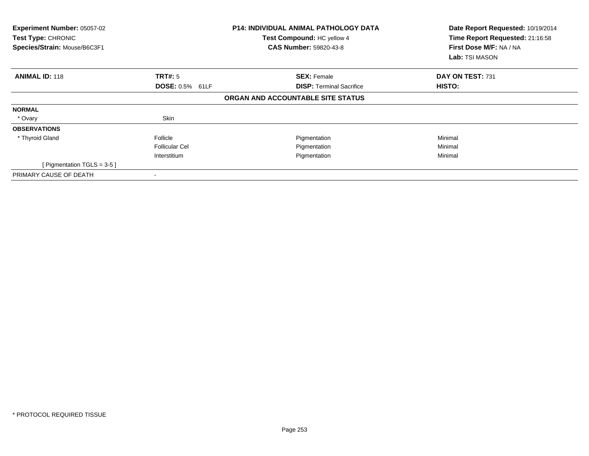| Experiment Number: 05057-02<br>Test Type: CHRONIC<br>Species/Strain: Mouse/B6C3F1 |                        | <b>P14: INDIVIDUAL ANIMAL PATHOLOGY DATA</b><br>Test Compound: HC yellow 4<br><b>CAS Number: 59820-43-8</b> | Date Report Requested: 10/19/2014<br>Time Report Requested: 21:16:58<br>First Dose M/F: NA / NA<br>Lab: TSI MASON |  |
|-----------------------------------------------------------------------------------|------------------------|-------------------------------------------------------------------------------------------------------------|-------------------------------------------------------------------------------------------------------------------|--|
| <b>ANIMAL ID: 118</b>                                                             | TRT#: 5                | <b>SEX: Female</b>                                                                                          | DAY ON TEST: 731                                                                                                  |  |
|                                                                                   | <b>DOSE: 0.5% 61LF</b> | <b>DISP:</b> Terminal Sacrifice                                                                             | <b>HISTO:</b>                                                                                                     |  |
|                                                                                   |                        | ORGAN AND ACCOUNTABLE SITE STATUS                                                                           |                                                                                                                   |  |
| <b>NORMAL</b>                                                                     |                        |                                                                                                             |                                                                                                                   |  |
| * Ovary                                                                           | Skin                   |                                                                                                             |                                                                                                                   |  |
| <b>OBSERVATIONS</b>                                                               |                        |                                                                                                             |                                                                                                                   |  |
| * Thyroid Gland                                                                   | Follicle               | Pigmentation                                                                                                | Minimal                                                                                                           |  |
|                                                                                   | <b>Follicular Cel</b>  | Pigmentation                                                                                                | Minimal                                                                                                           |  |
|                                                                                   | Interstitium           | Pigmentation                                                                                                | Minimal                                                                                                           |  |
| [ Pigmentation TGLS = $3-5$ ]                                                     |                        |                                                                                                             |                                                                                                                   |  |
| PRIMARY CAUSE OF DEATH                                                            |                        |                                                                                                             |                                                                                                                   |  |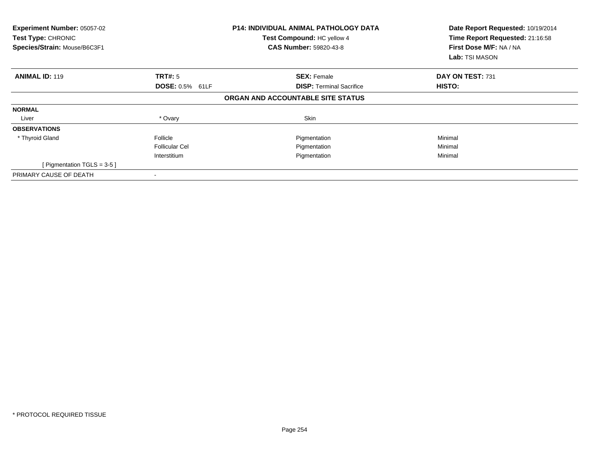| Experiment Number: 05057-02<br>Test Type: CHRONIC<br>Species/Strain: Mouse/B6C3F1 |                        | <b>P14: INDIVIDUAL ANIMAL PATHOLOGY DATA</b><br>Test Compound: HC yellow 4<br><b>CAS Number: 59820-43-8</b> | Date Report Requested: 10/19/2014<br>Time Report Requested: 21:16:58<br>First Dose M/F: NA / NA<br>Lab: TSI MASON |
|-----------------------------------------------------------------------------------|------------------------|-------------------------------------------------------------------------------------------------------------|-------------------------------------------------------------------------------------------------------------------|
| <b>ANIMAL ID: 119</b>                                                             | TRT#: 5                | <b>SEX: Female</b>                                                                                          | DAY ON TEST: 731                                                                                                  |
|                                                                                   | <b>DOSE: 0.5% 61LF</b> | <b>DISP:</b> Terminal Sacrifice                                                                             | HISTO:                                                                                                            |
|                                                                                   |                        | ORGAN AND ACCOUNTABLE SITE STATUS                                                                           |                                                                                                                   |
| <b>NORMAL</b>                                                                     |                        |                                                                                                             |                                                                                                                   |
| Liver                                                                             | * Ovary                | Skin                                                                                                        |                                                                                                                   |
| <b>OBSERVATIONS</b>                                                               |                        |                                                                                                             |                                                                                                                   |
| * Thyroid Gland                                                                   | Follicle               | Pigmentation                                                                                                | Minimal                                                                                                           |
|                                                                                   | <b>Follicular Cel</b>  | Pigmentation                                                                                                | Minimal                                                                                                           |
|                                                                                   | Interstitium           | Pigmentation                                                                                                | Minimal                                                                                                           |
| [ Pigmentation TGLS = $3-5$ ]                                                     |                        |                                                                                                             |                                                                                                                   |
| PRIMARY CAUSE OF DEATH                                                            |                        |                                                                                                             |                                                                                                                   |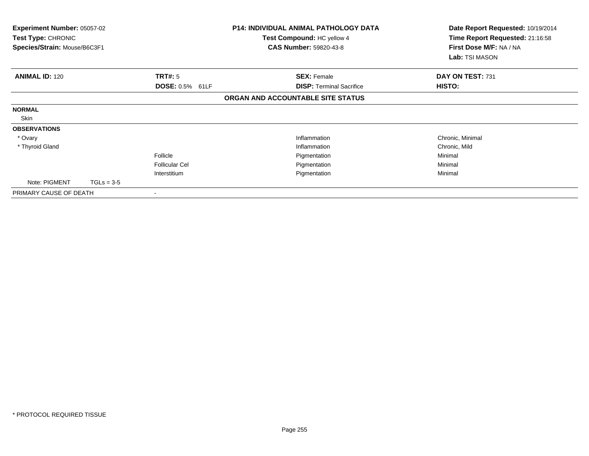| Experiment Number: 05057-02<br><b>Test Type: CHRONIC</b><br>Species/Strain: Mouse/B6C3F1 |              |                        | <b>P14: INDIVIDUAL ANIMAL PATHOLOGY DATA</b><br>Test Compound: HC yellow 4<br><b>CAS Number: 59820-43-8</b> | Date Report Requested: 10/19/2014<br>Time Report Requested: 21:16:58<br>First Dose M/F: NA / NA<br>Lab: TSI MASON |
|------------------------------------------------------------------------------------------|--------------|------------------------|-------------------------------------------------------------------------------------------------------------|-------------------------------------------------------------------------------------------------------------------|
| <b>ANIMAL ID: 120</b>                                                                    |              | TRT#: 5                | <b>SEX: Female</b>                                                                                          | DAY ON TEST: 731                                                                                                  |
|                                                                                          |              | <b>DOSE: 0.5% 61LF</b> | <b>DISP: Terminal Sacrifice</b>                                                                             | HISTO:                                                                                                            |
|                                                                                          |              |                        | ORGAN AND ACCOUNTABLE SITE STATUS                                                                           |                                                                                                                   |
| <b>NORMAL</b>                                                                            |              |                        |                                                                                                             |                                                                                                                   |
| Skin                                                                                     |              |                        |                                                                                                             |                                                                                                                   |
| <b>OBSERVATIONS</b>                                                                      |              |                        |                                                                                                             |                                                                                                                   |
| * Ovary                                                                                  |              |                        | Inflammation                                                                                                | Chronic, Minimal                                                                                                  |
| * Thyroid Gland                                                                          |              |                        | Inflammation                                                                                                | Chronic, Mild                                                                                                     |
|                                                                                          |              | Follicle               | Pigmentation                                                                                                | Minimal                                                                                                           |
|                                                                                          |              | <b>Follicular Cel</b>  | Pigmentation                                                                                                | Minimal                                                                                                           |
|                                                                                          |              | Interstitium           | Pigmentation                                                                                                | Minimal                                                                                                           |
| Note: PIGMENT                                                                            | $TGLs = 3-5$ |                        |                                                                                                             |                                                                                                                   |
| PRIMARY CAUSE OF DEATH                                                                   |              |                        |                                                                                                             |                                                                                                                   |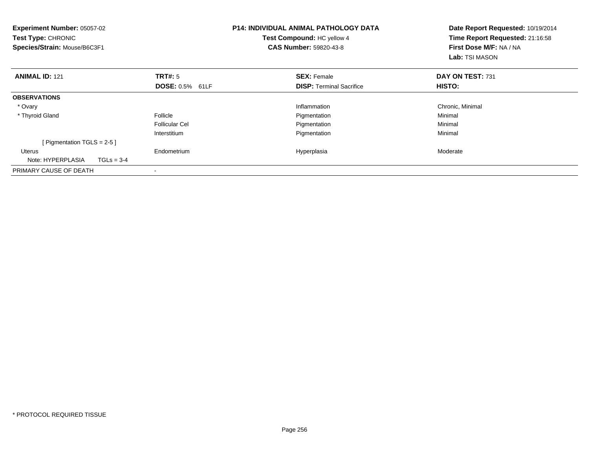| <b>Experiment Number: 05057-02</b><br>Test Type: CHRONIC<br>Species/Strain: Mouse/B6C3F1 |              | <b>P14: INDIVIDUAL ANIMAL PATHOLOGY DATA</b><br>Test Compound: HC yellow 4<br><b>CAS Number: 59820-43-8</b> |  | Date Report Requested: 10/19/2014<br>Time Report Requested: 21:16:58<br>First Dose M/F: NA / NA<br><b>Lab:</b> TSI MASON |                  |
|------------------------------------------------------------------------------------------|--------------|-------------------------------------------------------------------------------------------------------------|--|--------------------------------------------------------------------------------------------------------------------------|------------------|
| <b>ANIMAL ID: 121</b>                                                                    |              | TRT#: 5                                                                                                     |  | <b>SEX: Female</b>                                                                                                       | DAY ON TEST: 731 |
|                                                                                          |              | <b>DOSE: 0.5% 61LF</b>                                                                                      |  | <b>DISP:</b> Terminal Sacrifice                                                                                          | HISTO:           |
| <b>OBSERVATIONS</b>                                                                      |              |                                                                                                             |  |                                                                                                                          |                  |
| * Ovary                                                                                  |              |                                                                                                             |  | Inflammation                                                                                                             | Chronic, Minimal |
| * Thyroid Gland                                                                          |              | Follicle                                                                                                    |  | Pigmentation                                                                                                             | Minimal          |
|                                                                                          |              | <b>Follicular Cel</b>                                                                                       |  | Pigmentation                                                                                                             | Minimal          |
|                                                                                          |              | Interstitium                                                                                                |  | Pigmentation                                                                                                             | Minimal          |
| [ Pigmentation TGLS = $2-5$ ]                                                            |              |                                                                                                             |  |                                                                                                                          |                  |
| <b>Uterus</b>                                                                            |              | Endometrium                                                                                                 |  | Hyperplasia                                                                                                              | Moderate         |
| Note: HYPERPLASIA                                                                        | $TGLs = 3-4$ |                                                                                                             |  |                                                                                                                          |                  |
| PRIMARY CAUSE OF DEATH                                                                   |              | $\overline{\phantom{a}}$                                                                                    |  |                                                                                                                          |                  |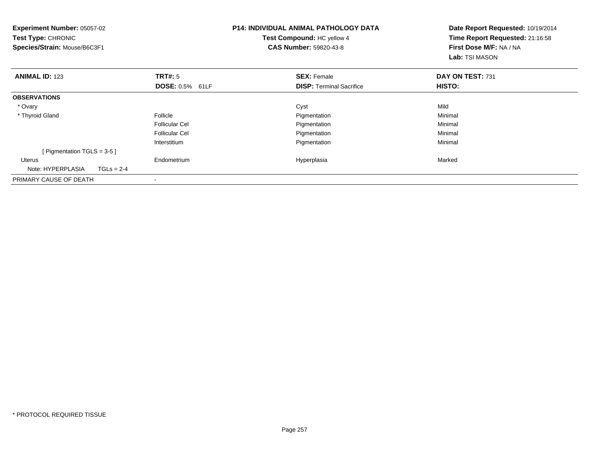| <b>Experiment Number: 05057-02</b><br>Test Type: CHRONIC<br>Species/Strain: Mouse/B6C3F1 |              |                        | <b>P14: INDIVIDUAL ANIMAL PATHOLOGY DATA</b><br>Test Compound: HC yellow 4<br><b>CAS Number: 59820-43-8</b> | Date Report Requested: 10/19/2014<br>Time Report Requested: 21:16:58<br>First Dose M/F: NA / NA<br>Lab: TSI MASON |
|------------------------------------------------------------------------------------------|--------------|------------------------|-------------------------------------------------------------------------------------------------------------|-------------------------------------------------------------------------------------------------------------------|
| <b>ANIMAL ID: 123</b>                                                                    |              | <b>TRT#: 5</b>         | <b>SEX: Female</b>                                                                                          | DAY ON TEST: 731                                                                                                  |
|                                                                                          |              | <b>DOSE: 0.5% 61LF</b> | <b>DISP:</b> Terminal Sacrifice                                                                             | <b>HISTO:</b>                                                                                                     |
| <b>OBSERVATIONS</b>                                                                      |              |                        |                                                                                                             |                                                                                                                   |
| * Ovary                                                                                  |              |                        | Cyst                                                                                                        | Mild                                                                                                              |
| * Thyroid Gland                                                                          |              | Follicle               | Pigmentation                                                                                                | Minimal                                                                                                           |
|                                                                                          |              | <b>Follicular Cel</b>  | Pigmentation                                                                                                | Minimal                                                                                                           |
|                                                                                          |              | <b>Follicular Cel</b>  | Pigmentation                                                                                                | Minimal                                                                                                           |
|                                                                                          |              | Interstitium           | Pigmentation                                                                                                | Minimal                                                                                                           |
| [ Pigmentation TGLS = $3-5$ ]                                                            |              |                        |                                                                                                             |                                                                                                                   |
| <b>Uterus</b>                                                                            |              | Endometrium            | Hyperplasia                                                                                                 | Marked                                                                                                            |
| Note: HYPERPLASIA                                                                        | $TGLs = 2-4$ |                        |                                                                                                             |                                                                                                                   |
| PRIMARY CAUSE OF DEATH                                                                   |              | -                      |                                                                                                             |                                                                                                                   |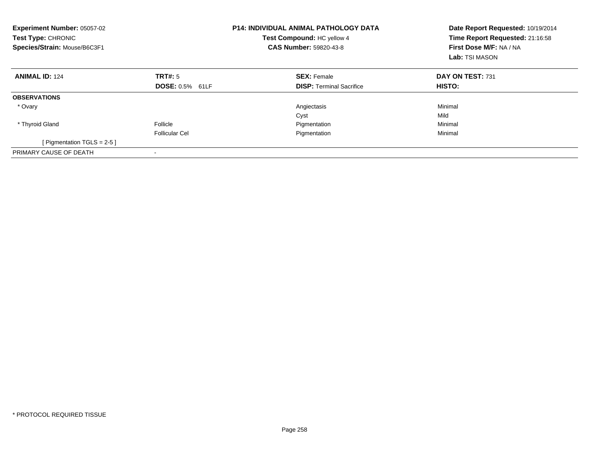| <b>Experiment Number: 05057-02</b><br>Test Type: CHRONIC<br>Test Compound: HC yellow 4<br>Species/Strain: Mouse/B6C3F1<br><b>CAS Number: 59820-43-8</b> |                        | <b>P14: INDIVIDUAL ANIMAL PATHOLOGY DATA</b> | Date Report Requested: 10/19/2014<br>Time Report Requested: 21:16:58<br>First Dose M/F: NA / NA<br>Lab: TSI MASON |
|---------------------------------------------------------------------------------------------------------------------------------------------------------|------------------------|----------------------------------------------|-------------------------------------------------------------------------------------------------------------------|
| <b>ANIMAL ID: 124</b>                                                                                                                                   | <b>TRT#: 5</b>         | <b>SEX: Female</b>                           | DAY ON TEST: 731                                                                                                  |
|                                                                                                                                                         | <b>DOSE: 0.5% 61LF</b> | <b>DISP:</b> Terminal Sacrifice              | <b>HISTO:</b>                                                                                                     |
| <b>OBSERVATIONS</b>                                                                                                                                     |                        |                                              |                                                                                                                   |
| * Ovary                                                                                                                                                 |                        | Angiectasis                                  | Minimal                                                                                                           |
|                                                                                                                                                         |                        | Cyst                                         | Mild                                                                                                              |
| * Thyroid Gland                                                                                                                                         | Follicle               | Pigmentation                                 | Minimal                                                                                                           |
|                                                                                                                                                         | <b>Follicular Cel</b>  | Pigmentation                                 | Minimal                                                                                                           |
| [ Pigmentation TGLS = $2-5$ ]                                                                                                                           |                        |                                              |                                                                                                                   |
| PRIMARY CAUSE OF DEATH                                                                                                                                  |                        |                                              |                                                                                                                   |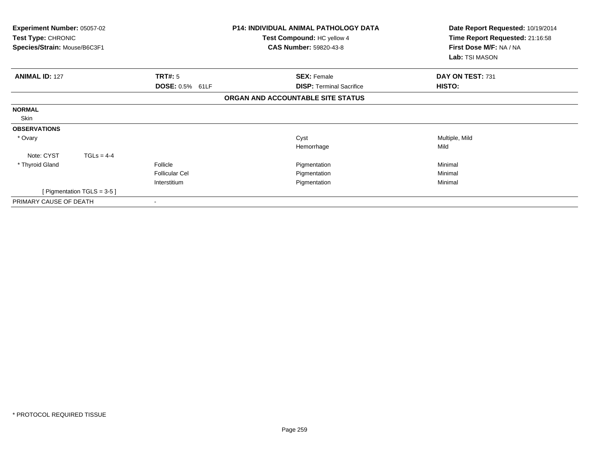| <b>Experiment Number: 05057-02</b><br><b>Test Type: CHRONIC</b><br>Species/Strain: Mouse/B6C3F1 | <b>P14: INDIVIDUAL ANIMAL PATHOLOGY DATA</b><br>Test Compound: HC yellow 4<br><b>CAS Number: 59820-43-8</b> | Date Report Requested: 10/19/2014<br>Time Report Requested: 21:16:58<br>First Dose M/F: NA / NA<br>Lab: TSI MASON |
|-------------------------------------------------------------------------------------------------|-------------------------------------------------------------------------------------------------------------|-------------------------------------------------------------------------------------------------------------------|
| TRT#: 5<br><b>ANIMAL ID: 127</b>                                                                | <b>SEX: Female</b>                                                                                          | DAY ON TEST: 731                                                                                                  |
| DOSE: 0.5% 61LF                                                                                 | <b>DISP:</b> Terminal Sacrifice                                                                             | <b>HISTO:</b>                                                                                                     |
|                                                                                                 | ORGAN AND ACCOUNTABLE SITE STATUS                                                                           |                                                                                                                   |
| <b>NORMAL</b>                                                                                   |                                                                                                             |                                                                                                                   |
| Skin                                                                                            |                                                                                                             |                                                                                                                   |
| <b>OBSERVATIONS</b>                                                                             |                                                                                                             |                                                                                                                   |
| * Ovary                                                                                         | Cyst                                                                                                        | Multiple, Mild                                                                                                    |
|                                                                                                 | Hemorrhage                                                                                                  | Mild                                                                                                              |
| Note: CYST<br>$TGLs = 4-4$                                                                      |                                                                                                             |                                                                                                                   |
| * Thyroid Gland<br>Follicle                                                                     | Pigmentation                                                                                                | Minimal                                                                                                           |
| <b>Follicular Cel</b>                                                                           | Pigmentation                                                                                                | Minimal                                                                                                           |
| Interstitium                                                                                    | Pigmentation                                                                                                | Minimal                                                                                                           |
| [Pigmentation TGLS = 3-5]                                                                       |                                                                                                             |                                                                                                                   |
| PRIMARY CAUSE OF DEATH                                                                          |                                                                                                             |                                                                                                                   |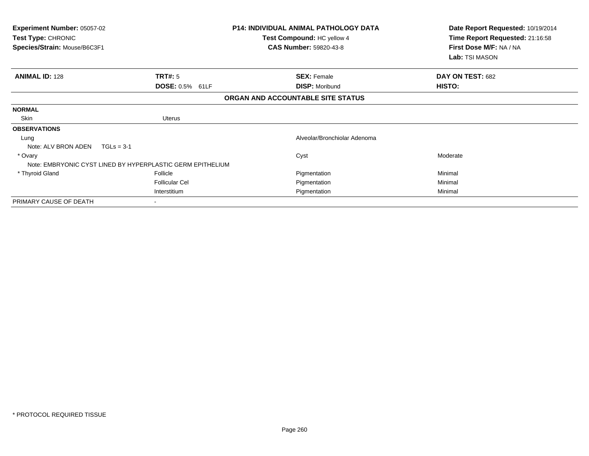| Experiment Number: 05057-02<br>Test Type: CHRONIC<br>Species/Strain: Mouse/B6C3F1 | <b>P14: INDIVIDUAL ANIMAL PATHOLOGY DATA</b><br>Test Compound: HC yellow 4<br><b>CAS Number: 59820-43-8</b> |                                   | Date Report Requested: 10/19/2014<br>Time Report Requested: 21:16:58<br>First Dose M/F: NA / NA<br>Lab: TSI MASON |
|-----------------------------------------------------------------------------------|-------------------------------------------------------------------------------------------------------------|-----------------------------------|-------------------------------------------------------------------------------------------------------------------|
| <b>ANIMAL ID: 128</b>                                                             | TRT#: 5                                                                                                     | <b>SEX: Female</b>                | DAY ON TEST: 682                                                                                                  |
|                                                                                   | DOSE: 0.5% 61LF                                                                                             | <b>DISP: Moribund</b>             | HISTO:                                                                                                            |
|                                                                                   |                                                                                                             | ORGAN AND ACCOUNTABLE SITE STATUS |                                                                                                                   |
| <b>NORMAL</b>                                                                     |                                                                                                             |                                   |                                                                                                                   |
| Skin                                                                              | <b>Uterus</b>                                                                                               |                                   |                                                                                                                   |
| <b>OBSERVATIONS</b>                                                               |                                                                                                             |                                   |                                                                                                                   |
| Lung                                                                              |                                                                                                             | Alveolar/Bronchiolar Adenoma      |                                                                                                                   |
| Note: ALV BRON ADEN                                                               | $TGLs = 3-1$                                                                                                |                                   |                                                                                                                   |
| * Ovary                                                                           |                                                                                                             | Cyst                              | Moderate                                                                                                          |
|                                                                                   | Note: EMBRYONIC CYST LINED BY HYPERPLASTIC GERM EPITHELIUM                                                  |                                   |                                                                                                                   |
| * Thyroid Gland                                                                   | Follicle                                                                                                    | Pigmentation                      | Minimal                                                                                                           |
|                                                                                   | <b>Follicular Cel</b>                                                                                       | Pigmentation                      | Minimal                                                                                                           |
|                                                                                   | Interstitium                                                                                                | Pigmentation                      | Minimal                                                                                                           |
| PRIMARY CAUSE OF DEATH                                                            |                                                                                                             |                                   |                                                                                                                   |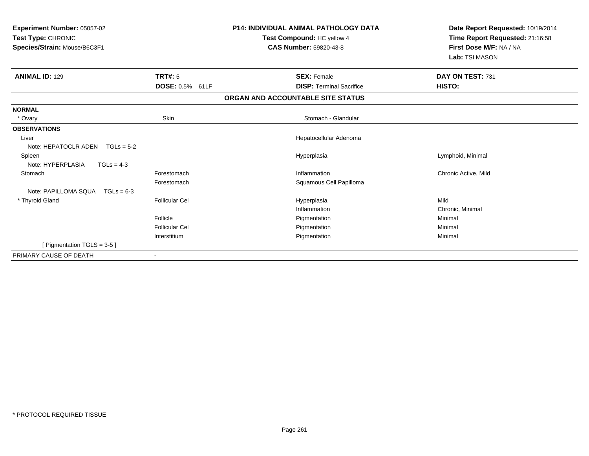| Experiment Number: 05057-02<br>Test Type: CHRONIC<br>Species/Strain: Mouse/B6C3F1 |                       | <b>P14: INDIVIDUAL ANIMAL PATHOLOGY DATA</b><br>Test Compound: HC yellow 4<br><b>CAS Number: 59820-43-8</b> | Date Report Requested: 10/19/2014<br>Time Report Requested: 21:16:58<br>First Dose M/F: NA / NA<br>Lab: TSI MASON |
|-----------------------------------------------------------------------------------|-----------------------|-------------------------------------------------------------------------------------------------------------|-------------------------------------------------------------------------------------------------------------------|
|                                                                                   |                       |                                                                                                             |                                                                                                                   |
| <b>ANIMAL ID: 129</b>                                                             | <b>TRT#: 5</b>        | <b>SEX: Female</b>                                                                                          | DAY ON TEST: 731                                                                                                  |
|                                                                                   | DOSE: 0.5% 61LF       | <b>DISP: Terminal Sacrifice</b>                                                                             | HISTO:                                                                                                            |
|                                                                                   |                       | ORGAN AND ACCOUNTABLE SITE STATUS                                                                           |                                                                                                                   |
| <b>NORMAL</b>                                                                     |                       |                                                                                                             |                                                                                                                   |
| * Ovary                                                                           | Skin                  | Stomach - Glandular                                                                                         |                                                                                                                   |
| <b>OBSERVATIONS</b>                                                               |                       |                                                                                                             |                                                                                                                   |
| Liver                                                                             |                       | Hepatocellular Adenoma                                                                                      |                                                                                                                   |
| Note: HEPATOCLR ADEN $TGLs = 5-2$                                                 |                       |                                                                                                             |                                                                                                                   |
| Spleen                                                                            |                       | Hyperplasia                                                                                                 | Lymphoid, Minimal                                                                                                 |
| Note: HYPERPLASIA<br>$TGLs = 4-3$                                                 |                       |                                                                                                             |                                                                                                                   |
| Stomach                                                                           | Forestomach           | Inflammation                                                                                                | Chronic Active, Mild                                                                                              |
|                                                                                   | Forestomach           | Squamous Cell Papilloma                                                                                     |                                                                                                                   |
| Note: PAPILLOMA SQUA  TGLs = 6-3                                                  |                       |                                                                                                             |                                                                                                                   |
| * Thyroid Gland                                                                   | <b>Follicular Cel</b> | Hyperplasia                                                                                                 | Mild                                                                                                              |
|                                                                                   |                       | Inflammation                                                                                                | Chronic, Minimal                                                                                                  |
|                                                                                   | Follicle              | Pigmentation                                                                                                | Minimal                                                                                                           |
|                                                                                   | Follicular Cel        | Pigmentation                                                                                                | Minimal                                                                                                           |
|                                                                                   | Interstitium          | Pigmentation                                                                                                | Minimal                                                                                                           |
| [ Pigmentation TGLS = 3-5 ]                                                       |                       |                                                                                                             |                                                                                                                   |
| PRIMARY CAUSE OF DEATH                                                            |                       |                                                                                                             |                                                                                                                   |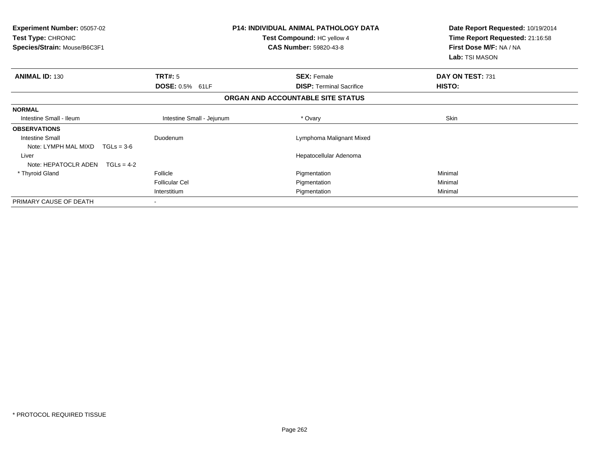| <b>Experiment Number: 05057-02</b><br>Test Type: CHRONIC<br>Species/Strain: Mouse/B6C3F1 | <b>P14: INDIVIDUAL ANIMAL PATHOLOGY DATA</b><br>Test Compound: HC yellow 4<br><b>CAS Number: 59820-43-8</b> |                                   | Date Report Requested: 10/19/2014<br>Time Report Requested: 21:16:58<br>First Dose M/F: NA / NA<br>Lab: TSI MASON |
|------------------------------------------------------------------------------------------|-------------------------------------------------------------------------------------------------------------|-----------------------------------|-------------------------------------------------------------------------------------------------------------------|
| <b>ANIMAL ID: 130</b>                                                                    | TRT#: 5                                                                                                     | <b>SEX: Female</b>                | DAY ON TEST: 731                                                                                                  |
|                                                                                          | DOSE: 0.5% 61LF                                                                                             | <b>DISP:</b> Terminal Sacrifice   | <b>HISTO:</b>                                                                                                     |
|                                                                                          |                                                                                                             | ORGAN AND ACCOUNTABLE SITE STATUS |                                                                                                                   |
| <b>NORMAL</b>                                                                            |                                                                                                             |                                   |                                                                                                                   |
| Intestine Small - Ileum                                                                  | Intestine Small - Jejunum                                                                                   | * Ovary                           | Skin                                                                                                              |
| <b>OBSERVATIONS</b>                                                                      |                                                                                                             |                                   |                                                                                                                   |
| <b>Intestine Small</b>                                                                   | Duodenum                                                                                                    | Lymphoma Malignant Mixed          |                                                                                                                   |
| Note: LYMPH MAL MIXD<br>$TGLs = 3-6$                                                     |                                                                                                             |                                   |                                                                                                                   |
| Liver                                                                                    |                                                                                                             | Hepatocellular Adenoma            |                                                                                                                   |
| Note: HEPATOCLR ADEN<br>$TGLs = 4-2$                                                     |                                                                                                             |                                   |                                                                                                                   |
| * Thyroid Gland                                                                          | Follicle                                                                                                    | Pigmentation                      | Minimal                                                                                                           |
|                                                                                          | <b>Follicular Cel</b>                                                                                       | Pigmentation                      | Minimal                                                                                                           |
|                                                                                          | Interstitium                                                                                                | Pigmentation                      | Minimal                                                                                                           |
| PRIMARY CAUSE OF DEATH                                                                   |                                                                                                             |                                   |                                                                                                                   |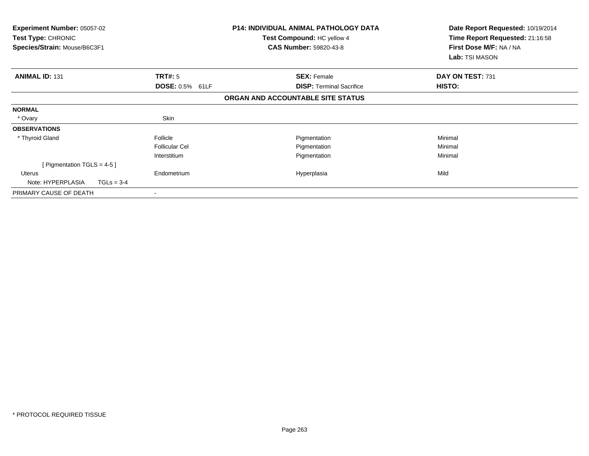| <b>Experiment Number: 05057-02</b><br><b>Test Type: CHRONIC</b><br>Species/Strain: Mouse/B6C3F1 |                       | <b>P14: INDIVIDUAL ANIMAL PATHOLOGY DATA</b><br>Test Compound: HC yellow 4<br><b>CAS Number: 59820-43-8</b> | Date Report Requested: 10/19/2014<br>Time Report Requested: 21:16:58<br>First Dose M/F: NA / NA<br>Lab: TSI MASON |
|-------------------------------------------------------------------------------------------------|-----------------------|-------------------------------------------------------------------------------------------------------------|-------------------------------------------------------------------------------------------------------------------|
| <b>ANIMAL ID: 131</b>                                                                           | TRT#: 5               | <b>SEX: Female</b>                                                                                          | DAY ON TEST: 731                                                                                                  |
|                                                                                                 | DOSE: 0.5% 61LF       | <b>DISP:</b> Terminal Sacrifice                                                                             | <b>HISTO:</b>                                                                                                     |
|                                                                                                 |                       | ORGAN AND ACCOUNTABLE SITE STATUS                                                                           |                                                                                                                   |
| <b>NORMAL</b>                                                                                   |                       |                                                                                                             |                                                                                                                   |
| * Ovary                                                                                         | Skin                  |                                                                                                             |                                                                                                                   |
| <b>OBSERVATIONS</b>                                                                             |                       |                                                                                                             |                                                                                                                   |
| * Thyroid Gland                                                                                 | Follicle              | Pigmentation                                                                                                | Minimal                                                                                                           |
|                                                                                                 | <b>Follicular Cel</b> | Pigmentation                                                                                                | Minimal                                                                                                           |
|                                                                                                 | Interstitium          | Pigmentation                                                                                                | Minimal                                                                                                           |
| [ Pigmentation TGLS = 4-5 ]                                                                     |                       |                                                                                                             |                                                                                                                   |
| Uterus                                                                                          | Endometrium           | Hyperplasia                                                                                                 | Mild                                                                                                              |
| Note: HYPERPLASIA<br>$TGLs = 3-4$                                                               |                       |                                                                                                             |                                                                                                                   |
| PRIMARY CAUSE OF DEATH                                                                          |                       |                                                                                                             |                                                                                                                   |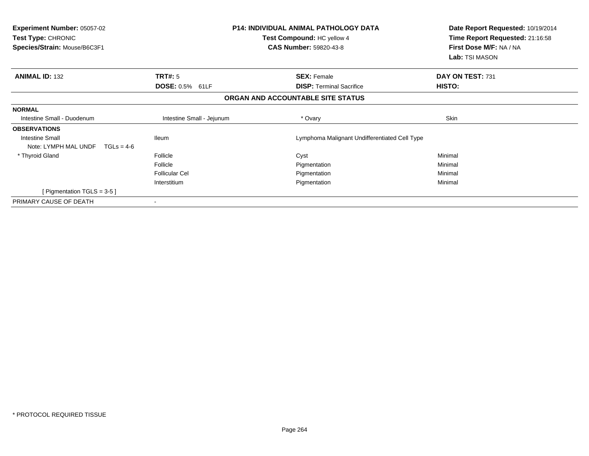| <b>Experiment Number: 05057-02</b><br>Test Type: CHRONIC<br>Species/Strain: Mouse/B6C3F1 |                           | <b>P14: INDIVIDUAL ANIMAL PATHOLOGY DATA</b><br>Test Compound: HC yellow 4<br><b>CAS Number: 59820-43-8</b> | Date Report Requested: 10/19/2014<br>Time Report Requested: 21:16:58<br>First Dose M/F: NA / NA<br>Lab: TSI MASON |
|------------------------------------------------------------------------------------------|---------------------------|-------------------------------------------------------------------------------------------------------------|-------------------------------------------------------------------------------------------------------------------|
| <b>ANIMAL ID: 132</b>                                                                    | TRT#: 5                   | <b>SEX: Female</b>                                                                                          | DAY ON TEST: 731                                                                                                  |
|                                                                                          | DOSE: 0.5% 61LF           | <b>DISP:</b> Terminal Sacrifice                                                                             | HISTO:                                                                                                            |
|                                                                                          |                           | ORGAN AND ACCOUNTABLE SITE STATUS                                                                           |                                                                                                                   |
| <b>NORMAL</b>                                                                            |                           |                                                                                                             |                                                                                                                   |
| Intestine Small - Duodenum                                                               | Intestine Small - Jejunum | * Ovary                                                                                                     | Skin                                                                                                              |
| <b>OBSERVATIONS</b>                                                                      |                           |                                                                                                             |                                                                                                                   |
| <b>Intestine Small</b><br>Note: LYMPH MAL UNDF<br>$TGLs = 4-6$                           | <b>Ileum</b>              | Lymphoma Malignant Undifferentiated Cell Type                                                               |                                                                                                                   |
| * Thyroid Gland                                                                          | Follicle                  | Cyst                                                                                                        | Minimal                                                                                                           |
|                                                                                          | Follicle                  | Pigmentation                                                                                                | Minimal                                                                                                           |
|                                                                                          | <b>Follicular Cel</b>     | Pigmentation                                                                                                | Minimal                                                                                                           |
|                                                                                          | Interstitium              | Pigmentation                                                                                                | Minimal                                                                                                           |
| [Pigmentation TGLS = $3-5$ ]                                                             |                           |                                                                                                             |                                                                                                                   |
| PRIMARY CAUSE OF DEATH                                                                   | $\overline{\phantom{a}}$  |                                                                                                             |                                                                                                                   |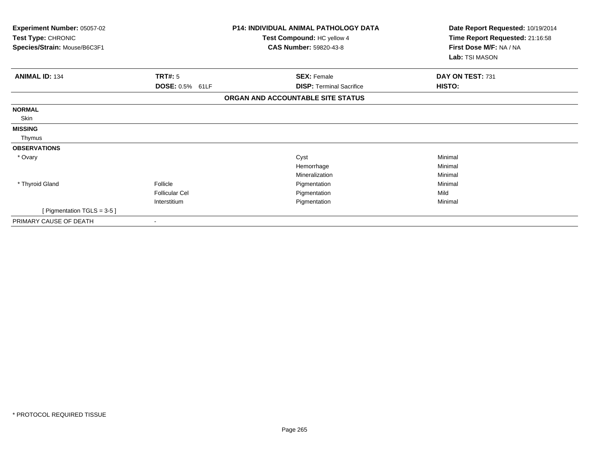| Experiment Number: 05057-02<br>Test Type: CHRONIC<br>Species/Strain: Mouse/B6C3F1 |                       | <b>P14: INDIVIDUAL ANIMAL PATHOLOGY DATA</b><br>Test Compound: HC yellow 4<br><b>CAS Number: 59820-43-8</b> | Date Report Requested: 10/19/2014<br>Time Report Requested: 21:16:58<br>First Dose M/F: NA / NA<br>Lab: TSI MASON |
|-----------------------------------------------------------------------------------|-----------------------|-------------------------------------------------------------------------------------------------------------|-------------------------------------------------------------------------------------------------------------------|
| <b>ANIMAL ID: 134</b>                                                             | TRT#: 5               | <b>SEX: Female</b>                                                                                          | DAY ON TEST: 731                                                                                                  |
|                                                                                   | DOSE: 0.5% 61LF       | <b>DISP: Terminal Sacrifice</b>                                                                             | HISTO:                                                                                                            |
|                                                                                   |                       | ORGAN AND ACCOUNTABLE SITE STATUS                                                                           |                                                                                                                   |
| <b>NORMAL</b>                                                                     |                       |                                                                                                             |                                                                                                                   |
| Skin                                                                              |                       |                                                                                                             |                                                                                                                   |
| <b>MISSING</b>                                                                    |                       |                                                                                                             |                                                                                                                   |
| Thymus                                                                            |                       |                                                                                                             |                                                                                                                   |
| <b>OBSERVATIONS</b>                                                               |                       |                                                                                                             |                                                                                                                   |
| * Ovary                                                                           |                       | Cyst                                                                                                        | Minimal                                                                                                           |
|                                                                                   |                       | Hemorrhage                                                                                                  | Minimal                                                                                                           |
|                                                                                   |                       | Mineralization                                                                                              | Minimal                                                                                                           |
| * Thyroid Gland                                                                   | Follicle              | Pigmentation                                                                                                | Minimal                                                                                                           |
|                                                                                   | <b>Follicular Cel</b> | Pigmentation                                                                                                | Mild                                                                                                              |
|                                                                                   | Interstitium          | Pigmentation                                                                                                | Minimal                                                                                                           |
| [ Pigmentation TGLS = $3-5$ ]                                                     |                       |                                                                                                             |                                                                                                                   |
| PRIMARY CAUSE OF DEATH                                                            | $\,$                  |                                                                                                             |                                                                                                                   |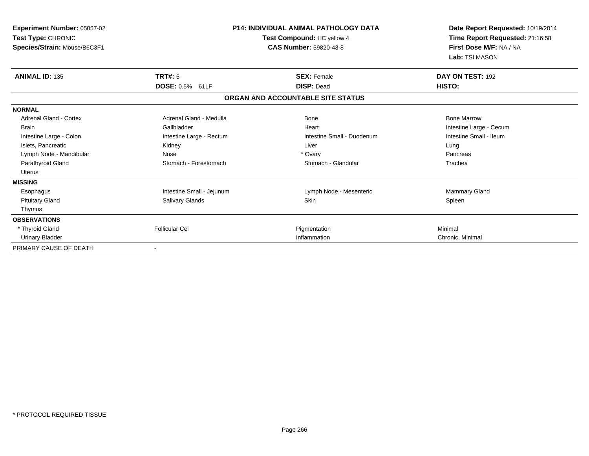| <b>Experiment Number: 05057-02</b><br>Test Type: CHRONIC<br>Species/Strain: Mouse/B6C3F1 | <b>P14: INDIVIDUAL ANIMAL PATHOLOGY DATA</b><br>Test Compound: HC yellow 4<br><b>CAS Number: 59820-43-8</b> |                                   | Date Report Requested: 10/19/2014<br>Time Report Requested: 21:16:58<br>First Dose M/F: NA / NA<br>Lab: TSI MASON |
|------------------------------------------------------------------------------------------|-------------------------------------------------------------------------------------------------------------|-----------------------------------|-------------------------------------------------------------------------------------------------------------------|
| <b>ANIMAL ID: 135</b>                                                                    | TRT#: 5                                                                                                     | <b>SEX: Female</b>                | DAY ON TEST: 192                                                                                                  |
|                                                                                          | <b>DOSE: 0.5% 61LF</b>                                                                                      | <b>DISP: Dead</b>                 | HISTO:                                                                                                            |
|                                                                                          |                                                                                                             | ORGAN AND ACCOUNTABLE SITE STATUS |                                                                                                                   |
| <b>NORMAL</b>                                                                            |                                                                                                             |                                   |                                                                                                                   |
| <b>Adrenal Gland - Cortex</b>                                                            | Adrenal Gland - Medulla                                                                                     | <b>Bone</b>                       | <b>Bone Marrow</b>                                                                                                |
| <b>Brain</b>                                                                             | Gallbladder                                                                                                 | Heart                             | Intestine Large - Cecum                                                                                           |
| Intestine Large - Colon                                                                  | Intestine Large - Rectum                                                                                    | Intestine Small - Duodenum        | Intestine Small - Ileum                                                                                           |
| Islets, Pancreatic                                                                       | Kidney                                                                                                      | Liver                             | Lung                                                                                                              |
| Lymph Node - Mandibular                                                                  | Nose                                                                                                        | * Ovary                           | Pancreas                                                                                                          |
| Parathyroid Gland                                                                        | Stomach - Forestomach                                                                                       | Stomach - Glandular               | Trachea                                                                                                           |
| <b>Uterus</b>                                                                            |                                                                                                             |                                   |                                                                                                                   |
| <b>MISSING</b>                                                                           |                                                                                                             |                                   |                                                                                                                   |
| Esophagus                                                                                | Intestine Small - Jejunum                                                                                   | Lymph Node - Mesenteric           | Mammary Gland                                                                                                     |
| <b>Pituitary Gland</b>                                                                   | <b>Salivary Glands</b>                                                                                      | Skin                              | Spleen                                                                                                            |
| Thymus                                                                                   |                                                                                                             |                                   |                                                                                                                   |
| <b>OBSERVATIONS</b>                                                                      |                                                                                                             |                                   |                                                                                                                   |
| * Thyroid Gland                                                                          | <b>Follicular Cel</b>                                                                                       | Pigmentation                      | Minimal                                                                                                           |
| <b>Urinary Bladder</b>                                                                   |                                                                                                             | Inflammation                      | Chronic, Minimal                                                                                                  |
| PRIMARY CAUSE OF DEATH                                                                   |                                                                                                             |                                   |                                                                                                                   |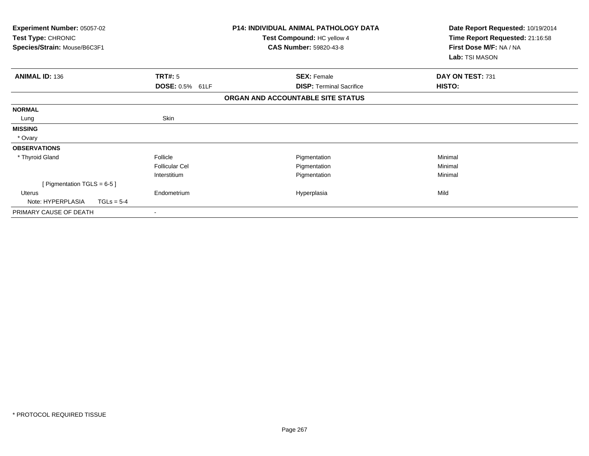| <b>P14: INDIVIDUAL ANIMAL PATHOLOGY DATA</b><br>Experiment Number: 05057-02<br>Test Type: CHRONIC<br>Test Compound: HC yellow 4<br>Species/Strain: Mouse/B6C3F1<br><b>CAS Number: 59820-43-8</b> |                       |                                   | Date Report Requested: 10/19/2014<br>Time Report Requested: 21:16:58<br>First Dose M/F: NA / NA |  |
|--------------------------------------------------------------------------------------------------------------------------------------------------------------------------------------------------|-----------------------|-----------------------------------|-------------------------------------------------------------------------------------------------|--|
|                                                                                                                                                                                                  |                       |                                   | Lab: TSI MASON                                                                                  |  |
| <b>ANIMAL ID: 136</b>                                                                                                                                                                            | TRT#: 5               | <b>SEX: Female</b>                | DAY ON TEST: 731                                                                                |  |
|                                                                                                                                                                                                  | DOSE: 0.5% 61LF       | <b>DISP: Terminal Sacrifice</b>   | HISTO:                                                                                          |  |
|                                                                                                                                                                                                  |                       | ORGAN AND ACCOUNTABLE SITE STATUS |                                                                                                 |  |
| <b>NORMAL</b>                                                                                                                                                                                    |                       |                                   |                                                                                                 |  |
| Lung                                                                                                                                                                                             | Skin                  |                                   |                                                                                                 |  |
| <b>MISSING</b>                                                                                                                                                                                   |                       |                                   |                                                                                                 |  |
| * Ovary                                                                                                                                                                                          |                       |                                   |                                                                                                 |  |
| <b>OBSERVATIONS</b>                                                                                                                                                                              |                       |                                   |                                                                                                 |  |
| * Thyroid Gland                                                                                                                                                                                  | Follicle              | Pigmentation                      | Minimal                                                                                         |  |
|                                                                                                                                                                                                  | <b>Follicular Cel</b> | Pigmentation                      | Minimal                                                                                         |  |
|                                                                                                                                                                                                  | Interstitium          | Pigmentation                      | Minimal                                                                                         |  |
| [ Pigmentation TGLS = $6-5$ ]                                                                                                                                                                    |                       |                                   |                                                                                                 |  |
| Uterus                                                                                                                                                                                           | Endometrium           | Hyperplasia                       | Mild                                                                                            |  |
| Note: HYPERPLASIA<br>$TGLs = 5-4$                                                                                                                                                                |                       |                                   |                                                                                                 |  |
| PRIMARY CAUSE OF DEATH                                                                                                                                                                           |                       |                                   |                                                                                                 |  |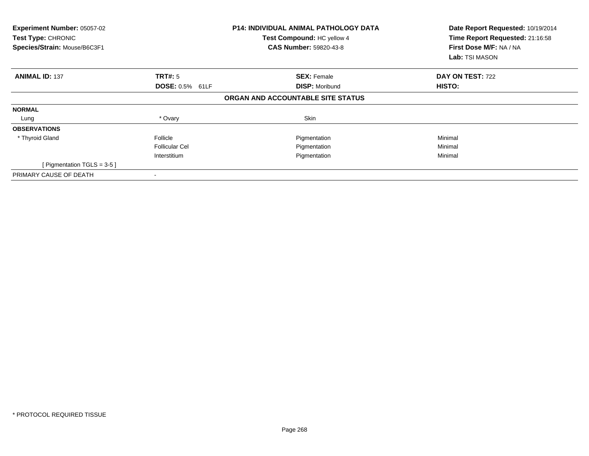| Experiment Number: 05057-02<br>Test Type: CHRONIC<br>Species/Strain: Mouse/B6C3F1 |                        | <b>P14: INDIVIDUAL ANIMAL PATHOLOGY DATA</b><br>Test Compound: HC yellow 4<br><b>CAS Number: 59820-43-8</b> | Date Report Requested: 10/19/2014<br>Time Report Requested: 21:16:58<br>First Dose M/F: NA / NA<br><b>Lab:</b> TSI MASON |  |
|-----------------------------------------------------------------------------------|------------------------|-------------------------------------------------------------------------------------------------------------|--------------------------------------------------------------------------------------------------------------------------|--|
| <b>ANIMAL ID: 137</b>                                                             | TRT#: 5                | <b>SEX: Female</b>                                                                                          | <b>DAY ON TEST: 722</b>                                                                                                  |  |
|                                                                                   | <b>DOSE: 0.5% 61LF</b> | <b>DISP: Moribund</b>                                                                                       | HISTO:                                                                                                                   |  |
|                                                                                   |                        | ORGAN AND ACCOUNTABLE SITE STATUS                                                                           |                                                                                                                          |  |
| <b>NORMAL</b>                                                                     |                        |                                                                                                             |                                                                                                                          |  |
| Lung                                                                              | * Ovary                | Skin                                                                                                        |                                                                                                                          |  |
| <b>OBSERVATIONS</b>                                                               |                        |                                                                                                             |                                                                                                                          |  |
| * Thyroid Gland                                                                   | Follicle               | Pigmentation                                                                                                | Minimal                                                                                                                  |  |
|                                                                                   | <b>Follicular Cel</b>  | Pigmentation                                                                                                | Minimal                                                                                                                  |  |
|                                                                                   | Interstitium           | Pigmentation                                                                                                | Minimal                                                                                                                  |  |
| [ Pigmentation TGLS = $3-5$ ]                                                     |                        |                                                                                                             |                                                                                                                          |  |
| PRIMARY CAUSE OF DEATH                                                            |                        |                                                                                                             |                                                                                                                          |  |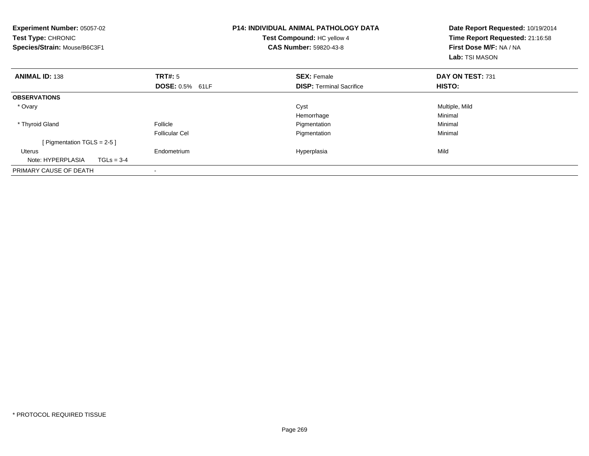| Experiment Number: 05057-02<br>Test Type: CHRONIC<br>Species/Strain: Mouse/B6C3F1 |              |                                   | <b>P14: INDIVIDUAL ANIMAL PATHOLOGY DATA</b><br>Test Compound: HC yellow 4<br>CAS Number: 59820-43-8 |                                                       | Date Report Requested: 10/19/2014<br>Time Report Requested: 21:16:58<br>First Dose M/F: NA / NA<br>Lab: TSI MASON |  |
|-----------------------------------------------------------------------------------|--------------|-----------------------------------|------------------------------------------------------------------------------------------------------|-------------------------------------------------------|-------------------------------------------------------------------------------------------------------------------|--|
| <b>ANIMAL ID: 138</b>                                                             |              | TRT#: 5<br>DOSE: 0.5% 61LF        |                                                                                                      | <b>SEX: Female</b><br><b>DISP:</b> Terminal Sacrifice | DAY ON TEST: 731<br>HISTO:                                                                                        |  |
| <b>OBSERVATIONS</b>                                                               |              |                                   |                                                                                                      |                                                       |                                                                                                                   |  |
| * Ovary                                                                           |              |                                   |                                                                                                      | Cyst<br>Hemorrhage                                    | Multiple, Mild<br>Minimal                                                                                         |  |
| * Thyroid Gland                                                                   |              | Follicle<br><b>Follicular Cel</b> |                                                                                                      | Pigmentation<br>Pigmentation                          | Minimal<br>Minimal                                                                                                |  |
| [ Pigmentation TGLS = $2-5$ ]                                                     |              |                                   |                                                                                                      |                                                       |                                                                                                                   |  |
| <b>Uterus</b><br>Note: HYPERPLASIA                                                | $TGLs = 3-4$ | Endometrium                       |                                                                                                      | Hyperplasia                                           | Mild                                                                                                              |  |
| PRIMARY CAUSE OF DEATH                                                            |              |                                   |                                                                                                      |                                                       |                                                                                                                   |  |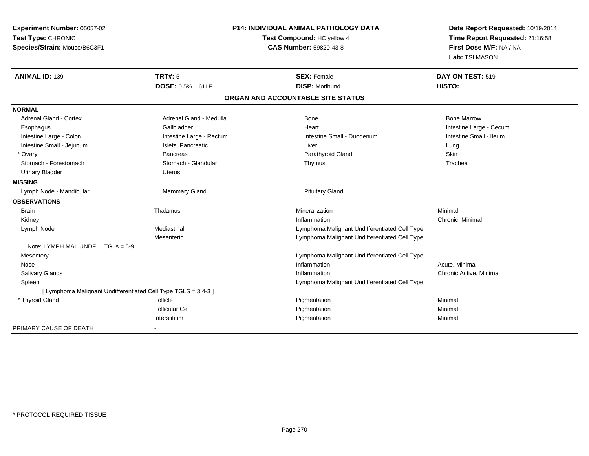| Experiment Number: 05057-02<br>Test Type: CHRONIC<br>Species/Strain: Mouse/B6C3F1 | P14: INDIVIDUAL ANIMAL PATHOLOGY DATA<br>Test Compound: HC yellow 4<br><b>CAS Number: 59820-43-8</b> |                                               | Date Report Requested: 10/19/2014<br>Time Report Requested: 21:16:58<br>First Dose M/F: NA / NA<br>Lab: TSI MASON |  |
|-----------------------------------------------------------------------------------|------------------------------------------------------------------------------------------------------|-----------------------------------------------|-------------------------------------------------------------------------------------------------------------------|--|
| <b>ANIMAL ID: 139</b>                                                             | TRT#: 5                                                                                              | <b>SEX: Female</b>                            | DAY ON TEST: 519                                                                                                  |  |
|                                                                                   | DOSE: 0.5% 61LF                                                                                      | <b>DISP: Moribund</b>                         | HISTO:                                                                                                            |  |
|                                                                                   |                                                                                                      | ORGAN AND ACCOUNTABLE SITE STATUS             |                                                                                                                   |  |
| <b>NORMAL</b>                                                                     |                                                                                                      |                                               |                                                                                                                   |  |
| <b>Adrenal Gland - Cortex</b>                                                     | Adrenal Gland - Medulla                                                                              | <b>Bone</b>                                   | <b>Bone Marrow</b>                                                                                                |  |
| Esophagus                                                                         | Gallbladder                                                                                          | Heart                                         | Intestine Large - Cecum                                                                                           |  |
| Intestine Large - Colon                                                           | Intestine Large - Rectum                                                                             | Intestine Small - Duodenum                    | Intestine Small - Ileum                                                                                           |  |
| Intestine Small - Jejunum                                                         | Islets, Pancreatic                                                                                   | Liver                                         | Lung                                                                                                              |  |
| * Ovary                                                                           | Pancreas                                                                                             | Parathyroid Gland                             | Skin                                                                                                              |  |
| Stomach - Forestomach                                                             | Stomach - Glandular                                                                                  | Thymus                                        | Trachea                                                                                                           |  |
| <b>Urinary Bladder</b>                                                            | Uterus                                                                                               |                                               |                                                                                                                   |  |
| <b>MISSING</b>                                                                    |                                                                                                      |                                               |                                                                                                                   |  |
| Lymph Node - Mandibular                                                           | Mammary Gland                                                                                        | <b>Pituitary Gland</b>                        |                                                                                                                   |  |
| <b>OBSERVATIONS</b>                                                               |                                                                                                      |                                               |                                                                                                                   |  |
| <b>Brain</b>                                                                      | Thalamus                                                                                             | Mineralization                                | Minimal                                                                                                           |  |
| Kidney                                                                            |                                                                                                      | Inflammation                                  | Chronic, Minimal                                                                                                  |  |
| Lymph Node                                                                        | Mediastinal                                                                                          | Lymphoma Malignant Undifferentiated Cell Type |                                                                                                                   |  |
|                                                                                   | Mesenteric                                                                                           | Lymphoma Malignant Undifferentiated Cell Type |                                                                                                                   |  |
| Note: LYMPH MAL UNDF $TGLs = 5-9$                                                 |                                                                                                      |                                               |                                                                                                                   |  |
| Mesentery                                                                         |                                                                                                      | Lymphoma Malignant Undifferentiated Cell Type |                                                                                                                   |  |
| Nose                                                                              |                                                                                                      | Inflammation                                  | Acute, Minimal                                                                                                    |  |
| Salivary Glands                                                                   |                                                                                                      | Inflammation                                  | Chronic Active, Minimal                                                                                           |  |
| Spleen                                                                            |                                                                                                      | Lymphoma Malignant Undifferentiated Cell Type |                                                                                                                   |  |
| [ Lymphoma Malignant Undifferentiated Cell Type TGLS = 3,4-3 ]                    |                                                                                                      |                                               |                                                                                                                   |  |
| * Thyroid Gland                                                                   | Follicle                                                                                             | Pigmentation                                  | Minimal                                                                                                           |  |
|                                                                                   | <b>Follicular Cel</b>                                                                                | Pigmentation                                  | Minimal                                                                                                           |  |
|                                                                                   | Interstitium                                                                                         | Pigmentation                                  | Minimal                                                                                                           |  |
| PRIMARY CAUSE OF DEATH                                                            |                                                                                                      |                                               |                                                                                                                   |  |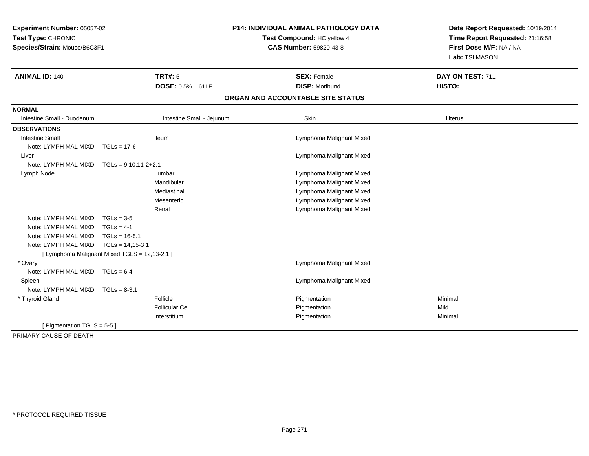| Experiment Number: 05057-02<br>Test Type: CHRONIC<br>Species/Strain: Mouse/B6C3F1 |                                               | <b>P14: INDIVIDUAL ANIMAL PATHOLOGY DATA</b><br>Test Compound: HC yellow 4<br><b>CAS Number: 59820-43-8</b> | Date Report Requested: 10/19/2014<br>Time Report Requested: 21:16:58<br>First Dose M/F: NA / NA<br>Lab: TSI MASON |  |
|-----------------------------------------------------------------------------------|-----------------------------------------------|-------------------------------------------------------------------------------------------------------------|-------------------------------------------------------------------------------------------------------------------|--|
| <b>ANIMAL ID: 140</b>                                                             | <b>TRT#: 5</b>                                | <b>SEX: Female</b>                                                                                          | DAY ON TEST: 711                                                                                                  |  |
|                                                                                   | DOSE: 0.5% 61LF                               | <b>DISP: Moribund</b>                                                                                       | <b>HISTO:</b>                                                                                                     |  |
|                                                                                   |                                               | ORGAN AND ACCOUNTABLE SITE STATUS                                                                           |                                                                                                                   |  |
| <b>NORMAL</b>                                                                     |                                               |                                                                                                             |                                                                                                                   |  |
| Intestine Small - Duodenum                                                        | Intestine Small - Jejunum                     | Skin                                                                                                        | <b>Uterus</b>                                                                                                     |  |
| <b>OBSERVATIONS</b>                                                               |                                               |                                                                                                             |                                                                                                                   |  |
| <b>Intestine Small</b>                                                            | <b>Ileum</b>                                  | Lymphoma Malignant Mixed                                                                                    |                                                                                                                   |  |
| Note: LYMPH MAL MIXD TGLs = 17-6                                                  |                                               |                                                                                                             |                                                                                                                   |  |
| Liver                                                                             |                                               | Lymphoma Malignant Mixed                                                                                    |                                                                                                                   |  |
| Note: LYMPH MAL MIXD $TGLs = 9,10,11-2+2.1$                                       |                                               |                                                                                                             |                                                                                                                   |  |
| Lymph Node                                                                        | Lumbar                                        | Lymphoma Malignant Mixed                                                                                    |                                                                                                                   |  |
|                                                                                   | Mandibular                                    | Lymphoma Malignant Mixed                                                                                    |                                                                                                                   |  |
|                                                                                   | Mediastinal                                   | Lymphoma Malignant Mixed                                                                                    |                                                                                                                   |  |
|                                                                                   | Mesenteric                                    | Lymphoma Malignant Mixed                                                                                    |                                                                                                                   |  |
|                                                                                   | Renal                                         | Lymphoma Malignant Mixed                                                                                    |                                                                                                                   |  |
| Note: LYMPH MAL MIXD                                                              | $TGLs = 3-5$                                  |                                                                                                             |                                                                                                                   |  |
| Note: LYMPH MAL MIXD                                                              | $TGLs = 4-1$                                  |                                                                                                             |                                                                                                                   |  |
| Note: LYMPH MAL MIXD                                                              | $TGLs = 16-5.1$                               |                                                                                                             |                                                                                                                   |  |
| Note: LYMPH MAL MIXD                                                              | $TGLs = 14,15-3.1$                            |                                                                                                             |                                                                                                                   |  |
|                                                                                   | [ Lymphoma Malignant Mixed TGLS = 12,13-2.1 ] |                                                                                                             |                                                                                                                   |  |
| * Ovary                                                                           |                                               | Lymphoma Malignant Mixed                                                                                    |                                                                                                                   |  |
| Note: LYMPH MAL MIXD TGLs = 6-4                                                   |                                               |                                                                                                             |                                                                                                                   |  |
| Spleen                                                                            |                                               | Lymphoma Malignant Mixed                                                                                    |                                                                                                                   |  |
| Note: LYMPH MAL MIXD                                                              | $TGLs = 8-3.1$                                |                                                                                                             |                                                                                                                   |  |
| * Thyroid Gland                                                                   | Follicle                                      | Pigmentation                                                                                                | Minimal                                                                                                           |  |
|                                                                                   | <b>Follicular Cel</b>                         | Pigmentation                                                                                                | Mild                                                                                                              |  |
|                                                                                   | Interstitium                                  | Pigmentation                                                                                                | Minimal                                                                                                           |  |
| [ Pigmentation TGLS = $5-5$ ]                                                     |                                               |                                                                                                             |                                                                                                                   |  |
| PRIMARY CAUSE OF DEATH                                                            | $\overline{\phantom{a}}$                      |                                                                                                             |                                                                                                                   |  |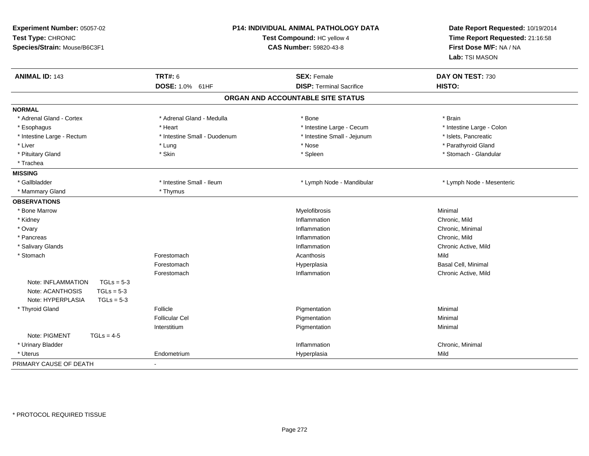| Experiment Number: 05057-02<br>Test Type: CHRONIC<br>Species/Strain: Mouse/B6C3F1 |                                   | P14: INDIVIDUAL ANIMAL PATHOLOGY DATA<br>Test Compound: HC yellow 4<br><b>CAS Number: 59820-43-8</b> | Date Report Requested: 10/19/2014<br>Time Report Requested: 21:16:58<br>First Dose M/F: NA / NA<br>Lab: TSI MASON |
|-----------------------------------------------------------------------------------|-----------------------------------|------------------------------------------------------------------------------------------------------|-------------------------------------------------------------------------------------------------------------------|
| <b>ANIMAL ID: 143</b>                                                             | <b>TRT#: 6</b><br>DOSE: 1.0% 61HF | <b>SEX: Female</b><br><b>DISP: Terminal Sacrifice</b>                                                | DAY ON TEST: 730<br>HISTO:                                                                                        |
|                                                                                   |                                   | ORGAN AND ACCOUNTABLE SITE STATUS                                                                    |                                                                                                                   |
| <b>NORMAL</b>                                                                     |                                   |                                                                                                      |                                                                                                                   |
| * Adrenal Gland - Cortex                                                          | * Adrenal Gland - Medulla         | * Bone                                                                                               | * Brain                                                                                                           |
| * Esophagus                                                                       | * Heart                           | * Intestine Large - Cecum                                                                            | * Intestine Large - Colon                                                                                         |
| * Intestine Large - Rectum                                                        | * Intestine Small - Duodenum      | * Intestine Small - Jejunum                                                                          | * Islets, Pancreatic                                                                                              |
| * Liver                                                                           | * Lung                            | * Nose                                                                                               | * Parathyroid Gland                                                                                               |
| * Pituitary Gland                                                                 | * Skin                            | * Spleen                                                                                             | * Stomach - Glandular                                                                                             |
| * Trachea                                                                         |                                   |                                                                                                      |                                                                                                                   |
| <b>MISSING</b>                                                                    |                                   |                                                                                                      |                                                                                                                   |
| * Gallbladder                                                                     | * Intestine Small - Ileum         | * Lymph Node - Mandibular                                                                            | * Lymph Node - Mesenteric                                                                                         |
| * Mammary Gland                                                                   | * Thymus                          |                                                                                                      |                                                                                                                   |
| <b>OBSERVATIONS</b>                                                               |                                   |                                                                                                      |                                                                                                                   |
| * Bone Marrow                                                                     |                                   | Myelofibrosis                                                                                        | Minimal                                                                                                           |
| * Kidney                                                                          |                                   | Inflammation                                                                                         | Chronic, Mild                                                                                                     |
| * Ovary                                                                           |                                   | Inflammation                                                                                         | Chronic, Minimal                                                                                                  |
| * Pancreas                                                                        |                                   | Inflammation                                                                                         | Chronic, Mild                                                                                                     |
| * Salivary Glands                                                                 |                                   | Inflammation                                                                                         | Chronic Active, Mild                                                                                              |
| * Stomach                                                                         | Forestomach                       | Acanthosis                                                                                           | Mild                                                                                                              |
|                                                                                   | Forestomach                       | Hyperplasia                                                                                          | Basal Cell, Minimal                                                                                               |
|                                                                                   | Forestomach                       | Inflammation                                                                                         | Chronic Active, Mild                                                                                              |
| Note: INFLAMMATION<br>$TGLs = 5-3$                                                |                                   |                                                                                                      |                                                                                                                   |
| Note: ACANTHOSIS<br>$TGLs = 5-3$                                                  |                                   |                                                                                                      |                                                                                                                   |
| Note: HYPERPLASIA<br>$TGLs = 5-3$                                                 |                                   |                                                                                                      |                                                                                                                   |
| * Thyroid Gland                                                                   | Follicle                          | Pigmentation                                                                                         | Minimal                                                                                                           |
|                                                                                   | <b>Follicular Cel</b>             | Pigmentation                                                                                         | Minimal                                                                                                           |
|                                                                                   | Interstitium                      | Pigmentation                                                                                         | Minimal                                                                                                           |
| Note: PIGMENT<br>$TGLs = 4-5$                                                     |                                   |                                                                                                      |                                                                                                                   |
| * Urinary Bladder                                                                 |                                   | Inflammation                                                                                         | Chronic, Minimal                                                                                                  |
| * Uterus                                                                          | Endometrium                       | Hyperplasia                                                                                          | Mild                                                                                                              |
| PRIMARY CAUSE OF DEATH                                                            | $\sim$                            |                                                                                                      |                                                                                                                   |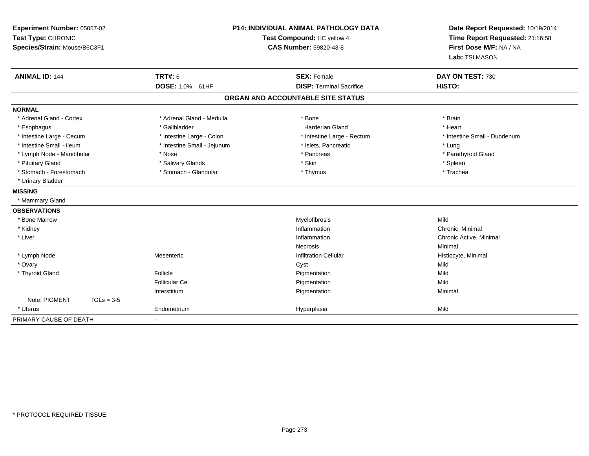| Experiment Number: 05057-02<br>Test Type: CHRONIC<br>Species/Strain: Mouse/B6C3F1 | P14: INDIVIDUAL ANIMAL PATHOLOGY DATA<br>Test Compound: HC yellow 4<br><b>CAS Number: 59820-43-8</b> |                                   | Date Report Requested: 10/19/2014<br>Time Report Requested: 21:16:58<br>First Dose M/F: NA / NA<br>Lab: TSI MASON |
|-----------------------------------------------------------------------------------|------------------------------------------------------------------------------------------------------|-----------------------------------|-------------------------------------------------------------------------------------------------------------------|
| <b>ANIMAL ID: 144</b>                                                             | TRT#: 6                                                                                              | <b>SEX: Female</b>                | DAY ON TEST: 730                                                                                                  |
|                                                                                   | DOSE: 1.0% 61HF                                                                                      | <b>DISP: Terminal Sacrifice</b>   | HISTO:                                                                                                            |
|                                                                                   |                                                                                                      | ORGAN AND ACCOUNTABLE SITE STATUS |                                                                                                                   |
| <b>NORMAL</b>                                                                     |                                                                                                      |                                   |                                                                                                                   |
| * Adrenal Gland - Cortex                                                          | * Adrenal Gland - Medulla                                                                            | * Bone                            | * Brain                                                                                                           |
| * Esophagus                                                                       | * Gallbladder                                                                                        | <b>Harderian Gland</b>            | * Heart                                                                                                           |
| * Intestine Large - Cecum                                                         | * Intestine Large - Colon                                                                            | * Intestine Large - Rectum        | * Intestine Small - Duodenum                                                                                      |
| * Intestine Small - Ileum                                                         | * Intestine Small - Jejunum                                                                          | * Islets, Pancreatic              | * Lung                                                                                                            |
| * Lymph Node - Mandibular                                                         | * Nose                                                                                               | * Pancreas                        | * Parathyroid Gland                                                                                               |
| * Pituitary Gland                                                                 | * Salivary Glands                                                                                    | * Skin                            | * Spleen                                                                                                          |
| * Stomach - Forestomach                                                           | * Stomach - Glandular                                                                                | * Thymus                          | * Trachea                                                                                                         |
| * Urinary Bladder                                                                 |                                                                                                      |                                   |                                                                                                                   |
| <b>MISSING</b>                                                                    |                                                                                                      |                                   |                                                                                                                   |
| * Mammary Gland                                                                   |                                                                                                      |                                   |                                                                                                                   |
| <b>OBSERVATIONS</b>                                                               |                                                                                                      |                                   |                                                                                                                   |
| * Bone Marrow                                                                     |                                                                                                      | Myelofibrosis                     | Mild                                                                                                              |
| * Kidney                                                                          |                                                                                                      | Inflammation                      | Chronic, Minimal                                                                                                  |
| * Liver                                                                           |                                                                                                      | Inflammation                      | Chronic Active, Minimal                                                                                           |
|                                                                                   |                                                                                                      | Necrosis                          | Minimal                                                                                                           |
| * Lymph Node                                                                      | Mesenteric                                                                                           | <b>Infiltration Cellular</b>      | Histiocyte, Minimal                                                                                               |
| * Ovary                                                                           |                                                                                                      | Cyst                              | Mild                                                                                                              |
| * Thyroid Gland                                                                   | Follicle                                                                                             | Pigmentation                      | Mild                                                                                                              |
|                                                                                   | <b>Follicular Cel</b>                                                                                | Pigmentation                      | Mild                                                                                                              |
|                                                                                   | Interstitium                                                                                         | Pigmentation                      | Minimal                                                                                                           |
| Note: PIGMENT<br>$TGLs = 3-5$                                                     |                                                                                                      |                                   |                                                                                                                   |
| * Uterus                                                                          | Endometrium                                                                                          | Hyperplasia                       | Mild                                                                                                              |
| PRIMARY CAUSE OF DEATH                                                            |                                                                                                      |                                   |                                                                                                                   |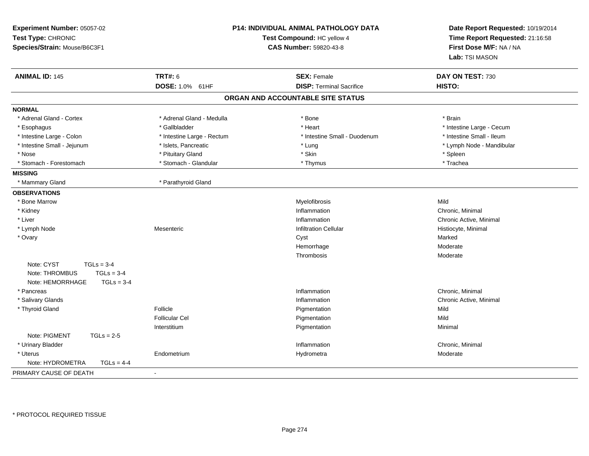| Experiment Number: 05057-02<br>Test Type: CHRONIC<br>Species/Strain: Mouse/B6C3F1                |                            | P14: INDIVIDUAL ANIMAL PATHOLOGY DATA<br>Test Compound: HC yellow 4<br><b>CAS Number: 59820-43-8</b> | Date Report Requested: 10/19/2014<br>Time Report Requested: 21:16:58<br>First Dose M/F: NA / NA<br>Lab: TSI MASON |
|--------------------------------------------------------------------------------------------------|----------------------------|------------------------------------------------------------------------------------------------------|-------------------------------------------------------------------------------------------------------------------|
| <b>ANIMAL ID: 145</b>                                                                            | <b>TRT#: 6</b>             | <b>SEX: Female</b>                                                                                   | DAY ON TEST: 730                                                                                                  |
|                                                                                                  | DOSE: 1.0% 61HF            | <b>DISP: Terminal Sacrifice</b>                                                                      | HISTO:                                                                                                            |
|                                                                                                  |                            | ORGAN AND ACCOUNTABLE SITE STATUS                                                                    |                                                                                                                   |
| <b>NORMAL</b>                                                                                    |                            |                                                                                                      |                                                                                                                   |
| * Adrenal Gland - Cortex                                                                         | * Adrenal Gland - Medulla  | * Bone                                                                                               | * Brain                                                                                                           |
| * Esophagus                                                                                      | * Gallbladder              | * Heart                                                                                              | * Intestine Large - Cecum                                                                                         |
| * Intestine Large - Colon                                                                        | * Intestine Large - Rectum | * Intestine Small - Duodenum                                                                         | * Intestine Small - Ileum                                                                                         |
| * Intestine Small - Jejunum                                                                      | * Islets, Pancreatic       | * Lung                                                                                               | * Lymph Node - Mandibular                                                                                         |
| * Nose                                                                                           | * Pituitary Gland          | * Skin                                                                                               | $^*$ Spleen                                                                                                       |
| * Stomach - Forestomach                                                                          | * Stomach - Glandular      | * Thymus                                                                                             | * Trachea                                                                                                         |
| <b>MISSING</b>                                                                                   |                            |                                                                                                      |                                                                                                                   |
| * Mammary Gland                                                                                  | * Parathyroid Gland        |                                                                                                      |                                                                                                                   |
| <b>OBSERVATIONS</b>                                                                              |                            |                                                                                                      |                                                                                                                   |
| * Bone Marrow                                                                                    |                            | Myelofibrosis                                                                                        | Mild                                                                                                              |
| * Kidney                                                                                         |                            | Inflammation                                                                                         | Chronic, Minimal                                                                                                  |
| * Liver                                                                                          |                            | Inflammation                                                                                         | Chronic Active, Minimal                                                                                           |
| * Lymph Node                                                                                     | Mesenteric                 | <b>Infiltration Cellular</b>                                                                         | Histiocyte, Minimal                                                                                               |
| * Ovary                                                                                          |                            | Cyst                                                                                                 | Marked                                                                                                            |
|                                                                                                  |                            | Hemorrhage                                                                                           | Moderate                                                                                                          |
|                                                                                                  |                            | Thrombosis                                                                                           | Moderate                                                                                                          |
| Note: CYST<br>$TGLs = 3-4$<br>Note: THROMBUS<br>$TGLs = 3-4$<br>$TGLs = 3-4$<br>Note: HEMORRHAGE |                            |                                                                                                      |                                                                                                                   |
| * Pancreas                                                                                       |                            | Inflammation                                                                                         | Chronic, Minimal                                                                                                  |
| * Salivary Glands                                                                                |                            | Inflammation                                                                                         | Chronic Active, Minimal                                                                                           |
| * Thyroid Gland                                                                                  | Follicle                   | Pigmentation                                                                                         | Mild                                                                                                              |
|                                                                                                  | <b>Follicular Cel</b>      | Pigmentation                                                                                         | Mild                                                                                                              |
|                                                                                                  | Interstitium               | Pigmentation                                                                                         | Minimal                                                                                                           |
| Note: PIGMENT<br>$TGLs = 2-5$                                                                    |                            |                                                                                                      |                                                                                                                   |
| * Urinary Bladder                                                                                |                            | Inflammation                                                                                         | Chronic, Minimal                                                                                                  |
| * Uterus                                                                                         | Endometrium                | Hydrometra                                                                                           | Moderate                                                                                                          |
| Note: HYDROMETRA<br>$TGLs = 4-4$                                                                 |                            |                                                                                                      |                                                                                                                   |
| PRIMARY CAUSE OF DEATH                                                                           | $\blacksquare$             |                                                                                                      |                                                                                                                   |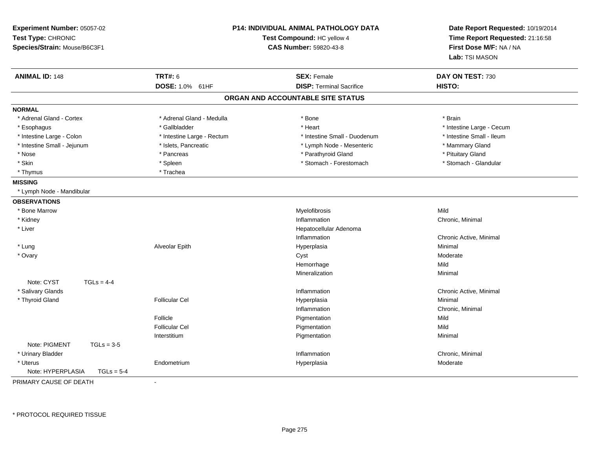| Experiment Number: 05057-02<br>Test Type: CHRONIC<br>Species/Strain: Mouse/B6C3F1 | <b>P14: INDIVIDUAL ANIMAL PATHOLOGY DATA</b><br>Test Compound: HC yellow 4<br><b>CAS Number: 59820-43-8</b> |                                   | Date Report Requested: 10/19/2014<br>Time Report Requested: 21:16:58<br>First Dose M/F: NA / NA<br>Lab: TSI MASON |  |
|-----------------------------------------------------------------------------------|-------------------------------------------------------------------------------------------------------------|-----------------------------------|-------------------------------------------------------------------------------------------------------------------|--|
| <b>ANIMAL ID: 148</b>                                                             | <b>TRT#: 6</b>                                                                                              | <b>SEX: Female</b>                | DAY ON TEST: 730                                                                                                  |  |
|                                                                                   | DOSE: 1.0% 61HF                                                                                             | <b>DISP: Terminal Sacrifice</b>   | HISTO:                                                                                                            |  |
|                                                                                   |                                                                                                             | ORGAN AND ACCOUNTABLE SITE STATUS |                                                                                                                   |  |
| <b>NORMAL</b>                                                                     |                                                                                                             |                                   |                                                                                                                   |  |
| * Adrenal Gland - Cortex                                                          | * Adrenal Gland - Medulla                                                                                   | * Bone                            | * Brain                                                                                                           |  |
| * Esophagus                                                                       | * Gallbladder                                                                                               | * Heart                           | * Intestine Large - Cecum                                                                                         |  |
| * Intestine Large - Colon                                                         | * Intestine Large - Rectum                                                                                  | * Intestine Small - Duodenum      | * Intestine Small - Ileum                                                                                         |  |
| * Intestine Small - Jejunum                                                       | * Islets, Pancreatic                                                                                        | * Lymph Node - Mesenteric         | * Mammary Gland                                                                                                   |  |
| * Nose                                                                            | * Pancreas                                                                                                  | * Parathyroid Gland               | * Pituitary Gland                                                                                                 |  |
| * Skin                                                                            | * Spleen                                                                                                    | * Stomach - Forestomach           | * Stomach - Glandular                                                                                             |  |
| * Thymus                                                                          | * Trachea                                                                                                   |                                   |                                                                                                                   |  |
| <b>MISSING</b>                                                                    |                                                                                                             |                                   |                                                                                                                   |  |
| * Lymph Node - Mandibular                                                         |                                                                                                             |                                   |                                                                                                                   |  |
| <b>OBSERVATIONS</b>                                                               |                                                                                                             |                                   |                                                                                                                   |  |
| * Bone Marrow                                                                     |                                                                                                             | Myelofibrosis                     | Mild                                                                                                              |  |
| * Kidney                                                                          |                                                                                                             | Inflammation                      | Chronic, Minimal                                                                                                  |  |
| * Liver                                                                           |                                                                                                             | Hepatocellular Adenoma            |                                                                                                                   |  |
|                                                                                   |                                                                                                             | Inflammation                      | Chronic Active, Minimal                                                                                           |  |
| * Lung                                                                            | Alveolar Epith                                                                                              | Hyperplasia                       | Minimal                                                                                                           |  |
| * Ovary                                                                           |                                                                                                             | Cyst                              | Moderate                                                                                                          |  |
|                                                                                   |                                                                                                             | Hemorrhage                        | Mild                                                                                                              |  |
|                                                                                   |                                                                                                             | Mineralization                    | Minimal                                                                                                           |  |
| Note: CYST<br>$TGLS = 4-4$                                                        |                                                                                                             |                                   |                                                                                                                   |  |
| * Salivary Glands                                                                 |                                                                                                             | Inflammation                      | Chronic Active, Minimal                                                                                           |  |
| * Thyroid Gland                                                                   | <b>Follicular Cel</b>                                                                                       | Hyperplasia                       | Minimal                                                                                                           |  |
|                                                                                   |                                                                                                             | Inflammation                      | Chronic, Minimal                                                                                                  |  |
|                                                                                   | Follicle                                                                                                    | Pigmentation                      | Mild                                                                                                              |  |
|                                                                                   | <b>Follicular Cel</b>                                                                                       | Pigmentation                      | Mild                                                                                                              |  |
|                                                                                   | Interstitium                                                                                                | Pigmentation                      | Minimal                                                                                                           |  |
| Note: PIGMENT<br>$TGLs = 3-5$                                                     |                                                                                                             |                                   |                                                                                                                   |  |
| * Urinary Bladder                                                                 |                                                                                                             | Inflammation                      | Chronic, Minimal                                                                                                  |  |
| * Uterus                                                                          | Endometrium                                                                                                 | Hyperplasia                       | Moderate                                                                                                          |  |
| Note: HYPERPLASIA<br>$TGLs = 5-4$                                                 |                                                                                                             |                                   |                                                                                                                   |  |
| PRIMARY CAUSE OF DEATH                                                            | $\blacksquare$                                                                                              |                                   |                                                                                                                   |  |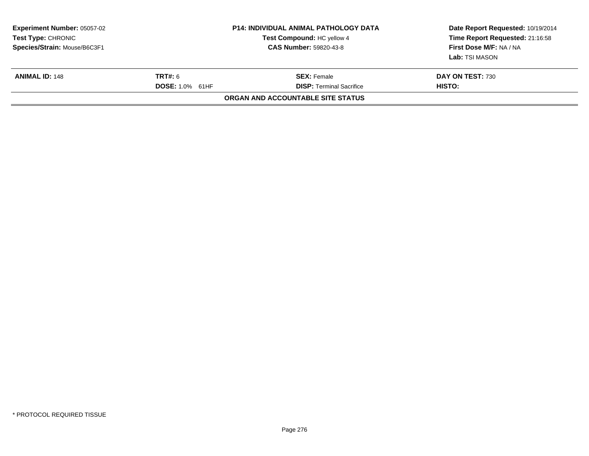| <b>Experiment Number: 05057-02</b><br><b>Test Type: CHRONIC</b><br>Species/Strain: Mouse/B6C3F1 | P14: INDIVIDUAL ANIMAL PATHOLOGY DATA<br>Test Compound: HC yellow 4<br><b>CAS Number: 59820-43-8</b> |                                                       | Date Report Requested: 10/19/2014<br>Time Report Requested: 21:16:58<br>First Dose M/F: NA / NA<br>Lab: TSI MASON |
|-------------------------------------------------------------------------------------------------|------------------------------------------------------------------------------------------------------|-------------------------------------------------------|-------------------------------------------------------------------------------------------------------------------|
| <b>ANIMAL ID: 148</b>                                                                           | <b>TRT#:</b> 6<br><b>DOSE: 1.0% 61HF</b>                                                             | <b>SEX: Female</b><br><b>DISP:</b> Terminal Sacrifice | DAY ON TEST: 730<br>HISTO:                                                                                        |
|                                                                                                 |                                                                                                      | ORGAN AND ACCOUNTABLE SITE STATUS                     |                                                                                                                   |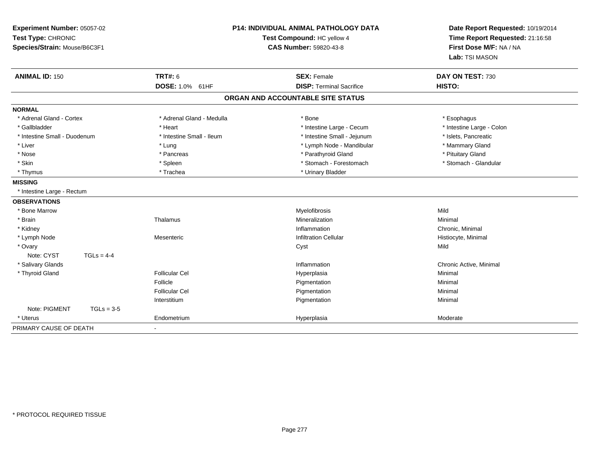| Experiment Number: 05057-02<br>Test Type: CHRONIC<br>Species/Strain: Mouse/B6C3F1 |                                   | P14: INDIVIDUAL ANIMAL PATHOLOGY DATA<br>Test Compound: HC yellow 4<br><b>CAS Number: 59820-43-8</b> | Date Report Requested: 10/19/2014<br>Time Report Requested: 21:16:58<br>First Dose M/F: NA / NA<br>Lab: TSI MASON |
|-----------------------------------------------------------------------------------|-----------------------------------|------------------------------------------------------------------------------------------------------|-------------------------------------------------------------------------------------------------------------------|
| <b>ANIMAL ID: 150</b>                                                             | <b>TRT#: 6</b><br>DOSE: 1.0% 61HF | <b>SEX: Female</b><br><b>DISP: Terminal Sacrifice</b>                                                | DAY ON TEST: 730<br>HISTO:                                                                                        |
|                                                                                   |                                   | ORGAN AND ACCOUNTABLE SITE STATUS                                                                    |                                                                                                                   |
| <b>NORMAL</b>                                                                     |                                   |                                                                                                      |                                                                                                                   |
| * Adrenal Gland - Cortex                                                          | * Adrenal Gland - Medulla         | * Bone                                                                                               | * Esophagus                                                                                                       |
| * Gallbladder                                                                     | * Heart                           | * Intestine Large - Cecum                                                                            | * Intestine Large - Colon                                                                                         |
| * Intestine Small - Duodenum                                                      | * Intestine Small - Ileum         | * Intestine Small - Jejunum                                                                          | * Islets, Pancreatic                                                                                              |
| * Liver                                                                           | * Lung                            | * Lymph Node - Mandibular                                                                            | * Mammary Gland                                                                                                   |
| * Nose                                                                            | * Pancreas                        | * Parathyroid Gland                                                                                  | * Pituitary Gland                                                                                                 |
| * Skin                                                                            | * Spleen                          | * Stomach - Forestomach                                                                              | * Stomach - Glandular                                                                                             |
| * Thymus                                                                          | * Trachea                         | * Urinary Bladder                                                                                    |                                                                                                                   |
| <b>MISSING</b>                                                                    |                                   |                                                                                                      |                                                                                                                   |
| * Intestine Large - Rectum                                                        |                                   |                                                                                                      |                                                                                                                   |
| <b>OBSERVATIONS</b>                                                               |                                   |                                                                                                      |                                                                                                                   |
| * Bone Marrow                                                                     |                                   | Myelofibrosis                                                                                        | Mild                                                                                                              |
| * Brain                                                                           | Thalamus                          | Mineralization                                                                                       | Minimal                                                                                                           |
| * Kidney                                                                          |                                   | Inflammation                                                                                         | Chronic, Minimal                                                                                                  |
| * Lymph Node                                                                      | Mesenteric                        | <b>Infiltration Cellular</b>                                                                         | Histiocyte, Minimal                                                                                               |
| * Ovary                                                                           |                                   | Cyst                                                                                                 | Mild                                                                                                              |
| Note: CYST<br>$TGLs = 4-4$                                                        |                                   |                                                                                                      |                                                                                                                   |
| * Salivary Glands                                                                 |                                   | Inflammation                                                                                         | Chronic Active, Minimal                                                                                           |
| * Thyroid Gland                                                                   | <b>Follicular Cel</b>             | Hyperplasia                                                                                          | Minimal                                                                                                           |
|                                                                                   | Follicle                          | Pigmentation                                                                                         | Minimal                                                                                                           |
|                                                                                   | <b>Follicular Cel</b>             | Pigmentation                                                                                         | Minimal                                                                                                           |
|                                                                                   | Interstitium                      | Pigmentation                                                                                         | Minimal                                                                                                           |
| Note: PIGMENT<br>$TGLs = 3-5$                                                     |                                   |                                                                                                      |                                                                                                                   |
| * Uterus                                                                          | Endometrium                       | Hyperplasia                                                                                          | Moderate                                                                                                          |
| PRIMARY CAUSE OF DEATH                                                            |                                   |                                                                                                      |                                                                                                                   |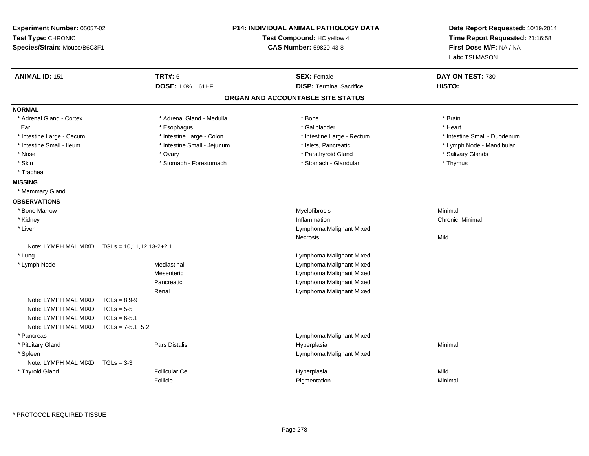| Experiment Number: 05057-02<br>Test Type: CHRONIC<br>Species/Strain: Mouse/B6C3F1 |                            |                                   | <b>P14: INDIVIDUAL ANIMAL PATHOLOGY DATA</b><br>Test Compound: HC yellow 4<br>CAS Number: 59820-43-8 |                                                       | Date Report Requested: 10/19/2014<br>Time Report Requested: 21:16:58<br>First Dose M/F: NA / NA<br>Lab: TSI MASON |
|-----------------------------------------------------------------------------------|----------------------------|-----------------------------------|------------------------------------------------------------------------------------------------------|-------------------------------------------------------|-------------------------------------------------------------------------------------------------------------------|
| <b>ANIMAL ID: 151</b>                                                             |                            | <b>TRT#: 6</b><br>DOSE: 1.0% 61HF |                                                                                                      | <b>SEX: Female</b><br><b>DISP: Terminal Sacrifice</b> | DAY ON TEST: 730<br>HISTO:                                                                                        |
|                                                                                   |                            |                                   |                                                                                                      | ORGAN AND ACCOUNTABLE SITE STATUS                     |                                                                                                                   |
| <b>NORMAL</b>                                                                     |                            |                                   |                                                                                                      |                                                       |                                                                                                                   |
| * Adrenal Gland - Cortex                                                          |                            | * Adrenal Gland - Medulla         |                                                                                                      | * Bone                                                | * Brain                                                                                                           |
| Ear                                                                               |                            | * Esophagus                       |                                                                                                      | * Gallbladder                                         | * Heart                                                                                                           |
| * Intestine Large - Cecum                                                         |                            | * Intestine Large - Colon         |                                                                                                      | * Intestine Large - Rectum                            | * Intestine Small - Duodenum                                                                                      |
| * Intestine Small - Ileum                                                         |                            | * Intestine Small - Jejunum       |                                                                                                      | * Islets, Pancreatic                                  | * Lymph Node - Mandibular                                                                                         |
| * Nose                                                                            |                            | * Ovary                           |                                                                                                      | * Parathyroid Gland                                   | * Salivary Glands                                                                                                 |
| * Skin                                                                            |                            | * Stomach - Forestomach           |                                                                                                      | * Stomach - Glandular                                 | * Thymus                                                                                                          |
| * Trachea                                                                         |                            |                                   |                                                                                                      |                                                       |                                                                                                                   |
| <b>MISSING</b>                                                                    |                            |                                   |                                                                                                      |                                                       |                                                                                                                   |
| * Mammary Gland                                                                   |                            |                                   |                                                                                                      |                                                       |                                                                                                                   |
| <b>OBSERVATIONS</b>                                                               |                            |                                   |                                                                                                      |                                                       |                                                                                                                   |
| * Bone Marrow                                                                     |                            |                                   |                                                                                                      | Myelofibrosis                                         | Minimal                                                                                                           |
| * Kidney                                                                          |                            |                                   |                                                                                                      | Inflammation                                          | Chronic, Minimal                                                                                                  |
| * Liver                                                                           |                            |                                   |                                                                                                      | Lymphoma Malignant Mixed                              |                                                                                                                   |
|                                                                                   |                            |                                   |                                                                                                      | Necrosis                                              | Mild                                                                                                              |
| Note: LYMPH MAL MIXD                                                              | $TGLs = 10,11,12,13-2+2.1$ |                                   |                                                                                                      |                                                       |                                                                                                                   |
| * Lung                                                                            |                            |                                   |                                                                                                      | Lymphoma Malignant Mixed                              |                                                                                                                   |
| * Lymph Node                                                                      |                            | Mediastinal                       |                                                                                                      | Lymphoma Malignant Mixed                              |                                                                                                                   |
|                                                                                   |                            | Mesenteric                        |                                                                                                      | Lymphoma Malignant Mixed                              |                                                                                                                   |
|                                                                                   |                            | Pancreatic                        |                                                                                                      | Lymphoma Malignant Mixed                              |                                                                                                                   |
|                                                                                   |                            | Renal                             |                                                                                                      | Lymphoma Malignant Mixed                              |                                                                                                                   |
| Note: LYMPH MAL MIXD                                                              | $TGLs = 8.9-9$             |                                   |                                                                                                      |                                                       |                                                                                                                   |
| Note: LYMPH MAL MIXD                                                              | $TGLs = 5-5$               |                                   |                                                                                                      |                                                       |                                                                                                                   |
| Note: LYMPH MAL MIXD                                                              | $TGLs = 6-5.1$             |                                   |                                                                                                      |                                                       |                                                                                                                   |
| Note: LYMPH MAL MIXD                                                              | $TGLs = 7-5.1+5.2$         |                                   |                                                                                                      |                                                       |                                                                                                                   |
| * Pancreas                                                                        |                            |                                   |                                                                                                      | Lymphoma Malignant Mixed                              |                                                                                                                   |
| * Pituitary Gland                                                                 |                            | <b>Pars Distalis</b>              |                                                                                                      | Hyperplasia                                           | Minimal                                                                                                           |
| * Spleen                                                                          |                            |                                   |                                                                                                      | Lymphoma Malignant Mixed                              |                                                                                                                   |
| Note: LYMPH MAL MIXD                                                              | $TGLs = 3-3$               |                                   |                                                                                                      |                                                       |                                                                                                                   |
| * Thyroid Gland                                                                   |                            | <b>Follicular Cel</b>             |                                                                                                      | Hyperplasia                                           | Mild                                                                                                              |
|                                                                                   |                            | Follicle                          |                                                                                                      | Pigmentation                                          | Minimal                                                                                                           |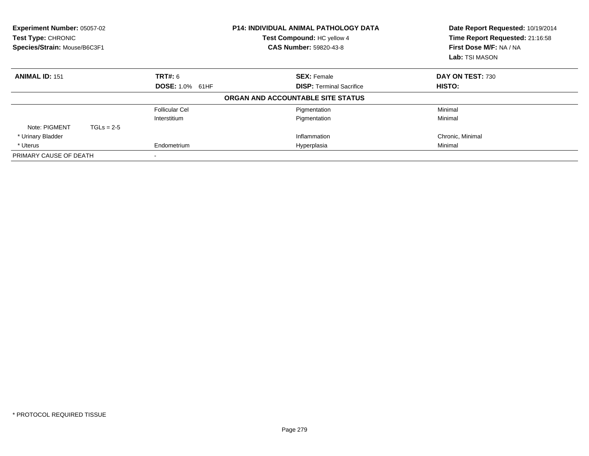| Experiment Number: 05057-02<br>Test Compound: HC yellow 4<br>Test Type: CHRONIC<br>Species/Strain: Mouse/B6C3F1<br><b>CAS Number: 59820-43-8</b> |              | <b>P14: INDIVIDUAL ANIMAL PATHOLOGY DATA</b> | Date Report Requested: 10/19/2014<br>Time Report Requested: 21:16:58<br>First Dose M/F: NA / NA<br>Lab: TSI MASON |                  |
|--------------------------------------------------------------------------------------------------------------------------------------------------|--------------|----------------------------------------------|-------------------------------------------------------------------------------------------------------------------|------------------|
| <b>ANIMAL ID: 151</b>                                                                                                                            |              | <b>TRT#: 6</b>                               | <b>SEX: Female</b>                                                                                                | DAY ON TEST: 730 |
|                                                                                                                                                  |              | DOSE: 1.0% 61HF                              | <b>DISP:</b> Terminal Sacrifice                                                                                   | <b>HISTO:</b>    |
|                                                                                                                                                  |              |                                              | ORGAN AND ACCOUNTABLE SITE STATUS                                                                                 |                  |
|                                                                                                                                                  |              | <b>Follicular Cel</b>                        | Pigmentation                                                                                                      | Minimal          |
|                                                                                                                                                  |              | Interstitium                                 | Pigmentation                                                                                                      | Minimal          |
| Note: PIGMENT                                                                                                                                    | $TGLs = 2-5$ |                                              |                                                                                                                   |                  |
| * Urinary Bladder                                                                                                                                |              |                                              | Inflammation                                                                                                      | Chronic, Minimal |
| * Uterus                                                                                                                                         |              | Endometrium                                  | Hyperplasia                                                                                                       | Minimal          |
| PRIMARY CAUSE OF DEATH                                                                                                                           |              |                                              |                                                                                                                   |                  |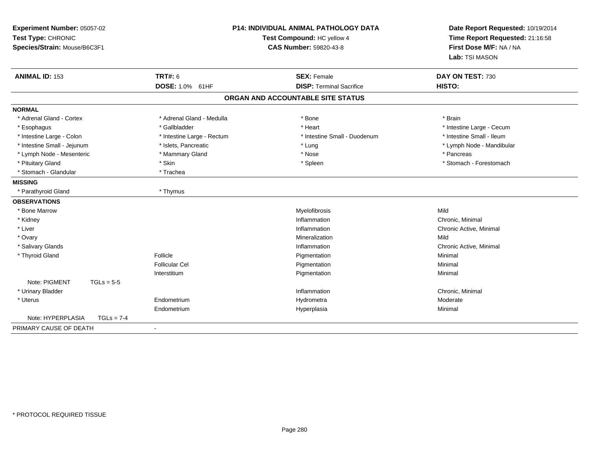| Experiment Number: 05057-02<br>Test Type: CHRONIC<br>Species/Strain: Mouse/B6C3F1 | <b>P14: INDIVIDUAL ANIMAL PATHOLOGY DATA</b><br>Test Compound: HC yellow 4<br><b>CAS Number: 59820-43-8</b> |                                   | Date Report Requested: 10/19/2014<br>Time Report Requested: 21:16:58<br>First Dose M/F: NA / NA<br>Lab: TSI MASON |
|-----------------------------------------------------------------------------------|-------------------------------------------------------------------------------------------------------------|-----------------------------------|-------------------------------------------------------------------------------------------------------------------|
| <b>ANIMAL ID: 153</b>                                                             | <b>TRT#: 6</b>                                                                                              | <b>SEX: Female</b>                | DAY ON TEST: 730                                                                                                  |
|                                                                                   | DOSE: 1.0% 61HF                                                                                             | <b>DISP: Terminal Sacrifice</b>   | HISTO:                                                                                                            |
|                                                                                   |                                                                                                             | ORGAN AND ACCOUNTABLE SITE STATUS |                                                                                                                   |
| <b>NORMAL</b>                                                                     |                                                                                                             |                                   |                                                                                                                   |
| * Adrenal Gland - Cortex                                                          | * Adrenal Gland - Medulla                                                                                   | * Bone                            | * Brain                                                                                                           |
| * Esophagus                                                                       | * Gallbladder                                                                                               | * Heart                           | * Intestine Large - Cecum                                                                                         |
| * Intestine Large - Colon                                                         | * Intestine Large - Rectum                                                                                  | * Intestine Small - Duodenum      | * Intestine Small - Ileum                                                                                         |
| * Intestine Small - Jejunum                                                       | * Islets, Pancreatic                                                                                        | * Lung                            | * Lymph Node - Mandibular                                                                                         |
| * Lymph Node - Mesenteric                                                         | * Mammary Gland                                                                                             | * Nose                            | * Pancreas                                                                                                        |
| * Pituitary Gland                                                                 | * Skin                                                                                                      | * Spleen                          | * Stomach - Forestomach                                                                                           |
| * Stomach - Glandular                                                             | * Trachea                                                                                                   |                                   |                                                                                                                   |
| <b>MISSING</b>                                                                    |                                                                                                             |                                   |                                                                                                                   |
| * Parathyroid Gland                                                               | * Thymus                                                                                                    |                                   |                                                                                                                   |
| <b>OBSERVATIONS</b>                                                               |                                                                                                             |                                   |                                                                                                                   |
| * Bone Marrow                                                                     |                                                                                                             | Myelofibrosis                     | Mild                                                                                                              |
| * Kidney                                                                          |                                                                                                             | Inflammation                      | Chronic, Minimal                                                                                                  |
| * Liver                                                                           |                                                                                                             | Inflammation                      | Chronic Active, Minimal                                                                                           |
| * Ovary                                                                           |                                                                                                             | Mineralization                    | Mild                                                                                                              |
| * Salivary Glands                                                                 |                                                                                                             | Inflammation                      | Chronic Active, Minimal                                                                                           |
| * Thyroid Gland                                                                   | Follicle                                                                                                    | Pigmentation                      | Minimal                                                                                                           |
|                                                                                   | <b>Follicular Cel</b>                                                                                       | Pigmentation                      | Minimal                                                                                                           |
|                                                                                   | Interstitium                                                                                                | Pigmentation                      | Minimal                                                                                                           |
| Note: PIGMENT<br>$TGLs = 5-5$                                                     |                                                                                                             |                                   |                                                                                                                   |
| * Urinary Bladder                                                                 |                                                                                                             | Inflammation                      | Chronic, Minimal                                                                                                  |
| * Uterus                                                                          | Endometrium                                                                                                 | Hydrometra                        | Moderate                                                                                                          |
|                                                                                   | Endometrium                                                                                                 | Hyperplasia                       | Minimal                                                                                                           |
| Note: HYPERPLASIA<br>$TGLs = 7-4$                                                 |                                                                                                             |                                   |                                                                                                                   |
| PRIMARY CAUSE OF DEATH                                                            |                                                                                                             |                                   |                                                                                                                   |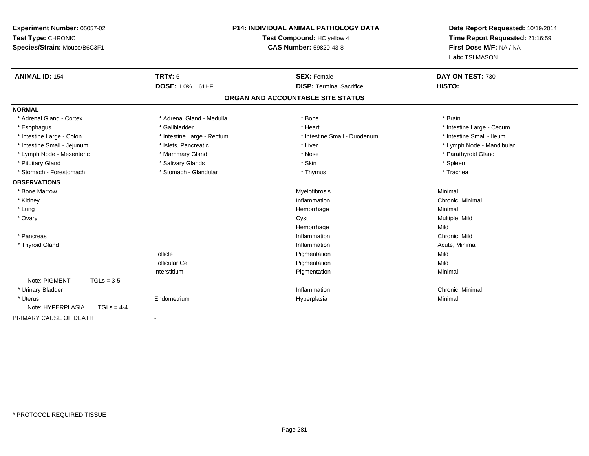| Experiment Number: 05057-02<br>Test Type: CHRONIC<br>Species/Strain: Mouse/B6C3F1 | <b>P14: INDIVIDUAL ANIMAL PATHOLOGY DATA</b><br>Test Compound: HC yellow 4<br><b>CAS Number: 59820-43-8</b> |                                   | Date Report Requested: 10/19/2014<br>Time Report Requested: 21:16:59<br>First Dose M/F: NA / NA<br>Lab: TSI MASON |
|-----------------------------------------------------------------------------------|-------------------------------------------------------------------------------------------------------------|-----------------------------------|-------------------------------------------------------------------------------------------------------------------|
| <b>ANIMAL ID: 154</b>                                                             | <b>TRT#: 6</b>                                                                                              | <b>SEX: Female</b>                | DAY ON TEST: 730                                                                                                  |
|                                                                                   | DOSE: 1.0% 61HF                                                                                             | <b>DISP: Terminal Sacrifice</b>   | HISTO:                                                                                                            |
|                                                                                   |                                                                                                             | ORGAN AND ACCOUNTABLE SITE STATUS |                                                                                                                   |
| <b>NORMAL</b>                                                                     |                                                                                                             |                                   |                                                                                                                   |
| * Adrenal Gland - Cortex                                                          | * Adrenal Gland - Medulla                                                                                   | * Bone                            | * Brain                                                                                                           |
| * Esophagus                                                                       | * Gallbladder                                                                                               | * Heart                           | * Intestine Large - Cecum                                                                                         |
| * Intestine Large - Colon                                                         | * Intestine Large - Rectum                                                                                  | * Intestine Small - Duodenum      | * Intestine Small - Ileum                                                                                         |
| * Intestine Small - Jejunum                                                       | * Islets, Pancreatic                                                                                        | * Liver                           | * Lymph Node - Mandibular                                                                                         |
| * Lymph Node - Mesenteric                                                         | * Mammary Gland                                                                                             | * Nose                            | * Parathyroid Gland                                                                                               |
| * Pituitary Gland                                                                 | * Salivary Glands                                                                                           | * Skin                            | * Spleen                                                                                                          |
| * Stomach - Forestomach                                                           | * Stomach - Glandular                                                                                       | * Thymus                          | * Trachea                                                                                                         |
| <b>OBSERVATIONS</b>                                                               |                                                                                                             |                                   |                                                                                                                   |
| * Bone Marrow                                                                     |                                                                                                             | Myelofibrosis                     | Minimal                                                                                                           |
| * Kidney                                                                          |                                                                                                             | Inflammation                      | Chronic, Minimal                                                                                                  |
| * Lung                                                                            |                                                                                                             | Hemorrhage                        | Minimal                                                                                                           |
| * Ovary                                                                           |                                                                                                             | Cyst                              | Multiple, Mild                                                                                                    |
|                                                                                   |                                                                                                             | Hemorrhage                        | Mild                                                                                                              |
| * Pancreas                                                                        |                                                                                                             | Inflammation                      | Chronic, Mild                                                                                                     |
| * Thyroid Gland                                                                   |                                                                                                             | Inflammation                      | Acute, Minimal                                                                                                    |
|                                                                                   | Follicle                                                                                                    | Pigmentation                      | Mild                                                                                                              |
|                                                                                   | Follicular Cel                                                                                              | Pigmentation                      | Mild                                                                                                              |
|                                                                                   | Interstitium                                                                                                | Pigmentation                      | Minimal                                                                                                           |
| Note: PIGMENT<br>$TGLs = 3-5$                                                     |                                                                                                             |                                   |                                                                                                                   |
| * Urinary Bladder                                                                 |                                                                                                             | Inflammation                      | Chronic, Minimal                                                                                                  |
| * Uterus                                                                          | Endometrium                                                                                                 | Hyperplasia                       | Minimal                                                                                                           |
| Note: HYPERPLASIA<br>$TGLs = 4-4$                                                 |                                                                                                             |                                   |                                                                                                                   |
| PRIMARY CAUSE OF DEATH                                                            |                                                                                                             |                                   |                                                                                                                   |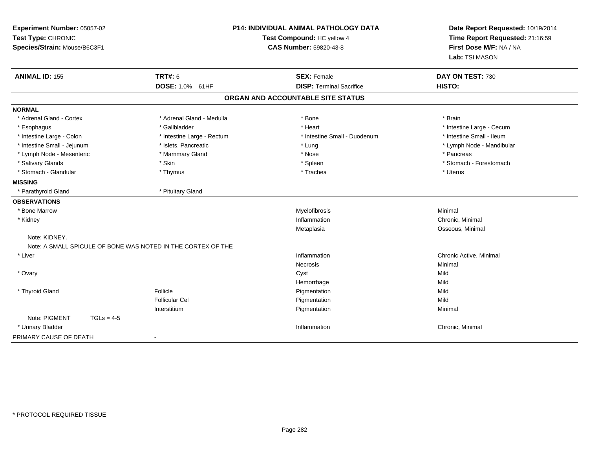| Experiment Number: 05057-02<br>Test Type: CHRONIC<br>Species/Strain: Mouse/B6C3F1 |                                                              | <b>P14: INDIVIDUAL ANIMAL PATHOLOGY DATA</b><br>Test Compound: HC yellow 4<br><b>CAS Number: 59820-43-8</b> | Date Report Requested: 10/19/2014<br>Time Report Requested: 21:16:59<br>First Dose M/F: NA / NA<br>Lab: TSI MASON |
|-----------------------------------------------------------------------------------|--------------------------------------------------------------|-------------------------------------------------------------------------------------------------------------|-------------------------------------------------------------------------------------------------------------------|
| <b>ANIMAL ID: 155</b>                                                             | <b>TRT#: 6</b>                                               | <b>SEX: Female</b>                                                                                          | DAY ON TEST: 730                                                                                                  |
|                                                                                   | DOSE: 1.0% 61HF                                              | <b>DISP: Terminal Sacrifice</b>                                                                             | HISTO:                                                                                                            |
|                                                                                   |                                                              | ORGAN AND ACCOUNTABLE SITE STATUS                                                                           |                                                                                                                   |
| <b>NORMAL</b>                                                                     |                                                              |                                                                                                             |                                                                                                                   |
| * Adrenal Gland - Cortex                                                          | * Adrenal Gland - Medulla                                    | * Bone                                                                                                      | * Brain                                                                                                           |
| * Esophagus                                                                       | * Gallbladder                                                | * Heart                                                                                                     | * Intestine Large - Cecum                                                                                         |
| * Intestine Large - Colon                                                         | * Intestine Large - Rectum                                   | * Intestine Small - Duodenum                                                                                | * Intestine Small - Ileum                                                                                         |
| * Intestine Small - Jejunum                                                       | * Islets, Pancreatic                                         | * Lung                                                                                                      | * Lymph Node - Mandibular                                                                                         |
| * Lymph Node - Mesenteric                                                         | * Mammary Gland                                              | * Nose                                                                                                      | * Pancreas                                                                                                        |
| * Salivary Glands                                                                 | * Skin                                                       | * Spleen                                                                                                    | * Stomach - Forestomach                                                                                           |
| * Stomach - Glandular                                                             | * Thymus                                                     | * Trachea                                                                                                   | * Uterus                                                                                                          |
| <b>MISSING</b>                                                                    |                                                              |                                                                                                             |                                                                                                                   |
| * Parathyroid Gland                                                               | * Pituitary Gland                                            |                                                                                                             |                                                                                                                   |
| <b>OBSERVATIONS</b>                                                               |                                                              |                                                                                                             |                                                                                                                   |
| * Bone Marrow                                                                     |                                                              | Myelofibrosis                                                                                               | Minimal                                                                                                           |
| * Kidney                                                                          |                                                              | Inflammation                                                                                                | Chronic, Minimal                                                                                                  |
|                                                                                   |                                                              | Metaplasia                                                                                                  | Osseous, Minimal                                                                                                  |
| Note: KIDNEY.                                                                     |                                                              |                                                                                                             |                                                                                                                   |
|                                                                                   | Note: A SMALL SPICULE OF BONE WAS NOTED IN THE CORTEX OF THE |                                                                                                             |                                                                                                                   |
| * Liver                                                                           |                                                              | Inflammation                                                                                                | Chronic Active, Minimal                                                                                           |
|                                                                                   |                                                              | <b>Necrosis</b>                                                                                             | Minimal                                                                                                           |
| * Ovary                                                                           |                                                              | Cyst                                                                                                        | Mild                                                                                                              |
|                                                                                   |                                                              | Hemorrhage                                                                                                  | Mild                                                                                                              |
| * Thyroid Gland                                                                   | Follicle                                                     | Pigmentation                                                                                                | Mild                                                                                                              |
|                                                                                   | <b>Follicular Cel</b>                                        | Pigmentation                                                                                                | Mild                                                                                                              |
|                                                                                   | Interstitium                                                 | Pigmentation                                                                                                | Minimal                                                                                                           |
| Note: PIGMENT<br>$TGLs = 4-5$                                                     |                                                              |                                                                                                             |                                                                                                                   |
| * Urinary Bladder                                                                 |                                                              | Inflammation                                                                                                | Chronic, Minimal                                                                                                  |
| PRIMARY CAUSE OF DEATH                                                            | $\blacksquare$                                               |                                                                                                             |                                                                                                                   |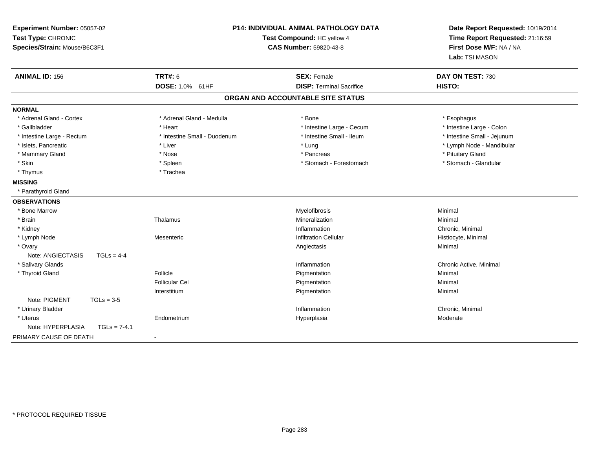| Experiment Number: 05057-02<br>Test Type: CHRONIC<br>Species/Strain: Mouse/B6C3F1 |                              | P14: INDIVIDUAL ANIMAL PATHOLOGY DATA<br>Test Compound: HC yellow 4<br><b>CAS Number: 59820-43-8</b> | Date Report Requested: 10/19/2014<br>Time Report Requested: 21:16:59<br>First Dose M/F: NA / NA<br>Lab: TSI MASON |
|-----------------------------------------------------------------------------------|------------------------------|------------------------------------------------------------------------------------------------------|-------------------------------------------------------------------------------------------------------------------|
| <b>ANIMAL ID: 156</b>                                                             | <b>TRT#: 6</b>               | <b>SEX: Female</b>                                                                                   | DAY ON TEST: 730                                                                                                  |
|                                                                                   | DOSE: 1.0% 61HF              | <b>DISP: Terminal Sacrifice</b>                                                                      | HISTO:                                                                                                            |
|                                                                                   |                              | ORGAN AND ACCOUNTABLE SITE STATUS                                                                    |                                                                                                                   |
| <b>NORMAL</b>                                                                     |                              |                                                                                                      |                                                                                                                   |
| * Adrenal Gland - Cortex                                                          | * Adrenal Gland - Medulla    | * Bone                                                                                               | * Esophagus                                                                                                       |
| * Gallbladder                                                                     | * Heart                      | * Intestine Large - Cecum                                                                            | * Intestine Large - Colon                                                                                         |
| * Intestine Large - Rectum                                                        | * Intestine Small - Duodenum | * Intestine Small - Ileum                                                                            | * Intestine Small - Jejunum                                                                                       |
| * Islets, Pancreatic                                                              | * Liver                      | * Lung                                                                                               | * Lymph Node - Mandibular                                                                                         |
| * Mammary Gland                                                                   | * Nose                       | * Pancreas                                                                                           | * Pituitary Gland                                                                                                 |
| * Skin                                                                            | * Spleen                     | * Stomach - Forestomach                                                                              | * Stomach - Glandular                                                                                             |
| * Thymus                                                                          | * Trachea                    |                                                                                                      |                                                                                                                   |
| <b>MISSING</b>                                                                    |                              |                                                                                                      |                                                                                                                   |
| * Parathyroid Gland                                                               |                              |                                                                                                      |                                                                                                                   |
| <b>OBSERVATIONS</b>                                                               |                              |                                                                                                      |                                                                                                                   |
| * Bone Marrow                                                                     |                              | Myelofibrosis                                                                                        | Minimal                                                                                                           |
| * Brain                                                                           | Thalamus                     | Mineralization                                                                                       | Minimal                                                                                                           |
| * Kidney                                                                          |                              | Inflammation                                                                                         | Chronic, Minimal                                                                                                  |
| * Lymph Node                                                                      | Mesenteric                   | <b>Infiltration Cellular</b>                                                                         | Histiocyte, Minimal                                                                                               |
| * Ovary                                                                           |                              | Angiectasis                                                                                          | Minimal                                                                                                           |
| Note: ANGIECTASIS<br>$TGLs = 4-4$                                                 |                              |                                                                                                      |                                                                                                                   |
| * Salivary Glands                                                                 |                              | Inflammation                                                                                         | Chronic Active, Minimal                                                                                           |
| * Thyroid Gland                                                                   | Follicle                     | Pigmentation                                                                                         | Minimal                                                                                                           |
|                                                                                   | <b>Follicular Cel</b>        | Pigmentation                                                                                         | Minimal                                                                                                           |
|                                                                                   | Interstitium                 | Pigmentation                                                                                         | Minimal                                                                                                           |
| Note: PIGMENT<br>$TGLs = 3-5$                                                     |                              |                                                                                                      |                                                                                                                   |
| * Urinary Bladder                                                                 |                              | Inflammation                                                                                         | Chronic, Minimal                                                                                                  |
| * Uterus                                                                          | Endometrium                  | Hyperplasia                                                                                          | Moderate                                                                                                          |
| Note: HYPERPLASIA<br>$TGLs = 7-4.1$                                               |                              |                                                                                                      |                                                                                                                   |
| PRIMARY CAUSE OF DEATH                                                            | $\blacksquare$               |                                                                                                      |                                                                                                                   |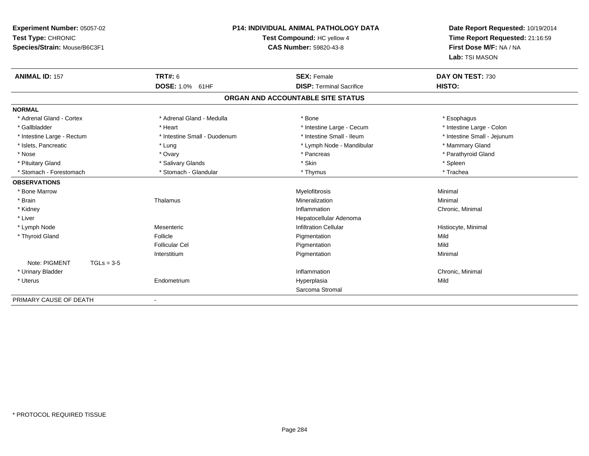| Experiment Number: 05057-02<br>Test Type: CHRONIC<br>Species/Strain: Mouse/B6C3F1 | <b>P14: INDIVIDUAL ANIMAL PATHOLOGY DATA</b><br>Test Compound: HC yellow 4<br><b>CAS Number: 59820-43-8</b> |                                   | Date Report Requested: 10/19/2014<br>Time Report Requested: 21:16:59<br>First Dose M/F: NA / NA<br>Lab: TSI MASON |
|-----------------------------------------------------------------------------------|-------------------------------------------------------------------------------------------------------------|-----------------------------------|-------------------------------------------------------------------------------------------------------------------|
| <b>ANIMAL ID: 157</b>                                                             | <b>TRT#: 6</b>                                                                                              | <b>SEX: Female</b>                | DAY ON TEST: 730                                                                                                  |
|                                                                                   | DOSE: 1.0% 61HF                                                                                             | <b>DISP: Terminal Sacrifice</b>   | HISTO:                                                                                                            |
|                                                                                   |                                                                                                             | ORGAN AND ACCOUNTABLE SITE STATUS |                                                                                                                   |
| <b>NORMAL</b>                                                                     |                                                                                                             |                                   |                                                                                                                   |
| * Adrenal Gland - Cortex                                                          | * Adrenal Gland - Medulla                                                                                   | * Bone                            | * Esophagus                                                                                                       |
| * Gallbladder                                                                     | * Heart                                                                                                     | * Intestine Large - Cecum         | * Intestine Large - Colon                                                                                         |
| * Intestine Large - Rectum                                                        | * Intestine Small - Duodenum                                                                                | * Intestine Small - Ileum         | * Intestine Small - Jejunum                                                                                       |
| * Islets, Pancreatic                                                              | * Lung                                                                                                      | * Lymph Node - Mandibular         | * Mammary Gland                                                                                                   |
| * Nose                                                                            | * Ovary                                                                                                     | * Pancreas                        | * Parathyroid Gland                                                                                               |
| * Pituitary Gland                                                                 | * Salivary Glands                                                                                           | * Skin                            | * Spleen                                                                                                          |
| * Stomach - Forestomach                                                           | * Stomach - Glandular                                                                                       | * Thymus                          | * Trachea                                                                                                         |
| <b>OBSERVATIONS</b>                                                               |                                                                                                             |                                   |                                                                                                                   |
| * Bone Marrow                                                                     |                                                                                                             | <b>Myelofibrosis</b>              | Minimal                                                                                                           |
| * Brain                                                                           | Thalamus                                                                                                    | Mineralization                    | Minimal                                                                                                           |
| * Kidney                                                                          |                                                                                                             | Inflammation                      | Chronic, Minimal                                                                                                  |
| * Liver                                                                           |                                                                                                             | Hepatocellular Adenoma            |                                                                                                                   |
| * Lymph Node                                                                      | Mesenteric                                                                                                  | <b>Infiltration Cellular</b>      | Histiocyte, Minimal                                                                                               |
| * Thyroid Gland                                                                   | Follicle                                                                                                    | Pigmentation                      | Mild                                                                                                              |
|                                                                                   | Follicular Cel                                                                                              | Pigmentation                      | Mild                                                                                                              |
|                                                                                   | Interstitium                                                                                                | Pigmentation                      | Minimal                                                                                                           |
| Note: PIGMENT<br>$TGLs = 3-5$                                                     |                                                                                                             |                                   |                                                                                                                   |
| * Urinary Bladder                                                                 |                                                                                                             | Inflammation                      | Chronic, Minimal                                                                                                  |
| * Uterus                                                                          | Endometrium                                                                                                 | Hyperplasia                       | Mild                                                                                                              |
|                                                                                   |                                                                                                             | Sarcoma Stromal                   |                                                                                                                   |
| PRIMARY CAUSE OF DEATH                                                            |                                                                                                             |                                   |                                                                                                                   |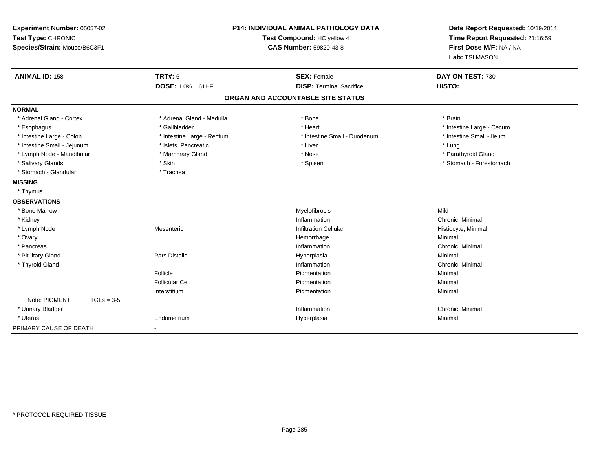| Experiment Number: 05057-02<br>Test Type: CHRONIC<br>Species/Strain: Mouse/B6C3F1 |                            | <b>P14: INDIVIDUAL ANIMAL PATHOLOGY DATA</b><br>Test Compound: HC yellow 4<br>CAS Number: 59820-43-8 | Date Report Requested: 10/19/2014<br>Time Report Requested: 21:16:59<br>First Dose M/F: NA / NA<br>Lab: TSI MASON |
|-----------------------------------------------------------------------------------|----------------------------|------------------------------------------------------------------------------------------------------|-------------------------------------------------------------------------------------------------------------------|
| <b>ANIMAL ID: 158</b>                                                             | <b>TRT#: 6</b>             | <b>SEX: Female</b>                                                                                   | DAY ON TEST: 730                                                                                                  |
|                                                                                   | DOSE: 1.0% 61HF            | <b>DISP: Terminal Sacrifice</b>                                                                      | HISTO:                                                                                                            |
|                                                                                   |                            | ORGAN AND ACCOUNTABLE SITE STATUS                                                                    |                                                                                                                   |
| <b>NORMAL</b>                                                                     |                            |                                                                                                      |                                                                                                                   |
| * Adrenal Gland - Cortex                                                          | * Adrenal Gland - Medulla  | * Bone                                                                                               | * Brain                                                                                                           |
| * Esophagus                                                                       | * Gallbladder              | * Heart                                                                                              | * Intestine Large - Cecum                                                                                         |
| * Intestine Large - Colon                                                         | * Intestine Large - Rectum | * Intestine Small - Duodenum                                                                         | * Intestine Small - Ileum                                                                                         |
| * Intestine Small - Jejunum                                                       | * Islets, Pancreatic       | * Liver                                                                                              | * Lung                                                                                                            |
| * Lymph Node - Mandibular                                                         | * Mammary Gland            | * Nose                                                                                               | * Parathyroid Gland                                                                                               |
| * Salivary Glands                                                                 | * Skin                     | * Spleen                                                                                             | * Stomach - Forestomach                                                                                           |
| * Stomach - Glandular                                                             | * Trachea                  |                                                                                                      |                                                                                                                   |
| <b>MISSING</b>                                                                    |                            |                                                                                                      |                                                                                                                   |
| * Thymus                                                                          |                            |                                                                                                      |                                                                                                                   |
| <b>OBSERVATIONS</b>                                                               |                            |                                                                                                      |                                                                                                                   |
| * Bone Marrow                                                                     |                            | Myelofibrosis                                                                                        | Mild                                                                                                              |
| * Kidney                                                                          |                            | Inflammation                                                                                         | Chronic, Minimal                                                                                                  |
| * Lymph Node                                                                      | Mesenteric                 | <b>Infiltration Cellular</b>                                                                         | Histiocyte, Minimal                                                                                               |
| * Ovary                                                                           |                            | Hemorrhage                                                                                           | Minimal                                                                                                           |
| * Pancreas                                                                        |                            | Inflammation                                                                                         | Chronic, Minimal                                                                                                  |
| * Pituitary Gland                                                                 | Pars Distalis              | Hyperplasia                                                                                          | Minimal                                                                                                           |
| * Thyroid Gland                                                                   |                            | Inflammation                                                                                         | Chronic, Minimal                                                                                                  |
|                                                                                   | Follicle                   | Pigmentation                                                                                         | Minimal                                                                                                           |
|                                                                                   | <b>Follicular Cel</b>      | Pigmentation                                                                                         | Minimal                                                                                                           |
|                                                                                   | Interstitium               | Pigmentation                                                                                         | Minimal                                                                                                           |
| Note: PIGMENT<br>$TGLs = 3-5$                                                     |                            |                                                                                                      |                                                                                                                   |
| * Urinary Bladder                                                                 |                            | Inflammation                                                                                         | Chronic, Minimal                                                                                                  |
| * Uterus                                                                          | Endometrium                | Hyperplasia                                                                                          | Minimal                                                                                                           |
| PRIMARY CAUSE OF DEATH                                                            | $\blacksquare$             |                                                                                                      |                                                                                                                   |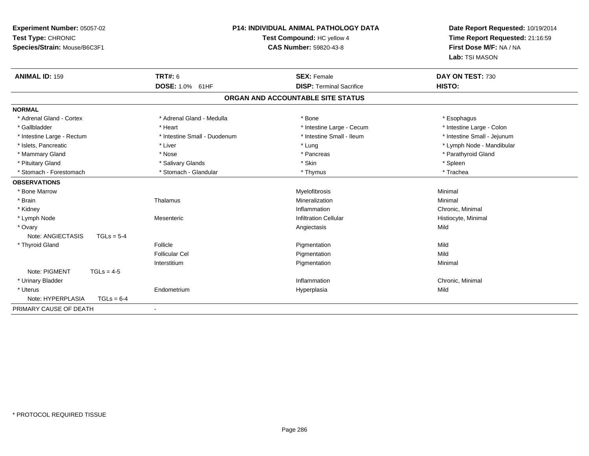| Experiment Number: 05057-02<br>Test Type: CHRONIC<br>Species/Strain: Mouse/B6C3F1 | <b>P14: INDIVIDUAL ANIMAL PATHOLOGY DATA</b><br>Test Compound: HC yellow 4<br><b>CAS Number: 59820-43-8</b> |                                   | Date Report Requested: 10/19/2014<br>Time Report Requested: 21:16:59<br>First Dose M/F: NA / NA<br>Lab: TSI MASON |
|-----------------------------------------------------------------------------------|-------------------------------------------------------------------------------------------------------------|-----------------------------------|-------------------------------------------------------------------------------------------------------------------|
| <b>ANIMAL ID: 159</b>                                                             | <b>TRT#: 6</b>                                                                                              | <b>SEX: Female</b>                | DAY ON TEST: 730                                                                                                  |
|                                                                                   | <b>DOSE: 1.0%</b><br>61HF                                                                                   | <b>DISP: Terminal Sacrifice</b>   | HISTO:                                                                                                            |
|                                                                                   |                                                                                                             | ORGAN AND ACCOUNTABLE SITE STATUS |                                                                                                                   |
| <b>NORMAL</b>                                                                     |                                                                                                             |                                   |                                                                                                                   |
| * Adrenal Gland - Cortex                                                          | * Adrenal Gland - Medulla                                                                                   | * Bone                            | * Esophagus                                                                                                       |
| * Gallbladder                                                                     | * Heart                                                                                                     | * Intestine Large - Cecum         | * Intestine Large - Colon                                                                                         |
| * Intestine Large - Rectum                                                        | * Intestine Small - Duodenum                                                                                | * Intestine Small - Ileum         | * Intestine Small - Jejunum                                                                                       |
| * Islets, Pancreatic                                                              | * Liver                                                                                                     | * Lung                            | * Lymph Node - Mandibular                                                                                         |
| * Mammary Gland                                                                   | * Nose                                                                                                      | * Pancreas                        | * Parathyroid Gland                                                                                               |
| * Pituitary Gland                                                                 | * Salivary Glands                                                                                           | * Skin                            | * Spleen                                                                                                          |
| * Stomach - Forestomach                                                           | * Stomach - Glandular                                                                                       | * Thymus                          | * Trachea                                                                                                         |
| <b>OBSERVATIONS</b>                                                               |                                                                                                             |                                   |                                                                                                                   |
| * Bone Marrow                                                                     |                                                                                                             | Myelofibrosis                     | Minimal                                                                                                           |
| * Brain                                                                           | Thalamus                                                                                                    | Mineralization                    | Minimal                                                                                                           |
| * Kidney                                                                          |                                                                                                             | Inflammation                      | Chronic, Minimal                                                                                                  |
| * Lymph Node                                                                      | Mesenteric                                                                                                  | <b>Infiltration Cellular</b>      | Histiocyte, Minimal                                                                                               |
| * Ovary                                                                           |                                                                                                             | Angiectasis                       | Mild                                                                                                              |
| Note: ANGIECTASIS<br>$TGLs = 5-4$                                                 |                                                                                                             |                                   |                                                                                                                   |
| * Thyroid Gland                                                                   | Follicle                                                                                                    | Pigmentation                      | Mild                                                                                                              |
|                                                                                   | <b>Follicular Cel</b>                                                                                       | Pigmentation                      | Mild                                                                                                              |
|                                                                                   | Interstitium                                                                                                | Pigmentation                      | Minimal                                                                                                           |
| Note: PIGMENT<br>$TGLs = 4-5$                                                     |                                                                                                             |                                   |                                                                                                                   |
| * Urinary Bladder                                                                 |                                                                                                             | Inflammation                      | Chronic, Minimal                                                                                                  |
| * Uterus                                                                          | Endometrium                                                                                                 | Hyperplasia                       | Mild                                                                                                              |
| Note: HYPERPLASIA<br>$TGLs = 6-4$                                                 |                                                                                                             |                                   |                                                                                                                   |
| PRIMARY CAUSE OF DEATH                                                            |                                                                                                             |                                   |                                                                                                                   |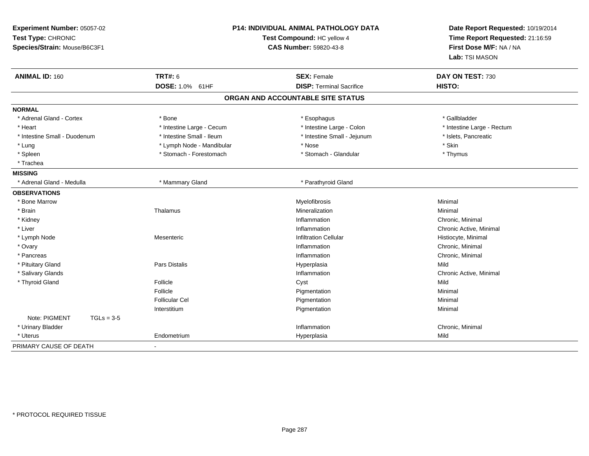| Experiment Number: 05057-02<br>Test Type: CHRONIC<br>Species/Strain: Mouse/B6C3F1 |                                   | P14: INDIVIDUAL ANIMAL PATHOLOGY DATA<br>Test Compound: HC yellow 4<br><b>CAS Number: 59820-43-8</b> | Date Report Requested: 10/19/2014<br>Time Report Requested: 21:16:59<br>First Dose M/F: NA / NA<br>Lab: TSI MASON |
|-----------------------------------------------------------------------------------|-----------------------------------|------------------------------------------------------------------------------------------------------|-------------------------------------------------------------------------------------------------------------------|
| <b>ANIMAL ID: 160</b>                                                             | <b>TRT#: 6</b><br>DOSE: 1.0% 61HF | <b>SEX: Female</b><br><b>DISP: Terminal Sacrifice</b>                                                | DAY ON TEST: 730<br>HISTO:                                                                                        |
|                                                                                   |                                   | ORGAN AND ACCOUNTABLE SITE STATUS                                                                    |                                                                                                                   |
| <b>NORMAL</b>                                                                     |                                   |                                                                                                      |                                                                                                                   |
| * Adrenal Gland - Cortex                                                          | * Bone                            | * Esophagus                                                                                          | * Gallbladder                                                                                                     |
| * Heart                                                                           | * Intestine Large - Cecum         | * Intestine Large - Colon                                                                            | * Intestine Large - Rectum                                                                                        |
| * Intestine Small - Duodenum                                                      | * Intestine Small - Ileum         | * Intestine Small - Jejunum                                                                          | * Islets, Pancreatic                                                                                              |
| * Lung                                                                            | * Lymph Node - Mandibular         | * Nose                                                                                               | * Skin                                                                                                            |
| * Spleen                                                                          | * Stomach - Forestomach           | * Stomach - Glandular                                                                                | * Thymus                                                                                                          |
| * Trachea                                                                         |                                   |                                                                                                      |                                                                                                                   |
| <b>MISSING</b>                                                                    |                                   |                                                                                                      |                                                                                                                   |
| * Adrenal Gland - Medulla                                                         | * Mammary Gland                   | * Parathyroid Gland                                                                                  |                                                                                                                   |
| <b>OBSERVATIONS</b>                                                               |                                   |                                                                                                      |                                                                                                                   |
| * Bone Marrow                                                                     |                                   | Myelofibrosis                                                                                        | Minimal                                                                                                           |
| * Brain                                                                           | Thalamus                          | Mineralization                                                                                       | Minimal                                                                                                           |
| * Kidney                                                                          |                                   | Inflammation                                                                                         | Chronic, Minimal                                                                                                  |
| * Liver                                                                           |                                   | Inflammation                                                                                         | Chronic Active, Minimal                                                                                           |
| * Lymph Node                                                                      | Mesenteric                        | <b>Infiltration Cellular</b>                                                                         | Histiocyte, Minimal                                                                                               |
| * Ovary                                                                           |                                   | Inflammation                                                                                         | Chronic, Minimal                                                                                                  |
| * Pancreas                                                                        |                                   | Inflammation                                                                                         | Chronic, Minimal                                                                                                  |
| * Pituitary Gland                                                                 | Pars Distalis                     | Hyperplasia                                                                                          | Mild                                                                                                              |
| * Salivary Glands                                                                 |                                   | Inflammation                                                                                         | Chronic Active, Minimal                                                                                           |
| * Thyroid Gland                                                                   | Follicle                          | Cyst                                                                                                 | Mild                                                                                                              |
|                                                                                   | Follicle                          | Pigmentation                                                                                         | Minimal                                                                                                           |
|                                                                                   | <b>Follicular Cel</b>             | Pigmentation                                                                                         | Minimal                                                                                                           |
|                                                                                   | Interstitium                      | Pigmentation                                                                                         | Minimal                                                                                                           |
| Note: PIGMENT<br>$TGLs = 3-5$                                                     |                                   |                                                                                                      |                                                                                                                   |
| * Urinary Bladder                                                                 |                                   | Inflammation                                                                                         | Chronic, Minimal                                                                                                  |
| * Uterus                                                                          | Endometrium                       | Hyperplasia                                                                                          | Mild                                                                                                              |
| PRIMARY CAUSE OF DEATH                                                            |                                   |                                                                                                      |                                                                                                                   |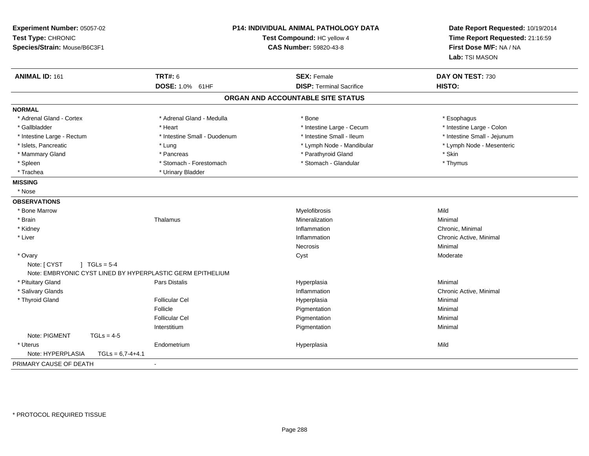| Experiment Number: 05057-02<br>Test Type: CHRONIC<br>Species/Strain: Mouse/B6C3F1 |                              | <b>P14: INDIVIDUAL ANIMAL PATHOLOGY DATA</b><br>Test Compound: HC yellow 4<br>CAS Number: 59820-43-8 | Date Report Requested: 10/19/2014<br>Time Report Requested: 21:16:59<br>First Dose M/F: NA / NA<br>Lab: TSI MASON |
|-----------------------------------------------------------------------------------|------------------------------|------------------------------------------------------------------------------------------------------|-------------------------------------------------------------------------------------------------------------------|
| <b>ANIMAL ID: 161</b>                                                             | <b>TRT#: 6</b>               | <b>SEX: Female</b>                                                                                   | DAY ON TEST: 730                                                                                                  |
|                                                                                   | DOSE: 1.0% 61HF              | <b>DISP: Terminal Sacrifice</b>                                                                      | HISTO:                                                                                                            |
|                                                                                   |                              | ORGAN AND ACCOUNTABLE SITE STATUS                                                                    |                                                                                                                   |
| <b>NORMAL</b>                                                                     |                              |                                                                                                      |                                                                                                                   |
| * Adrenal Gland - Cortex                                                          | * Adrenal Gland - Medulla    | * Bone                                                                                               | * Esophagus                                                                                                       |
| * Gallbladder                                                                     | * Heart                      | * Intestine Large - Cecum                                                                            | * Intestine Large - Colon                                                                                         |
| * Intestine Large - Rectum                                                        | * Intestine Small - Duodenum | * Intestine Small - Ileum                                                                            | * Intestine Small - Jejunum                                                                                       |
| * Islets, Pancreatic                                                              | * Lung                       | * Lymph Node - Mandibular                                                                            | * Lymph Node - Mesenteric                                                                                         |
| * Mammary Gland                                                                   | * Pancreas                   | * Parathyroid Gland                                                                                  | * Skin                                                                                                            |
| * Spleen                                                                          | * Stomach - Forestomach      | * Stomach - Glandular                                                                                | * Thymus                                                                                                          |
| * Trachea                                                                         | * Urinary Bladder            |                                                                                                      |                                                                                                                   |
| <b>MISSING</b>                                                                    |                              |                                                                                                      |                                                                                                                   |
| * Nose                                                                            |                              |                                                                                                      |                                                                                                                   |
| <b>OBSERVATIONS</b>                                                               |                              |                                                                                                      |                                                                                                                   |
| * Bone Marrow                                                                     |                              | Myelofibrosis                                                                                        | Mild                                                                                                              |
| * Brain                                                                           | Thalamus                     | Mineralization                                                                                       | Minimal                                                                                                           |
| * Kidney                                                                          |                              | Inflammation                                                                                         | Chronic, Minimal                                                                                                  |
| * Liver                                                                           |                              | Inflammation                                                                                         | Chronic Active, Minimal                                                                                           |
|                                                                                   |                              | <b>Necrosis</b>                                                                                      | Minimal                                                                                                           |
| * Ovary                                                                           |                              | Cyst                                                                                                 | Moderate                                                                                                          |
| $1 TGLs = 5-4$<br>Note: [ CYST                                                    |                              |                                                                                                      |                                                                                                                   |
| Note: EMBRYONIC CYST LINED BY HYPERPLASTIC GERM EPITHELIUM                        |                              |                                                                                                      |                                                                                                                   |
| * Pituitary Gland                                                                 | <b>Pars Distalis</b>         | Hyperplasia                                                                                          | Minimal                                                                                                           |
| * Salivary Glands                                                                 |                              | Inflammation                                                                                         | Chronic Active, Minimal                                                                                           |
| * Thyroid Gland                                                                   | <b>Follicular Cel</b>        | Hyperplasia                                                                                          | Minimal                                                                                                           |
|                                                                                   | Follicle                     | Pigmentation                                                                                         | Minimal                                                                                                           |
|                                                                                   | <b>Follicular Cel</b>        | Pigmentation                                                                                         | Minimal                                                                                                           |
|                                                                                   | Interstitium                 | Pigmentation                                                                                         | Minimal                                                                                                           |
| Note: PIGMENT<br>$TGLs = 4-5$                                                     |                              |                                                                                                      |                                                                                                                   |
| * Uterus                                                                          | Endometrium                  | Hyperplasia                                                                                          | Mild                                                                                                              |
| Note: HYPERPLASIA<br>$TGLs = 6,7-4+4.1$                                           |                              |                                                                                                      |                                                                                                                   |
| PRIMARY CAUSE OF DEATH                                                            |                              |                                                                                                      |                                                                                                                   |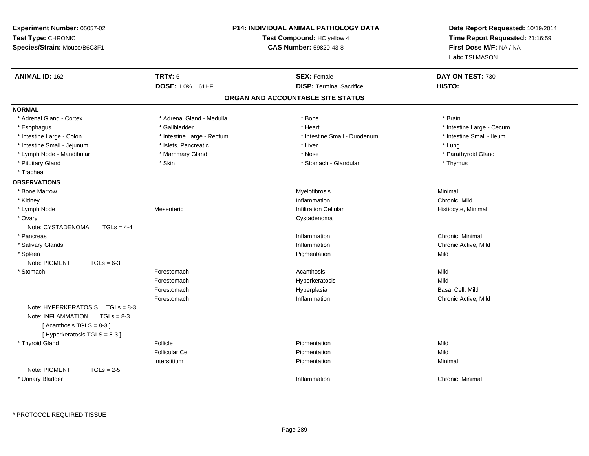| Experiment Number: 05057-02<br>Test Type: CHRONIC<br>Species/Strain: Mouse/B6C3F1                                                      |                                   | <b>P14: INDIVIDUAL ANIMAL PATHOLOGY DATA</b><br>Test Compound: HC yellow 4<br>CAS Number: 59820-43-8 | Date Report Requested: 10/19/2014<br>Time Report Requested: 21:16:59<br>First Dose M/F: NA / NA<br>Lab: TSI MASON |
|----------------------------------------------------------------------------------------------------------------------------------------|-----------------------------------|------------------------------------------------------------------------------------------------------|-------------------------------------------------------------------------------------------------------------------|
| <b>ANIMAL ID: 162</b>                                                                                                                  | <b>TRT#: 6</b><br>DOSE: 1.0% 61HF | <b>SEX: Female</b><br><b>DISP: Terminal Sacrifice</b>                                                | DAY ON TEST: 730<br>HISTO:                                                                                        |
|                                                                                                                                        |                                   | ORGAN AND ACCOUNTABLE SITE STATUS                                                                    |                                                                                                                   |
| <b>NORMAL</b>                                                                                                                          |                                   |                                                                                                      |                                                                                                                   |
| * Adrenal Gland - Cortex                                                                                                               | * Adrenal Gland - Medulla         | * Bone                                                                                               | * Brain                                                                                                           |
| * Esophagus                                                                                                                            | * Gallbladder                     | * Heart                                                                                              | * Intestine Large - Cecum                                                                                         |
| * Intestine Large - Colon                                                                                                              | * Intestine Large - Rectum        | * Intestine Small - Duodenum                                                                         | * Intestine Small - Ileum                                                                                         |
| * Intestine Small - Jejunum                                                                                                            | * Islets, Pancreatic              | * Liver                                                                                              | * Lung                                                                                                            |
| * Lymph Node - Mandibular                                                                                                              | * Mammary Gland                   | * Nose                                                                                               | * Parathyroid Gland                                                                                               |
| * Pituitary Gland                                                                                                                      | * Skin                            | * Stomach - Glandular                                                                                | * Thymus                                                                                                          |
| * Trachea                                                                                                                              |                                   |                                                                                                      |                                                                                                                   |
| <b>OBSERVATIONS</b>                                                                                                                    |                                   |                                                                                                      |                                                                                                                   |
| * Bone Marrow                                                                                                                          |                                   | Myelofibrosis                                                                                        | Minimal                                                                                                           |
| * Kidney                                                                                                                               |                                   | Inflammation                                                                                         | Chronic, Mild                                                                                                     |
| * Lymph Node                                                                                                                           | Mesenteric                        | <b>Infiltration Cellular</b>                                                                         | Histiocyte, Minimal                                                                                               |
| * Ovary                                                                                                                                |                                   | Cystadenoma                                                                                          |                                                                                                                   |
| Note: CYSTADENOMA<br>$TGLs = 4-4$                                                                                                      |                                   |                                                                                                      |                                                                                                                   |
| * Pancreas                                                                                                                             |                                   | Inflammation                                                                                         | Chronic, Minimal                                                                                                  |
| * Salivary Glands                                                                                                                      |                                   | Inflammation                                                                                         | Chronic Active, Mild                                                                                              |
| * Spleen                                                                                                                               |                                   | Pigmentation                                                                                         | Mild                                                                                                              |
| Note: PIGMENT<br>$TGLs = 6-3$                                                                                                          |                                   |                                                                                                      |                                                                                                                   |
| * Stomach                                                                                                                              | Forestomach                       | Acanthosis                                                                                           | Mild                                                                                                              |
|                                                                                                                                        | Forestomach                       | Hyperkeratosis                                                                                       | Mild                                                                                                              |
|                                                                                                                                        | Forestomach                       | Hyperplasia                                                                                          | Basal Cell, Mild                                                                                                  |
|                                                                                                                                        | Forestomach                       | Inflammation                                                                                         | Chronic Active, Mild                                                                                              |
| Note: $HYPERKERATOSIS$ TGLs = 8-3<br>Note: INFLAMMATION<br>$TGLs = 8-3$<br>[Acanthosis TGLS = $8-3$ ]<br>[ Hyperkeratosis TGLS = 8-3 ] |                                   |                                                                                                      |                                                                                                                   |
| * Thyroid Gland                                                                                                                        | Follicle                          | Pigmentation                                                                                         | Mild                                                                                                              |
|                                                                                                                                        | <b>Follicular Cel</b>             | Pigmentation                                                                                         | Mild                                                                                                              |
|                                                                                                                                        | Interstitium                      | Pigmentation                                                                                         | Minimal                                                                                                           |
| Note: PIGMENT<br>$TGLs = 2-5$                                                                                                          |                                   |                                                                                                      |                                                                                                                   |
| * Urinary Bladder                                                                                                                      |                                   | Inflammation                                                                                         | Chronic, Minimal                                                                                                  |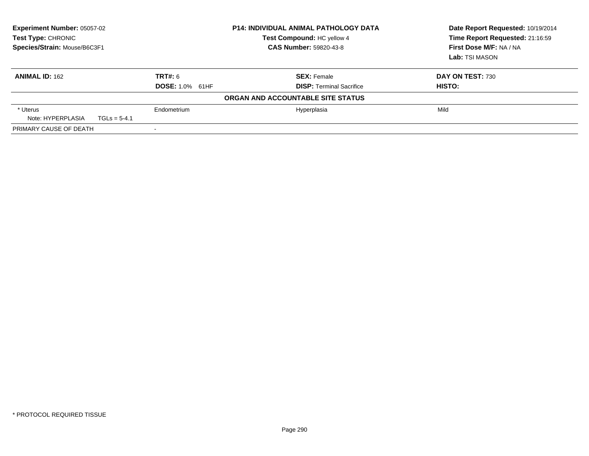| <b>Experiment Number: 05057-02</b><br>Test Type: CHRONIC<br>Species/Strain: Mouse/B6C3F1 | <b>P14: INDIVIDUAL ANIMAL PATHOLOGY DATA</b><br>Test Compound: HC yellow 4<br><b>CAS Number: 59820-43-8</b> |                                   | Date Report Requested: 10/19/2014<br>Time Report Requested: 21:16:59<br>First Dose M/F: NA / NA<br>Lab: TSI MASON |
|------------------------------------------------------------------------------------------|-------------------------------------------------------------------------------------------------------------|-----------------------------------|-------------------------------------------------------------------------------------------------------------------|
| <b>ANIMAL ID: 162</b>                                                                    | TRT#: 6                                                                                                     | <b>SEX: Female</b>                | DAY ON TEST: 730                                                                                                  |
|                                                                                          | <b>DOSE: 1.0% 61HF</b>                                                                                      | <b>DISP:</b> Terminal Sacrifice   | HISTO:                                                                                                            |
|                                                                                          |                                                                                                             | ORGAN AND ACCOUNTABLE SITE STATUS |                                                                                                                   |
| * Uterus                                                                                 | Endometrium                                                                                                 | Hyperplasia                       | Mild                                                                                                              |
| Note: HYPERPLASIA<br>$TGLs = 5-4.1$                                                      |                                                                                                             |                                   |                                                                                                                   |
| PRIMARY CAUSE OF DEATH                                                                   |                                                                                                             |                                   |                                                                                                                   |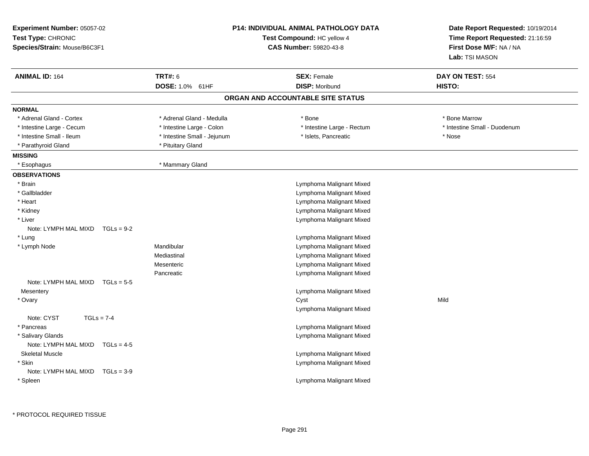| <b>TRT#: 6</b><br><b>SEX: Female</b><br><b>ANIMAL ID: 164</b><br>DAY ON TEST: 554<br>DOSE: 1.0% 61HF<br><b>DISP: Moribund</b><br>HISTO:<br>ORGAN AND ACCOUNTABLE SITE STATUS<br><b>NORMAL</b><br>* Bone Marrow<br>* Adrenal Gland - Cortex<br>* Adrenal Gland - Medulla<br>* Bone<br>* Intestine Small - Duodenum<br>* Intestine Large - Cecum<br>* Intestine Large - Colon<br>* Intestine Large - Rectum<br>* Intestine Small - Ileum<br>* Intestine Small - Jejunum<br>* Nose<br>* Islets, Pancreatic<br>* Parathyroid Gland<br>* Pituitary Gland<br><b>MISSING</b><br>* Mammary Gland<br>* Esophagus<br><b>OBSERVATIONS</b><br>Lymphoma Malignant Mixed<br>* Brain<br>Lymphoma Malignant Mixed<br>* Gallbladder<br>* Heart<br>Lymphoma Malignant Mixed<br>Lymphoma Malignant Mixed<br>* Kidney<br>Lymphoma Malignant Mixed<br>* Liver<br>Note: LYMPH MAL MIXD<br>$TGLs = 9-2$<br>* Lung<br>Lymphoma Malignant Mixed<br>Mandibular<br>Lymphoma Malignant Mixed<br>* Lymph Node<br>Mediastinal<br>Lymphoma Malignant Mixed<br>Mesenteric<br>Lymphoma Malignant Mixed<br>Lymphoma Malignant Mixed<br>Pancreatic<br>Note: LYMPH MAL MIXD<br>$TGLS = 5-5$<br>Lymphoma Malignant Mixed<br>Mesentery<br>Cyst<br>Mild<br>* Ovary<br>Lymphoma Malignant Mixed<br>Note: CYST<br>$TGLs = 7-4$<br>* Pancreas<br>Lymphoma Malignant Mixed<br>* Salivary Glands<br>Lymphoma Malignant Mixed<br>Note: LYMPH MAL MIXD TGLs = 4-5<br><b>Skeletal Muscle</b><br>Lymphoma Malignant Mixed<br>* Skin<br>Lymphoma Malignant Mixed<br>Note: LYMPH MAL MIXD<br>$TGLs = 3-9$<br>* Spleen<br>Lymphoma Malignant Mixed | <b>Experiment Number: 05057-02</b><br>Test Type: CHRONIC<br>Species/Strain: Mouse/B6C3F1 | P14: INDIVIDUAL ANIMAL PATHOLOGY DATA<br>Test Compound: HC yellow 4<br><b>CAS Number: 59820-43-8</b> | Date Report Requested: 10/19/2014<br>Time Report Requested: 21:16:59<br>First Dose M/F: NA / NA<br><b>Lab:</b> TSI MASON |
|-------------------------------------------------------------------------------------------------------------------------------------------------------------------------------------------------------------------------------------------------------------------------------------------------------------------------------------------------------------------------------------------------------------------------------------------------------------------------------------------------------------------------------------------------------------------------------------------------------------------------------------------------------------------------------------------------------------------------------------------------------------------------------------------------------------------------------------------------------------------------------------------------------------------------------------------------------------------------------------------------------------------------------------------------------------------------------------------------------------------------------------------------------------------------------------------------------------------------------------------------------------------------------------------------------------------------------------------------------------------------------------------------------------------------------------------------------------------------------------------------------------------------------------------------------------------------------------------------|------------------------------------------------------------------------------------------|------------------------------------------------------------------------------------------------------|--------------------------------------------------------------------------------------------------------------------------|
|                                                                                                                                                                                                                                                                                                                                                                                                                                                                                                                                                                                                                                                                                                                                                                                                                                                                                                                                                                                                                                                                                                                                                                                                                                                                                                                                                                                                                                                                                                                                                                                                 |                                                                                          |                                                                                                      |                                                                                                                          |
|                                                                                                                                                                                                                                                                                                                                                                                                                                                                                                                                                                                                                                                                                                                                                                                                                                                                                                                                                                                                                                                                                                                                                                                                                                                                                                                                                                                                                                                                                                                                                                                                 |                                                                                          |                                                                                                      |                                                                                                                          |
|                                                                                                                                                                                                                                                                                                                                                                                                                                                                                                                                                                                                                                                                                                                                                                                                                                                                                                                                                                                                                                                                                                                                                                                                                                                                                                                                                                                                                                                                                                                                                                                                 |                                                                                          |                                                                                                      |                                                                                                                          |
|                                                                                                                                                                                                                                                                                                                                                                                                                                                                                                                                                                                                                                                                                                                                                                                                                                                                                                                                                                                                                                                                                                                                                                                                                                                                                                                                                                                                                                                                                                                                                                                                 |                                                                                          |                                                                                                      |                                                                                                                          |
|                                                                                                                                                                                                                                                                                                                                                                                                                                                                                                                                                                                                                                                                                                                                                                                                                                                                                                                                                                                                                                                                                                                                                                                                                                                                                                                                                                                                                                                                                                                                                                                                 |                                                                                          |                                                                                                      |                                                                                                                          |
|                                                                                                                                                                                                                                                                                                                                                                                                                                                                                                                                                                                                                                                                                                                                                                                                                                                                                                                                                                                                                                                                                                                                                                                                                                                                                                                                                                                                                                                                                                                                                                                                 |                                                                                          |                                                                                                      |                                                                                                                          |
|                                                                                                                                                                                                                                                                                                                                                                                                                                                                                                                                                                                                                                                                                                                                                                                                                                                                                                                                                                                                                                                                                                                                                                                                                                                                                                                                                                                                                                                                                                                                                                                                 |                                                                                          |                                                                                                      |                                                                                                                          |
|                                                                                                                                                                                                                                                                                                                                                                                                                                                                                                                                                                                                                                                                                                                                                                                                                                                                                                                                                                                                                                                                                                                                                                                                                                                                                                                                                                                                                                                                                                                                                                                                 |                                                                                          |                                                                                                      |                                                                                                                          |
|                                                                                                                                                                                                                                                                                                                                                                                                                                                                                                                                                                                                                                                                                                                                                                                                                                                                                                                                                                                                                                                                                                                                                                                                                                                                                                                                                                                                                                                                                                                                                                                                 |                                                                                          |                                                                                                      |                                                                                                                          |
|                                                                                                                                                                                                                                                                                                                                                                                                                                                                                                                                                                                                                                                                                                                                                                                                                                                                                                                                                                                                                                                                                                                                                                                                                                                                                                                                                                                                                                                                                                                                                                                                 |                                                                                          |                                                                                                      |                                                                                                                          |
|                                                                                                                                                                                                                                                                                                                                                                                                                                                                                                                                                                                                                                                                                                                                                                                                                                                                                                                                                                                                                                                                                                                                                                                                                                                                                                                                                                                                                                                                                                                                                                                                 |                                                                                          |                                                                                                      |                                                                                                                          |
|                                                                                                                                                                                                                                                                                                                                                                                                                                                                                                                                                                                                                                                                                                                                                                                                                                                                                                                                                                                                                                                                                                                                                                                                                                                                                                                                                                                                                                                                                                                                                                                                 |                                                                                          |                                                                                                      |                                                                                                                          |
|                                                                                                                                                                                                                                                                                                                                                                                                                                                                                                                                                                                                                                                                                                                                                                                                                                                                                                                                                                                                                                                                                                                                                                                                                                                                                                                                                                                                                                                                                                                                                                                                 |                                                                                          |                                                                                                      |                                                                                                                          |
|                                                                                                                                                                                                                                                                                                                                                                                                                                                                                                                                                                                                                                                                                                                                                                                                                                                                                                                                                                                                                                                                                                                                                                                                                                                                                                                                                                                                                                                                                                                                                                                                 |                                                                                          |                                                                                                      |                                                                                                                          |
|                                                                                                                                                                                                                                                                                                                                                                                                                                                                                                                                                                                                                                                                                                                                                                                                                                                                                                                                                                                                                                                                                                                                                                                                                                                                                                                                                                                                                                                                                                                                                                                                 |                                                                                          |                                                                                                      |                                                                                                                          |
|                                                                                                                                                                                                                                                                                                                                                                                                                                                                                                                                                                                                                                                                                                                                                                                                                                                                                                                                                                                                                                                                                                                                                                                                                                                                                                                                                                                                                                                                                                                                                                                                 |                                                                                          |                                                                                                      |                                                                                                                          |
|                                                                                                                                                                                                                                                                                                                                                                                                                                                                                                                                                                                                                                                                                                                                                                                                                                                                                                                                                                                                                                                                                                                                                                                                                                                                                                                                                                                                                                                                                                                                                                                                 |                                                                                          |                                                                                                      |                                                                                                                          |
|                                                                                                                                                                                                                                                                                                                                                                                                                                                                                                                                                                                                                                                                                                                                                                                                                                                                                                                                                                                                                                                                                                                                                                                                                                                                                                                                                                                                                                                                                                                                                                                                 |                                                                                          |                                                                                                      |                                                                                                                          |
|                                                                                                                                                                                                                                                                                                                                                                                                                                                                                                                                                                                                                                                                                                                                                                                                                                                                                                                                                                                                                                                                                                                                                                                                                                                                                                                                                                                                                                                                                                                                                                                                 |                                                                                          |                                                                                                      |                                                                                                                          |
|                                                                                                                                                                                                                                                                                                                                                                                                                                                                                                                                                                                                                                                                                                                                                                                                                                                                                                                                                                                                                                                                                                                                                                                                                                                                                                                                                                                                                                                                                                                                                                                                 |                                                                                          |                                                                                                      |                                                                                                                          |
|                                                                                                                                                                                                                                                                                                                                                                                                                                                                                                                                                                                                                                                                                                                                                                                                                                                                                                                                                                                                                                                                                                                                                                                                                                                                                                                                                                                                                                                                                                                                                                                                 |                                                                                          |                                                                                                      |                                                                                                                          |
|                                                                                                                                                                                                                                                                                                                                                                                                                                                                                                                                                                                                                                                                                                                                                                                                                                                                                                                                                                                                                                                                                                                                                                                                                                                                                                                                                                                                                                                                                                                                                                                                 |                                                                                          |                                                                                                      |                                                                                                                          |
|                                                                                                                                                                                                                                                                                                                                                                                                                                                                                                                                                                                                                                                                                                                                                                                                                                                                                                                                                                                                                                                                                                                                                                                                                                                                                                                                                                                                                                                                                                                                                                                                 |                                                                                          |                                                                                                      |                                                                                                                          |
|                                                                                                                                                                                                                                                                                                                                                                                                                                                                                                                                                                                                                                                                                                                                                                                                                                                                                                                                                                                                                                                                                                                                                                                                                                                                                                                                                                                                                                                                                                                                                                                                 |                                                                                          |                                                                                                      |                                                                                                                          |
|                                                                                                                                                                                                                                                                                                                                                                                                                                                                                                                                                                                                                                                                                                                                                                                                                                                                                                                                                                                                                                                                                                                                                                                                                                                                                                                                                                                                                                                                                                                                                                                                 |                                                                                          |                                                                                                      |                                                                                                                          |
|                                                                                                                                                                                                                                                                                                                                                                                                                                                                                                                                                                                                                                                                                                                                                                                                                                                                                                                                                                                                                                                                                                                                                                                                                                                                                                                                                                                                                                                                                                                                                                                                 |                                                                                          |                                                                                                      |                                                                                                                          |
|                                                                                                                                                                                                                                                                                                                                                                                                                                                                                                                                                                                                                                                                                                                                                                                                                                                                                                                                                                                                                                                                                                                                                                                                                                                                                                                                                                                                                                                                                                                                                                                                 |                                                                                          |                                                                                                      |                                                                                                                          |
|                                                                                                                                                                                                                                                                                                                                                                                                                                                                                                                                                                                                                                                                                                                                                                                                                                                                                                                                                                                                                                                                                                                                                                                                                                                                                                                                                                                                                                                                                                                                                                                                 |                                                                                          |                                                                                                      |                                                                                                                          |
|                                                                                                                                                                                                                                                                                                                                                                                                                                                                                                                                                                                                                                                                                                                                                                                                                                                                                                                                                                                                                                                                                                                                                                                                                                                                                                                                                                                                                                                                                                                                                                                                 |                                                                                          |                                                                                                      |                                                                                                                          |
|                                                                                                                                                                                                                                                                                                                                                                                                                                                                                                                                                                                                                                                                                                                                                                                                                                                                                                                                                                                                                                                                                                                                                                                                                                                                                                                                                                                                                                                                                                                                                                                                 |                                                                                          |                                                                                                      |                                                                                                                          |
|                                                                                                                                                                                                                                                                                                                                                                                                                                                                                                                                                                                                                                                                                                                                                                                                                                                                                                                                                                                                                                                                                                                                                                                                                                                                                                                                                                                                                                                                                                                                                                                                 |                                                                                          |                                                                                                      |                                                                                                                          |
|                                                                                                                                                                                                                                                                                                                                                                                                                                                                                                                                                                                                                                                                                                                                                                                                                                                                                                                                                                                                                                                                                                                                                                                                                                                                                                                                                                                                                                                                                                                                                                                                 |                                                                                          |                                                                                                      |                                                                                                                          |
|                                                                                                                                                                                                                                                                                                                                                                                                                                                                                                                                                                                                                                                                                                                                                                                                                                                                                                                                                                                                                                                                                                                                                                                                                                                                                                                                                                                                                                                                                                                                                                                                 |                                                                                          |                                                                                                      |                                                                                                                          |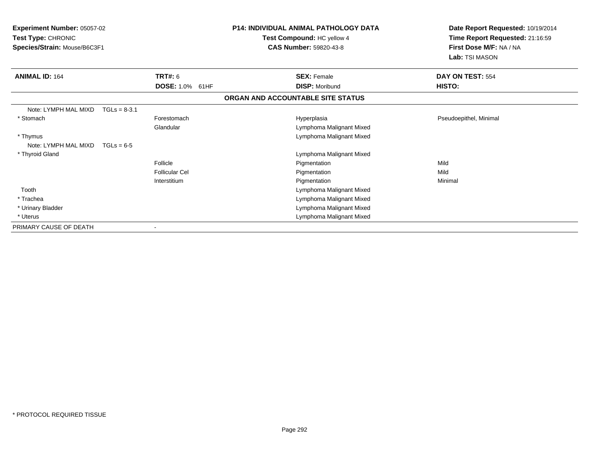| <b>Experiment Number: 05057-02</b><br><b>Test Type: CHRONIC</b><br>Species/Strain: Mouse/B6C3F1 |                           | <b>P14: INDIVIDUAL ANIMAL PATHOLOGY DATA</b><br>Test Compound: HC yellow 4<br><b>CAS Number: 59820-43-8</b> | Date Report Requested: 10/19/2014<br>Time Report Requested: 21:16:59<br>First Dose M/F: NA / NA<br>Lab: TSI MASON |
|-------------------------------------------------------------------------------------------------|---------------------------|-------------------------------------------------------------------------------------------------------------|-------------------------------------------------------------------------------------------------------------------|
| <b>ANIMAL ID: 164</b>                                                                           | TRT#: 6                   | <b>SEX: Female</b>                                                                                          | DAY ON TEST: 554                                                                                                  |
|                                                                                                 | <b>DOSE: 1.0%</b><br>61HF | <b>DISP: Moribund</b>                                                                                       | HISTO:                                                                                                            |
|                                                                                                 |                           | ORGAN AND ACCOUNTABLE SITE STATUS                                                                           |                                                                                                                   |
| Note: LYMPH MAL MIXD<br>$TGLs = 8-3.1$                                                          |                           |                                                                                                             |                                                                                                                   |
| * Stomach                                                                                       | Forestomach               | Hyperplasia                                                                                                 | Pseudoepithel, Minimal                                                                                            |
|                                                                                                 | Glandular                 | Lymphoma Malignant Mixed                                                                                    |                                                                                                                   |
| * Thymus                                                                                        |                           | Lymphoma Malignant Mixed                                                                                    |                                                                                                                   |
| Note: LYMPH MAL MIXD<br>$TGLs = 6-5$                                                            |                           |                                                                                                             |                                                                                                                   |
| * Thyroid Gland                                                                                 |                           | Lymphoma Malignant Mixed                                                                                    |                                                                                                                   |
|                                                                                                 | Follicle                  | Pigmentation                                                                                                | Mild                                                                                                              |
|                                                                                                 | <b>Follicular Cel</b>     | Pigmentation                                                                                                | Mild                                                                                                              |
|                                                                                                 | Interstitium              | Pigmentation                                                                                                | Minimal                                                                                                           |
| Tooth                                                                                           |                           | Lymphoma Malignant Mixed                                                                                    |                                                                                                                   |
| * Trachea                                                                                       |                           | Lymphoma Malignant Mixed                                                                                    |                                                                                                                   |
| * Urinary Bladder                                                                               |                           | Lymphoma Malignant Mixed                                                                                    |                                                                                                                   |
| * Uterus                                                                                        |                           | Lymphoma Malignant Mixed                                                                                    |                                                                                                                   |
| PRIMARY CAUSE OF DEATH                                                                          |                           |                                                                                                             |                                                                                                                   |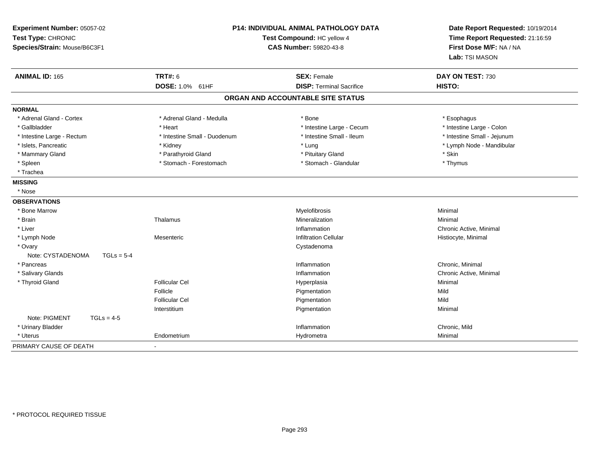| Experiment Number: 05057-02<br>Test Type: CHRONIC<br>Species/Strain: Mouse/B6C3F1 |                              | P14: INDIVIDUAL ANIMAL PATHOLOGY DATA<br>Test Compound: HC yellow 4<br><b>CAS Number: 59820-43-8</b> | Date Report Requested: 10/19/2014<br>Time Report Requested: 21:16:59<br>First Dose M/F: NA / NA<br>Lab: TSI MASON |
|-----------------------------------------------------------------------------------|------------------------------|------------------------------------------------------------------------------------------------------|-------------------------------------------------------------------------------------------------------------------|
| <b>ANIMAL ID: 165</b>                                                             | <b>TRT#: 6</b>               | <b>SEX: Female</b>                                                                                   | DAY ON TEST: 730                                                                                                  |
|                                                                                   | <b>DOSE: 1.0%</b><br>61HF    | <b>DISP: Terminal Sacrifice</b>                                                                      | HISTO:                                                                                                            |
|                                                                                   |                              | ORGAN AND ACCOUNTABLE SITE STATUS                                                                    |                                                                                                                   |
| <b>NORMAL</b>                                                                     |                              |                                                                                                      |                                                                                                                   |
| * Adrenal Gland - Cortex                                                          | * Adrenal Gland - Medulla    | * Bone                                                                                               | * Esophagus                                                                                                       |
| * Gallbladder                                                                     | * Heart                      | * Intestine Large - Cecum                                                                            | * Intestine Large - Colon                                                                                         |
| * Intestine Large - Rectum                                                        | * Intestine Small - Duodenum | * Intestine Small - Ileum                                                                            | * Intestine Small - Jejunum                                                                                       |
| * Islets, Pancreatic                                                              | * Kidney                     | * Lung                                                                                               | * Lymph Node - Mandibular                                                                                         |
| * Mammary Gland                                                                   | * Parathyroid Gland          | * Pituitary Gland                                                                                    | * Skin                                                                                                            |
| * Spleen                                                                          | * Stomach - Forestomach      | * Stomach - Glandular                                                                                | * Thymus                                                                                                          |
| * Trachea                                                                         |                              |                                                                                                      |                                                                                                                   |
| <b>MISSING</b>                                                                    |                              |                                                                                                      |                                                                                                                   |
| * Nose                                                                            |                              |                                                                                                      |                                                                                                                   |
| <b>OBSERVATIONS</b>                                                               |                              |                                                                                                      |                                                                                                                   |
| * Bone Marrow                                                                     |                              | Myelofibrosis                                                                                        | Minimal                                                                                                           |
| * Brain                                                                           | Thalamus                     | Mineralization                                                                                       | Minimal                                                                                                           |
| * Liver                                                                           |                              | Inflammation                                                                                         | Chronic Active, Minimal                                                                                           |
| * Lymph Node                                                                      | Mesenteric                   | <b>Infiltration Cellular</b>                                                                         | Histiocyte, Minimal                                                                                               |
| * Ovary                                                                           |                              | Cystadenoma                                                                                          |                                                                                                                   |
| Note: CYSTADENOMA<br>$TGLs = 5-4$                                                 |                              |                                                                                                      |                                                                                                                   |
| * Pancreas                                                                        |                              | Inflammation                                                                                         | Chronic, Minimal                                                                                                  |
| * Salivary Glands                                                                 |                              | Inflammation                                                                                         | Chronic Active, Minimal                                                                                           |
| * Thyroid Gland                                                                   | <b>Follicular Cel</b>        | Hyperplasia                                                                                          | Minimal                                                                                                           |
|                                                                                   | Follicle                     | Pigmentation                                                                                         | Mild                                                                                                              |
|                                                                                   | <b>Follicular Cel</b>        | Pigmentation                                                                                         | Mild                                                                                                              |
|                                                                                   | Interstitium                 | Pigmentation                                                                                         | Minimal                                                                                                           |
| Note: PIGMENT<br>$TGLs = 4-5$                                                     |                              |                                                                                                      |                                                                                                                   |
| * Urinary Bladder                                                                 |                              | Inflammation                                                                                         | Chronic, Mild                                                                                                     |
| * Uterus                                                                          | Endometrium                  | Hydrometra                                                                                           | Minimal                                                                                                           |
| PRIMARY CAUSE OF DEATH                                                            |                              |                                                                                                      |                                                                                                                   |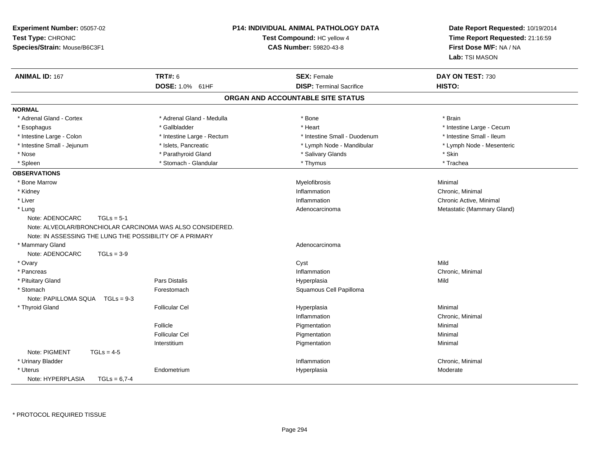| Experiment Number: 05057-02<br>Test Type: CHRONIC<br>Species/Strain: Mouse/B6C3F1 | <b>P14: INDIVIDUAL ANIMAL PATHOLOGY DATA</b><br>Test Compound: HC yellow 4<br><b>CAS Number: 59820-43-8</b> |                                   | Date Report Requested: 10/19/2014<br>Time Report Requested: 21:16:59<br>First Dose M/F: NA / NA<br>Lab: TSI MASON |  |
|-----------------------------------------------------------------------------------|-------------------------------------------------------------------------------------------------------------|-----------------------------------|-------------------------------------------------------------------------------------------------------------------|--|
| <b>TRT#: 6</b><br><b>ANIMAL ID: 167</b>                                           |                                                                                                             | <b>SEX: Female</b>                | DAY ON TEST: 730                                                                                                  |  |
|                                                                                   | DOSE: 1.0% 61HF                                                                                             | <b>DISP: Terminal Sacrifice</b>   | HISTO:                                                                                                            |  |
|                                                                                   |                                                                                                             | ORGAN AND ACCOUNTABLE SITE STATUS |                                                                                                                   |  |
| <b>NORMAL</b>                                                                     |                                                                                                             |                                   |                                                                                                                   |  |
| * Adrenal Gland - Cortex                                                          | * Adrenal Gland - Medulla                                                                                   | * Bone                            | * Brain                                                                                                           |  |
| * Esophagus                                                                       | * Gallbladder                                                                                               | * Heart                           | * Intestine Large - Cecum                                                                                         |  |
| * Intestine Large - Colon                                                         | * Intestine Large - Rectum                                                                                  | * Intestine Small - Duodenum      | * Intestine Small - Ileum                                                                                         |  |
| * Intestine Small - Jejunum                                                       | * Islets, Pancreatic                                                                                        | * Lymph Node - Mandibular         | * Lymph Node - Mesenteric                                                                                         |  |
| * Nose                                                                            | * Parathyroid Gland                                                                                         | * Salivary Glands                 | * Skin                                                                                                            |  |
| * Spleen                                                                          | * Stomach - Glandular                                                                                       | * Thymus                          | * Trachea                                                                                                         |  |
| <b>OBSERVATIONS</b>                                                               |                                                                                                             |                                   |                                                                                                                   |  |
| * Bone Marrow                                                                     |                                                                                                             | Myelofibrosis                     | Minimal                                                                                                           |  |
| * Kidney                                                                          |                                                                                                             | Inflammation                      | Chronic. Minimal                                                                                                  |  |
| * Liver                                                                           |                                                                                                             | Inflammation                      | Chronic Active, Minimal                                                                                           |  |
| * Lung                                                                            |                                                                                                             | Adenocarcinoma                    | Metastatic (Mammary Gland)                                                                                        |  |
| Note: ADENOCARC<br>$TGLs = 5-1$                                                   |                                                                                                             |                                   |                                                                                                                   |  |
| Note: ALVEOLAR/BRONCHIOLAR CARCINOMA WAS ALSO CONSIDERED.                         |                                                                                                             |                                   |                                                                                                                   |  |
| Note: IN ASSESSING THE LUNG THE POSSIBILITY OF A PRIMARY                          |                                                                                                             |                                   |                                                                                                                   |  |
| * Mammary Gland                                                                   |                                                                                                             | Adenocarcinoma                    |                                                                                                                   |  |
| Note: ADENOCARC<br>$TGLs = 3-9$                                                   |                                                                                                             |                                   |                                                                                                                   |  |
| * Ovary                                                                           |                                                                                                             | Cyst                              | Mild                                                                                                              |  |
| * Pancreas                                                                        |                                                                                                             | Inflammation                      | Chronic, Minimal                                                                                                  |  |
| * Pituitary Gland                                                                 | Pars Distalis                                                                                               | Hyperplasia                       | Mild                                                                                                              |  |
| * Stomach                                                                         | Forestomach                                                                                                 | Squamous Cell Papilloma           |                                                                                                                   |  |
| Note: PAPILLOMA SQUA  TGLs = 9-3                                                  |                                                                                                             |                                   |                                                                                                                   |  |
| * Thyroid Gland                                                                   | <b>Follicular Cel</b>                                                                                       | Hyperplasia                       | Minimal                                                                                                           |  |
|                                                                                   |                                                                                                             | Inflammation                      | Chronic, Minimal                                                                                                  |  |
| Follicle                                                                          |                                                                                                             | Pigmentation                      | Minimal                                                                                                           |  |
|                                                                                   | <b>Follicular Cel</b>                                                                                       | Pigmentation                      | Minimal                                                                                                           |  |
|                                                                                   | Interstitium                                                                                                | Pigmentation                      | Minimal                                                                                                           |  |
| Note: PIGMENT<br>$TGLs = 4-5$                                                     |                                                                                                             |                                   |                                                                                                                   |  |
| * Urinary Bladder                                                                 |                                                                                                             | Inflammation                      | Chronic, Minimal                                                                                                  |  |
| * Uterus                                                                          | Endometrium                                                                                                 | Hyperplasia                       | Moderate                                                                                                          |  |
| Note: HYPERPLASIA<br>$TGLs = 6.7-4$                                               |                                                                                                             |                                   |                                                                                                                   |  |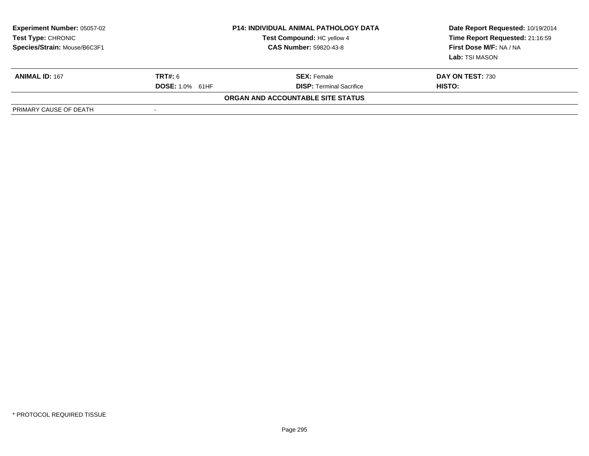| <b>Experiment Number: 05057-02</b><br>Test Type: CHRONIC<br>Species/Strain: Mouse/B6C3F1 | <b>P14: INDIVIDUAL ANIMAL PATHOLOGY DATA</b><br>Test Compound: HC yellow 4<br><b>CAS Number: 59820-43-8</b> |                                   | Date Report Requested: 10/19/2014<br>Time Report Requested: 21:16:59<br>First Dose M/F: NA / NA<br>Lab: TSI MASON |
|------------------------------------------------------------------------------------------|-------------------------------------------------------------------------------------------------------------|-----------------------------------|-------------------------------------------------------------------------------------------------------------------|
| <b>ANIMAL ID: 167</b>                                                                    | <b>TRT#: 6</b>                                                                                              | <b>SEX:</b> Female                | DAY ON TEST: 730                                                                                                  |
|                                                                                          | <b>DOSE: 1.0% 61HF</b>                                                                                      | <b>DISP: Terminal Sacrifice</b>   | HISTO:                                                                                                            |
|                                                                                          |                                                                                                             | ORGAN AND ACCOUNTABLE SITE STATUS |                                                                                                                   |
| PRIMARY CAUSE OF DEATH                                                                   | $\overline{\phantom{0}}$                                                                                    |                                   |                                                                                                                   |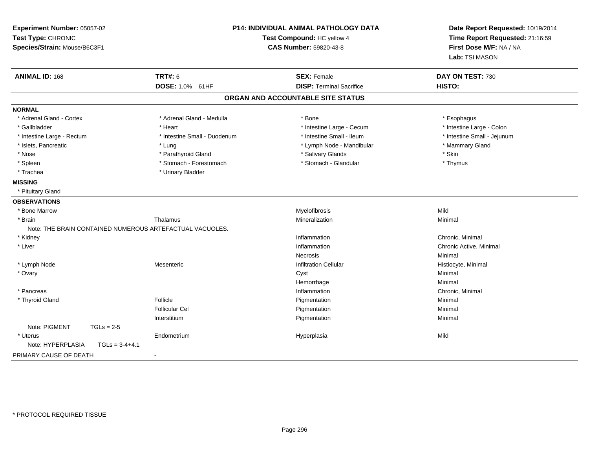| Experiment Number: 05057-02<br>Test Type: CHRONIC<br>Species/Strain: Mouse/B6C3F1 | <b>P14: INDIVIDUAL ANIMAL PATHOLOGY DATA</b><br>Test Compound: HC yellow 4<br><b>CAS Number: 59820-43-8</b> |                                                       | Date Report Requested: 10/19/2014<br>Time Report Requested: 21:16:59<br>First Dose M/F: NA / NA<br>Lab: TSI MASON |
|-----------------------------------------------------------------------------------|-------------------------------------------------------------------------------------------------------------|-------------------------------------------------------|-------------------------------------------------------------------------------------------------------------------|
| <b>ANIMAL ID: 168</b>                                                             | <b>TRT#: 6</b>                                                                                              | <b>SEX: Female</b><br><b>DISP: Terminal Sacrifice</b> | DAY ON TEST: 730                                                                                                  |
|                                                                                   | DOSE: 1.0% 61HF                                                                                             |                                                       | HISTO:                                                                                                            |
|                                                                                   |                                                                                                             | ORGAN AND ACCOUNTABLE SITE STATUS                     |                                                                                                                   |
| <b>NORMAL</b>                                                                     |                                                                                                             |                                                       |                                                                                                                   |
| * Adrenal Gland - Cortex                                                          | * Adrenal Gland - Medulla                                                                                   | * Bone                                                | * Esophagus                                                                                                       |
| * Gallbladder                                                                     | * Heart                                                                                                     | * Intestine Large - Cecum                             | * Intestine Large - Colon                                                                                         |
| * Intestine Large - Rectum                                                        | * Intestine Small - Duodenum                                                                                | * Intestine Small - Ileum                             | * Intestine Small - Jejunum                                                                                       |
| * Islets, Pancreatic                                                              | * Lung                                                                                                      | * Lymph Node - Mandibular                             | * Mammary Gland                                                                                                   |
| * Nose                                                                            | * Parathyroid Gland                                                                                         | * Salivary Glands                                     | * Skin                                                                                                            |
| * Spleen                                                                          | * Stomach - Forestomach                                                                                     | * Stomach - Glandular                                 | * Thymus                                                                                                          |
| * Trachea                                                                         | * Urinary Bladder                                                                                           |                                                       |                                                                                                                   |
| <b>MISSING</b>                                                                    |                                                                                                             |                                                       |                                                                                                                   |
| * Pituitary Gland                                                                 |                                                                                                             |                                                       |                                                                                                                   |
| <b>OBSERVATIONS</b>                                                               |                                                                                                             |                                                       |                                                                                                                   |
| * Bone Marrow                                                                     |                                                                                                             | Myelofibrosis                                         | Mild                                                                                                              |
| * Brain                                                                           | Thalamus                                                                                                    | Mineralization                                        | Minimal                                                                                                           |
| Note: THE BRAIN CONTAINED NUMEROUS ARTEFACTUAL VACUOLES.                          |                                                                                                             |                                                       |                                                                                                                   |
| * Kidney                                                                          |                                                                                                             | Inflammation                                          | Chronic, Minimal                                                                                                  |
| * Liver                                                                           |                                                                                                             | Inflammation                                          | Chronic Active, Minimal                                                                                           |
|                                                                                   |                                                                                                             | <b>Necrosis</b>                                       | Minimal                                                                                                           |
| * Lymph Node                                                                      | Mesenteric                                                                                                  | <b>Infiltration Cellular</b>                          | Histiocyte, Minimal                                                                                               |
| * Ovary                                                                           |                                                                                                             | Cyst                                                  | Minimal                                                                                                           |
|                                                                                   |                                                                                                             | Hemorrhage                                            | Minimal                                                                                                           |
| * Pancreas                                                                        |                                                                                                             | Inflammation                                          | Chronic, Minimal                                                                                                  |
| * Thyroid Gland                                                                   | Follicle                                                                                                    | Pigmentation                                          | Minimal                                                                                                           |
|                                                                                   | <b>Follicular Cel</b>                                                                                       | Pigmentation                                          | Minimal                                                                                                           |
|                                                                                   | Interstitium                                                                                                | Pigmentation                                          | Minimal                                                                                                           |
| Note: PIGMENT<br>$TGLs = 2-5$                                                     |                                                                                                             |                                                       |                                                                                                                   |
| * Uterus                                                                          | Endometrium                                                                                                 | Hyperplasia                                           | Mild                                                                                                              |
| Note: HYPERPLASIA<br>$TGLs = 3-4+4.1$                                             |                                                                                                             |                                                       |                                                                                                                   |
| PRIMARY CAUSE OF DEATH                                                            | $\blacksquare$                                                                                              |                                                       |                                                                                                                   |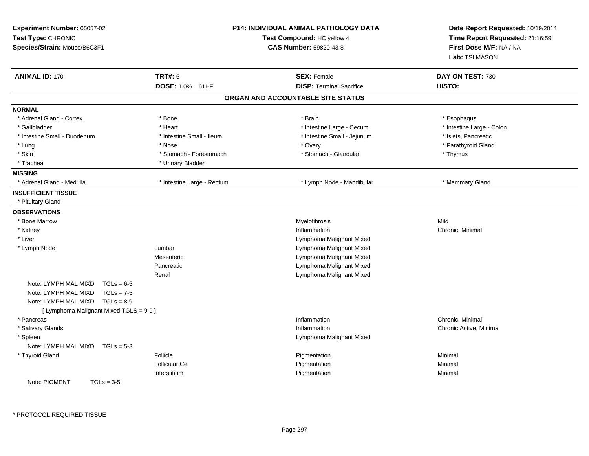| Experiment Number: 05057-02<br>Test Type: CHRONIC<br>Species/Strain: Mouse/B6C3F1 |                            | <b>P14: INDIVIDUAL ANIMAL PATHOLOGY DATA</b><br>Test Compound: HC yellow 4<br><b>CAS Number: 59820-43-8</b> | Date Report Requested: 10/19/2014<br>Time Report Requested: 21:16:59<br>First Dose M/F: NA / NA<br>Lab: TSI MASON |
|-----------------------------------------------------------------------------------|----------------------------|-------------------------------------------------------------------------------------------------------------|-------------------------------------------------------------------------------------------------------------------|
| <b>ANIMAL ID: 170</b>                                                             | <b>TRT#: 6</b>             | <b>SEX: Female</b>                                                                                          | DAY ON TEST: 730                                                                                                  |
|                                                                                   | DOSE: 1.0% 61HF            | <b>DISP: Terminal Sacrifice</b>                                                                             | HISTO:                                                                                                            |
|                                                                                   |                            | ORGAN AND ACCOUNTABLE SITE STATUS                                                                           |                                                                                                                   |
| <b>NORMAL</b>                                                                     |                            |                                                                                                             |                                                                                                                   |
| * Adrenal Gland - Cortex                                                          | * Bone                     | * Brain                                                                                                     | * Esophagus                                                                                                       |
| * Gallbladder                                                                     | * Heart                    | * Intestine Large - Cecum                                                                                   | * Intestine Large - Colon                                                                                         |
| * Intestine Small - Duodenum                                                      | * Intestine Small - Ileum  | * Intestine Small - Jejunum                                                                                 | * Islets, Pancreatic                                                                                              |
| * Lung                                                                            | * Nose                     | * Ovary                                                                                                     | * Parathyroid Gland                                                                                               |
| * Skin                                                                            | * Stomach - Forestomach    | * Stomach - Glandular                                                                                       | * Thymus                                                                                                          |
| * Trachea                                                                         | * Urinary Bladder          |                                                                                                             |                                                                                                                   |
| <b>MISSING</b>                                                                    |                            |                                                                                                             |                                                                                                                   |
| * Adrenal Gland - Medulla                                                         | * Intestine Large - Rectum | * Lymph Node - Mandibular                                                                                   | * Mammary Gland                                                                                                   |
| <b>INSUFFICIENT TISSUE</b><br>* Pituitary Gland                                   |                            |                                                                                                             |                                                                                                                   |
| <b>OBSERVATIONS</b>                                                               |                            |                                                                                                             |                                                                                                                   |
| * Bone Marrow                                                                     |                            | Myelofibrosis                                                                                               | Mild                                                                                                              |
| * Kidney                                                                          |                            | Inflammation                                                                                                | Chronic, Minimal                                                                                                  |
| * Liver                                                                           |                            | Lymphoma Malignant Mixed                                                                                    |                                                                                                                   |
| * Lymph Node                                                                      | Lumbar                     | Lymphoma Malignant Mixed                                                                                    |                                                                                                                   |
|                                                                                   | Mesenteric                 | Lymphoma Malignant Mixed                                                                                    |                                                                                                                   |
|                                                                                   | Pancreatic                 | Lymphoma Malignant Mixed                                                                                    |                                                                                                                   |
|                                                                                   | Renal                      | Lymphoma Malignant Mixed                                                                                    |                                                                                                                   |
| Note: LYMPH MAL MIXD<br>$TGLs = 6-5$                                              |                            |                                                                                                             |                                                                                                                   |
| Note: LYMPH MAL MIXD<br>$TGLs = 7-5$                                              |                            |                                                                                                             |                                                                                                                   |
| Note: LYMPH MAL MIXD<br>$TGLs = 8-9$                                              |                            |                                                                                                             |                                                                                                                   |
| [ Lymphoma Malignant Mixed TGLS = 9-9 ]                                           |                            |                                                                                                             |                                                                                                                   |
| * Pancreas                                                                        |                            | Inflammation<br>Inflammation                                                                                | Chronic, Minimal                                                                                                  |
| * Salivary Glands                                                                 |                            |                                                                                                             | Chronic Active, Minimal                                                                                           |
| * Spleen<br>Note: LYMPH MAL MIXD<br>$TGLs = 5-3$                                  |                            | Lymphoma Malignant Mixed                                                                                    |                                                                                                                   |
|                                                                                   | Follicle                   |                                                                                                             | Minimal                                                                                                           |
| * Thyroid Gland                                                                   | <b>Follicular Cel</b>      | Pigmentation<br>Pigmentation                                                                                | Minimal                                                                                                           |
|                                                                                   | Interstitium               | Pigmentation                                                                                                | Minimal                                                                                                           |
| Note: PIGMENT<br>$TGLs = 3-5$                                                     |                            |                                                                                                             |                                                                                                                   |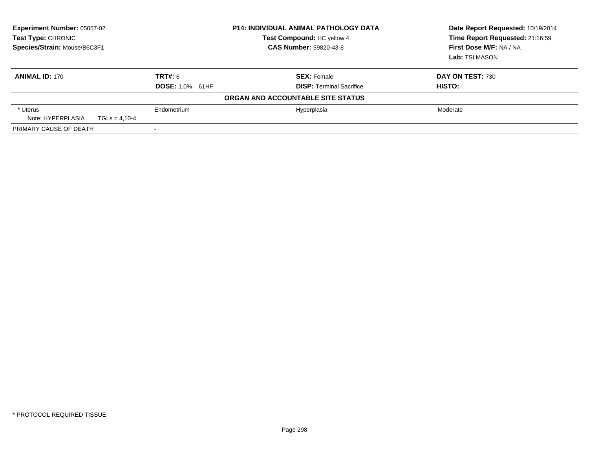| <b>Experiment Number: 05057-02</b><br><b>Test Type: CHRONIC</b><br>Species/Strain: Mouse/B6C3F1 |                        | <b>P14: INDIVIDUAL ANIMAL PATHOLOGY DATA</b><br>Test Compound: HC yellow 4<br><b>CAS Number: 59820-43-8</b> | Date Report Requested: 10/19/2014<br>Time Report Requested: 21:16:59<br>First Dose M/F: NA / NA<br>Lab: TSI MASON |
|-------------------------------------------------------------------------------------------------|------------------------|-------------------------------------------------------------------------------------------------------------|-------------------------------------------------------------------------------------------------------------------|
| <b>ANIMAL ID: 170</b>                                                                           | TRT#: 6                | <b>SEX: Female</b>                                                                                          | DAY ON TEST: 730                                                                                                  |
|                                                                                                 | <b>DOSE: 1.0% 61HF</b> | <b>DISP: Terminal Sacrifice</b>                                                                             | HISTO:                                                                                                            |
|                                                                                                 |                        | ORGAN AND ACCOUNTABLE SITE STATUS                                                                           |                                                                                                                   |
| * Uterus                                                                                        | Endometrium            | Hyperplasia                                                                                                 | Moderate                                                                                                          |
| Note: HYPERPLASIA                                                                               | $TGLs = 4.10-4$        |                                                                                                             |                                                                                                                   |
| PRIMARY CAUSE OF DEATH                                                                          |                        |                                                                                                             |                                                                                                                   |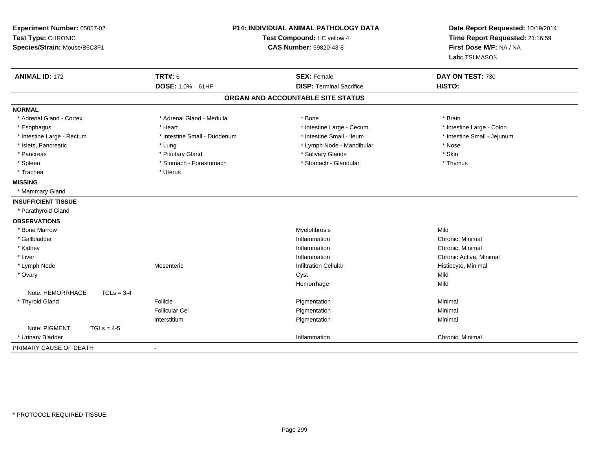| Experiment Number: 05057-02<br>Test Type: CHRONIC<br>Species/Strain: Mouse/B6C3F1 |                              | <b>P14: INDIVIDUAL ANIMAL PATHOLOGY DATA</b><br>Test Compound: HC yellow 4<br><b>CAS Number: 59820-43-8</b> | Date Report Requested: 10/19/2014<br>Time Report Requested: 21:16:59<br>First Dose M/F: NA / NA<br>Lab: TSI MASON |
|-----------------------------------------------------------------------------------|------------------------------|-------------------------------------------------------------------------------------------------------------|-------------------------------------------------------------------------------------------------------------------|
| <b>ANIMAL ID: 172</b>                                                             | <b>TRT#: 6</b>               | <b>SEX: Female</b>                                                                                          | DAY ON TEST: 730                                                                                                  |
|                                                                                   | DOSE: 1.0% 61HF              | <b>DISP: Terminal Sacrifice</b>                                                                             | HISTO:                                                                                                            |
|                                                                                   |                              | ORGAN AND ACCOUNTABLE SITE STATUS                                                                           |                                                                                                                   |
| <b>NORMAL</b>                                                                     |                              |                                                                                                             |                                                                                                                   |
| * Adrenal Gland - Cortex                                                          | * Adrenal Gland - Medulla    | * Bone                                                                                                      | * Brain                                                                                                           |
| * Esophagus                                                                       | * Heart                      | * Intestine Large - Cecum                                                                                   | * Intestine Large - Colon                                                                                         |
| * Intestine Large - Rectum                                                        | * Intestine Small - Duodenum | * Intestine Small - Ileum                                                                                   | * Intestine Small - Jejunum                                                                                       |
| * Islets, Pancreatic                                                              | * Lung                       | * Lymph Node - Mandibular                                                                                   | * Nose                                                                                                            |
| * Pancreas                                                                        | * Pituitary Gland            | * Salivary Glands                                                                                           | * Skin                                                                                                            |
| * Spleen                                                                          | * Stomach - Forestomach      | * Stomach - Glandular                                                                                       | * Thymus                                                                                                          |
| * Trachea                                                                         | * Uterus                     |                                                                                                             |                                                                                                                   |
| <b>MISSING</b>                                                                    |                              |                                                                                                             |                                                                                                                   |
| * Mammary Gland                                                                   |                              |                                                                                                             |                                                                                                                   |
| <b>INSUFFICIENT TISSUE</b>                                                        |                              |                                                                                                             |                                                                                                                   |
| * Parathyroid Gland                                                               |                              |                                                                                                             |                                                                                                                   |
| <b>OBSERVATIONS</b>                                                               |                              |                                                                                                             |                                                                                                                   |
| * Bone Marrow                                                                     |                              | Myelofibrosis                                                                                               | Mild                                                                                                              |
| * Gallbladder                                                                     |                              | Inflammation                                                                                                | Chronic, Minimal                                                                                                  |
| * Kidney                                                                          |                              | Inflammation                                                                                                | Chronic, Minimal                                                                                                  |
| * Liver                                                                           |                              | Inflammation                                                                                                | Chronic Active, Minimal                                                                                           |
| * Lymph Node                                                                      | Mesenteric                   | <b>Infiltration Cellular</b>                                                                                | Histiocyte, Minimal                                                                                               |
| * Ovary                                                                           |                              | Cyst                                                                                                        | Mild                                                                                                              |
|                                                                                   |                              | Hemorrhage                                                                                                  | Mild                                                                                                              |
| Note: HEMORRHAGE<br>$TGLs = 3-4$                                                  |                              |                                                                                                             |                                                                                                                   |
| * Thyroid Gland                                                                   | Follicle                     | Pigmentation                                                                                                | Minimal                                                                                                           |
|                                                                                   | <b>Follicular Cel</b>        | Pigmentation                                                                                                | Minimal                                                                                                           |
|                                                                                   | Interstitium                 | Pigmentation                                                                                                | Minimal                                                                                                           |
| Note: PIGMENT<br>$TGLs = 4-5$                                                     |                              |                                                                                                             |                                                                                                                   |
| * Urinary Bladder                                                                 |                              | Inflammation                                                                                                | Chronic, Minimal                                                                                                  |
| PRIMARY CAUSE OF DEATH                                                            | $\blacksquare$               |                                                                                                             |                                                                                                                   |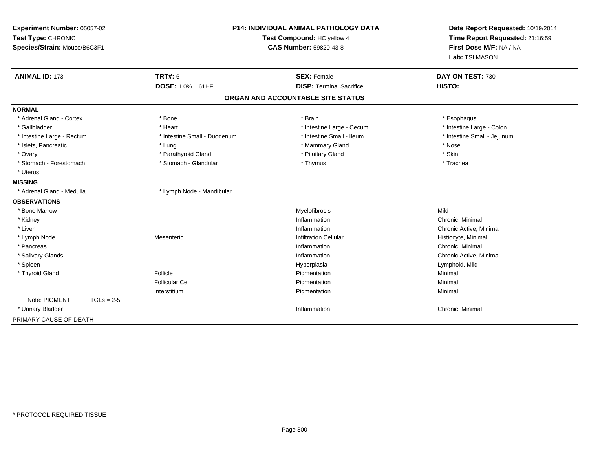| Experiment Number: 05057-02<br>Test Type: CHRONIC<br>Species/Strain: Mouse/B6C3F1 |                              | <b>P14: INDIVIDUAL ANIMAL PATHOLOGY DATA</b><br>Test Compound: HC yellow 4<br><b>CAS Number: 59820-43-8</b> | Date Report Requested: 10/19/2014<br>Time Report Requested: 21:16:59<br>First Dose M/F: NA / NA<br>Lab: TSI MASON |  |
|-----------------------------------------------------------------------------------|------------------------------|-------------------------------------------------------------------------------------------------------------|-------------------------------------------------------------------------------------------------------------------|--|
| <b>ANIMAL ID: 173</b>                                                             | TRT#: 6                      | <b>SEX: Female</b>                                                                                          | DAY ON TEST: 730                                                                                                  |  |
|                                                                                   | DOSE: 1.0% 61HF              | <b>DISP: Terminal Sacrifice</b>                                                                             | HISTO:                                                                                                            |  |
|                                                                                   |                              | ORGAN AND ACCOUNTABLE SITE STATUS                                                                           |                                                                                                                   |  |
| <b>NORMAL</b>                                                                     |                              |                                                                                                             |                                                                                                                   |  |
| * Adrenal Gland - Cortex                                                          | * Bone                       | * Brain                                                                                                     | * Esophagus                                                                                                       |  |
| * Gallbladder                                                                     | * Heart                      | * Intestine Large - Cecum                                                                                   | * Intestine Large - Colon                                                                                         |  |
| * Intestine Large - Rectum                                                        | * Intestine Small - Duodenum | * Intestine Small - Ileum                                                                                   | * Intestine Small - Jejunum                                                                                       |  |
| * Islets, Pancreatic                                                              | * Lung                       | * Mammary Gland                                                                                             | * Nose                                                                                                            |  |
| * Ovary                                                                           | * Parathyroid Gland          | * Pituitary Gland                                                                                           | * Skin                                                                                                            |  |
| * Stomach - Forestomach                                                           | * Stomach - Glandular        | * Thymus                                                                                                    | * Trachea                                                                                                         |  |
| * Uterus                                                                          |                              |                                                                                                             |                                                                                                                   |  |
| <b>MISSING</b>                                                                    |                              |                                                                                                             |                                                                                                                   |  |
| * Adrenal Gland - Medulla                                                         | * Lymph Node - Mandibular    |                                                                                                             |                                                                                                                   |  |
| <b>OBSERVATIONS</b>                                                               |                              |                                                                                                             |                                                                                                                   |  |
| * Bone Marrow                                                                     |                              | Myelofibrosis                                                                                               | Mild                                                                                                              |  |
| * Kidney                                                                          |                              | Inflammation                                                                                                | Chronic, Minimal                                                                                                  |  |
| * Liver                                                                           |                              | Inflammation                                                                                                | Chronic Active, Minimal                                                                                           |  |
| * Lymph Node                                                                      | Mesenteric                   | <b>Infiltration Cellular</b>                                                                                | Histiocyte, Minimal                                                                                               |  |
| * Pancreas                                                                        |                              | Inflammation                                                                                                | Chronic, Minimal                                                                                                  |  |
| * Salivary Glands                                                                 |                              | Inflammation                                                                                                | Chronic Active, Minimal                                                                                           |  |
| * Spleen                                                                          |                              | Hyperplasia                                                                                                 | Lymphoid, Mild                                                                                                    |  |
| * Thyroid Gland                                                                   | Follicle                     | Pigmentation                                                                                                | Minimal                                                                                                           |  |
|                                                                                   | <b>Follicular Cel</b>        | Pigmentation                                                                                                | Minimal                                                                                                           |  |
|                                                                                   | Interstitium                 | Pigmentation                                                                                                | Minimal                                                                                                           |  |
| Note: PIGMENT<br>$TGLs = 2-5$                                                     |                              |                                                                                                             |                                                                                                                   |  |
| * Urinary Bladder                                                                 |                              | Inflammation                                                                                                | Chronic, Minimal                                                                                                  |  |
| PRIMARY CAUSE OF DEATH                                                            | $\sim$                       |                                                                                                             |                                                                                                                   |  |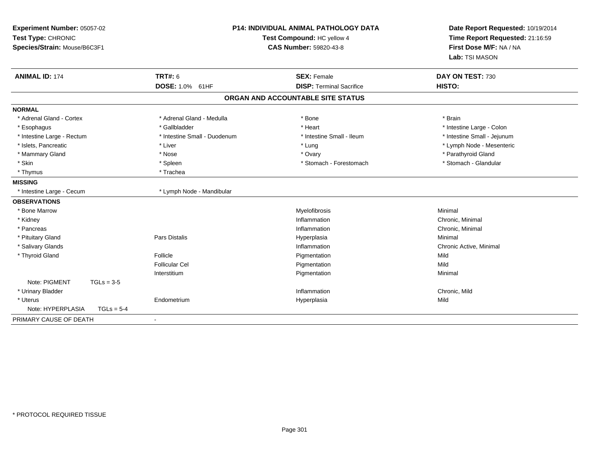| Experiment Number: 05057-02<br>Test Type: CHRONIC<br>Species/Strain: Mouse/B6C3F1 | <b>P14: INDIVIDUAL ANIMAL PATHOLOGY DATA</b><br>Test Compound: HC yellow 4<br><b>CAS Number: 59820-43-8</b> |                                   | Date Report Requested: 10/19/2014<br>Time Report Requested: 21:16:59<br>First Dose M/F: NA / NA<br>Lab: TSI MASON |  |
|-----------------------------------------------------------------------------------|-------------------------------------------------------------------------------------------------------------|-----------------------------------|-------------------------------------------------------------------------------------------------------------------|--|
| <b>ANIMAL ID: 174</b>                                                             | TRT#: 6                                                                                                     | <b>SEX: Female</b>                | DAY ON TEST: 730                                                                                                  |  |
|                                                                                   | DOSE: 1.0% 61HF                                                                                             | <b>DISP: Terminal Sacrifice</b>   | HISTO:                                                                                                            |  |
|                                                                                   |                                                                                                             | ORGAN AND ACCOUNTABLE SITE STATUS |                                                                                                                   |  |
| <b>NORMAL</b>                                                                     |                                                                                                             |                                   |                                                                                                                   |  |
| * Adrenal Gland - Cortex                                                          | * Adrenal Gland - Medulla                                                                                   | * Bone                            | * Brain                                                                                                           |  |
| * Esophagus                                                                       | * Gallbladder                                                                                               | * Heart                           | * Intestine Large - Colon                                                                                         |  |
| * Intestine Large - Rectum                                                        | * Intestine Small - Duodenum                                                                                | * Intestine Small - Ileum         | * Intestine Small - Jejunum                                                                                       |  |
| * Islets, Pancreatic                                                              | * Liver                                                                                                     | * Lung                            | * Lymph Node - Mesenteric                                                                                         |  |
| * Mammary Gland                                                                   | * Nose                                                                                                      | * Ovary                           | * Parathyroid Gland                                                                                               |  |
| * Skin                                                                            | * Spleen                                                                                                    | * Stomach - Forestomach           | * Stomach - Glandular                                                                                             |  |
| * Thymus                                                                          | * Trachea                                                                                                   |                                   |                                                                                                                   |  |
| <b>MISSING</b>                                                                    |                                                                                                             |                                   |                                                                                                                   |  |
| * Intestine Large - Cecum                                                         | * Lymph Node - Mandibular                                                                                   |                                   |                                                                                                                   |  |
| <b>OBSERVATIONS</b>                                                               |                                                                                                             |                                   |                                                                                                                   |  |
| * Bone Marrow                                                                     |                                                                                                             | Myelofibrosis                     | Minimal                                                                                                           |  |
| * Kidney                                                                          |                                                                                                             | Inflammation                      | Chronic, Minimal                                                                                                  |  |
| * Pancreas                                                                        |                                                                                                             | Inflammation                      | Chronic, Minimal                                                                                                  |  |
| * Pituitary Gland                                                                 | Pars Distalis                                                                                               | Hyperplasia                       | Minimal                                                                                                           |  |
| * Salivary Glands                                                                 |                                                                                                             | Inflammation                      | Chronic Active, Minimal                                                                                           |  |
| * Thyroid Gland                                                                   | Follicle                                                                                                    | Pigmentation                      | Mild                                                                                                              |  |
|                                                                                   | <b>Follicular Cel</b>                                                                                       | Pigmentation                      | Mild                                                                                                              |  |
|                                                                                   | Interstitium                                                                                                | Pigmentation                      | Minimal                                                                                                           |  |
| Note: PIGMENT<br>$TGLs = 3-5$                                                     |                                                                                                             |                                   |                                                                                                                   |  |
| * Urinary Bladder                                                                 |                                                                                                             | Inflammation                      | Chronic, Mild                                                                                                     |  |
| * Uterus                                                                          | Endometrium                                                                                                 | Hyperplasia                       | Mild                                                                                                              |  |
| Note: HYPERPLASIA<br>$TGLs = 5-4$                                                 |                                                                                                             |                                   |                                                                                                                   |  |
| PRIMARY CAUSE OF DEATH                                                            | $\overline{\phantom{a}}$                                                                                    |                                   |                                                                                                                   |  |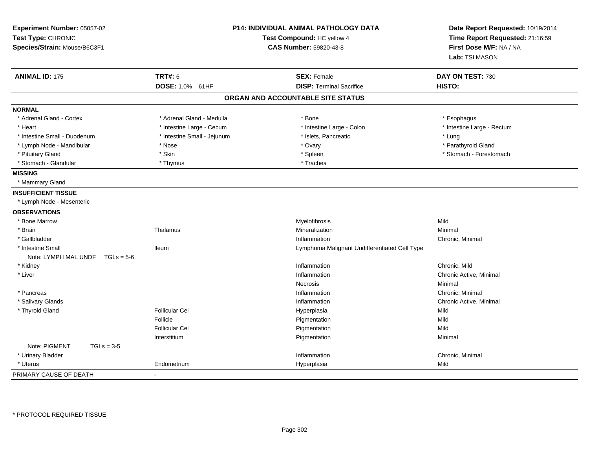| Experiment Number: 05057-02<br>Test Type: CHRONIC<br>Species/Strain: Mouse/B6C3F1 |                             | <b>P14: INDIVIDUAL ANIMAL PATHOLOGY DATA</b><br>Test Compound: HC yellow 4<br><b>CAS Number: 59820-43-8</b> | Date Report Requested: 10/19/2014<br>Time Report Requested: 21:16:59<br>First Dose M/F: NA / NA<br>Lab: TSI MASON |
|-----------------------------------------------------------------------------------|-----------------------------|-------------------------------------------------------------------------------------------------------------|-------------------------------------------------------------------------------------------------------------------|
| <b>ANIMAL ID: 175</b>                                                             | <b>TRT#: 6</b>              | <b>SEX: Female</b>                                                                                          | DAY ON TEST: 730                                                                                                  |
|                                                                                   | DOSE: 1.0% 61HF             | <b>DISP: Terminal Sacrifice</b>                                                                             | HISTO:                                                                                                            |
|                                                                                   |                             | ORGAN AND ACCOUNTABLE SITE STATUS                                                                           |                                                                                                                   |
| <b>NORMAL</b>                                                                     |                             |                                                                                                             |                                                                                                                   |
| * Adrenal Gland - Cortex                                                          | * Adrenal Gland - Medulla   | * Bone                                                                                                      | * Esophagus                                                                                                       |
| * Heart                                                                           | * Intestine Large - Cecum   | * Intestine Large - Colon                                                                                   | * Intestine Large - Rectum                                                                                        |
| * Intestine Small - Duodenum                                                      | * Intestine Small - Jejunum | * Islets, Pancreatic                                                                                        | * Lung                                                                                                            |
| * Lymph Node - Mandibular                                                         | * Nose                      | * Ovary                                                                                                     | * Parathyroid Gland                                                                                               |
| * Pituitary Gland                                                                 | * Skin                      | * Spleen                                                                                                    | * Stomach - Forestomach                                                                                           |
| * Stomach - Glandular                                                             | * Thymus                    | * Trachea                                                                                                   |                                                                                                                   |
| <b>MISSING</b>                                                                    |                             |                                                                                                             |                                                                                                                   |
| * Mammary Gland                                                                   |                             |                                                                                                             |                                                                                                                   |
| <b>INSUFFICIENT TISSUE</b>                                                        |                             |                                                                                                             |                                                                                                                   |
| * Lymph Node - Mesenteric                                                         |                             |                                                                                                             |                                                                                                                   |
| <b>OBSERVATIONS</b>                                                               |                             |                                                                                                             |                                                                                                                   |
| * Bone Marrow                                                                     |                             | Myelofibrosis                                                                                               | Mild                                                                                                              |
| * Brain                                                                           | Thalamus                    | Mineralization                                                                                              | Minimal                                                                                                           |
| * Gallbladder                                                                     |                             | Inflammation                                                                                                | Chronic, Minimal                                                                                                  |
| * Intestine Small                                                                 | lleum                       | Lymphoma Malignant Undifferentiated Cell Type                                                               |                                                                                                                   |
| Note: LYMPH MAL UNDF $TGLs = 5-6$                                                 |                             |                                                                                                             |                                                                                                                   |
| * Kidney                                                                          |                             | Inflammation                                                                                                | Chronic, Mild                                                                                                     |
| * Liver                                                                           |                             | Inflammation                                                                                                | Chronic Active, Minimal                                                                                           |
|                                                                                   |                             | Necrosis                                                                                                    | Minimal                                                                                                           |
| * Pancreas                                                                        |                             | Inflammation                                                                                                | Chronic, Minimal                                                                                                  |
| * Salivary Glands                                                                 |                             | Inflammation                                                                                                | Chronic Active, Minimal                                                                                           |
| * Thyroid Gland                                                                   | <b>Follicular Cel</b>       | Hyperplasia                                                                                                 | Mild                                                                                                              |
|                                                                                   | Follicle                    | Pigmentation                                                                                                | Mild                                                                                                              |
|                                                                                   | <b>Follicular Cel</b>       | Pigmentation                                                                                                | Mild                                                                                                              |
|                                                                                   | Interstitium                | Pigmentation                                                                                                | Minimal                                                                                                           |
| Note: PIGMENT<br>$TGLs = 3-5$                                                     |                             |                                                                                                             |                                                                                                                   |
| * Urinary Bladder                                                                 |                             | Inflammation                                                                                                | Chronic, Minimal                                                                                                  |
| * Uterus                                                                          | Endometrium                 | Hyperplasia                                                                                                 | Mild                                                                                                              |
| PRIMARY CAUSE OF DEATH                                                            | $\blacksquare$              |                                                                                                             |                                                                                                                   |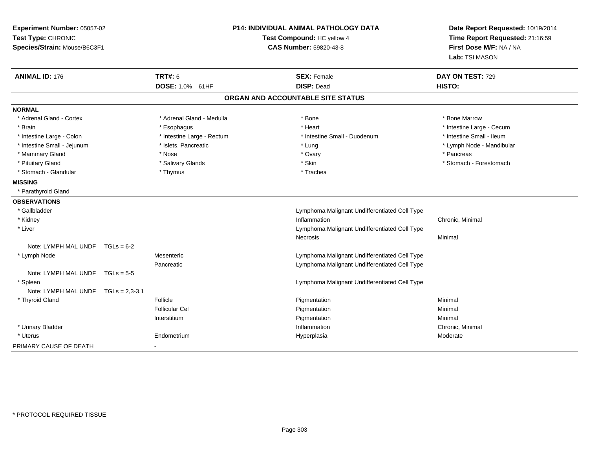| Experiment Number: 05057-02<br>Test Type: CHRONIC<br>Species/Strain: Mouse/B6C3F1 |                    |                            | <b>P14: INDIVIDUAL ANIMAL PATHOLOGY DATA</b><br>Test Compound: HC yellow 4<br><b>CAS Number: 59820-43-8</b> | Date Report Requested: 10/19/2014<br>Time Report Requested: 21:16:59<br>First Dose M/F: NA / NA<br>Lab: TSI MASON |
|-----------------------------------------------------------------------------------|--------------------|----------------------------|-------------------------------------------------------------------------------------------------------------|-------------------------------------------------------------------------------------------------------------------|
| <b>ANIMAL ID: 176</b>                                                             |                    | TRT#: 6                    | <b>SEX: Female</b>                                                                                          | DAY ON TEST: 729                                                                                                  |
|                                                                                   |                    | DOSE: 1.0% 61HF            | <b>DISP: Dead</b>                                                                                           | HISTO:                                                                                                            |
|                                                                                   |                    |                            | ORGAN AND ACCOUNTABLE SITE STATUS                                                                           |                                                                                                                   |
| <b>NORMAL</b>                                                                     |                    |                            |                                                                                                             |                                                                                                                   |
| * Adrenal Gland - Cortex                                                          |                    | * Adrenal Gland - Medulla  | * Bone                                                                                                      | * Bone Marrow                                                                                                     |
| * Brain                                                                           |                    | * Esophagus                | * Heart                                                                                                     | * Intestine Large - Cecum                                                                                         |
| * Intestine Large - Colon                                                         |                    | * Intestine Large - Rectum | * Intestine Small - Duodenum                                                                                | * Intestine Small - Ileum                                                                                         |
| * Intestine Small - Jejunum                                                       |                    | * Islets, Pancreatic       | * Lung                                                                                                      | * Lymph Node - Mandibular                                                                                         |
| * Mammary Gland                                                                   |                    | * Nose                     | * Ovary                                                                                                     | * Pancreas                                                                                                        |
| * Pituitary Gland                                                                 |                    | * Salivary Glands          | * Skin                                                                                                      | * Stomach - Forestomach                                                                                           |
| * Stomach - Glandular                                                             |                    | * Thymus                   | * Trachea                                                                                                   |                                                                                                                   |
| <b>MISSING</b>                                                                    |                    |                            |                                                                                                             |                                                                                                                   |
| * Parathyroid Gland                                                               |                    |                            |                                                                                                             |                                                                                                                   |
| <b>OBSERVATIONS</b>                                                               |                    |                            |                                                                                                             |                                                                                                                   |
| * Gallbladder                                                                     |                    |                            | Lymphoma Malignant Undifferentiated Cell Type                                                               |                                                                                                                   |
| * Kidney                                                                          |                    |                            | Inflammation                                                                                                | Chronic, Minimal                                                                                                  |
| * Liver                                                                           |                    |                            | Lymphoma Malignant Undifferentiated Cell Type                                                               |                                                                                                                   |
|                                                                                   |                    |                            | Necrosis                                                                                                    | Minimal                                                                                                           |
| Note: LYMPH MAL UNDF $TGLs = 6-2$                                                 |                    |                            |                                                                                                             |                                                                                                                   |
| * Lymph Node                                                                      |                    | Mesenteric                 | Lymphoma Malignant Undifferentiated Cell Type                                                               |                                                                                                                   |
|                                                                                   |                    | Pancreatic                 | Lymphoma Malignant Undifferentiated Cell Type                                                               |                                                                                                                   |
| Note: LYMPH MAL UNDF $TGLs = 5-5$                                                 |                    |                            |                                                                                                             |                                                                                                                   |
| * Spleen                                                                          |                    |                            | Lymphoma Malignant Undifferentiated Cell Type                                                               |                                                                                                                   |
| Note: LYMPH MAL UNDF                                                              | $TGLs = 2.3 - 3.1$ |                            |                                                                                                             |                                                                                                                   |
| * Thyroid Gland                                                                   |                    | Follicle                   | Pigmentation                                                                                                | Minimal                                                                                                           |
|                                                                                   |                    | <b>Follicular Cel</b>      | Pigmentation                                                                                                | Minimal                                                                                                           |
|                                                                                   |                    | Interstitium               | Pigmentation                                                                                                | Minimal                                                                                                           |
| * Urinary Bladder                                                                 |                    |                            | Inflammation                                                                                                | Chronic, Minimal                                                                                                  |
| * Uterus                                                                          |                    | Endometrium                | Hyperplasia                                                                                                 | Moderate                                                                                                          |
| PRIMARY CAUSE OF DEATH                                                            |                    |                            |                                                                                                             |                                                                                                                   |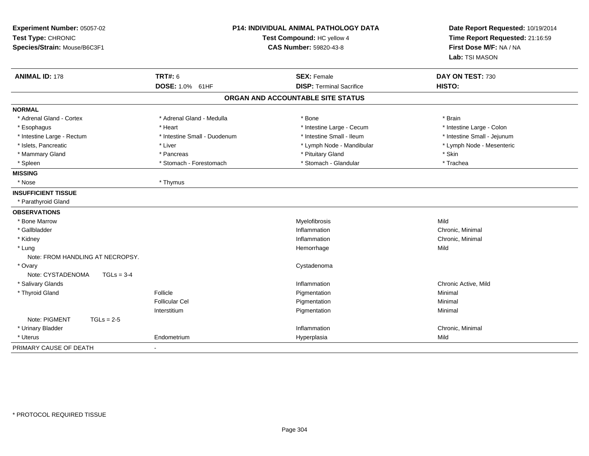| <b>P14: INDIVIDUAL ANIMAL PATHOLOGY DATA</b><br>Experiment Number: 05057-02<br>Test Type: CHRONIC<br>Test Compound: HC yellow 4<br>Species/Strain: Mouse/B6C3F1<br><b>CAS Number: 59820-43-8</b> |                              | Date Report Requested: 10/19/2014<br>Time Report Requested: 21:16:59<br>First Dose M/F: NA / NA<br>Lab: TSI MASON |                             |
|--------------------------------------------------------------------------------------------------------------------------------------------------------------------------------------------------|------------------------------|-------------------------------------------------------------------------------------------------------------------|-----------------------------|
| <b>ANIMAL ID: 178</b>                                                                                                                                                                            | <b>TRT#: 6</b>               | <b>SEX: Female</b>                                                                                                | DAY ON TEST: 730            |
|                                                                                                                                                                                                  | DOSE: 1.0% 61HF              | <b>DISP: Terminal Sacrifice</b>                                                                                   | <b>HISTO:</b>               |
|                                                                                                                                                                                                  |                              | ORGAN AND ACCOUNTABLE SITE STATUS                                                                                 |                             |
| <b>NORMAL</b>                                                                                                                                                                                    |                              |                                                                                                                   |                             |
| * Adrenal Gland - Cortex                                                                                                                                                                         | * Adrenal Gland - Medulla    | * Bone                                                                                                            | * Brain                     |
| * Esophagus                                                                                                                                                                                      | * Heart                      | * Intestine Large - Cecum                                                                                         | * Intestine Large - Colon   |
| * Intestine Large - Rectum                                                                                                                                                                       | * Intestine Small - Duodenum | * Intestine Small - Ileum                                                                                         | * Intestine Small - Jejunum |
| * Islets, Pancreatic                                                                                                                                                                             | * Liver                      | * Lymph Node - Mandibular                                                                                         | * Lymph Node - Mesenteric   |
| * Mammary Gland                                                                                                                                                                                  | * Pancreas                   | * Pituitary Gland                                                                                                 | * Skin                      |
| * Spleen                                                                                                                                                                                         | * Stomach - Forestomach      | * Stomach - Glandular                                                                                             | * Trachea                   |
| <b>MISSING</b>                                                                                                                                                                                   |                              |                                                                                                                   |                             |
| * Nose                                                                                                                                                                                           | * Thymus                     |                                                                                                                   |                             |
| <b>INSUFFICIENT TISSUE</b>                                                                                                                                                                       |                              |                                                                                                                   |                             |
| * Parathyroid Gland                                                                                                                                                                              |                              |                                                                                                                   |                             |
| <b>OBSERVATIONS</b>                                                                                                                                                                              |                              |                                                                                                                   |                             |
| * Bone Marrow                                                                                                                                                                                    |                              | Myelofibrosis                                                                                                     | Mild                        |
| * Gallbladder                                                                                                                                                                                    |                              | Inflammation                                                                                                      | Chronic, Minimal            |
| * Kidney                                                                                                                                                                                         |                              | Inflammation                                                                                                      | Chronic, Minimal            |
| * Lung                                                                                                                                                                                           |                              | Hemorrhage                                                                                                        | Mild                        |
| Note: FROM HANDLING AT NECROPSY.                                                                                                                                                                 |                              |                                                                                                                   |                             |
| * Ovary                                                                                                                                                                                          |                              | Cystadenoma                                                                                                       |                             |
| Note: CYSTADENOMA<br>$TGLs = 3-4$                                                                                                                                                                |                              |                                                                                                                   |                             |
| * Salivary Glands                                                                                                                                                                                |                              | Inflammation                                                                                                      | Chronic Active, Mild        |
| * Thyroid Gland                                                                                                                                                                                  | Follicle                     | Pigmentation                                                                                                      | Minimal                     |
|                                                                                                                                                                                                  | <b>Follicular Cel</b>        | Pigmentation                                                                                                      | Minimal                     |
|                                                                                                                                                                                                  | Interstitium                 | Pigmentation                                                                                                      | Minimal                     |
| Note: PIGMENT<br>$TGLs = 2-5$                                                                                                                                                                    |                              |                                                                                                                   |                             |
| * Urinary Bladder                                                                                                                                                                                |                              | Inflammation                                                                                                      | Chronic, Minimal            |
| * Uterus                                                                                                                                                                                         | Endometrium                  | Hyperplasia                                                                                                       | Mild                        |
| PRIMARY CAUSE OF DEATH                                                                                                                                                                           | $\overline{a}$               |                                                                                                                   |                             |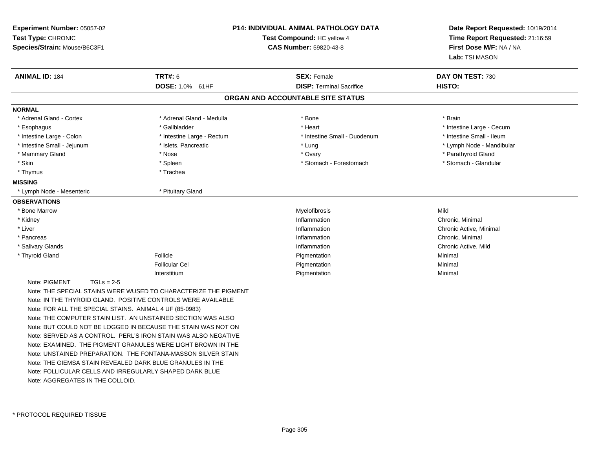| Experiment Number: 05057-02<br>Test Type: CHRONIC<br>Species/Strain: Mouse/B6C3F1 |                                                                 | <b>P14: INDIVIDUAL ANIMAL PATHOLOGY DATA</b><br>Test Compound: HC yellow 4<br><b>CAS Number: 59820-43-8</b> |                           |
|-----------------------------------------------------------------------------------|-----------------------------------------------------------------|-------------------------------------------------------------------------------------------------------------|---------------------------|
| <b>ANIMAL ID: 184</b>                                                             | <b>TRT#: 6</b>                                                  | <b>SEX: Female</b>                                                                                          | DAY ON TEST: 730          |
|                                                                                   | DOSE: 1.0% 61HF                                                 | <b>DISP: Terminal Sacrifice</b>                                                                             | HISTO:                    |
|                                                                                   |                                                                 | ORGAN AND ACCOUNTABLE SITE STATUS                                                                           |                           |
| <b>NORMAL</b>                                                                     |                                                                 |                                                                                                             |                           |
| * Adrenal Gland - Cortex                                                          | * Adrenal Gland - Medulla                                       | * Bone                                                                                                      | * Brain                   |
| * Esophagus                                                                       | * Gallbladder                                                   | * Heart                                                                                                     | * Intestine Large - Cecum |
| * Intestine Large - Colon                                                         | * Intestine Large - Rectum                                      | * Intestine Small - Duodenum                                                                                | * Intestine Small - Ileum |
| * Intestine Small - Jejunum                                                       | * Islets, Pancreatic                                            | * Lung                                                                                                      | * Lymph Node - Mandibular |
| * Mammary Gland                                                                   | * Nose                                                          | * Ovary                                                                                                     | * Parathyroid Gland       |
| * Skin                                                                            | * Spleen                                                        | * Stomach - Forestomach                                                                                     | * Stomach - Glandular     |
| * Thymus                                                                          | * Trachea                                                       |                                                                                                             |                           |
| <b>MISSING</b>                                                                    |                                                                 |                                                                                                             |                           |
| Lymph Node - Mesenteric                                                           | * Pituitary Gland                                               |                                                                                                             |                           |
| <b>OBSERVATIONS</b>                                                               |                                                                 |                                                                                                             |                           |
| * Bone Marrow                                                                     |                                                                 | Myelofibrosis                                                                                               | Mild                      |
| * Kidney                                                                          |                                                                 | Inflammation                                                                                                | Chronic, Minimal          |
| * Liver                                                                           |                                                                 | Inflammation                                                                                                | Chronic Active, Minimal   |
| * Pancreas                                                                        |                                                                 | Inflammation                                                                                                | Chronic, Minimal          |
| * Salivary Glands                                                                 |                                                                 | Inflammation                                                                                                | Chronic Active, Mild      |
| * Thyroid Gland                                                                   | Follicle                                                        | Pigmentation                                                                                                | Minimal                   |
|                                                                                   | <b>Follicular Cel</b>                                           | Pigmentation                                                                                                | Minimal                   |
|                                                                                   | Interstitium                                                    | Pigmentation                                                                                                | Minimal                   |
| Note: PIGMENT<br>$TGLs = 2-5$                                                     |                                                                 |                                                                                                             |                           |
|                                                                                   | Note: THE SPECIAL STAINS WERE WUSED TO CHARACTERIZE THE PIGMENT |                                                                                                             |                           |
|                                                                                   | Note: IN THE THYROID GLAND. POSITIVE CONTROLS WERE AVAILABLE    |                                                                                                             |                           |
| Note: FOR ALL THE SPECIAL STAINS. ANIMAL 4 UF (85-0983)                           |                                                                 |                                                                                                             |                           |
|                                                                                   | Note: THE COMPUTER STAIN LIST. AN UNSTAINED SECTION WAS ALSO    |                                                                                                             |                           |
|                                                                                   | Note: BUT COULD NOT BE LOGGED IN BECAUSE THE STAIN WAS NOT ON   |                                                                                                             |                           |
|                                                                                   | Note: SERVED AS A CONTROL. PERL'S IRON STAIN WAS ALSO NEGATIVE  |                                                                                                             |                           |
|                                                                                   | Note: EXAMINED. THE PIGMENT GRANULES WERE LIGHT BROWN IN THE    |                                                                                                             |                           |
|                                                                                   | Note: UNSTAINED PREPARATION. THE FONTANA-MASSON SILVER STAIN    |                                                                                                             |                           |
| Note: THE GIEMSA STAIN REVEALED DARK BLUE GRANULES IN THE                         |                                                                 |                                                                                                             |                           |
| Note: FOLLICULAR CELLS AND IRREGULARI Y SHAPED DARK BLUE                          |                                                                 |                                                                                                             |                           |

Note: AGGREGATES IN THE COLLOID.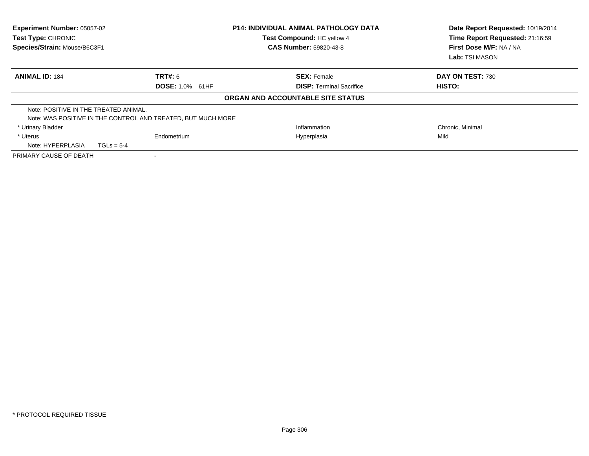| Experiment Number: 05057-02<br>Test Type: CHRONIC<br>Species/Strain: Mouse/B6C3F1 |              |                                                              | <b>P14: INDIVIDUAL ANIMAL PATHOLOGY DATA</b><br>Test Compound: HC yellow 4<br><b>CAS Number: 59820-43-8</b> |  | Date Report Requested: 10/19/2014<br>Time Report Requested: 21:16:59<br>First Dose M/F: NA / NA<br><b>Lab:</b> TSI MASON |  |
|-----------------------------------------------------------------------------------|--------------|--------------------------------------------------------------|-------------------------------------------------------------------------------------------------------------|--|--------------------------------------------------------------------------------------------------------------------------|--|
| <b>ANIMAL ID: 184</b>                                                             |              | TRT#: 6                                                      | <b>SEX: Female</b>                                                                                          |  | DAY ON TEST: 730                                                                                                         |  |
|                                                                                   |              | <b>DOSE: 1.0% 61HF</b>                                       | <b>DISP:</b> Terminal Sacrifice                                                                             |  | HISTO:                                                                                                                   |  |
|                                                                                   |              |                                                              | ORGAN AND ACCOUNTABLE SITE STATUS                                                                           |  |                                                                                                                          |  |
| Note: POSITIVE IN THE TREATED ANIMAL.                                             |              |                                                              |                                                                                                             |  |                                                                                                                          |  |
|                                                                                   |              | Note: WAS POSITIVE IN THE CONTROL AND TREATED, BUT MUCH MORE |                                                                                                             |  |                                                                                                                          |  |
| * Urinary Bladder                                                                 |              |                                                              | Inflammation                                                                                                |  | Chronic, Minimal                                                                                                         |  |
| * Uterus                                                                          |              | Endometrium                                                  | Hyperplasia                                                                                                 |  | Mild                                                                                                                     |  |
| Note: HYPERPLASIA                                                                 | $TGLs = 5-4$ |                                                              |                                                                                                             |  |                                                                                                                          |  |
| PRIMARY CAUSE OF DEATH                                                            |              |                                                              |                                                                                                             |  |                                                                                                                          |  |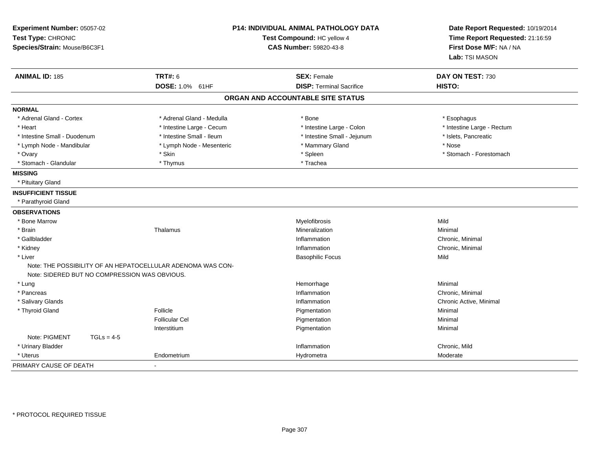| Experiment Number: 05057-02<br>Test Type: CHRONIC<br>Species/Strain: Mouse/B6C3F1 |                                                                                                              | <b>P14: INDIVIDUAL ANIMAL PATHOLOGY DATA</b><br>Test Compound: HC yellow 4<br>CAS Number: 59820-43-8 | Date Report Requested: 10/19/2014<br>Time Report Requested: 21:16:59<br>First Dose M/F: NA / NA<br>Lab: TSI MASON |
|-----------------------------------------------------------------------------------|--------------------------------------------------------------------------------------------------------------|------------------------------------------------------------------------------------------------------|-------------------------------------------------------------------------------------------------------------------|
| <b>ANIMAL ID: 185</b>                                                             | <b>TRT#: 6</b>                                                                                               | <b>SEX: Female</b>                                                                                   | DAY ON TEST: 730                                                                                                  |
|                                                                                   | <b>DOSE: 1.0% 61HF</b>                                                                                       | <b>DISP: Terminal Sacrifice</b>                                                                      | HISTO:                                                                                                            |
|                                                                                   |                                                                                                              | ORGAN AND ACCOUNTABLE SITE STATUS                                                                    |                                                                                                                   |
| <b>NORMAL</b>                                                                     |                                                                                                              |                                                                                                      |                                                                                                                   |
| * Adrenal Gland - Cortex                                                          | * Adrenal Gland - Medulla                                                                                    | * Bone                                                                                               | * Esophagus                                                                                                       |
| * Heart                                                                           | * Intestine Large - Cecum                                                                                    | * Intestine Large - Colon                                                                            | * Intestine Large - Rectum                                                                                        |
| * Intestine Small - Duodenum                                                      | * Intestine Small - Ileum                                                                                    | * Intestine Small - Jejunum                                                                          | * Islets, Pancreatic                                                                                              |
| * Lymph Node - Mandibular                                                         | * Lymph Node - Mesenteric                                                                                    | * Mammary Gland                                                                                      | * Nose                                                                                                            |
| * Ovary                                                                           | * Skin                                                                                                       | * Spleen                                                                                             | * Stomach - Forestomach                                                                                           |
| * Stomach - Glandular                                                             | * Thymus                                                                                                     | * Trachea                                                                                            |                                                                                                                   |
| <b>MISSING</b>                                                                    |                                                                                                              |                                                                                                      |                                                                                                                   |
| * Pituitary Gland                                                                 |                                                                                                              |                                                                                                      |                                                                                                                   |
| <b>INSUFFICIENT TISSUE</b>                                                        |                                                                                                              |                                                                                                      |                                                                                                                   |
| * Parathyroid Gland                                                               |                                                                                                              |                                                                                                      |                                                                                                                   |
| <b>OBSERVATIONS</b>                                                               |                                                                                                              |                                                                                                      |                                                                                                                   |
| * Bone Marrow                                                                     |                                                                                                              | Myelofibrosis                                                                                        | Mild                                                                                                              |
| * Brain                                                                           | Thalamus                                                                                                     | Mineralization                                                                                       | Minimal                                                                                                           |
| * Gallbladder                                                                     |                                                                                                              | Inflammation                                                                                         | Chronic, Minimal                                                                                                  |
| * Kidney                                                                          |                                                                                                              | Inflammation                                                                                         | Chronic, Minimal                                                                                                  |
| * Liver                                                                           |                                                                                                              | <b>Basophilic Focus</b>                                                                              | Mild                                                                                                              |
|                                                                                   | Note: THE POSSIBILITY OF AN HEPATOCELLULAR ADENOMA WAS CON-<br>Note: SIDERED BUT NO COMPRESSION WAS OBVIOUS. |                                                                                                      |                                                                                                                   |
| * Lung                                                                            |                                                                                                              | Hemorrhage                                                                                           | Minimal                                                                                                           |
| * Pancreas                                                                        |                                                                                                              | Inflammation                                                                                         | Chronic, Minimal                                                                                                  |
| * Salivary Glands                                                                 |                                                                                                              | Inflammation                                                                                         | Chronic Active, Minimal                                                                                           |
| * Thyroid Gland                                                                   | Follicle                                                                                                     | Pigmentation                                                                                         | Minimal                                                                                                           |
|                                                                                   | <b>Follicular Cel</b>                                                                                        | Pigmentation                                                                                         | Minimal                                                                                                           |
|                                                                                   | Interstitium                                                                                                 | Pigmentation                                                                                         | Minimal                                                                                                           |
| Note: PIGMENT                                                                     | $TGLs = 4-5$                                                                                                 |                                                                                                      |                                                                                                                   |
| * Urinary Bladder                                                                 |                                                                                                              | Inflammation                                                                                         | Chronic, Mild                                                                                                     |
| * Uterus                                                                          | Endometrium                                                                                                  | Hydrometra                                                                                           | Moderate                                                                                                          |
| PRIMARY CAUSE OF DEATH                                                            | $\sim$                                                                                                       |                                                                                                      |                                                                                                                   |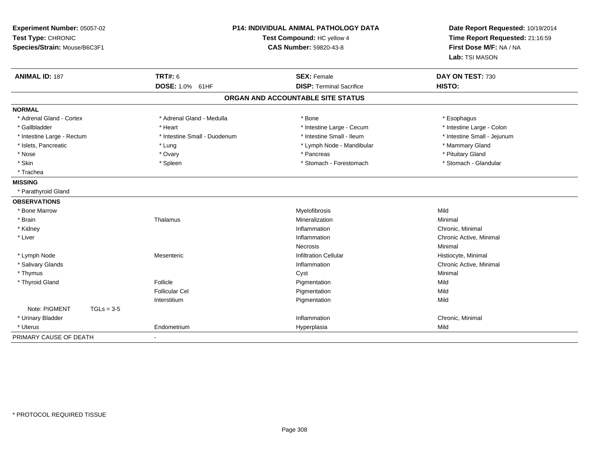| Experiment Number: 05057-02<br>Test Type: CHRONIC<br>Species/Strain: Mouse/B6C3F1 |                              | <b>P14: INDIVIDUAL ANIMAL PATHOLOGY DATA</b><br>Test Compound: HC yellow 4<br><b>CAS Number: 59820-43-8</b> |                             |
|-----------------------------------------------------------------------------------|------------------------------|-------------------------------------------------------------------------------------------------------------|-----------------------------|
| <b>ANIMAL ID: 187</b>                                                             | TRT#: 6                      | <b>SEX: Female</b>                                                                                          | DAY ON TEST: 730            |
|                                                                                   | DOSE: 1.0% 61HF              | <b>DISP: Terminal Sacrifice</b>                                                                             | HISTO:                      |
|                                                                                   |                              | ORGAN AND ACCOUNTABLE SITE STATUS                                                                           |                             |
| <b>NORMAL</b>                                                                     |                              |                                                                                                             |                             |
| * Adrenal Gland - Cortex                                                          | * Adrenal Gland - Medulla    | * Bone                                                                                                      | * Esophagus                 |
| * Gallbladder                                                                     | * Heart                      | * Intestine Large - Cecum                                                                                   | * Intestine Large - Colon   |
| * Intestine Large - Rectum                                                        | * Intestine Small - Duodenum | * Intestine Small - Ileum                                                                                   | * Intestine Small - Jejunum |
| * Islets, Pancreatic                                                              | * Lung                       | * Lymph Node - Mandibular                                                                                   | * Mammary Gland             |
| * Nose                                                                            | * Ovary                      | * Pancreas                                                                                                  | * Pituitary Gland           |
| * Skin                                                                            | * Spleen                     | * Stomach - Forestomach                                                                                     | * Stomach - Glandular       |
| * Trachea                                                                         |                              |                                                                                                             |                             |
| <b>MISSING</b>                                                                    |                              |                                                                                                             |                             |
| * Parathyroid Gland                                                               |                              |                                                                                                             |                             |
| <b>OBSERVATIONS</b>                                                               |                              |                                                                                                             |                             |
| * Bone Marrow                                                                     |                              | Myelofibrosis                                                                                               | Mild                        |
| * Brain                                                                           | Thalamus                     | Mineralization                                                                                              | Minimal                     |
| * Kidney                                                                          |                              | Inflammation                                                                                                | Chronic, Minimal            |
| * Liver                                                                           |                              | Inflammation                                                                                                | Chronic Active, Minimal     |
|                                                                                   |                              | <b>Necrosis</b>                                                                                             | Minimal                     |
| * Lymph Node                                                                      | Mesenteric                   | <b>Infiltration Cellular</b>                                                                                | Histiocyte, Minimal         |
| * Salivary Glands                                                                 |                              | Inflammation                                                                                                | Chronic Active, Minimal     |
| * Thymus                                                                          |                              | Cyst                                                                                                        | Minimal                     |
| * Thyroid Gland                                                                   | Follicle                     | Pigmentation                                                                                                | Mild                        |
|                                                                                   | <b>Follicular Cel</b>        | Pigmentation                                                                                                | Mild                        |
|                                                                                   | Interstitium                 | Pigmentation                                                                                                | Mild                        |
| Note: PIGMENT<br>$TGLs = 3-5$                                                     |                              |                                                                                                             |                             |
| * Urinary Bladder                                                                 |                              | Inflammation                                                                                                | Chronic, Minimal            |
| * Uterus                                                                          | Endometrium                  | Hyperplasia                                                                                                 | Mild                        |
| PRIMARY CAUSE OF DEATH                                                            |                              |                                                                                                             |                             |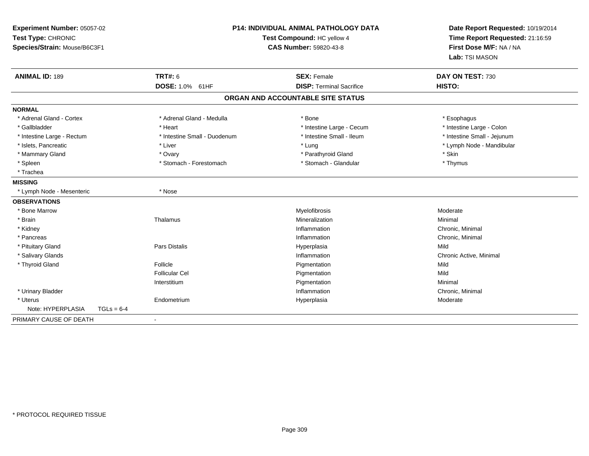| Experiment Number: 05057-02<br>Test Type: CHRONIC<br>Species/Strain: Mouse/B6C3F1 | <b>P14: INDIVIDUAL ANIMAL PATHOLOGY DATA</b><br>Test Compound: HC yellow 4<br>CAS Number: 59820-43-8 |                                   | Date Report Requested: 10/19/2014<br>Time Report Requested: 21:16:59<br>First Dose M/F: NA / NA<br>Lab: TSI MASON |  |
|-----------------------------------------------------------------------------------|------------------------------------------------------------------------------------------------------|-----------------------------------|-------------------------------------------------------------------------------------------------------------------|--|
| <b>ANIMAL ID: 189</b>                                                             | <b>TRT#: 6</b>                                                                                       | <b>SEX: Female</b>                | DAY ON TEST: 730                                                                                                  |  |
|                                                                                   | DOSE: 1.0% 61HF                                                                                      | <b>DISP: Terminal Sacrifice</b>   | HISTO:                                                                                                            |  |
|                                                                                   |                                                                                                      | ORGAN AND ACCOUNTABLE SITE STATUS |                                                                                                                   |  |
| <b>NORMAL</b>                                                                     |                                                                                                      |                                   |                                                                                                                   |  |
| * Adrenal Gland - Cortex                                                          | * Adrenal Gland - Medulla                                                                            | * Bone                            | * Esophagus                                                                                                       |  |
| * Gallbladder                                                                     | * Heart                                                                                              | * Intestine Large - Cecum         | * Intestine Large - Colon                                                                                         |  |
| * Intestine Large - Rectum                                                        | * Intestine Small - Duodenum                                                                         | * Intestine Small - Ileum         | * Intestine Small - Jejunum                                                                                       |  |
| * Islets, Pancreatic                                                              | * Liver                                                                                              | * Lung                            | * Lymph Node - Mandibular                                                                                         |  |
| * Mammary Gland                                                                   | * Ovary                                                                                              | * Parathyroid Gland               | * Skin                                                                                                            |  |
| * Spleen                                                                          | * Stomach - Forestomach                                                                              | * Stomach - Glandular             | * Thymus                                                                                                          |  |
| * Trachea                                                                         |                                                                                                      |                                   |                                                                                                                   |  |
| <b>MISSING</b>                                                                    |                                                                                                      |                                   |                                                                                                                   |  |
| * Lymph Node - Mesenteric                                                         | * Nose                                                                                               |                                   |                                                                                                                   |  |
| <b>OBSERVATIONS</b>                                                               |                                                                                                      |                                   |                                                                                                                   |  |
| * Bone Marrow                                                                     |                                                                                                      | Myelofibrosis                     | Moderate                                                                                                          |  |
| * Brain                                                                           | Thalamus                                                                                             | Mineralization                    | Minimal                                                                                                           |  |
| * Kidney                                                                          |                                                                                                      | Inflammation                      | Chronic, Minimal                                                                                                  |  |
| * Pancreas                                                                        |                                                                                                      | Inflammation                      | Chronic, Minimal                                                                                                  |  |
| * Pituitary Gland                                                                 | <b>Pars Distalis</b>                                                                                 | Hyperplasia                       | Mild                                                                                                              |  |
| * Salivary Glands                                                                 |                                                                                                      | Inflammation                      | Chronic Active, Minimal                                                                                           |  |
| * Thyroid Gland                                                                   | Follicle                                                                                             | Pigmentation                      | Mild                                                                                                              |  |
|                                                                                   | <b>Follicular Cel</b>                                                                                | Pigmentation                      | Mild                                                                                                              |  |
|                                                                                   | Interstitium                                                                                         | Pigmentation                      | Minimal                                                                                                           |  |
| * Urinary Bladder                                                                 |                                                                                                      | Inflammation                      | Chronic, Minimal                                                                                                  |  |
| * Uterus                                                                          | Endometrium                                                                                          | Hyperplasia                       | Moderate                                                                                                          |  |
| Note: HYPERPLASIA<br>$TGLs = 6-4$                                                 |                                                                                                      |                                   |                                                                                                                   |  |
| PRIMARY CAUSE OF DEATH                                                            |                                                                                                      |                                   |                                                                                                                   |  |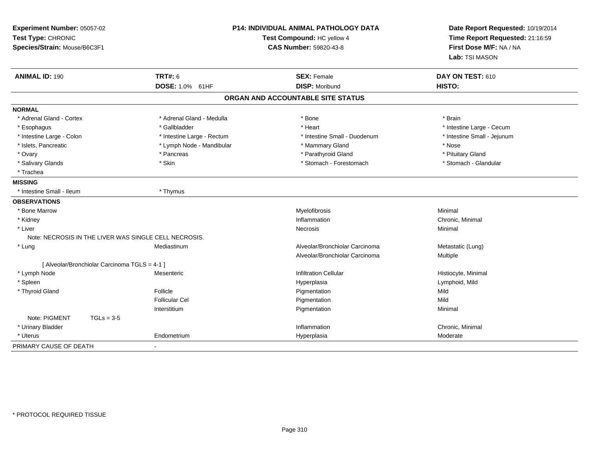| Experiment Number: 05057-02<br>Test Type: CHRONIC<br>Species/Strain: Mouse/B6C3F1 |                                                       | P14: INDIVIDUAL ANIMAL PATHOLOGY DATA<br>Test Compound: HC yellow 4<br><b>CAS Number: 59820-43-8</b> | Date Report Requested: 10/19/2014<br>Time Report Requested: 21:16:59<br>First Dose M/F: NA / NA<br>Lab: TSI MASON |
|-----------------------------------------------------------------------------------|-------------------------------------------------------|------------------------------------------------------------------------------------------------------|-------------------------------------------------------------------------------------------------------------------|
| <b>ANIMAL ID: 190</b>                                                             | <b>TRT#: 6</b>                                        | <b>SEX: Female</b>                                                                                   | DAY ON TEST: 610                                                                                                  |
|                                                                                   | DOSE: 1.0% 61HF                                       | <b>DISP: Moribund</b>                                                                                | HISTO:                                                                                                            |
|                                                                                   |                                                       | ORGAN AND ACCOUNTABLE SITE STATUS                                                                    |                                                                                                                   |
| <b>NORMAL</b>                                                                     |                                                       |                                                                                                      |                                                                                                                   |
| * Adrenal Gland - Cortex                                                          | * Adrenal Gland - Medulla                             | * Bone                                                                                               | * Brain                                                                                                           |
| * Esophagus                                                                       | * Gallbladder                                         | * Heart                                                                                              | * Intestine Large - Cecum                                                                                         |
| * Intestine Large - Colon                                                         | * Intestine Large - Rectum                            | * Intestine Small - Duodenum                                                                         | * Intestine Small - Jejunum                                                                                       |
| * Islets, Pancreatic                                                              | * Lymph Node - Mandibular                             | * Mammary Gland                                                                                      | * Nose                                                                                                            |
| * Ovary                                                                           | * Pancreas                                            | * Parathyroid Gland                                                                                  | * Pituitary Gland                                                                                                 |
| * Salivary Glands                                                                 | * Skin                                                | * Stomach - Forestomach                                                                              | * Stomach - Glandular                                                                                             |
| * Trachea                                                                         |                                                       |                                                                                                      |                                                                                                                   |
| <b>MISSING</b>                                                                    |                                                       |                                                                                                      |                                                                                                                   |
| * Intestine Small - Ileum                                                         | * Thymus                                              |                                                                                                      |                                                                                                                   |
| <b>OBSERVATIONS</b>                                                               |                                                       |                                                                                                      |                                                                                                                   |
| * Bone Marrow                                                                     |                                                       | Myelofibrosis                                                                                        | Minimal                                                                                                           |
| * Kidney                                                                          |                                                       | Inflammation                                                                                         | Chronic, Minimal                                                                                                  |
| * Liver                                                                           |                                                       | Necrosis                                                                                             | Minimal                                                                                                           |
|                                                                                   | Note: NECROSIS IN THE LIVER WAS SINGLE CELL NECROSIS. |                                                                                                      |                                                                                                                   |
| * Lung                                                                            | Mediastinum                                           | Alveolar/Bronchiolar Carcinoma                                                                       | Metastatic (Lung)                                                                                                 |
|                                                                                   |                                                       | Alveolar/Bronchiolar Carcinoma                                                                       | Multiple                                                                                                          |
| [ Alveolar/Bronchiolar Carcinoma TGLS = 4-1 ]                                     |                                                       |                                                                                                      |                                                                                                                   |
| * Lymph Node                                                                      | Mesenteric                                            | <b>Infiltration Cellular</b>                                                                         | Histiocyte, Minimal                                                                                               |
| * Spleen                                                                          |                                                       | Hyperplasia                                                                                          | Lymphoid, Mild                                                                                                    |
| * Thyroid Gland                                                                   | Follicle                                              | Pigmentation                                                                                         | Mild                                                                                                              |
|                                                                                   | <b>Follicular Cel</b>                                 | Pigmentation                                                                                         | Mild                                                                                                              |
|                                                                                   | Interstitium                                          | Pigmentation                                                                                         | Minimal                                                                                                           |
| Note: PIGMENT<br>$TGLs = 3-5$                                                     |                                                       |                                                                                                      |                                                                                                                   |
| * Urinary Bladder                                                                 |                                                       | Inflammation                                                                                         | Chronic, Minimal                                                                                                  |
| * Uterus                                                                          | Endometrium                                           | Hyperplasia                                                                                          | Moderate                                                                                                          |
| PRIMARY CAUSE OF DEATH                                                            |                                                       |                                                                                                      |                                                                                                                   |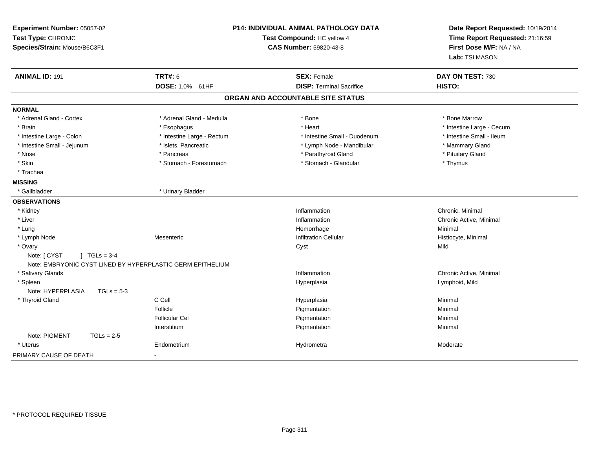| Experiment Number: 05057-02<br>Test Type: CHRONIC<br>Species/Strain: Mouse/B6C3F1 |                            | <b>P14: INDIVIDUAL ANIMAL PATHOLOGY DATA</b><br>Test Compound: HC yellow 4<br>CAS Number: 59820-43-8 | Date Report Requested: 10/19/2014<br>Time Report Requested: 21:16:59<br>First Dose M/F: NA / NA<br>Lab: TSI MASON |
|-----------------------------------------------------------------------------------|----------------------------|------------------------------------------------------------------------------------------------------|-------------------------------------------------------------------------------------------------------------------|
| <b>ANIMAL ID: 191</b>                                                             | <b>TRT#: 6</b>             | <b>SEX: Female</b>                                                                                   | DAY ON TEST: 730                                                                                                  |
|                                                                                   | DOSE: 1.0% 61HF            | <b>DISP: Terminal Sacrifice</b>                                                                      | HISTO:                                                                                                            |
|                                                                                   |                            | ORGAN AND ACCOUNTABLE SITE STATUS                                                                    |                                                                                                                   |
| <b>NORMAL</b>                                                                     |                            |                                                                                                      |                                                                                                                   |
| * Adrenal Gland - Cortex                                                          | * Adrenal Gland - Medulla  | * Bone                                                                                               | * Bone Marrow                                                                                                     |
| * Brain                                                                           | * Esophagus                | * Heart                                                                                              | * Intestine Large - Cecum                                                                                         |
| * Intestine Large - Colon                                                         | * Intestine Large - Rectum | * Intestine Small - Duodenum                                                                         | * Intestine Small - Ileum                                                                                         |
| * Intestine Small - Jejunum                                                       | * Islets, Pancreatic       | * Lymph Node - Mandibular                                                                            | * Mammary Gland                                                                                                   |
| * Nose                                                                            | * Pancreas                 | * Parathyroid Gland                                                                                  | * Pituitary Gland                                                                                                 |
| * Skin                                                                            | * Stomach - Forestomach    | * Stomach - Glandular                                                                                | * Thymus                                                                                                          |
| * Trachea                                                                         |                            |                                                                                                      |                                                                                                                   |
| <b>MISSING</b>                                                                    |                            |                                                                                                      |                                                                                                                   |
| * Gallbladder                                                                     | * Urinary Bladder          |                                                                                                      |                                                                                                                   |
| <b>OBSERVATIONS</b>                                                               |                            |                                                                                                      |                                                                                                                   |
| * Kidney                                                                          |                            | Inflammation                                                                                         | Chronic, Minimal                                                                                                  |
| * Liver                                                                           |                            | Inflammation                                                                                         | Chronic Active, Minimal                                                                                           |
| * Lung                                                                            |                            | Hemorrhage                                                                                           | Minimal                                                                                                           |
| * Lymph Node                                                                      | Mesenteric                 | <b>Infiltration Cellular</b>                                                                         | Histiocyte, Minimal                                                                                               |
| * Ovary                                                                           |                            | Cyst                                                                                                 | Mild                                                                                                              |
| Note: [ CYST<br>$1 TGLs = 3-4$                                                    |                            |                                                                                                      |                                                                                                                   |
| Note: EMBRYONIC CYST LINED BY HYPERPLASTIC GERM EPITHELIUM                        |                            |                                                                                                      |                                                                                                                   |
| * Salivary Glands                                                                 |                            | Inflammation                                                                                         | Chronic Active, Minimal                                                                                           |
| * Spleen<br>Note: HYPERPLASIA<br>$TGLs = 5-3$                                     |                            | Hyperplasia                                                                                          | Lymphoid, Mild                                                                                                    |
| * Thyroid Gland                                                                   | C Cell                     | Hyperplasia                                                                                          | Minimal                                                                                                           |
|                                                                                   | Follicle                   | Pigmentation                                                                                         | Minimal                                                                                                           |
|                                                                                   | <b>Follicular Cel</b>      | Pigmentation                                                                                         | Minimal                                                                                                           |
|                                                                                   | Interstitium               | Pigmentation                                                                                         | Minimal                                                                                                           |
| Note: PIGMENT<br>$TGLs = 2-5$                                                     |                            |                                                                                                      |                                                                                                                   |
| * Uterus                                                                          | Endometrium                | Hydrometra                                                                                           | Moderate                                                                                                          |
| PRIMARY CAUSE OF DEATH                                                            |                            |                                                                                                      |                                                                                                                   |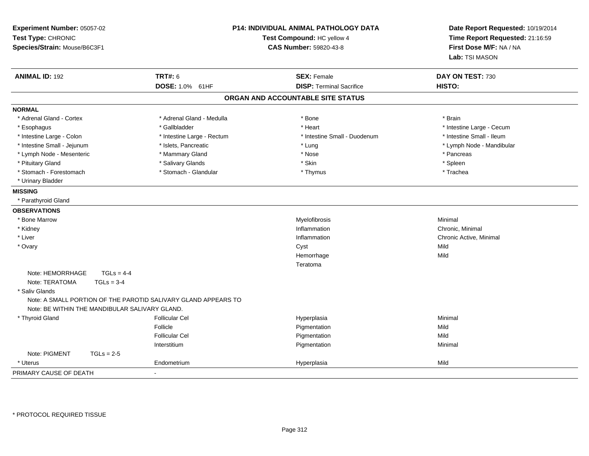| Experiment Number: 05057-02<br>Test Type: CHRONIC<br>Species/Strain: Mouse/B6C3F1 |                                                                | <b>P14: INDIVIDUAL ANIMAL PATHOLOGY DATA</b><br>Test Compound: HC yellow 4<br>CAS Number: 59820-43-8 | Date Report Requested: 10/19/2014<br>Time Report Requested: 21:16:59<br>First Dose M/F: NA / NA<br>Lab: TSI MASON |  |
|-----------------------------------------------------------------------------------|----------------------------------------------------------------|------------------------------------------------------------------------------------------------------|-------------------------------------------------------------------------------------------------------------------|--|
| <b>ANIMAL ID: 192</b>                                                             | <b>TRT#: 6</b>                                                 | <b>SEX: Female</b>                                                                                   | DAY ON TEST: 730                                                                                                  |  |
|                                                                                   | DOSE: 1.0% 61HF                                                | <b>DISP: Terminal Sacrifice</b>                                                                      | HISTO:                                                                                                            |  |
|                                                                                   |                                                                | ORGAN AND ACCOUNTABLE SITE STATUS                                                                    |                                                                                                                   |  |
| <b>NORMAL</b>                                                                     |                                                                |                                                                                                      |                                                                                                                   |  |
| * Adrenal Gland - Cortex                                                          | * Adrenal Gland - Medulla                                      | * Bone                                                                                               | * Brain                                                                                                           |  |
| * Esophagus                                                                       | * Gallbladder                                                  | * Heart                                                                                              | * Intestine Large - Cecum                                                                                         |  |
| * Intestine Large - Colon                                                         | * Intestine Large - Rectum                                     | * Intestine Small - Duodenum                                                                         | * Intestine Small - Ileum                                                                                         |  |
| * Intestine Small - Jejunum                                                       | * Islets, Pancreatic                                           | * Lung                                                                                               | * Lymph Node - Mandibular                                                                                         |  |
| * Lymph Node - Mesenteric                                                         | * Mammary Gland                                                | * Nose                                                                                               | * Pancreas                                                                                                        |  |
| * Pituitary Gland                                                                 | * Salivary Glands                                              | * Skin                                                                                               | * Spleen                                                                                                          |  |
| * Stomach - Forestomach                                                           | * Stomach - Glandular                                          | * Thymus                                                                                             | * Trachea                                                                                                         |  |
| * Urinary Bladder                                                                 |                                                                |                                                                                                      |                                                                                                                   |  |
| <b>MISSING</b>                                                                    |                                                                |                                                                                                      |                                                                                                                   |  |
| * Parathyroid Gland                                                               |                                                                |                                                                                                      |                                                                                                                   |  |
| <b>OBSERVATIONS</b>                                                               |                                                                |                                                                                                      |                                                                                                                   |  |
| * Bone Marrow                                                                     |                                                                | Myelofibrosis                                                                                        | Minimal                                                                                                           |  |
| * Kidney                                                                          |                                                                | Inflammation                                                                                         | Chronic, Minimal                                                                                                  |  |
| * Liver                                                                           |                                                                | Inflammation                                                                                         | Chronic Active, Minimal                                                                                           |  |
| * Ovary                                                                           |                                                                | Cyst                                                                                                 | Mild                                                                                                              |  |
|                                                                                   |                                                                | Hemorrhage                                                                                           | Mild                                                                                                              |  |
|                                                                                   |                                                                | Teratoma                                                                                             |                                                                                                                   |  |
| Note: HEMORRHAGE<br>$TGLs = 4-4$                                                  |                                                                |                                                                                                      |                                                                                                                   |  |
| Note: TERATOMA<br>$TGLs = 3-4$                                                    |                                                                |                                                                                                      |                                                                                                                   |  |
| * Saliv Glands                                                                    |                                                                |                                                                                                      |                                                                                                                   |  |
|                                                                                   | Note: A SMALL PORTION OF THE PAROTID SALIVARY GLAND APPEARS TO |                                                                                                      |                                                                                                                   |  |
| Note: BE WITHIN THE MANDIBULAR SALIVARY GLAND.                                    |                                                                |                                                                                                      |                                                                                                                   |  |
| * Thyroid Gland                                                                   | <b>Follicular Cel</b>                                          | Hyperplasia                                                                                          | Minimal                                                                                                           |  |
|                                                                                   | Follicle                                                       | Pigmentation                                                                                         | Mild                                                                                                              |  |
|                                                                                   | <b>Follicular Cel</b>                                          | Pigmentation                                                                                         | Mild                                                                                                              |  |
|                                                                                   | Interstitium                                                   | Pigmentation                                                                                         | Minimal                                                                                                           |  |
| Note: PIGMENT<br>$TGLs = 2-5$                                                     |                                                                |                                                                                                      |                                                                                                                   |  |
| * Uterus                                                                          | Endometrium                                                    | Hyperplasia                                                                                          | Mild                                                                                                              |  |
| PRIMARY CAUSE OF DEATH                                                            |                                                                |                                                                                                      |                                                                                                                   |  |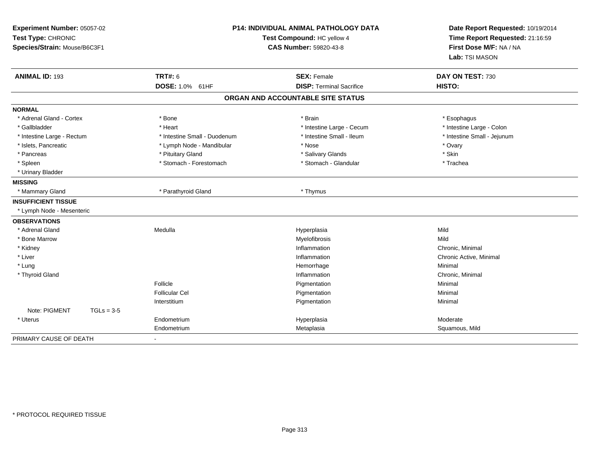| Experiment Number: 05057-02<br>Test Type: CHRONIC<br>Species/Strain: Mouse/B6C3F1 |                              | <b>P14: INDIVIDUAL ANIMAL PATHOLOGY DATA</b><br>Test Compound: HC yellow 4<br>CAS Number: 59820-43-8 | Date Report Requested: 10/19/2014<br>Time Report Requested: 21:16:59<br>First Dose M/F: NA / NA<br>Lab: TSI MASON |
|-----------------------------------------------------------------------------------|------------------------------|------------------------------------------------------------------------------------------------------|-------------------------------------------------------------------------------------------------------------------|
| <b>ANIMAL ID: 193</b>                                                             | <b>TRT#: 6</b>               | <b>SEX: Female</b>                                                                                   | DAY ON TEST: 730                                                                                                  |
|                                                                                   | DOSE: 1.0% 61HF              | <b>DISP: Terminal Sacrifice</b>                                                                      | HISTO:                                                                                                            |
|                                                                                   |                              | ORGAN AND ACCOUNTABLE SITE STATUS                                                                    |                                                                                                                   |
| <b>NORMAL</b>                                                                     |                              |                                                                                                      |                                                                                                                   |
| * Adrenal Gland - Cortex                                                          | * Bone                       | * Brain                                                                                              | * Esophagus                                                                                                       |
| * Gallbladder                                                                     | * Heart                      | * Intestine Large - Cecum                                                                            | * Intestine Large - Colon                                                                                         |
| * Intestine Large - Rectum                                                        | * Intestine Small - Duodenum | * Intestine Small - Ileum                                                                            | * Intestine Small - Jejunum                                                                                       |
| * Islets, Pancreatic                                                              | * Lymph Node - Mandibular    | * Nose                                                                                               | * Ovary                                                                                                           |
| * Pancreas                                                                        | * Pituitary Gland            | * Salivary Glands                                                                                    | * Skin                                                                                                            |
| * Spleen                                                                          | * Stomach - Forestomach      | * Stomach - Glandular                                                                                | * Trachea                                                                                                         |
| * Urinary Bladder                                                                 |                              |                                                                                                      |                                                                                                                   |
| <b>MISSING</b>                                                                    |                              |                                                                                                      |                                                                                                                   |
| * Mammary Gland                                                                   | * Parathyroid Gland          | * Thymus                                                                                             |                                                                                                                   |
| <b>INSUFFICIENT TISSUE</b>                                                        |                              |                                                                                                      |                                                                                                                   |
| * Lymph Node - Mesenteric                                                         |                              |                                                                                                      |                                                                                                                   |
| <b>OBSERVATIONS</b>                                                               |                              |                                                                                                      |                                                                                                                   |
| * Adrenal Gland                                                                   | Medulla                      | Hyperplasia                                                                                          | Mild                                                                                                              |
| * Bone Marrow                                                                     |                              | Myelofibrosis                                                                                        | Mild                                                                                                              |
| * Kidney                                                                          |                              | Inflammation                                                                                         | Chronic, Minimal                                                                                                  |
| * Liver                                                                           |                              | Inflammation                                                                                         | Chronic Active, Minimal                                                                                           |
| * Lung                                                                            |                              | Hemorrhage                                                                                           | Minimal                                                                                                           |
| * Thyroid Gland                                                                   |                              | Inflammation                                                                                         | Chronic, Minimal                                                                                                  |
|                                                                                   | Follicle                     | Pigmentation                                                                                         | Minimal                                                                                                           |
|                                                                                   | <b>Follicular Cel</b>        | Pigmentation                                                                                         | Minimal                                                                                                           |
|                                                                                   | Interstitium                 | Pigmentation                                                                                         | Minimal                                                                                                           |
| Note: PIGMENT<br>$TGLs = 3-5$                                                     |                              |                                                                                                      |                                                                                                                   |
| * Uterus                                                                          | Endometrium                  | Hyperplasia                                                                                          | Moderate                                                                                                          |
|                                                                                   | Endometrium                  | Metaplasia                                                                                           | Squamous, Mild                                                                                                    |
| PRIMARY CAUSE OF DEATH                                                            |                              |                                                                                                      |                                                                                                                   |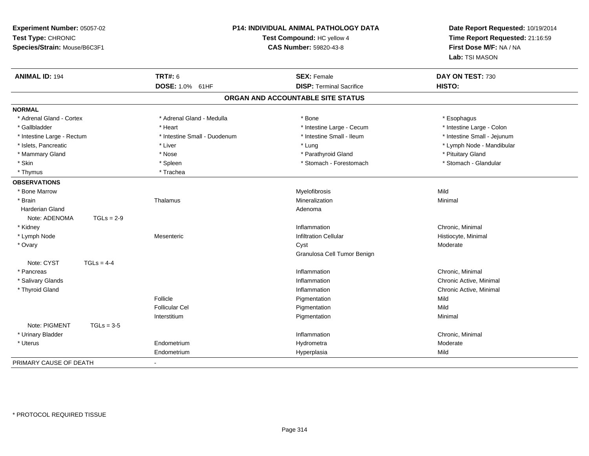| Experiment Number: 05057-02<br>Test Type: CHRONIC<br>Species/Strain: Mouse/B6C3F1 |                              | P14: INDIVIDUAL ANIMAL PATHOLOGY DATA<br>Test Compound: HC yellow 4<br><b>CAS Number: 59820-43-8</b> | Date Report Requested: 10/19/2014<br>Time Report Requested: 21:16:59<br>First Dose M/F: NA / NA<br>Lab: TSI MASON |
|-----------------------------------------------------------------------------------|------------------------------|------------------------------------------------------------------------------------------------------|-------------------------------------------------------------------------------------------------------------------|
| <b>ANIMAL ID: 194</b>                                                             | <b>TRT#: 6</b>               | <b>SEX: Female</b>                                                                                   | DAY ON TEST: 730                                                                                                  |
|                                                                                   | DOSE: 1.0% 61HF              | <b>DISP: Terminal Sacrifice</b>                                                                      | <b>HISTO:</b>                                                                                                     |
|                                                                                   |                              | ORGAN AND ACCOUNTABLE SITE STATUS                                                                    |                                                                                                                   |
| <b>NORMAL</b>                                                                     |                              |                                                                                                      |                                                                                                                   |
| * Adrenal Gland - Cortex                                                          | * Adrenal Gland - Medulla    | * Bone                                                                                               | * Esophagus                                                                                                       |
| * Gallbladder                                                                     | * Heart                      | * Intestine Large - Cecum                                                                            | * Intestine Large - Colon                                                                                         |
| * Intestine Large - Rectum                                                        | * Intestine Small - Duodenum | * Intestine Small - Ileum                                                                            | * Intestine Small - Jejunum                                                                                       |
| * Islets, Pancreatic                                                              | * Liver                      | * Lung                                                                                               | * Lymph Node - Mandibular                                                                                         |
| * Mammary Gland                                                                   | * Nose                       | * Parathyroid Gland                                                                                  | * Pituitary Gland                                                                                                 |
| * Skin                                                                            | * Spleen                     | * Stomach - Forestomach                                                                              | * Stomach - Glandular                                                                                             |
| * Thymus                                                                          | * Trachea                    |                                                                                                      |                                                                                                                   |
| <b>OBSERVATIONS</b>                                                               |                              |                                                                                                      |                                                                                                                   |
| * Bone Marrow                                                                     |                              | Myelofibrosis                                                                                        | Mild                                                                                                              |
| * Brain                                                                           | Thalamus                     | Mineralization                                                                                       | Minimal                                                                                                           |
| Harderian Gland                                                                   |                              | Adenoma                                                                                              |                                                                                                                   |
| $TGLs = 2-9$<br>Note: ADENOMA                                                     |                              |                                                                                                      |                                                                                                                   |
| * Kidney                                                                          |                              | Inflammation                                                                                         | Chronic, Minimal                                                                                                  |
| * Lymph Node                                                                      | Mesenteric                   | <b>Infiltration Cellular</b>                                                                         | Histiocyte, Minimal                                                                                               |
| * Ovary                                                                           |                              | Cyst                                                                                                 | Moderate                                                                                                          |
|                                                                                   |                              | Granulosa Cell Tumor Benign                                                                          |                                                                                                                   |
| Note: CYST<br>$TGLs = 4-4$                                                        |                              |                                                                                                      |                                                                                                                   |
| * Pancreas                                                                        |                              | Inflammation                                                                                         | Chronic, Minimal                                                                                                  |
| * Salivary Glands                                                                 |                              | Inflammation                                                                                         | Chronic Active, Minimal                                                                                           |
| * Thyroid Gland                                                                   |                              | Inflammation                                                                                         | Chronic Active, Minimal                                                                                           |
|                                                                                   | Follicle                     | Pigmentation                                                                                         | Mild                                                                                                              |
|                                                                                   | <b>Follicular Cel</b>        | Pigmentation                                                                                         | Mild                                                                                                              |
|                                                                                   | Interstitium                 | Pigmentation                                                                                         | Minimal                                                                                                           |
| Note: PIGMENT<br>$TGLs = 3-5$                                                     |                              |                                                                                                      |                                                                                                                   |
| * Urinary Bladder                                                                 |                              | Inflammation                                                                                         | Chronic, Minimal                                                                                                  |
| * Uterus                                                                          | Endometrium                  | Hydrometra                                                                                           | Moderate                                                                                                          |
|                                                                                   | Endometrium                  | Hyperplasia                                                                                          | Mild                                                                                                              |
| PRIMARY CAUSE OF DEATH                                                            |                              |                                                                                                      |                                                                                                                   |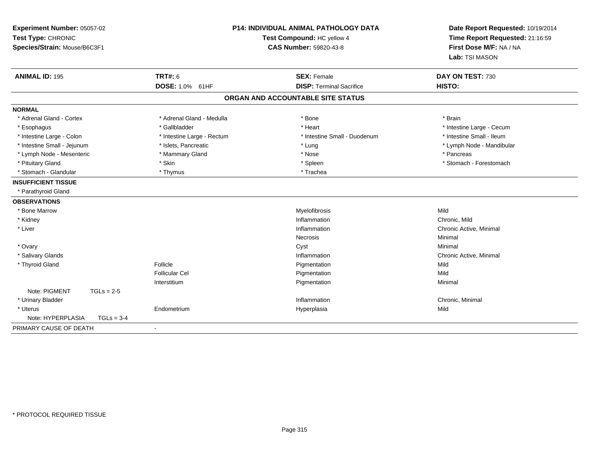| Experiment Number: 05057-02<br>Test Type: CHRONIC<br>Species/Strain: Mouse/B6C3F1 | <b>P14: INDIVIDUAL ANIMAL PATHOLOGY DATA</b><br>Test Compound: HC yellow 4<br>CAS Number: 59820-43-8 |                                   | Date Report Requested: 10/19/2014<br>Time Report Requested: 21:16:59<br>First Dose M/F: NA / NA<br>Lab: TSI MASON |
|-----------------------------------------------------------------------------------|------------------------------------------------------------------------------------------------------|-----------------------------------|-------------------------------------------------------------------------------------------------------------------|
| <b>ANIMAL ID: 195</b>                                                             | <b>TRT#: 6</b>                                                                                       | <b>SEX: Female</b>                | DAY ON TEST: 730<br>HISTO:                                                                                        |
|                                                                                   | DOSE: 1.0% 61HF                                                                                      | <b>DISP: Terminal Sacrifice</b>   |                                                                                                                   |
|                                                                                   |                                                                                                      | ORGAN AND ACCOUNTABLE SITE STATUS |                                                                                                                   |
| <b>NORMAL</b>                                                                     |                                                                                                      |                                   |                                                                                                                   |
| * Adrenal Gland - Cortex                                                          | * Adrenal Gland - Medulla                                                                            | * Bone                            | * Brain                                                                                                           |
| * Esophagus                                                                       | * Gallbladder                                                                                        | * Heart                           | * Intestine Large - Cecum                                                                                         |
| * Intestine Large - Colon                                                         | * Intestine Large - Rectum                                                                           | * Intestine Small - Duodenum      | * Intestine Small - Ileum                                                                                         |
| * Intestine Small - Jejunum                                                       | * Islets, Pancreatic                                                                                 | * Lung                            | * Lymph Node - Mandibular                                                                                         |
| * Lymph Node - Mesenteric                                                         | * Mammary Gland                                                                                      | * Nose                            | * Pancreas                                                                                                        |
| * Pituitary Gland                                                                 | * Skin                                                                                               | * Spleen                          | * Stomach - Forestomach                                                                                           |
| * Stomach - Glandular                                                             | * Thymus                                                                                             | * Trachea                         |                                                                                                                   |
| <b>INSUFFICIENT TISSUE</b>                                                        |                                                                                                      |                                   |                                                                                                                   |
| * Parathyroid Gland                                                               |                                                                                                      |                                   |                                                                                                                   |
| <b>OBSERVATIONS</b>                                                               |                                                                                                      |                                   |                                                                                                                   |
| * Bone Marrow                                                                     |                                                                                                      | Myelofibrosis                     | Mild                                                                                                              |
| * Kidney                                                                          |                                                                                                      | Inflammation                      | Chronic. Mild                                                                                                     |
| * Liver                                                                           |                                                                                                      | Inflammation                      | Chronic Active, Minimal                                                                                           |
|                                                                                   |                                                                                                      | Necrosis                          | Minimal                                                                                                           |
| * Ovary                                                                           |                                                                                                      | Cyst                              | Minimal                                                                                                           |
| * Salivary Glands                                                                 |                                                                                                      | Inflammation                      | Chronic Active, Minimal                                                                                           |
| * Thyroid Gland                                                                   | Follicle                                                                                             | Pigmentation                      | Mild                                                                                                              |
|                                                                                   | <b>Follicular Cel</b>                                                                                | Pigmentation                      | Mild                                                                                                              |
|                                                                                   | Interstitium                                                                                         | Pigmentation                      | Minimal                                                                                                           |
| Note: PIGMENT<br>$TGLs = 2-5$                                                     |                                                                                                      |                                   |                                                                                                                   |
| * Urinary Bladder                                                                 |                                                                                                      | Inflammation                      | Chronic, Minimal                                                                                                  |
| * Uterus                                                                          | Endometrium                                                                                          | Hyperplasia                       | Mild                                                                                                              |
| Note: HYPERPLASIA<br>$TGLs = 3-4$                                                 |                                                                                                      |                                   |                                                                                                                   |
| PRIMARY CAUSE OF DEATH                                                            | $\blacksquare$                                                                                       |                                   |                                                                                                                   |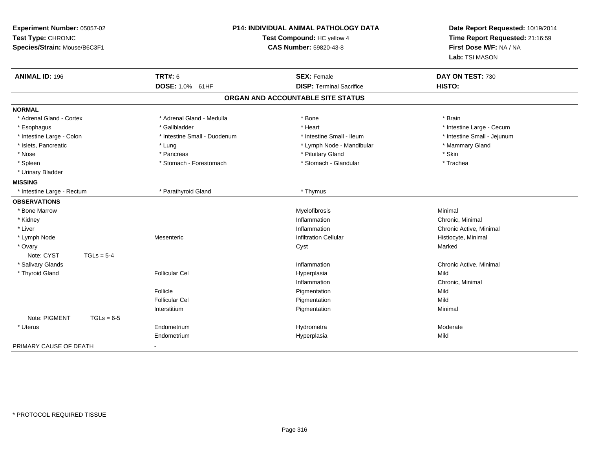| Experiment Number: 05057-02<br>Test Type: CHRONIC<br>Test Compound: HC yellow 4<br>Species/Strain: Mouse/B6C3F1<br><b>CAS Number: 59820-43-8</b> |                              | P14: INDIVIDUAL ANIMAL PATHOLOGY DATA | Date Report Requested: 10/19/2014<br>Time Report Requested: 21:16:59<br>First Dose M/F: NA / NA<br>Lab: TSI MASON |
|--------------------------------------------------------------------------------------------------------------------------------------------------|------------------------------|---------------------------------------|-------------------------------------------------------------------------------------------------------------------|
| <b>ANIMAL ID: 196</b>                                                                                                                            | <b>TRT#: 6</b>               | <b>SEX: Female</b>                    | DAY ON TEST: 730                                                                                                  |
|                                                                                                                                                  | DOSE: 1.0% 61HF              | <b>DISP: Terminal Sacrifice</b>       | HISTO:                                                                                                            |
|                                                                                                                                                  |                              | ORGAN AND ACCOUNTABLE SITE STATUS     |                                                                                                                   |
| <b>NORMAL</b>                                                                                                                                    |                              |                                       |                                                                                                                   |
| * Adrenal Gland - Cortex                                                                                                                         | * Adrenal Gland - Medulla    | * Bone                                | * Brain                                                                                                           |
| * Esophagus                                                                                                                                      | * Gallbladder                | * Heart                               | * Intestine Large - Cecum                                                                                         |
| * Intestine Large - Colon                                                                                                                        | * Intestine Small - Duodenum | * Intestine Small - Ileum             | * Intestine Small - Jejunum                                                                                       |
| * Islets, Pancreatic                                                                                                                             | * Lung                       | * Lymph Node - Mandibular             | * Mammary Gland                                                                                                   |
| * Nose                                                                                                                                           | * Pancreas                   | * Pituitary Gland                     | * Skin                                                                                                            |
| * Spleen                                                                                                                                         | * Stomach - Forestomach      | * Stomach - Glandular                 | * Trachea                                                                                                         |
| * Urinary Bladder                                                                                                                                |                              |                                       |                                                                                                                   |
| <b>MISSING</b>                                                                                                                                   |                              |                                       |                                                                                                                   |
| * Intestine Large - Rectum                                                                                                                       | * Parathyroid Gland          | * Thymus                              |                                                                                                                   |
| <b>OBSERVATIONS</b>                                                                                                                              |                              |                                       |                                                                                                                   |
| * Bone Marrow                                                                                                                                    |                              | Myelofibrosis                         | Minimal                                                                                                           |
| * Kidney                                                                                                                                         |                              | Inflammation                          | Chronic, Minimal                                                                                                  |
| * Liver                                                                                                                                          |                              | Inflammation                          | Chronic Active, Minimal                                                                                           |
| * Lymph Node                                                                                                                                     | Mesenteric                   | <b>Infiltration Cellular</b>          | Histiocyte, Minimal                                                                                               |
| * Ovary                                                                                                                                          |                              | Cyst                                  | Marked                                                                                                            |
| Note: CYST<br>$TGLs = 5-4$                                                                                                                       |                              |                                       |                                                                                                                   |
| * Salivary Glands                                                                                                                                |                              | Inflammation                          | Chronic Active, Minimal                                                                                           |
| * Thyroid Gland                                                                                                                                  | <b>Follicular Cel</b>        | Hyperplasia                           | Mild                                                                                                              |
|                                                                                                                                                  |                              | Inflammation                          | Chronic, Minimal                                                                                                  |
|                                                                                                                                                  | Follicle                     | Pigmentation                          | Mild                                                                                                              |
|                                                                                                                                                  | <b>Follicular Cel</b>        | Pigmentation                          | Mild                                                                                                              |
|                                                                                                                                                  | Interstitium                 | Pigmentation                          | Minimal                                                                                                           |
| Note: PIGMENT                                                                                                                                    | $TGLs = 6-5$                 |                                       |                                                                                                                   |
| * Uterus                                                                                                                                         | Endometrium                  | Hydrometra                            | Moderate                                                                                                          |
|                                                                                                                                                  | Endometrium                  | Hyperplasia                           | Mild                                                                                                              |
| PRIMARY CAUSE OF DEATH                                                                                                                           |                              |                                       |                                                                                                                   |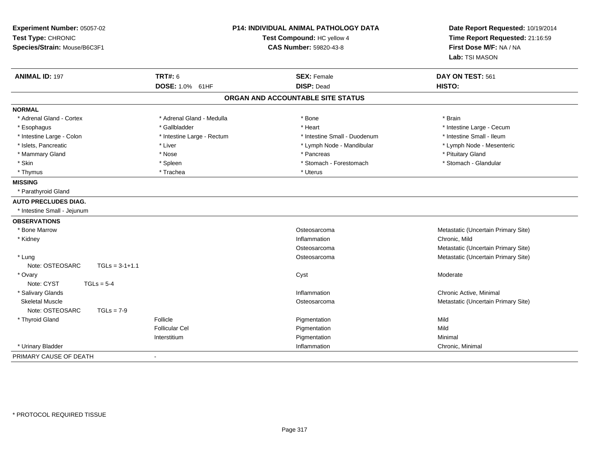| Experiment Number: 05057-02<br>Test Type: CHRONIC<br>Species/Strain: Mouse/B6C3F1 |                            | <b>P14: INDIVIDUAL ANIMAL PATHOLOGY DATA</b><br>Test Compound: HC yellow 4<br><b>CAS Number: 59820-43-8</b> | Date Report Requested: 10/19/2014<br>Time Report Requested: 21:16:59<br>First Dose M/F: NA / NA<br>Lab: TSI MASON |
|-----------------------------------------------------------------------------------|----------------------------|-------------------------------------------------------------------------------------------------------------|-------------------------------------------------------------------------------------------------------------------|
| <b>ANIMAL ID: 197</b>                                                             | <b>TRT#: 6</b>             | <b>SEX: Female</b>                                                                                          | DAY ON TEST: 561                                                                                                  |
|                                                                                   | <b>DOSE: 1.0% 61HF</b>     | <b>DISP: Dead</b>                                                                                           | HISTO:                                                                                                            |
|                                                                                   |                            | ORGAN AND ACCOUNTABLE SITE STATUS                                                                           |                                                                                                                   |
| <b>NORMAL</b>                                                                     |                            |                                                                                                             |                                                                                                                   |
| * Adrenal Gland - Cortex                                                          | * Adrenal Gland - Medulla  | * Bone                                                                                                      | * Brain                                                                                                           |
| * Esophagus                                                                       | * Gallbladder              | * Heart                                                                                                     | * Intestine Large - Cecum                                                                                         |
| * Intestine Large - Colon                                                         | * Intestine Large - Rectum | * Intestine Small - Duodenum                                                                                | * Intestine Small - Ileum                                                                                         |
| * Islets, Pancreatic                                                              | * Liver                    | * Lymph Node - Mandibular                                                                                   | * Lymph Node - Mesenteric                                                                                         |
| * Mammary Gland                                                                   | * Nose                     | * Pancreas                                                                                                  | * Pituitary Gland                                                                                                 |
| * Skin                                                                            | * Spleen                   | * Stomach - Forestomach                                                                                     | * Stomach - Glandular                                                                                             |
| * Thymus                                                                          | * Trachea                  | * Uterus                                                                                                    |                                                                                                                   |
| <b>MISSING</b>                                                                    |                            |                                                                                                             |                                                                                                                   |
| * Parathyroid Gland                                                               |                            |                                                                                                             |                                                                                                                   |
| <b>AUTO PRECLUDES DIAG.</b>                                                       |                            |                                                                                                             |                                                                                                                   |
| * Intestine Small - Jejunum                                                       |                            |                                                                                                             |                                                                                                                   |
| <b>OBSERVATIONS</b>                                                               |                            |                                                                                                             |                                                                                                                   |
| * Bone Marrow                                                                     |                            | Osteosarcoma                                                                                                | Metastatic (Uncertain Primary Site)                                                                               |
| * Kidney                                                                          |                            | Inflammation                                                                                                | Chronic, Mild                                                                                                     |
|                                                                                   |                            | Osteosarcoma                                                                                                | Metastatic (Uncertain Primary Site)                                                                               |
| * Lung                                                                            |                            | Osteosarcoma                                                                                                | Metastatic (Uncertain Primary Site)                                                                               |
| Note: OSTEOSARC                                                                   | $TGLs = 3-1+1.1$           |                                                                                                             |                                                                                                                   |
| * Ovary                                                                           |                            | Cyst                                                                                                        | Moderate                                                                                                          |
| Note: CYST                                                                        | $TGLs = 5-4$               |                                                                                                             |                                                                                                                   |
| * Salivary Glands                                                                 |                            | Inflammation                                                                                                | Chronic Active, Minimal                                                                                           |
| <b>Skeletal Muscle</b>                                                            |                            | Osteosarcoma                                                                                                | Metastatic (Uncertain Primary Site)                                                                               |
| Note: OSTEOSARC                                                                   | $TGLs = 7-9$               |                                                                                                             |                                                                                                                   |
| * Thyroid Gland                                                                   | Follicle                   | Pigmentation                                                                                                | Mild                                                                                                              |
|                                                                                   | <b>Follicular Cel</b>      | Pigmentation                                                                                                | Mild                                                                                                              |
|                                                                                   | Interstitium               | Pigmentation                                                                                                | Minimal                                                                                                           |
| * Urinary Bladder                                                                 |                            | Inflammation                                                                                                | Chronic, Minimal                                                                                                  |
| PRIMARY CAUSE OF DEATH                                                            | $\blacksquare$             |                                                                                                             |                                                                                                                   |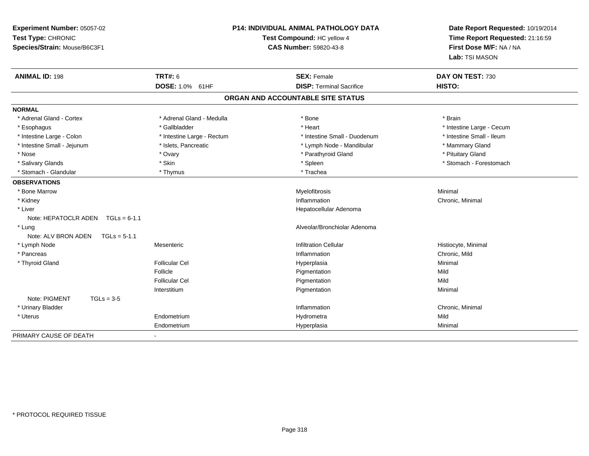| Experiment Number: 05057-02<br>Test Type: CHRONIC<br>Species/Strain: Mouse/B6C3F1 |                            | <b>P14: INDIVIDUAL ANIMAL PATHOLOGY DATA</b><br>Test Compound: HC yellow 4<br><b>CAS Number: 59820-43-8</b> | Date Report Requested: 10/19/2014<br>Time Report Requested: 21:16:59<br>First Dose M/F: NA / NA<br>Lab: TSI MASON |
|-----------------------------------------------------------------------------------|----------------------------|-------------------------------------------------------------------------------------------------------------|-------------------------------------------------------------------------------------------------------------------|
| <b>ANIMAL ID: 198</b>                                                             | <b>TRT#: 6</b>             | <b>SEX: Female</b>                                                                                          | DAY ON TEST: 730                                                                                                  |
|                                                                                   | DOSE: 1.0% 61HF            | <b>DISP: Terminal Sacrifice</b>                                                                             | HISTO:                                                                                                            |
|                                                                                   |                            | ORGAN AND ACCOUNTABLE SITE STATUS                                                                           |                                                                                                                   |
| <b>NORMAL</b>                                                                     |                            |                                                                                                             |                                                                                                                   |
| * Adrenal Gland - Cortex                                                          | * Adrenal Gland - Medulla  | * Bone                                                                                                      | * Brain                                                                                                           |
| * Esophagus                                                                       | * Gallbladder              | * Heart                                                                                                     | * Intestine Large - Cecum                                                                                         |
| * Intestine Large - Colon                                                         | * Intestine Large - Rectum | * Intestine Small - Duodenum                                                                                | * Intestine Small - Ileum                                                                                         |
| * Intestine Small - Jejunum                                                       | * Islets, Pancreatic       | * Lymph Node - Mandibular                                                                                   | * Mammary Gland                                                                                                   |
| * Nose                                                                            | * Ovary                    | * Parathyroid Gland                                                                                         | * Pituitary Gland                                                                                                 |
| * Salivary Glands                                                                 | * Skin                     | * Spleen                                                                                                    | * Stomach - Forestomach                                                                                           |
| * Stomach - Glandular                                                             | * Thymus                   | * Trachea                                                                                                   |                                                                                                                   |
| <b>OBSERVATIONS</b>                                                               |                            |                                                                                                             |                                                                                                                   |
| * Bone Marrow                                                                     |                            | Myelofibrosis                                                                                               | Minimal                                                                                                           |
| * Kidney                                                                          |                            | Inflammation                                                                                                | Chronic, Minimal                                                                                                  |
| * Liver                                                                           |                            | Hepatocellular Adenoma                                                                                      |                                                                                                                   |
| Note: HEPATOCLR ADEN TGLs = 6-1.1                                                 |                            |                                                                                                             |                                                                                                                   |
| * Lung                                                                            |                            | Alveolar/Bronchiolar Adenoma                                                                                |                                                                                                                   |
| Note: ALV BRON ADEN<br>$TGLs = 5-1.1$                                             |                            |                                                                                                             |                                                                                                                   |
| * Lymph Node                                                                      | Mesenteric                 | <b>Infiltration Cellular</b>                                                                                | Histiocyte, Minimal                                                                                               |
| * Pancreas                                                                        |                            | Inflammation                                                                                                | Chronic, Mild                                                                                                     |
| * Thyroid Gland                                                                   | <b>Follicular Cel</b>      | Hyperplasia                                                                                                 | Minimal                                                                                                           |
|                                                                                   | Follicle                   | Pigmentation                                                                                                | Mild                                                                                                              |
|                                                                                   | Follicular Cel             | Pigmentation                                                                                                | Mild                                                                                                              |
|                                                                                   | Interstitium               | Pigmentation                                                                                                | Minimal                                                                                                           |
| Note: PIGMENT<br>$TGLs = 3-5$                                                     |                            |                                                                                                             |                                                                                                                   |
| * Urinary Bladder                                                                 |                            | Inflammation                                                                                                | Chronic, Minimal                                                                                                  |
| * Uterus                                                                          | Endometrium                | Hydrometra                                                                                                  | Mild                                                                                                              |
|                                                                                   | Endometrium                | Hyperplasia                                                                                                 | Minimal                                                                                                           |
| PRIMARY CAUSE OF DEATH                                                            |                            |                                                                                                             |                                                                                                                   |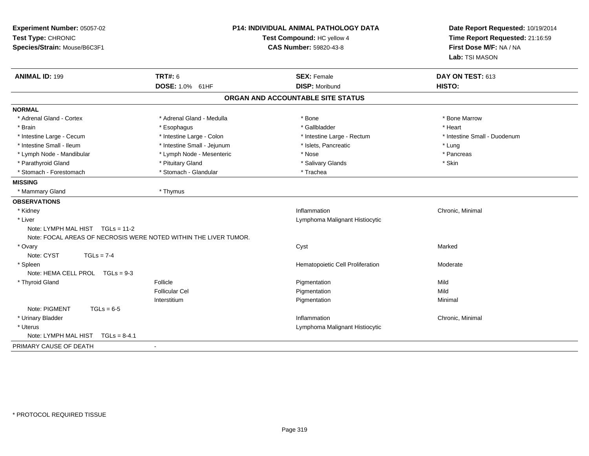| Experiment Number: 05057-02<br>Test Type: CHRONIC<br>Species/Strain: Mouse/B6C3F1 | <b>P14: INDIVIDUAL ANIMAL PATHOLOGY DATA</b><br>Test Compound: HC yellow 4<br>CAS Number: 59820-43-8 |                                             | Date Report Requested: 10/19/2014<br>Time Report Requested: 21:16:59<br>First Dose M/F: NA / NA<br>Lab: TSI MASON |  |
|-----------------------------------------------------------------------------------|------------------------------------------------------------------------------------------------------|---------------------------------------------|-------------------------------------------------------------------------------------------------------------------|--|
| <b>ANIMAL ID: 199</b>                                                             | <b>TRT#: 6</b>                                                                                       | <b>SEX: Female</b><br><b>DISP: Moribund</b> | DAY ON TEST: 613<br>HISTO:                                                                                        |  |
|                                                                                   | DOSE: 1.0% 61HF                                                                                      |                                             |                                                                                                                   |  |
|                                                                                   |                                                                                                      | ORGAN AND ACCOUNTABLE SITE STATUS           |                                                                                                                   |  |
| <b>NORMAL</b>                                                                     |                                                                                                      |                                             |                                                                                                                   |  |
| * Adrenal Gland - Cortex                                                          | * Adrenal Gland - Medulla                                                                            | * Bone                                      | * Bone Marrow                                                                                                     |  |
| * Brain                                                                           | * Esophagus                                                                                          | * Gallbladder                               | * Heart                                                                                                           |  |
| * Intestine Large - Cecum                                                         | * Intestine Large - Colon                                                                            | * Intestine Large - Rectum                  | * Intestine Small - Duodenum                                                                                      |  |
| * Intestine Small - Ileum                                                         | * Intestine Small - Jejunum                                                                          | * Islets, Pancreatic                        | * Lung                                                                                                            |  |
| * Lymph Node - Mandibular                                                         | * Lymph Node - Mesenteric                                                                            | * Nose                                      | * Pancreas                                                                                                        |  |
| * Parathyroid Gland                                                               | * Pituitary Gland                                                                                    | * Salivary Glands                           | * Skin                                                                                                            |  |
| * Stomach - Forestomach                                                           | * Stomach - Glandular                                                                                | * Trachea                                   |                                                                                                                   |  |
| <b>MISSING</b>                                                                    |                                                                                                      |                                             |                                                                                                                   |  |
| * Mammary Gland                                                                   | * Thymus                                                                                             |                                             |                                                                                                                   |  |
| <b>OBSERVATIONS</b>                                                               |                                                                                                      |                                             |                                                                                                                   |  |
| * Kidney                                                                          |                                                                                                      | Inflammation                                | Chronic, Minimal                                                                                                  |  |
| * Liver                                                                           |                                                                                                      | Lymphoma Malignant Histiocytic              |                                                                                                                   |  |
| Note: LYMPH MAL HIST TGLs = 11-2                                                  |                                                                                                      |                                             |                                                                                                                   |  |
| Note: FOCAL AREAS OF NECROSIS WERE NOTED WITHIN THE LIVER TUMOR.                  |                                                                                                      |                                             |                                                                                                                   |  |
| * Ovary                                                                           |                                                                                                      | Cyst                                        | Marked                                                                                                            |  |
| Note: CYST<br>$TGLs = 7-4$                                                        |                                                                                                      |                                             |                                                                                                                   |  |
| * Spleen                                                                          |                                                                                                      | Hematopoietic Cell Proliferation            | Moderate                                                                                                          |  |
| Note: HEMA CELL PROL $TGLs = 9-3$                                                 |                                                                                                      |                                             |                                                                                                                   |  |
| * Thyroid Gland                                                                   | Follicle                                                                                             | Pigmentation                                | Mild                                                                                                              |  |
|                                                                                   | <b>Follicular Cel</b>                                                                                | Pigmentation                                | Mild                                                                                                              |  |
|                                                                                   | Interstitium                                                                                         | Pigmentation                                | Minimal                                                                                                           |  |
| Note: PIGMENT<br>$TGLs = 6-5$                                                     |                                                                                                      |                                             |                                                                                                                   |  |
| * Urinary Bladder                                                                 |                                                                                                      | Inflammation                                | Chronic, Minimal                                                                                                  |  |
| * Uterus                                                                          |                                                                                                      | Lymphoma Malignant Histiocytic              |                                                                                                                   |  |
| Note: LYMPH MAL HIST<br>$TGLs = 8-4.1$                                            |                                                                                                      |                                             |                                                                                                                   |  |
| PRIMARY CAUSE OF DEATH                                                            | $\blacksquare$                                                                                       |                                             |                                                                                                                   |  |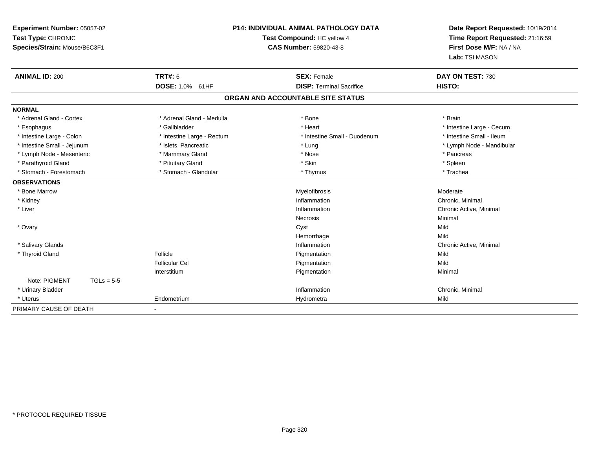| Experiment Number: 05057-02<br>Test Type: CHRONIC<br>Species/Strain: Mouse/B6C3F1 |                            | P14: INDIVIDUAL ANIMAL PATHOLOGY DATA<br>Test Compound: HC yellow 4<br><b>CAS Number: 59820-43-8</b> | Date Report Requested: 10/19/2014<br>Time Report Requested: 21:16:59<br>First Dose M/F: NA / NA<br>Lab: TSI MASON |
|-----------------------------------------------------------------------------------|----------------------------|------------------------------------------------------------------------------------------------------|-------------------------------------------------------------------------------------------------------------------|
| <b>ANIMAL ID: 200</b>                                                             | <b>TRT#: 6</b>             | <b>SEX: Female</b>                                                                                   | DAY ON TEST: 730                                                                                                  |
|                                                                                   | DOSE: 1.0% 61HF            | <b>DISP: Terminal Sacrifice</b>                                                                      | HISTO:                                                                                                            |
|                                                                                   |                            | ORGAN AND ACCOUNTABLE SITE STATUS                                                                    |                                                                                                                   |
| <b>NORMAL</b>                                                                     |                            |                                                                                                      |                                                                                                                   |
| * Adrenal Gland - Cortex                                                          | * Adrenal Gland - Medulla  | * Bone                                                                                               | * Brain                                                                                                           |
| * Esophagus                                                                       | * Gallbladder              | * Heart                                                                                              | * Intestine Large - Cecum                                                                                         |
| * Intestine Large - Colon                                                         | * Intestine Large - Rectum | * Intestine Small - Duodenum                                                                         | * Intestine Small - Ileum                                                                                         |
| * Intestine Small - Jejunum                                                       | * Islets, Pancreatic       | * Lung                                                                                               | * Lymph Node - Mandibular                                                                                         |
| * Lymph Node - Mesenteric                                                         | * Mammary Gland            | * Nose                                                                                               | * Pancreas                                                                                                        |
| * Parathyroid Gland                                                               | * Pituitary Gland          | * Skin                                                                                               | * Spleen                                                                                                          |
| * Stomach - Forestomach                                                           | * Stomach - Glandular      | * Thymus                                                                                             | * Trachea                                                                                                         |
| <b>OBSERVATIONS</b>                                                               |                            |                                                                                                      |                                                                                                                   |
| * Bone Marrow                                                                     |                            | Myelofibrosis                                                                                        | Moderate                                                                                                          |
| * Kidney                                                                          |                            | Inflammation                                                                                         | Chronic, Minimal                                                                                                  |
| * Liver                                                                           |                            | Inflammation                                                                                         | Chronic Active, Minimal                                                                                           |
|                                                                                   |                            | Necrosis                                                                                             | Minimal                                                                                                           |
| * Ovary                                                                           |                            | Cyst                                                                                                 | Mild                                                                                                              |
|                                                                                   |                            | Hemorrhage                                                                                           | Mild                                                                                                              |
| * Salivary Glands                                                                 |                            | Inflammation                                                                                         | Chronic Active, Minimal                                                                                           |
| * Thyroid Gland                                                                   | Follicle                   | Pigmentation                                                                                         | Mild                                                                                                              |
|                                                                                   | Follicular Cel             | Pigmentation                                                                                         | Mild                                                                                                              |
|                                                                                   | Interstitium               | Pigmentation                                                                                         | Minimal                                                                                                           |
| Note: PIGMENT<br>$TGLs = 5-5$                                                     |                            |                                                                                                      |                                                                                                                   |
| * Urinary Bladder                                                                 |                            | Inflammation                                                                                         | Chronic, Minimal                                                                                                  |
| * Uterus                                                                          | Endometrium                | Hydrometra                                                                                           | Mild                                                                                                              |
| PRIMARY CAUSE OF DEATH                                                            |                            |                                                                                                      |                                                                                                                   |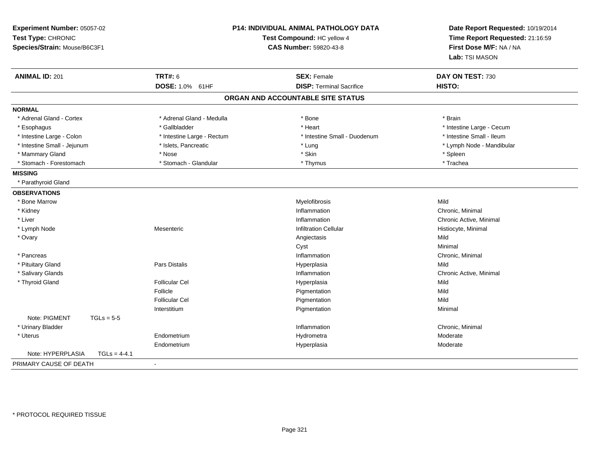| Experiment Number: 05057-02<br>Test Type: CHRONIC<br>Species/Strain: Mouse/B6C3F1 | <b>P14: INDIVIDUAL ANIMAL PATHOLOGY DATA</b><br>Test Compound: HC yellow 4<br>CAS Number: 59820-43-8 |                                   | Date Report Requested: 10/19/2014<br>Time Report Requested: 21:16:59<br>First Dose M/F: NA / NA<br>Lab: TSI MASON |
|-----------------------------------------------------------------------------------|------------------------------------------------------------------------------------------------------|-----------------------------------|-------------------------------------------------------------------------------------------------------------------|
| <b>ANIMAL ID: 201</b>                                                             | <b>TRT#: 6</b>                                                                                       | <b>SEX: Female</b>                | DAY ON TEST: 730                                                                                                  |
|                                                                                   | DOSE: 1.0% 61HF                                                                                      | <b>DISP: Terminal Sacrifice</b>   | HISTO:                                                                                                            |
|                                                                                   |                                                                                                      | ORGAN AND ACCOUNTABLE SITE STATUS |                                                                                                                   |
| <b>NORMAL</b>                                                                     |                                                                                                      |                                   |                                                                                                                   |
| * Adrenal Gland - Cortex                                                          | * Adrenal Gland - Medulla                                                                            | * Bone                            | * Brain                                                                                                           |
| * Esophagus                                                                       | * Gallbladder                                                                                        | * Heart                           | * Intestine Large - Cecum                                                                                         |
| * Intestine Large - Colon                                                         | * Intestine Large - Rectum                                                                           | * Intestine Small - Duodenum      | * Intestine Small - Ileum                                                                                         |
| * Intestine Small - Jejunum                                                       | * Islets, Pancreatic                                                                                 | * Lung                            | * Lymph Node - Mandibular                                                                                         |
| * Mammary Gland                                                                   | * Nose                                                                                               | * Skin                            | * Spleen                                                                                                          |
| * Stomach - Forestomach                                                           | * Stomach - Glandular                                                                                | * Thymus                          | * Trachea                                                                                                         |
| <b>MISSING</b>                                                                    |                                                                                                      |                                   |                                                                                                                   |
| * Parathyroid Gland                                                               |                                                                                                      |                                   |                                                                                                                   |
| <b>OBSERVATIONS</b>                                                               |                                                                                                      |                                   |                                                                                                                   |
| * Bone Marrow                                                                     |                                                                                                      | Myelofibrosis                     | Mild                                                                                                              |
| * Kidney                                                                          |                                                                                                      | Inflammation                      | Chronic, Minimal                                                                                                  |
| * Liver                                                                           |                                                                                                      | Inflammation                      | Chronic Active, Minimal                                                                                           |
| * Lymph Node                                                                      | Mesenteric                                                                                           | <b>Infiltration Cellular</b>      | Histiocyte, Minimal                                                                                               |
| * Ovary                                                                           |                                                                                                      | Angiectasis                       | Mild                                                                                                              |
|                                                                                   |                                                                                                      | Cyst                              | Minimal                                                                                                           |
| * Pancreas                                                                        |                                                                                                      | Inflammation                      | Chronic, Minimal                                                                                                  |
| * Pituitary Gland                                                                 | Pars Distalis                                                                                        | Hyperplasia                       | Mild                                                                                                              |
| * Salivary Glands                                                                 |                                                                                                      | Inflammation                      | Chronic Active, Minimal                                                                                           |
| * Thyroid Gland                                                                   | <b>Follicular Cel</b>                                                                                | Hyperplasia                       | Mild                                                                                                              |
|                                                                                   | Follicle                                                                                             | Pigmentation                      | Mild                                                                                                              |
|                                                                                   | <b>Follicular Cel</b>                                                                                | Pigmentation                      | Mild                                                                                                              |
|                                                                                   | Interstitium                                                                                         | Pigmentation                      | Minimal                                                                                                           |
| Note: PIGMENT<br>$TGLs = 5-5$                                                     |                                                                                                      |                                   |                                                                                                                   |
| * Urinary Bladder                                                                 |                                                                                                      | Inflammation                      | Chronic, Minimal                                                                                                  |
| * Uterus                                                                          | Endometrium                                                                                          | Hydrometra                        | Moderate                                                                                                          |
|                                                                                   | Endometrium                                                                                          | Hyperplasia                       | Moderate                                                                                                          |
| Note: HYPERPLASIA<br>$TGLs = 4-4.1$                                               |                                                                                                      |                                   |                                                                                                                   |
| PRIMARY CAUSE OF DEATH                                                            | $\blacksquare$                                                                                       |                                   |                                                                                                                   |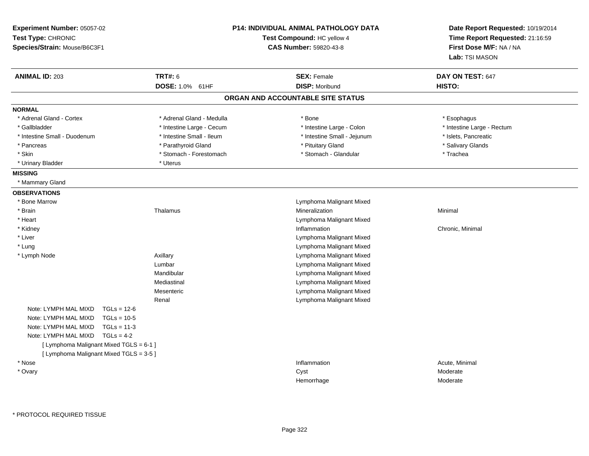| Experiment Number: 05057-02<br>Test Type: CHRONIC<br>Species/Strain: Mouse/B6C3F1 |                           | <b>P14: INDIVIDUAL ANIMAL PATHOLOGY DATA</b><br>Test Compound: HC yellow 4<br><b>CAS Number: 59820-43-8</b> | Date Report Requested: 10/19/2014<br>Time Report Requested: 21:16:59<br>First Dose M/F: NA / NA<br>Lab: TSI MASON |
|-----------------------------------------------------------------------------------|---------------------------|-------------------------------------------------------------------------------------------------------------|-------------------------------------------------------------------------------------------------------------------|
| <b>ANIMAL ID: 203</b>                                                             | <b>TRT#: 6</b>            | <b>SEX: Female</b>                                                                                          | DAY ON TEST: 647                                                                                                  |
|                                                                                   | DOSE: 1.0% 61HF           | <b>DISP: Moribund</b>                                                                                       | HISTO:                                                                                                            |
|                                                                                   |                           | ORGAN AND ACCOUNTABLE SITE STATUS                                                                           |                                                                                                                   |
| <b>NORMAL</b>                                                                     |                           |                                                                                                             |                                                                                                                   |
| * Adrenal Gland - Cortex                                                          | * Adrenal Gland - Medulla | * Bone                                                                                                      | * Esophagus                                                                                                       |
| * Gallbladder                                                                     | * Intestine Large - Cecum | * Intestine Large - Colon                                                                                   | * Intestine Large - Rectum                                                                                        |
| * Intestine Small - Duodenum                                                      | * Intestine Small - Ileum | * Intestine Small - Jejunum                                                                                 | * Islets, Pancreatic                                                                                              |
| * Pancreas                                                                        | * Parathyroid Gland       | * Pituitary Gland                                                                                           | * Salivary Glands                                                                                                 |
| * Skin                                                                            | * Stomach - Forestomach   | * Stomach - Glandular                                                                                       | * Trachea                                                                                                         |
| * Urinary Bladder                                                                 | * Uterus                  |                                                                                                             |                                                                                                                   |
| <b>MISSING</b>                                                                    |                           |                                                                                                             |                                                                                                                   |
| * Mammary Gland                                                                   |                           |                                                                                                             |                                                                                                                   |
| <b>OBSERVATIONS</b>                                                               |                           |                                                                                                             |                                                                                                                   |
| * Bone Marrow                                                                     |                           | Lymphoma Malignant Mixed                                                                                    |                                                                                                                   |
| * Brain                                                                           | Thalamus                  | Mineralization                                                                                              | Minimal                                                                                                           |
| * Heart                                                                           |                           | Lymphoma Malignant Mixed                                                                                    |                                                                                                                   |
| * Kidney                                                                          |                           | Inflammation                                                                                                | Chronic, Minimal                                                                                                  |
| * Liver                                                                           |                           | Lymphoma Malignant Mixed                                                                                    |                                                                                                                   |
| * Lung                                                                            |                           | Lymphoma Malignant Mixed                                                                                    |                                                                                                                   |
| * Lymph Node                                                                      | Axillary                  | Lymphoma Malignant Mixed                                                                                    |                                                                                                                   |
|                                                                                   | Lumbar                    | Lymphoma Malignant Mixed                                                                                    |                                                                                                                   |
|                                                                                   | Mandibular                | Lymphoma Malignant Mixed                                                                                    |                                                                                                                   |
|                                                                                   | Mediastinal               | Lymphoma Malignant Mixed                                                                                    |                                                                                                                   |
|                                                                                   | Mesenteric                | Lymphoma Malignant Mixed                                                                                    |                                                                                                                   |
|                                                                                   | Renal                     | Lymphoma Malignant Mixed                                                                                    |                                                                                                                   |
| Note: LYMPH MAL MIXD<br>$TGLs = 12-6$                                             |                           |                                                                                                             |                                                                                                                   |
| Note: LYMPH MAL MIXD<br>$TGLs = 10-5$                                             |                           |                                                                                                             |                                                                                                                   |
| Note: LYMPH MAL MIXD<br>$TGLs = 11-3$                                             |                           |                                                                                                             |                                                                                                                   |
| Note: LYMPH MAL MIXD<br>$TGLs = 4-2$                                              |                           |                                                                                                             |                                                                                                                   |
| [ Lymphoma Malignant Mixed TGLS = 6-1 ]                                           |                           |                                                                                                             |                                                                                                                   |
| [ Lymphoma Malignant Mixed TGLS = 3-5 ]                                           |                           |                                                                                                             |                                                                                                                   |
| * Nose                                                                            |                           | Inflammation                                                                                                | Acute, Minimal                                                                                                    |
| * Ovary                                                                           |                           | Cyst                                                                                                        | Moderate                                                                                                          |
|                                                                                   |                           | Hemorrhage                                                                                                  | Moderate                                                                                                          |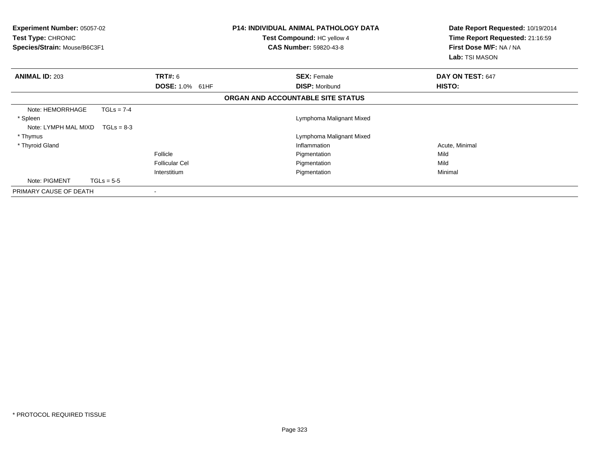| <b>Experiment Number: 05057-02</b><br>Test Type: CHRONIC<br>Species/Strain: Mouse/B6C3F1 |                        | <b>P14: INDIVIDUAL ANIMAL PATHOLOGY DATA</b><br>Test Compound: HC yellow 4<br><b>CAS Number: 59820-43-8</b> | Date Report Requested: 10/19/2014<br>Time Report Requested: 21:16:59<br>First Dose M/F: NA / NA<br>Lab: TSI MASON |  |
|------------------------------------------------------------------------------------------|------------------------|-------------------------------------------------------------------------------------------------------------|-------------------------------------------------------------------------------------------------------------------|--|
| <b>ANIMAL ID: 203</b>                                                                    | <b>TRT#: 6</b>         | <b>SEX: Female</b>                                                                                          | DAY ON TEST: 647                                                                                                  |  |
|                                                                                          | <b>DOSE: 1.0% 61HF</b> | <b>DISP: Moribund</b>                                                                                       | HISTO:                                                                                                            |  |
|                                                                                          |                        | ORGAN AND ACCOUNTABLE SITE STATUS                                                                           |                                                                                                                   |  |
| Note: HEMORRHAGE<br>$TGLs = 7-4$                                                         |                        |                                                                                                             |                                                                                                                   |  |
| * Spleen                                                                                 |                        | Lymphoma Malignant Mixed                                                                                    |                                                                                                                   |  |
| Note: LYMPH MAL MIXD $TGLs = 8-3$                                                        |                        |                                                                                                             |                                                                                                                   |  |
| * Thymus                                                                                 |                        | Lymphoma Malignant Mixed                                                                                    |                                                                                                                   |  |
| * Thyroid Gland                                                                          |                        | Inflammation                                                                                                | Acute, Minimal                                                                                                    |  |
|                                                                                          | Follicle               | Pigmentation                                                                                                | Mild                                                                                                              |  |
|                                                                                          | <b>Follicular Cel</b>  | Pigmentation                                                                                                | Mild                                                                                                              |  |
|                                                                                          | Interstitium           | Pigmentation                                                                                                | Minimal                                                                                                           |  |
| Note: PIGMENT<br>$TGLs = 5-5$                                                            |                        |                                                                                                             |                                                                                                                   |  |
| PRIMARY CAUSE OF DEATH                                                                   |                        |                                                                                                             |                                                                                                                   |  |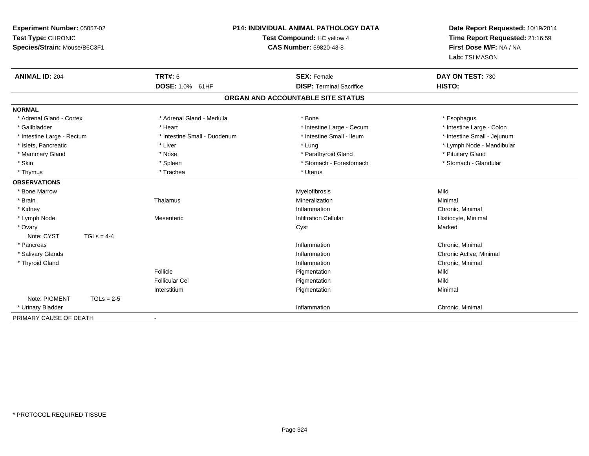| Experiment Number: 05057-02<br>Test Type: CHRONIC<br>Species/Strain: Mouse/B6C3F1 |                              | P14: INDIVIDUAL ANIMAL PATHOLOGY DATA<br>Test Compound: HC yellow 4<br><b>CAS Number: 59820-43-8</b> |                             |
|-----------------------------------------------------------------------------------|------------------------------|------------------------------------------------------------------------------------------------------|-----------------------------|
| <b>ANIMAL ID: 204</b>                                                             | <b>TRT#: 6</b>               | <b>SEX: Female</b>                                                                                   | DAY ON TEST: 730            |
|                                                                                   | DOSE: 1.0% 61HF              | <b>DISP: Terminal Sacrifice</b>                                                                      | HISTO:                      |
|                                                                                   |                              | ORGAN AND ACCOUNTABLE SITE STATUS                                                                    |                             |
| <b>NORMAL</b>                                                                     |                              |                                                                                                      |                             |
| * Adrenal Gland - Cortex                                                          | * Adrenal Gland - Medulla    | * Bone                                                                                               | * Esophagus                 |
| * Gallbladder                                                                     | * Heart                      | * Intestine Large - Cecum                                                                            | * Intestine Large - Colon   |
| * Intestine Large - Rectum                                                        | * Intestine Small - Duodenum | * Intestine Small - Ileum                                                                            | * Intestine Small - Jejunum |
| * Islets, Pancreatic                                                              | * Liver                      | * Lung                                                                                               | * Lymph Node - Mandibular   |
| * Mammary Gland                                                                   | * Nose                       | * Parathyroid Gland                                                                                  | * Pituitary Gland           |
| * Skin                                                                            | * Spleen                     | * Stomach - Forestomach                                                                              | * Stomach - Glandular       |
| * Thymus                                                                          | * Trachea                    | * Uterus                                                                                             |                             |
| <b>OBSERVATIONS</b>                                                               |                              |                                                                                                      |                             |
| * Bone Marrow                                                                     |                              | Myelofibrosis                                                                                        | Mild                        |
| * Brain                                                                           | Thalamus                     | Mineralization                                                                                       | Minimal                     |
| * Kidney                                                                          |                              | Inflammation                                                                                         | Chronic, Minimal            |
| * Lymph Node                                                                      | Mesenteric                   | <b>Infiltration Cellular</b>                                                                         | Histiocyte, Minimal         |
| * Ovary                                                                           |                              | Cyst                                                                                                 | Marked                      |
| Note: CYST<br>$TGLs = 4-4$                                                        |                              |                                                                                                      |                             |
| * Pancreas                                                                        |                              | Inflammation                                                                                         | Chronic, Minimal            |
| * Salivary Glands                                                                 |                              | Inflammation                                                                                         | Chronic Active, Minimal     |
| * Thyroid Gland                                                                   |                              | Inflammation                                                                                         | Chronic, Minimal            |
|                                                                                   | Follicle                     | Pigmentation                                                                                         | Mild                        |
|                                                                                   | <b>Follicular Cel</b>        | Pigmentation                                                                                         | Mild                        |
|                                                                                   | Interstitium                 | Pigmentation                                                                                         | Minimal                     |
| Note: PIGMENT<br>$TGLs = 2-5$                                                     |                              |                                                                                                      |                             |
| * Urinary Bladder                                                                 |                              | Inflammation                                                                                         | Chronic, Minimal            |
| PRIMARY CAUSE OF DEATH                                                            |                              |                                                                                                      |                             |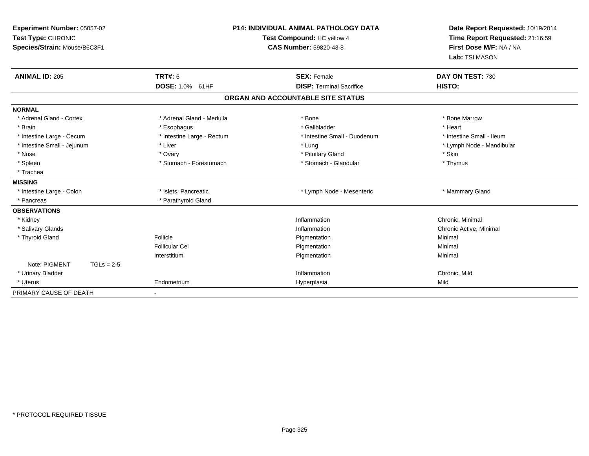| Experiment Number: 05057-02<br>Test Type: CHRONIC<br>Species/Strain: Mouse/B6C3F1 | <b>P14: INDIVIDUAL ANIMAL PATHOLOGY DATA</b><br>Test Compound: HC yellow 4<br><b>CAS Number: 59820-43-8</b> |                                   | Date Report Requested: 10/19/2014<br>Time Report Requested: 21:16:59<br>First Dose M/F: NA / NA<br>Lab: TSI MASON |
|-----------------------------------------------------------------------------------|-------------------------------------------------------------------------------------------------------------|-----------------------------------|-------------------------------------------------------------------------------------------------------------------|
| <b>ANIMAL ID: 205</b>                                                             | <b>TRT#: 6</b>                                                                                              | <b>SEX: Female</b>                | DAY ON TEST: 730                                                                                                  |
|                                                                                   | DOSE: 1.0% 61HF                                                                                             | <b>DISP: Terminal Sacrifice</b>   | HISTO:                                                                                                            |
|                                                                                   |                                                                                                             | ORGAN AND ACCOUNTABLE SITE STATUS |                                                                                                                   |
| <b>NORMAL</b>                                                                     |                                                                                                             |                                   |                                                                                                                   |
| * Adrenal Gland - Cortex                                                          | * Adrenal Gland - Medulla                                                                                   | * Bone                            | * Bone Marrow                                                                                                     |
| * Brain                                                                           | * Esophagus                                                                                                 | * Gallbladder                     | * Heart                                                                                                           |
| * Intestine Large - Cecum                                                         | * Intestine Large - Rectum                                                                                  | * Intestine Small - Duodenum      | * Intestine Small - Ileum                                                                                         |
| * Intestine Small - Jejunum                                                       | * Liver                                                                                                     | * Lung                            | * Lymph Node - Mandibular                                                                                         |
| * Nose                                                                            | * Ovary                                                                                                     | * Pituitary Gland                 | * Skin                                                                                                            |
| * Spleen                                                                          | * Stomach - Forestomach                                                                                     | * Stomach - Glandular             | * Thymus                                                                                                          |
| * Trachea                                                                         |                                                                                                             |                                   |                                                                                                                   |
| <b>MISSING</b>                                                                    |                                                                                                             |                                   |                                                                                                                   |
| * Intestine Large - Colon                                                         | * Islets, Pancreatic                                                                                        | * Lymph Node - Mesenteric         | * Mammary Gland                                                                                                   |
| * Pancreas                                                                        | * Parathyroid Gland                                                                                         |                                   |                                                                                                                   |
| <b>OBSERVATIONS</b>                                                               |                                                                                                             |                                   |                                                                                                                   |
| * Kidney                                                                          |                                                                                                             | Inflammation                      | Chronic, Minimal                                                                                                  |
| * Salivary Glands                                                                 |                                                                                                             | Inflammation                      | Chronic Active, Minimal                                                                                           |
| * Thyroid Gland                                                                   | Follicle                                                                                                    | Pigmentation                      | Minimal                                                                                                           |
|                                                                                   | Follicular Cel                                                                                              | Pigmentation                      | Minimal                                                                                                           |
|                                                                                   | Interstitium                                                                                                | Pigmentation                      | Minimal                                                                                                           |
| Note: PIGMENT<br>$TGLs = 2-5$                                                     |                                                                                                             |                                   |                                                                                                                   |
| * Urinary Bladder                                                                 |                                                                                                             | Inflammation                      | Chronic, Mild                                                                                                     |
| * Uterus                                                                          | Endometrium                                                                                                 | Hyperplasia                       | Mild                                                                                                              |
| PRIMARY CAUSE OF DEATH                                                            | $\overline{\phantom{a}}$                                                                                    |                                   |                                                                                                                   |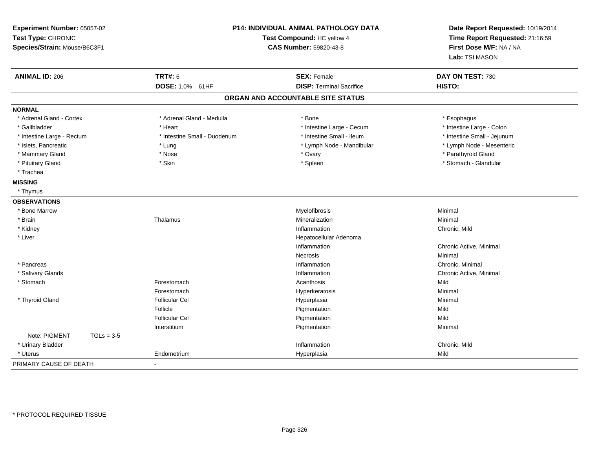| Experiment Number: 05057-02<br>Test Type: CHRONIC<br>Species/Strain: Mouse/B6C3F1 | P14: INDIVIDUAL ANIMAL PATHOLOGY DATA<br>Test Compound: HC yellow 4<br><b>CAS Number: 59820-43-8</b> |                                   | Date Report Requested: 10/19/2014<br>Time Report Requested: 21:16:59<br>First Dose M/F: NA / NA<br>Lab: TSI MASON |
|-----------------------------------------------------------------------------------|------------------------------------------------------------------------------------------------------|-----------------------------------|-------------------------------------------------------------------------------------------------------------------|
| <b>ANIMAL ID: 206</b>                                                             | <b>TRT#: 6</b>                                                                                       | <b>SEX: Female</b>                | DAY ON TEST: 730                                                                                                  |
|                                                                                   | DOSE: 1.0% 61HF                                                                                      | <b>DISP: Terminal Sacrifice</b>   | HISTO:                                                                                                            |
|                                                                                   |                                                                                                      | ORGAN AND ACCOUNTABLE SITE STATUS |                                                                                                                   |
| <b>NORMAL</b>                                                                     |                                                                                                      |                                   |                                                                                                                   |
| * Adrenal Gland - Cortex                                                          | * Adrenal Gland - Medulla                                                                            | * Bone                            | * Esophagus                                                                                                       |
| * Gallbladder                                                                     | * Heart                                                                                              | * Intestine Large - Cecum         | * Intestine Large - Colon                                                                                         |
| * Intestine Large - Rectum                                                        | * Intestine Small - Duodenum                                                                         | * Intestine Small - Ileum         | * Intestine Small - Jejunum                                                                                       |
| * Islets, Pancreatic                                                              | * Lung                                                                                               | * Lymph Node - Mandibular         | * Lymph Node - Mesenteric                                                                                         |
| * Mammary Gland                                                                   | * Nose                                                                                               | * Ovary                           | * Parathyroid Gland                                                                                               |
| * Pituitary Gland                                                                 | * Skin                                                                                               | * Spleen                          | * Stomach - Glandular                                                                                             |
| * Trachea                                                                         |                                                                                                      |                                   |                                                                                                                   |
| <b>MISSING</b>                                                                    |                                                                                                      |                                   |                                                                                                                   |
| * Thymus                                                                          |                                                                                                      |                                   |                                                                                                                   |
| <b>OBSERVATIONS</b>                                                               |                                                                                                      |                                   |                                                                                                                   |
| * Bone Marrow                                                                     |                                                                                                      | Myelofibrosis                     | Minimal                                                                                                           |
| * Brain                                                                           | Thalamus                                                                                             | Mineralization                    | Minimal                                                                                                           |
| * Kidney                                                                          |                                                                                                      | Inflammation                      | Chronic, Mild                                                                                                     |
| * Liver                                                                           |                                                                                                      | Hepatocellular Adenoma            |                                                                                                                   |
|                                                                                   |                                                                                                      | Inflammation                      | Chronic Active, Minimal                                                                                           |
|                                                                                   |                                                                                                      | Necrosis                          | Minimal                                                                                                           |
| * Pancreas                                                                        |                                                                                                      | Inflammation                      | Chronic, Minimal                                                                                                  |
| * Salivary Glands                                                                 |                                                                                                      | Inflammation                      | Chronic Active, Minimal                                                                                           |
| * Stomach                                                                         | Forestomach                                                                                          | Acanthosis                        | Mild                                                                                                              |
|                                                                                   | Forestomach                                                                                          | Hyperkeratosis                    | Minimal                                                                                                           |
| * Thyroid Gland                                                                   | <b>Follicular Cel</b>                                                                                | Hyperplasia                       | Minimal                                                                                                           |
|                                                                                   | Follicle                                                                                             | Pigmentation                      | Mild                                                                                                              |
|                                                                                   | <b>Follicular Cel</b>                                                                                | Pigmentation                      | Mild                                                                                                              |
|                                                                                   | Interstitium                                                                                         | Pigmentation                      | Minimal                                                                                                           |
| Note: PIGMENT<br>$TGLs = 3-5$                                                     |                                                                                                      |                                   |                                                                                                                   |
| * Urinary Bladder                                                                 |                                                                                                      | Inflammation                      | Chronic, Mild                                                                                                     |
| * Uterus                                                                          | Endometrium                                                                                          | Hyperplasia                       | Mild                                                                                                              |
| PRIMARY CAUSE OF DEATH                                                            | $\blacksquare$                                                                                       |                                   |                                                                                                                   |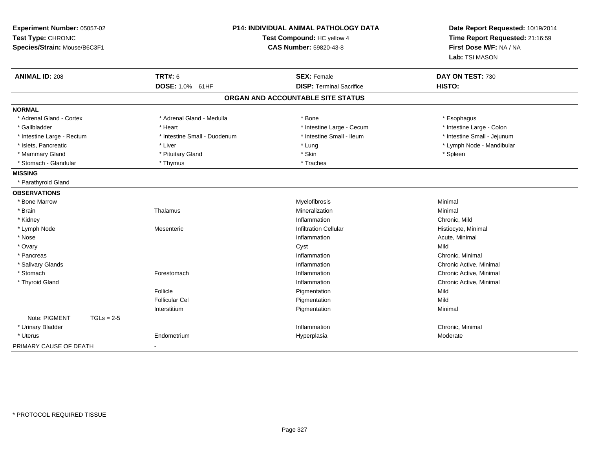| Experiment Number: 05057-02<br>Test Type: CHRONIC<br>Species/Strain: Mouse/B6C3F1 |                                                              | P14: INDIVIDUAL ANIMAL PATHOLOGY DATA<br>Test Compound: HC yellow 4<br><b>CAS Number: 59820-43-8</b> | Date Report Requested: 10/19/2014<br>Time Report Requested: 21:16:59<br>First Dose M/F: NA / NA<br>Lab: TSI MASON |
|-----------------------------------------------------------------------------------|--------------------------------------------------------------|------------------------------------------------------------------------------------------------------|-------------------------------------------------------------------------------------------------------------------|
| <b>ANIMAL ID: 208</b>                                                             | <b>TRT#: 6</b><br><b>DOSE: 1.0%</b><br>61HF                  | <b>SEX: Female</b><br><b>DISP: Terminal Sacrifice</b>                                                | DAY ON TEST: 730<br>HISTO:                                                                                        |
|                                                                                   |                                                              | ORGAN AND ACCOUNTABLE SITE STATUS                                                                    |                                                                                                                   |
| <b>NORMAL</b>                                                                     |                                                              |                                                                                                      |                                                                                                                   |
| * Adrenal Gland - Cortex<br>* Gallbladder                                         | * Adrenal Gland - Medulla<br>* Heart                         | * Bone<br>* Intestine Large - Cecum                                                                  | * Esophagus<br>* Intestine Large - Colon                                                                          |
| * Intestine Large - Rectum<br>* Islets, Pancreatic<br>* Mammary Gland             | * Intestine Small - Duodenum<br>* Liver<br>* Pituitary Gland | * Intestine Small - Ileum<br>* Lung<br>* Skin                                                        | * Intestine Small - Jejunum<br>* Lymph Node - Mandibular                                                          |
| * Stomach - Glandular                                                             | * Thymus                                                     | * Trachea                                                                                            | * Spleen                                                                                                          |
| <b>MISSING</b>                                                                    |                                                              |                                                                                                      |                                                                                                                   |
| * Parathyroid Gland                                                               |                                                              |                                                                                                      |                                                                                                                   |
| <b>OBSERVATIONS</b>                                                               |                                                              |                                                                                                      |                                                                                                                   |
| * Bone Marrow                                                                     |                                                              | Myelofibrosis                                                                                        | Minimal                                                                                                           |
| * Brain                                                                           | Thalamus                                                     | Mineralization                                                                                       | Minimal                                                                                                           |
| * Kidney                                                                          |                                                              | Inflammation                                                                                         | Chronic, Mild                                                                                                     |
| * Lymph Node                                                                      | Mesenteric                                                   | <b>Infiltration Cellular</b>                                                                         | Histiocyte, Minimal                                                                                               |
| * Nose                                                                            |                                                              | Inflammation                                                                                         | Acute, Minimal                                                                                                    |
| * Ovary                                                                           |                                                              | Cyst                                                                                                 | Mild                                                                                                              |
| * Pancreas                                                                        |                                                              | Inflammation                                                                                         | Chronic, Minimal                                                                                                  |
| * Salivary Glands                                                                 |                                                              | Inflammation                                                                                         | Chronic Active, Minimal                                                                                           |
| * Stomach                                                                         | Forestomach                                                  | Inflammation                                                                                         | Chronic Active, Minimal                                                                                           |
| * Thyroid Gland                                                                   |                                                              | Inflammation                                                                                         | Chronic Active, Minimal                                                                                           |
|                                                                                   | Follicle                                                     | Pigmentation                                                                                         | Mild                                                                                                              |
|                                                                                   | <b>Follicular Cel</b>                                        | Pigmentation                                                                                         | Mild                                                                                                              |
|                                                                                   | Interstitium                                                 | Pigmentation                                                                                         | Minimal                                                                                                           |
| Note: PIGMENT<br>$TGLs = 2-5$                                                     |                                                              |                                                                                                      |                                                                                                                   |
| * Urinary Bladder                                                                 |                                                              | Inflammation                                                                                         | Chronic, Minimal                                                                                                  |
| * Uterus                                                                          | Endometrium                                                  | Hyperplasia                                                                                          | Moderate                                                                                                          |
| PRIMARY CAUSE OF DEATH                                                            |                                                              |                                                                                                      |                                                                                                                   |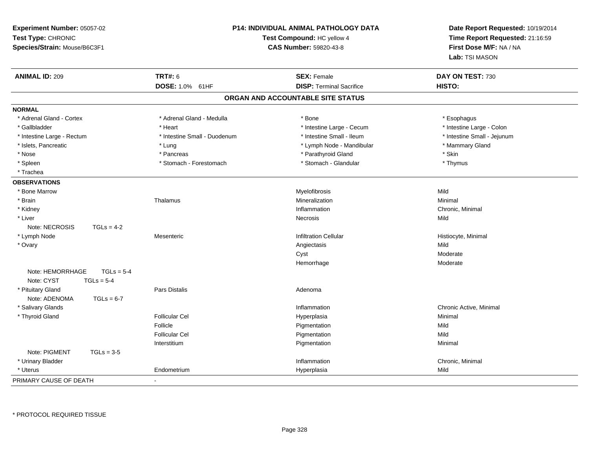| Experiment Number: 05057-02<br>Test Type: CHRONIC<br>Species/Strain: Mouse/B6C3F1 | P14: INDIVIDUAL ANIMAL PATHOLOGY DATA<br>Test Compound: HC yellow 4<br>CAS Number: 59820-43-8 |                                   | Date Report Requested: 10/19/2014<br>Time Report Requested: 21:16:59<br>First Dose M/F: NA / NA<br>Lab: TSI MASON |
|-----------------------------------------------------------------------------------|-----------------------------------------------------------------------------------------------|-----------------------------------|-------------------------------------------------------------------------------------------------------------------|
| <b>ANIMAL ID: 209</b>                                                             | <b>TRT#: 6</b>                                                                                | <b>SEX: Female</b>                | DAY ON TEST: 730                                                                                                  |
|                                                                                   | DOSE: 1.0% 61HF                                                                               | <b>DISP: Terminal Sacrifice</b>   | HISTO:                                                                                                            |
|                                                                                   |                                                                                               | ORGAN AND ACCOUNTABLE SITE STATUS |                                                                                                                   |
| <b>NORMAL</b>                                                                     |                                                                                               |                                   |                                                                                                                   |
| * Adrenal Gland - Cortex                                                          | * Adrenal Gland - Medulla                                                                     | * Bone                            | * Esophagus                                                                                                       |
| * Gallbladder                                                                     | * Heart                                                                                       | * Intestine Large - Cecum         | * Intestine Large - Colon                                                                                         |
| * Intestine Large - Rectum                                                        | * Intestine Small - Duodenum                                                                  | * Intestine Small - Ileum         | * Intestine Small - Jejunum                                                                                       |
| * Islets, Pancreatic                                                              | * Lung                                                                                        | * Lymph Node - Mandibular         | * Mammary Gland                                                                                                   |
| * Nose                                                                            | * Pancreas                                                                                    | * Parathyroid Gland               | * Skin                                                                                                            |
| * Spleen                                                                          | * Stomach - Forestomach                                                                       | * Stomach - Glandular             | * Thymus                                                                                                          |
| * Trachea                                                                         |                                                                                               |                                   |                                                                                                                   |
| <b>OBSERVATIONS</b>                                                               |                                                                                               |                                   |                                                                                                                   |
| * Bone Marrow                                                                     |                                                                                               | Myelofibrosis                     | Mild                                                                                                              |
| * Brain                                                                           | Thalamus                                                                                      | Mineralization                    | Minimal                                                                                                           |
| * Kidney                                                                          |                                                                                               | Inflammation                      | Chronic, Minimal                                                                                                  |
| * Liver                                                                           |                                                                                               | Necrosis                          | Mild                                                                                                              |
| Note: NECROSIS<br>$TGLs = 4-2$                                                    |                                                                                               |                                   |                                                                                                                   |
| * Lymph Node                                                                      | Mesenteric                                                                                    | <b>Infiltration Cellular</b>      | Histiocyte, Minimal                                                                                               |
| * Ovary                                                                           |                                                                                               | Angiectasis                       | Mild                                                                                                              |
|                                                                                   |                                                                                               | Cyst                              | Moderate                                                                                                          |
|                                                                                   |                                                                                               | Hemorrhage                        | Moderate                                                                                                          |
| $TGLs = 5-4$<br>Note: HEMORRHAGE                                                  |                                                                                               |                                   |                                                                                                                   |
| Note: CYST<br>$TGLs = 5-4$                                                        |                                                                                               |                                   |                                                                                                                   |
| * Pituitary Gland                                                                 | Pars Distalis                                                                                 | Adenoma                           |                                                                                                                   |
| Note: ADENOMA<br>$TGLs = 6-7$                                                     |                                                                                               |                                   |                                                                                                                   |
| * Salivary Glands                                                                 |                                                                                               | Inflammation                      | Chronic Active, Minimal                                                                                           |
| * Thyroid Gland                                                                   | <b>Follicular Cel</b>                                                                         | Hyperplasia                       | Minimal                                                                                                           |
|                                                                                   | Follicle                                                                                      | Pigmentation                      | Mild                                                                                                              |
|                                                                                   | <b>Follicular Cel</b>                                                                         | Pigmentation                      | Mild                                                                                                              |
|                                                                                   | Interstitium                                                                                  | Pigmentation                      | Minimal                                                                                                           |
| Note: PIGMENT<br>$TGLs = 3-5$                                                     |                                                                                               |                                   |                                                                                                                   |
| * Urinary Bladder                                                                 |                                                                                               | Inflammation                      | Chronic, Minimal<br>Mild                                                                                          |
| * Uterus                                                                          | Endometrium                                                                                   | Hyperplasia                       |                                                                                                                   |
| PRIMARY CAUSE OF DEATH                                                            |                                                                                               |                                   |                                                                                                                   |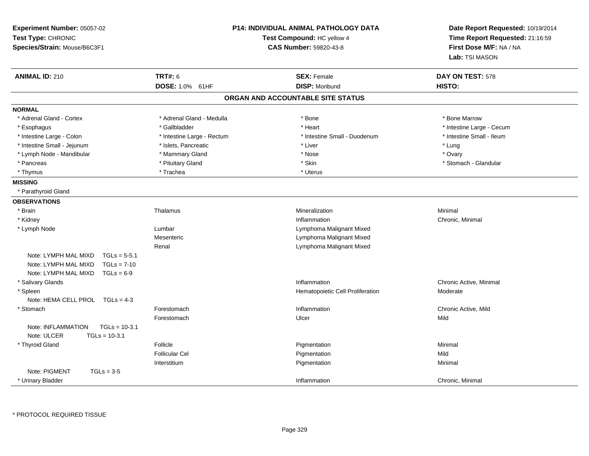| Experiment Number: 05057-02<br>Test Type: CHRONIC<br>Species/Strain: Mouse/B6C3F1 | <b>P14: INDIVIDUAL ANIMAL PATHOLOGY DATA</b><br>Test Compound: HC yellow 4<br><b>CAS Number: 59820-43-8</b> |                                   | Date Report Requested: 10/19/2014<br>Time Report Requested: 21:16:59<br>First Dose M/F: NA / NA<br>Lab: TSI MASON |
|-----------------------------------------------------------------------------------|-------------------------------------------------------------------------------------------------------------|-----------------------------------|-------------------------------------------------------------------------------------------------------------------|
| <b>ANIMAL ID: 210</b>                                                             | <b>TRT#: 6</b>                                                                                              | <b>SEX: Female</b>                | DAY ON TEST: 578                                                                                                  |
|                                                                                   | DOSE: 1.0% 61HF                                                                                             | <b>DISP: Moribund</b>             | HISTO:                                                                                                            |
|                                                                                   |                                                                                                             | ORGAN AND ACCOUNTABLE SITE STATUS |                                                                                                                   |
| <b>NORMAL</b>                                                                     |                                                                                                             |                                   |                                                                                                                   |
| * Adrenal Gland - Cortex                                                          | * Adrenal Gland - Medulla                                                                                   | $*$ Bone                          | * Bone Marrow                                                                                                     |
| * Esophagus                                                                       | * Gallbladder                                                                                               | * Heart                           | * Intestine Large - Cecum                                                                                         |
| * Intestine Large - Colon                                                         | * Intestine Large - Rectum                                                                                  | * Intestine Small - Duodenum      | * Intestine Small - Ileum                                                                                         |
| * Intestine Small - Jejunum                                                       | * Islets, Pancreatic                                                                                        | * Liver                           | * Lung                                                                                                            |
| * Lymph Node - Mandibular                                                         | * Mammary Gland                                                                                             | * Nose                            | * Ovary                                                                                                           |
| * Pancreas                                                                        | * Pituitary Gland                                                                                           | * Skin                            | * Stomach - Glandular                                                                                             |
| * Thymus                                                                          | * Trachea                                                                                                   | * Uterus                          |                                                                                                                   |
| <b>MISSING</b>                                                                    |                                                                                                             |                                   |                                                                                                                   |
| * Parathyroid Gland                                                               |                                                                                                             |                                   |                                                                                                                   |
| <b>OBSERVATIONS</b>                                                               |                                                                                                             |                                   |                                                                                                                   |
| * Brain                                                                           | Thalamus                                                                                                    | Mineralization                    | Minimal                                                                                                           |
| * Kidney                                                                          |                                                                                                             | Inflammation                      | Chronic, Minimal                                                                                                  |
| * Lymph Node                                                                      | Lumbar                                                                                                      | Lymphoma Malignant Mixed          |                                                                                                                   |
|                                                                                   | Mesenteric                                                                                                  | Lymphoma Malignant Mixed          |                                                                                                                   |
|                                                                                   | Renal                                                                                                       | Lymphoma Malignant Mixed          |                                                                                                                   |
| Note: LYMPH MAL MIXD<br>$TGLs = 5-5.1$                                            |                                                                                                             |                                   |                                                                                                                   |
| Note: LYMPH MAL MIXD<br>$TGLs = 7-10$                                             |                                                                                                             |                                   |                                                                                                                   |
| Note: LYMPH MAL MIXD<br>$TGLs = 6-9$                                              |                                                                                                             |                                   |                                                                                                                   |
| * Salivary Glands                                                                 |                                                                                                             | Inflammation                      | Chronic Active, Minimal                                                                                           |
| * Spleen                                                                          |                                                                                                             | Hematopoietic Cell Proliferation  | Moderate                                                                                                          |
| Note: HEMA CELL PROL TGLs = 4-3                                                   |                                                                                                             |                                   |                                                                                                                   |
| * Stomach                                                                         | Forestomach                                                                                                 | Inflammation                      | Chronic Active, Mild                                                                                              |
|                                                                                   | Forestomach                                                                                                 | Ulcer                             | Mild                                                                                                              |
| $TGLs = 10-3.1$<br>Note: INFLAMMATION                                             |                                                                                                             |                                   |                                                                                                                   |
| Note: ULCER<br>$TGLs = 10-3.1$                                                    |                                                                                                             |                                   |                                                                                                                   |
| * Thyroid Gland                                                                   | Follicle                                                                                                    | Pigmentation                      | Minimal                                                                                                           |
|                                                                                   | <b>Follicular Cel</b>                                                                                       | Pigmentation                      | Mild                                                                                                              |
|                                                                                   | Interstitium                                                                                                | Pigmentation                      | Minimal                                                                                                           |
| Note: PIGMENT<br>$TGLs = 3-5$                                                     |                                                                                                             |                                   |                                                                                                                   |
| * Urinary Bladder                                                                 |                                                                                                             | Inflammation                      | Chronic, Minimal                                                                                                  |